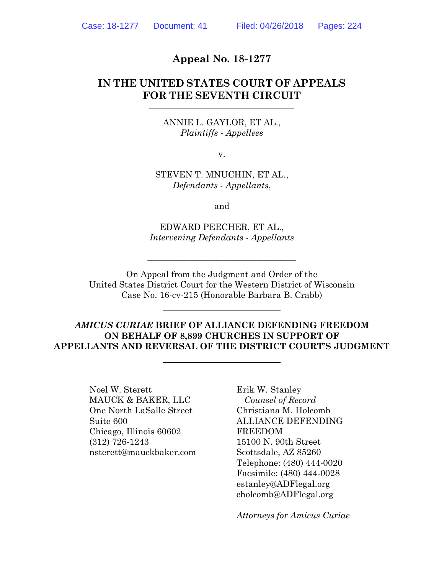### **Appeal No. 18-1277**

## **IN THE UNITED STATES COURT OF APPEALS FOR THE SEVENTH CIRCUIT**

\_\_\_\_\_\_\_\_\_\_\_\_\_\_\_\_\_\_\_\_\_\_\_\_\_\_\_\_\_\_\_\_\_\_\_\_\_\_\_\_

### ANNIE L. GAYLOR, ET AL., *Plaintiffs - Appellees*

v.

STEVEN T. MNUCHIN, ET AL., *Defendants - Appellants*,

and

EDWARD PEECHER, ET AL., *Intervening Defendants - Appellants*

\_\_\_\_\_\_\_\_\_\_\_\_\_\_\_\_\_\_\_\_\_\_\_\_\_\_\_\_\_\_\_\_\_\_\_\_\_\_\_\_\_

On Appeal from the Judgment and Order of the United States District Court for the Western District of Wisconsin Case No. 16-cv-215 (Honorable Barbara B. Crabb)

### *AMICUS CURIAE* **BRIEF OF ALLIANCE DEFENDING FREEDOM ON BEHALF OF 8,899 CHURCHES IN SUPPORT OF APPELLANTS AND REVERSAL OF THE DISTRICT COURT'S JUDGMENT**

Noel W. Sterett MAUCK & BAKER, LLC One North LaSalle Street Suite 600 Chicago, Illinois 60602 (312) 726-1243 nsterett@mauckbaker.com

Erik W. Stanley *Counsel of Record* Christiana M. Holcomb ALLIANCE DEFENDING FREEDOM 15100 N. 90th Street Scottsdale, AZ 85260 Telephone: (480) 444-0020 Facsimile: (480) 444-0028 estanley@ADFlegal.org cholcomb@ADFlegal.org

*Attorneys for Amicus Curiae*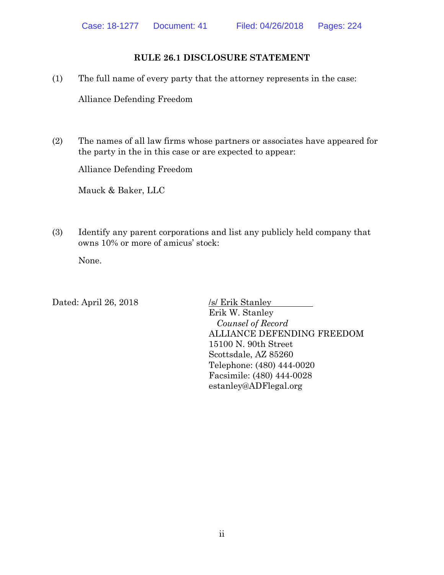### **RULE 26.1 DISCLOSURE STATEMENT**

(1) The full name of every party that the attorney represents in the case:

Alliance Defending Freedom

(2) The names of all law firms whose partners or associates have appeared for the party in the in this case or are expected to appear:

Alliance Defending Freedom

Mauck & Baker, LLC

(3) Identify any parent corporations and list any publicly held company that owns 10% or more of amicus' stock:

None.

Dated: April 26, 2018 /s/ Erik Stanley Erik W. Stanley *Counsel of Record* ALLIANCE DEFENDING FREEDOM 15100 N. 90th Street Scottsdale, AZ 85260 Telephone: (480) 444-0020 Facsimile: (480) 444-0028 estanley@ADFlegal.org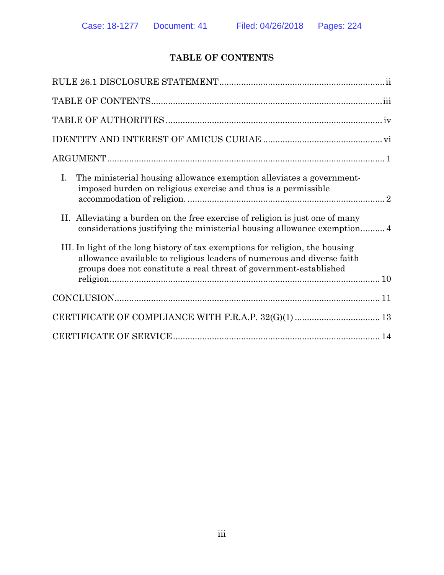# **TABLE OF CONTENTS**

| I.<br>The ministerial housing allowance exemption alleviates a government-<br>imposed burden on religious exercise and thus is a permissible                                                                                  |
|-------------------------------------------------------------------------------------------------------------------------------------------------------------------------------------------------------------------------------|
| II. Alleviating a burden on the free exercise of religion is just one of many<br>considerations justifying the ministerial housing allowance exemption 4                                                                      |
| III. In light of the long history of tax exemptions for religion, the housing<br>allowance available to religious leaders of numerous and diverse faith<br>groups does not constitute a real threat of government-established |
|                                                                                                                                                                                                                               |
|                                                                                                                                                                                                                               |
|                                                                                                                                                                                                                               |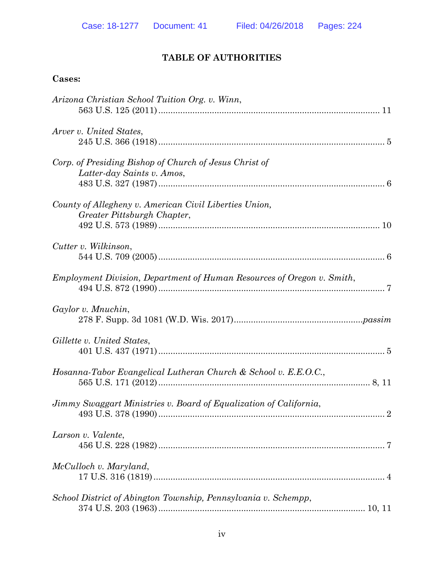# **TABLE OF AUTHORITIES**

### **Cases:**

| Arizona Christian School Tuition Org. v. Winn,                                        |
|---------------------------------------------------------------------------------------|
| Arver v. United States,                                                               |
| Corp. of Presiding Bishop of Church of Jesus Christ of<br>Latter-day Saints v. Amos,  |
| County of Allegheny v. American Civil Liberties Union,<br>Greater Pittsburgh Chapter, |
| Cutter v. Wilkinson,                                                                  |
| Employment Division, Department of Human Resources of Oregon v. Smith,                |
| Gaylor v. Mnuchin,                                                                    |
| Gillette v. United States,                                                            |
| Hosanna-Tabor Evangelical Lutheran Church & School v. E.E.O.C.,                       |
| Jimmy Swaggart Ministries v. Board of Equalization of California,                     |
| Larson v. Valente,                                                                    |
| McCulloch v. Maryland,                                                                |
| School District of Abington Township, Pennsylvania v. Schempp,                        |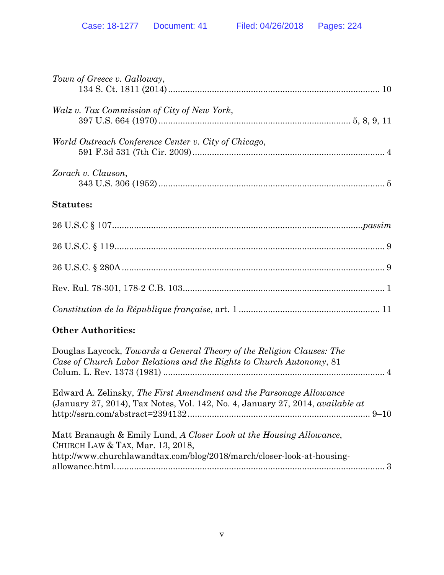| Town of Greece v. Galloway,                                                                                                                                                       |
|-----------------------------------------------------------------------------------------------------------------------------------------------------------------------------------|
| Walz v. Tax Commission of City of New York,                                                                                                                                       |
| World Outreach Conference Center v. City of Chicago,                                                                                                                              |
| Zorach v. Clauson,                                                                                                                                                                |
| <b>Statutes:</b>                                                                                                                                                                  |
|                                                                                                                                                                                   |
|                                                                                                                                                                                   |
|                                                                                                                                                                                   |
|                                                                                                                                                                                   |
|                                                                                                                                                                                   |
| <b>Other Authorities:</b>                                                                                                                                                         |
| Douglas Laycock, Towards a General Theory of the Religion Clauses: The<br>Case of Church Labor Relations and the Rights to Church Autonomy, 81                                    |
| Edward A. Zelinsky, The First Amendment and the Parsonage Allowance<br>(January 27, 2014), Tax Notes, Vol. 142, No. 4, January 27, 2014, available at                             |
| Matt Branaugh & Emily Lund, A Closer Look at the Housing Allowance,<br>CHURCH LAW & TAX, Mar. 13, 2018,<br>http://www.churchlawandtax.com/blog/2018/march/closer-look-at-housing- |

allowance.html............................................................................................................... 3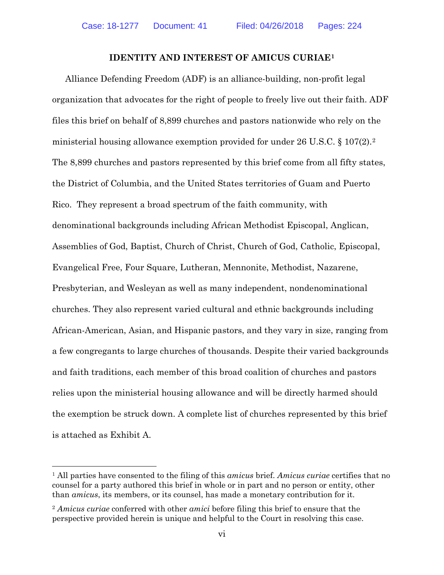#### **IDENTITY AND INTEREST OF AMICUS CURIAE1**

Alliance Defending Freedom (ADF) is an alliance-building, non-profit legal organization that advocates for the right of people to freely live out their faith. ADF files this brief on behalf of 8,899 churches and pastors nationwide who rely on the ministerial housing allowance exemption provided for under 26 U.S.C. § 107(2).2 The 8,899 churches and pastors represented by this brief come from all fifty states, the District of Columbia, and the United States territories of Guam and Puerto Rico. They represent a broad spectrum of the faith community, with denominational backgrounds including African Methodist Episcopal, Anglican, Assemblies of God, Baptist, Church of Christ, Church of God, Catholic, Episcopal, Evangelical Free, Four Square, Lutheran, Mennonite, Methodist, Nazarene, Presbyterian, and Wesleyan as well as many independent, nondenominational churches. They also represent varied cultural and ethnic backgrounds including African-American, Asian, and Hispanic pastors, and they vary in size, ranging from a few congregants to large churches of thousands. Despite their varied backgrounds and faith traditions, each member of this broad coalition of churches and pastors relies upon the ministerial housing allowance and will be directly harmed should the exemption be struck down. A complete list of churches represented by this brief is attached as Exhibit A.

<sup>1</sup> All parties have consented to the filing of this *amicus* brief. *Amicus curiae* certifies that no counsel for a party authored this brief in whole or in part and no person or entity, other than *amicus*, its members, or its counsel, has made a monetary contribution for it.

<sup>2</sup> *Amicus curiae* conferred with other *amici* before filing this brief to ensure that the perspective provided herein is unique and helpful to the Court in resolving this case.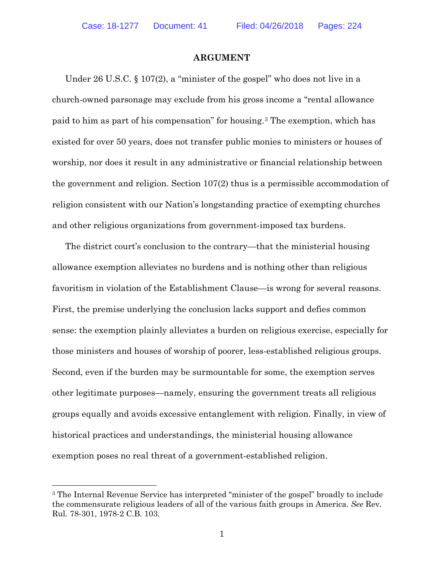$\overline{a}$ 

#### **ARGUMENT**

Under 26 U.S.C. § 107(2), a "minister of the gospel" who does not live in a church-owned parsonage may exclude from his gross income a "rental allowance paid to him as part of his compensation" for housing.3 The exemption, which has existed for over 50 years, does not transfer public monies to ministers or houses of worship, nor does it result in any administrative or financial relationship between the government and religion. Section 107(2) thus is a permissible accommodation of religion consistent with our Nation's longstanding practice of exempting churches and other religious organizations from government-imposed tax burdens.

The district court's conclusion to the contrary—that the ministerial housing allowance exemption alleviates no burdens and is nothing other than religious favoritism in violation of the Establishment Clause—is wrong for several reasons. First, the premise underlying the conclusion lacks support and defies common sense: the exemption plainly alleviates a burden on religious exercise, especially for those ministers and houses of worship of poorer, less-established religious groups. Second, even if the burden may be surmountable for some, the exemption serves other legitimate purposes—namely, ensuring the government treats all religious groups equally and avoids excessive entanglement with religion. Finally, in view of historical practices and understandings, the ministerial housing allowance exemption poses no real threat of a government-established religion.

<sup>&</sup>lt;sup>3</sup> The Internal Revenue Service has interpreted "minister of the gospel" broadly to include the commensurate religious leaders of all of the various faith groups in America. *See* Rev. Rul. 78-301, 1978-2 C.B. 103.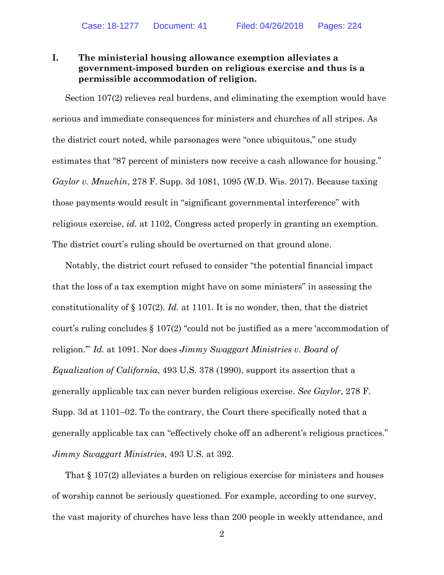**I. The ministerial housing allowance exemption alleviates a government-imposed burden on religious exercise and thus is a permissible accommodation of religion.** 

Section 107(2) relieves real burdens, and eliminating the exemption would have serious and immediate consequences for ministers and churches of all stripes. As the district court noted, while parsonages were "once ubiquitous," one study estimates that "87 percent of ministers now receive a cash allowance for housing." *Gaylor v. Mnuchin*, 278 F. Supp. 3d 1081, 1095 (W.D. Wis. 2017). Because taxing those payments would result in "significant governmental interference" with religious exercise, *id.* at 1102, Congress acted properly in granting an exemption. The district court's ruling should be overturned on that ground alone.

Notably, the district court refused to consider "the potential financial impact that the loss of a tax exemption might have on some ministers" in assessing the constitutionality of § 107(2). *Id.* at 1101. It is no wonder, then, that the district court's ruling concludes § 107(2) "could not be justified as a mere 'accommodation of religion.'" *Id.* at 1091. Nor does *Jimmy Swaggart Ministries v. Board of Equalization of California*, 493 U.S. 378 (1990), support its assertion that a generally applicable tax can never burden religious exercise. *See Gaylor*, 278 F. Supp. 3d at 1101–02. To the contrary, the Court there specifically noted that a generally applicable tax can "effectively choke off an adherent's religious practices." *Jimmy Swaggart Ministries*, 493 U.S. at 392.

That § 107(2) alleviates a burden on religious exercise for ministers and houses of worship cannot be seriously questioned. For example, according to one survey, the vast majority of churches have less than 200 people in weekly attendance, and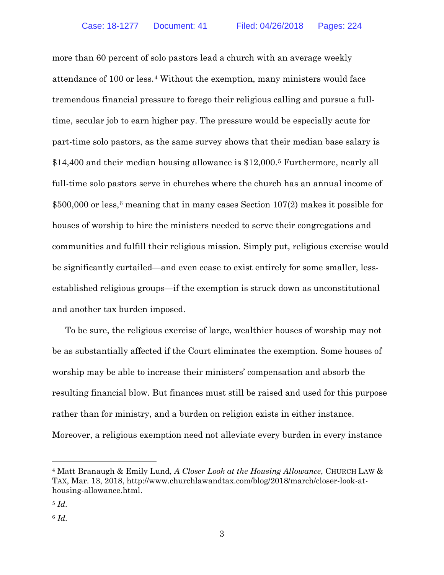more than 60 percent of solo pastors lead a church with an average weekly attendance of 100 or less.4 Without the exemption, many ministers would face tremendous financial pressure to forego their religious calling and pursue a fulltime, secular job to earn higher pay. The pressure would be especially acute for part-time solo pastors, as the same survey shows that their median base salary is \$14,400 and their median housing allowance is \$12,000.5 Furthermore, nearly all full-time solo pastors serve in churches where the church has an annual income of \$500,000 or less,6 meaning that in many cases Section 107(2) makes it possible for houses of worship to hire the ministers needed to serve their congregations and communities and fulfill their religious mission. Simply put, religious exercise would be significantly curtailed—and even cease to exist entirely for some smaller, lessestablished religious groups—if the exemption is struck down as unconstitutional and another tax burden imposed.

To be sure, the religious exercise of large, wealthier houses of worship may not be as substantially affected if the Court eliminates the exemption. Some houses of worship may be able to increase their ministers' compensation and absorb the resulting financial blow. But finances must still be raised and used for this purpose rather than for ministry, and a burden on religion exists in either instance. Moreover, a religious exemption need not alleviate every burden in every instance

<sup>4</sup> Matt Branaugh & Emily Lund, *A Closer Look at the Housing Allowance*, CHURCH LAW & TAX, Mar. 13, 2018, http://www.churchlawandtax.com/blog/2018/march/closer-look-athousing-allowance.html.

<sup>5</sup> *Id.*

<sup>6</sup> *Id.*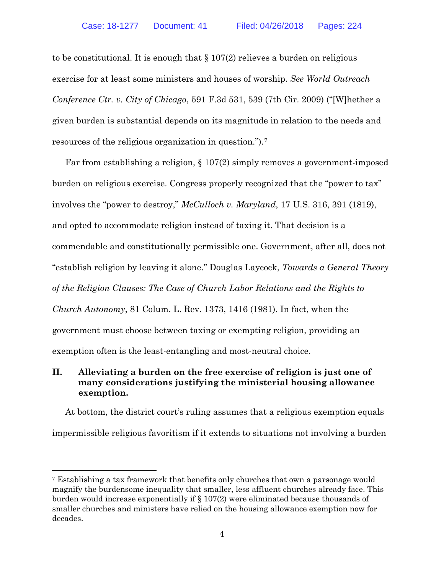to be constitutional. It is enough that § 107(2) relieves a burden on religious exercise for at least some ministers and houses of worship. *See World Outreach Conference Ctr. v. City of Chicago*, 591 F.3d 531, 539 (7th Cir. 2009) ("[W]hether a given burden is substantial depends on its magnitude in relation to the needs and resources of the religious organization in question.").7

Far from establishing a religion, § 107(2) simply removes a government-imposed burden on religious exercise. Congress properly recognized that the "power to tax" involves the "power to destroy," *McCulloch v. Maryland*, 17 U.S. 316, 391 (1819), and opted to accommodate religion instead of taxing it. That decision is a commendable and constitutionally permissible one. Government, after all, does not "establish religion by leaving it alone." Douglas Laycock, *Towards a General Theory of the Religion Clauses: The Case of Church Labor Relations and the Rights to Church Autonomy*, 81 Colum. L. Rev. 1373, 1416 (1981). In fact, when the government must choose between taxing or exempting religion, providing an exemption often is the least-entangling and most-neutral choice.

### **II. Alleviating a burden on the free exercise of religion is just one of many considerations justifying the ministerial housing allowance exemption.**

At bottom, the district court's ruling assumes that a religious exemption equals impermissible religious favoritism if it extends to situations not involving a burden

<sup>7</sup> Establishing a tax framework that benefits only churches that own a parsonage would magnify the burdensome inequality that smaller, less affluent churches already face. This burden would increase exponentially if § 107(2) were eliminated because thousands of smaller churches and ministers have relied on the housing allowance exemption now for decades.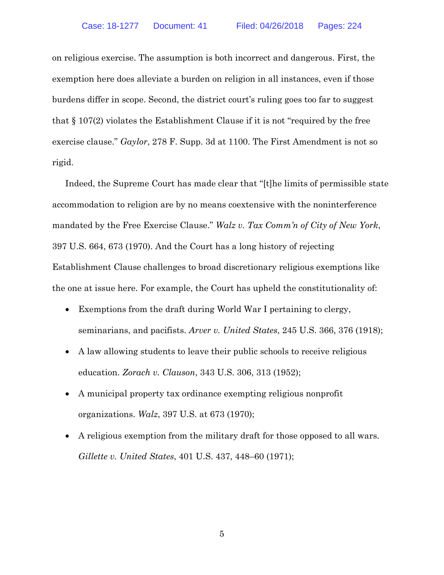on religious exercise. The assumption is both incorrect and dangerous. First, the exemption here does alleviate a burden on religion in all instances, even if those burdens differ in scope. Second, the district court's ruling goes too far to suggest that § 107(2) violates the Establishment Clause if it is not "required by the free exercise clause." *Gaylor*, 278 F. Supp. 3d at 1100. The First Amendment is not so rigid.

Indeed, the Supreme Court has made clear that "[t]he limits of permissible state accommodation to religion are by no means coextensive with the noninterference mandated by the Free Exercise Clause." *Walz v. Tax Comm'n of City of New York*, 397 U.S. 664, 673 (1970). And the Court has a long history of rejecting Establishment Clause challenges to broad discretionary religious exemptions like the one at issue here. For example, the Court has upheld the constitutionality of:

- Exemptions from the draft during World War I pertaining to clergy, seminarians, and pacifists. *Arver v. United States*, 245 U.S. 366, 376 (1918);
- A law allowing students to leave their public schools to receive religious education. *Zorach v. Clauson*, 343 U.S. 306, 313 (1952);
- A municipal property tax ordinance exempting religious nonprofit organizations. *Walz*, 397 U.S. at 673 (1970);
- A religious exemption from the military draft for those opposed to all wars. *Gillette v. United States*, 401 U.S. 437, 448–60 (1971);

5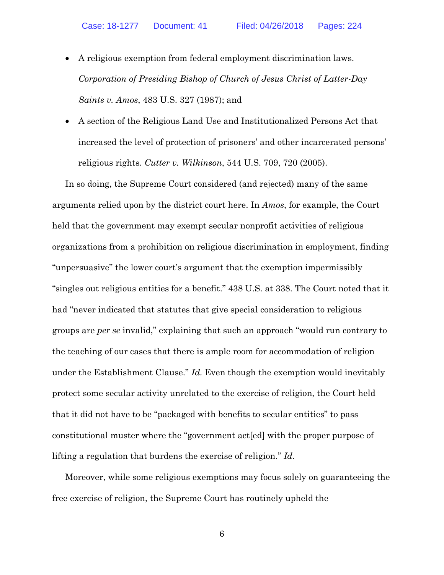- A religious exemption from federal employment discrimination laws. *Corporation of Presiding Bishop of Church of Jesus Christ of Latter-Day Saints v. Amos*, 483 U.S. 327 (1987); and
- A section of the Religious Land Use and Institutionalized Persons Act that increased the level of protection of prisoners' and other incarcerated persons' religious rights. *Cutter v. Wilkinson*, 544 U.S. 709, 720 (2005).

In so doing, the Supreme Court considered (and rejected) many of the same arguments relied upon by the district court here. In *Amos*, for example, the Court held that the government may exempt secular nonprofit activities of religious organizations from a prohibition on religious discrimination in employment, finding "unpersuasive" the lower court's argument that the exemption impermissibly "singles out religious entities for a benefit." 438 U.S. at 338. The Court noted that it had "never indicated that statutes that give special consideration to religious groups are *per se* invalid," explaining that such an approach "would run contrary to the teaching of our cases that there is ample room for accommodation of religion under the Establishment Clause." *Id.* Even though the exemption would inevitably protect some secular activity unrelated to the exercise of religion, the Court held that it did not have to be "packaged with benefits to secular entities" to pass constitutional muster where the "government act[ed] with the proper purpose of lifting a regulation that burdens the exercise of religion." *Id.*

Moreover, while some religious exemptions may focus solely on guaranteeing the free exercise of religion, the Supreme Court has routinely upheld the

6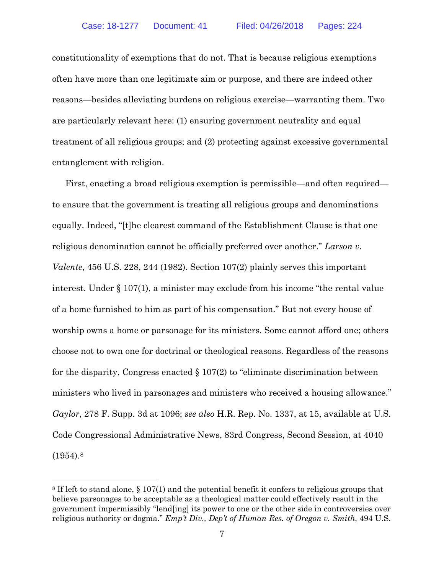constitutionality of exemptions that do not. That is because religious exemptions often have more than one legitimate aim or purpose, and there are indeed other reasons—besides alleviating burdens on religious exercise—warranting them. Two are particularly relevant here: (1) ensuring government neutrality and equal treatment of all religious groups; and (2) protecting against excessive governmental entanglement with religion.

First, enacting a broad religious exemption is permissible—and often required to ensure that the government is treating all religious groups and denominations equally. Indeed, "[t]he clearest command of the Establishment Clause is that one religious denomination cannot be officially preferred over another." *Larson v. Valente*, 456 U.S. 228, 244 (1982). Section 107(2) plainly serves this important interest. Under § 107(1), a minister may exclude from his income "the rental value of a home furnished to him as part of his compensation." But not every house of worship owns a home or parsonage for its ministers. Some cannot afford one; others choose not to own one for doctrinal or theological reasons. Regardless of the reasons for the disparity, Congress enacted  $\S 107(2)$  to "eliminate discrimination between ministers who lived in parsonages and ministers who received a housing allowance." *Gaylor*, 278 F. Supp. 3d at 1096; *see also* H.R. Rep. No. 1337, at 15, available at U.S. Code Congressional Administrative News, 83rd Congress, Second Session, at 4040  $(1954).8$ 

<sup>8</sup> If left to stand alone, § 107(1) and the potential benefit it confers to religious groups that believe parsonages to be acceptable as a theological matter could effectively result in the government impermissibly "lend[ing] its power to one or the other side in controversies over religious authority or dogma." *Emp't Div., Dep't of Human Res. of Oregon v. Smith*, 494 U.S.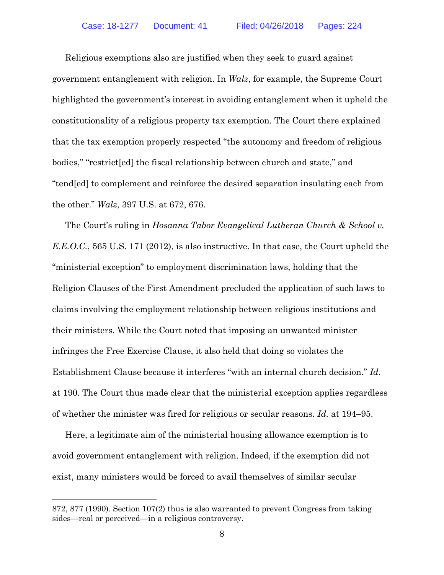Religious exemptions also are justified when they seek to guard against government entanglement with religion. In *Walz*, for example, the Supreme Court highlighted the government's interest in avoiding entanglement when it upheld the constitutionality of a religious property tax exemption. The Court there explained that the tax exemption properly respected "the autonomy and freedom of religious bodies," "restrict[ed] the fiscal relationship between church and state," and "tend[ed] to complement and reinforce the desired separation insulating each from the other." *Walz*, 397 U.S. at 672, 676.

The Court's ruling in *Hosanna Tabor Evangelical Lutheran Church & School v. E.E.O.C.*, 565 U.S. 171 (2012), is also instructive. In that case, the Court upheld the "ministerial exception" to employment discrimination laws, holding that the Religion Clauses of the First Amendment precluded the application of such laws to claims involving the employment relationship between religious institutions and their ministers. While the Court noted that imposing an unwanted minister infringes the Free Exercise Clause, it also held that doing so violates the Establishment Clause because it interferes "with an internal church decision." *Id.* at 190. The Court thus made clear that the ministerial exception applies regardless of whether the minister was fired for religious or secular reasons. *Id.* at 194–95.

Here, a legitimate aim of the ministerial housing allowance exemption is to avoid government entanglement with religion. Indeed, if the exemption did not exist, many ministers would be forced to avail themselves of similar secular

<sup>872, 877 (1990).</sup> Section 107(2) thus is also warranted to prevent Congress from taking sides—real or perceived—in a religious controversy.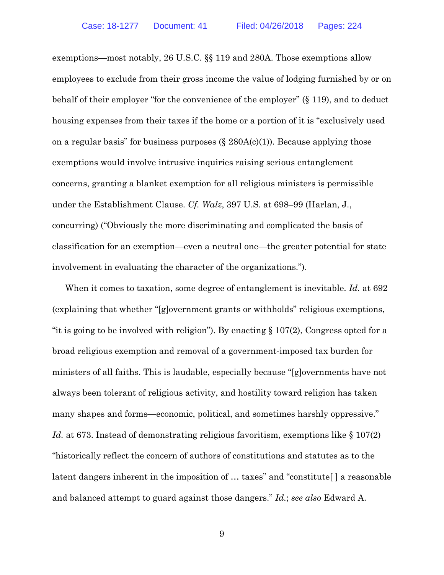exemptions—most notably, 26 U.S.C. §§ 119 and 280A. Those exemptions allow employees to exclude from their gross income the value of lodging furnished by or on behalf of their employer "for the convenience of the employer" (§ 119), and to deduct housing expenses from their taxes if the home or a portion of it is "exclusively used on a regular basis" for business purposes  $(\S 280A(c)(1))$ . Because applying those exemptions would involve intrusive inquiries raising serious entanglement concerns, granting a blanket exemption for all religious ministers is permissible under the Establishment Clause. *Cf. Walz*, 397 U.S. at 698–99 (Harlan, J., concurring) ("Obviously the more discriminating and complicated the basis of classification for an exemption—even a neutral one—the greater potential for state involvement in evaluating the character of the organizations.").

When it comes to taxation, some degree of entanglement is inevitable. *Id.* at 692 (explaining that whether "[g]overnment grants or withholds" religious exemptions, "it is going to be involved with religion"). By enacting  $\S 107(2)$ , Congress opted for a broad religious exemption and removal of a government-imposed tax burden for ministers of all faiths. This is laudable, especially because "[g]overnments have not always been tolerant of religious activity, and hostility toward religion has taken many shapes and forms—economic, political, and sometimes harshly oppressive." *Id.* at 673. Instead of demonstrating religious favoritism, exemptions like § 107(2) "historically reflect the concern of authors of constitutions and statutes as to the latent dangers inherent in the imposition of … taxes" and "constitute[ ] a reasonable and balanced attempt to guard against those dangers." *Id.*; *see also* Edward A.

9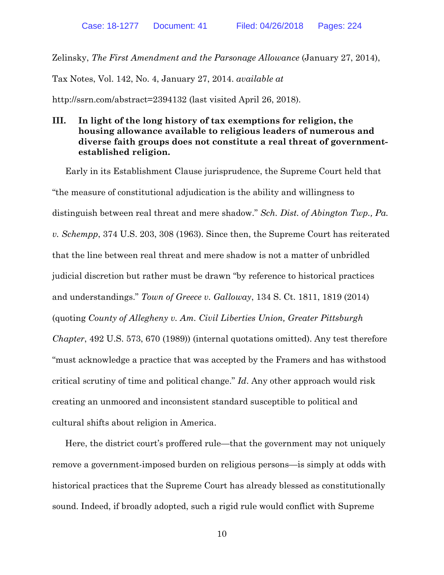Zelinsky, *The First Amendment and the Parsonage Allowance* (January 27, 2014),

Tax Notes, Vol. 142, No. 4, January 27, 2014. *available at*

http://ssrn.com/abstract=2394132 (last visited April 26, 2018).

### **III. In light of the long history of tax exemptions for religion, the housing allowance available to religious leaders of numerous and diverse faith groups does not constitute a real threat of governmentestablished religion.**

Early in its Establishment Clause jurisprudence, the Supreme Court held that "the measure of constitutional adjudication is the ability and willingness to distinguish between real threat and mere shadow." *Sch. Dist. of Abington Twp., Pa. v. Schempp*, 374 U.S. 203, 308 (1963). Since then, the Supreme Court has reiterated that the line between real threat and mere shadow is not a matter of unbridled judicial discretion but rather must be drawn "by reference to historical practices and understandings." *Town of Greece v. Galloway*, 134 S. Ct. 1811, 1819 (2014) (quoting *County of Allegheny v. Am. Civil Liberties Union, Greater Pittsburgh Chapter*, 492 U.S. 573, 670 (1989)) (internal quotations omitted). Any test therefore "must acknowledge a practice that was accepted by the Framers and has withstood critical scrutiny of time and political change." *Id*. Any other approach would risk creating an unmoored and inconsistent standard susceptible to political and cultural shifts about religion in America.

Here, the district court's proffered rule—that the government may not uniquely remove a government-imposed burden on religious persons—is simply at odds with historical practices that the Supreme Court has already blessed as constitutionally sound. Indeed, if broadly adopted, such a rigid rule would conflict with Supreme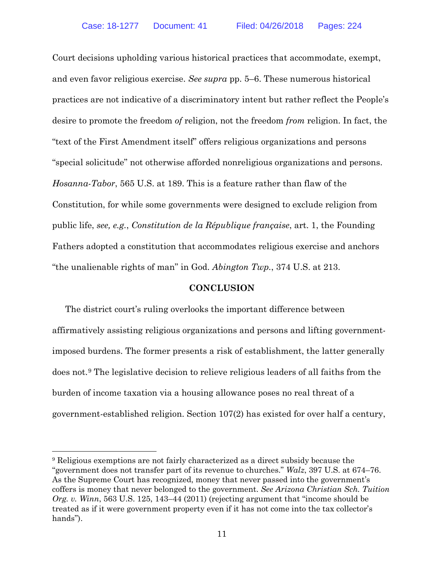Court decisions upholding various historical practices that accommodate, exempt, and even favor religious exercise. *See supra* pp. 5–6. These numerous historical practices are not indicative of a discriminatory intent but rather reflect the People's desire to promote the freedom *of* religion, not the freedom *from* religion. In fact, the "text of the First Amendment itself" offers religious organizations and persons "special solicitude" not otherwise afforded nonreligious organizations and persons. *Hosanna-Tabor*, 565 U.S. at 189. This is a feature rather than flaw of the Constitution, for while some governments were designed to exclude religion from public life, *see, e.g.*, *Constitution de la République française*, art. 1, the Founding Fathers adopted a constitution that accommodates religious exercise and anchors "the unalienable rights of man" in God. *Abington Twp.*, 374 U.S. at 213.

#### **CONCLUSION**

The district court's ruling overlooks the important difference between affirmatively assisting religious organizations and persons and lifting governmentimposed burdens. The former presents a risk of establishment, the latter generally does not.9 The legislative decision to relieve religious leaders of all faiths from the burden of income taxation via a housing allowance poses no real threat of a government-established religion. Section 107(2) has existed for over half a century,

<sup>9</sup> Religious exemptions are not fairly characterized as a direct subsidy because the "government does not transfer part of its revenue to churches." *Walz*, 397 U.S. at 674–76. As the Supreme Court has recognized, money that never passed into the government's coffers is money that never belonged to the government. *See Arizona Christian Sch. Tuition Org. v. Winn*, 563 U.S. 125, 143–44 (2011) (rejecting argument that "income should be treated as if it were government property even if it has not come into the tax collector's hands").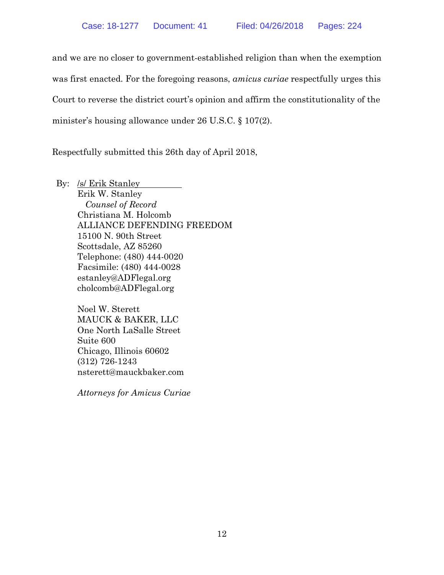and we are no closer to government-established religion than when the exemption was first enacted. For the foregoing reasons, *amicus curiae* respectfully urges this Court to reverse the district court's opinion and affirm the constitutionality of the minister's housing allowance under 26 U.S.C. § 107(2).

Respectfully submitted this 26th day of April 2018,

By: /s/ Erik Stanley Erik W. Stanley *Counsel of Record* Christiana M. Holcomb ALLIANCE DEFENDING FREEDOM 15100 N. 90th Street Scottsdale, AZ 85260 Telephone: (480) 444-0020 Facsimile: (480) 444-0028 estanley@ADFlegal.org cholcomb@ADFlegal.org

> Noel W. Sterett MAUCK & BAKER, LLC One North LaSalle Street Suite 600 Chicago, Illinois 60602 (312) 726-1243 nsterett@mauckbaker.com

*Attorneys for Amicus Curiae*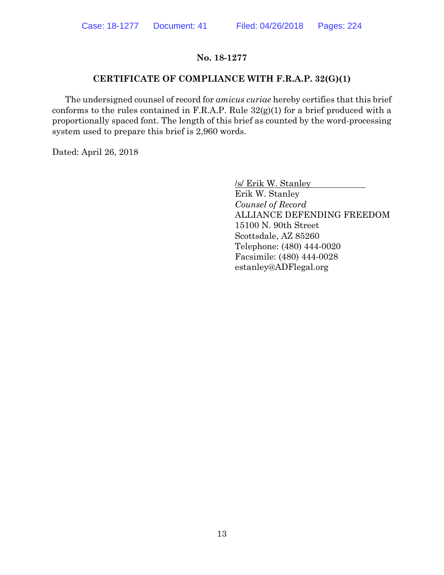### **No. 18-1277**

### **CERTIFICATE OF COMPLIANCE WITH F.R.A.P. 32(G)(1)**

The undersigned counsel of record for *amicus curiae* hereby certifies that this brief conforms to the rules contained in F.R.A.P. Rule  $32(g)(1)$  for a brief produced with a proportionally spaced font. The length of this brief as counted by the word-processing system used to prepare this brief is 2,960 words.

Dated: April 26, 2018

/s/ Erik W. Stanley

Erik W. Stanley *Counsel of Record* ALLIANCE DEFENDING FREEDOM 15100 N. 90th Street Scottsdale, AZ 85260 Telephone: (480) 444-0020 Facsimile: (480) 444-0028 estanley@ADFlegal.org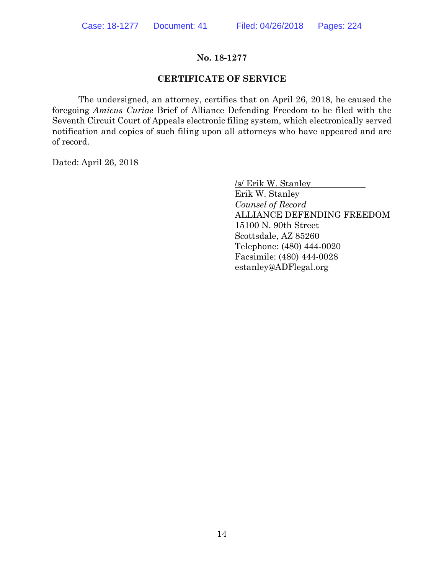### **No. 18-1277**

### **CERTIFICATE OF SERVICE**

The undersigned, an attorney, certifies that on April 26, 2018, he caused the foregoing *Amicus Curiae* Brief of Alliance Defending Freedom to be filed with the Seventh Circuit Court of Appeals electronic filing system, which electronically served notification and copies of such filing upon all attorneys who have appeared and are of record.

Dated: April 26, 2018

/s/ Erik W. Stanley

Erik W. Stanley *Counsel of Record* ALLIANCE DEFENDING FREEDOM 15100 N. 90th Street Scottsdale, AZ 85260 Telephone: (480) 444-0020 Facsimile: (480) 444-0028 estanley@ADFlegal.org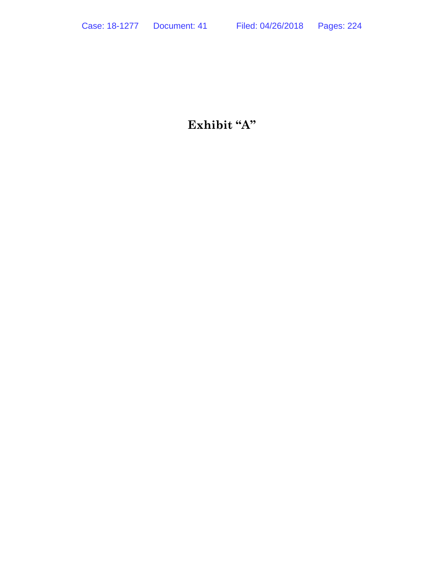# **Exhibit "A"**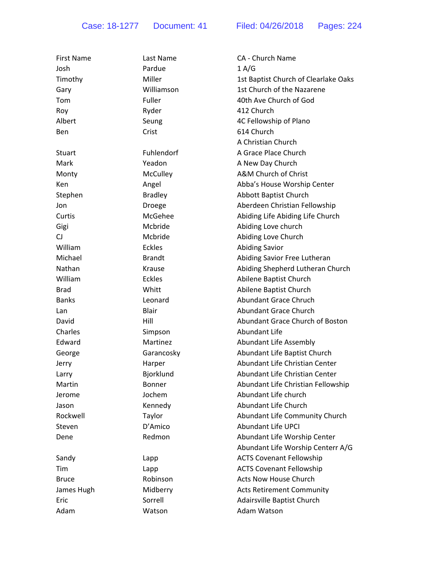| <b>First Name</b> | Last Name      | CA - Church Name                     |
|-------------------|----------------|--------------------------------------|
| Josh              | Pardue         | 1 A/G                                |
| Timothy           | Miller         | 1st Baptist Church of Clearlake Oaks |
| Gary              | Williamson     | 1st Church of the Nazarene           |
| Tom               | Fuller         | 40th Ave Church of God               |
| Roy               | Ryder          | 412 Church                           |
| Albert            | Seung          | 4C Fellowship of Plano               |
| Ben               | Crist          | 614 Church                           |
|                   |                | A Christian Church                   |
| Stuart            | Fuhlendorf     | A Grace Place Church                 |
| Mark              | Yeadon         | A New Day Church                     |
| Monty             | McCulley       | A&M Church of Christ                 |
| Ken               | Angel          | Abba's House Worship Center          |
| Stephen           | <b>Bradley</b> | Abbott Baptist Church                |
| Jon               | Droege         | Aberdeen Christian Fellowship        |
| Curtis            | McGehee        | Abiding Life Abiding Life Church     |
| Gigi              | Mcbride        | Abiding Love church                  |
| CJ                | Mcbride        | Abiding Love Church                  |
| William           | <b>Eckles</b>  | <b>Abiding Savior</b>                |
| Michael           | <b>Brandt</b>  | Abiding Savior Free Lutheran         |
| Nathan            | Krause         | Abiding Shepherd Lutheran Church     |
| William           | <b>Eckles</b>  | Abilene Baptist Church               |
| <b>Brad</b>       | Whitt          | Abilene Baptist Church               |
| <b>Banks</b>      | Leonard        | <b>Abundant Grace Chruch</b>         |
| Lan               | <b>Blair</b>   | Abundant Grace Church                |
| David             | Hill           | Abundant Grace Church of Boston      |
| Charles           | Simpson        | Abundant Life                        |
| Edward            | Martinez       | Abundant Life Assembly               |
| George            | Garancosky     | Abundant Life Baptist Church         |
| Jerry             | Harper         | Abundant Life Christian Center       |
| Larry             | Bjorklund      | Abundant Life Christian Center       |
| Martin            | <b>Bonner</b>  | Abundant Life Christian Fellowship   |
| Jerome            | Jochem         | Abundant Life church                 |
| Jason             | Kennedy        | Abundant Life Church                 |
| Rockwell          | Taylor         | Abundant Life Community Church       |
| Steven            | D'Amico        | Abundant Life UPCI                   |
| Dene              | Redmon         | Abundant Life Worship Center         |
|                   |                | Abundant Life Worship Centerr A/G    |
| Sandy             | Lapp           | <b>ACTS Covenant Fellowship</b>      |
| Tim               | Lapp           | <b>ACTS Covenant Fellowship</b>      |
| <b>Bruce</b>      | Robinson       | <b>Acts Now House Church</b>         |
| James Hugh        | Midberry       | <b>Acts Retirement Community</b>     |
| Eric              | Sorrell        | Adairsville Baptist Church           |
| Adam              | Watson         | Adam Watson                          |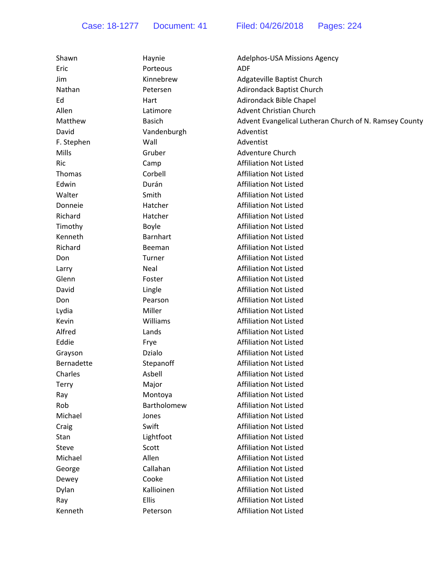| Shawn        | Haynie          | Adelphos-USA Missions Agency                           |
|--------------|-----------------|--------------------------------------------------------|
| Eric         | Porteous        | <b>ADF</b>                                             |
| Jim          | Kinnebrew       | Adgateville Baptist Church                             |
| Nathan       | Petersen        | Adirondack Baptist Church                              |
| Ed           | Hart            | <b>Adirondack Bible Chapel</b>                         |
| Allen        | Latimore        | <b>Advent Christian Church</b>                         |
| Matthew      | <b>Basich</b>   | Advent Evangelical Lutheran Church of N. Ramsey County |
| David        | Vandenburgh     | Adventist                                              |
| F. Stephen   | Wall            | Adventist                                              |
| Mills        | Gruber          | Adventure Church                                       |
| <b>Ric</b>   | Camp            | <b>Affiliation Not Listed</b>                          |
| Thomas       | Corbell         | <b>Affiliation Not Listed</b>                          |
| Edwin        | Durán           | <b>Affiliation Not Listed</b>                          |
| Walter       | Smith           | <b>Affiliation Not Listed</b>                          |
| Donneie      | Hatcher         | <b>Affiliation Not Listed</b>                          |
| Richard      | Hatcher         | <b>Affiliation Not Listed</b>                          |
| Timothy      | Boyle           | <b>Affiliation Not Listed</b>                          |
| Kenneth      | <b>Barnhart</b> | <b>Affiliation Not Listed</b>                          |
| Richard      | Beeman          | <b>Affiliation Not Listed</b>                          |
| Don          | Turner          | <b>Affiliation Not Listed</b>                          |
| Larry        | Neal            | <b>Affiliation Not Listed</b>                          |
| Glenn        | Foster          | <b>Affiliation Not Listed</b>                          |
| David        | Lingle          | <b>Affiliation Not Listed</b>                          |
| Don          | Pearson         | <b>Affiliation Not Listed</b>                          |
| Lydia        | Miller          | <b>Affiliation Not Listed</b>                          |
| Kevin        | Williams        | <b>Affiliation Not Listed</b>                          |
| Alfred       | Lands           | <b>Affiliation Not Listed</b>                          |
| Eddie        | Frye            | <b>Affiliation Not Listed</b>                          |
| Grayson      | Dzialo          | <b>Affiliation Not Listed</b>                          |
| Bernadette   | Stepanoff       | <b>Affiliation Not Listed</b>                          |
| Charles      | Asbell          | <b>Affiliation Not Listed</b>                          |
| Terry        | Major           | <b>Affiliation Not Listed</b>                          |
| Ray          | Montoya         | <b>Affiliation Not Listed</b>                          |
| Rob          | Bartholomew     | <b>Affiliation Not Listed</b>                          |
| Michael      | Jones           | <b>Affiliation Not Listed</b>                          |
| Craig        | Swift           | <b>Affiliation Not Listed</b>                          |
| Stan         | Lightfoot       | <b>Affiliation Not Listed</b>                          |
| <b>Steve</b> | Scott           | <b>Affiliation Not Listed</b>                          |
| Michael      | Allen           | <b>Affiliation Not Listed</b>                          |
| George       | Callahan        | <b>Affiliation Not Listed</b>                          |
| Dewey        | Cooke           | <b>Affiliation Not Listed</b>                          |
| Dylan        | Kallioinen      | <b>Affiliation Not Listed</b>                          |
| Ray          | <b>Ellis</b>    | <b>Affiliation Not Listed</b>                          |
| Kenneth      | Peterson        | <b>Affiliation Not Listed</b>                          |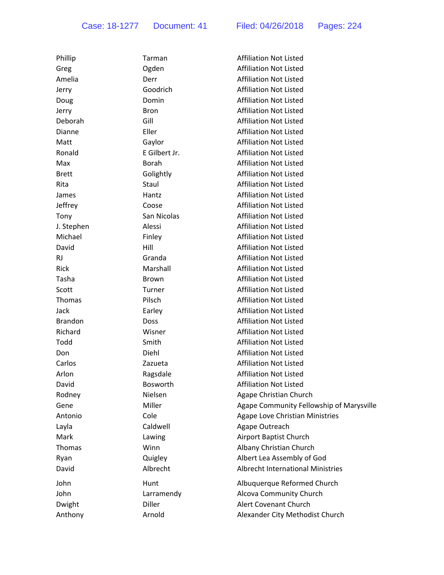| Phillip        | Tarman        | <b>Affiliation Not Listed</b>            |
|----------------|---------------|------------------------------------------|
| Greg           | Ogden         | <b>Affiliation Not Listed</b>            |
| Amelia         | Derr          | <b>Affiliation Not Listed</b>            |
| Jerry          | Goodrich      | <b>Affiliation Not Listed</b>            |
| Doug           | Domin         | <b>Affiliation Not Listed</b>            |
| Jerry          | <b>Bron</b>   | <b>Affiliation Not Listed</b>            |
| Deborah        | Gill          | <b>Affiliation Not Listed</b>            |
| Dianne         | Eller         | <b>Affiliation Not Listed</b>            |
| Matt           | Gaylor        | <b>Affiliation Not Listed</b>            |
| Ronald         | E Gilbert Jr. | <b>Affiliation Not Listed</b>            |
| Max            | Borah         | <b>Affiliation Not Listed</b>            |
| <b>Brett</b>   | Golightly     | <b>Affiliation Not Listed</b>            |
| Rita           | Staul         | <b>Affiliation Not Listed</b>            |
| James          | Hantz         | <b>Affiliation Not Listed</b>            |
| Jeffrey        | Coose         | <b>Affiliation Not Listed</b>            |
| Tony           | San Nicolas   | <b>Affiliation Not Listed</b>            |
| J. Stephen     | Alessi        | <b>Affiliation Not Listed</b>            |
| Michael        | Finley        | <b>Affiliation Not Listed</b>            |
| David          | Hill          | <b>Affiliation Not Listed</b>            |
| RJ             | Granda        | <b>Affiliation Not Listed</b>            |
| Rick           | Marshall      | <b>Affiliation Not Listed</b>            |
| Tasha          | <b>Brown</b>  | <b>Affiliation Not Listed</b>            |
| Scott          | Turner        | <b>Affiliation Not Listed</b>            |
| Thomas         | Pilsch        | <b>Affiliation Not Listed</b>            |
| Jack           | Earley        | <b>Affiliation Not Listed</b>            |
| <b>Brandon</b> | <b>Doss</b>   | <b>Affiliation Not Listed</b>            |
| Richard        | Wisner        | <b>Affiliation Not Listed</b>            |
| Todd           | Smith         | <b>Affiliation Not Listed</b>            |
| Don            | Diehl         | <b>Affiliation Not Listed</b>            |
| Carlos         | Zazueta       | <b>Affiliation Not Listed</b>            |
| Arlon          | Ragsdale      | <b>Affiliation Not Listed</b>            |
| David          | Bosworth      | <b>Affiliation Not Listed</b>            |
| Rodney         | Nielsen       | Agape Christian Church                   |
| Gene           | Miller        | Agape Community Fellowship of Marysville |
| Antonio        | Cole          | <b>Agape Love Christian Ministries</b>   |
| Layla          | Caldwell      | Agape Outreach                           |
| Mark           | Lawing        | Airport Baptist Church                   |
| Thomas         | Winn          | Albany Christian Church                  |
| Ryan           | Quigley       | Albert Lea Assembly of God               |
| David          | Albrecht      | <b>Albrecht International Ministries</b> |
| John           | Hunt          | Albuquerque Reformed Church              |
| John           | Larramendy    | Alcova Community Church                  |
| Dwight         | Diller        | Alert Covenant Church                    |
| Anthony        | Arnold        | Alexander City Methodist Church          |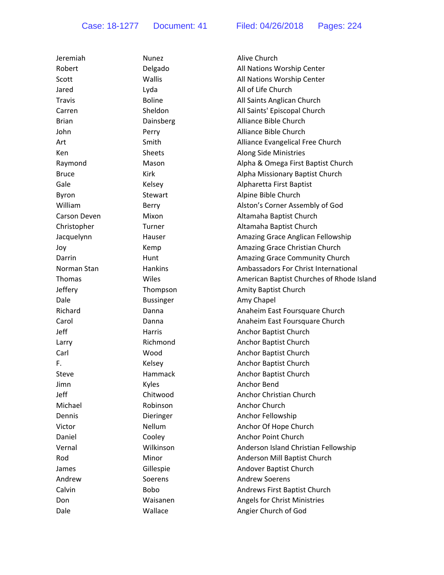| Jeremiah      | Nunez            | Alive Church                              |
|---------------|------------------|-------------------------------------------|
| Robert        | Delgado          | All Nations Worship Center                |
| Scott         | Wallis           | All Nations Worship Center                |
| Jared         | Lyda             | All of Life Church                        |
| Travis        | <b>Boline</b>    | All Saints Anglican Church                |
| Carren        | Sheldon          | All Saints' Episcopal Church              |
| <b>Brian</b>  | Dainsberg        | Alliance Bible Church                     |
| John          | Perry            | Alliance Bible Church                     |
| Art           | Smith            | Alliance Evangelical Free Church          |
| Ken           | <b>Sheets</b>    | Along Side Ministries                     |
| Raymond       | Mason            | Alpha & Omega First Baptist Church        |
| <b>Bruce</b>  | Kirk             | Alpha Missionary Baptist Church           |
| Gale          | Kelsey           | Alpharetta First Baptist                  |
| Byron         | Stewart          | Alpine Bible Church                       |
| William       | Berry            | Alston's Corner Assembly of God           |
| Carson Deven  | Mixon            | Altamaha Baptist Church                   |
| Christopher   | Turner           | Altamaha Baptist Church                   |
| Jacquelynn    | Hauser           | Amazing Grace Anglican Fellowship         |
| Joy           | Kemp             | Amazing Grace Christian Church            |
| Darrin        | Hunt             | Amazing Grace Community Church            |
| Norman Stan   | Hankins          | Ambassadors For Christ International      |
| <b>Thomas</b> | Wiles            | American Baptist Churches of Rhode Island |
| Jeffery       | Thompson         | Amity Baptist Church                      |
| Dale          | <b>Bussinger</b> | Amy Chapel                                |
| Richard       | Danna            | Anaheim East Foursquare Church            |
| Carol         | Danna            | Anaheim East Foursquare Church            |
| Jeff          | <b>Harris</b>    | Anchor Baptist Church                     |
| Larry         | Richmond         | Anchor Baptist Church                     |
| Carl          | Wood             | Anchor Baptist Church                     |
| F.            | Kelsey           | Anchor Baptist Church                     |
| Steve         | Hammack          | Anchor Baptist Church                     |
| Jimn          | Kyles            | Anchor Bend                               |
| Jeff          | Chitwood         | Anchor Christian Church                   |
| Michael       | Robinson         | Anchor Church                             |
| Dennis        | Dieringer        | Anchor Fellowship                         |
| Victor        | Nellum           | Anchor Of Hope Church                     |
| Daniel        | Cooley           | Anchor Point Church                       |
| Vernal        | Wilkinson        | Anderson Island Christian Fellowship      |
| Rod           | Minor            | Anderson Mill Baptist Church              |
| James         | Gillespie        | Andover Baptist Church                    |
| Andrew        | Soerens          | <b>Andrew Soerens</b>                     |
| Calvin        | <b>Bobo</b>      | Andrews First Baptist Church              |
| Don           | Waisanen         | Angels for Christ Ministries              |
| Dale          | Wallace          | Angier Church of God                      |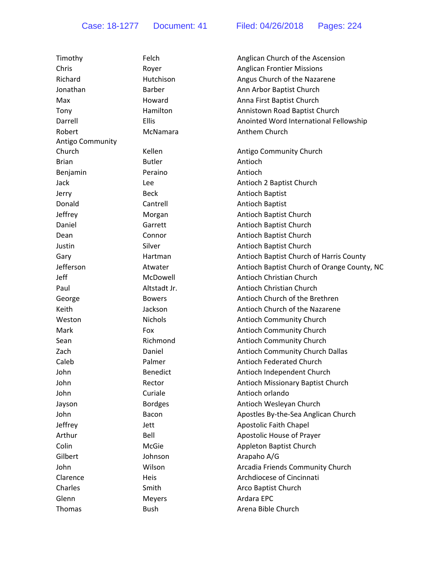| Timothy          | Felch           | Anglican Church of the Ascension            |
|------------------|-----------------|---------------------------------------------|
| Chris            | Royer           | <b>Anglican Frontier Missions</b>           |
| Richard          | Hutchison       | Angus Church of the Nazarene                |
| Jonathan         | Barber          | Ann Arbor Baptist Church                    |
| Max              | Howard          | Anna First Baptist Church                   |
| Tony             | Hamilton        | Annistown Road Baptist Church               |
| Darrell          | Ellis           | Anointed Word International Fellowship      |
| Robert           | McNamara        | Anthem Church                               |
| Antigo Community |                 |                                             |
| Church           | Kellen          | Antigo Community Church                     |
| <b>Brian</b>     | <b>Butler</b>   | Antioch                                     |
| Benjamin         | Peraino         | Antioch                                     |
| Jack             | Lee             | Antioch 2 Baptist Church                    |
| Jerry            | <b>Beck</b>     | Antioch Baptist                             |
| Donald           | Cantrell        | Antioch Baptist                             |
| Jeffrey          | Morgan          | Antioch Baptist Church                      |
| Daniel           | Garrett         | Antioch Baptist Church                      |
| Dean             | Connor          | Antioch Baptist Church                      |
| Justin           | Silver          | Antioch Baptist Church                      |
| Gary             | Hartman         | Antioch Baptist Church of Harris County     |
| Jefferson        | Atwater         | Antioch Baptist Church of Orange County, NC |
| Jeff             | McDowell        | Antioch Christian Church                    |
| Paul             | Altstadt Jr.    | Antioch Christian Church                    |
| George           | <b>Bowers</b>   | Antioch Church of the Brethren              |
| Keith            | Jackson         | Antioch Church of the Nazarene              |
| Weston           | <b>Nichols</b>  | Antioch Community Church                    |
| Mark             | Fox             | Antioch Community Church                    |
| Sean             | Richmond        | Antioch Community Church                    |
| Zach             | Daniel          | Antioch Community Church Dallas             |
| Caleb            | Palmer          | <b>Antioch Federated Church</b>             |
| John             | <b>Benedict</b> | Antioch Independent Church                  |
| John             | Rector          | Antioch Missionary Baptist Church           |
| John             | Curiale         | Antioch orlando                             |
| Jayson           | <b>Bordges</b>  | Antioch Wesleyan Church                     |
| John             | Bacon           | Apostles By-the-Sea Anglican Church         |
| Jeffrey          | Jett            | Apostolic Faith Chapel                      |
| Arthur           | Bell            | Apostolic House of Prayer                   |
| Colin            | McGie           | Appleton Baptist Church                     |
| Gilbert          | Johnson         | Arapaho A/G                                 |
| John             | Wilson          | Arcadia Friends Community Church            |
| Clarence         | Heis            | Archdiocese of Cincinnati                   |
| Charles          | Smith           | Arco Baptist Church                         |
| Glenn            | Meyers          | Ardara EPC                                  |
| Thomas           | <b>Bush</b>     | Arena Bible Church                          |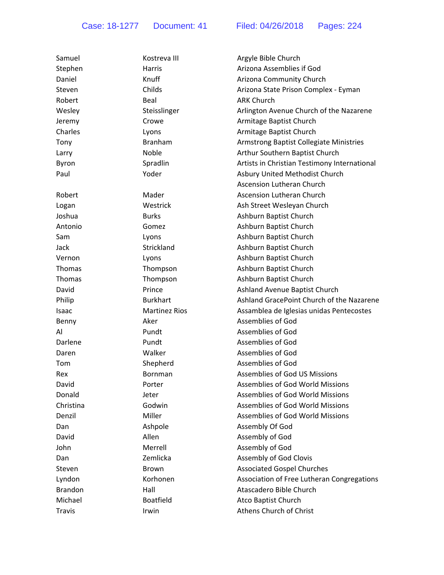| Samuel         | Kostreva III         | Argyle Bible Church                          |
|----------------|----------------------|----------------------------------------------|
| Stephen        | Harris               | Arizona Assemblies if God                    |
| Daniel         | Knuff                | Arizona Community Church                     |
| Steven         | Childs               | Arizona State Prison Complex - Eyman         |
| Robert         | Beal                 | <b>ARK Church</b>                            |
| Wesley         | Steisslinger         | Arlington Avenue Church of the Nazarene      |
| Jeremy         | Crowe                | Armitage Baptist Church                      |
| Charles        | Lyons                | Armitage Baptist Church                      |
| Tony           | <b>Branham</b>       | Armstrong Baptist Collegiate Ministries      |
| Larry          | Noble                | Arthur Southern Baptist Church               |
| Byron          | Spradlin             | Artists in Christian Testimony International |
| Paul           | Yoder                | Asbury United Methodist Church               |
|                |                      | Ascension Lutheran Church                    |
| Robert         | Mader                | Ascension Lutheran Church                    |
| Logan          | Westrick             | Ash Street Wesleyan Church                   |
| Joshua         | <b>Burks</b>         | Ashburn Baptist Church                       |
| Antonio        | Gomez                | Ashburn Baptist Church                       |
| Sam            | Lyons                | Ashburn Baptist Church                       |
| Jack           | Strickland           | Ashburn Baptist Church                       |
| Vernon         | Lyons                | Ashburn Baptist Church                       |
| Thomas         | Thompson             | Ashburn Baptist Church                       |
| Thomas         | Thompson             | Ashburn Baptist Church                       |
| David          | Prince               | Ashland Avenue Baptist Church                |
| Philip         | <b>Burkhart</b>      | Ashland GracePoint Church of the Nazarene    |
| Isaac          | <b>Martinez Rios</b> | Assamblea de Iglesias unidas Pentecostes     |
| Benny          | Aker                 | <b>Assemblies of God</b>                     |
| Al             | Pundt                | <b>Assemblies of God</b>                     |
| Darlene        | Pundt                | Assemblies of God                            |
| Daren          | Walker               | <b>Assemblies of God</b>                     |
| Tom            | Shepherd             | <b>Assemblies of God</b>                     |
| Rex            | <b>Bornman</b>       | Assemblies of God US Missions                |
| David          | Porter               | Assemblies of God World Missions             |
| Donald         | Jeter                | <b>Assemblies of God World Missions</b>      |
| Christina      | Godwin               | <b>Assemblies of God World Missions</b>      |
| Denzil         | Miller               | <b>Assemblies of God World Missions</b>      |
| Dan            | Ashpole              | Assembly Of God                              |
| David          | Allen                | Assembly of God                              |
| John           | Merrell              | Assembly of God                              |
| Dan            | Zemlicka             | Assembly of God Clovis                       |
| Steven         | <b>Brown</b>         | <b>Associated Gospel Churches</b>            |
| Lyndon         | Korhonen             | Association of Free Lutheran Congregations   |
| <b>Brandon</b> | Hall                 | Atascadero Bible Church                      |
| Michael        | <b>Boatfield</b>     | Atco Baptist Church                          |
| <b>Travis</b>  | Irwin                | Athens Church of Christ                      |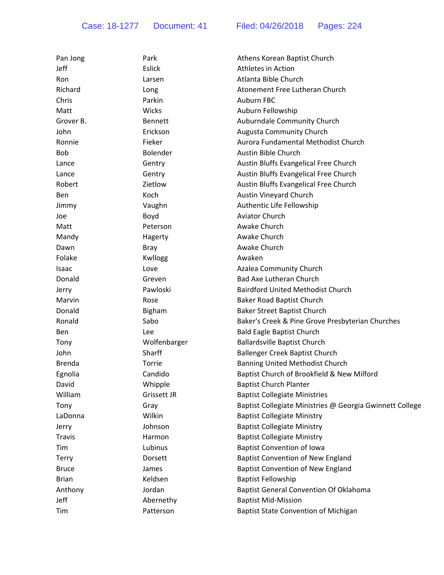| Pan Jong      | Park           | Athens Korean Baptist Church                             |
|---------------|----------------|----------------------------------------------------------|
| Jeff          | Eslick         | Athletes in Action                                       |
| Ron           | Larsen         | Atlanta Bible Church                                     |
| Richard       | Long           | Atonement Free Lutheran Church                           |
| Chris         | Parkin         | <b>Auburn FBC</b>                                        |
| Matt          | Wicks          | Auburn Fellowship                                        |
| Grover B.     | <b>Bennett</b> | Auburndale Community Church                              |
| John          | Erickson       | <b>Augusta Community Church</b>                          |
| Ronnie        | Fieker         | Aurora Fundamental Methodist Church                      |
| <b>Bob</b>    | Bolender       | Austin Bible Church                                      |
| Lance         | Gentry         | Austin Bluffs Evangelical Free Church                    |
| Lance         | Gentry         | Austin Bluffs Evangelical Free Church                    |
| Robert        | Zietlow        | Austin Bluffs Evangelical Free Church                    |
| Ben           | Koch           | Austin Vineyard Church                                   |
| Jimmy         | Vaughn         | Authentic Life Fellowship                                |
| Joe           | Boyd           | <b>Aviator Church</b>                                    |
| Matt          | Peterson       | Awake Church                                             |
| Mandy         | Hagerty        | Awake Church                                             |
| Dawn          | <b>Bray</b>    | Awake Church                                             |
| Folake        | Kwllogg        | Awaken                                                   |
| Isaac         | Love           | Azalea Community Church                                  |
| Donald        | Greven         | <b>Bad Axe Lutheran Church</b>                           |
| Jerry         | Pawloski       | <b>Bairdford United Methodist Church</b>                 |
| Marvin        | Rose           | <b>Baker Road Baptist Church</b>                         |
| Donald        | <b>Bigham</b>  | <b>Baker Street Baptist Church</b>                       |
| Ronald        | Sabo           | Baker's Creek & Pine Grove Presbyterian Churches         |
| Ben           | Lee            | <b>Bald Eagle Baptist Church</b>                         |
| Tony          | Wolfenbarger   | <b>Ballardsville Baptist Church</b>                      |
| John          | Sharff         | Ballenger Creek Baptist Church                           |
| <b>Brenda</b> | Torrie         | Banning United Methodist Church                          |
| Egnolia       | Candido        | Baptist Church of Brookfield & New Milford               |
| David         | Whipple        | <b>Baptist Church Planter</b>                            |
| William       | Grissett JR    | <b>Baptist Collegiate Ministries</b>                     |
| Tony          | Gray           | Baptist Collegiate Ministries @ Georgia Gwinnett College |
| LaDonna       | Wilkin         | <b>Baptist Collegiate Ministry</b>                       |
| Jerry         | Johnson        | <b>Baptist Collegiate Ministry</b>                       |
| <b>Travis</b> | Harmon         | <b>Baptist Collegiate Ministry</b>                       |
| Tim           | Lubinus        | <b>Baptist Convention of Iowa</b>                        |
| <b>Terry</b>  | Dorsett        | <b>Baptist Convention of New England</b>                 |
| <b>Bruce</b>  | James          | Baptist Convention of New England                        |
| <b>Brian</b>  | Keldsen        | <b>Baptist Fellowship</b>                                |
| Anthony       | Jordan         | Baptist General Convention Of Oklahoma                   |
| Jeff          | Abernethy      | <b>Baptist Mid-Mission</b>                               |
| Tim           | Patterson      | Baptist State Convention of Michigan                     |
|               |                |                                                          |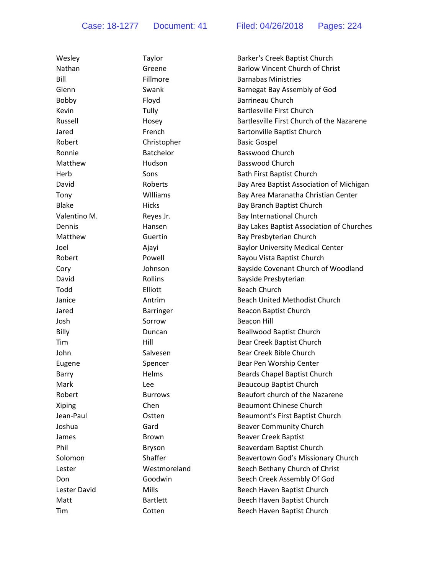| Wesley       | Taylor           | Barker's Creek Baptist Church             |
|--------------|------------------|-------------------------------------------|
| Nathan       | Greene           | <b>Barlow Vincent Church of Christ</b>    |
| Bill         | Fillmore         | <b>Barnabas Ministries</b>                |
| Glenn        | Swank            | Barnegat Bay Assembly of God              |
| Bobby        | Floyd            | <b>Barrineau Church</b>                   |
| Kevin        | Tully            | <b>Bartlesville First Church</b>          |
| Russell      | Hosey            | Bartlesville First Church of the Nazarene |
| Jared        | French           | <b>Bartonville Baptist Church</b>         |
| Robert       | Christopher      | <b>Basic Gospel</b>                       |
| Ronnie       | <b>Batchelor</b> | <b>Basswood Church</b>                    |
| Matthew      | Hudson           | <b>Basswood Church</b>                    |
| Herb         | Sons             | Bath First Baptist Church                 |
| David        | Roberts          | Bay Area Baptist Association of Michigan  |
| Tony         | Williams         | Bay Area Maranatha Christian Center       |
| <b>Blake</b> | <b>Hicks</b>     | Bay Branch Baptist Church                 |
| Valentino M. | Reyes Jr.        | <b>Bay International Church</b>           |
| Dennis       | Hansen           | Bay Lakes Baptist Association of Churches |
| Matthew      | Guertin          | Bay Presbyterian Church                   |
| Joel         | Ajayi            | <b>Baylor University Medical Center</b>   |
| Robert       | Powell           | Bayou Vista Baptist Church                |
| Cory         | Johnson          | Bayside Covenant Church of Woodland       |
| David        | Rollins          | Bayside Presbyterian                      |
| Todd         | Elliott          | <b>Beach Church</b>                       |
| Janice       | Antrim           | <b>Beach United Methodist Church</b>      |
| Jared        | <b>Barringer</b> | Beacon Baptist Church                     |
| Josh         | Sorrow           | Beacon Hill                               |
| Billy        | Duncan           | <b>Beallwood Baptist Church</b>           |
| Tim          | Hill             | Bear Creek Baptist Church                 |
| John         | Salvesen         | Bear Creek Bible Church                   |
| Eugene       | Spencer          | Bear Pen Worship Center                   |
| Barry        | Helms            | <b>Beards Chapel Baptist Church</b>       |
| Mark         | Lee              | <b>Beaucoup Baptist Church</b>            |
| Robert       | <b>Burrows</b>   | Beaufort church of the Nazarene           |
| Xiping       | Chen             | <b>Beaumont Chinese Church</b>            |
| Jean-Paul    | Ostten           | Beaumont's First Baptist Church           |
| Joshua       | Gard             | <b>Beaver Community Church</b>            |
| James        | <b>Brown</b>     | <b>Beaver Creek Baptist</b>               |
| Phil         | <b>Bryson</b>    | Beaverdam Baptist Church                  |
| Solomon      | Shaffer          | Beavertown God's Missionary Church        |
| Lester       | Westmoreland     | Beech Bethany Church of Christ            |
| Don          | Goodwin          | Beech Creek Assembly Of God               |
| Lester David | <b>Mills</b>     | Beech Haven Baptist Church                |
| Matt         | <b>Bartlett</b>  | Beech Haven Baptist Church                |
| Tim          | Cotten           | Beech Haven Baptist Church                |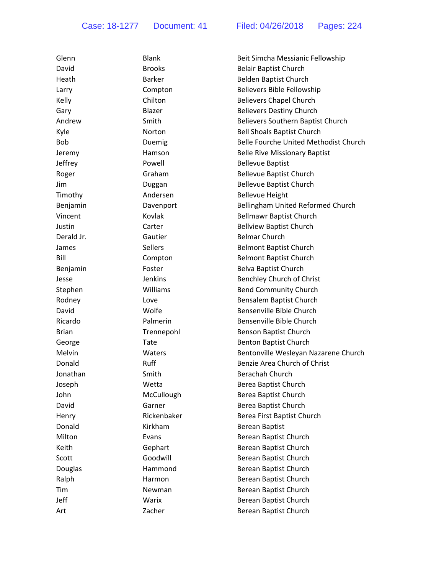| Glenn        | <b>Blank</b>  | Beit Simcha Messianic Fellowship      |
|--------------|---------------|---------------------------------------|
| David        | <b>Brooks</b> | <b>Belair Baptist Church</b>          |
| Heath        | <b>Barker</b> | Belden Baptist Church                 |
| Larry        | Compton       | Believers Bible Fellowship            |
| Kelly        | Chilton       | Believers Chapel Church               |
| Gary         | Blazer        | <b>Believers Destiny Church</b>       |
| Andrew       | Smith         | Believers Southern Baptist Church     |
| Kyle         | Norton        | <b>Bell Shoals Baptist Church</b>     |
| <b>Bob</b>   | Duemig        | Belle Fourche United Methodist Church |
| Jeremy       | Hamson        | <b>Belle Rive Missionary Baptist</b>  |
| Jeffrey      | Powell        | <b>Bellevue Baptist</b>               |
| Roger        | Graham        | <b>Bellevue Baptist Church</b>        |
| Jim          | Duggan        | <b>Bellevue Baptist Church</b>        |
| Timothy      | Andersen      | <b>Bellevue Height</b>                |
| Benjamin     | Davenport     | Bellingham United Reformed Church     |
| Vincent      | Kovlak        | <b>Bellmawr Baptist Church</b>        |
| Justin       | Carter        | <b>Bellview Baptist Church</b>        |
| Derald Jr.   | Gautier       | <b>Belmar Church</b>                  |
| James        | Sellers       | <b>Belmont Baptist Church</b>         |
| Bill         | Compton       | <b>Belmont Baptist Church</b>         |
| Benjamin     | Foster        | Belva Baptist Church                  |
| Jesse        | Jenkins       | Benchley Church of Christ             |
| Stephen      | Williams      | <b>Bend Community Church</b>          |
| Rodney       | Love          | Bensalem Baptist Church               |
| David        | Wolfe         | Bensenville Bible Church              |
| Ricardo      | Palmerin      | Bensenville Bible Church              |
| <b>Brian</b> | Trennepohl    | Benson Baptist Church                 |
| George       | Tate          | <b>Benton Baptist Church</b>          |
| Melvin       | Waters        | Bentonville Wesleyan Nazarene Church  |
| Donald       | <b>Ruff</b>   | Benzie Area Church of Christ          |
| Jonathan     | Smith         | Berachah Church                       |
| Joseph       | Wetta         | Berea Baptist Church                  |
| John         | McCullough    | Berea Baptist Church                  |
| David        | Garner        | Berea Baptist Church                  |
| Henry        | Rickenbaker   | Berea First Baptist Church            |
| Donald       | Kirkham       | <b>Berean Baptist</b>                 |
| Milton       | Evans         | Berean Baptist Church                 |
| Keith        | Gephart       | Berean Baptist Church                 |
| Scott        | Goodwill      | Berean Baptist Church                 |
| Douglas      | Hammond       | Berean Baptist Church                 |
| Ralph        | Harmon        | Berean Baptist Church                 |
| Tim          | Newman        | Berean Baptist Church                 |
| Jeff         | Warix         | Berean Baptist Church                 |
| Art          | Zacher        | Berean Baptist Church                 |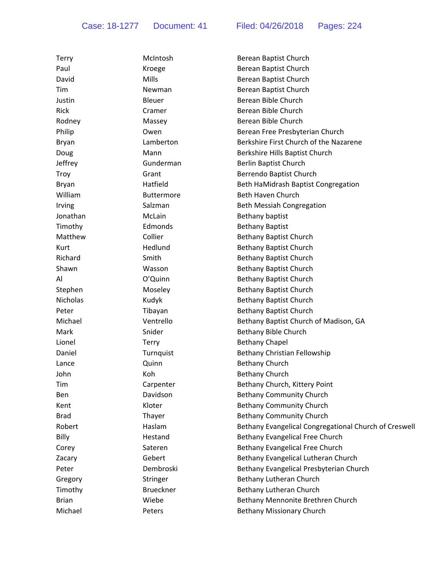| Paul<br>Berean Baptist Church<br>Kroege<br>Mills<br>David<br>Berean Baptist Church<br>Berean Baptist Church<br>Tim<br>Newman<br>Berean Bible Church<br>Justin<br>Bleuer<br>Cramer<br>Berean Bible Church<br>Rick<br>Rodney<br>Berean Bible Church<br>Massey<br>Philip<br>Berean Free Presbyterian Church<br>Owen<br>Berkshire First Church of the Nazarene<br>Lamberton<br>Bryan<br>Doug<br>Berkshire Hills Baptist Church<br>Mann<br>Jeffrey<br>Gunderman<br>Berlin Baptist Church<br>Berrendo Baptist Church<br>Troy<br>Grant | Terry | McIntosh | Berean Baptist Church                                 |
|---------------------------------------------------------------------------------------------------------------------------------------------------------------------------------------------------------------------------------------------------------------------------------------------------------------------------------------------------------------------------------------------------------------------------------------------------------------------------------------------------------------------------------|-------|----------|-------------------------------------------------------|
|                                                                                                                                                                                                                                                                                                                                                                                                                                                                                                                                 |       |          |                                                       |
|                                                                                                                                                                                                                                                                                                                                                                                                                                                                                                                                 |       |          |                                                       |
|                                                                                                                                                                                                                                                                                                                                                                                                                                                                                                                                 |       |          |                                                       |
|                                                                                                                                                                                                                                                                                                                                                                                                                                                                                                                                 |       |          |                                                       |
|                                                                                                                                                                                                                                                                                                                                                                                                                                                                                                                                 |       |          |                                                       |
|                                                                                                                                                                                                                                                                                                                                                                                                                                                                                                                                 |       |          |                                                       |
|                                                                                                                                                                                                                                                                                                                                                                                                                                                                                                                                 |       |          |                                                       |
|                                                                                                                                                                                                                                                                                                                                                                                                                                                                                                                                 |       |          |                                                       |
|                                                                                                                                                                                                                                                                                                                                                                                                                                                                                                                                 |       |          |                                                       |
|                                                                                                                                                                                                                                                                                                                                                                                                                                                                                                                                 |       |          |                                                       |
|                                                                                                                                                                                                                                                                                                                                                                                                                                                                                                                                 |       |          |                                                       |
|                                                                                                                                                                                                                                                                                                                                                                                                                                                                                                                                 | Bryan | Hatfield | Beth HaMidrash Baptist Congregation                   |
| Beth Haven Church<br>William<br><b>Buttermore</b>                                                                                                                                                                                                                                                                                                                                                                                                                                                                               |       |          |                                                       |
| Salzman<br><b>Beth Messiah Congregation</b><br>Irving                                                                                                                                                                                                                                                                                                                                                                                                                                                                           |       |          |                                                       |
| Jonathan<br>McLain<br>Bethany baptist                                                                                                                                                                                                                                                                                                                                                                                                                                                                                           |       |          |                                                       |
| Timothy<br>Edmonds<br><b>Bethany Baptist</b>                                                                                                                                                                                                                                                                                                                                                                                                                                                                                    |       |          |                                                       |
| Matthew<br>Collier<br><b>Bethany Baptist Church</b>                                                                                                                                                                                                                                                                                                                                                                                                                                                                             |       |          |                                                       |
| Hedlund<br><b>Bethany Baptist Church</b><br>Kurt                                                                                                                                                                                                                                                                                                                                                                                                                                                                                |       |          |                                                       |
| Richard<br>Smith<br><b>Bethany Baptist Church</b>                                                                                                                                                                                                                                                                                                                                                                                                                                                                               |       |          |                                                       |
| Shawn<br><b>Bethany Baptist Church</b><br>Wasson                                                                                                                                                                                                                                                                                                                                                                                                                                                                                |       |          |                                                       |
| <b>Bethany Baptist Church</b><br>O'Quinn<br>Al                                                                                                                                                                                                                                                                                                                                                                                                                                                                                  |       |          |                                                       |
| <b>Bethany Baptist Church</b><br>Stephen<br>Moseley                                                                                                                                                                                                                                                                                                                                                                                                                                                                             |       |          |                                                       |
| <b>Nicholas</b><br>Kudyk<br><b>Bethany Baptist Church</b>                                                                                                                                                                                                                                                                                                                                                                                                                                                                       |       |          |                                                       |
| <b>Bethany Baptist Church</b><br>Tibayan<br>Peter                                                                                                                                                                                                                                                                                                                                                                                                                                                                               |       |          |                                                       |
| Ventrello<br>Michael<br>Bethany Baptist Church of Madison, GA                                                                                                                                                                                                                                                                                                                                                                                                                                                                   |       |          |                                                       |
| Bethany Bible Church<br>Mark<br>Snider                                                                                                                                                                                                                                                                                                                                                                                                                                                                                          |       |          |                                                       |
| <b>Bethany Chapel</b><br>Lionel<br><b>Terry</b>                                                                                                                                                                                                                                                                                                                                                                                                                                                                                 |       |          |                                                       |
| Bethany Christian Fellowship<br>Turnquist<br>Daniel                                                                                                                                                                                                                                                                                                                                                                                                                                                                             |       |          |                                                       |
| Quinn<br><b>Bethany Church</b><br>Lance                                                                                                                                                                                                                                                                                                                                                                                                                                                                                         |       |          |                                                       |
| <b>Bethany Church</b><br>John<br>Koh                                                                                                                                                                                                                                                                                                                                                                                                                                                                                            |       |          |                                                       |
| Tim<br>Carpenter<br>Bethany Church, Kittery Point                                                                                                                                                                                                                                                                                                                                                                                                                                                                               |       |          |                                                       |
| Davidson<br><b>Bethany Community Church</b><br>Ben                                                                                                                                                                                                                                                                                                                                                                                                                                                                              |       |          |                                                       |
| Kloter<br><b>Bethany Community Church</b><br>Kent                                                                                                                                                                                                                                                                                                                                                                                                                                                                               |       |          |                                                       |
| <b>Bethany Community Church</b><br><b>Brad</b><br>Thayer                                                                                                                                                                                                                                                                                                                                                                                                                                                                        |       |          |                                                       |
| Haslam<br>Robert                                                                                                                                                                                                                                                                                                                                                                                                                                                                                                                |       |          | Bethany Evangelical Congregational Church of Creswell |
| Billy<br>Hestand<br>Bethany Evangelical Free Church                                                                                                                                                                                                                                                                                                                                                                                                                                                                             |       |          |                                                       |
| Bethany Evangelical Free Church<br>Corey<br>Sateren                                                                                                                                                                                                                                                                                                                                                                                                                                                                             |       |          |                                                       |
| Gebert<br>Bethany Evangelical Lutheran Church<br>Zacary                                                                                                                                                                                                                                                                                                                                                                                                                                                                         |       |          |                                                       |
| Dembroski<br>Bethany Evangelical Presbyterian Church<br>Peter                                                                                                                                                                                                                                                                                                                                                                                                                                                                   |       |          |                                                       |
| Bethany Lutheran Church<br>Gregory<br>Stringer                                                                                                                                                                                                                                                                                                                                                                                                                                                                                  |       |          |                                                       |
| <b>Brueckner</b><br>Bethany Lutheran Church<br>Timothy                                                                                                                                                                                                                                                                                                                                                                                                                                                                          |       |          |                                                       |
| Wiebe<br>Bethany Mennonite Brethren Church<br><b>Brian</b>                                                                                                                                                                                                                                                                                                                                                                                                                                                                      |       |          |                                                       |
| Michael<br><b>Bethany Missionary Church</b><br>Peters                                                                                                                                                                                                                                                                                                                                                                                                                                                                           |       |          |                                                       |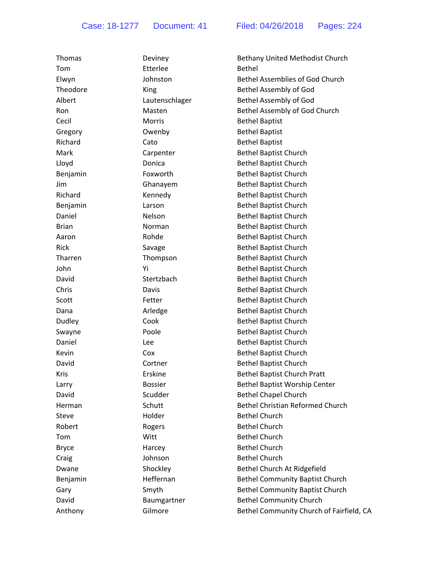| Thomas       | Deviney        | Bethany United Methodist Church          |
|--------------|----------------|------------------------------------------|
| Tom          | Etterlee       | <b>Bethel</b>                            |
| Elwyn        | Johnston       | <b>Bethel Assemblies of God Church</b>   |
| Theodore     | King           | Bethel Assembly of God                   |
| Albert       | Lautenschlager | <b>Bethel Assembly of God</b>            |
| Ron          | Masten         | Bethel Assembly of God Church            |
| Cecil        | <b>Morris</b>  | <b>Bethel Baptist</b>                    |
| Gregory      | Owenby         | <b>Bethel Baptist</b>                    |
| Richard      | Cato           | <b>Bethel Baptist</b>                    |
| Mark         | Carpenter      | <b>Bethel Baptist Church</b>             |
| Lloyd        | Donica         | <b>Bethel Baptist Church</b>             |
| Benjamin     | Foxworth       | <b>Bethel Baptist Church</b>             |
| Jim          | Ghanayem       | <b>Bethel Baptist Church</b>             |
| Richard      | Kennedy        | <b>Bethel Baptist Church</b>             |
| Benjamin     | Larson         | <b>Bethel Baptist Church</b>             |
| Daniel       | Nelson         | <b>Bethel Baptist Church</b>             |
| <b>Brian</b> | Norman         | <b>Bethel Baptist Church</b>             |
| Aaron        | Rohde          | <b>Bethel Baptist Church</b>             |
| <b>Rick</b>  | Savage         | <b>Bethel Baptist Church</b>             |
| Tharren      | Thompson       | <b>Bethel Baptist Church</b>             |
| John         | Yi             | <b>Bethel Baptist Church</b>             |
| David        | Stertzbach     | <b>Bethel Baptist Church</b>             |
| Chris        | Davis          | <b>Bethel Baptist Church</b>             |
| Scott        | Fetter         | <b>Bethel Baptist Church</b>             |
| Dana         | Arledge        | <b>Bethel Baptist Church</b>             |
| Dudley       | Cook           | <b>Bethel Baptist Church</b>             |
| Swayne       | Poole          | <b>Bethel Baptist Church</b>             |
| Daniel       | Lee            | <b>Bethel Baptist Church</b>             |
| Kevin        | Cox            | <b>Bethel Baptist Church</b>             |
| David        | Cortner        | <b>Bethel Baptist Church</b>             |
| Kris         | Erskine        | <b>Bethel Baptist Church Pratt</b>       |
| Larry        | <b>Bossier</b> | Bethel Baptist Worship Center            |
| David        | Scudder        | <b>Bethel Chapel Church</b>              |
| Herman       | Schutt         | <b>Bethel Christian Reformed Church</b>  |
| Steve        | Holder         | <b>Bethel Church</b>                     |
| Robert       | Rogers         | <b>Bethel Church</b>                     |
| Tom          | Witt           | <b>Bethel Church</b>                     |
| <b>Bryce</b> | Harcey         | <b>Bethel Church</b>                     |
| Craig        | Johnson        | <b>Bethel Church</b>                     |
| Dwane        | Shockley       | Bethel Church At Ridgefield              |
| Benjamin     | Heffernan      | <b>Bethel Community Baptist Church</b>   |
| Gary         | Smyth          | <b>Bethel Community Baptist Church</b>   |
| David        | Baumgartner    | <b>Bethel Community Church</b>           |
| Anthony      | Gilmore        | Bethel Community Church of Fairfield, CA |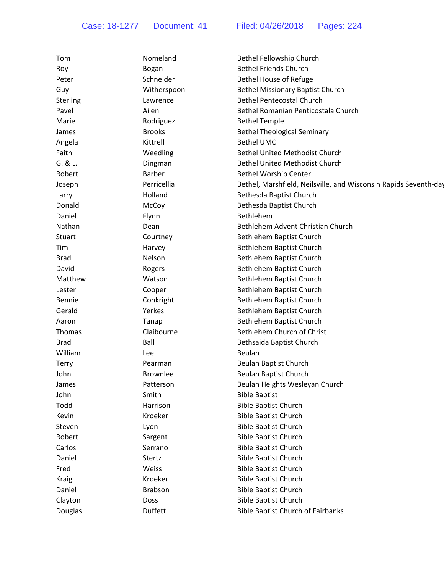| Tom          | Nomeland        | <b>Bethel Fellowship Church</b>                                  |
|--------------|-----------------|------------------------------------------------------------------|
| Roy          | Bogan           | <b>Bethel Friends Church</b>                                     |
| Peter        | Schneider       | <b>Bethel House of Refuge</b>                                    |
| Guy          | Witherspoon     | <b>Bethel Missionary Baptist Church</b>                          |
| Sterling     | Lawrence        | <b>Bethel Pentecostal Church</b>                                 |
| Pavel        | Aileni          | Bethel Romanian Penticostala Church                              |
| Marie        | Rodriguez       | <b>Bethel Temple</b>                                             |
| James        | <b>Brooks</b>   | <b>Bethel Theological Seminary</b>                               |
| Angela       | Kittrell        | <b>Bethel UMC</b>                                                |
| Faith        | Weedling        | <b>Bethel United Methodist Church</b>                            |
| G. & L.      | Dingman         | <b>Bethel United Methodist Church</b>                            |
| Robert       | Barber          | <b>Bethel Worship Center</b>                                     |
| Joseph       | Perricellia     | Bethel, Marshfield, Neilsville, and Wisconsin Rapids Seventh-day |
| Larry        | Holland         | Bethesda Baptist Church                                          |
| Donald       | McCoy           | Bethesda Baptist Church                                          |
| Daniel       | Flynn           | Bethlehem                                                        |
| Nathan       | Dean            | Bethlehem Advent Christian Church                                |
| Stuart       | Courtney        | Bethlehem Baptist Church                                         |
| Tim          | Harvey          | Bethlehem Baptist Church                                         |
| <b>Brad</b>  | Nelson          | Bethlehem Baptist Church                                         |
| David        | Rogers          | Bethlehem Baptist Church                                         |
| Matthew      | Watson          | Bethlehem Baptist Church                                         |
| Lester       | Cooper          | Bethlehem Baptist Church                                         |
| Bennie       | Conkright       | Bethlehem Baptist Church                                         |
| Gerald       | Yerkes          | Bethlehem Baptist Church                                         |
| Aaron        | Tanap           | Bethlehem Baptist Church                                         |
| Thomas       | Claibourne      | Bethlehem Church of Christ                                       |
| <b>Brad</b>  | Ball            | Bethsaida Baptist Church                                         |
| William      | Lee             | Beulah                                                           |
| Terry        | Pearman         | <b>Beulah Baptist Church</b>                                     |
| John         | <b>Brownlee</b> | <b>Beulah Baptist Church</b>                                     |
| James        | Patterson       | Beulah Heights Wesleyan Church                                   |
| John         | Smith           | <b>Bible Baptist</b>                                             |
| Todd         | Harrison        | <b>Bible Baptist Church</b>                                      |
| Kevin        | Kroeker         | <b>Bible Baptist Church</b>                                      |
| Steven       | Lyon            | <b>Bible Baptist Church</b>                                      |
| Robert       | Sargent         | <b>Bible Baptist Church</b>                                      |
| Carlos       | Serrano         | <b>Bible Baptist Church</b>                                      |
| Daniel       | Stertz          | <b>Bible Baptist Church</b>                                      |
| Fred         | Weiss           | <b>Bible Baptist Church</b>                                      |
| <b>Kraig</b> | Kroeker         | <b>Bible Baptist Church</b>                                      |
| Daniel       | <b>Brabson</b>  | <b>Bible Baptist Church</b>                                      |
| Clayton      | Doss            | <b>Bible Baptist Church</b>                                      |
| Douglas      | Duffett         | <b>Bible Baptist Church of Fairbanks</b>                         |
|              |                 |                                                                  |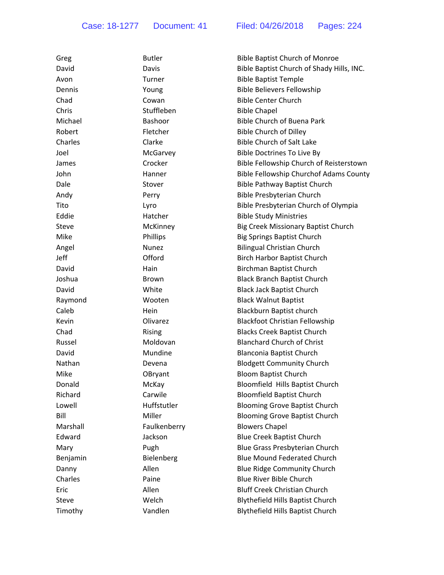| Greg     | <b>Butler</b> | <b>Bible Baptist Church of Monroe</b>     |
|----------|---------------|-------------------------------------------|
| David    | Davis         | Bible Baptist Church of Shady Hills, INC. |
| Avon     | Turner        | <b>Bible Baptist Temple</b>               |
| Dennis   | Young         | <b>Bible Believers Fellowship</b>         |
| Chad     | Cowan         | <b>Bible Center Church</b>                |
| Chris    | Stuffleben    | <b>Bible Chapel</b>                       |
| Michael  | Bashoor       | <b>Bible Church of Buena Park</b>         |
| Robert   | Fletcher      | <b>Bible Church of Dilley</b>             |
| Charles  | Clarke        | <b>Bible Church of Salt Lake</b>          |
| Joel     | McGarvey      | <b>Bible Doctrines To Live By</b>         |
| James    | Crocker       | Bible Fellowship Church of Reisterstown   |
| John     | Hanner        | Bible Fellowship Churchof Adams County    |
| Dale     | Stover        | <b>Bible Pathway Baptist Church</b>       |
| Andy     | Perry         | Bible Presbyterian Church                 |
| Tito     | Lyro          | Bible Presbyterian Church of Olympia      |
| Eddie    | Hatcher       | <b>Bible Study Ministries</b>             |
| Steve    | McKinney      | Big Creek Missionary Baptist Church       |
| Mike     | Phillips      | <b>Big Springs Baptist Church</b>         |
| Angel    | <b>Nunez</b>  | <b>Bilingual Christian Church</b>         |
| Jeff     | Offord        | <b>Birch Harbor Baptist Church</b>        |
| David    | Hain          | Birchman Baptist Church                   |
| Joshua   | <b>Brown</b>  | <b>Black Branch Baptist Church</b>        |
| David    | White         | <b>Black Jack Baptist Church</b>          |
| Raymond  | Wooten        | <b>Black Walnut Baptist</b>               |
| Caleb    | <b>Hein</b>   | Blackburn Baptist church                  |
| Kevin    | Olivarez      | <b>Blackfoot Christian Fellowship</b>     |
| Chad     | Rising        | <b>Blacks Creek Baptist Church</b>        |
| Russel   | Moldovan      | <b>Blanchard Church of Christ</b>         |
| David    | Mundine       | Blanconia Baptist Church                  |
| Nathan   | Devena        | <b>Blodgett Community Church</b>          |
| Mike     | OBryant       | <b>Bloom Baptist Church</b>               |
| Donald   | McKay         | Bloomfield Hills Baptist Church           |
| Richard  | Carwile       | <b>Bloomfield Baptist Church</b>          |
| Lowell   | Huffstutler   | <b>Blooming Grove Baptist Church</b>      |
| Bill     | Miller        | <b>Blooming Grove Baptist Church</b>      |
| Marshall | Faulkenberry  | <b>Blowers Chapel</b>                     |
| Edward   | Jackson       | <b>Blue Creek Baptist Church</b>          |
| Mary     | Pugh          | Blue Grass Presbyterian Church            |
| Benjamin | Bielenberg    | <b>Blue Mound Federated Church</b>        |
| Danny    | Allen         | <b>Blue Ridge Community Church</b>        |
| Charles  | Paine         | <b>Blue River Bible Church</b>            |
| Eric     | Allen         | <b>Bluff Creek Christian Church</b>       |
| Steve    | Welch         | <b>Blythefield Hills Baptist Church</b>   |
| Timothy  | Vandlen       | <b>Blythefield Hills Baptist Church</b>   |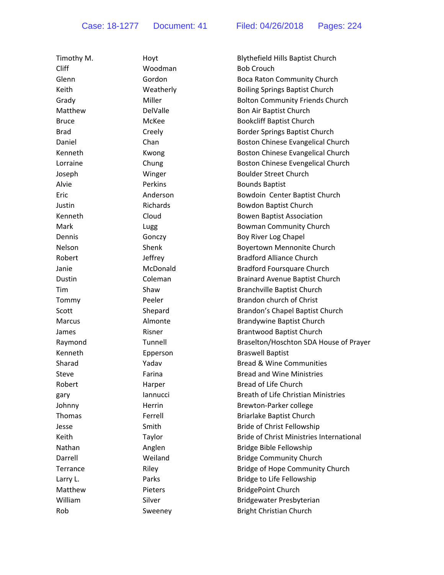| Timothy M.    | Hoyt            | <b>Blythefield Hills Baptist Church</b>         |
|---------------|-----------------|-------------------------------------------------|
| Cliff         | Woodman         | <b>Bob Crouch</b>                               |
| Glenn         | Gordon          | <b>Boca Raton Community Church</b>              |
| Keith         | Weatherly       | <b>Boiling Springs Baptist Church</b>           |
| Grady         | Miller          | <b>Bolton Community Friends Church</b>          |
| Matthew       | <b>DelValle</b> | Bon Air Baptist Church                          |
| <b>Bruce</b>  | McKee           | <b>Bookcliff Baptist Church</b>                 |
| <b>Brad</b>   | Creely          | Border Springs Baptist Church                   |
| Daniel        | Chan            | Boston Chinese Evangelical Church               |
| Kenneth       | Kwong           | Boston Chinese Evangelical Church               |
| Lorraine      | Chung           | Boston Chinese Evengelical Church               |
| Joseph        | Winger          | <b>Boulder Street Church</b>                    |
| Alvie         | Perkins         | <b>Bounds Baptist</b>                           |
| Eric          | Anderson        | Bowdoin Center Baptist Church                   |
| Justin        | Richards        | <b>Bowdon Baptist Church</b>                    |
| Kenneth       | Cloud           | <b>Bowen Baptist Association</b>                |
| Mark          | Lugg            | <b>Bowman Community Church</b>                  |
| Dennis        | Gonczy          | Boy River Log Chapel                            |
| Nelson        | Shenk           | Boyertown Mennonite Church                      |
| Robert        | Jeffrey         | <b>Bradford Alliance Church</b>                 |
| Janie         | McDonald        | <b>Bradford Foursquare Church</b>               |
| Dustin        | Coleman         | <b>Brainard Avenue Baptist Church</b>           |
| Tim           | Shaw            | Branchville Baptist Church                      |
| Tommy         | Peeler          | Brandon church of Christ                        |
| Scott         | Shepard         | Brandon's Chapel Baptist Church                 |
| <b>Marcus</b> | Almonte         | <b>Brandywine Baptist Church</b>                |
| James         | Risner          | Brantwood Baptist Church                        |
| Raymond       | Tunnell         | Braselton/Hoschton SDA House of Prayer          |
| Kenneth       | Epperson        | <b>Braswell Baptist</b>                         |
| Sharad        | Yadav           | <b>Bread &amp; Wine Communities</b>             |
| Steve         | Farina          | <b>Bread and Wine Ministries</b>                |
| Robert        | Harper          | Bread of Life Church                            |
| gary          | lannucci        | <b>Breath of Life Christian Ministries</b>      |
| Johnny        | <b>Herrin</b>   | Brewton-Parker college                          |
| Thomas        | Ferrell         | <b>Briarlake Baptist Church</b>                 |
| Jesse         | Smith           | Bride of Christ Fellowship                      |
| Keith         | Taylor          | <b>Bride of Christ Ministries International</b> |
| Nathan        | Anglen          | Bridge Bible Fellowship                         |
| Darrell       | Weiland         | <b>Bridge Community Church</b>                  |
| Terrance      | Riley           | Bridge of Hope Community Church                 |
| Larry L.      | Parks           | Bridge to Life Fellowship                       |
| Matthew       | Pieters         | <b>BridgePoint Church</b>                       |
| William       | Silver          | Bridgewater Presbyterian                        |
| Rob           | Sweeney         | <b>Bright Christian Church</b>                  |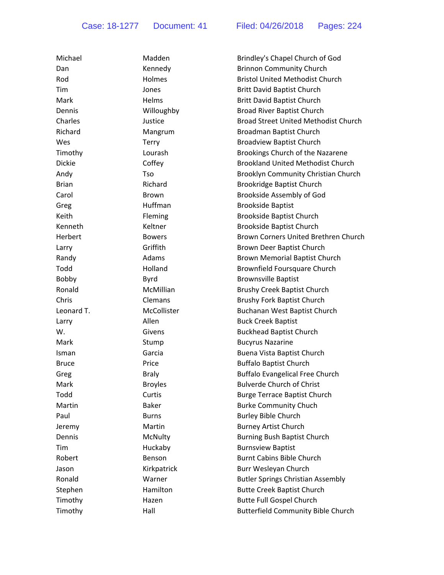| Michael       | Madden         | Brindley's Chapel Church of God             |
|---------------|----------------|---------------------------------------------|
| Dan           | Kennedy        | <b>Brinnon Community Church</b>             |
| Rod           | Holmes         | <b>Bristol United Methodist Church</b>      |
| Tim           | Jones          | <b>Britt David Baptist Church</b>           |
| Mark          | Helms          | <b>Britt David Baptist Church</b>           |
| Dennis        | Willoughby     | Broad River Baptist Church                  |
| Charles       | Justice        | <b>Broad Street United Methodist Church</b> |
| Richard       | Mangrum        | Broadman Baptist Church                     |
| Wes           | Terry          | <b>Broadview Baptist Church</b>             |
| Timothy       | Lourash        | Brookings Church of the Nazarene            |
| <b>Dickie</b> | Coffey         | <b>Brookland United Methodist Church</b>    |
| Andy          | Tso            | Brooklyn Community Christian Church         |
| <b>Brian</b>  | Richard        | Brookridge Baptist Church                   |
| Carol         | <b>Brown</b>   | Brookside Assembly of God                   |
| Greg          | Huffman        | <b>Brookside Baptist</b>                    |
| Keith         | Fleming        | <b>Brookside Baptist Church</b>             |
| Kenneth       | Keltner        | <b>Brookside Baptist Church</b>             |
| Herbert       | <b>Bowers</b>  | Brown Corners United Brethren Church        |
| Larry         | Griffith       | Brown Deer Baptist Church                   |
| Randy         | Adams          | Brown Memorial Baptist Church               |
| Todd          | Holland        | Brownfield Foursquare Church                |
| Bobby         | <b>Byrd</b>    | <b>Brownsville Baptist</b>                  |
| Ronald        | McMillian      | <b>Brushy Creek Baptist Church</b>          |
| Chris         | Clemans        | <b>Brushy Fork Baptist Church</b>           |
| Leonard T.    | McCollister    | Buchanan West Baptist Church                |
| Larry         | Allen          | <b>Buck Creek Baptist</b>                   |
| W.            | Givens         | <b>Buckhead Baptist Church</b>              |
| Mark          | Stump          | <b>Bucyrus Nazarine</b>                     |
| Isman         | Garcia         | Buena Vista Baptist Church                  |
| <b>Bruce</b>  | Price          | <b>Buffalo Baptist Church</b>               |
| Greg          | <b>Braly</b>   | <b>Buffalo Evangelical Free Church</b>      |
| Mark          | <b>Broyles</b> | <b>Bulverde Church of Christ</b>            |
| Todd          | Curtis         | <b>Burge Terrace Baptist Church</b>         |
| Martin        | <b>Baker</b>   | <b>Burke Community Chuch</b>                |
| Paul          | <b>Burns</b>   | <b>Burley Bible Church</b>                  |
| Jeremy        | Martin         | <b>Burney Artist Church</b>                 |
| Dennis        | McNulty        | <b>Burning Bush Baptist Church</b>          |
| Tim           | Huckaby        | <b>Burnsview Baptist</b>                    |
| Robert        | Benson         | <b>Burnt Cabins Bible Church</b>            |
| Jason         | Kirkpatrick    | Burr Wesleyan Church                        |
| Ronald        | Warner         | <b>Butler Springs Christian Assembly</b>    |
| Stephen       | Hamilton       | <b>Butte Creek Baptist Church</b>           |
| Timothy       | Hazen          | <b>Butte Full Gospel Church</b>             |
| Timothy       | Hall           | <b>Butterfield Community Bible Church</b>   |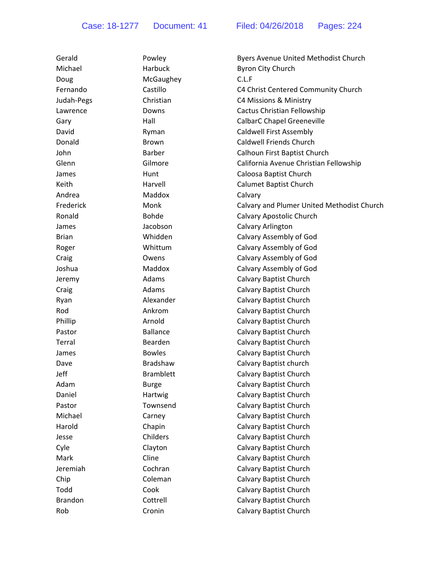| Gerald         | Powley           | <b>Byers Avenue United Methodist Church</b> |
|----------------|------------------|---------------------------------------------|
| Michael        | <b>Harbuck</b>   | Byron City Church                           |
| Doug           | McGaughey        | C.L.F                                       |
| Fernando       | Castillo         | C4 Christ Centered Community Church         |
| Judah-Pegs     | Christian        | C4 Missions & Ministry                      |
| Lawrence       | Downs            | Cactus Christian Fellowship                 |
| Gary           | Hall             | <b>CalbarC Chapel Greeneville</b>           |
| David          | Ryman            | Caldwell First Assembly                     |
| Donald         | <b>Brown</b>     | <b>Caldwell Friends Church</b>              |
| John           | <b>Barber</b>    | Calhoun First Baptist Church                |
| Glenn          | Gilmore          | California Avenue Christian Fellowship      |
| James          | Hunt             | Caloosa Baptist Church                      |
| Keith          | Harvell          | <b>Calumet Baptist Church</b>               |
| Andrea         | Maddox           | Calvary                                     |
| Frederick      | Monk             | Calvary and Plumer United Methodist Church  |
| Ronald         | <b>Bohde</b>     | Calvary Apostolic Church                    |
| James          | Jacobson         | Calvary Arlington                           |
| <b>Brian</b>   | Whidden          | Calvary Assembly of God                     |
| Roger          | Whittum          | Calvary Assembly of God                     |
| Craig          | Owens            | Calvary Assembly of God                     |
| Joshua         | Maddox           | Calvary Assembly of God                     |
| Jeremy         | Adams            | Calvary Baptist Church                      |
| Craig          | Adams            | Calvary Baptist Church                      |
| Ryan           | Alexander        | Calvary Baptist Church                      |
| Rod            | Ankrom           | Calvary Baptist Church                      |
| Phillip        | Arnold           | Calvary Baptist Church                      |
| Pastor         | <b>Ballance</b>  | Calvary Baptist Church                      |
| Terral         | Bearden          | Calvary Baptist Church                      |
| James          | <b>Bowles</b>    | Calvary Baptist Church                      |
| Dave           | <b>Bradshaw</b>  | Calvary Baptist church                      |
| Jeff           | <b>Bramblett</b> | Calvary Baptist Church                      |
| Adam           | <b>Burge</b>     | Calvary Baptist Church                      |
| Daniel         | Hartwig          | Calvary Baptist Church                      |
| Pastor         | Townsend         | Calvary Baptist Church                      |
| Michael        | Carney           | <b>Calvary Baptist Church</b>               |
| Harold         | Chapin           | Calvary Baptist Church                      |
| Jesse          | Childers         | Calvary Baptist Church                      |
| Cyle           | Clayton          | Calvary Baptist Church                      |
| Mark           | Cline            | Calvary Baptist Church                      |
| Jeremiah       | Cochran          | <b>Calvary Baptist Church</b>               |
| Chip           | Coleman          | Calvary Baptist Church                      |
| Todd           | Cook             | Calvary Baptist Church                      |
| <b>Brandon</b> | Cottrell         | Calvary Baptist Church                      |
| Rob            | Cronin           | Calvary Baptist Church                      |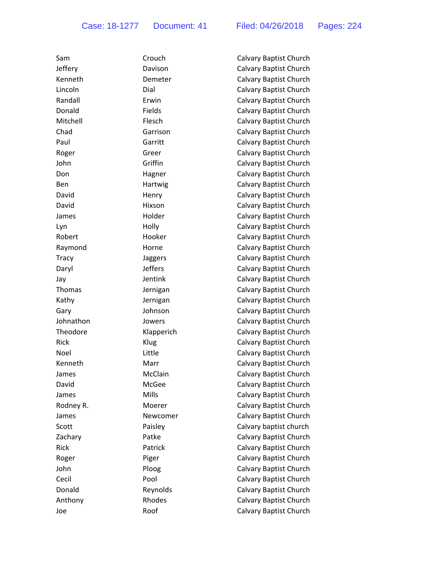| Sam       | Crouch     | Calvary Baptist Church |
|-----------|------------|------------------------|
| Jeffery   | Davison    | Calvary Baptist Church |
| Kenneth   | Demeter    | Calvary Baptist Church |
| Lincoln   | Dial       | Calvary Baptist Church |
| Randall   | Erwin      | Calvary Baptist Church |
| Donald    | Fields     | Calvary Baptist Church |
| Mitchell  | Flesch     | Calvary Baptist Church |
| Chad      | Garrison   | Calvary Baptist Church |
| Paul      | Garritt    | Calvary Baptist Church |
| Roger     | Greer      | Calvary Baptist Church |
| John      | Griffin    | Calvary Baptist Church |
| Don       | Hagner     | Calvary Baptist Church |
| Ben       | Hartwig    | Calvary Baptist Church |
| David     | Henry      | Calvary Baptist Church |
| David     | Hixson     | Calvary Baptist Church |
| James     | Holder     | Calvary Baptist Church |
| Lyn       | Holly      | Calvary Baptist Church |
| Robert    | Hooker     | Calvary Baptist Church |
| Raymond   | Horne      | Calvary Baptist Church |
| Tracy     | Jaggers    | Calvary Baptist Church |
| Daryl     | Jeffers    | Calvary Baptist Church |
| Jay       | Jentink    | Calvary Baptist Church |
| Thomas    | Jernigan   | Calvary Baptist Church |
| Kathy     | Jernigan   | Calvary Baptist Church |
| Gary      | Johnson    | Calvary Baptist Church |
| Johnathon | Jowers     | Calvary Baptist Church |
| Theodore  | Klapperich | Calvary Baptist Church |
| Rick      | Klug       | Calvary Baptist Church |
| Noel      | Little     | Calvary Baptist Church |
| Kenneth   | Marr       | Calvary Baptist Church |
| James     | McClain    | Calvary Baptist Church |
| David     | McGee      | Calvary Baptist Church |
| James     | Mills      | Calvary Baptist Church |
| Rodney R. | Moerer     | Calvary Baptist Church |
| James     | Newcomer   | Calvary Baptist Church |
| Scott     | Paisley    | Calvary baptist church |
| Zachary   | Patke      | Calvary Baptist Church |
| Rick      | Patrick    | Calvary Baptist Church |
| Roger     | Piger      | Calvary Baptist Church |
| John      | Ploog      | Calvary Baptist Church |
| Cecil     | Pool       | Calvary Baptist Church |
| Donald    | Reynolds   | Calvary Baptist Church |
| Anthony   | Rhodes     | Calvary Baptist Church |
| Joe       | Roof       | Calvary Baptist Church |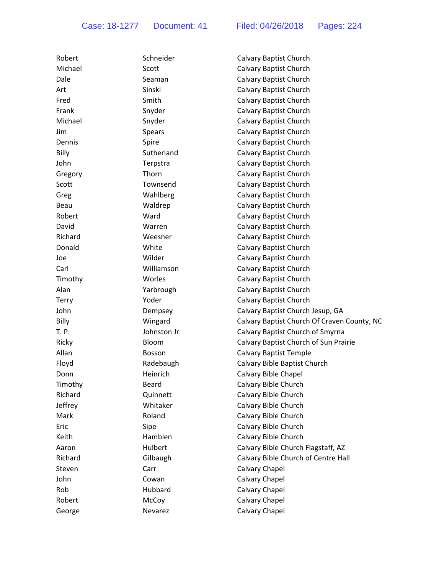| Robert       | Schneider     | Calvary Baptist Church                      |
|--------------|---------------|---------------------------------------------|
| Michael      | Scott         | Calvary Baptist Church                      |
| Dale         | Seaman        | Calvary Baptist Church                      |
| Art          | Sinski        | Calvary Baptist Church                      |
| Fred         | Smith         | Calvary Baptist Church                      |
| Frank        | Snyder        | Calvary Baptist Church                      |
| Michael      | Snyder        | Calvary Baptist Church                      |
| Jim          | Spears        | Calvary Baptist Church                      |
| Dennis       | Spire         | Calvary Baptist Church                      |
| Billy        | Sutherland    | Calvary Baptist Church                      |
| John         | Terpstra      | Calvary Baptist Church                      |
| Gregory      | Thorn         | Calvary Baptist Church                      |
| Scott        | Townsend      | Calvary Baptist Church                      |
| Greg         | Wahlberg      | Calvary Baptist Church                      |
| Beau         | Waldrep       | Calvary Baptist Church                      |
| Robert       | Ward          | Calvary Baptist Church                      |
| David        | Warren        | Calvary Baptist Church                      |
| Richard      | Weesner       | Calvary Baptist Church                      |
| Donald       | White         | Calvary Baptist Church                      |
| Joe          | Wilder        | Calvary Baptist Church                      |
| Carl         | Williamson    | Calvary Baptist Church                      |
| Timothy      | Worles        | <b>Calvary Baptist Church</b>               |
| Alan         | Yarbrough     | Calvary Baptist Church                      |
| <b>Terry</b> | Yoder         | Calvary Baptist Church                      |
| John         | Dempsey       | Calvary Baptist Church Jesup, GA            |
| Billy        | Wingard       | Calvary Baptist Church Of Craven County, NC |
| T. P.        | Johnston Jr   | Calvary Baptist Church of Smyrna            |
| Ricky        | Bloom         | Calvary Baptist Church of Sun Prairie       |
| Allan        | <b>Bosson</b> | <b>Calvary Baptist Temple</b>               |
| Floyd        | Radebaugh     | Calvary Bible Baptist Church                |
| Donn         | Heinrich      | Calvary Bible Chapel                        |
| Timothy      | Beard         | Calvary Bible Church                        |
| Richard      | Quinnett      | Calvary Bible Church                        |
| Jeffrey      | Whitaker      | Calvary Bible Church                        |
| Mark         | Roland        | Calvary Bible Church                        |
| Eric         | Sipe          | Calvary Bible Church                        |
| Keith        | Hamblen       | Calvary Bible Church                        |
| Aaron        | Hulbert       | Calvary Bible Church Flagstaff, AZ          |
| Richard      | Gilbaugh      | Calvary Bible Church of Centre Hall         |
| Steven       | Carr          | Calvary Chapel                              |
| John         | Cowan         | Calvary Chapel                              |
| Rob          | Hubbard       | Calvary Chapel                              |
| Robert       | McCoy         | Calvary Chapel                              |
| George       | Nevarez       | Calvary Chapel                              |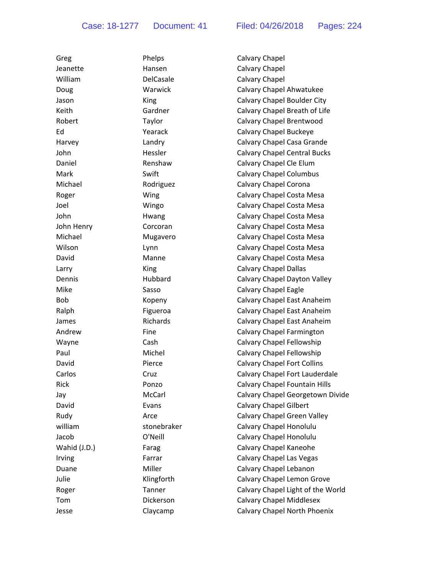| Greg         | Phelps           | Calvary Chapel                      |
|--------------|------------------|-------------------------------------|
| Jeanette     | Hansen           | Calvary Chapel                      |
| William      | <b>DelCasale</b> | Calvary Chapel                      |
| Doug         | Warwick          | Calvary Chapel Ahwatukee            |
| Jason        | King             | Calvary Chapel Boulder City         |
| Keith        | Gardner          | Calvary Chapel Breath of Life       |
| Robert       | Taylor           | Calvary Chapel Brentwood            |
| Ed           | Yearack          | Calvary Chapel Buckeye              |
| Harvey       | Landry           | Calvary Chapel Casa Grande          |
| John         | Hessler          | <b>Calvary Chapel Central Bucks</b> |
| Daniel       | Renshaw          | Calvary Chapel Cle Elum             |
| Mark         | Swift            | Calvary Chapel Columbus             |
| Michael      | Rodriguez        | Calvary Chapel Corona               |
| Roger        | Wing             | Calvary Chapel Costa Mesa           |
| Joel         | Wingo            | Calvary Chapel Costa Mesa           |
| John         | Hwang            | Calvary Chapel Costa Mesa           |
| John Henry   | Corcoran         | Calvary Chapel Costa Mesa           |
| Michael      | Mugavero         | Calvary Chapel Costa Mesa           |
| Wilson       | Lynn             | Calvary Chapel Costa Mesa           |
| David        | Manne            | Calvary Chapel Costa Mesa           |
| Larry        | King             | <b>Calvary Chapel Dallas</b>        |
| Dennis       | Hubbard          | Calvary Chapel Dayton Valley        |
| Mike         | Sasso            | Calvary Chapel Eagle                |
| Bob          | Kopeny           | Calvary Chapel East Anaheim         |
| Ralph        | Figueroa         | Calvary Chapel East Anaheim         |
| James        | Richards         | Calvary Chapel East Anaheim         |
| Andrew       | Fine             | Calvary Chapel Farmington           |
| Wayne        | Cash             | Calvary Chapel Fellowship           |
| Paul         | Michel           | Calvary Chapel Fellowship           |
| David        | Pierce           | <b>Calvary Chapel Fort Collins</b>  |
| Carlos       | Cruz             | Calvary Chapel Fort Lauderdale      |
| Rick         | Ponzo            | Calvary Chapel Fountain Hills       |
| Jay          | McCarl           | Calvary Chapel Georgetown Divide    |
| David        | Evans            | <b>Calvary Chapel Gilbert</b>       |
| Rudy         | Arce             | Calvary Chapel Green Valley         |
| william      | stonebraker      | Calvary Chapel Honolulu             |
| Jacob        | O'Neill          | Calvary Chapel Honolulu             |
| Wahid (J.D.) | Farag            | Calvary Chapel Kaneohe              |
| Irving       | Farrar           | Calvary Chapel Las Vegas            |
| Duane        | Miller           | Calvary Chapel Lebanon              |
| Julie        | Klingforth       | Calvary Chapel Lemon Grove          |
| Roger        | Tanner           | Calvary Chapel Light of the World   |
| Tom          | Dickerson        | Calvary Chapel Middlesex            |

Jesse Claycamp Claycamp Calvary Chapel North Phoenix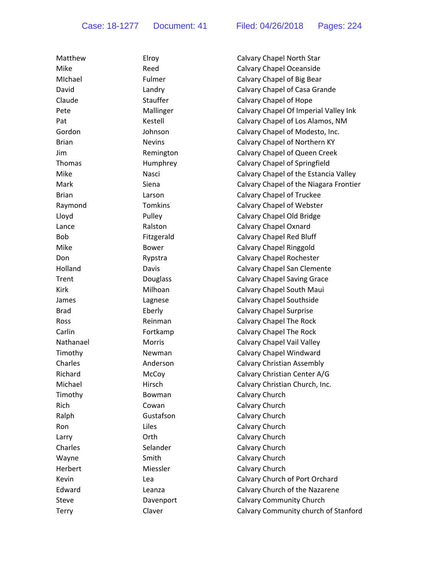| Matthew      | Elroy          | Calvary Chapel North Star              |
|--------------|----------------|----------------------------------------|
| Mike         | Reed           | Calvary Chapel Oceanside               |
| MIchael      | Fulmer         | Calvary Chapel of Big Bear             |
| David        | Landry         | Calvary Chapel of Casa Grande          |
| Claude       | Stauffer       | Calvary Chapel of Hope                 |
| Pete         | Mallinger      | Calvary Chapel Of Imperial Valley Ink  |
| Pat          | Kestell        | Calvary Chapel of Los Alamos, NM       |
| Gordon       | Johnson        | Calvary Chapel of Modesto, Inc.        |
| <b>Brian</b> | <b>Nevins</b>  | Calvary Chapel of Northern KY          |
| <b>Jim</b>   | Remington      | Calvary Chapel of Queen Creek          |
| Thomas       | Humphrey       | Calvary Chapel of Springfield          |
| Mike         | Nasci          | Calvary Chapel of the Estancia Valley  |
| Mark         | Siena          | Calvary Chapel of the Niagara Frontier |
| <b>Brian</b> | Larson         | Calvary Chapel of Truckee              |
| Raymond      | <b>Tomkins</b> | Calvary Chapel of Webster              |
| Lloyd        | Pulley         | Calvary Chapel Old Bridge              |
| Lance        | Ralston        | Calvary Chapel Oxnard                  |
| <b>Bob</b>   | Fitzgerald     | Calvary Chapel Red Bluff               |
| Mike         | <b>Bower</b>   | Calvary Chapel Ringgold                |
| Don          | Rypstra        | Calvary Chapel Rochester               |
| Holland      | Davis          | Calvary Chapel San Clemente            |
| Trent        | Douglass       | Calvary Chapel Saving Grace            |
| Kirk         | Milhoan        | Calvary Chapel South Maui              |
| James        | Lagnese        | Calvary Chapel Southside               |
| <b>Brad</b>  | Eberly         | Calvary Chapel Surprise                |
| Ross         | Reinman        | Calvary Chapel The Rock                |
| Carlin       | Fortkamp       | Calvary Chapel The Rock                |
| Nathanael    | Morris         | Calvary Chapel Vail Valley             |
| Timothy      | <b>Newman</b>  | Calvary Chapel Windward                |
| Charles      | Anderson       | <b>Calvary Christian Assembly</b>      |
| Richard      | McCoy          | Calvary Christian Center A/G           |
| Michael      | Hirsch         | Calvary Christian Church, Inc.         |
| Timothy      | Bowman         | Calvary Church                         |
| Rich         | Cowan          | Calvary Church                         |
| Ralph        | Gustafson      | Calvary Church                         |
| Ron          | Liles          | Calvary Church                         |
| Larry        | Orth           | Calvary Church                         |
| Charles      | Selander       | Calvary Church                         |
| Wayne        | Smith          | Calvary Church                         |
| Herbert      | Miessler       | Calvary Church                         |
| Kevin        | Lea            | Calvary Church of Port Orchard         |
| Edward       | Leanza         | Calvary Church of the Nazarene         |
| Steve        | Davenport      | <b>Calvary Community Church</b>        |
| Terry        | Claver         | Calvary Community church of Stanford   |
|              |                |                                        |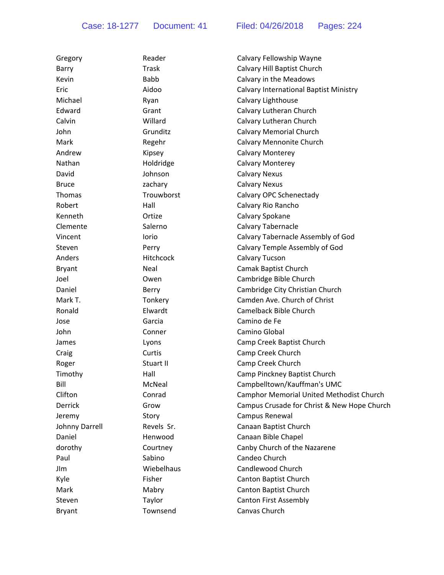| Gregory        | Reader      | Calvary Fellowship Wayne                      |
|----------------|-------------|-----------------------------------------------|
| Barry          | Trask       | Calvary Hill Baptist Church                   |
| Kevin          | <b>Babb</b> | Calvary in the Meadows                        |
| Eric           | Aidoo       | <b>Calvary International Baptist Ministry</b> |
| Michael        | Ryan        | Calvary Lighthouse                            |
| Edward         | Grant       | Calvary Lutheran Church                       |
| Calvin         | Willard     | Calvary Lutheran Church                       |
| John           | Grunditz    | <b>Calvary Memorial Church</b>                |
| Mark           | Regehr      | Calvary Mennonite Church                      |
| Andrew         | Kipsey      | <b>Calvary Monterey</b>                       |
| Nathan         | Holdridge   | <b>Calvary Monterey</b>                       |
| David          | Johnson     | <b>Calvary Nexus</b>                          |
| <b>Bruce</b>   | zachary     | <b>Calvary Nexus</b>                          |
| Thomas         | Trouwborst  | Calvary OPC Schenectady                       |
| Robert         | Hall        | Calvary Rio Rancho                            |
| Kenneth        | Ortize      | Calvary Spokane                               |
| Clemente       | Salerno     | Calvary Tabernacle                            |
| Vincent        | lorio       | Calvary Tabernacle Assembly of God            |
| Steven         | Perry       | Calvary Temple Assembly of God                |
| Anders         | Hitchcock   | <b>Calvary Tucson</b>                         |
| <b>Bryant</b>  | Neal        | Camak Baptist Church                          |
| Joel           | Owen        | Cambridge Bible Church                        |
| Daniel         | Berry       | Cambridge City Christian Church               |
| Mark T.        | Tonkery     | Camden Ave. Church of Christ                  |
| Ronald         | Elwardt     | Camelback Bible Church                        |
| Jose           | Garcia      | Camino de Fe                                  |
| John           | Conner      | Camino Global                                 |
| James          | Lyons       | Camp Creek Baptist Church                     |
| Craig          | Curtis      | Camp Creek Church                             |
| Roger          | Stuart II   | Camp Creek Church                             |
| Timothy        | Hall        | Camp Pinckney Baptist Church                  |
| Bill           | McNeal      | Campbelltown/Kauffman's UMC                   |
| Clifton        | Conrad      | Camphor Memorial United Methodist Church      |
| Derrick        | Grow        | Campus Crusade for Christ & New Hope Church   |
| Jeremy         | Story       | Campus Renewal                                |
| Johnny Darrell | Revels Sr.  | Canaan Baptist Church                         |
| Daniel         | Henwood     | Canaan Bible Chapel                           |
| dorothy        | Courtney    | Canby Church of the Nazarene                  |
| Paul           | Sabino      | Candeo Church                                 |
| JIm            | Wiebelhaus  | Candlewood Church                             |
| Kyle           | Fisher      | Canton Baptist Church                         |
| Mark           | Mabry       | Canton Baptist Church                         |
| Steven         | Taylor      | <b>Canton First Assembly</b>                  |
| <b>Bryant</b>  | Townsend    | Canvas Church                                 |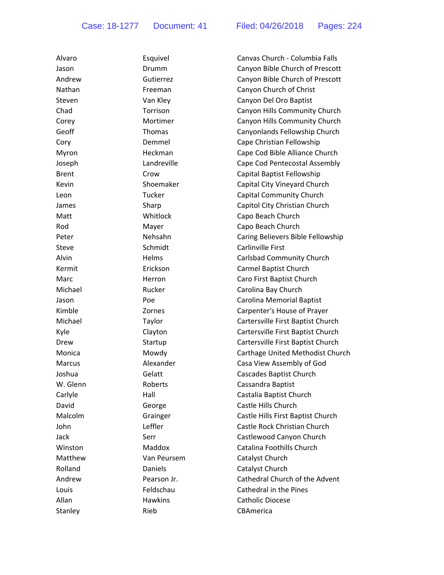| Alvaro       | Esquivel       | Canvas Chu    |
|--------------|----------------|---------------|
| Jason        | Drumm          | Canyon Bib    |
| Andrew       | Gutierrez      | Canyon Bib    |
| Nathan       | Freeman        | Canyon Chu    |
| Steven       | Van Kley       | Canyon Del    |
| Chad         | Torrison       | Canyon Hill   |
| Corey        | Mortimer       | Canyon Hill   |
| Geoff        | Thomas         | Canyonland    |
| Cory         | Demmel         | Cape Christ   |
| Myron        | Heckman        | Cape Cod B    |
| Joseph       | Landreville    | Cape Cod P    |
| <b>Brent</b> | Crow           | Capital Bap   |
| Kevin        | Shoemaker      | Capital City  |
| Leon         | Tucker         | Capital Com   |
| James        | Sharp          | Capitol City  |
| Matt         | Whitlock       | Capo Beach    |
| Rod          | Mayer          | Capo Beach    |
| Peter        | Nehsahn        | Caring Belie  |
| Steve        | Schmidt        | Carlinville F |
| Alvin        | Helms          | Carlsbad Co   |
| Kermit       | Erickson       | Carmel Bap    |
| Marc         | Herron         | Caro First B  |
| Michael      | Rucker         | Carolina Ba   |
| Jason        | Poe            | Carolina Me   |
| Kimble       | Zornes         | Carpenter's   |
| Michael      | Taylor         | Cartersville  |
| Kyle         | Clayton        | Cartersville  |
| Drew         | Startup        | Cartersville  |
| Monica       | Mowdy          | Carthage U    |
| Marcus       | Alexander      | Casa View /   |
| Joshua       | Gelatt         | Cascades Ba   |
| W. Glenn     | Roberts        | Cassandra E   |
| Carlyle      | Hall           | Castalia Bap  |
| David        | George         | Castle Hills  |
| Malcolm      | Grainger       | Castle Hills  |
| John         | Leffler        | Castle Rock   |
| Jack         | Serr           | Castlewood    |
| Winston      | Maddox         | Catalina For  |
| Matthew      | Van Peursem    | Catalyst Ch   |
| Rolland      | Daniels        | Catalyst Ch   |
| Andrew       | Pearson Jr.    | Cathedral C   |
| Louis        | Feldschau      | Cathedral in  |
| Allan        | <b>Hawkins</b> | Catholic Dio  |
| Stanley      | Rieb           | CBAmerica     |

as Church - Columbia Falls on Bible Church of Prescott on Bible Church of Prescott on Church of Christ on Del Oro Baptist on Hills Community Church on Hills Community Church onlands Fellowship Church Christian Fellowship Cod Bible Alliance Church Cod Pentecostal Assembly al Baptist Fellowship al City Vineyard Church al Community Church ol City Christian Church **Beach Church** Beach Church g Believers Bible Fellowship ville First ad Community Church el Baptist Church First Baptist Church ina Bay Church Ina Memorial Baptist Inter's House of Prayer rsville First Baptist Church rsville First Baptist Church rsville First Baptist Church age United Methodist Church View Assembly of God des Baptist Church ndra Baptist lia Baptist Church e Hills Church **Hills First Baptist Church Rock Christian Church Back Canyon Church** na Foothills Church vst Church rst Church dral Church of the Advent dral in the Pines **Alic Diocese**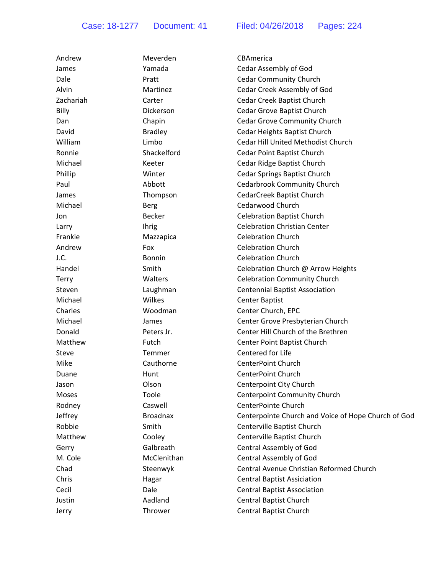| Andrew       | Meverden        | CBAmerica                                           |
|--------------|-----------------|-----------------------------------------------------|
| James        | Yamada          | Cedar Assembly of God                               |
| Dale         | Pratt           | <b>Cedar Community Church</b>                       |
| Alvin        | Martinez        | Cedar Creek Assembly of God                         |
| Zachariah    | Carter          | Cedar Creek Baptist Church                          |
| Billy        | Dickerson       | Cedar Grove Baptist Church                          |
| Dan          | Chapin          | Cedar Grove Community Church                        |
| David        | <b>Bradley</b>  | Cedar Heights Baptist Church                        |
| William      | Limbo           | Cedar Hill United Methodist Church                  |
| Ronnie       | Shackelford     | Cedar Point Baptist Church                          |
| Michael      | Keeter          | Cedar Ridge Baptist Church                          |
| Phillip      | Winter          | Cedar Springs Baptist Church                        |
| Paul         | Abbott          | Cedarbrook Community Church                         |
| James        | Thompson        | CedarCreek Baptist Church                           |
| Michael      | <b>Berg</b>     | Cedarwood Church                                    |
| Jon          | <b>Becker</b>   | <b>Celebration Baptist Church</b>                   |
| Larry        | <b>Ihrig</b>    | <b>Celebration Christian Center</b>                 |
| Frankie      | Mazzapica       | <b>Celebration Church</b>                           |
| Andrew       | Fox             | <b>Celebration Church</b>                           |
| J.C.         | <b>Bonnin</b>   | <b>Celebration Church</b>                           |
| Handel       | Smith           | Celebration Church @ Arrow Heights                  |
| <b>Terry</b> | Walters         | <b>Celebration Community Church</b>                 |
| Steven       | Laughman        | <b>Centennial Baptist Association</b>               |
| Michael      | Wilkes          | Center Baptist                                      |
| Charles      | Woodman         | Center Church, EPC                                  |
| Michael      | James           | Center Grove Presbyterian Church                    |
| Donald       | Peters Jr.      | Center Hill Church of the Brethren                  |
| Matthew      | Futch           | Center Point Baptist Church                         |
| Steve        | Temmer          | Centered for Life                                   |
| Mike         | Cauthorne       | CenterPoint Church                                  |
| Duane        | Hunt            | CenterPoint Church                                  |
| Jason        | Olson           | Centerpoint City Church                             |
| Moses        | Toole           | Centerpoint Community Church                        |
| Rodney       | Caswell         | CenterPointe Church                                 |
| Jeffrey      | <b>Broadnax</b> | Centerpointe Church and Voice of Hope Church of God |
| Robbie       | Smith           | Centerville Baptist Church                          |
| Matthew      | Cooley          | Centerville Baptist Church                          |
| Gerry        | Galbreath       | <b>Central Assembly of God</b>                      |
| M. Cole      | McClenithan     | Central Assembly of God                             |
| Chad         | Steenwyk        | Central Avenue Christian Reformed Church            |
| Chris        | Hagar           | <b>Central Baptist Assiciation</b>                  |
| Cecil        | Dale            | <b>Central Baptist Association</b>                  |
| Justin       | Aadland         | Central Baptist Church                              |
| Jerry        | Thrower         | <b>Central Baptist Church</b>                       |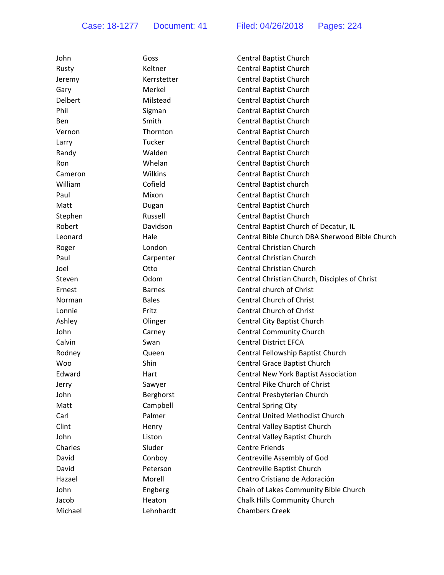| John       | Goss          | Central Baptist Church                         |
|------------|---------------|------------------------------------------------|
| Rusty      | Keltner       | Central Baptist Church                         |
| Jeremy     | Kerrstetter   | Central Baptist Church                         |
| Gary       | Merkel        | Central Baptist Church                         |
| Delbert    | Milstead      | Central Baptist Church                         |
| Phil       | Sigman        | Central Baptist Church                         |
| Ben        | Smith         | <b>Central Baptist Church</b>                  |
| Vernon     | Thornton      | Central Baptist Church                         |
| Larry      | Tucker        | Central Baptist Church                         |
| Randy      | Walden        | Central Baptist Church                         |
| Ron        | Whelan        | Central Baptist Church                         |
| Cameron    | Wilkins       | Central Baptist Church                         |
| William    | Cofield       | Central Baptist church                         |
| Paul       | Mixon         | <b>Central Baptist Church</b>                  |
| Matt       | Dugan         | <b>Central Baptist Church</b>                  |
| Stephen    | Russell       | <b>Central Baptist Church</b>                  |
| Robert     | Davidson      | Central Baptist Church of Decatur, IL          |
| Leonard    | Hale          | Central Bible Church DBA Sherwood Bible Church |
| Roger      | London        | <b>Central Christian Church</b>                |
| Paul       | Carpenter     | <b>Central Christian Church</b>                |
| Joel       | Otto          | <b>Central Christian Church</b>                |
| Steven     | Odom          | Central Christian Church, Disciples of Christ  |
| Ernest     | <b>Barnes</b> | Central church of Christ                       |
| Norman     | <b>Bales</b>  | <b>Central Church of Christ</b>                |
| Lonnie     | Fritz         | <b>Central Church of Christ</b>                |
| Ashley     | Olinger       | Central City Baptist Church                    |
| John       | Carney        | <b>Central Community Church</b>                |
| Calvin     | Swan          | <b>Central District EFCA</b>                   |
| Rodney     | Queen         | Central Fellowship Baptist Church              |
| <b>Woo</b> | Shin          | Central Grace Baptist Church                   |
| Edward     | Hart          | <b>Central New York Baptist Association</b>    |
| Jerry      | Sawyer        | Central Pike Church of Christ                  |
| John       | Berghorst     | Central Presbyterian Church                    |
| Matt       | Campbell      | <b>Central Spring City</b>                     |
| Carl       | Palmer        | <b>Central United Methodist Church</b>         |
| Clint      | Henry         | Central Valley Baptist Church                  |
| John       | Liston        | Central Valley Baptist Church                  |
| Charles    | Sluder        | <b>Centre Friends</b>                          |
| David      | Conboy        | Centreville Assembly of God                    |
| David      | Peterson      | Centreville Baptist Church                     |
| Hazael     | Morell        | Centro Cristiano de Adoración                  |
| John       | Engberg       | Chain of Lakes Community Bible Church          |
| Jacob      | Heaton        | Chalk Hills Community Church                   |
| Michael    | Lehnhardt     | <b>Chambers Creek</b>                          |
|            |               |                                                |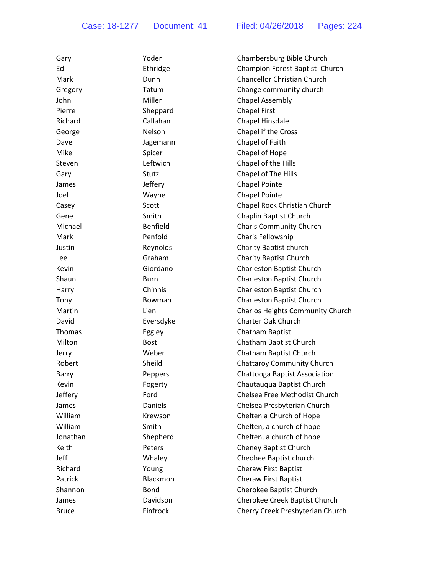| Gary         | Yoder       | Chambersburg Bible Church               |
|--------------|-------------|-----------------------------------------|
| Ed           | Ethridge    | Champion Forest Baptist Church          |
| Mark         | Dunn        | <b>Chancellor Christian Church</b>      |
| Gregory      | Tatum       | Change community church                 |
| John         | Miller      | <b>Chapel Assembly</b>                  |
| Pierre       | Sheppard    | <b>Chapel First</b>                     |
| Richard      | Callahan    | Chapel Hinsdale                         |
| George       | Nelson      | Chapel if the Cross                     |
| Dave         | Jagemann    | Chapel of Faith                         |
| Mike         | Spicer      | Chapel of Hope                          |
| Steven       | Leftwich    | Chapel of the Hills                     |
| Gary         | Stutz       | Chapel of The Hills                     |
| James        | Jeffery     | <b>Chapel Pointe</b>                    |
| Joel         | Wayne       | <b>Chapel Pointe</b>                    |
| Casey        | Scott       | Chapel Rock Christian Church            |
| Gene         | Smith       | Chaplin Baptist Church                  |
| Michael      | Benfield    | <b>Charis Community Church</b>          |
| Mark         | Penfold     | Charis Fellowship                       |
| Justin       | Reynolds    | Charity Baptist church                  |
| Lee          | Graham      | <b>Charity Baptist Church</b>           |
| Kevin        | Giordano    | Charleston Baptist Church               |
| Shaun        | Burn        | Charleston Baptist Church               |
| Harry        | Chinnis     | Charleston Baptist Church               |
| Tony         | Bowman      | Charleston Baptist Church               |
| Martin       | Lien        | <b>Charlos Heights Community Church</b> |
| David        | Eversdyke   | <b>Charter Oak Church</b>               |
| Thomas       | Eggley      | Chatham Baptist                         |
| Milton       | <b>Bost</b> | Chatham Baptist Church                  |
| Jerry        | Weber       | Chatham Baptist Church                  |
| Robert       | Sheild      | Chattaroy Community Church              |
| Barry        | Peppers     | Chattooga Baptist Association           |
| Kevin        | Fogerty     | Chautauqua Baptist Church               |
| Jeffery      | Ford        | Chelsea Free Methodist Church           |
| James        | Daniels     | Chelsea Presbyterian Church             |
| William      | Krewson     | Chelten a Church of Hope                |
| William      | Smith       | Chelten, a church of hope               |
| Jonathan     | Shepherd    | Chelten, a church of hope               |
| Keith        | Peters      | Cheney Baptist Church                   |
| Jeff         | Whaley      | Cheohee Baptist church                  |
| Richard      | Young       | Cheraw First Baptist                    |
| Patrick      | Blackmon    | Cheraw First Baptist                    |
| Shannon      | Bond        | Cherokee Baptist Church                 |
| James        | Davidson    | Cherokee Creek Baptist Church           |
| <b>Bruce</b> | Finfrock    | Cherry Creek Presbyterian Church        |
|              |             |                                         |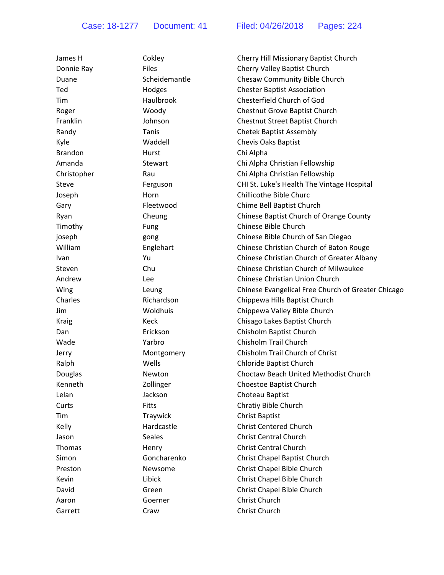| James H        | Cokley         | Cherry Hill Missionary Baptist Church              |
|----------------|----------------|----------------------------------------------------|
| Donnie Ray     | <b>Files</b>   | Cherry Valley Baptist Church                       |
| Duane          | Scheidemantle  | Chesaw Community Bible Church                      |
| Ted            | Hodges         | <b>Chester Baptist Association</b>                 |
| Tim            | Haulbrook      | Chesterfield Church of God                         |
| Roger          | Woody          | Chestnut Grove Baptist Church                      |
| Franklin       | Johnson        | Chestnut Street Baptist Church                     |
| Randy          | Tanis          | <b>Chetek Baptist Assembly</b>                     |
| Kyle           | Waddell        | <b>Chevis Oaks Baptist</b>                         |
| <b>Brandon</b> | Hurst          | Chi Alpha                                          |
| Amanda         | <b>Stewart</b> | Chi Alpha Christian Fellowship                     |
| Christopher    | Rau            | Chi Alpha Christian Fellowship                     |
| Steve          | Ferguson       | CHI St. Luke's Health The Vintage Hospital         |
| Joseph         | Horn           | Chillicothe Bible Churc                            |
| Gary           | Fleetwood      | Chime Bell Baptist Church                          |
| Ryan           | Cheung         | Chinese Baptist Church of Orange County            |
| Timothy        | Fung           | Chinese Bible Church                               |
| joseph         | gong           | Chinese Bible Church of San Diegao                 |
| William        | Englehart      | Chinese Christian Church of Baton Rouge            |
| Ivan           | Yu             | Chinese Christian Church of Greater Albany         |
| Steven         | Chu            | Chinese Christian Church of Milwaukee              |
| Andrew         | Lee            | Chinese Christian Union Church                     |
| Wing           | Leung          | Chinese Evangelical Free Church of Greater Chicago |
| Charles        | Richardson     | Chippewa Hills Baptist Church                      |
| <b>Jim</b>     | Woldhuis       | Chippewa Valley Bible Church                       |
| <b>Kraig</b>   | Keck           | Chisago Lakes Baptist Church                       |
| Dan            | Erickson       | Chisholm Baptist Church                            |
| Wade           | Yarbro         | Chisholm Trail Church                              |
| Jerry          | Montgomery     | Chisholm Trail Church of Christ                    |
| Ralph          | Wells          | Chloride Baptist Church                            |
| Douglas        | <b>Newton</b>  | Choctaw Beach United Methodist Church              |
| Kenneth        | Zollinger      | Choestoe Baptist Church                            |
| Lelan          | Jackson        | Choteau Baptist                                    |
| Curts          | <b>Fitts</b>   | Chratiy Bible Church                               |
| Tim            | Traywick       | <b>Christ Baptist</b>                              |
| Kelly          | Hardcastle     | <b>Christ Centered Church</b>                      |
| Jason          | <b>Seales</b>  | <b>Christ Central Church</b>                       |
| Thomas         | Henry          | <b>Christ Central Church</b>                       |
| Simon          | Goncharenko    | Christ Chapel Baptist Church                       |
| Preston        | Newsome        | Christ Chapel Bible Church                         |
| Kevin          | Libick         | Christ Chapel Bible Church                         |
| David          | Green          | Christ Chapel Bible Church                         |
| Aaron          | Goerner        | Christ Church                                      |
| Garrett        | Craw           | Christ Church                                      |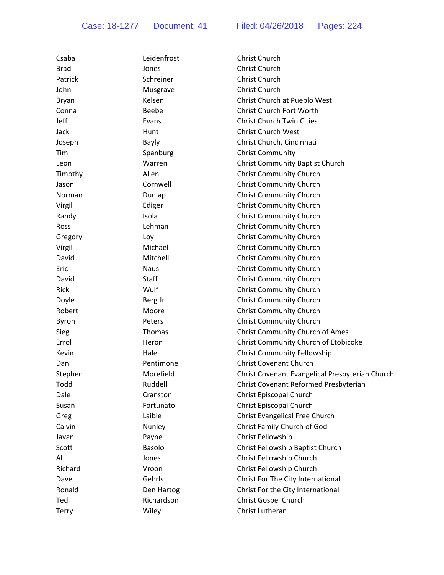| Csaba        | Leidenfrost  | Christ Church                                   |
|--------------|--------------|-------------------------------------------------|
| <b>Brad</b>  | Jones        | Christ Church                                   |
| Patrick      | Schreiner    | Christ Church                                   |
| John         | Musgrave     | Christ Church                                   |
| <b>Bryan</b> | Kelsen       | Christ Church at Pueblo West                    |
| Conna        | Beebe        | Christ Church Fort Worth                        |
| Jeff         | Evans        | <b>Christ Church Twin Cities</b>                |
| Jack         | Hunt         | <b>Christ Church West</b>                       |
| Joseph       | <b>Bayly</b> | Christ Church, Cincinnati                       |
| Tim          | Spanburg     | <b>Christ Community</b>                         |
| Leon         | Warren       | <b>Christ Community Baptist Church</b>          |
| Timothy      | Allen        | <b>Christ Community Church</b>                  |
| Jason        | Cornwell     | <b>Christ Community Church</b>                  |
| Norman       | Dunlap       | <b>Christ Community Church</b>                  |
| Virgil       | Ediger       | <b>Christ Community Church</b>                  |
| Randy        | Isola        | <b>Christ Community Church</b>                  |
| Ross         | Lehman       | <b>Christ Community Church</b>                  |
| Gregory      | Loy          | <b>Christ Community Church</b>                  |
| Virgil       | Michael      | <b>Christ Community Church</b>                  |
| David        | Mitchell     | <b>Christ Community Church</b>                  |
| Eric         | <b>Naus</b>  | <b>Christ Community Church</b>                  |
| David        | <b>Staff</b> | <b>Christ Community Church</b>                  |
| Rick         | Wulf         | <b>Christ Community Church</b>                  |
| Doyle        | Berg Jr      | <b>Christ Community Church</b>                  |
| Robert       | Moore        | <b>Christ Community Church</b>                  |
| Byron        | Peters       | <b>Christ Community Church</b>                  |
| <b>Sieg</b>  | Thomas       | Christ Community Church of Ames                 |
| Errol        | Heron        | Christ Community Church of Etobicoke            |
| Kevin        | Hale         | <b>Christ Community Fellowship</b>              |
| Dan          | Pentimone    | <b>Christ Covenant Church</b>                   |
| Stephen      | Morefield    | Christ Covenant Evangelical Presbyterian Church |
| Todd         | Ruddell      | Christ Covenant Reformed Presbyterian           |
| Dale         | Cranston     | Christ Episcopal Church                         |
| Susan        | Fortunato    | Christ Episcopal Church                         |
| Greg         | Laible       | Christ Evangelical Free Church                  |
| Calvin       | Nunley       | Christ Family Church of God                     |
| Javan        | Payne        | Christ Fellowship                               |
| Scott        | Basolo       | Christ Fellowship Baptist Church                |
| Al           | Jones        | Christ Fellowship Church                        |
| Richard      | Vroon        | Christ Fellowship Church                        |
| Dave         | Gehrls       | Christ For The City International               |
| Ronald       | Den Hartog   | Christ For the City International               |
| Ted          | Richardson   | Christ Gospel Church                            |
| Terry        | Wiley        | Christ Lutheran                                 |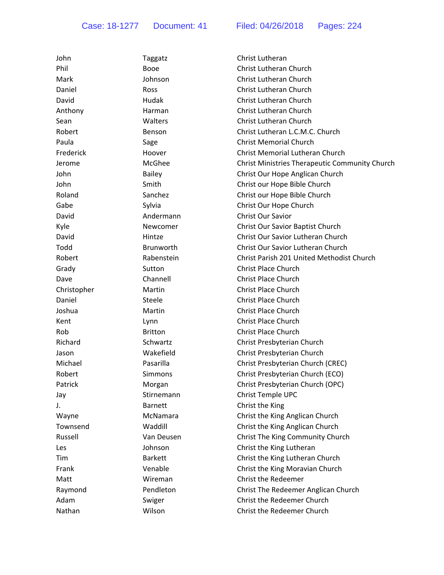| John        | Taggatz        | Christ Lutheran                                |
|-------------|----------------|------------------------------------------------|
| Phil        | Booe           | Christ Lutheran Church                         |
| Mark        | Johnson        | Christ Lutheran Church                         |
| Daniel      | Ross           | Christ Lutheran Church                         |
| David       | Hudak          | Christ Lutheran Church                         |
| Anthony     | Harman         | Christ Lutheran Church                         |
| Sean        | Walters        | Christ Lutheran Church                         |
| Robert      | Benson         | Christ Lutheran L.C.M.C. Church                |
| Paula       | Sage           | <b>Christ Memorial Church</b>                  |
| Frederick   | Hoover         | Christ Memorial Lutheran Church                |
| Jerome      | McGhee         | Christ Ministries Therapeutic Community Church |
| John        | <b>Bailey</b>  | Christ Our Hope Anglican Church                |
| John        | Smith          | Christ our Hope Bible Church                   |
| Roland      | Sanchez        | Christ our Hope Bible Church                   |
| Gabe        | Sylvia         | Christ Our Hope Church                         |
| David       | Andermann      | Christ Our Savior                              |
| Kyle        | Newcomer       | Christ Our Savior Baptist Church               |
| David       | Hintze         | Christ Our Savior Lutheran Church              |
| Todd        | Brunworth      | Christ Our Savior Lutheran Church              |
| Robert      | Rabenstein     | Christ Parish 201 United Methodist Church      |
| Grady       | Sutton         | <b>Christ Place Church</b>                     |
| Dave        | Channell       | <b>Christ Place Church</b>                     |
| Christopher | Martin         | <b>Christ Place Church</b>                     |
| Daniel      | Steele         | <b>Christ Place Church</b>                     |
| Joshua      | Martin         | <b>Christ Place Church</b>                     |
| Kent        | Lynn           | <b>Christ Place Church</b>                     |
| Rob         | <b>Britton</b> | <b>Christ Place Church</b>                     |
| Richard     | Schwartz       | Christ Presbyterian Church                     |
| Jason       | Wakefield      | Christ Presbyterian Church                     |
| Michael     | Pasarilla      | Christ Presbyterian Church (CREC)              |
| Robert      | Simmons        | Christ Presbyterian Church (ECO)               |
| Patrick     | Morgan         | Christ Presbyterian Church (OPC)               |
| Jay         | Stirnemann     | Christ Temple UPC                              |
| J.          | <b>Barnett</b> | Christ the King                                |
| Wayne       | McNamara       | Christ the King Anglican Church                |
| Townsend    | Waddill        | Christ the King Anglican Church                |
| Russell     | Van Deusen     | Christ The King Community Church               |
| Les         | Johnson        | Christ the King Lutheran                       |
| Tim         | <b>Barkett</b> | Christ the King Lutheran Church                |
| Frank       | Venable        | Christ the King Moravian Church                |
| Matt        | Wireman        | <b>Christ the Redeemer</b>                     |
| Raymond     | Pendleton      | Christ The Redeemer Anglican Church            |
| Adam        | Swiger         | Christ the Redeemer Church                     |
| Nathan      | Wilson         | Christ the Redeemer Church                     |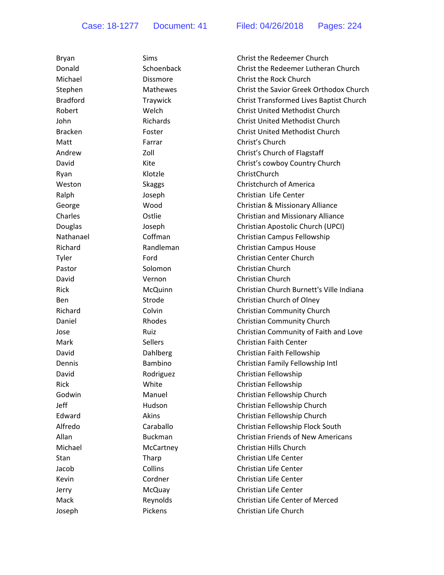| Bryan           | Sims            | Christ the Redeemer Church                |
|-----------------|-----------------|-------------------------------------------|
| Donald          | Schoenback      | Christ the Redeemer Lutheran Church       |
| Michael         | <b>Dissmore</b> | Christ the Rock Church                    |
| Stephen         | Mathewes        | Christ the Savior Greek Orthodox Church   |
| <b>Bradford</b> | Traywick        | Christ Transformed Lives Baptist Church   |
| Robert          | Welch           | <b>Christ United Methodist Church</b>     |
| John            | Richards        | Christ United Methodist Church            |
| <b>Bracken</b>  | Foster          | <b>Christ United Methodist Church</b>     |
| Matt            | Farrar          | Christ's Church                           |
| Andrew          | Zoll            | Christ's Church of Flagstaff              |
| David           | Kite            | Christ's cowboy Country Church            |
| Ryan            | Klotzle         | ChristChurch                              |
| Weston          | <b>Skaggs</b>   | Christchurch of America                   |
| Ralph           | Joseph          | Christian Life Center                     |
| George          | Wood            | Christian & Missionary Alliance           |
| Charles         | Ostlie          | <b>Christian and Missionary Alliance</b>  |
| Douglas         | Joseph          | Christian Apostolic Church (UPCI)         |
| Nathanael       | Coffman         | Christian Campus Fellowship               |
| Richard         | Randleman       | <b>Christian Campus House</b>             |
| Tyler           | Ford            | Christian Center Church                   |
| Pastor          | Solomon         | Christian Church                          |
| David           | Vernon          | Christian Church                          |
| Rick            | McQuinn         | Christian Church Burnett's Ville Indiana  |
| <b>Ben</b>      | Strode          | Christian Church of Olney                 |
| Richard         | Colvin          | Christian Community Church                |
| Daniel          | Rhodes          | Christian Community Church                |
| Jose            | Ruiz            | Christian Community of Faith and Love     |
| Mark            | <b>Sellers</b>  | Christian Faith Center                    |
| David           | Dahlberg        | Christian Faith Fellowship                |
| Dennis          | Bambino         | Christian Family Fellowship Intl          |
| David           | Rodriguez       | Christian Fellowship                      |
| Rick            | White           | Christian Fellowship                      |
| Godwin          | Manuel          | Christian Fellowship Church               |
| Jeff            | Hudson          | Christian Fellowship Church               |
| Edward          | Akins           | Christian Fellowship Church               |
| Alfredo         | Caraballo       | Christian Fellowship Flock South          |
| Allan           | <b>Buckman</b>  | <b>Christian Friends of New Americans</b> |
| Michael         | McCartney       | <b>Christian Hills Church</b>             |
| Stan            | Tharp           | <b>Christian LIfe Center</b>              |
| Jacob           | Collins         | Christian Life Center                     |
| Kevin           | Cordner         | <b>Christian Life Center</b>              |
| Jerry           | McQuay          | Christian Life Center                     |
| Mack            | Reynolds        | Christian Life Center of Merced           |
| Joseph          | Pickens         | Christian Life Church                     |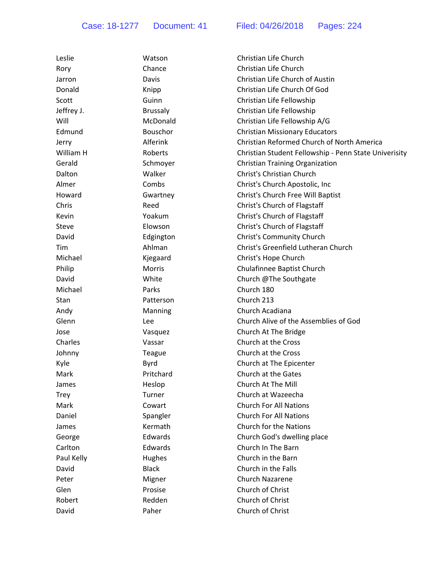| Leslie      | Watson          | Christian Life Church                                 |
|-------------|-----------------|-------------------------------------------------------|
| Rory        | Chance          | Christian Life Church                                 |
| Jarron      | Davis           | Christian Life Church of Austin                       |
| Donald      | Knipp           | Christian Life Church Of God                          |
| Scott       | Guinn           | Christian Life Fellowship                             |
| Jeffrey J.  | <b>Brussaly</b> | Christian Life Fellowship                             |
| Will        | McDonald        | Christian Life Fellowship A/G                         |
| Edmund      | Bouschor        | <b>Christian Missionary Educators</b>                 |
| Jerry       | Alferink        | Christian Reformed Church of North America            |
| William H   | Roberts         | Christian Student Fellowship - Penn State Univerisity |
| Gerald      | Schmoyer        | <b>Christian Training Organization</b>                |
| Dalton      | Walker          | Christ's Christian Church                             |
| Almer       | Combs           | Christ's Church Apostolic, Inc                        |
| Howard      | Gwartney        | Christ's Church Free Will Baptist                     |
| Chris       | Reed            | Christ's Church of Flagstaff                          |
| Kevin       | Yoakum          | Christ's Church of Flagstaff                          |
| Steve       | Elowson         | Christ's Church of Flagstaff                          |
| David       | Edgington       | Christ's Community Church                             |
| Tim         | Ahlman          | Christ's Greenfield Lutheran Church                   |
| Michael     | Kjegaard        | Christ's Hope Church                                  |
| Philip      | Morris          | Chulafinnee Baptist Church                            |
| David       | White           | Church @The Southgate                                 |
| Michael     | Parks           | Church 180                                            |
| Stan        | Patterson       | Church 213                                            |
| Andy        | Manning         | Church Acadiana                                       |
| Glenn       | <b>Lee</b>      | Church Alive of the Assemblies of God                 |
| Jose        | Vasquez         | Church At The Bridge                                  |
| Charles     | Vassar          | Church at the Cross                                   |
| Johnny      | Teague          | Church at the Cross                                   |
| Kyle        | <b>Byrd</b>     | Church at The Epicenter                               |
| Mark        | Pritchard       | <b>Church at the Gates</b>                            |
| James       | Heslop          | Church At The Mill                                    |
| <b>Trey</b> | Turner          | Church at Wazeecha                                    |
| Mark        | Cowart          | <b>Church For All Nations</b>                         |
| Daniel      | Spangler        | <b>Church For All Nations</b>                         |
| James       | Kermath         | Church for the Nations                                |
| George      | Edwards         | Church God's dwelling place                           |
| Carlton     | Edwards         | Church In The Barn                                    |
| Paul Kelly  | Hughes          | Church in the Barn                                    |
| David       | <b>Black</b>    | Church in the Falls                                   |
| Peter       | Migner          | <b>Church Nazarene</b>                                |
| Glen        | Prosise         | Church of Christ                                      |
| Robert      | Redden          | Church of Christ                                      |
| David       | Paher           | Church of Christ                                      |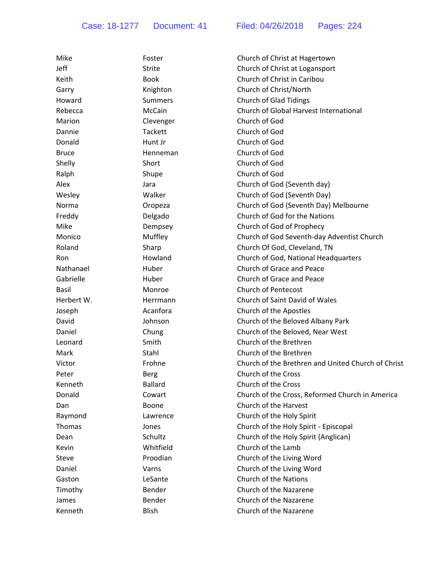Case: 18-1277 Document: 41 Filed: 04/26/2018 Pages: 224

| Mike         | Foster         | Church of Christ at Hagertown                              |
|--------------|----------------|------------------------------------------------------------|
| Jeff         | <b>Strite</b>  | Church of Christ at Logansport                             |
| Keith        | <b>Book</b>    | Church of Christ in Caribou                                |
| Garry        | Knighton       | Church of Christ/North                                     |
| Howard       | <b>Summers</b> | <b>Church of Glad Tidings</b>                              |
| Rebecca      | McCain         | Church of Global Harvest International                     |
| Marion       | Clevenger      | Church of God                                              |
| Dannie       | <b>Tackett</b> | Church of God                                              |
| Donald       | Hunt Jr        | Church of God                                              |
| <b>Bruce</b> | Henneman       | Church of God                                              |
| Shelly       | Short          | Church of God                                              |
| Ralph        | Shupe          | Church of God                                              |
| Alex         | Jara           | Church of God (Seventh day)                                |
| Wesley       | Walker         | Church of God (Seventh Day)                                |
| Norma        | Oropeza        | Church of God (Seventh Day) Melbourne                      |
| Freddy       | Delgado        | Church of God for the Nations                              |
| Mike         | Dempsey        | Church of God of Prophecy                                  |
| Monico       | Muffley        | Church of God Seventh-day Adventist Church                 |
| Roland       | Sharp          | Church Of God, Cleveland, TN                               |
| Ron          | Howland        | Church of God, National Headquarters                       |
| Nathanael    | Huber          | Church of Grace and Peace                                  |
| Gabrielle    | Huber          | Church of Grace and Peace                                  |
| Basil        | Monroe         | <b>Church of Pentecost</b>                                 |
| Herbert W.   |                | Church of Saint David of Wales                             |
|              | Herrmann       |                                                            |
| Joseph       | Acanfora       | Church of the Apostles                                     |
| David        | Johnson        | Church of the Beloved Albany Park                          |
| Daniel       | Chung          | Church of the Beloved, Near West<br>Church of the Brethren |
| Leonard      | Smith          |                                                            |
| Mark         | Stahl          | Church of the Brethren                                     |
| Victor       | Frohne         | Church of the Brethren and United Church of Christ         |
| Peter        | <b>Berg</b>    | Church of the Cross                                        |
| Kenneth      | <b>Ballard</b> | Church of the Cross                                        |
| Donald       | Cowart         | Church of the Cross, Reformed Church in America            |
| Dan          | Boone          | Church of the Harvest                                      |
| Raymond      | Lawrence       | Church of the Holy Spirit                                  |
| Thomas       | Jones          | Church of the Holy Spirit - Episcopal                      |
| Dean         | Schultz        | Church of the Holy Spirit (Anglican)                       |
| Kevin        | Whitfield      | Church of the Lamb                                         |
| <b>Steve</b> | Proodian       | Church of the Living Word                                  |
| Daniel       | Varns          | Church of the Living Word                                  |
| Gaston       | LeSante        | Church of the Nations                                      |
| Timothy      | Bender         | Church of the Nazarene                                     |
| James        | Bender         | Church of the Nazarene                                     |
| Kenneth      | <b>Blish</b>   | Church of the Nazarene                                     |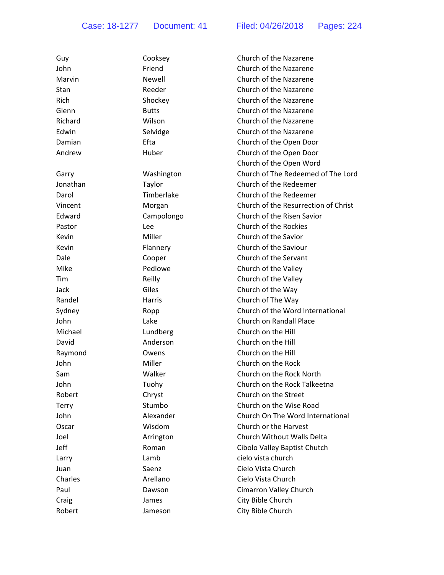Case: 18-1277 Document: 41 Filed: 04/26/2018 Pages: 224

| Guy      | Cooksey      | Church of the Nazarene               |
|----------|--------------|--------------------------------------|
| John     | Friend       | Church of the Nazarene               |
| Marvin   | Newell       | Church of the Nazarene               |
| Stan     | Reeder       | Church of the Nazarene               |
| Rich     | Shockey      | Church of the Nazarene               |
| Glenn    | <b>Butts</b> | Church of the Nazarene               |
| Richard  | Wilson       | Church of the Nazarene               |
| Edwin    | Selvidge     | Church of the Nazarene               |
| Damian   | Efta         | Church of the Open Door              |
| Andrew   | Huber        | Church of the Open Door              |
|          |              | Church of the Open Word              |
| Garry    | Washington   | Church of The Redeemed of The Lord   |
| Jonathan | Taylor       | Church of the Redeemer               |
| Darol    | Timberlake   | Church of the Redeemer               |
| Vincent  | Morgan       | Church of the Resurrection of Christ |
| Edward   | Campolongo   | Church of the Risen Savior           |
| Pastor   | Lee          | <b>Church of the Rockies</b>         |
| Kevin    | Miller       | Church of the Savior                 |
| Kevin    | Flannery     | Church of the Saviour                |
| Dale     | Cooper       | Church of the Servant                |
| Mike     | Pedlowe      | Church of the Valley                 |
| Tim      | Reilly       | Church of the Valley                 |
| Jack     | Giles        | Church of the Way                    |
| Randel   | Harris       | Church of The Way                    |
| Sydney   | Ropp         | Church of the Word International     |
| John     | Lake         | Church on Randall Place              |
| Michael  | Lundberg     | Church on the Hill                   |
| David    | Anderson     | Church on the Hill                   |
| Raymond  | Owens        | Church on the Hill                   |
| John     | Miller       | Church on the Rock                   |
| Sam      | Walker       | Church on the Rock North             |
| John     | Tuohy        | Church on the Rock Talkeetna         |
| Robert   | Chryst       | Church on the Street                 |
| Terry    | Stumbo       | Church on the Wise Road              |
| John     | Alexander    | Church On The Word International     |
| Oscar    | Wisdom       | Church or the Harvest                |
| Joel     | Arrington    | <b>Church Without Walls Delta</b>    |
| Jeff     | Roman        | Cibolo Valley Baptist Chutch         |
| Larry    | Lamb         | cielo vista church                   |
| Juan     | Saenz        | Cielo Vista Church                   |
| Charles  | Arellano     | Cielo Vista Church                   |
| Paul     | Dawson       | Cimarron Valley Church               |
| Craig    | James        | City Bible Church                    |
| Robert   | Jameson      | City Bible Church                    |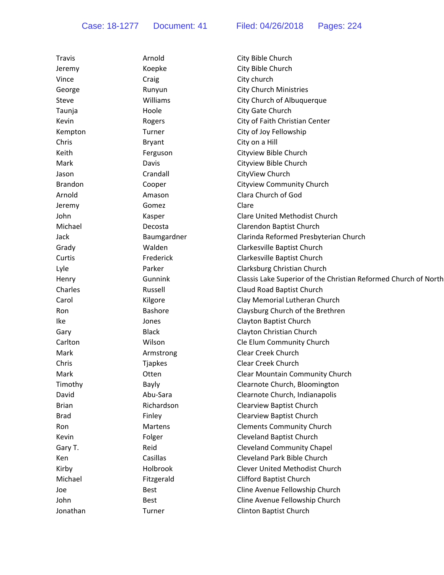| Travis         | Arnold         | City Bible Church                                               |
|----------------|----------------|-----------------------------------------------------------------|
| Jeremy         | Koepke         | City Bible Church                                               |
| Vince          | Craig          | City church                                                     |
| George         | Runyun         | <b>City Church Ministries</b>                                   |
| Steve          | Williams       | City Church of Albuquerque                                      |
| Taunja         | Hoole          | City Gate Church                                                |
| Kevin          | Rogers         | City of Faith Christian Center                                  |
| Kempton        | Turner         | City of Joy Fellowship                                          |
| Chris          | <b>Bryant</b>  | City on a Hill                                                  |
| Keith          | Ferguson       | Cityview Bible Church                                           |
| Mark           | Davis          | Cityview Bible Church                                           |
| Jason          | Crandall       | CityView Church                                                 |
| <b>Brandon</b> | Cooper         | Cityview Community Church                                       |
| Arnold         | Amason         | Clara Church of God                                             |
| Jeremy         | Gomez          | Clare                                                           |
| John           | Kasper         | <b>Clare United Methodist Church</b>                            |
| Michael        | Decosta        | Clarendon Baptist Church                                        |
| Jack           | Baumgardner    | Clarinda Reformed Presbyterian Church                           |
| Grady          | Walden         | Clarkesville Baptist Church                                     |
| Curtis         | Frederick      | Clarkesville Baptist Church                                     |
| Lyle           | Parker         | Clarksburg Christian Church                                     |
| Henry          | Gunnink        | Classis Lake Superior of the Christian Reformed Church of North |
| Charles        | Russell        | <b>Claud Road Baptist Church</b>                                |
| Carol          | Kilgore        | Clay Memorial Lutheran Church                                   |
| Ron            | <b>Bashore</b> | Claysburg Church of the Brethren                                |
| Ike            | Jones          | Clayton Baptist Church                                          |
| Gary           | <b>Black</b>   | Clayton Christian Church                                        |
| Carlton        | Wilson         | Cle Elum Community Church                                       |
| Mark           | Armstrong      | <b>Clear Creek Church</b>                                       |
| Chris          | <b>Tjapkes</b> | <b>Clear Creek Church</b>                                       |
| Mark           | Otten          | <b>Clear Mountain Community Church</b>                          |
| Timothy        | <b>Bayly</b>   | Clearnote Church, Bloomington                                   |
| David          | Abu-Sara       | Clearnote Church, Indianapolis                                  |
| <b>Brian</b>   | Richardson     | <b>Clearview Baptist Church</b>                                 |
| <b>Brad</b>    | Finley         | <b>Clearview Baptist Church</b>                                 |
| Ron            | Martens        | <b>Clements Community Church</b>                                |
| Kevin          | Folger         | <b>Cleveland Baptist Church</b>                                 |
| Gary T.        | Reid           | <b>Cleveland Community Chapel</b>                               |
| Ken            | Casillas       | Cleveland Park Bible Church                                     |
| Kirby          | Holbrook       | Clever United Methodist Church                                  |
| Michael        | Fitzgerald     | <b>Clifford Baptist Church</b>                                  |
| Joe            | <b>Best</b>    | Cline Avenue Fellowship Church                                  |
| John           | <b>Best</b>    | Cline Avenue Fellowship Church                                  |
| Jonathan       | Turner         | <b>Clinton Baptist Church</b>                                   |
|                |                |                                                                 |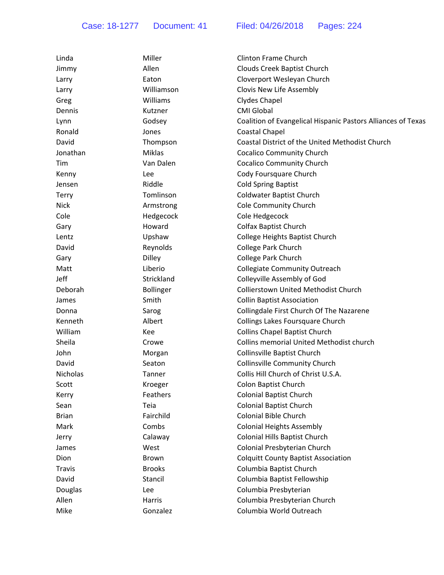| Allen<br>Clouds Creek Baptist Church<br>Jimmy<br>Cloverport Wesleyan Church<br>Eaton<br>Larry |  |
|-----------------------------------------------------------------------------------------------|--|
|                                                                                               |  |
|                                                                                               |  |
| Williamson<br>Clovis New Life Assembly<br>Larry                                               |  |
| Williams<br><b>Clydes Chapel</b><br>Greg                                                      |  |
| <b>CMI Global</b><br>Dennis<br>Kutzner                                                        |  |
| Coalition of Evangelical Hispanic Pastors Alliances of Texas<br>Godsey<br>Lynn                |  |
| Ronald<br>Jones<br>Coastal Chapel                                                             |  |
| David<br>Coastal District of the United Methodist Church<br>Thompson                          |  |
| Miklas<br>Jonathan<br><b>Cocalico Community Church</b>                                        |  |
| <b>Cocalico Community Church</b><br>Van Dalen<br>Tim                                          |  |
| Cody Foursquare Church<br>Kenny<br>Lee                                                        |  |
| <b>Cold Spring Baptist</b><br>Riddle<br>Jensen                                                |  |
| Tomlinson<br><b>Coldwater Baptist Church</b><br>Terry                                         |  |
| Cole Community Church<br><b>Nick</b><br>Armstrong                                             |  |
| Cole Hedgecock<br>Cole<br>Hedgecock                                                           |  |
| Howard<br><b>Colfax Baptist Church</b><br>Gary                                                |  |
| Upshaw<br>College Heights Baptist Church<br>Lentz                                             |  |
| College Park Church<br>Reynolds<br>David                                                      |  |
| Dilley<br><b>College Park Church</b><br>Gary                                                  |  |
| Liberio<br><b>Collegiate Community Outreach</b><br>Matt                                       |  |
| Jeff<br>Strickland<br>Colleyville Assembly of God                                             |  |
| Deborah<br><b>Collierstown United Methodist Church</b><br><b>Bollinger</b>                    |  |
| Smith<br><b>Collin Baptist Association</b><br>James                                           |  |
| Collingdale First Church Of The Nazarene<br>Donna<br>Sarog                                    |  |
| Kenneth<br>Albert<br>Collings Lakes Foursquare Church                                         |  |
| William<br><b>Collins Chapel Baptist Church</b><br>Kee                                        |  |
| <b>Collins memorial United Methodist church</b><br>Sheila<br>Crowe                            |  |
| John<br>Collinsville Baptist Church<br>Morgan                                                 |  |
| <b>Collinsville Community Church</b><br>David<br>Seaton                                       |  |
| Collis Hill Church of Christ U.S.A.<br><b>Nicholas</b><br>Tanner                              |  |
| Scott<br>Colon Baptist Church<br>Kroeger                                                      |  |
| Feathers<br><b>Colonial Baptist Church</b><br>Kerry                                           |  |
| <b>Colonial Baptist Church</b><br>Sean<br>Teia                                                |  |
| Fairchild<br><b>Colonial Bible Church</b><br><b>Brian</b>                                     |  |
| Combs<br>Mark<br><b>Colonial Heights Assembly</b>                                             |  |
| Colonial Hills Baptist Church<br>Calaway<br>Jerry                                             |  |
| Colonial Presbyterian Church<br>West<br>James                                                 |  |
| <b>Colquitt County Baptist Association</b><br>Dion<br><b>Brown</b>                            |  |
| Columbia Baptist Church<br><b>Travis</b><br><b>Brooks</b>                                     |  |
| Columbia Baptist Fellowship<br>David<br>Stancil                                               |  |
| Douglas<br>Columbia Presbyterian<br>Lee                                                       |  |
| Allen<br>Columbia Presbyterian Church<br>Harris                                               |  |
| Columbia World Outreach<br>Mike<br>Gonzalez                                                   |  |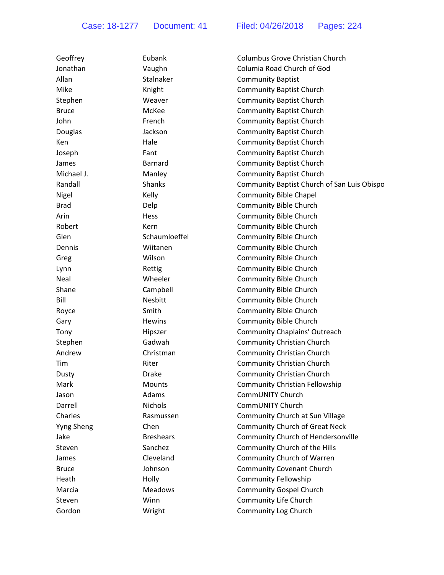| Geoffrey          | Eubank           | Columbus Grove Christian Church             |
|-------------------|------------------|---------------------------------------------|
| Jonathan          | Vaughn           | Columia Road Church of God                  |
| Allan             | Stalnaker        | <b>Community Baptist</b>                    |
| Mike              | Knight           | <b>Community Baptist Church</b>             |
| Stephen           | Weaver           | <b>Community Baptist Church</b>             |
| <b>Bruce</b>      | McKee            | <b>Community Baptist Church</b>             |
| John              | French           | <b>Community Baptist Church</b>             |
| Douglas           | Jackson          | <b>Community Baptist Church</b>             |
| Ken               | Hale             | <b>Community Baptist Church</b>             |
| Joseph            | Fant             | <b>Community Baptist Church</b>             |
| James             | Barnard          | <b>Community Baptist Church</b>             |
| Michael J.        | Manley           | <b>Community Baptist Church</b>             |
| Randall           | Shanks           | Community Baptist Church of San Luis Obispo |
| Nigel             | Kelly            | <b>Community Bible Chapel</b>               |
| <b>Brad</b>       | Delp             | <b>Community Bible Church</b>               |
| Arin              | Hess             | <b>Community Bible Church</b>               |
| Robert            | Kern             | <b>Community Bible Church</b>               |
| Glen              | Schaumloeffel    | <b>Community Bible Church</b>               |
| Dennis            | Wiitanen         | <b>Community Bible Church</b>               |
| Greg              | Wilson           | <b>Community Bible Church</b>               |
| Lynn              | Rettig           | <b>Community Bible Church</b>               |
| Neal              | Wheeler          | <b>Community Bible Church</b>               |
| Shane             | Campbell         | <b>Community Bible Church</b>               |
| Bill              | Nesbitt          | <b>Community Bible Church</b>               |
| Royce             | Smith            | <b>Community Bible Church</b>               |
| Gary              | <b>Hewins</b>    | Community Bible Church                      |
| Tony              | Hipszer          | <b>Community Chaplains' Outreach</b>        |
| Stephen           | Gadwah           | Community Christian Church                  |
| Andrew            | Christman        | Community Christian Church                  |
| Tim               | Riter            | Community Christian Church                  |
| Dusty             | <b>Drake</b>     | Community Christian Church                  |
| Mark              | Mounts           | <b>Community Christian Fellowship</b>       |
| Jason             | Adams            | CommUNITY Church                            |
| Darrell           | <b>Nichols</b>   | CommUNITY Church                            |
| Charles           | Rasmussen        | Community Church at Sun Village             |
| <b>Yyng Sheng</b> | Chen             | <b>Community Church of Great Neck</b>       |
| Jake              | <b>Breshears</b> | Community Church of Hendersonville          |
| Steven            | Sanchez          | Community Church of the Hills               |
| James             | Cleveland        | Community Church of Warren                  |
| <b>Bruce</b>      | Johnson          | <b>Community Covenant Church</b>            |
| Heath             | Holly            | <b>Community Fellowship</b>                 |
| Marcia            | <b>Meadows</b>   | <b>Community Gospel Church</b>              |
| Steven            | Winn             | Community Life Church                       |
| Gordon            | Wright           | Community Log Church                        |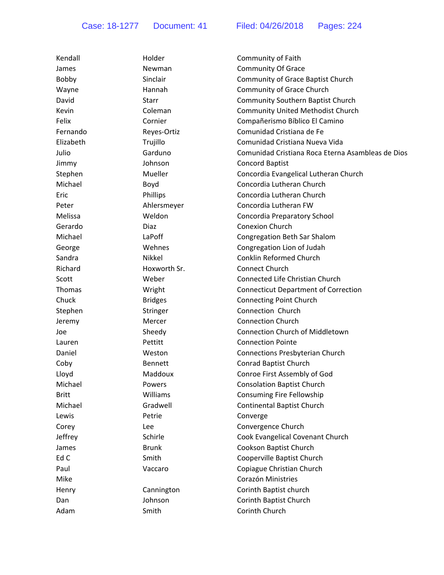| Kendall      | Holder         | Community of Faith                                |
|--------------|----------------|---------------------------------------------------|
| James        | Newman         | <b>Community Of Grace</b>                         |
| Bobby        | Sinclair       | Community of Grace Baptist Church                 |
| Wayne        | Hannah         | Community of Grace Church                         |
| David        | <b>Starr</b>   | Community Southern Baptist Church                 |
| Kevin        | Coleman        | Community United Methodist Church                 |
| Felix        | Cornier        | Compañerismo Bíblico El Camino                    |
| Fernando     | Reyes-Ortiz    | Comunidad Cristiana de Fe                         |
| Elizabeth    | Trujillo       | Comunidad Cristiana Nueva Vida                    |
| Julio        | Garduno        | Comunidad Cristiana Roca Eterna Asambleas de Dios |
| Jimmy        | Johnson        | Concord Baptist                                   |
| Stephen      | Mueller        | Concordia Evangelical Lutheran Church             |
| Michael      | Boyd           | Concordia Lutheran Church                         |
| Eric         | Phillips       | Concordia Lutheran Church                         |
| Peter        | Ahlersmeyer    | Concordia Lutheran FW                             |
| Melissa      | Weldon         | Concordia Preparatory School                      |
| Gerardo      | Diaz           | <b>Conexion Church</b>                            |
| Michael      | LaPoff         | Congregation Beth Sar Shalom                      |
| George       | Wehnes         | Congregation Lion of Judah                        |
| Sandra       | Nikkel         | <b>Conklin Reformed Church</b>                    |
| Richard      | Hoxworth Sr.   | Connect Church                                    |
| Scott        | Weber          | Connected Life Christian Church                   |
| Thomas       | Wright         | <b>Connecticut Department of Correction</b>       |
| Chuck        | <b>Bridges</b> | <b>Connecting Point Church</b>                    |
| Stephen      | Stringer       | Connection Church                                 |
| Jeremy       | Mercer         | <b>Connection Church</b>                          |
| Joe          | Sheedy         | <b>Connection Church of Middletown</b>            |
| Lauren       | Pettitt        | <b>Connection Pointe</b>                          |
| Daniel       | Weston         | Connections Presbyterian Church                   |
| Coby         | <b>Bennett</b> | Conrad Baptist Church                             |
| Lloyd        | Maddoux        | Conroe First Assembly of God                      |
| Michael      | Powers         | <b>Consolation Baptist Church</b>                 |
| <b>Britt</b> | Williams       | Consuming Fire Fellowship                         |
| Michael      | Gradwell       | <b>Continental Baptist Church</b>                 |
| Lewis        | Petrie         | Converge                                          |
| Corey        | Lee            | Convergence Church                                |
| Jeffrey      | Schirle        | Cook Evangelical Covenant Church                  |
| James        | <b>Brunk</b>   | Cookson Baptist Church                            |
| Ed C         | Smith          | Cooperville Baptist Church                        |
| Paul         | Vaccaro        | Copiague Christian Church                         |
| Mike         |                | Corazón Ministries                                |
| Henry        | Cannington     | Corinth Baptist church                            |
| Dan          | Johnson        | Corinth Baptist Church                            |
| Adam         | Smith          | Corinth Church                                    |
|              |                |                                                   |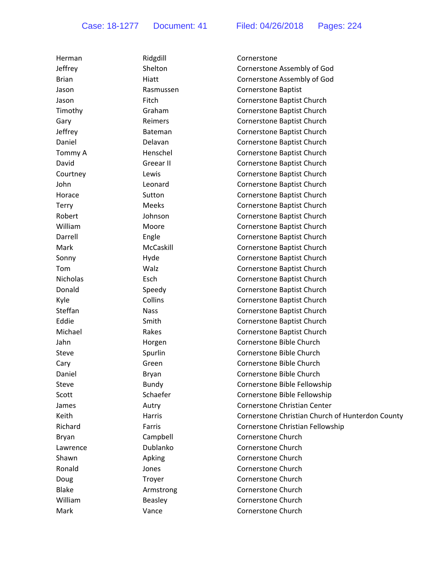| Herman       | Ridgdill       | Cornerstone                                      |
|--------------|----------------|--------------------------------------------------|
| Jeffrey      | Shelton        | Cornerstone Assembly of God                      |
| <b>Brian</b> | Hiatt          | Cornerstone Assembly of God                      |
| Jason        | Rasmussen      | <b>Cornerstone Baptist</b>                       |
| Jason        | Fitch          | Cornerstone Baptist Church                       |
| Timothy      | Graham         | Cornerstone Baptist Church                       |
| Gary         | Reimers        | Cornerstone Baptist Church                       |
| Jeffrey      | Bateman        | Cornerstone Baptist Church                       |
| Daniel       | Delavan        | Cornerstone Baptist Church                       |
| Tommy A      | Henschel       | Cornerstone Baptist Church                       |
| David        | Greear II      | Cornerstone Baptist Church                       |
| Courtney     | Lewis          | Cornerstone Baptist Church                       |
| John         | Leonard        | Cornerstone Baptist Church                       |
| Horace       | Sutton         | Cornerstone Baptist Church                       |
| <b>Terry</b> | Meeks          | Cornerstone Baptist Church                       |
| Robert       | Johnson        | Cornerstone Baptist Church                       |
| William      | Moore          | Cornerstone Baptist Church                       |
| Darrell      | Engle          | Cornerstone Baptist Church                       |
| Mark         | McCaskill      | Cornerstone Baptist Church                       |
| Sonny        | Hyde           | Cornerstone Baptist Church                       |
| Tom          | Walz           | Cornerstone Baptist Church                       |
| Nicholas     | Esch           | Cornerstone Baptist Church                       |
| Donald       | Speedy         | Cornerstone Baptist Church                       |
| Kyle         | Collins        | Cornerstone Baptist Church                       |
| Steffan      | <b>Nass</b>    | Cornerstone Baptist Church                       |
| Eddie        | Smith          | Cornerstone Baptist Church                       |
| Michael      | Rakes          | Cornerstone Baptist Church                       |
| Jahn         | Horgen         | Cornerstone Bible Church                         |
| Steve        | Spurlin        | Cornerstone Bible Church                         |
| Cary         | Green          | Cornerstone Bible Church                         |
| Daniel       | <b>Bryan</b>   | Cornerstone Bible Church                         |
| Steve        | <b>Bundy</b>   | Cornerstone Bible Fellowship                     |
| Scott        | Schaefer       | Cornerstone Bible Fellowship                     |
| James        | Autry          | Cornerstone Christian Center                     |
| Keith        | Harris         | Cornerstone Christian Church of Hunterdon County |
| Richard      | Farris         | Cornerstone Christian Fellowship                 |
| Bryan        | Campbell       | Cornerstone Church                               |
| Lawrence     | Dublanko       | Cornerstone Church                               |
| Shawn        | Apking         | Cornerstone Church                               |
| Ronald       | Jones          | <b>Cornerstone Church</b>                        |
| Doug         | Troyer         | Cornerstone Church                               |
| <b>Blake</b> | Armstrong      | Cornerstone Church                               |
| William      | <b>Beasley</b> | Cornerstone Church                               |
| Mark         | Vance          | Cornerstone Church                               |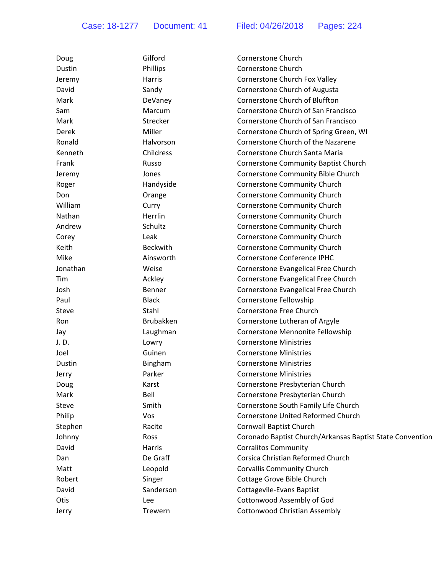| Doug     | Gilford         | Cornerstone Church                                        |
|----------|-----------------|-----------------------------------------------------------|
| Dustin   | Phillips        | Cornerstone Church                                        |
| Jeremy   | Harris          | Cornerstone Church Fox Valley                             |
| David    | Sandy           | Cornerstone Church of Augusta                             |
| Mark     | DeVaney         | Cornerstone Church of Bluffton                            |
| Sam      | Marcum          | Cornerstone Church of San Francisco                       |
| Mark     | Strecker        | Cornerstone Church of San Francisco                       |
| Derek    | Miller          | Cornerstone Church of Spring Green, WI                    |
| Ronald   | Halvorson       | Cornerstone Church of the Nazarene                        |
| Kenneth  | Childress       | Cornerstone Church Santa Maria                            |
| Frank    | Russo           | Cornerstone Community Baptist Church                      |
| Jeremy   | Jones           | Cornerstone Community Bible Church                        |
| Roger    | Handyside       | Cornerstone Community Church                              |
| Don      | Orange          | Cornerstone Community Church                              |
| William  | Curry           | <b>Cornerstone Community Church</b>                       |
| Nathan   | Herrlin         | Cornerstone Community Church                              |
| Andrew   | Schultz         | Cornerstone Community Church                              |
| Corey    | Leak            | <b>Cornerstone Community Church</b>                       |
| Keith    | <b>Beckwith</b> | Cornerstone Community Church                              |
| Mike     | Ainsworth       | Cornerstone Conference IPHC                               |
| Jonathan | Weise           | Cornerstone Evangelical Free Church                       |
| Tim      | Ackley          | Cornerstone Evangelical Free Church                       |
| Josh     | Benner          | Cornerstone Evangelical Free Church                       |
| Paul     | <b>Black</b>    | Cornerstone Fellowship                                    |
| Steve    | Stahl           | Cornerstone Free Church                                   |
| Ron      | Brubakken       | Cornerstone Lutheran of Argyle                            |
| Jay      | Laughman        | Cornerstone Mennonite Fellowship                          |
| J.D.     | Lowry           | <b>Cornerstone Ministries</b>                             |
| Joel     | Guinen          | <b>Cornerstone Ministries</b>                             |
| Dustin   | Bingham         | <b>Cornerstone Ministries</b>                             |
| Jerry    | Parker          | <b>Cornerstone Ministries</b>                             |
| Doug     | Karst           | Cornerstone Presbyterian Church                           |
| Mark     | Bell            | Cornerstone Presbyterian Church                           |
| Steve    | Smith           | Cornerstone South Family Life Church                      |
| Philip   | Vos             | Cornerstone United Reformed Church                        |
| Stephen  | Racite          | <b>Cornwall Baptist Church</b>                            |
| Johnny   | Ross            | Coronado Baptist Church/Arkansas Baptist State Convention |
| David    | Harris          | <b>Corralitos Community</b>                               |
| Dan      | De Graff        | Corsica Christian Reformed Church                         |
| Matt     | Leopold         | <b>Corvallis Community Church</b>                         |
| Robert   | Singer          | Cottage Grove Bible Church                                |
| David    | Sanderson       | Cottagevile-Evans Baptist                                 |
| Otis     | Lee             | Cottonwood Assembly of God                                |
| Jerry    | Trewern         | <b>Cottonwood Christian Assembly</b>                      |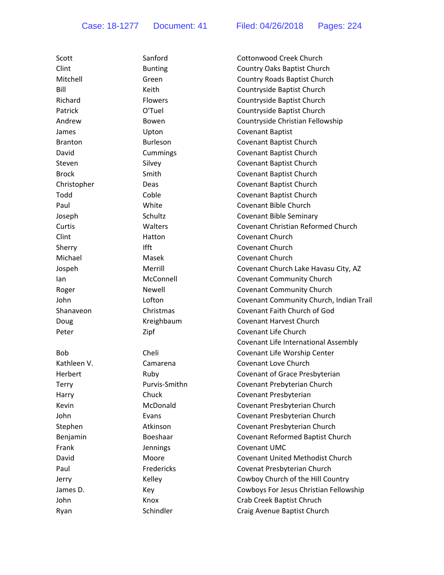| Scott          | Sanford         | Cottonwood Creek Church                 |
|----------------|-----------------|-----------------------------------------|
| Clint          | <b>Bunting</b>  | Country Oaks Baptist Church             |
| Mitchell       | Green           | Country Roads Baptist Church            |
| Bill           | Keith           | Countryside Baptist Church              |
| Richard        | Flowers         | Countryside Baptist Church              |
| Patrick        | O'Tuel          | Countryside Baptist Church              |
| Andrew         | Bowen           | Countryside Christian Fellowship        |
| James          | Upton           | <b>Covenant Baptist</b>                 |
| <b>Branton</b> | Burleson        | Covenant Baptist Church                 |
| David          | Cummings        | Covenant Baptist Church                 |
| Steven         | Silvey          | Covenant Baptist Church                 |
| <b>Brock</b>   | Smith           | Covenant Baptist Church                 |
| Christopher    | Deas            | Covenant Baptist Church                 |
| Todd           | Coble           | Covenant Baptist Church                 |
| Paul           | White           | Covenant Bible Church                   |
| Joseph         | Schultz         | <b>Covenant Bible Seminary</b>          |
| Curtis         | Walters         | Covenant Christian Reformed Church      |
| Clint          | Hatton          | Covenant Church                         |
| Sherry         | Ifft            | Covenant Church                         |
| Michael        | Masek           | <b>Covenant Church</b>                  |
| Jospeh         | Merrill         | Covenant Church Lake Havasu City, AZ    |
| lan            | McConnell       | Covenant Community Church               |
| Roger          | Newell          | <b>Covenant Community Church</b>        |
| John           | Lofton          | Covenant Community Church, Indian Trail |
| Shanaveon      | Christmas       | Covenant Faith Church of God            |
| Doug           | Kreighbaum      | Covenant Harvest Church                 |
| Peter          | Zipf            | Covenant Life Church                    |
|                |                 | Covenant Life International Assembly    |
| <b>Bob</b>     | Cheli           | Covenant Life Worship Center            |
| Kathleen V.    | Camarena        | <b>Covenant Love Church</b>             |
| Herbert        | Ruby            | Covenant of Grace Presbyterian          |
| Terry          | Purvis-Smithn   | Covenant Prebyterian Church             |
| Harry          | Chuck           | Covenant Presbyterian                   |
| Kevin          | McDonald        | Covenant Presbyterian Church            |
| John           | Evans           | Covenant Presbyterian Church            |
| Stephen        | Atkinson        | Covenant Presbyterian Church            |
| Benjamin       | Boeshaar        | Covenant Reformed Baptist Church        |
| Frank          | <b>Jennings</b> | Covenant UMC                            |
| David          | Moore           | Covenant United Methodist Church        |
| Paul           | Fredericks      | Covenat Presbyterian Church             |
| Jerry          | Kelley          | Cowboy Church of the Hill Country       |
| James D.       | Key             | Cowboys For Jesus Christian Fellowship  |
| John           | Knox            | Crab Creek Baptist Chruch               |
| Ryan           | Schindler       | Craig Avenue Baptist Church             |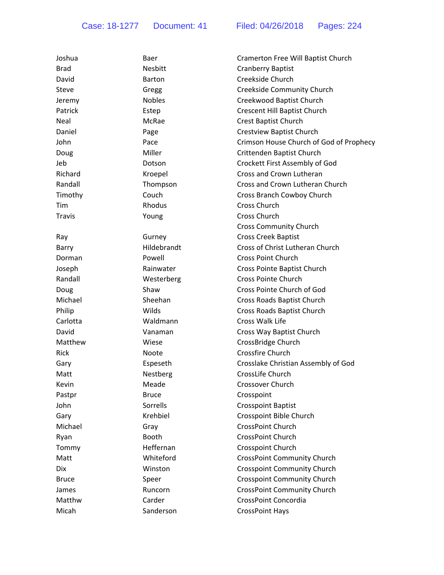| Joshua        | Baer           | Cramerton Free Will Baptist Church      |
|---------------|----------------|-----------------------------------------|
| <b>Brad</b>   | <b>Nesbitt</b> | <b>Cranberry Baptist</b>                |
| David         | <b>Barton</b>  | Creekside Church                        |
| Steve         | Gregg          | Creekside Community Church              |
| Jeremy        | <b>Nobles</b>  | Creekwood Baptist Church                |
| Patrick       | Estep          | Crescent Hill Baptist Church            |
| Neal          | McRae          | <b>Crest Baptist Church</b>             |
| Daniel        | Page           | <b>Crestview Baptist Church</b>         |
| John          | Pace           | Crimson House Church of God of Prophecy |
| Doug          | Miller         | Crittenden Baptist Church               |
| Jeb           | Dotson         | Crockett First Assembly of God          |
| Richard       | Kroepel        | Cross and Crown Lutheran                |
| Randall       | Thompson       | Cross and Crown Lutheran Church         |
| Timothy       | Couch          | Cross Branch Cowboy Church              |
| Tim           | <b>Rhodus</b>  | Cross Church                            |
| <b>Travis</b> | Young          | Cross Church                            |
|               |                | <b>Cross Community Church</b>           |
| Ray           | Gurney         | <b>Cross Creek Baptist</b>              |
| Barry         | Hildebrandt    | Cross of Christ Lutheran Church         |
| Dorman        | Powell         | <b>Cross Point Church</b>               |
| Joseph        | Rainwater      | Cross Pointe Baptist Church             |
| Randall       | Westerberg     | <b>Cross Pointe Church</b>              |
| Doug          | Shaw           | Cross Pointe Church of God              |
| Michael       | Sheehan        | Cross Roads Baptist Church              |
| Philip        | Wilds          | Cross Roads Baptist Church              |
| Carlotta      | Waldmann       | Cross Walk Life                         |
| David         | Vanaman        | Cross Way Baptist Church                |
| Matthew       | Wiese          | CrossBridge Church                      |
| Rick          | <b>Noote</b>   | <b>Crossfire Church</b>                 |
| Gary          | Espeseth       | Crosslake Christian Assembly of God     |
| Matt          | Nestberg       | CrossLife Church                        |
| Kevin         | Meade          | Crossover Church                        |
| Pastpr        | <b>Bruce</b>   | Crosspoint                              |
| John          | Sorrells       | <b>Crosspoint Baptist</b>               |
| Gary          | Krehbiel       | Crosspoint Bible Church                 |
| Michael       | Gray           | <b>CrossPoint Church</b>                |
| Ryan          | Booth          | CrossPoint Church                       |
| Tommy         | Heffernan      | Crosspoint Church                       |
| Matt          | Whiteford      | CrossPoint Community Church             |
| Dix           | Winston        | <b>Crosspoint Community Church</b>      |
| <b>Bruce</b>  | Speer          | <b>Crosspoint Community Church</b>      |
| James         | Runcorn        | <b>CrossPoint Community Church</b>      |
| Matthw        | Carder         | CrossPoint Concordia                    |
| Micah         | Sanderson      | <b>CrossPoint Hays</b>                  |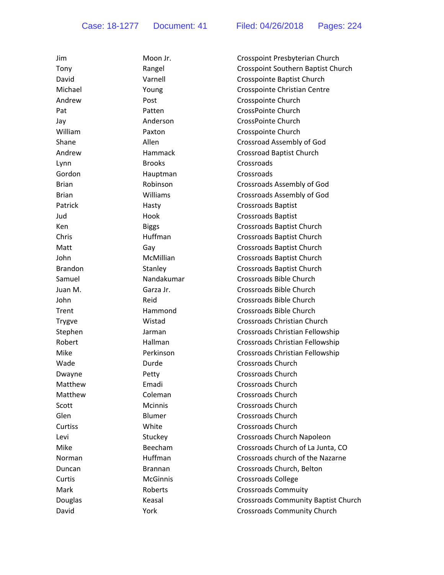| Jim            | Moon Jr.        | Crosspoint Presbyterian Church             |
|----------------|-----------------|--------------------------------------------|
| Tony           | Rangel          | Crosspoint Southern Baptist Church         |
| David          | Varnell         | Crosspointe Baptist Church                 |
| Michael        | Young           | Crosspointe Christian Centre               |
| Andrew         | Post            | Crosspointe Church                         |
| Pat            | Patten          | CrossPointe Church                         |
| Jay            | Anderson        | <b>CrossPointe Church</b>                  |
| William        | Paxton          | Crosspointe Church                         |
| Shane          | Allen           | Crossroad Assembly of God                  |
| Andrew         | Hammack         | <b>Crossroad Baptist Church</b>            |
| Lynn           | <b>Brooks</b>   | Crossroads                                 |
| Gordon         | Hauptman        | Crossroads                                 |
| <b>Brian</b>   | Robinson        | Crossroads Assembly of God                 |
| <b>Brian</b>   | Williams        | Crossroads Assembly of God                 |
| Patrick        | Hasty           | <b>Crossroads Baptist</b>                  |
| Jud            | Hook            | <b>Crossroads Baptist</b>                  |
| Ken            | <b>Biggs</b>    | Crossroads Baptist Church                  |
| Chris          | <b>Huffman</b>  | <b>Crossroads Baptist Church</b>           |
| Matt           | Gay             | Crossroads Baptist Church                  |
| John           | McMillian       | Crossroads Baptist Church                  |
| <b>Brandon</b> | Stanley         | Crossroads Baptist Church                  |
| Samuel         | Nandakumar      | Crossroads Bible Church                    |
| Juan M.        | Garza Jr.       | Crossroads Bible Church                    |
| John           | Reid            | Crossroads Bible Church                    |
| Trent          | Hammond         | Crossroads Bible Church                    |
| <b>Trygve</b>  | Wistad          | Crossroads Christian Church                |
| Stephen        | Jarman          | Crossroads Christian Fellowship            |
| Robert         | Hallman         | Crossroads Christian Fellowship            |
| Mike           | Perkinson       | Crossroads Christian Fellowship            |
| Wade           | Durde           | <b>Crossroads Church</b>                   |
| Dwayne         | Petty           | <b>Crossroads Church</b>                   |
| Matthew        | Emadi           | <b>Crossroads Church</b>                   |
| Matthew        | Coleman         | <b>Crossroads Church</b>                   |
| Scott          | Mcinnis         | <b>Crossroads Church</b>                   |
| Glen           | Blumer          | <b>Crossroads Church</b>                   |
| Curtiss        | White           | <b>Crossroads Church</b>                   |
| Levi           | Stuckey         | Crossroads Church Napoleon                 |
| Mike           | Beecham         | Crossroads Church of La Junta, CO          |
| Norman         | Huffman         | Crossroads church of the Nazarne           |
| Duncan         | <b>Brannan</b>  | Crossroads Church, Belton                  |
| Curtis         | <b>McGinnis</b> | <b>Crossroads College</b>                  |
| Mark           | Roberts         | <b>Crossroads Commuity</b>                 |
| Douglas        | Keasal          | <b>Crossroads Community Baptist Church</b> |
| David          | York            | <b>Crossroads Community Church</b>         |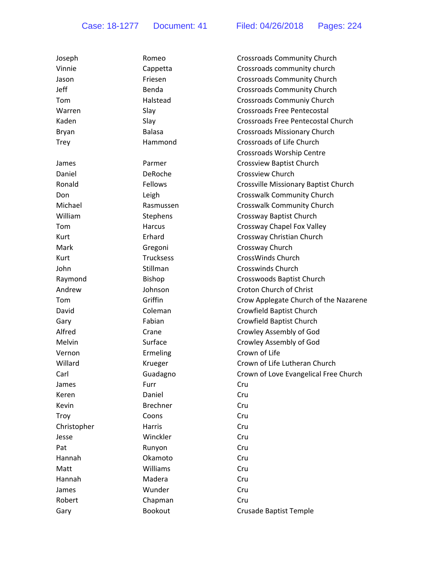Case: 18-1277 Document: 41 Filed: 04/26/2018 Pages: 224

| Joseph      | Romeo           | <b>Crossroads Community Church</b>    |
|-------------|-----------------|---------------------------------------|
| Vinnie      | Cappetta        | Crossroads community church           |
| Jason       | Friesen         | <b>Crossroads Community Church</b>    |
| Jeff        | Benda           | <b>Crossroads Community Church</b>    |
| Tom         | Halstead        | Crossroads Communiy Church            |
| Warren      | Slay            | <b>Crossroads Free Pentecostal</b>    |
| Kaden       | Slay            | Crossroads Free Pentecostal Church    |
| Bryan       | <b>Balasa</b>   | <b>Crossroads Missionary Church</b>   |
| <b>Trey</b> | Hammond         | Crossroads of Life Church             |
|             |                 | <b>Crossroads Worship Centre</b>      |
| James       | Parmer          | Crossview Baptist Church              |
| Daniel      | DeRoche         | <b>Crossview Church</b>               |
| Ronald      | Fellows         | Crossville Missionary Baptist Church  |
| Don         | Leigh           | Crosswalk Community Church            |
| Michael     | Rasmussen       | <b>Crosswalk Community Church</b>     |
| William     | Stephens        | Crossway Baptist Church               |
| Tom         | Harcus          | Crossway Chapel Fox Valley            |
| Kurt        | Erhard          | Crossway Christian Church             |
| Mark        | Gregoni         | Crossway Church                       |
| Kurt        | Trucksess       | CrossWinds Church                     |
| John        | Stillman        | <b>Crosswinds Church</b>              |
| Raymond     | <b>Bishop</b>   | Crosswoods Baptist Church             |
| Andrew      | Johnson         | <b>Croton Church of Christ</b>        |
| Tom         | Griffin         | Crow Applegate Church of the Nazarene |
| David       | Coleman         | Crowfield Baptist Church              |
| Gary        | Fabian          | Crowfield Baptist Church              |
| Alfred      | Crane           | Crowley Assembly of God               |
| Melvin      | Surface         | Crowley Assembly of God               |
| Vernon      | Ermeling        | Crown of Life                         |
| Willard     | Krueger         | Crown of Life Lutheran Church         |
| Carl        | Guadagno        | Crown of Love Evangelical Free Church |
| James       | Furr            | Cru                                   |
| Keren       | Daniel          | Cru                                   |
| Kevin       | <b>Brechner</b> | Cru                                   |
| Troy        | Coons           | Cru                                   |
| Christopher | Harris          | Cru                                   |
| Jesse       | Winckler        | Cru                                   |
| Pat         | Runyon          | Cru                                   |
| Hannah      | Okamoto         | Cru                                   |
| Matt        | Williams        | Cru                                   |
| Hannah      | Madera          | Cru                                   |
| James       | Wunder          | Cru                                   |
| Robert      | Chapman         | Cru                                   |
| Gary        | Bookout         | <b>Crusade Baptist Temple</b>         |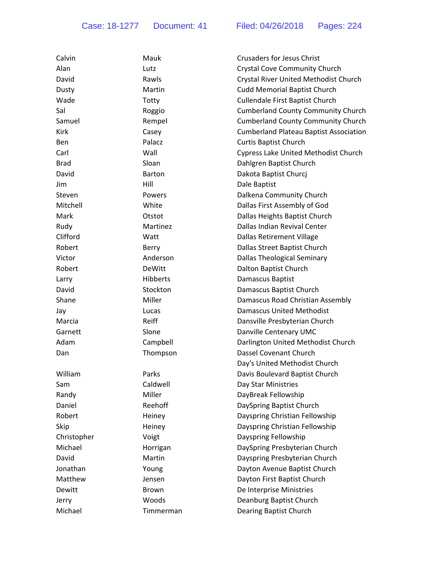| Calvin      | Mauk          | <b>Crusaders for Jesus Christ</b>             |
|-------------|---------------|-----------------------------------------------|
| Alan        | Lutz          | Crystal Cove Community Church                 |
| David       | Rawls         | Crystal River United Methodist Church         |
| Dusty       | Martin        | <b>Cudd Memorial Baptist Church</b>           |
| Wade        | Totty         | Cullendale First Baptist Church               |
| Sal         | Roggio        | <b>Cumberland County Community Church</b>     |
| Samuel      | Rempel        | <b>Cumberland County Community Church</b>     |
| Kirk        | Casey         | <b>Cumberland Plateau Baptist Association</b> |
| <b>Ben</b>  | Palacz        | <b>Curtis Baptist Church</b>                  |
| Carl        | Wall          | <b>Cypress Lake United Methodist Church</b>   |
| <b>Brad</b> | Sloan         | Dahlgren Baptist Church                       |
| David       | <b>Barton</b> | Dakota Baptist Churcj                         |
| Jim         | Hill          | Dale Baptist                                  |
| Steven      | Powers        | Dalkena Community Church                      |
| Mitchell    | White         | Dallas First Assembly of God                  |
| Mark        | Otstot        | Dallas Heights Baptist Church                 |
| Rudy        | Martinez      | Dallas Indian Revival Center                  |
| Clifford    | Watt          | <b>Dallas Retirement Village</b>              |
| Robert      | Berry         | Dallas Street Baptist Church                  |
| Victor      | Anderson      | Dallas Theological Seminary                   |
| Robert      | DeWitt        | Dalton Baptist Church                         |
| Larry       | Hibberts      | Damascus Baptist                              |
| David       | Stockton      | Damascus Baptist Church                       |
| Shane       | Miller        | Damascus Road Christian Assembly              |
| Jay         | Lucas         | <b>Damascus United Methodist</b>              |
| Marcia      | Reiff         | Dansville Presbyterian Church                 |
| Garnett     | Slone         | Danville Centenary UMC                        |
| Adam        | Campbell      | Darlington United Methodist Church            |
| Dan         | Thompson      | Dassel Covenant Church                        |
|             |               | Day's United Methodist Church                 |
| William     | Parks         | Davis Boulevard Baptist Church                |
| Sam         | Caldwell      | Day Star Ministries                           |
| Randy       | Miller        | DayBreak Fellowship                           |
| Daniel      | Reehoff       | DaySpring Baptist Church                      |
| Robert      | Heiney        | Dayspring Christian Fellowship                |
| Skip        | Heiney        | Dayspring Christian Fellowship                |
| Christopher | Voigt         | Dayspring Fellowship                          |
| Michael     | Horrigan      | DaySpring Presbyterian Church                 |
| David       | Martin        | Dayspring Presbyterian Church                 |
| Jonathan    | Young         | Dayton Avenue Baptist Church                  |
| Matthew     | Jensen        | Dayton First Baptist Church                   |
| Dewitt      | <b>Brown</b>  | De Interprise Ministries                      |
| Jerry       | Woods         | Deanburg Baptist Church                       |
| Michael     | Timmerman     | Dearing Baptist Church                        |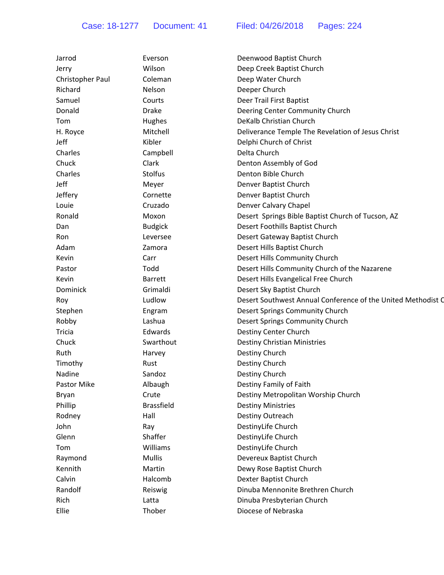| Jarrod           | Everson           | Deenwood Baptist Church                                      |
|------------------|-------------------|--------------------------------------------------------------|
| Jerry            | Wilson            | Deep Creek Baptist Church                                    |
| Christopher Paul | Coleman           | Deep Water Church                                            |
| Richard          | Nelson            | Deeper Church                                                |
| Samuel           | Courts            | Deer Trail First Baptist                                     |
| Donald           | <b>Drake</b>      | Deering Center Community Church                              |
| Tom              | Hughes            | DeKalb Christian Church                                      |
| H. Royce         | Mitchell          | Deliverance Temple The Revelation of Jesus Christ            |
| Jeff             | Kibler            | Delphi Church of Christ                                      |
| Charles          | Campbell          | Delta Church                                                 |
| Chuck            | Clark             | Denton Assembly of God                                       |
| Charles          | Stolfus           | Denton Bible Church                                          |
| Jeff             | Meyer             | Denver Baptist Church                                        |
| Jeffery          | Cornette          | Denver Baptist Church                                        |
| Louie            | Cruzado           | Denver Calvary Chapel                                        |
| Ronald           | Moxon             | Desert Springs Bible Baptist Church of Tucson, AZ            |
| Dan              | <b>Budgick</b>    | Desert Foothills Baptist Church                              |
| Ron              | Leversee          | Desert Gateway Baptist Church                                |
| Adam             | Zamora            | Desert Hills Baptist Church                                  |
| Kevin            | Carr              | Desert Hills Community Church                                |
| Pastor           | Todd              | Desert Hills Community Church of the Nazarene                |
| Kevin            | <b>Barrett</b>    | Desert Hills Evangelical Free Church                         |
| Dominick         | Grimaldi          | Desert Sky Baptist Church                                    |
| Roy              | Ludlow            | Desert Southwest Annual Conference of the United Methodist O |
| Stephen          | Engram            | Desert Springs Community Church                              |
| Robby            | Lashua            | Desert Springs Community Church                              |
| <b>Tricia</b>    | Edwards           | Destiny Center Church                                        |
| Chuck            | Swarthout         | <b>Destiny Christian Ministries</b>                          |
| Ruth             | Harvey            | Destiny Church                                               |
| Timothy          | Rust              | Destiny Church                                               |
| Nadine           | Sandoz            | Destiny Church                                               |
| Pastor Mike      | Albaugh           | Destiny Family of Faith                                      |
| Bryan            | Crute             | Destiny Metropolitan Worship Church                          |
| Phillip          | <b>Brassfield</b> | <b>Destiny Ministries</b>                                    |
| Rodney           | Hall              | Destiny Outreach                                             |
| John             | Ray               | DestinyLife Church                                           |
| Glenn            | Shaffer           | DestinyLife Church                                           |
| Tom              | Williams          | DestinyLife Church                                           |
| Raymond          | <b>Mullis</b>     | Devereux Baptist Church                                      |
| Kennith          | Martin            | Dewy Rose Baptist Church                                     |
| Calvin           | Halcomb           | Dexter Baptist Church                                        |
| Randolf          | Reiswig           | Dinuba Mennonite Brethren Church                             |
| Rich             | Latta             | Dinuba Presbyterian Church                                   |
| Ellie            | Thober            | Diocese of Nebraska                                          |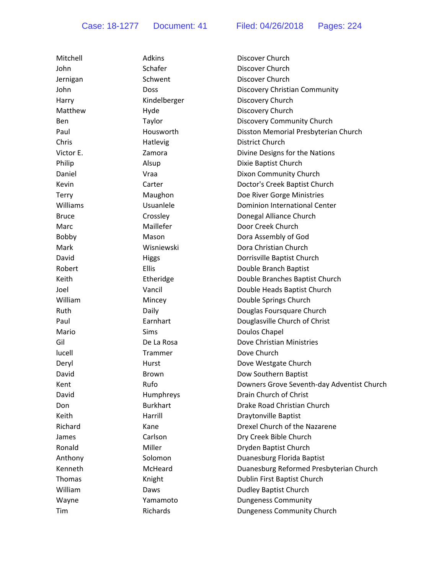| Mitchell     | Adkins          | Discover Church                            |
|--------------|-----------------|--------------------------------------------|
| John         | Schafer         | Discover Church                            |
| Jernigan     | Schwent         | Discover Church                            |
| John         | <b>Doss</b>     | Discovery Christian Community              |
| Harry        | Kindelberger    | Discovery Church                           |
| Matthew      | Hyde            | Discovery Church                           |
| Ben          | Taylor          | Discovery Community Church                 |
| Paul         | Housworth       | Disston Memorial Presbyterian Church       |
| Chris        | Hatlevig        | District Church                            |
| Victor E.    | Zamora          | Divine Designs for the Nations             |
| Philip       | Alsup           | Dixie Baptist Church                       |
| Daniel       | Vraa            | Dixon Community Church                     |
| Kevin        | Carter          | Doctor's Creek Baptist Church              |
| Terry        | Maughon         | Doe River Gorge Ministries                 |
| Williams     | Usuanlele       | <b>Dominion International Center</b>       |
| <b>Bruce</b> | Crossley        | Donegal Alliance Church                    |
| Marc         | Maillefer       | Door Creek Church                          |
| Bobby        | Mason           | Dora Assembly of God                       |
| Mark         | Wisniewski      | Dora Christian Church                      |
| David        | <b>Higgs</b>    | Dorrisville Baptist Church                 |
| Robert       | <b>Ellis</b>    | Double Branch Baptist                      |
| Keith        | Etheridge       | Double Branches Baptist Church             |
| Joel         | Vancil          | Double Heads Baptist Church                |
| William      | Mincey          | Double Springs Church                      |
| Ruth         | Daily           | Douglas Foursquare Church                  |
| Paul         | Earnhart        | Douglasville Church of Christ              |
| Mario        | <b>Sims</b>     | Doulos Chapel                              |
| Gil          | De La Rosa      | Dove Christian Ministries                  |
| lucell       | Trammer         | Dove Church                                |
| Deryl        | Hurst           | Dove Westgate Church                       |
| David        | <b>Brown</b>    | Dow Southern Baptist                       |
| Kent         | Rufo            | Downers Grove Seventh-day Adventist Church |
| David        | Humphreys       | Drain Church of Christ                     |
| Don          | <b>Burkhart</b> | Drake Road Christian Church                |
| Keith        | Harrill         | Draytonville Baptist                       |
| Richard      | Kane            | Drexel Church of the Nazarene              |
| James        | Carlson         | Dry Creek Bible Church                     |
| Ronald       | Miller          | Dryden Baptist Church                      |
| Anthony      | Solomon         | Duanesburg Florida Baptist                 |
| Kenneth      | McHeard         | Duanesburg Reformed Presbyterian Church    |
| Thomas       | Knight          | Dublin First Baptist Church                |
| William      | Daws            | <b>Dudley Baptist Church</b>               |
| Wayne        | Yamamoto        | <b>Dungeness Community</b>                 |
| Tim          | Richards        | Dungeness Community Church                 |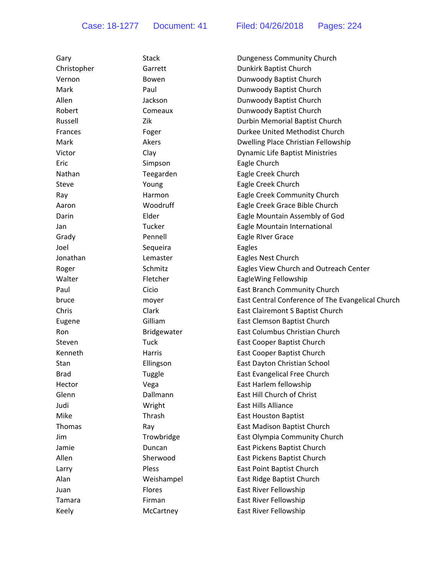| Gary        | Stack       | Dungeness Community Church                        |
|-------------|-------------|---------------------------------------------------|
| Christopher | Garrett     | Dunkirk Baptist Church                            |
| Vernon      | Bowen       | Dunwoody Baptist Church                           |
| Mark        | Paul        | Dunwoody Baptist Church                           |
| Allen       | Jackson     | Dunwoody Baptist Church                           |
| Robert      | Comeaux     | Dunwoody Baptist Church                           |
| Russell     | Zik         | Durbin Memorial Baptist Church                    |
| Frances     | Foger       | Durkee United Methodist Church                    |
| Mark        | Akers       | Dwelling Place Christian Fellowship               |
| Victor      | Clay        | Dynamic Life Baptist Ministries                   |
| Eric        | Simpson     | Eagle Church                                      |
| Nathan      | Teegarden   | Eagle Creek Church                                |
| Steve       | Young       | Eagle Creek Church                                |
| Ray         | Harmon      | Eagle Creek Community Church                      |
| Aaron       | Woodruff    | Eagle Creek Grace Bible Church                    |
| Darin       | Elder       | Eagle Mountain Assembly of God                    |
| Jan         | Tucker      | Eagle Mountain International                      |
| Grady       | Pennell     | Eagle River Grace                                 |
| Joel        | Sequeira    | Eagles                                            |
| Jonathan    | Lemaster    | Eagles Nest Church                                |
| Roger       | Schmitz     | Eagles View Church and Outreach Center            |
| Walter      | Fletcher    | EagleWing Fellowship                              |
| Paul        | Cicio       | East Branch Community Church                      |
| bruce       | moyer       | East Central Conference of The Evangelical Church |
| Chris       | Clark       | East Clairemont S Baptist Church                  |
| Eugene      | Gilliam     | East Clemson Baptist Church                       |
| Ron         | Bridgewater | East Columbus Christian Church                    |
| Steven      | <b>Tuck</b> | East Cooper Baptist Church                        |
| Kenneth     | Harris      | East Cooper Baptist Church                        |
| Stan        | Ellingson   | East Dayton Christian School                      |
| <b>Brad</b> | Tuggle      | East Evangelical Free Church                      |
| Hector      | Vega        | East Harlem fellowship                            |
| Glenn       | Dallmann    | East Hill Church of Christ                        |
| Judi        | Wright      | <b>East Hills Alliance</b>                        |
| Mike        | Thrash      | <b>East Houston Baptist</b>                       |
| Thomas      | Ray         | East Madison Baptist Church                       |
| Jim         | Trowbridge  | East Olympia Community Church                     |
| Jamie       | Duncan      | East Pickens Baptist Church                       |
| Allen       | Sherwood    | East Pickens Baptist Church                       |
| Larry       | Pless       | <b>East Point Baptist Church</b>                  |
| Alan        | Weishampel  | East Ridge Baptist Church                         |
| Juan        | Flores      | East River Fellowship                             |
| Tamara      | Firman      | East River Fellowship                             |
| Keely       | McCartney   | East River Fellowship                             |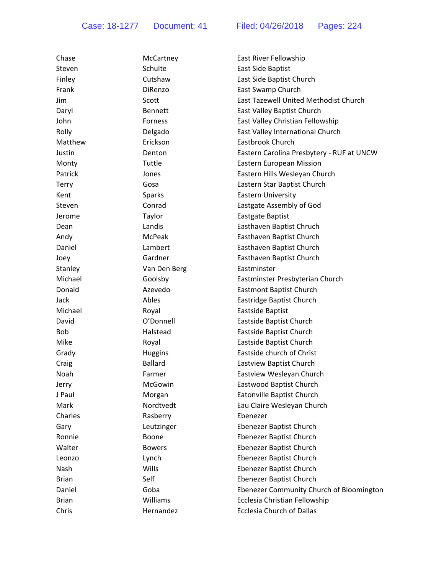| Chase        | McCartney      | East River Fellowship                     |
|--------------|----------------|-------------------------------------------|
| Steven       | Schulte        | East Side Baptist                         |
| Finley       | Cutshaw        | East Side Baptist Church                  |
| Frank        | DiRenzo        | East Swamp Church                         |
| Jim          | Scott          | East Tazewell United Methodist Church     |
| Daryl        | <b>Bennett</b> | East Valley Baptist Church                |
| John         | Forness        | East Valley Christian Fellowship          |
| Rolly        | Delgado        | East Valley International Church          |
| Matthew      | Erickson       | Eastbrook Church                          |
| Justin       | Denton         | Eastern Carolina Presbytery - RUF at UNCW |
| Monty        | Tuttle         | Eastern European Mission                  |
| Patrick      | Jones          | Eastern Hills Wesleyan Church             |
| Terry        | Gosa           | Eastern Star Baptist Church               |
| Kent         | <b>Sparks</b>  | <b>Eastern University</b>                 |
| Steven       | Conrad         | Eastgate Assembly of God                  |
| Jerome       | Taylor         | Eastgate Baptist                          |
| Dean         | Landis         | Easthaven Baptist Chruch                  |
| Andy         | <b>McPeak</b>  | Easthaven Baptist Church                  |
| Daniel       | Lambert        | Easthaven Baptist Church                  |
| Joey         | Gardner        | Easthaven Baptist Church                  |
| Stanley      | Van Den Berg   | Eastminster                               |
| Michael      | Goolsby        | Eastminster Presbyterian Church           |
| Donald       | Azevedo        | <b>Eastmont Baptist Church</b>            |
| Jack         | Ables          | Eastridge Baptist Church                  |
| Michael      | Royal          | Eastside Baptist                          |
| David        | O'Donnell      | Eastside Baptist Church                   |
| Bob          | Halstead       | Eastside Baptist Church                   |
| Mike         | Royal          | Eastside Baptist Church                   |
| Grady        | <b>Huggins</b> | Eastside church of Christ                 |
| Craig        | <b>Ballard</b> | <b>Eastview Baptist Church</b>            |
| Noah         | Farmer         | Eastview Wesleyan Church                  |
| Jerry        | McGowin        | Eastwood Baptist Church                   |
| J Paul       | Morgan         | Eatonville Baptist Church                 |
| Mark         | Nordtvedt      | Eau Claire Wesleyan Church                |
| Charles      | Rasberry       | Ebenezer                                  |
| Gary         | Leutzinger     | Ebenezer Baptist Church                   |
| Ronnie       | Boone          | Ebenezer Baptist Church                   |
| Walter       | <b>Bowers</b>  | Ebenezer Baptist Church                   |
| Leonzo       | Lynch          | Ebenezer Baptist Church                   |
| Nash         | Wills          | Ebenezer Baptist Church                   |
| <b>Brian</b> | Self           | Ebenezer Baptist Church                   |
| Daniel       | Goba           | Ebenezer Community Church of Bloomington  |
| <b>Brian</b> | Williams       | Ecclesia Christian Fellowship             |
| Chris        | Hernandez      | <b>Ecclesia Church of Dallas</b>          |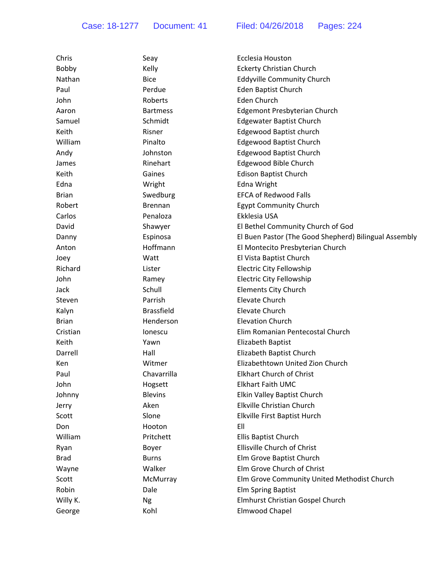| Chris        | Seay              | Ecclesia Houston                                      |
|--------------|-------------------|-------------------------------------------------------|
| Bobby        | Kelly             | <b>Eckerty Christian Church</b>                       |
| Nathan       | <b>Bice</b>       | <b>Eddyville Community Church</b>                     |
| Paul         | Perdue            | <b>Eden Baptist Church</b>                            |
| John         | Roberts           | Eden Church                                           |
| Aaron        | <b>Bartmess</b>   | Edgemont Presbyterian Church                          |
| Samuel       | Schmidt           | <b>Edgewater Baptist Church</b>                       |
| Keith        | Risner            | <b>Edgewood Baptist church</b>                        |
| William      | Pinalto           | <b>Edgewood Baptist Church</b>                        |
| Andy         | Johnston          | <b>Edgewood Baptist Church</b>                        |
| James        | Rinehart          | Edgewood Bible Church                                 |
| Keith        | Gaines            | <b>Edison Baptist Church</b>                          |
| Edna         | Wright            | Edna Wright                                           |
| <b>Brian</b> | Swedburg          | <b>EFCA of Redwood Falls</b>                          |
| Robert       | <b>Brennan</b>    | <b>Egypt Community Church</b>                         |
| Carlos       | Penaloza          | Ekklesia USA                                          |
| David        | Shawyer           | El Bethel Community Church of God                     |
| Danny        | Espinosa          | El Buen Pastor (The Good Shepherd) Bilingual Assembly |
| Anton        | Hoffmann          | El Montecito Presbyterian Church                      |
| Joey         | Watt              | El Vista Baptist Church                               |
| Richard      | Lister            | <b>Electric City Fellowship</b>                       |
| John         | Ramey             | <b>Electric City Fellowship</b>                       |
| Jack         | Schull            | <b>Elements City Church</b>                           |
| Steven       | Parrish           | Elevate Church                                        |
| Kalyn        | <b>Brassfield</b> | <b>Elevate Church</b>                                 |
| <b>Brian</b> | Henderson         | <b>Elevation Church</b>                               |
| Cristian     | lonescu           | Elim Romanian Pentecostal Church                      |
| Keith        | Yawn              | Elizabeth Baptist                                     |
| Darrell      | Hall              | Elizabeth Baptist Church                              |
| Ken          | Witmer            | Elizabethtown United Zion Church                      |
| Paul         | Chavarrilla       | <b>Elkhart Church of Christ</b>                       |
| John         | Hogsett           | <b>Elkhart Faith UMC</b>                              |
| Johnny       | <b>Blevins</b>    | Elkin Valley Baptist Church                           |
| Jerry        | Aken              | Elkville Christian Church                             |
| Scott        | Slone             | Elkville First Baptist Hurch                          |
| Don          | Hooton            | EII                                                   |
| William      | Pritchett         | Ellis Baptist Church                                  |
| Ryan         | Boyer             | <b>Ellisville Church of Christ</b>                    |
| <b>Brad</b>  | <b>Burns</b>      | Elm Grove Baptist Church                              |
| Wayne        | Walker            | Elm Grove Church of Christ                            |
| Scott        | McMurray          | Elm Grove Community United Methodist Church           |
| Robin        | Dale              | <b>Elm Spring Baptist</b>                             |
| Willy K.     | Ng                | Elmhurst Christian Gospel Church                      |
| George       | Kohl              | Elmwood Chapel                                        |
|              |                   |                                                       |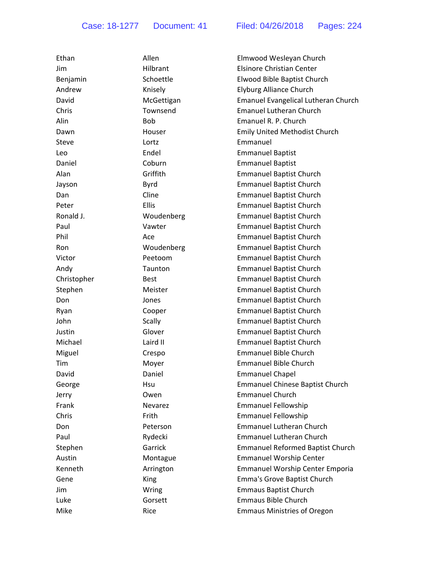| Ethan       | Allen        | Elmwood Wesleyan Church                 |
|-------------|--------------|-----------------------------------------|
| Jim         | Hilbrant     | Elsinore Christian Center               |
| Benjamin    | Schoettle    | Elwood Bible Baptist Church             |
| Andrew      | Knisely      | <b>Elyburg Alliance Church</b>          |
| David       | McGettigan   | Emanuel Evangelical Lutheran Church     |
| Chris       | Townsend     | <b>Emanuel Lutheran Church</b>          |
| Alin        | <b>Bob</b>   | Emanuel R. P. Church                    |
| Dawn        | Houser       | <b>Emily United Methodist Church</b>    |
| Steve       | Lortz        | Emmanuel                                |
| Leo         | Endel        | <b>Emmanuel Baptist</b>                 |
| Daniel      | Coburn       | <b>Emmanuel Baptist</b>                 |
| Alan        | Griffith     | <b>Emmanuel Baptist Church</b>          |
| Jayson      | Byrd         | <b>Emmanuel Baptist Church</b>          |
| Dan         | Cline        | <b>Emmanuel Baptist Church</b>          |
| Peter       | <b>Ellis</b> | <b>Emmanuel Baptist Church</b>          |
| Ronald J.   | Woudenberg   | <b>Emmanuel Baptist Church</b>          |
| Paul        | Vawter       | <b>Emmanuel Baptist Church</b>          |
| Phil        | Ace          | <b>Emmanuel Baptist Church</b>          |
| Ron         | Woudenberg   | <b>Emmanuel Baptist Church</b>          |
| Victor      | Peetoom      | <b>Emmanuel Baptist Church</b>          |
| Andy        | Taunton      | <b>Emmanuel Baptist Church</b>          |
| Christopher | <b>Best</b>  | <b>Emmanuel Baptist Church</b>          |
| Stephen     | Meister      | <b>Emmanuel Baptist Church</b>          |
| Don         | Jones        | <b>Emmanuel Baptist Church</b>          |
| Ryan        | Cooper       | <b>Emmanuel Baptist Church</b>          |
| John        | Scally       | <b>Emmanuel Baptist Church</b>          |
| Justin      | Glover       | <b>Emmanuel Baptist Church</b>          |
| Michael     | Laird II     | <b>Emmanuel Baptist Church</b>          |
| Miguel      | Crespo       | <b>Emmanuel Bible Church</b>            |
| Tim         | Moyer        | <b>Emmanuel Bible Church</b>            |
| David       | Daniel       | <b>Emmanuel Chapel</b>                  |
| George      | Hsu          | <b>Emmanuel Chinese Baptist Church</b>  |
| Jerry       | Owen         | <b>Emmanuel Church</b>                  |
| Frank       | Nevarez      | <b>Emmanuel Fellowship</b>              |
| Chris       | Frith        | <b>Emmanuel Fellowship</b>              |
| Don         | Peterson     | <b>Emmanuel Lutheran Church</b>         |
| Paul        | Rydecki      | <b>Emmanuel Lutheran Church</b>         |
| Stephen     | Garrick      | <b>Emmanuel Reformed Baptist Church</b> |
| Austin      | Montague     | <b>Emmanuel Worship Center</b>          |
| Kenneth     | Arrington    | <b>Emmanuel Worship Center Emporia</b>  |
| Gene        | King         | Emma's Grove Baptist Church             |
| Jim         | Wring        | <b>Emmaus Baptist Church</b>            |
| Luke        | Gorsett      | <b>Emmaus Bible Church</b>              |
| Mike        | Rice         | <b>Emmaus Ministries of Oregon</b>      |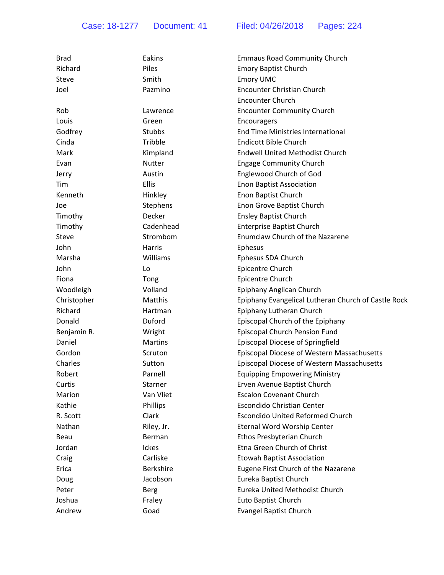| <b>Brad</b> | Eakins           | <b>Emmaus Road Community Church</b>                 |
|-------------|------------------|-----------------------------------------------------|
| Richard     | Piles            | <b>Emory Baptist Church</b>                         |
| Steve       | Smith            | <b>Emory UMC</b>                                    |
| Joel        | Pazmino          | <b>Encounter Christian Church</b>                   |
|             |                  | <b>Encounter Church</b>                             |
| Rob         | Lawrence         | <b>Encounter Community Church</b>                   |
| Louis       | Green            | Encouragers                                         |
| Godfrey     | Stubbs           | <b>End Time Ministries International</b>            |
| Cinda       | Tribble          | <b>Endicott Bible Church</b>                        |
| Mark        | Kimpland         | <b>Endwell United Methodist Church</b>              |
| Evan        | Nutter           | <b>Engage Community Church</b>                      |
| Jerry       | Austin           | Englewood Church of God                             |
| Tim         | <b>Ellis</b>     | <b>Enon Baptist Association</b>                     |
| Kenneth     | Hinkley          | Enon Baptist Church                                 |
| Joe         | Stephens         | Enon Grove Baptist Church                           |
| Timothy     | Decker           | <b>Ensley Baptist Church</b>                        |
| Timothy     | Cadenhead        | <b>Enterprise Baptist Church</b>                    |
| Steve       | Strombom         | <b>Enumclaw Church of the Nazarene</b>              |
| John        | <b>Harris</b>    | Ephesus                                             |
| Marsha      | Williams         | Ephesus SDA Church                                  |
| John        | Lo               | Epicentre Church                                    |
| Fiona       | Tong             | Epicentre Church                                    |
| Woodleigh   | Volland          | Epiphany Anglican Church                            |
| Christopher | Matthis          | Epiphany Evangelical Lutheran Church of Castle Rock |
| Richard     | Hartman          | Epiphany Lutheran Church                            |
| Donald      | Duford           | Episcopal Church of the Epiphany                    |
| Benjamin R. | Wright           | Episcopal Church Pension Fund                       |
| Daniel      | <b>Martins</b>   | <b>Episcopal Diocese of Springfield</b>             |
| Gordon      | Scruton          | Episcopal Diocese of Western Massachusetts          |
| Charles     | Sutton           | Episcopal Diocese of Western Massachusetts          |
| Robert      | Parnell          | <b>Equipping Empowering Ministry</b>                |
| Curtis      | Starner          | Erven Avenue Baptist Church                         |
| Marion      | Van Vliet        | <b>Escalon Covenant Church</b>                      |
| Kathie      | Phillips         | <b>Escondido Christian Center</b>                   |
| R. Scott    | Clark            | <b>Escondido United Reformed Church</b>             |
| Nathan      | Riley, Jr.       | Eternal Word Worship Center                         |
| Beau        | Berman           | Ethos Presbyterian Church                           |
| Jordan      | Ickes            | Etna Green Church of Christ                         |
| Craig       | Carliske         | <b>Etowah Baptist Association</b>                   |
| Erica       | <b>Berkshire</b> | Eugene First Church of the Nazarene                 |
| Doug        | Jacobson         | Eureka Baptist Church                               |
| Peter       | <b>Berg</b>      | Eureka United Methodist Church                      |
| Joshua      | Fraley           | Euto Baptist Church                                 |
| Andrew      | Goad             | <b>Evangel Baptist Church</b>                       |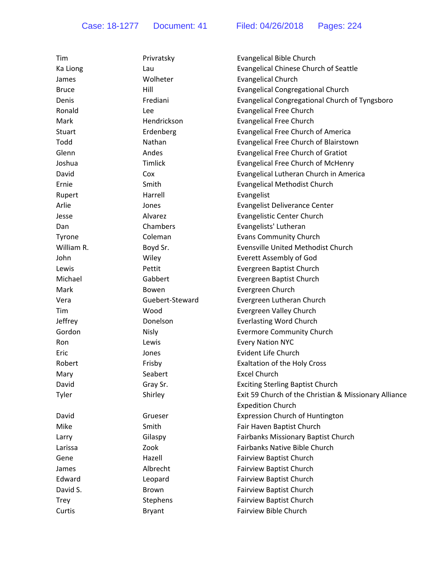| Tim          | Privratsky      | <b>Evangelical Bible Church</b>                       |
|--------------|-----------------|-------------------------------------------------------|
| Ka Liong     | Lau             | <b>Evangelical Chinese Church of Seattle</b>          |
| James        | Wolheter        | <b>Evangelical Church</b>                             |
| <b>Bruce</b> | Hill            | <b>Evangelical Congregational Church</b>              |
| Denis        | Frediani        | Evangelical Congregational Church of Tyngsboro        |
| Ronald       | Lee             | <b>Evangelical Free Church</b>                        |
| Mark         | Hendrickson     | <b>Evangelical Free Church</b>                        |
| Stuart       | Erdenberg       | <b>Evangelical Free Church of America</b>             |
| Todd         | Nathan          | Evangelical Free Church of Blairstown                 |
| Glenn        | Andes           | <b>Evangelical Free Church of Gratiot</b>             |
| Joshua       | Timlick         | <b>Evangelical Free Church of McHenry</b>             |
| David        | Cox             | Evangelical Lutheran Church in America                |
| Ernie        | Smith           | <b>Evangelical Methodist Church</b>                   |
| Rupert       | Harrell         | Evangelist                                            |
| Arlie        | Jones           | Evangelist Deliverance Center                         |
| Jesse        | Alvarez         | <b>Evangelistic Center Church</b>                     |
| Dan          | Chambers        | Evangelists' Lutheran                                 |
| Tyrone       | Coleman         | <b>Evans Community Church</b>                         |
| William R.   | Boyd Sr.        | <b>Evensville United Methodist Church</b>             |
| John         | Wiley           | Everett Assembly of God                               |
| Lewis        | Pettit          | Evergreen Baptist Church                              |
| Michael      | Gabbert         | Evergreen Baptist Church                              |
| Mark         | Bowen           | Evergreen Church                                      |
| Vera         | Guebert-Steward | Evergreen Lutheran Church                             |
| Tim          | Wood            | Evergreen Valley Church                               |
| Jeffrey      | Donelson        | <b>Everlasting Word Church</b>                        |
| Gordon       | <b>Nisly</b>    | <b>Evermore Community Church</b>                      |
| Ron          | Lewis           | <b>Every Nation NYC</b>                               |
| Eric         | Jones           | <b>Evident Life Church</b>                            |
| Robert       | Frisby          | <b>Exaltation of the Holy Cross</b>                   |
| Mary         | Seabert         | <b>Excel Church</b>                                   |
| David        | Gray Sr.        | <b>Exciting Sterling Baptist Church</b>               |
| Tyler        | Shirley         | Exit 59 Church of the Christian & Missionary Alliance |
|              |                 | <b>Expedition Church</b>                              |
| David        | Grueser         | <b>Expression Church of Huntington</b>                |
| Mike         | Smith           | Fair Haven Baptist Church                             |
| Larry        | Gilaspy         | Fairbanks Missionary Baptist Church                   |
| Larissa      | Zook            | <b>Fairbanks Native Bible Church</b>                  |
| Gene         | Hazell          | <b>Fairview Baptist Church</b>                        |
| James        | Albrecht        | Fairview Baptist Church                               |
| Edward       | Leopard         | Fairview Baptist Church                               |
| David S.     | Brown           | Fairview Baptist Church                               |
| <b>Trey</b>  | Stephens        | <b>Fairview Baptist Church</b>                        |
| Curtis       | <b>Bryant</b>   | <b>Fairview Bible Church</b>                          |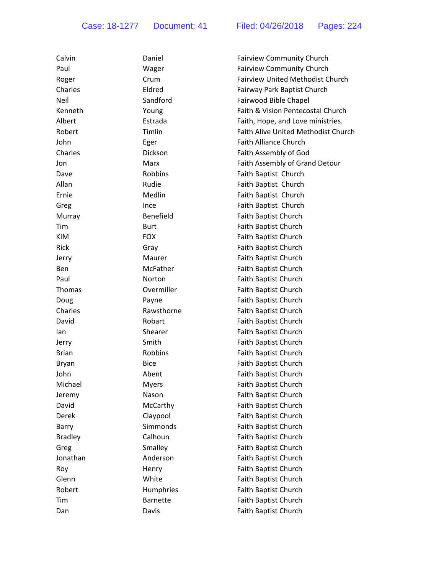| Calvin         | Daniel          | <b>Fairview Community Church</b>        |
|----------------|-----------------|-----------------------------------------|
| Paul           | Wager           | <b>Fairview Community Church</b>        |
| Roger          | Crum            | <b>Fairview United Methodist Church</b> |
| Charles        | Eldred          | Fairway Park Baptist Church             |
| Neil           | Sandford        | Fairwood Bible Chapel                   |
| Kenneth        | Young           | Faith & Vision Pentecostal Church       |
| Albert         | Estrada         | Faith, Hope, and Love ministries.       |
| Robert         | Timlin          | Faith Alive United Methodist Church     |
| John           | Eger            | <b>Faith Alliance Church</b>            |
| Charles        | Dickson         | Faith Assembly of God                   |
| Jon            | Marx            | Faith Assembly of Grand Detour          |
| Dave           | Robbins         | Faith Baptist Church                    |
| Allan          | Rudie           | Faith Baptist Church                    |
| Ernie          | Medlin          | Faith Baptist Church                    |
| Greg           | Ince            | Faith Baptist Church                    |
| Murray         | Benefield       | <b>Faith Baptist Church</b>             |
| Tim            | <b>Burt</b>     | Faith Baptist Church                    |
| KIM            | <b>FOX</b>      | Faith Baptist Church                    |
| Rick           | Gray            | Faith Baptist Church                    |
| Jerry          | Maurer          | Faith Baptist Church                    |
| Ben            | McFather        | Faith Baptist Church                    |
| Paul           | Norton          | Faith Baptist Church                    |
| Thomas         | Overmiller      | Faith Baptist Church                    |
| Doug           | Payne           | Faith Baptist Church                    |
| Charles        | Rawsthorne      | Faith Baptist Church                    |
| David          | Robart          | Faith Baptist Church                    |
| lan            | Shearer         | Faith Baptist Church                    |
| Jerry          | Smith           | Faith Baptist Church                    |
| <b>Brian</b>   | Robbins         | Faith Baptist Church                    |
| Bryan          | <b>Bice</b>     | Faith Baptist Church                    |
| John           | Abent           | Faith Baptist Church                    |
| Michael        | <b>Myers</b>    | Faith Baptist Church                    |
| Jeremy         | Nason           | Faith Baptist Church                    |
| David          | McCarthy        | Faith Baptist Church                    |
| Derek          | Claypool        | Faith Baptist Church                    |
| Barry          | Simmonds        | Faith Baptist Church                    |
| <b>Bradley</b> | Calhoun         | Faith Baptist Church                    |
| Greg           | Smalley         | Faith Baptist Church                    |
| Jonathan       | Anderson        | Faith Baptist Church                    |
| Roy            | Henry           | Faith Baptist Church                    |
| Glenn          | White           | Faith Baptist Church                    |
| Robert         | Humphries       | Faith Baptist Church                    |
| Tim            | <b>Barnette</b> | <b>Faith Baptist Church</b>             |
| Dan            | Davis           | Faith Baptist Church                    |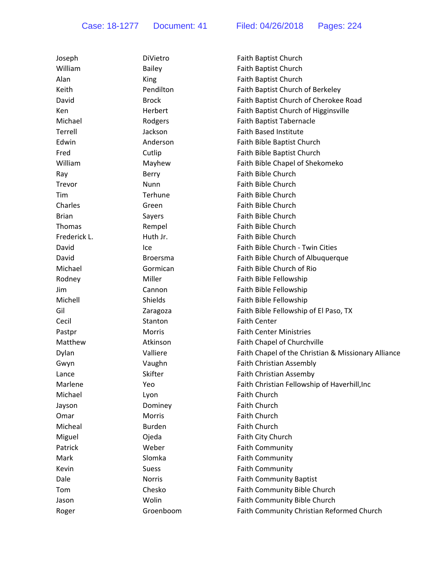| Joseph       | DiVietro        | Faith Baptist Church                                |
|--------------|-----------------|-----------------------------------------------------|
| William      | <b>Bailey</b>   | Faith Baptist Church                                |
| Alan         | King            | <b>Faith Baptist Church</b>                         |
| Keith        | Pendilton       | Faith Baptist Church of Berkeley                    |
| David        | <b>Brock</b>    | Faith Baptist Church of Cherokee Road               |
| Ken          | Herbert         | Faith Baptist Church of Higginsville                |
| Michael      | Rodgers         | <b>Faith Baptist Tabernacle</b>                     |
| Terrell      | Jackson         | <b>Faith Based Institute</b>                        |
| Edwin        | Anderson        | Faith Bible Baptist Church                          |
| Fred         | Cutlip          | Faith Bible Baptist Church                          |
| William      | Mayhew          | Faith Bible Chapel of Shekomeko                     |
| Ray          | Berry           | Faith Bible Church                                  |
| Trevor       | Nunn            | Faith Bible Church                                  |
| Tim          | Terhune         | Faith Bible Church                                  |
| Charles      | Green           | <b>Faith Bible Church</b>                           |
| <b>Brian</b> | Sayers          | Faith Bible Church                                  |
| Thomas       | Rempel          | Faith Bible Church                                  |
| Frederick L. | Huth Jr.        | Faith Bible Church                                  |
| David        | lce             | Faith Bible Church - Twin Cities                    |
| David        | <b>Broersma</b> | Faith Bible Church of Albuquerque                   |
| Michael      | Gormican        | Faith Bible Church of Rio                           |
| Rodney       | Miller          | Faith Bible Fellowship                              |
| Jim          | Cannon          | Faith Bible Fellowship                              |
| Michell      | Shields         | Faith Bible Fellowship                              |
| Gil          | Zaragoza        | Faith Bible Fellowship of El Paso, TX               |
| Cecil        | Stanton         | <b>Faith Center</b>                                 |
| Pastpr       | <b>Morris</b>   | <b>Faith Center Ministries</b>                      |
| Matthew      | Atkinson        | Faith Chapel of Churchville                         |
| Dylan        | Valliere        | Faith Chapel of the Christian & Missionary Alliance |
| Gwyn         | Vaughn          | <b>Faith Christian Assembly</b>                     |
| Lance        | Skifter         | Faith Christian Assemby                             |
| Marlene      | Yeo             | Faith Christian Fellowship of Haverhill, Inc        |
| Michael      | Lyon            | <b>Faith Church</b>                                 |
| Jayson       | Dominey         | Faith Church                                        |
| Omar         | Morris          | <b>Faith Church</b>                                 |
| Micheal      | <b>Burden</b>   | <b>Faith Church</b>                                 |
| Miguel       | Ojeda           | Faith City Church                                   |
| Patrick      | Weber           | <b>Faith Community</b>                              |
| Mark         | Slomka          | <b>Faith Community</b>                              |
| Kevin        | <b>Suess</b>    | <b>Faith Community</b>                              |
| Dale         | <b>Norris</b>   | <b>Faith Community Baptist</b>                      |
| Tom          | Chesko          | Faith Community Bible Church                        |
| Jason        | Wolin           | Faith Community Bible Church                        |
| Roger        | Groenboom       | Faith Community Christian Reformed Church           |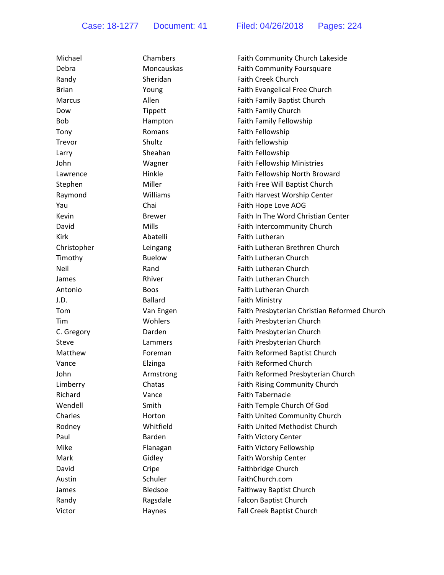| Michael       | Chambers       | Faith Community Church Lakeside              |
|---------------|----------------|----------------------------------------------|
| Debra         | Moncauskas     | <b>Faith Community Foursquare</b>            |
| Randy         | Sheridan       | <b>Faith Creek Church</b>                    |
| <b>Brian</b>  | Young          | Faith Evangelical Free Church                |
| <b>Marcus</b> | Allen          | Faith Family Baptist Church                  |
| Dow           | Tippett        | Faith Family Church                          |
| <b>Bob</b>    | Hampton        | Faith Family Fellowship                      |
| Tony          | Romans         | Faith Fellowship                             |
| Trevor        | Shultz         | Faith fellowship                             |
| Larry         | Sheahan        | Faith Fellowship                             |
| John          | Wagner         | Faith Fellowship Ministries                  |
| Lawrence      | Hinkle         | Faith Fellowship North Broward               |
| Stephen       | Miller         | Faith Free Will Baptist Church               |
| Raymond       | Williams       | Faith Harvest Worship Center                 |
| Yau           | Chai           | Faith Hope Love AOG                          |
| Kevin         | <b>Brewer</b>  | Faith In The Word Christian Center           |
| David         | Mills          | Faith Intercommunity Church                  |
| Kirk          | Abatelli       | <b>Faith Lutheran</b>                        |
| Christopher   | Leingang       | Faith Lutheran Brethren Church               |
| Timothy       | <b>Buelow</b>  | Faith Lutheran Church                        |
| Neil          | Rand           | Faith Lutheran Church                        |
| James         | Rhiver         | Faith Lutheran Church                        |
| Antonio       | <b>Boos</b>    | Faith Lutheran Church                        |
| J.D.          | <b>Ballard</b> | <b>Faith Ministry</b>                        |
| Tom           | Van Engen      | Faith Presbyterian Christian Reformed Church |
| Tim           | Wohlers        | Faith Presbyterian Church                    |
| C. Gregory    | Darden         | Faith Presbyterian Church                    |
| Steve         | Lammers        | Faith Presbyterian Church                    |
| Matthew       | Foreman        | Faith Reformed Baptist Church                |
| Vance         | Elzinga        | <b>Faith Reformed Church</b>                 |
| John          | Armstrong      | Faith Reformed Presbyterian Church           |
| Limberry      | Chatas         | <b>Faith Rising Community Church</b>         |
| Richard       | Vance          | <b>Faith Tabernacle</b>                      |
| Wendell       | Smith          | Faith Temple Church Of God                   |
| Charles       | Horton         | Faith United Community Church                |
| Rodney        | Whitfield      | <b>Faith United Methodist Church</b>         |
| Paul          | Barden         | <b>Faith Victory Center</b>                  |
| Mike          | Flanagan       | Faith Victory Fellowship                     |
| Mark          | Gidley         | Faith Worship Center                         |
| David         | Cripe          | Faithbridge Church                           |
| Austin        | Schuler        | FaithChurch.com                              |
| James         | Bledsoe        | Faithway Baptist Church                      |
|               |                |                                              |
| Randy         | Ragsdale       | <b>Falcon Baptist Church</b>                 |
| Victor        | Haynes         | Fall Creek Baptist Church                    |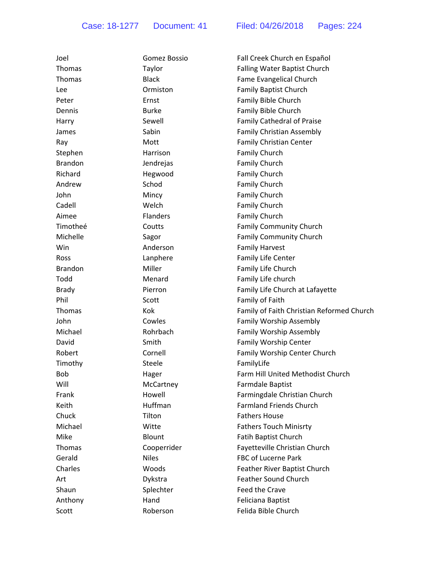| Joel           | Gomez Bossio    | Fall Creek Church en Español              |
|----------------|-----------------|-------------------------------------------|
| Thomas         | Taylor          | Falling Water Baptist Church              |
| Thomas         | <b>Black</b>    | Fame Evangelical Church                   |
| Lee            | Ormiston        | <b>Family Baptist Church</b>              |
| Peter          | Ernst           | Family Bible Church                       |
| Dennis         | <b>Burke</b>    | Family Bible Church                       |
| Harry          | Sewell          | <b>Family Cathedral of Praise</b>         |
| James          | Sabin           | <b>Family Christian Assembly</b>          |
| Ray            | Mott            | <b>Family Christian Center</b>            |
| Stephen        | Harrison        | Family Church                             |
| <b>Brandon</b> | Jendrejas       | Family Church                             |
| Richard        | Hegwood         | Family Church                             |
| Andrew         | Schod           | Family Church                             |
| John           | Mincy           | Family Church                             |
| Cadell         | Welch           | Family Church                             |
| Aimee          | <b>Flanders</b> | Family Church                             |
| Timotheé       | Coutts          | Family Community Church                   |
| Michelle       | Sagor           | <b>Family Community Church</b>            |
| Win            | Anderson        | <b>Family Harvest</b>                     |
| <b>Ross</b>    | Lanphere        | <b>Family Life Center</b>                 |
| <b>Brandon</b> | Miller          | Family Life Church                        |
| Todd           | Menard          | Family Life church                        |
| <b>Brady</b>   | Pierron         | Family Life Church at Lafayette           |
| Phil           | Scott           | Family of Faith                           |
| Thomas         | Kok             | Family of Faith Christian Reformed Church |
| John           | Cowles          | Family Worship Assembly                   |
| Michael        | Rohrbach        | Family Worship Assembly                   |
| David          | Smith           | Family Worship Center                     |
| Robert         | Cornell         | Family Worship Center Church              |
| Timothy        | Steele          | FamilyLife                                |
| <b>Bob</b>     | Hager           | Farm Hill United Methodist Church         |
| Will           | McCartney       | <b>Farmdale Baptist</b>                   |
| Frank          | Howell          | Farmingdale Christian Church              |
| Keith          | Huffman         | <b>Farmland Friends Church</b>            |
| Chuck          | Tilton          | <b>Fathers House</b>                      |
| Michael        | Witte           | <b>Fathers Touch Minisrty</b>             |
| Mike           | Blount          | Fatih Baptist Church                      |
| Thomas         | Cooperrider     | Fayetteville Christian Church             |
| Gerald         | <b>Niles</b>    | <b>FBC of Lucerne Park</b>                |
| Charles        | Woods           | Feather River Baptist Church              |
| Art            | Dykstra         | Feather Sound Church                      |
| Shaun          | Splechter       | Feed the Crave                            |
| Anthony        | Hand            | Feliciana Baptist                         |
| Scott          | Roberson        | Felida Bible Church                       |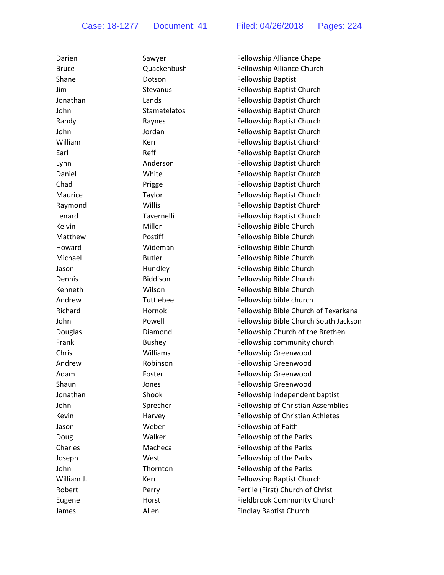| Darien       | Sawyer          | Fellowship Alliance Chapel            |
|--------------|-----------------|---------------------------------------|
| <b>Bruce</b> | Quackenbush     | Fellowship Alliance Church            |
| Shane        | Dotson          | Fellowship Baptist                    |
| Jim          | <b>Stevanus</b> | Fellowship Baptist Church             |
| Jonathan     | Lands           | Fellowship Baptist Church             |
| John         | Stamatelatos    | Fellowship Baptist Church             |
| Randy        | Raynes          | Fellowship Baptist Church             |
| John         | Jordan          | Fellowship Baptist Church             |
| William      | Kerr            | Fellowship Baptist Church             |
| Earl         | Reff            | Fellowship Baptist Church             |
| Lynn         | Anderson        | Fellowship Baptist Church             |
| Daniel       | White           | Fellowship Baptist Church             |
| Chad         | Prigge          | Fellowship Baptist Church             |
| Maurice      | Taylor          | Fellowship Baptist Church             |
| Raymond      | Willis          | Fellowship Baptist Church             |
| Lenard       | Tavernelli      | Fellowship Baptist Church             |
| Kelvin       | Miller          | Fellowship Bible Church               |
| Matthew      | Postiff         | Fellowship Bible Church               |
| Howard       | Wideman         | Fellowship Bible Church               |
| Michael      | <b>Butler</b>   | Fellowship Bible Church               |
| Jason        | Hundley         | Fellowship Bible Church               |
| Dennis       | Biddison        | Fellowship Bible Church               |
| Kenneth      | Wilson          | Fellowship Bible Church               |
| Andrew       | Tuttlebee       | Fellowship bible church               |
| Richard      | Hornok          | Fellowship Bible Church of Texarkana  |
| John         | Powell          | Fellowship Bible Church South Jackson |
| Douglas      | Diamond         | Fellowship Church of the Brethen      |
| Frank        | <b>Bushey</b>   | Fellowship community church           |
| Chris        | Williams        | Fellowship Greenwood                  |
| Andrew       | Robinson        | Fellowship Greenwood                  |
| Adam         | Foster          | Fellowship Greenwood                  |
| Shaun        | Jones           | Fellowship Greenwood                  |
| Jonathan     | Shook           | Fellowship independent baptist        |
| John         | Sprecher        | Fellowship of Christian Assemblies    |
| Kevin        | Harvey          | Fellowship of Christian Athletes      |
| Jason        | Weber           | Fellowship of Faith                   |
| Doug         | Walker          | Fellowship of the Parks               |
| Charles      | Macheca         | Fellowship of the Parks               |
| Joseph       | West            | Fellowship of the Parks               |
| John         | Thornton        | Fellowship of the Parks               |
| William J.   | Kerr            | Fellowsihp Baptist Church             |
| Robert       | Perry           | Fertile (First) Church of Christ      |
| Eugene       | Horst           | <b>Fieldbrook Community Church</b>    |
| James        | Allen           | <b>Findlay Baptist Church</b>         |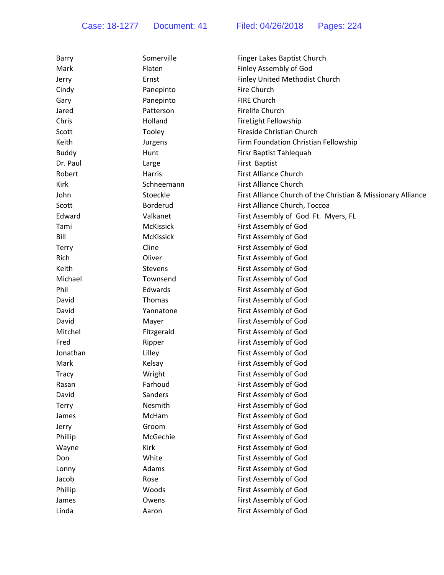| Barry        | Somerville       | Finger Lakes Baptist Church                                  |
|--------------|------------------|--------------------------------------------------------------|
| Mark         | Flaten           | Finley Assembly of God                                       |
| Jerry        | Ernst            | Finley United Methodist Church                               |
| Cindy        | Panepinto        | Fire Church                                                  |
| Gary         | Panepinto        | <b>FIRE Church</b>                                           |
| Jared        | Patterson        | Firelife Church                                              |
| Chris        | Holland          | FireLight Fellowship                                         |
| Scott        | Tooley           | Fireside Christian Church                                    |
| Keith        | Jurgens          | Firm Foundation Christian Fellowship                         |
| <b>Buddy</b> | Hunt             | Firsr Baptist Tahlequah                                      |
| Dr. Paul     | Large            | First Baptist                                                |
| Robert       | Harris           | <b>First Alliance Church</b>                                 |
| Kirk         | Schneemann       | <b>First Alliance Church</b>                                 |
| John         | Stoeckle         | First Alliance Church of the Christian & Missionary Alliance |
| Scott        | <b>Borderud</b>  | First Alliance Church, Toccoa                                |
| Edward       | Valkanet         | First Assembly of God Ft. Myers, FL                          |
| Tami         | <b>McKissick</b> | First Assembly of God                                        |
| Bill         | <b>McKissick</b> | First Assembly of God                                        |
| Terry        | Cline            | First Assembly of God                                        |
| Rich         | Oliver           | First Assembly of God                                        |
| Keith        | <b>Stevens</b>   | First Assembly of God                                        |
| Michael      | Townsend         | First Assembly of God                                        |
| Phil         | Edwards          | First Assembly of God                                        |
| David        | Thomas           | First Assembly of God                                        |
| David        | Yannatone        | First Assembly of God                                        |
| David        | Mayer            | First Assembly of God                                        |
| Mitchel      | Fitzgerald       | First Assembly of God                                        |
| Fred         | Ripper           | First Assembly of God                                        |
| Jonathan     | Lilley           | First Assembly of God                                        |
| Mark         | Kelsay           | First Assembly of God                                        |
| <b>Tracy</b> | Wright           | First Assembly of God                                        |
| Rasan        | Farhoud          | First Assembly of God                                        |
| David        | Sanders          | First Assembly of God                                        |
| <b>Terry</b> | Nesmith          | First Assembly of God                                        |
| James        | McHam            | First Assembly of God                                        |
| Jerry        | Groom            | First Assembly of God                                        |
| Phillip      | McGechie         | First Assembly of God                                        |
| Wayne        | Kirk             | First Assembly of God                                        |
| Don          | White            | First Assembly of God                                        |
| Lonny        | Adams            | First Assembly of God                                        |
| Jacob        | Rose             | First Assembly of God                                        |
| Phillip      | Woods            | First Assembly of God                                        |
| James        | Owens            | First Assembly of God                                        |
| Linda        | Aaron            | First Assembly of God                                        |
|              |                  |                                                              |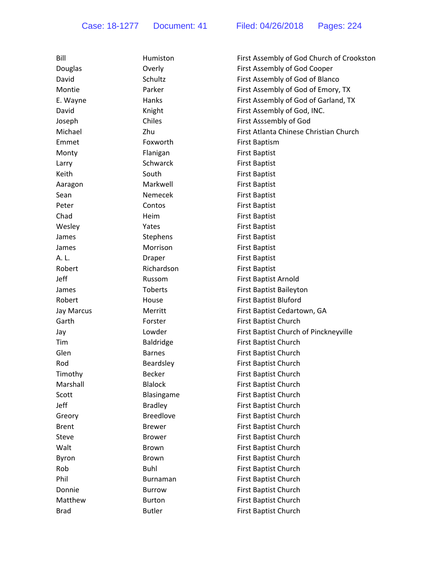| Bill              | Humiston         | First Assembly of God Church of Crookston |
|-------------------|------------------|-------------------------------------------|
| Douglas           | Overly           | First Assembly of God Cooper              |
| David             | Schultz          | First Assembly of God of Blanco           |
| Montie            | Parker           | First Assembly of God of Emory, TX        |
| E. Wayne          | Hanks            | First Assembly of God of Garland, TX      |
| David             | Knight           | First Assembly of God, INC.               |
| Joseph            | Chiles           | First Asssembly of God                    |
| Michael           | Zhu              | First Atlanta Chinese Christian Church    |
| Emmet             | Foxworth         | <b>First Baptism</b>                      |
| Monty             | Flanigan         | <b>First Baptist</b>                      |
| Larry             | Schwarck         | <b>First Baptist</b>                      |
| Keith             | South            | <b>First Baptist</b>                      |
| Aaragon           | Markwell         | <b>First Baptist</b>                      |
| Sean              | Nemecek          | <b>First Baptist</b>                      |
| Peter             | Contos           | <b>First Baptist</b>                      |
| Chad              | Heim             | <b>First Baptist</b>                      |
| Wesley            | Yates            | <b>First Baptist</b>                      |
| James             | Stephens         | <b>First Baptist</b>                      |
| James             | Morrison         | <b>First Baptist</b>                      |
| A. L.             | Draper           | <b>First Baptist</b>                      |
| Robert            | Richardson       | <b>First Baptist</b>                      |
| Jeff              | Russom           | First Baptist Arnold                      |
| James             | Toberts          | First Baptist Baileyton                   |
| Robert            | House            | First Baptist Bluford                     |
| <b>Jay Marcus</b> | Merritt          | First Baptist Cedartown, GA               |
| Garth             | Forster          | First Baptist Church                      |
| Jay               | Lowder           | First Baptist Church of Pinckneyville     |
| Tim               | <b>Baldridge</b> | First Baptist Church                      |
| Glen              | <b>Barnes</b>    | First Baptist Church                      |
| Rod               | Beardsley        | First Baptist Church                      |
| Timothy           | <b>Becker</b>    | <b>First Baptist Church</b>               |
| Marshall          | <b>Blalock</b>   | First Baptist Church                      |
| Scott             | Blasingame       | First Baptist Church                      |
| Jeff              | <b>Bradley</b>   | First Baptist Church                      |
| Greory            | <b>Breedlove</b> | First Baptist Church                      |
| <b>Brent</b>      | <b>Brewer</b>    | First Baptist Church                      |
| Steve             | <b>Brower</b>    | First Baptist Church                      |
| Walt              | Brown            | First Baptist Church                      |
| Byron             | <b>Brown</b>     | First Baptist Church                      |
| Rob               | <b>Buhl</b>      | First Baptist Church                      |
| Phil              | <b>Burnaman</b>  | First Baptist Church                      |
| Donnie            | <b>Burrow</b>    | First Baptist Church                      |
| Matthew           | <b>Burton</b>    | First Baptist Church                      |
| <b>Brad</b>       | <b>Butler</b>    | First Baptist Church                      |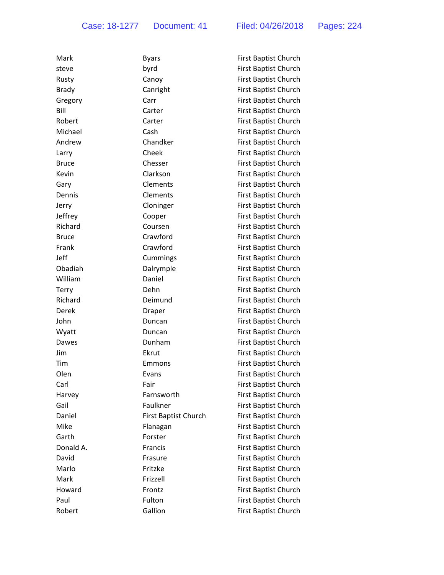| Mark         | <b>Byars</b>         | First Baptist Church        |
|--------------|----------------------|-----------------------------|
| steve        | byrd                 | First Baptist Church        |
| Rusty        | Canoy                | First Baptist Church        |
| <b>Brady</b> | Canright             | First Baptist Church        |
| Gregory      | Carr                 | First Baptist Church        |
| Bill         | Carter               | First Baptist Church        |
| Robert       | Carter               | <b>First Baptist Church</b> |
| Michael      | Cash                 | <b>First Baptist Church</b> |
| Andrew       | Chandker             | First Baptist Church        |
| Larry        | Cheek                | First Baptist Church        |
| <b>Bruce</b> | Chesser              | First Baptist Church        |
| Kevin        | Clarkson             | <b>First Baptist Church</b> |
| Gary         | Clements             | First Baptist Church        |
| Dennis       | Clements             | First Baptist Church        |
| Jerry        | Cloninger            | First Baptist Church        |
| Jeffrey      | Cooper               | First Baptist Church        |
| Richard      | Coursen              | <b>First Baptist Church</b> |
| <b>Bruce</b> | Crawford             | <b>First Baptist Church</b> |
| Frank        | Crawford             | <b>First Baptist Church</b> |
| Jeff         | Cummings             | First Baptist Church        |
| Obadiah      | Dalrymple            | First Baptist Church        |
| William      | Daniel               | First Baptist Church        |
| Terry        | Dehn                 | First Baptist Church        |
| Richard      | Deimund              | <b>First Baptist Church</b> |
| Derek        | Draper               | First Baptist Church        |
| John         | Duncan               | <b>First Baptist Church</b> |
| Wyatt        | Duncan               | <b>First Baptist Church</b> |
| Dawes        | Dunham               | First Baptist Church        |
| Jim          | Ekrut                | First Baptist Church        |
| Tim          | Emmons               | First Baptist Church        |
| Olen         | <b>Fvans</b>         | First Baptist Church        |
| Carl         | Fair                 | First Baptist Church        |
| Harvey       | Farnsworth           | First Baptist Church        |
| Gail         | Faulkner             | First Baptist Church        |
| Daniel       | First Baptist Church | First Baptist Church        |
| Mike         | Flanagan             | First Baptist Church        |
| Garth        | Forster              | First Baptist Church        |
| Donald A.    | Francis              | First Baptist Church        |
| David        | Frasure              | First Baptist Church        |
| Marlo        | Fritzke              | First Baptist Church        |
| Mark         | Frizzell             | First Baptist Church        |
| Howard       | Frontz               | First Baptist Church        |
| Paul         | Fulton               | First Baptist Church        |
| Robert       | Gallion              | First Baptist Church        |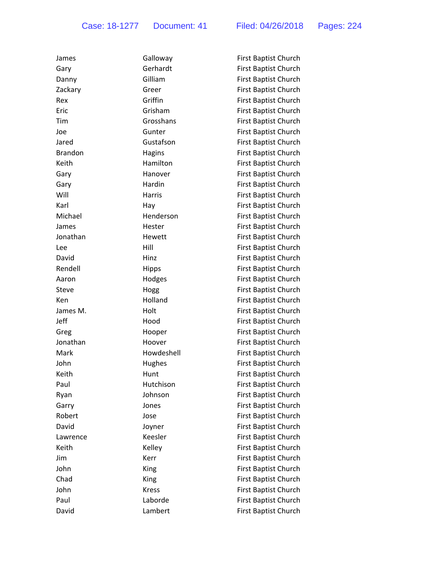| James          | Galloway      | First Baptist Church        |
|----------------|---------------|-----------------------------|
| Gary           | Gerhardt      | First Baptist Church        |
| Danny          | Gilliam       | First Baptist Church        |
| Zackary        | Greer         | First Baptist Church        |
| Rex            | Griffin       | First Baptist Church        |
| Eric           | Grisham       | First Baptist Church        |
| Tim            | Grosshans     | First Baptist Church        |
| Joe            | Gunter        | First Baptist Church        |
| Jared          | Gustafson     | First Baptist Church        |
| <b>Brandon</b> | Hagins        | First Baptist Church        |
| Keith          | Hamilton      | First Baptist Church        |
| Gary           | Hanover       | First Baptist Church        |
| Gary           | Hardin        | First Baptist Church        |
| Will           | <b>Harris</b> | First Baptist Church        |
| Karl           | Hay           | <b>First Baptist Church</b> |
| Michael        | Henderson     | First Baptist Church        |
| James          | Hester        | First Baptist Church        |
| Jonathan       | Hewett        | <b>First Baptist Church</b> |
| Lee            | Hill          | First Baptist Church        |
| David          | Hinz          | First Baptist Church        |
| Rendell        | <b>Hipps</b>  | First Baptist Church        |
| Aaron          | Hodges        | First Baptist Church        |
| Steve          | Hogg          | First Baptist Church        |
| Ken            | Holland       | First Baptist Church        |
| James M.       | Holt          | First Baptist Church        |
| Jeff           | Hood          | First Baptist Church        |
| Greg           | Hooper        | First Baptist Church        |
| Jonathan       | Hoover        | First Baptist Church        |
| Mark           | Howdeshell    | First Baptist Church        |
| John           | Hughes        | First Baptist Church        |
| Keith          | Hunt          | First Baptist Church        |
| Paul           | Hutchison     | First Baptist Church        |
| Ryan           | Johnson       | First Baptist Church        |
| Garry          | Jones         | First Baptist Church        |
| Robert         | Jose          | First Baptist Church        |
| David          | Joyner        | First Baptist Church        |
| Lawrence       | Keesler       | First Baptist Church        |
| Keith          | Kelley        | First Baptist Church        |
| Jim            | Kerr          | First Baptist Church        |
| John           | King          | First Baptist Church        |
| Chad           | King          | First Baptist Church        |
| John           | <b>Kress</b>  | First Baptist Church        |
| Paul           | Laborde       | First Baptist Church        |
| David          | Lambert       | First Baptist Church        |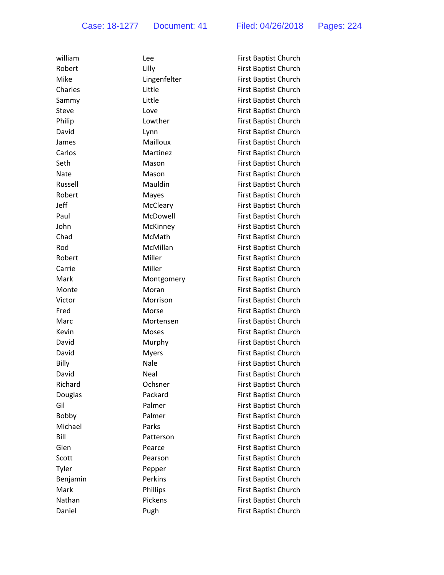| william     | Lee           | First Baptist Church        |
|-------------|---------------|-----------------------------|
| Robert      | Lilly         | First Baptist Church        |
| Mike        | Lingenfelter  | First Baptist Church        |
| Charles     | Little        | First Baptist Church        |
| Sammy       | Little        | First Baptist Church        |
| Steve       | Love          | <b>First Baptist Church</b> |
| Philip      | Lowther       | First Baptist Church        |
| David       | Lynn          | First Baptist Church        |
| James       | Mailloux      | First Baptist Church        |
| Carlos      | Martinez      | First Baptist Church        |
| Seth        | Mason         | First Baptist Church        |
| <b>Nate</b> | Mason         | First Baptist Church        |
| Russell     | Mauldin       | First Baptist Church        |
| Robert      | Mayes         | First Baptist Church        |
| Jeff        | McCleary      | <b>First Baptist Church</b> |
| Paul        | McDowell      | First Baptist Church        |
| John        | McKinney      | First Baptist Church        |
| Chad        | <b>McMath</b> | First Baptist Church        |
| Rod         | McMillan      | First Baptist Church        |
| Robert      | Miller        | <b>First Baptist Church</b> |
| Carrie      | Miller        | First Baptist Church        |
| Mark        | Montgomery    | First Baptist Church        |
| Monte       | Moran         | <b>First Baptist Church</b> |
| Victor      | Morrison      | First Baptist Church        |
| Fred        | Morse         | First Baptist Church        |
| Marc        | Mortensen     | First Baptist Church        |
| Kevin       | Moses         | <b>First Baptist Church</b> |
| David       | Murphy        | First Baptist Church        |
| David       | Myers         | First Baptist Church        |
| Billy       | Nale          | First Baptist Church        |
| David       | Neal          | <b>First Baptist Church</b> |
| Richard     | Ochsner       | First Baptist Church        |
| Douglas     | Packard       | First Baptist Church        |
| Gil         | Palmer        | First Baptist Church        |
| Bobby       | Palmer        | First Baptist Church        |
| Michael     | Parks         | First Baptist Church        |
| Bill        | Patterson     | First Baptist Church        |
| Glen        | Pearce        | <b>First Baptist Church</b> |
| Scott       | Pearson       | First Baptist Church        |
| Tyler       | Pepper        | First Baptist Church        |
| Benjamin    | Perkins       | First Baptist Church        |
| Mark        | Phillips      | First Baptist Church        |
| Nathan      | Pickens       | First Baptist Church        |
| Daniel      | Pugh          | First Baptist Church        |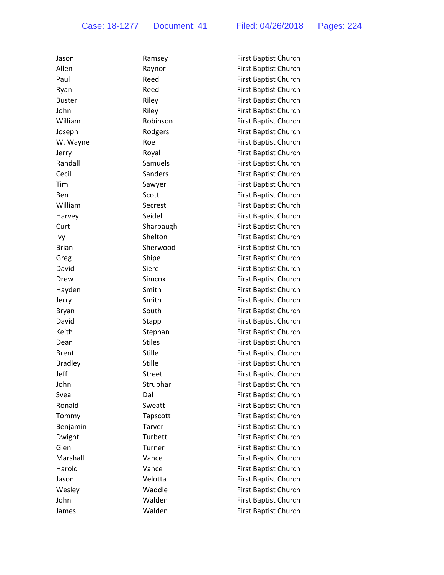Allen **Raynor** Raynor **First Baptist Church** Paul **Reed** Reed First Baptist Church Ryan Reed Reed First Baptist Church Buster **Riley** Riley **First Baptist Church** John 
Riley 
Rise Eirst Baptist Church William **Robinson** Robinson First Baptist Church Joseph Rodgers **Rodgers** First Baptist Church W. Wayne **Roe** Roe **First Baptist Church** Jerry Royal First Baptist Church Randall **Samuels** Samuels **First Baptist Church** Cecil Sanders Sanders First Baptist Church Tim Sawyer **Sample Sawyer** First Baptist Church Ben Scott Scott First Baptist Church William Secrest First Baptist Church Harvey Seidel Seidel First Baptist Church Curt **Sharbaugh First Baptist Church** Ivy **Shelton** Shelton **First Baptist Church** Brian Sherwood First Baptist Church Greg Shipe Shipe **First Baptist Church** David Siere Siere First Baptist Church Drew Simcox Simcox First Baptist Church Hayden Smith First Baptist Church **Jerry Smith Smith Eirst Baptist Church** Bryan South First Baptist Church David **Stapp** Stapp **First Baptist Church** Keith Stephan Stephan First Baptist Church Dean Stiles First Baptist Church Brent Stille Stille First Baptist Church Bradley **Stille** Stille **First Baptist Church** Jeff Street Street First Baptist Church John Strubhar First Baptist Church Svea **Dal** Dal **First Baptist Church** Ronald Sweatt First Baptist Church Tommy Tapscott **First Baptist Church** Benjamin Tarver Tarver First Baptist Church Dwight Turbett First Baptist Church Glen Turner **First Baptist Church** Marshall **Vance Vance First Baptist Church** Harold **Vance Vance First Baptist Church** Jason Velotta First Baptist Church Wesley **Waddle Waddle First Baptist Church** John Walden First Baptist Church James **Malden Walden First Baptist Church** 

Jason **Ramsey Ramsey** First Baptist Church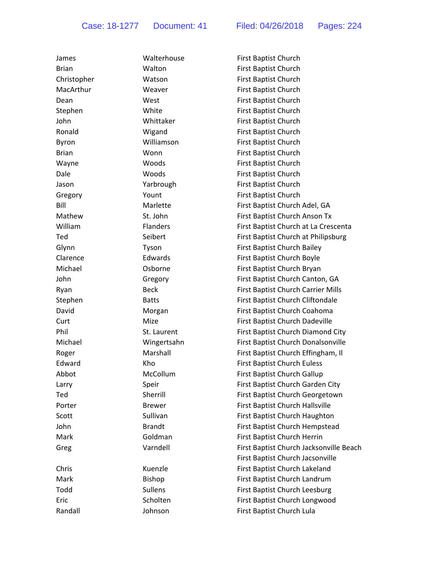| James        | Walterhouse     | First Baptist Church                    |
|--------------|-----------------|-----------------------------------------|
| <b>Brian</b> | Walton          | First Baptist Church                    |
| Christopher  | Watson          | First Baptist Church                    |
| MacArthur    | Weaver          | First Baptist Church                    |
| Dean         | West            | First Baptist Church                    |
| Stephen      | White           | First Baptist Church                    |
| John         | Whittaker       | First Baptist Church                    |
| Ronald       | Wigand          | First Baptist Church                    |
| Byron        | Williamson      | First Baptist Church                    |
| <b>Brian</b> | Wonn            | First Baptist Church                    |
| Wayne        | Woods           | First Baptist Church                    |
| Dale         | Woods           | First Baptist Church                    |
| Jason        | Yarbrough       | First Baptist Church                    |
| Gregory      | Yount           | First Baptist Church                    |
| Bill         | Marlette        | First Baptist Church Adel, GA           |
| Mathew       | St. John        | First Baptist Church Anson Tx           |
| William      | <b>Flanders</b> | First Baptist Church at La Crescenta    |
| Ted          | Seibert         | First Baptist Church at Philipsburg     |
| Glynn        | Tyson           | First Baptist Church Bailey             |
| Clarence     | Edwards         | First Baptist Church Boyle              |
| Michael      | Osborne         | First Baptist Church Bryan              |
| John         | Gregory         | First Baptist Church Canton, GA         |
| Ryan         | <b>Beck</b>     | First Baptist Church Carrier Mills      |
| Stephen      | <b>Batts</b>    | First Baptist Church Cliftondale        |
| David        | Morgan          | First Baptist Church Coahoma            |
| Curt         | Mize            | First Baptist Church Dadeville          |
| Phil         | St. Laurent     | First Baptist Church Diamond City       |
| Michael      | Wingertsahn     | First Baptist Church Donalsonville      |
| Roger        | Marshall        | First Baptist Church Effingham, Il      |
| Edward       | Kho             | First Baptist Church Euless             |
| Abbot        | McCollum        | First Baptist Church Gallup             |
| Larry        | Speir           | First Baptist Church Garden City        |
| Ted          | Sherrill        | First Baptist Church Georgetown         |
| Porter       | <b>Brewer</b>   | First Baptist Church Hallsville         |
| Scott        | Sullivan        | First Baptist Church Haughton           |
| John         | <b>Brandt</b>   | First Baptist Church Hempstead          |
| Mark         | Goldman         | First Baptist Church Herrin             |
| Greg         | Varndell        | First Baptist Church Jacksonville Beach |
|              |                 | First Baptist Church Jacsonville        |
| Chris        | Kuenzle         | First Baptist Church Lakeland           |
| Mark         | Bishop          | First Baptist Church Landrum            |
| Todd         | <b>Sullens</b>  | First Baptist Church Leesburg           |
| Eric         | Scholten        | First Baptist Church Longwood           |
| Randall      | Johnson         | First Baptist Church Lula               |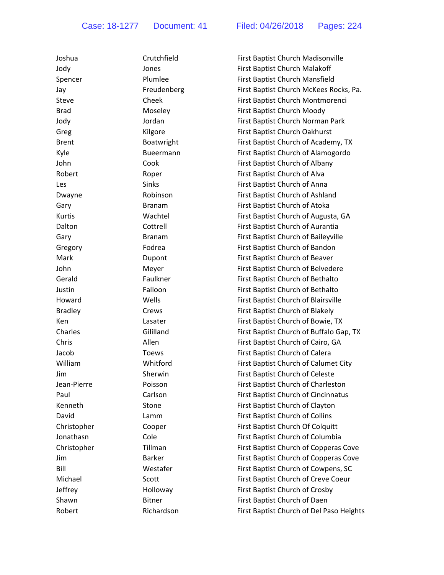| Joshua         | Crutchfield   | <b>First Baptist</b> |
|----------------|---------------|----------------------|
| Jody           | Jones         | <b>First Baptist</b> |
| Spencer        | Plumlee       | <b>First Baptist</b> |
| Jay            | Freudenberg   | <b>First Baptist</b> |
| Steve          | Cheek         | <b>First Baptist</b> |
| Brad           | Moseley       | <b>First Baptist</b> |
| Jody           | Jordan        | <b>First Baptist</b> |
| Greg           | Kilgore       | <b>First Baptist</b> |
| <b>Brent</b>   | Boatwright    | <b>First Baptist</b> |
| Kyle           | Bueermann     | <b>First Baptist</b> |
| John           | Cook          | <b>First Baptist</b> |
| Robert         | Roper         | <b>First Baptist</b> |
| Les            | <b>Sinks</b>  | <b>First Baptist</b> |
| Dwayne         | Robinson      | <b>First Baptist</b> |
| Gary           | <b>Branam</b> | <b>First Baptist</b> |
| Kurtis         | Wachtel       | <b>First Baptist</b> |
| Dalton         | Cottrell      | <b>First Baptist</b> |
| Gary           | <b>Branam</b> | <b>First Baptist</b> |
| Gregory        | Fodrea        | <b>First Baptist</b> |
| Mark           | Dupont        | <b>First Baptist</b> |
| John           | Meyer         | <b>First Baptist</b> |
| Gerald         | Faulkner      | <b>First Baptist</b> |
| Justin         | Falloon       | <b>First Baptist</b> |
| Howard         | Wells         | <b>First Baptist</b> |
| <b>Bradley</b> | Crews         | <b>First Baptist</b> |
| Ken            | Lasater       | <b>First Baptist</b> |
| Charles        | Gililland     | <b>First Baptist</b> |
| Chris          | Allen         | <b>First Baptist</b> |
| Jacob          | <b>Toews</b>  | <b>First Baptist</b> |
| William        | Whitford      | <b>First Baptist</b> |
| Jim            | Sherwin       | <b>First Baptist</b> |
| Jean-Pierre    | Poisson       | <b>First Baptist</b> |
| Paul           | Carlson       | <b>First Baptist</b> |
| Kenneth        | Stone         | <b>First Baptist</b> |
| David          | Lamm          | <b>First Baptist</b> |
| Christopher    | Cooper        | <b>First Baptist</b> |
| Jonathasn      | Cole          | <b>First Baptist</b> |
| Christopher    | Tillman       | <b>First Baptist</b> |
| Jim            | <b>Barker</b> | <b>First Baptist</b> |
| Bill           | Westafer      | <b>First Baptist</b> |
| Michael        | Scott         | <b>First Baptist</b> |
| Jeffrey        | Holloway      | <b>First Baptist</b> |
| Shawn          | <b>Bitner</b> | <b>First Baptist</b> |
| Robert         | Richardson    | <b>First Baptist</b> |

Church Madisonville Church Malakoff Church Mansfield Church McKees Rocks, Pa. Church Montmorenci Church Moody Church Norman Park Church Oakhurst Church of Academy, TX Church of Alamogordo Church of Albany Church of Alva Church of Anna Church of Ashland Church of Atoka Church of Augusta, GA Church of Aurantia Church of Baileyville Church of Bandon Church of Beaver Church of Belvedere Church of Bethalto Church of Bethalto Church of Blairsville Church of Blakely Church of Bowie, TX Church of Buffalo Gap, TX Church of Cairo, GA Church of Calera Church of Calumet City Church of Celeste Church of Charleston Church of Cincinnatus Church of Clayton Church of Collins Church Of Colquitt Church of Columbia Church of Copperas Cove Church of Copperas Cove Church of Cowpens, SC Church of Creve Coeur Church of Crosby Church of Daen Church of Del Paso Heights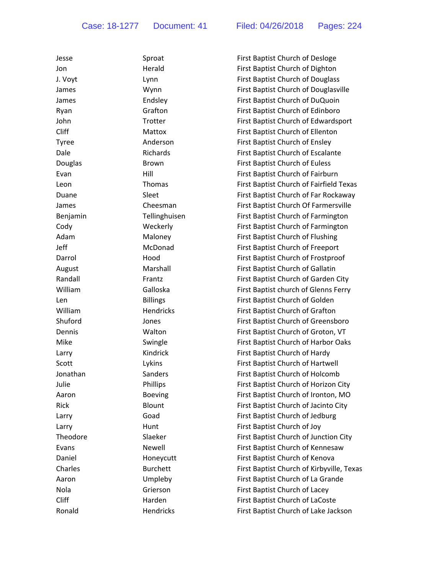| Jesse    | Spro          |
|----------|---------------|
| Jon      | Hera          |
| J. Voyt  | Lynn          |
| James    | Wyn           |
| James    | Ends          |
| Ryan     | Graft         |
| John     | Trott         |
| Cliff    | Matt          |
| Tyree    | Ande          |
| Dale     | Richa         |
| Douglas  | <b>Brow</b>   |
| Evan     | Hill          |
| Leon     | Thor          |
| Duane    | Sleet         |
| James    | Chee          |
| Benjamin | <b>Tellir</b> |
| Cody     | Wec           |
| Adam     | Malc          |
| Jeff     | McD           |
| Darrol   | Hood          |
| August   | Mars          |
| Randall  | Fran          |
| William  | Gallo         |
| Len      | <b>Billin</b> |
| William  | Hend          |
| Shuford  | Jone          |
| Dennis   | Walt          |
| Mike     | Swin          |
| Larry    | Kind          |
| Scott    | Lykir         |
| Jonathan | Sand          |
| Julie    | Philli        |
| Aaron    | Boev          |
| Rick     | Blou          |
| Larry    | Goad          |
| Larry    | Hunt          |
| Theodore | Slael         |
| Evans    | <b>New</b>    |
| Daniel   | Hone          |
| Charles  | <b>Burc</b>   |
| Aaron    | Ump           |
| Nola     | Grier         |
| Cliff    | Hard          |
| Ronald   | Hend          |

at **Internal Sproat Church of Desloge First Baptist Church of Desloge** Id **First Baptist Church of Dighton** First Baptist Church of Douglass n **First Baptist Church of Douglasville** Iey First Baptist Church of DuQuoin ton **First Baptist Church of Edinboro** In Troth Baptist Church of Edwardsport COX **EXECUTE:** First Baptist Church of Ellenton erson **First Baptist Church of Ensley** ards **Example 20 First Baptist Church of Escalante** ouglas **Proxide State Euless** First Baptist Church of Euless First Baptist Church of Fairburn nas **Example 2** First Baptist Church of Fairfield Texas First Baptist Church of Far Rockaway esman First Baptist Church Of Farmersville nghuisen First Baptist Church of Farmington kerly **Example 20 First Baptist Church of Farmington** aney **First Baptist Church of Flushing** onad First Baptist Church of Freeport d **Example 1** First Baptist Church of Frostproof shall **Eugene Communist Einest Baptist Church of Gallatin** tz **First Baptist Church of Garden City** William Galloska First Baptist church of Glenns Ferry gs **Eirst Baptist Church of Golden** dricks **First Baptist Church of Grafton** s **Shuford Jones Jones Jones Jones Jones Jones Jones Jones Jones Jones Jones Jones Jones Jones Jones Jones Jones Jones Jones Jones Jones Jones Jones Jones Jones Jones Jones Jones Jones Jones** on **Example 2** First Baptist Church of Groton, VT gle **Swingle State State Septist Church of Harbor Oaks** rick **Eirst Baptist Church of Hardy** ns **Example 28 First Baptist Church of Hartwell** lers **First Baptist Church of Holcomb** ps **First Baptist Church of Horizon City** ring **Example 20 First Baptist Church of Ironton, MO** nt **Eirst Baptist Church of Jacinto City** d **Goad Extract** First Baptist Church of Jedburg First Baptist Church of Joy ker **Theodore Example Slaeker Slaet is Slaget Slapetist Church of Junction City** ell **Evant Church of Kennesaw** eycutt **Example 1** First Baptist Church of Kenova Charles **Burchett** Burchett **First Baptist Church of Kirbyville, Texas** Aleby **First Baptist Church of La Grande** rson **First Baptist Church of Lacey** en **First Baptist Church of LaCoste** dricks **First Baptist Church of Lake Jackson**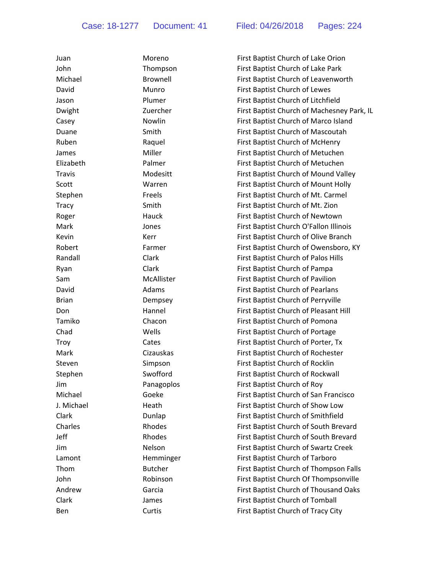| Juan          | Moreno          | <b>First Baptist</b> |
|---------------|-----------------|----------------------|
| John          | Thompson        | <b>First Baptist</b> |
| Michael       | <b>Brownell</b> | <b>First Baptist</b> |
| David         | Munro           | <b>First Baptist</b> |
| Jason         | Plumer          | <b>First Baptist</b> |
| Dwight        | Zuercher        | <b>First Baptist</b> |
| Casey         | Nowlin          | <b>First Baptist</b> |
| Duane         | Smith           | <b>First Baptist</b> |
| Ruben         | Raquel          | <b>First Baptist</b> |
| James         | Miller          | <b>First Baptist</b> |
| Elizabeth     | Palmer          | <b>First Baptist</b> |
| <b>Travis</b> | Modesitt        | <b>First Baptist</b> |
| Scott         | Warren          | <b>First Baptist</b> |
| Stephen       | Freels          | <b>First Baptist</b> |
| Tracy         | Smith           | <b>First Baptist</b> |
| Roger         | Hauck           | <b>First Baptist</b> |
| Mark          | Jones           | <b>First Baptist</b> |
| Kevin         | Kerr            | <b>First Baptist</b> |
| Robert        | Farmer          | <b>First Baptist</b> |
| Randall       | Clark           | <b>First Baptist</b> |
| Ryan          | Clark           | <b>First Baptist</b> |
| Sam           | McAllister      | <b>First Baptist</b> |
| David         | Adams           | <b>First Baptist</b> |
| <b>Brian</b>  | Dempsey         | <b>First Baptist</b> |
| Don           | Hannel          | <b>First Baptist</b> |
| Tamiko        | Chacon          | <b>First Baptist</b> |
| Chad          | Wells           | <b>First Baptist</b> |
| Troy          | Cates           | <b>First Baptist</b> |
| Mark          | Cizauskas       | <b>First Baptist</b> |
| Steven        | Simpson         | <b>First Baptist</b> |
| Stephen       | Swofford        | <b>First Baptist</b> |
| Jim           | Panagoplos      | <b>First Baptist</b> |
| Michael       | Goeke           | <b>First Baptist</b> |
| J. Michael    | Heath           | <b>First Baptist</b> |
| Clark         | Dunlap          | <b>First Baptist</b> |
| Charles       | Rhodes          | <b>First Baptist</b> |
| Jeff          | Rhodes          | <b>First Baptist</b> |
| Jim           | Nelson          | <b>First Baptist</b> |
| Lamont        | Hemminger       | <b>First Baptist</b> |
| Thom          | <b>Butcher</b>  | <b>First Baptist</b> |
| John          | Robinson        | <b>First Baptist</b> |
| Andrew        | Garcia          | <b>First Baptist</b> |
| Clark         | James           | <b>First Baptist</b> |
| Ben           | Curtis          | <b>First Baptist</b> |

Church of Lake Orion Church of Lake Park Church of Leavenworth Church of Lewes Church of Litchfield Church of Machesney Park, IL Church of Marco Island Church of Mascoutah Church of McHenry Church of Metuchen Church of Metuchen Church of Mound Valley Church of Mount Holly Church of Mt. Carmel Church of Mt. Zion Church of Newtown Church O'Fallon Illinois Church of Olive Branch Church of Owensboro, KY Church of Palos Hills Church of Pampa Church of Pavilion Church of Pearlans Church of Perryville Church of Pleasant Hill Church of Pomona Church of Portage Church of Porter, Tx Church of Rochester Church of Rocklin Church of Rockwall Church of Roy Church of San Francisco Church of Show Low Church of Smithfield Church of South Brevard Church of South Brevard Church of Swartz Creek Church of Tarboro Church of Thompson Falls Church Of Thompsonville Church of Thousand Oaks Church of Tomball Church of Tracy City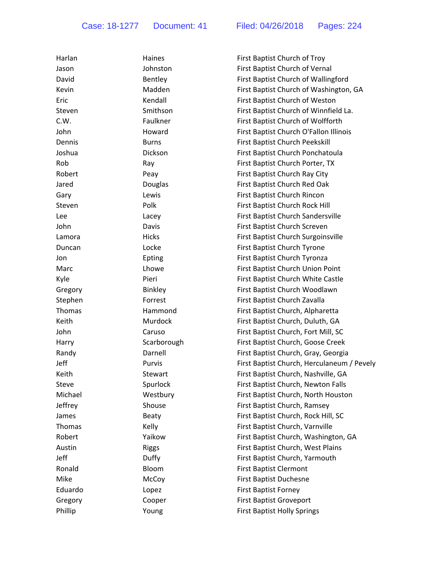| Harlan     | Haines         | First Baptist Church of Troy               |
|------------|----------------|--------------------------------------------|
| Jason      | Johnston       | First Baptist Church of Vernal             |
| David      | Bentley        | First Baptist Church of Wallingford        |
| Kevin      | Madden         | First Baptist Church of Washington, GA     |
| Eric       | Kendall        | First Baptist Church of Weston             |
| Steven     | Smithson       | First Baptist Church of Winnfield La.      |
| C.W.       | Faulkner       | First Baptist Church of Wolfforth          |
| John       | Howard         | First Baptist Church O'Fallon Illinois     |
| Dennis     | <b>Burns</b>   | First Baptist Church Peekskill             |
| Joshua     | Dickson        | First Baptist Church Ponchatoula           |
| Rob        | Ray            | First Baptist Church Porter, TX            |
| Robert     | Peay           | First Baptist Church Ray City              |
| Jared      | Douglas        | First Baptist Church Red Oak               |
| Gary       | Lewis          | First Baptist Church Rincon                |
| Steven     | Polk           | First Baptist Church Rock Hill             |
| <b>Lee</b> | Lacey          | First Baptist Church Sandersville          |
| John       | Davis          | First Baptist Church Screven               |
| Lamora     | <b>Hicks</b>   | First Baptist Church Surgoinsville         |
| Duncan     | Locke          | First Baptist Church Tyrone                |
| Jon        | Epting         | First Baptist Church Tyronza               |
| Marc       | Lhowe          | First Baptist Church Union Point           |
| Kyle       | Pieri          | First Baptist Church White Castle          |
| Gregory    | Binkley        | First Baptist Church Woodlawn              |
| Stephen    | Forrest        | First Baptist Church Zavalla               |
| Thomas     | Hammond        | First Baptist Church, Alpharetta           |
| Keith      | Murdock        | First Baptist Church, Duluth, GA           |
| John       | Caruso         | First Baptist Church, Fort Mill, SC        |
| Harry      | Scarborough    | First Baptist Church, Goose Creek          |
| Randy      | Darnell        | First Baptist Church, Gray, Georgia        |
| Jeff       | Purvis         | First Baptist Church, Herculaneum / Pevely |
| Keith      | <b>Stewart</b> | First Baptist Church, Nashville, GA        |
| Steve      | Spurlock       | First Baptist Church, Newton Falls         |
| Michael    | Westbury       | First Baptist Church, North Houston        |
| Jeffrey    | Shouse         | First Baptist Church, Ramsey               |
| James      | <b>Beaty</b>   | First Baptist Church, Rock Hill, SC        |
| Thomas     | Kelly          | First Baptist Church, Varnville            |
| Robert     | Yaikow         | First Baptist Church, Washington, GA       |
| Austin     | <b>Riggs</b>   | First Baptist Church, West Plains          |
| Jeff       | Duffy          | First Baptist Church, Yarmouth             |
| Ronald     | Bloom          | <b>First Baptist Clermont</b>              |
| Mike       | McCoy          | First Baptist Duchesne                     |
| Eduardo    | Lopez          | <b>First Baptist Forney</b>                |
| Gregory    | Cooper         | <b>First Baptist Groveport</b>             |
| Phillip    | Young          | <b>First Baptist Holly Springs</b>         |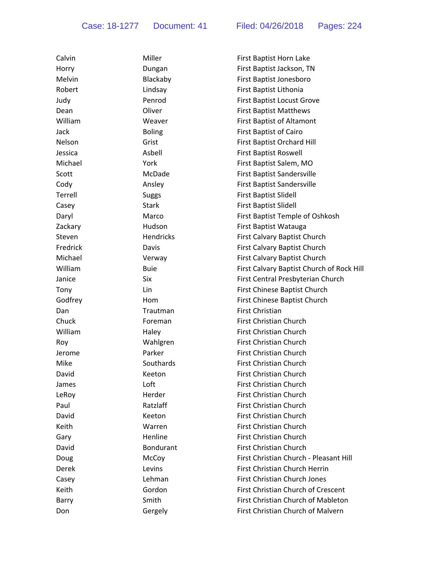| Calvin   | Miller        | First Baptist Horn Lake                   |
|----------|---------------|-------------------------------------------|
| Horry    | Dungan        | First Baptist Jackson, TN                 |
| Melvin   | Blackaby      | First Baptist Jonesboro                   |
| Robert   | Lindsay       | First Baptist Lithonia                    |
| Judy     | Penrod        | First Baptist Locust Grove                |
| Dean     | Oliver        | <b>First Baptist Matthews</b>             |
| William  | Weaver        | First Baptist of Altamont                 |
| Jack     | <b>Boling</b> | <b>First Baptist of Cairo</b>             |
| Nelson   | Grist         | First Baptist Orchard Hill                |
| Jessica  | Asbell        | <b>First Baptist Roswell</b>              |
| Michael  | York          | First Baptist Salem, MO                   |
| Scott    | McDade        | First Baptist Sandersville                |
| Cody     | Ansley        | First Baptist Sandersville                |
| Terrell  | <b>Suggs</b>  | <b>First Baptist Slidell</b>              |
| Casey    | <b>Stark</b>  | <b>First Baptist Slidell</b>              |
| Daryl    | Marco         | First Baptist Temple of Oshkosh           |
| Zackary  | Hudson        | First Baptist Watauga                     |
| Steven   | Hendricks     | First Calvary Baptist Church              |
| Fredrick | Davis         | First Calvary Baptist Church              |
| Michael  | Verway        | First Calvary Baptist Church              |
| William  | <b>Buie</b>   | First Calvary Baptist Church of Rock Hill |
| Janice   | Six           | First Central Presbyterian Church         |
| Tony     | Lin           | First Chinese Baptist Church              |
| Godfrey  | Hom           | First Chinese Baptist Church              |
| Dan      | Trautman      | <b>First Christian</b>                    |
| Chuck    | Foreman       | First Christian Church                    |
| William  | Haley         | First Christian Church                    |
| Roy      | Wahlgren      | First Christian Church                    |
| Jerome   | Parker        | First Christian Church                    |
| Mike     | Southards     | First Christian Church                    |
| David    | Keeton        | <b>First Christian Church</b>             |
| James    | Loft          | <b>First Christian Church</b>             |
| LeRoy    | Herder        | <b>First Christian Church</b>             |
| Paul     | Ratzlaff      | First Christian Church                    |
| David    | Keeton        | First Christian Church                    |
| Keith    | Warren        | First Christian Church                    |
| Gary     | Henline       | <b>First Christian Church</b>             |
| David    | Bondurant     | First Christian Church                    |
| Doug     | McCoy         | First Christian Church - Pleasant Hill    |
| Derek    | Levins        | First Christian Church Herrin             |
| Casey    | Lehman        | <b>First Christian Church Jones</b>       |
| Keith    | Gordon        | First Christian Church of Crescent        |
| Barry    | Smith         | First Christian Church of Mableton        |
| Don      | Gergely       | First Christian Church of Malvern         |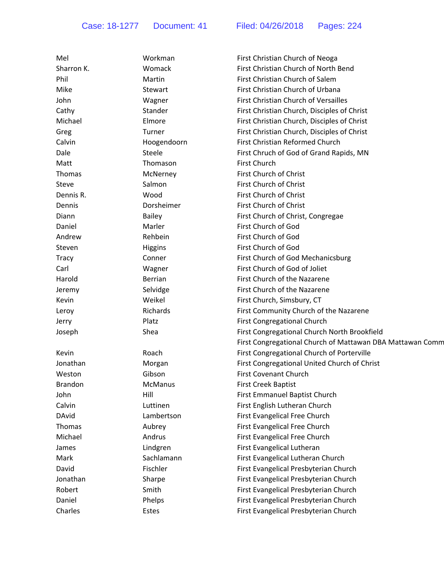| Mel            | Workman        | First Christian Church of Neoga                           |
|----------------|----------------|-----------------------------------------------------------|
| Sharron K.     | Womack         | First Christian Church of North Bend                      |
| Phil           | Martin         | First Christian Church of Salem                           |
| Mike           | Stewart        | First Christian Church of Urbana                          |
| John           | Wagner         | First Christian Church of Versailles                      |
| Cathy          | Stander        | First Christian Church, Disciples of Christ               |
| Michael        | Elmore         | First Christian Church, Disciples of Christ               |
| Greg           | Turner         | First Christian Church, Disciples of Christ               |
| Calvin         | Hoogendoorn    | First Christian Reformed Church                           |
| Dale           | Steele         | First Chruch of God of Grand Rapids, MN                   |
| Matt           | Thomason       | First Church                                              |
| Thomas         | McNerney       | First Church of Christ                                    |
| Steve          | Salmon         | First Church of Christ                                    |
| Dennis R.      | Wood           | First Church of Christ                                    |
| Dennis         | Dorsheimer     | First Church of Christ                                    |
| Diann          | <b>Bailey</b>  | First Church of Christ, Congregae                         |
| Daniel         | Marler         | First Church of God                                       |
| Andrew         | Rehbein        | First Church of God                                       |
| Steven         | <b>Higgins</b> | First Church of God                                       |
| <b>Tracy</b>   | Conner         | First Church of God Mechanicsburg                         |
| Carl           | Wagner         | First Church of God of Joliet                             |
| Harold         | <b>Berrian</b> | First Church of the Nazarene                              |
| Jeremy         | Selvidge       | First Church of the Nazarene                              |
| Kevin          | Weikel         | First Church, Simsbury, CT                                |
| Leroy          | Richards       | First Community Church of the Nazarene                    |
| Jerry          | Platz          | First Congregational Church                               |
| Joseph         | Shea           | First Congregational Church North Brookfield              |
|                |                | First Congregational Church of Mattawan DBA Mattawan Comm |
| Kevin          | Roach          | First Congregational Church of Porterville                |
| Jonathan       | Morgan         | First Congregational United Church of Christ              |
| Weston         | Gibson         | First Covenant Church                                     |
| <b>Brandon</b> | McManus        | <b>First Creek Baptist</b>                                |
| John           | Hill           | First Emmanuel Baptist Church                             |
| Calvin         | Luttinen       | First English Lutheran Church                             |
| <b>DAvid</b>   | Lambertson     | First Evangelical Free Church                             |
| Thomas         | Aubrey         | First Evangelical Free Church                             |
| Michael        | Andrus         | First Evangelical Free Church                             |
| James          | Lindgren       | First Evangelical Lutheran                                |
| Mark           | Sachlamann     | First Evangelical Lutheran Church                         |
| David          | Fischler       | First Evangelical Presbyterian Church                     |
| Jonathan       | Sharpe         | First Evangelical Presbyterian Church                     |
| Robert         | Smith          | First Evangelical Presbyterian Church                     |
| Daniel         | Phelps         | First Evangelical Presbyterian Church                     |
| Charles        | Estes          | First Evangelical Presbyterian Church                     |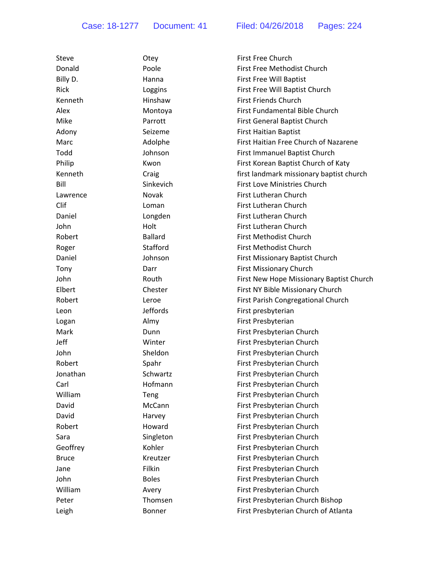| Steve        | Otey            | <b>First Free Church</b>                 |
|--------------|-----------------|------------------------------------------|
| Donald       | Poole           | First Free Methodist Church              |
| Billy D.     | Hanna           | First Free Will Baptist                  |
| Rick         | Loggins         | First Free Will Baptist Church           |
| Kenneth      | Hinshaw         | <b>First Friends Church</b>              |
| Alex         | Montoya         | First Fundamental Bible Church           |
| Mike         | Parrott         | First General Baptist Church             |
| Adony        | Seizeme         | <b>First Haitian Baptist</b>             |
| Marc         | Adolphe         | First Haitian Free Church of Nazarene    |
| Todd         | Johnson         | First Immanuel Baptist Church            |
| Philip       | Kwon            | First Korean Baptist Church of Katy      |
| Kenneth      | Craig           | first landmark missionary baptist church |
| Bill         | Sinkevich       | <b>First Love Ministries Church</b>      |
| Lawrence     | Novak           | <b>First Lutheran Church</b>             |
| <b>Clif</b>  | Loman           | <b>First Lutheran Church</b>             |
| Daniel       | Longden         | First Lutheran Church                    |
| John         | Holt            | First Lutheran Church                    |
| Robert       | <b>Ballard</b>  | First Methodist Church                   |
| Roger        | Stafford        | First Methodist Church                   |
| Daniel       | Johnson         | First Missionary Baptist Church          |
| Tony         | Darr            | <b>First Missionary Church</b>           |
| John         | Routh           | First New Hope Missionary Baptist Church |
| Elbert       | Chester         | First NY Bible Missionary Church         |
| Robert       | Leroe           | First Parish Congregational Church       |
| Leon         | <b>Jeffords</b> | First presbyterian                       |
| Logan        | Almy            | First Presbyterian                       |
| Mark         | Dunn            | First Presbyterian Church                |
| Jeff         | Winter          | First Presbyterian Church                |
| John         | Sheldon         | First Presbyterian Church                |
| Robert       | Spahr           | First Presbyterian Church                |
| Jonathan     | Schwartz        | First Presbyterian Church                |
| Carl         | Hofmann         | First Presbyterian Church                |
| William      | Teng            | First Presbyterian Church                |
| David        | McCann          | First Presbyterian Church                |
| David        | Harvey          | First Presbyterian Church                |
| Robert       | Howard          | First Presbyterian Church                |
| Sara         | Singleton       | First Presbyterian Church                |
| Geoffrey     | Kohler          | First Presbyterian Church                |
| <b>Bruce</b> | Kreutzer        | First Presbyterian Church                |
| Jane         | <b>Filkin</b>   | First Presbyterian Church                |
| John         | <b>Boles</b>    | First Presbyterian Church                |
| William      | Avery           | First Presbyterian Church                |
| Peter        | Thomsen         | First Presbyterian Church Bishop         |
| Leigh        | Bonner          | First Presbyterian Church of Atlanta     |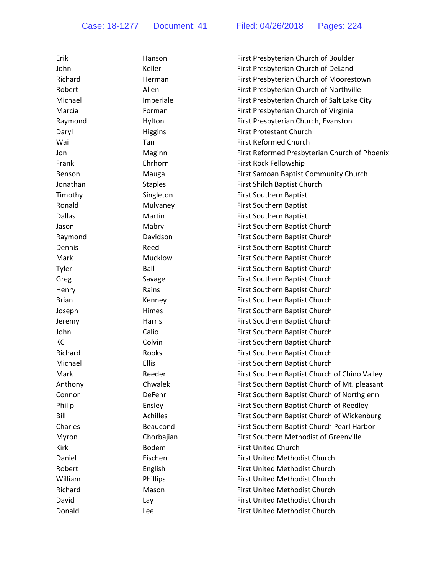| Erik          | Hanson         | First Presbyterian Church of Boulder          |
|---------------|----------------|-----------------------------------------------|
| John          | Keller         | First Presbyterian Church of DeLand           |
| Richard       | Herman         | First Presbyterian Church of Moorestown       |
| Robert        | Allen          | First Presbyterian Church of Northville       |
| Michael       | Imperiale      | First Presbyterian Church of Salt Lake City   |
| Marcia        | Forman         | First Presbyterian Church of Virginia         |
| Raymond       | Hylton         | First Presbyterian Church, Evanston           |
| Daryl         | <b>Higgins</b> | <b>First Protestant Church</b>                |
| Wai           | Tan            | <b>First Reformed Church</b>                  |
| Jon           | Maginn         | First Reformed Presbyterian Church of Phoenix |
| Frank         | Ehrhorn        | First Rock Fellowship                         |
| Benson        | Mauga          | First Samoan Baptist Community Church         |
| Jonathan      | <b>Staples</b> | First Shiloh Baptist Church                   |
| Timothy       | Singleton      | First Southern Baptist                        |
| Ronald        | Mulvaney       | <b>First Southern Baptist</b>                 |
| <b>Dallas</b> | Martin         | <b>First Southern Baptist</b>                 |
| Jason         | Mabry          | First Southern Baptist Church                 |
| Raymond       | Davidson       | First Southern Baptist Church                 |
| Dennis        | Reed           | First Southern Baptist Church                 |
| Mark          | Mucklow        | First Southern Baptist Church                 |
| Tyler         | Ball           | First Southern Baptist Church                 |
| Greg          | Savage         | First Southern Baptist Church                 |
| Henry         | Rains          | First Southern Baptist Church                 |
| <b>Brian</b>  | Kenney         | First Southern Baptist Church                 |
| Joseph        | Himes          | First Southern Baptist Church                 |
| Jeremy        | Harris         | First Southern Baptist Church                 |
| John          | Calio          | First Southern Baptist Church                 |
| KC            | Colvin         | First Southern Baptist Church                 |
| Richard       | Rooks          | First Southern Baptist Church                 |
| Michael       | Ellis          | First Southern Baptist Church                 |
| Mark          | Reeder         | First Southern Baptist Church of Chino Valley |
| Anthony       | Chwalek        | First Southern Baptist Church of Mt. pleasant |
| Connor        | DeFehr         | First Southern Baptist Church of Northglenn   |
| Philip        | Ensley         | First Southern Baptist Church of Reedley      |
| Bill          | Achilles       | First Southern Baptist Church of Wickenburg   |
| Charles       | Beaucond       | First Southern Baptist Church Pearl Harbor    |
| Myron         | Chorbajian     | First Southern Methodist of Greenville        |
| Kirk          | <b>Bodem</b>   | <b>First United Church</b>                    |
| Daniel        | Eischen        | First United Methodist Church                 |
| Robert        | English        | First United Methodist Church                 |
| William       | Phillips       | First United Methodist Church                 |
| Richard       | Mason          | First United Methodist Church                 |
| David         | Lay            | First United Methodist Church                 |
| Donald        | Lee            | First United Methodist Church                 |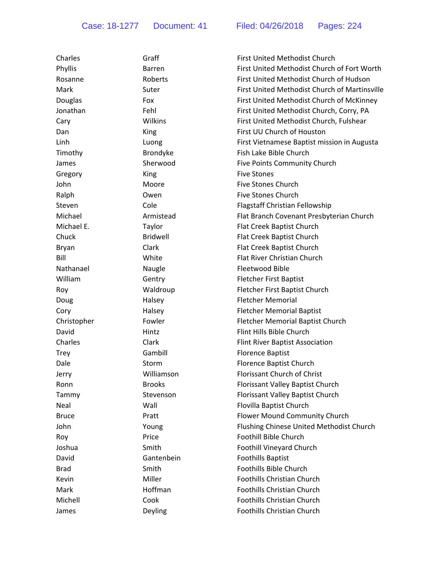| Charles      | Graff           | <b>First United Methodist Church</b>          |
|--------------|-----------------|-----------------------------------------------|
| Phyllis      | <b>Barren</b>   | First United Methodist Church of Fort Worth   |
| Rosanne      | Roberts         | First United Methodist Church of Hudson       |
| Mark         | Suter           | First United Methodist Church of Martinsville |
| Douglas      | Fox             | First United Methodist Church of McKinney     |
| Jonathan     | Fehl            | First United Methodist Church, Corry, PA      |
| Cary         | Wilkins         | First United Methodist Church, Fulshear       |
| Dan          | King            | First UU Church of Houston                    |
| Linh         | Luong           | First Vietnamese Baptist mission in Augusta   |
| Timothy      | Brondyke        | Fish Lake Bible Church                        |
| James        | Sherwood        | Five Points Community Church                  |
| Gregory      | King            | <b>Five Stones</b>                            |
| John         | Moore           | <b>Five Stones Church</b>                     |
| Ralph        | Owen            | <b>Five Stones Church</b>                     |
| Steven       | Cole            | <b>Flagstaff Christian Fellowship</b>         |
| Michael      | Armistead       | Flat Branch Covenant Presbyterian Church      |
| Michael E.   | Taylor          | Flat Creek Baptist Church                     |
| Chuck        | <b>Bridwell</b> | Flat Creek Baptist Church                     |
| <b>Bryan</b> | Clark           | Flat Creek Baptist Church                     |
| Bill         | White           | Flat River Christian Church                   |
| Nathanael    | Naugle          | Fleetwood Bible                               |
| William      | Gentry          | <b>Fletcher First Baptist</b>                 |
| Roy          | Waldroup        | Fletcher First Baptist Church                 |
| Doug         | Halsey          | <b>Fletcher Memorial</b>                      |
| Cory         | Halsey          | <b>Fletcher Memorial Baptist</b>              |
| Christopher  | Fowler          | Fletcher Memorial Baptist Church              |
| David        | Hintz           | Flint Hills Bible Church                      |
| Charles      | Clark           | Flint River Baptist Association               |
| <b>Trey</b>  | Gambill         | <b>Florence Baptist</b>                       |
| Dale         | Storm           | Florence Baptist Church                       |
| Jerry        | Williamson      | Florissant Church of Christ                   |
| Ronn         | <b>Brooks</b>   | Florissant Valley Baptist Church              |
| Tammy        | Stevenson       | Florissant Valley Baptist Church              |
| Neal         | Wall            | Flovilla Baptist Church                       |
| <b>Bruce</b> | Pratt           | Flower Mound Community Church                 |
| John         | Young           | Flushing Chinese United Methodist Church      |
| Roy          | Price           | Foothill Bible Church                         |
| Joshua       | Smith           | Foothill Vineyard Church                      |
| David        | Gantenbein      | <b>Foothills Baptist</b>                      |
| <b>Brad</b>  | Smith           | Foothills Bible Church                        |
| Kevin        | Miller          | <b>Foothills Christian Church</b>             |
| Mark         | Hoffman         | <b>Foothills Christian Church</b>             |
| Michell      | Cook            | <b>Foothills Christian Church</b>             |
| James        | Deyling         | <b>Foothills Christian Church</b>             |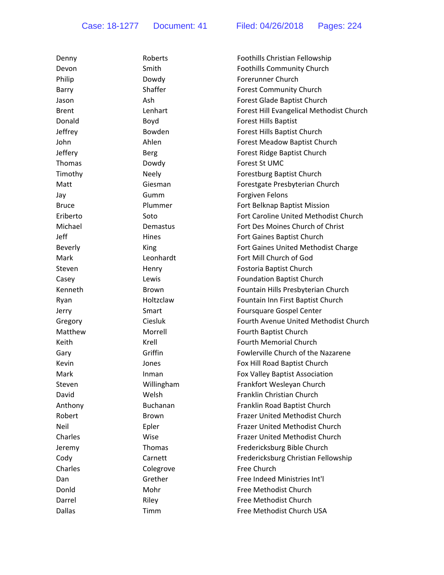| Denny         | Roberts      | Foothills Christian Fellowship           |
|---------------|--------------|------------------------------------------|
| Devon         | Smith        | <b>Foothills Community Church</b>        |
| Philip        | Dowdy        | Forerunner Church                        |
| Barry         | Shaffer      | <b>Forest Community Church</b>           |
| Jason         | Ash          | Forest Glade Baptist Church              |
| <b>Brent</b>  | Lenhart      | Forest Hill Evangelical Methodist Church |
| Donald        | Boyd         | <b>Forest Hills Baptist</b>              |
| Jeffrey       | Bowden       | Forest Hills Baptist Church              |
| John          | Ahlen        | Forest Meadow Baptist Church             |
| Jeffery       | <b>Berg</b>  | Forest Ridge Baptist Church              |
| Thomas        | Dowdy        | Forest St UMC                            |
| Timothy       | <b>Neely</b> | Forestburg Baptist Church                |
| Matt          | Giesman      | Forestgate Presbyterian Church           |
| Jay           | Gumm         | Forgiven Felons                          |
| <b>Bruce</b>  | Plummer      | Fort Belknap Baptist Mission             |
| Eriberto      | Soto         | Fort Caroline United Methodist Church    |
| Michael       | Demastus     | Fort Des Moines Church of Christ         |
| Jeff          | Hines        | Fort Gaines Baptist Church               |
| Beverly       | King         | Fort Gaines United Methodist Charge      |
| Mark          | Leonhardt    | Fort Mill Church of God                  |
| Steven        | Henry        | Fostoria Baptist Church                  |
| Casey         | Lewis        | <b>Foundation Baptist Church</b>         |
| Kenneth       | <b>Brown</b> | Fountain Hills Presbyterian Church       |
| Ryan          | Holtzclaw    | Fountain Inn First Baptist Church        |
| Jerry         | Smart        | Foursquare Gospel Center                 |
| Gregory       | Ciesluk      | Fourth Avenue United Methodist Church    |
| Matthew       | Morrell      | Fourth Baptist Church                    |
| Keith         | Krell        | <b>Fourth Memorial Church</b>            |
| Gary          | Griffin      | Fowlerville Church of the Nazarene       |
| Kevin         | Jones        | Fox Hill Road Baptist Church             |
| Mark          | Inman        | Fox Valley Baptist Association           |
| Steven        | Willingham   | Frankfort Wesleyan Church                |
| David         | Welsh        | Franklin Christian Church                |
| Anthony       | Buchanan     | Franklin Road Baptist Church             |
| Robert        | <b>Brown</b> | Frazer United Methodist Church           |
| Neil          | Epler        | Frazer United Methodist Church           |
| Charles       | Wise         | Frazer United Methodist Church           |
| Jeremy        | Thomas       | Fredericksburg Bible Church              |
| Cody          | Carnett      | Fredericksburg Christian Fellowship      |
| Charles       | Colegrove    | Free Church                              |
| Dan           | Grether      | Free Indeed Ministries Int'l             |
| Donld         | Mohr         | Free Methodist Church                    |
| Darrel        | Riley        | Free Methodist Church                    |
| <b>Dallas</b> | Timm         | Free Methodist Church USA                |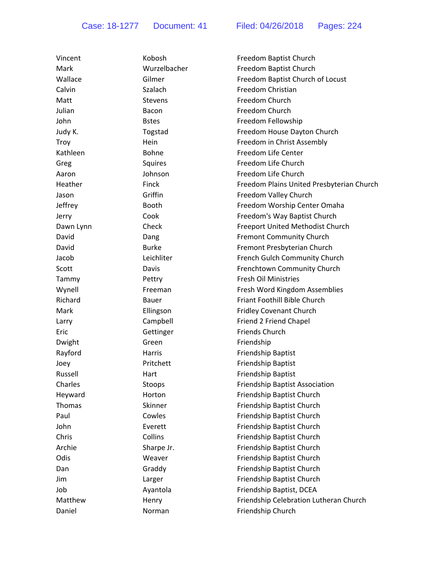| Vincent   | Kobosh         | Freedom Baptist Church                    |
|-----------|----------------|-------------------------------------------|
| Mark      | Wurzelbacher   | Freedom Baptist Church                    |
| Wallace   | Gilmer         | Freedom Baptist Church of Locust          |
| Calvin    | Szalach        | Freedom Christian                         |
| Matt      | <b>Stevens</b> | Freedom Church                            |
| Julian    | Bacon          | Freedom Church                            |
| John      | <b>Bstes</b>   | Freedom Fellowship                        |
| Judy K.   | Togstad        | Freedom House Dayton Church               |
| Troy      | Hein           | Freedom in Christ Assembly                |
| Kathleen  | Bohne          | Freedom Life Center                       |
| Greg      | Squires        | Freedom Life Church                       |
| Aaron     | Johnson        | Freedom Life Church                       |
| Heather   | Finck          | Freedom Plains United Presbyterian Church |
| Jason     | Griffin        | Freedom Valley Church                     |
| Jeffrey   | <b>Booth</b>   | Freedom Worship Center Omaha              |
| Jerry     | Cook           | Freedom's Way Baptist Church              |
| Dawn Lynn | Check          | Freeport United Methodist Church          |
| David     | Dang           | <b>Fremont Community Church</b>           |
| David     | <b>Burke</b>   | Fremont Presbyterian Church               |
| Jacob     | Leichliter     | French Gulch Community Church             |
| Scott     | Davis          | Frenchtown Community Church               |
| Tammy     | Pettry         | Fresh Oil Ministries                      |
| Wynell    | Freeman        | Fresh Word Kingdom Assemblies             |
| Richard   | Bauer          | Friant Foothill Bible Church              |
| Mark      | Ellingson      | <b>Fridley Covenant Church</b>            |
| Larry     | Campbell       | Friend 2 Friend Chapel                    |
| Eric      | Gettinger      | Friends Church                            |
| Dwight    | Green          | Friendship                                |
| Rayford   | Harris         | Friendship Baptist                        |
| Joey      | Pritchett      | Friendship Baptist                        |
| Russell   | Hart           | Friendship Baptist                        |
| Charles   | Stoops         | Friendship Baptist Association            |
| Heyward   | Horton         | Friendship Baptist Church                 |
| Thomas    | Skinner        | Friendship Baptist Church                 |
| Paul      | Cowles         | Friendship Baptist Church                 |
| John      | Everett        | Friendship Baptist Church                 |
| Chris     | Collins        | Friendship Baptist Church                 |
| Archie    | Sharpe Jr.     | Friendship Baptist Church                 |
| Odis      | Weaver         | Friendship Baptist Church                 |
| Dan       | Graddy         | Friendship Baptist Church                 |
| Jim       | Larger         | Friendship Baptist Church                 |
| Job       | Ayantola       | Friendship Baptist, DCEA                  |
| Matthew   | Henry          | Friendship Celebration Lutheran Church    |
| Daniel    | Norman         | Friendship Church                         |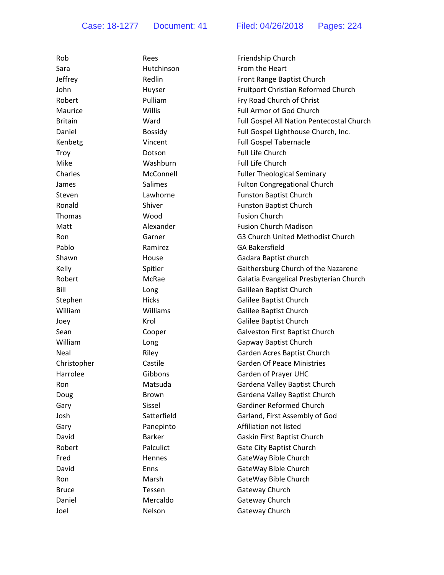| Rob            | Rees           | Friendship Church                         |
|----------------|----------------|-------------------------------------------|
| Sara           | Hutchinson     | From the Heart                            |
| Jeffrey        | Redlin         | Front Range Baptist Church                |
| John           | Huyser         | Fruitport Christian Reformed Church       |
| Robert         | Pulliam        | Fry Road Church of Christ                 |
| Maurice        | Willis         | Full Armor of God Church                  |
| <b>Britain</b> | Ward           | Full Gospel All Nation Pentecostal Church |
| Daniel         | <b>Bossidy</b> | Full Gospel Lighthouse Church, Inc.       |
| Kenbetg        | Vincent        | <b>Full Gospel Tabernacle</b>             |
| Troy           | Dotson         | <b>Full Life Church</b>                   |
| Mike           | Washburn       | Full Life Church                          |
| Charles        | McConnell      | <b>Fuller Theological Seminary</b>        |
| James          | Salimes        | <b>Fulton Congregational Church</b>       |
| Steven         | Lawhorne       | <b>Funston Baptist Church</b>             |
| Ronald         | Shiver         | <b>Funston Baptist Church</b>             |
| Thomas         | Wood           | <b>Fusion Church</b>                      |
| Matt           | Alexander      | <b>Fusion Church Madison</b>              |
| Ron            | Garner         | G3 Church United Methodist Church         |
| Pablo          | Ramirez        | <b>GA Bakersfield</b>                     |
| Shawn          | House          | Gadara Baptist church                     |
| Kelly          | Spitler        | Gaithersburg Church of the Nazarene       |
| Robert         | McRae          | Galatia Evangelical Presbyterian Church   |
| Bill           | Long           | Galilean Baptist Church                   |
| Stephen        | <b>Hicks</b>   | Galilee Baptist Church                    |
| William        | Williams       | Galilee Baptist Church                    |
| Joey           | Krol           | Galilee Baptist Church                    |
| Sean           | Cooper         | Galveston First Baptist Church            |
| William        | Long           | Gapway Baptist Church                     |
| Neal           | Riley          | Garden Acres Baptist Church               |
| Christopher    | Castile        | <b>Garden Of Peace Ministries</b>         |
| Harrolee       | Gibbons        | Garden of Prayer UHC                      |
| Ron            | Matsuda        | Gardena Valley Baptist Church             |
| Doug           | Brown          | Gardena Valley Baptist Church             |
| Gary           | Sissel         | <b>Gardiner Reformed Church</b>           |
| Josh           | Satterfield    | Garland, First Assembly of God            |
| Gary           | Panepinto      | Affiliation not listed                    |
| David          | <b>Barker</b>  | Gaskin First Baptist Church               |
| Robert         | Palculict      | <b>Gate City Baptist Church</b>           |
| Fred           | Hennes         | GateWay Bible Church                      |
| David          | Enns           | GateWay Bible Church                      |
| Ron            | Marsh          | GateWay Bible Church                      |
| <b>Bruce</b>   | Tessen         | Gateway Church                            |
| Daniel         | Mercaldo       | Gateway Church                            |
| Joel           | Nelson         | Gateway Church                            |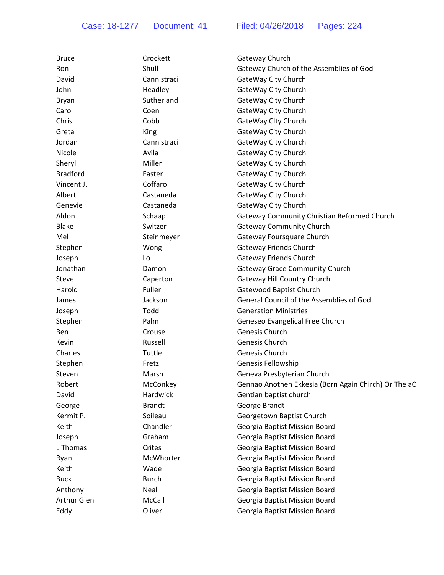Case: 18-1277 Document: 41 Filed: 04/26/2018 Pages: 224

| <b>Bruce</b>    | Crockett      | Gateway Church                                       |
|-----------------|---------------|------------------------------------------------------|
| Ron             | Shull         | Gateway Church of the Assemblies of God              |
| David           | Cannistraci   | GateWay City Church                                  |
| John            | Headley       | GateWay City Church                                  |
| Bryan           | Sutherland    | GateWay City Church                                  |
| Carol           | Coen          | GateWay City Church                                  |
| Chris           | Cobb          | GateWay Clty Church                                  |
| Greta           | King          | GateWay City Church                                  |
| Jordan          | Cannistraci   | GateWay City Church                                  |
| Nicole          | Avila         | GateWay City Church                                  |
| Sheryl          | Miller        | GateWay City Church                                  |
| <b>Bradford</b> | Easter        | GateWay City Church                                  |
| Vincent J.      | Coffaro       | GateWay City Church                                  |
| Albert          | Castaneda     | GateWay City Church                                  |
| Genevie         | Castaneda     | GateWay City Church                                  |
| Aldon           | Schaap        | Gateway Community Christian Reformed Church          |
| <b>Blake</b>    | Switzer       | <b>Gateway Community Church</b>                      |
| Mel             | Steinmeyer    | Gateway Foursquare Church                            |
| Stephen         | Wong          | <b>Gateway Friends Church</b>                        |
| Joseph          | Lo            | <b>Gateway Friends Church</b>                        |
| Jonathan        | Damon         | <b>Gateway Grace Community Church</b>                |
| Steve           | Caperton      | Gateway Hill Country Church                          |
| Harold          | Fuller        | Gatewood Baptist Church                              |
| James           | Jackson       | General Council of the Assemblies of God             |
| Joseph          | Todd          | <b>Generation Ministries</b>                         |
| Stephen         | Palm          | Geneseo Evangelical Free Church                      |
| <b>Ben</b>      | Crouse        | Genesis Church                                       |
| Kevin           | Russell       | Genesis Church                                       |
| Charles         | Tuttle        | Genesis Church                                       |
| Stephen         | Fretz         | Genesis Fellowship                                   |
| Steven          | Marsh         | Geneva Presbyterian Church                           |
| Robert          | McConkey      | Gennao Anothen Ekkesia (Born Again Chirch) Or The aC |
| David           | Hardwick      | Gentian baptist church                               |
| George          | <b>Brandt</b> | George Brandt                                        |
| Kermit P.       | Soileau       | Georgetown Baptist Church                            |
| Keith           | Chandler      | Georgia Baptist Mission Board                        |
| Joseph          | Graham        | Georgia Baptist Mission Board                        |
| L Thomas        | Crites        | Georgia Baptist Mission Board                        |
| Ryan            | McWhorter     | Georgia Baptist Mission Board                        |
| Keith           | Wade          | Georgia Baptist Mission Board                        |
| <b>Buck</b>     | <b>Burch</b>  | Georgia Baptist Mission Board                        |
| Anthony         | Neal          | Georgia Baptist Mission Board                        |
| Arthur Glen     | McCall        | Georgia Baptist Mission Board                        |
| Eddy            | Oliver        | Georgia Baptist Mission Board                        |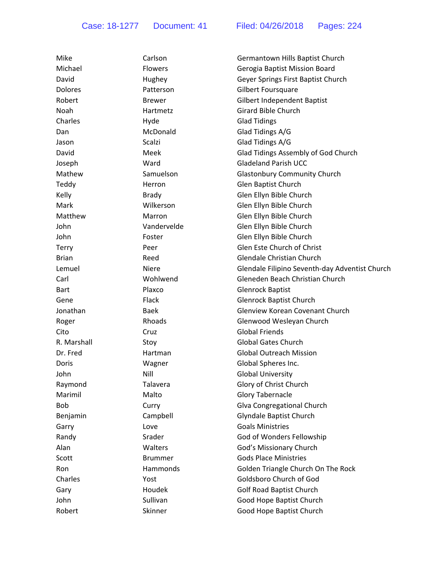| Mike           | Carlson        | Germantown Hills Baptist Church                                    |
|----------------|----------------|--------------------------------------------------------------------|
| Michael        | <b>Flowers</b> | Gerogia Baptist Mission Board                                      |
| David          | Hughey         | Geyer Springs First Baptist Church                                 |
| <b>Dolores</b> | Patterson      | Gilbert Foursquare                                                 |
| Robert         | <b>Brewer</b>  | Gilbert Independent Baptist                                        |
| Noah           | Hartmetz       | <b>Girard Bible Church</b>                                         |
| Charles        | Hyde           | <b>Glad Tidings</b>                                                |
| Dan            | McDonald       | Glad Tidings A/G                                                   |
| Jason          | Scalzi         | Glad Tidings A/G                                                   |
| David          | Meek           |                                                                    |
|                |                | Glad Tidings Assembly of God Church<br><b>Gladeland Parish UCC</b> |
| Joseph         | Ward           |                                                                    |
| Mathew         | Samuelson      | <b>Glastonbury Community Church</b>                                |
| Teddy          | Herron         | Glen Baptist Church                                                |
| Kelly          | <b>Brady</b>   | Glen Ellyn Bible Church                                            |
| Mark           | Wilkerson      | Glen Ellyn Bible Church                                            |
| Matthew        | Marron         | Glen Ellyn Bible Church                                            |
| John           | Vandervelde    | Glen Ellyn Bible Church                                            |
| John           | Foster         | Glen Ellyn Bible Church                                            |
| Terry          | Peer           | Glen Este Church of Christ                                         |
| <b>Brian</b>   | Reed           | <b>Glendale Christian Church</b>                                   |
| Lemuel         | Niere          | Glendale Filipino Seventh-day Adventist Church                     |
| Carl           | Wohlwend       | Gleneden Beach Christian Church                                    |
| <b>Bart</b>    | Plaxco         | <b>Glenrock Baptist</b>                                            |
| Gene           | Flack          | <b>Glenrock Baptist Church</b>                                     |
| Jonathan       | <b>Baek</b>    | <b>Glenview Korean Covenant Church</b>                             |
| Roger          | Rhoads         | Glenwood Wesleyan Church                                           |
| Cito           | Cruz           | <b>Global Friends</b>                                              |
| R. Marshall    | Stoy           | <b>Global Gates Church</b>                                         |
| Dr. Fred       | Hartman        | <b>Global Outreach Mission</b>                                     |
| Doris          | Wagner         | Global Spheres Inc.                                                |
| John           | Nill           | <b>Global University</b>                                           |
| Raymond        | Talavera       | Glory of Christ Church                                             |
| Marimil        | Malto          | <b>Glory Tabernacle</b>                                            |
| <b>Bob</b>     | Curry          | Glva Congregational Church                                         |
| Benjamin       | Campbell       | <b>Glyndale Baptist Church</b>                                     |
| Garry          | Love           | <b>Goals Ministries</b>                                            |
| Randy          | Srader         | God of Wonders Fellowship                                          |
| Alan           | Walters        | God's Missionary Church                                            |
| Scott          | <b>Brummer</b> | <b>Gods Place Ministries</b>                                       |
| Ron            | Hammonds       | Golden Triangle Church On The Rock                                 |
| Charles        | Yost           | Goldsboro Church of God                                            |
| Gary           | Houdek         | <b>Golf Road Baptist Church</b>                                    |
| John           | Sullivan       | Good Hope Baptist Church                                           |
| Robert         | Skinner        | Good Hope Baptist Church                                           |
|                |                |                                                                    |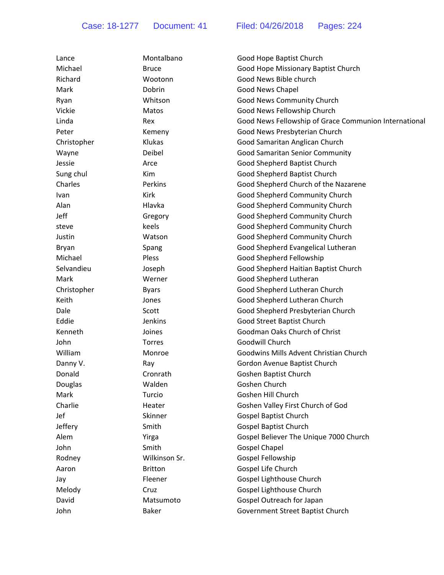| Lance       | Montalbano     | Good Hope Baptist Church                              |
|-------------|----------------|-------------------------------------------------------|
| Michael     | <b>Bruce</b>   | Good Hope Missionary Baptist Church                   |
| Richard     | Wootonn        | Good News Bible church                                |
| Mark        | Dobrin         | Good News Chapel                                      |
| Ryan        | Whitson        | Good News Community Church                            |
| Vickie      | Matos          | Good News Fellowship Church                           |
| Linda       | Rex            | Good News Fellowship of Grace Communion International |
| Peter       | Kemeny         | Good News Presbyterian Church                         |
| Christopher | Klukas         | Good Samaritan Anglican Church                        |
| Wayne       | Deibel         | <b>Good Samaritan Senior Community</b>                |
| Jessie      | Arce           | Good Shepherd Baptist Church                          |
| Sung chul   | Kim            | Good Shepherd Baptist Church                          |
| Charles     | Perkins        | Good Shepherd Church of the Nazarene                  |
| Ivan        | Kirk           | Good Shepherd Community Church                        |
| Alan        | Hlavka         | Good Shepherd Community Church                        |
| Jeff        | Gregory        | Good Shepherd Community Church                        |
| steve       | keels          | Good Shepherd Community Church                        |
| Justin      | Watson         | Good Shepherd Community Church                        |
| Bryan       | Spang          | Good Shepherd Evangelical Lutheran                    |
| Michael     | Pless          | Good Shepherd Fellowship                              |
| Selvandieu  | Joseph         | Good Shepherd Haitian Baptist Church                  |
| Mark        | Werner         | Good Shepherd Lutheran                                |
| Christopher | <b>Byars</b>   | Good Shepherd Lutheran Church                         |
| Keith       | Jones          | Good Shepherd Lutheran Church                         |
| Dale        | Scott          | Good Shepherd Presbyterian Church                     |
| Eddie       | Jenkins        | Good Street Baptist Church                            |
| Kenneth     | Joines         | Goodman Oaks Church of Christ                         |
| John        | Torres         | Goodwill Church                                       |
| William     | Monroe         | Goodwins Mills Advent Christian Church                |
| Danny V.    | Ray            | Gordon Avenue Baptist Church                          |
| Donald      | Cronrath       | Goshen Baptist Church                                 |
| Douglas     | Walden         | Goshen Church                                         |
| Mark        | Turcio         | Goshen Hill Church                                    |
| Charlie     | Heater         | Goshen Valley First Church of God                     |
| Jef         | Skinner        | <b>Gospel Baptist Church</b>                          |
| Jeffery     | Smith          | <b>Gospel Baptist Church</b>                          |
| Alem        | Yirga          | Gospel Believer The Unique 7000 Church                |
| John        | Smith          | <b>Gospel Chapel</b>                                  |
| Rodney      | Wilkinson Sr.  | Gospel Fellowship                                     |
| Aaron       | <b>Britton</b> | Gospel Life Church                                    |
| Jay         | Fleener        | Gospel Lighthouse Church                              |
| Melody      | Cruz           | Gospel Lighthouse Church                              |
| David       | Matsumoto      | Gospel Outreach for Japan                             |
| John        | Baker          | Government Street Baptist Church                      |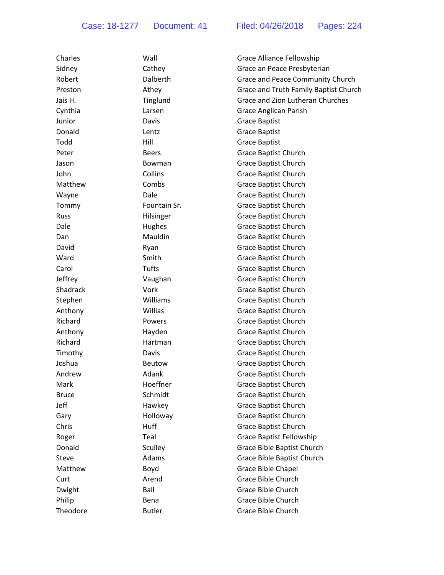| Charles      | Wall          | Grace Alliance Fellowship             |
|--------------|---------------|---------------------------------------|
| Sidney       | Cathey        | Grace an Peace Presbyterian           |
| Robert       | Dalberth      | Grace and Peace Community Church      |
| Preston      | Athey         | Grace and Truth Family Baptist Church |
| Jais H.      | Tinglund      | Grace and Zion Lutheran Churches      |
| Cynthia      | Larsen        | Grace Anglican Parish                 |
| Junior       | Davis         | <b>Grace Baptist</b>                  |
| Donald       | Lentz         | <b>Grace Baptist</b>                  |
| Todd         | Hill          | <b>Grace Baptist</b>                  |
| Peter        | <b>Beers</b>  | Grace Baptist Church                  |
| Jason        | <b>Bowman</b> | Grace Baptist Church                  |
| John         | Collins       | Grace Baptist Church                  |
| Matthew      | Combs         | Grace Baptist Church                  |
| Wayne        | Dale          | <b>Grace Baptist Church</b>           |
| Tommy        | Fountain Sr.  | Grace Baptist Church                  |
| <b>Russ</b>  | Hilsinger     | Grace Baptist Church                  |
| Dale         | Hughes        | Grace Baptist Church                  |
| Dan          | Mauldin       | Grace Baptist Church                  |
| David        | Ryan          | <b>Grace Baptist Church</b>           |
| Ward         | Smith         | <b>Grace Baptist Church</b>           |
| Carol        | Tufts         | Grace Baptist Church                  |
| Jeffrey      | Vaughan       | Grace Baptist Church                  |
| Shadrack     | Vork          | Grace Baptist Church                  |
| Stephen      | Williams      | Grace Baptist Church                  |
| Anthony      | Willias       | Grace Baptist Church                  |
| Richard      | Powers        | <b>Grace Baptist Church</b>           |
| Anthony      | Hayden        | Grace Baptist Church                  |
| Richard      | Hartman       | Grace Baptist Church                  |
| Timothy      | Davis         | <b>Grace Baptist Church</b>           |
| Joshua       | <b>Beutow</b> | Grace Baptist Church                  |
| Andrew       | Adank         | Grace Baptist Church                  |
| Mark         | Hoeffner      | <b>Grace Baptist Church</b>           |
| <b>Bruce</b> | Schmidt       | <b>Grace Baptist Church</b>           |
| Jeff         | Hawkey        | Grace Baptist Church                  |
| Gary         | Holloway      | Grace Baptist Church                  |
| Chris        | Huff          | Grace Baptist Church                  |
| Roger        | Teal          | Grace Baptist Fellowship              |
| Donald       | Sculley       | Grace Bible Baptist Church            |
| Steve        | Adams         | Grace Bible Baptist Church            |
| Matthew      | Boyd          | Grace Bible Chapel                    |
| Curt         | Arend         | <b>Grace Bible Church</b>             |
| Dwight       | Ball          | Grace Bible Church                    |
| Philip       | Bena          | <b>Grace Bible Church</b>             |
| Theodore     | <b>Butler</b> | Grace Bible Church                    |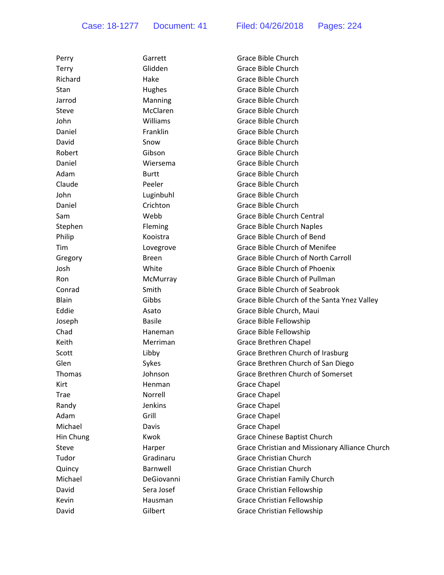| Perry     | Garrett       | <b>Grace Bible Church</b>                      |
|-----------|---------------|------------------------------------------------|
| Terry     | Glidden       | <b>Grace Bible Church</b>                      |
| Richard   | Hake          | Grace Bible Church                             |
| Stan      | Hughes        | Grace Bible Church                             |
| Jarrod    | Manning       | <b>Grace Bible Church</b>                      |
| Steve     | McClaren      | Grace Bible Church                             |
| John      | Williams      | <b>Grace Bible Church</b>                      |
| Daniel    | Franklin      | Grace Bible Church                             |
| David     | Snow          | Grace Bible Church                             |
| Robert    | Gibson        | Grace Bible Church                             |
| Daniel    | Wiersema      | Grace Bible Church                             |
| Adam      | <b>Burtt</b>  | Grace Bible Church                             |
| Claude    | Peeler        | <b>Grace Bible Church</b>                      |
| John      | Luginbuhl     | Grace Bible Church                             |
| Daniel    | Crichton      | <b>Grace Bible Church</b>                      |
| Sam       | Webb          | Grace Bible Church Central                     |
| Stephen   | Fleming       | <b>Grace Bible Church Naples</b>               |
| Philip    | Kooistra      | Grace Bible Church of Bend                     |
| Tim       | Lovegrove     | Grace Bible Church of Menifee                  |
| Gregory   | <b>Breen</b>  | <b>Grace Bible Church of North Carroll</b>     |
| Josh      | White         | Grace Bible Church of Phoenix                  |
| Ron       | McMurray      | Grace Bible Church of Pullman                  |
| Conrad    | Smith         | Grace Bible Church of Seabrook                 |
| Blain     | Gibbs         | Grace Bible Church of the Santa Ynez Valley    |
| Eddie     | Asato         | Grace Bible Church, Maui                       |
| Joseph    | <b>Basile</b> | Grace Bible Fellowship                         |
| Chad      | Haneman       | Grace Bible Fellowship                         |
| Keith     | Merriman      | Grace Brethren Chapel                          |
| Scott     | Libby         | Grace Brethren Church of Irasburg              |
| Glen      | Sykes         | Grace Brethren Church of San Diego             |
| Thomas    | Johnson       | Grace Brethren Church of Somerset              |
| Kirt      | Henman        | <b>Grace Chapel</b>                            |
| Trae      | Norrell       | <b>Grace Chapel</b>                            |
| Randy     | Jenkins       | <b>Grace Chapel</b>                            |
| Adam      | Grill         | <b>Grace Chapel</b>                            |
| Michael   | Davis         | <b>Grace Chapel</b>                            |
| Hin Chung | Kwok          | Grace Chinese Baptist Church                   |
| Steve     | Harper        | Grace Christian and Missionary Alliance Church |
| Tudor     | Gradinaru     | Grace Christian Church                         |
| Quincy    | Barnwell      | <b>Grace Christian Church</b>                  |
| Michael   | DeGiovanni    | Grace Christian Family Church                  |
| David     | Sera Josef    | Grace Christian Fellowship                     |
| Kevin     | Hausman       | <b>Grace Christian Fellowship</b>              |
| David     | Gilbert       | Grace Christian Fellowship                     |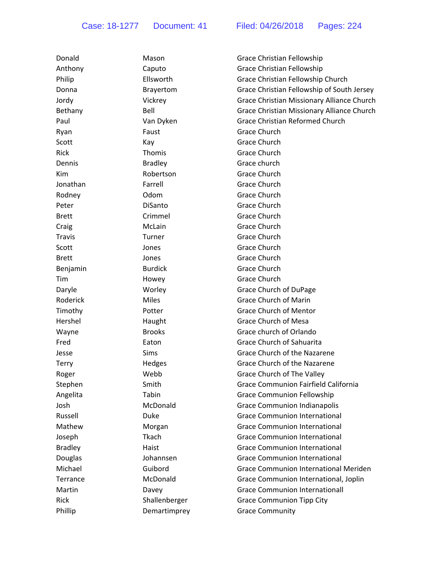| Donald         | Mason            | Grace Christian Fellowship                   |
|----------------|------------------|----------------------------------------------|
| Anthony        | Caputo           | Grace Christian Fellowship                   |
| Philip         | Ellsworth        | Grace Christian Fellowship Church            |
| Donna          | <b>Brayertom</b> | Grace Christian Fellowship of South Jersey   |
| Jordy          | Vickrey          | Grace Christian Missionary Alliance Church   |
| Bethany        | Bell             | Grace Christian Missionary Alliance Church   |
| Paul           | Van Dyken        | Grace Christian Reformed Church              |
| Ryan           | Faust            | Grace Church                                 |
| Scott          | Kay              | Grace Church                                 |
| Rick           | Thomis           | <b>Grace Church</b>                          |
| Dennis         | <b>Bradley</b>   | Grace church                                 |
| Kim            | Robertson        | <b>Grace Church</b>                          |
| Jonathan       | Farrell          | <b>Grace Church</b>                          |
| Rodney         | Odom             | Grace Church                                 |
| Peter          | <b>DiSanto</b>   | <b>Grace Church</b>                          |
| <b>Brett</b>   | Crimmel          | <b>Grace Church</b>                          |
| Craig          | McLain           | <b>Grace Church</b>                          |
| Travis         | Turner           | <b>Grace Church</b>                          |
| Scott          | Jones            | Grace Church                                 |
| <b>Brett</b>   | Jones            | <b>Grace Church</b>                          |
| Benjamin       | <b>Burdick</b>   | <b>Grace Church</b>                          |
| Tim            | Howey            | Grace Church                                 |
| Daryle         | Worley           | Grace Church of DuPage                       |
| Roderick       | <b>Miles</b>     | Grace Church of Marin                        |
| Timothy        | Potter           | <b>Grace Church of Mentor</b>                |
| Hershel        | Haught           | Grace Church of Mesa                         |
| Wayne          | <b>Brooks</b>    | Grace church of Orlando                      |
| Fred           | Eaton            | Grace Church of Sahuarita                    |
| Jesse          | Sims             | Grace Church of the Nazarene                 |
| <b>Terry</b>   | Hedges           | Grace Church of the Nazarene                 |
| Roger          | Webb             | Grace Church of The Valley                   |
| Stephen        | Smith            | Grace Communion Fairfield California         |
| Angelita       | Tabin            | <b>Grace Communion Fellowship</b>            |
| Josh           | McDonald         | <b>Grace Communion Indianapolis</b>          |
| Russell        | <b>Duke</b>      | <b>Grace Communion International</b>         |
| Mathew         | Morgan           | <b>Grace Communion International</b>         |
| Joseph         | Tkach            | <b>Grace Communion International</b>         |
| <b>Bradley</b> | Haist            | <b>Grace Communion International</b>         |
| Douglas        | Johannsen        | <b>Grace Communion International</b>         |
| Michael        | Guibord          | <b>Grace Communion International Meriden</b> |
| Terrance       | McDonald         | Grace Communion International, Joplin        |
| Martin         | Davey            | <b>Grace Communion Internationall</b>        |
| Rick           | Shallenberger    | <b>Grace Communion Tipp City</b>             |
| Phillip        | Demartimprey     | <b>Grace Community</b>                       |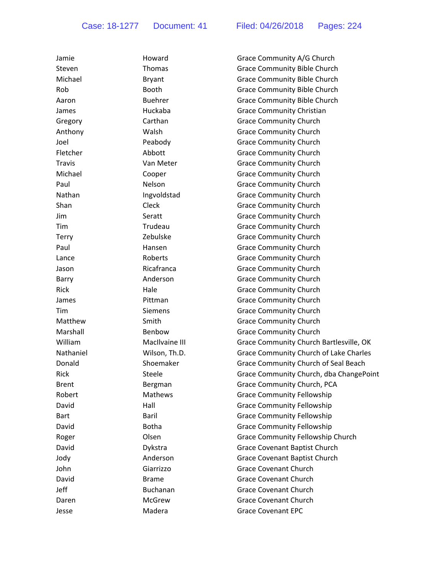| Jamie         | Howard          | Grace Community A/G Chi          |
|---------------|-----------------|----------------------------------|
| Steven        | <b>Thomas</b>   | <b>Grace Community Bible Cl</b>  |
| Michael       | <b>Bryant</b>   | <b>Grace Community Bible Cl</b>  |
| Rob           | <b>Booth</b>    | <b>Grace Community Bible Cl</b>  |
| Aaron         | <b>Buehrer</b>  | <b>Grace Community Bible Cl</b>  |
| James         | Huckaba         | <b>Grace Community Christia</b>  |
| Gregory       | Carthan         | <b>Grace Community Church</b>    |
| Anthony       | Walsh           | <b>Grace Community Church</b>    |
| Joel          | Peabody         | <b>Grace Community Church</b>    |
| Fletcher      | Abbott          | <b>Grace Community Church</b>    |
| <b>Travis</b> | Van Meter       | <b>Grace Community Church</b>    |
| Michael       | Cooper          | <b>Grace Community Church</b>    |
| Paul          | Nelson          | <b>Grace Community Church</b>    |
| Nathan        | Ingvoldstad     | <b>Grace Community Church</b>    |
| Shan          | Cleck           | <b>Grace Community Church</b>    |
| Jim           | Seratt          | <b>Grace Community Church</b>    |
| Tim           | Trudeau         | <b>Grace Community Church</b>    |
| <b>Terry</b>  | Zebulske        | <b>Grace Community Church</b>    |
| Paul          | Hansen          | <b>Grace Community Church</b>    |
| Lance         | Roberts         | <b>Grace Community Church</b>    |
| Jason         | Ricafranca      | <b>Grace Community Church</b>    |
| Barry         | Anderson        | <b>Grace Community Church</b>    |
| <b>Rick</b>   | Hale            | <b>Grace Community Church</b>    |
| James         | Pittman         | <b>Grace Community Church</b>    |
| Tim           | <b>Siemens</b>  | <b>Grace Community Church</b>    |
| Matthew       | Smith           | <b>Grace Community Church</b>    |
| Marshall      | Benbow          | <b>Grace Community Church</b>    |
| William       | MacIlvaine III  | <b>Grace Community Church</b>    |
| Nathaniel     | Wilson, Th.D.   | <b>Grace Community Church</b>    |
| Donald        | Shoemaker       | <b>Grace Community Church</b>    |
| Rick          | Steele          | Grace Community Church,          |
| <b>Brent</b>  | Bergman         | Grace Community Church           |
| Robert        | Mathews         | <b>Grace Community Fellows</b>   |
| David         | Hall            | <b>Grace Community Fellows</b>   |
| <b>Bart</b>   | Baril           | <b>Grace Community Fellows</b>   |
| David         | <b>Botha</b>    | <b>Grace Community Fellows</b>   |
| Roger         | Olsen           | <b>Grace Community Fellows</b>   |
| David         | Dykstra         | <b>Grace Covenant Baptist Ch</b> |
| Jody          | Anderson        | <b>Grace Covenant Baptist Ch</b> |
| John          | Giarrizzo       | <b>Grace Covenant Church</b>     |
| David         | <b>Brame</b>    | <b>Grace Covenant Church</b>     |
| Jeff          | <b>Buchanan</b> | <b>Grace Covenant Church</b>     |
| Daren         | McGrew          | <b>Grace Covenant Church</b>     |
| Jesse         | Madera          | <b>Grace Covenant EPC</b>        |

nie **Howard** Howard Grace Community A/G Church Grace Community Bible Church Grace Community Bible Church **Grace Community Bible Church** Grace Community Bible Church Grace Community Christian Grace Community Church Grace Community Church Grace Community Church Grace Community Church **Grace Community Church Grace Community Church** Grace Community Church Grace Community Church Grace Community Church **Grace Community Church Grace Community Church** Grace Community Church **Grace Community Church Grace Community Church** Grace Community Church Grace Community Church Grace Community Church **Grace Community Church** William MacIlvaine III Grace Community Church Bartlesville, OK Grace Community Church of Lake Charles Grace Community Church of Seal Beach Grace Community Church, dba ChangePoint Grace Community Church, PCA Grace Community Fellowship Grace Community Fellowship Grace Community Fellowship Grace Community Fellowship Grace Community Fellowship Church Grace Covenant Baptist Church Grace Covenant Baptist Church Grace Covenant Church Grace Covenant Church Grace Covenant Church Grace Covenant Church Grace Covenant EPC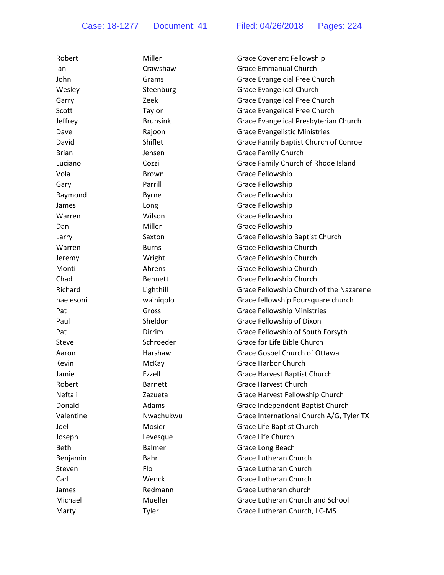| Robert       | Miller          | <b>Grace Covenant Fellowship</b>         |
|--------------|-----------------|------------------------------------------|
| lan          | Crawshaw        | <b>Grace Emmanual Church</b>             |
| John         | Grams           | Grace Evangelcial Free Church            |
| Wesley       | Steenburg       | <b>Grace Evangelical Church</b>          |
| Garry        | Zeek            | Grace Evangelical Free Church            |
| Scott        | Taylor          | Grace Evangelical Free Church            |
| Jeffrey      | <b>Brunsink</b> | Grace Evangelical Presbyterian Church    |
| Dave         | Rajoon          | <b>Grace Evangelistic Ministries</b>     |
| David        | Shiflet         | Grace Family Baptist Church of Conroe    |
| <b>Brian</b> | Jensen          | <b>Grace Family Church</b>               |
| Luciano      | Cozzi           | Grace Family Church of Rhode Island      |
| Vola         | <b>Brown</b>    | Grace Fellowship                         |
| Gary         | Parrill         | Grace Fellowship                         |
| Raymond      | <b>Byrne</b>    | Grace Fellowship                         |
| James        | Long            | Grace Fellowship                         |
| Warren       | Wilson          | Grace Fellowship                         |
| Dan          | Miller          | Grace Fellowship                         |
| Larry        | Saxton          | Grace Fellowship Baptist Church          |
| Warren       | <b>Burns</b>    | Grace Fellowship Church                  |
| Jeremy       | Wright          | Grace Fellowship Church                  |
| Monti        | Ahrens          | Grace Fellowship Church                  |
| Chad         | <b>Bennett</b>  | Grace Fellowship Church                  |
| Richard      | Lighthill       | Grace Fellowship Church of the Nazarene  |
| naelesoni    | wainiqolo       | Grace fellowship Foursquare church       |
| Pat          | Gross           | <b>Grace Fellowship Ministries</b>       |
| Paul         | Sheldon         | Grace Fellowship of Dixon                |
| Pat          | Dirrim          | Grace Fellowship of South Forsyth        |
| Steve        | Schroeder       | Grace for Life Bible Church              |
| Aaron        | Harshaw         | Grace Gospel Church of Ottawa            |
| Kevin        | McKay           | <b>Grace Harbor Church</b>               |
| Jamie        | Ezzell          | Grace Harvest Baptist Church             |
| Robert       | <b>Barnett</b>  | <b>Grace Harvest Church</b>              |
| Neftali      | Zazueta         | Grace Harvest Fellowship Church          |
| Donald       | Adams           | Grace Independent Baptist Church         |
| Valentine    | Nwachukwu       | Grace International Church A/G, Tyler TX |
| Joel         | Mosier          | Grace Life Baptist Church                |
| Joseph       | Levesque        | Grace Life Church                        |
| Beth         | <b>Balmer</b>   | Grace Long Beach                         |
| Benjamin     | Bahr            | Grace Lutheran Church                    |
| Steven       | Flo             | <b>Grace Lutheran Church</b>             |
| Carl         | Wenck           | Grace Lutheran Church                    |
| James        | Redmann         | Grace Lutheran church                    |
| Michael      | Mueller         | Grace Lutheran Church and School         |
| Marty        | Tyler           | Grace Lutheran Church, LC-MS             |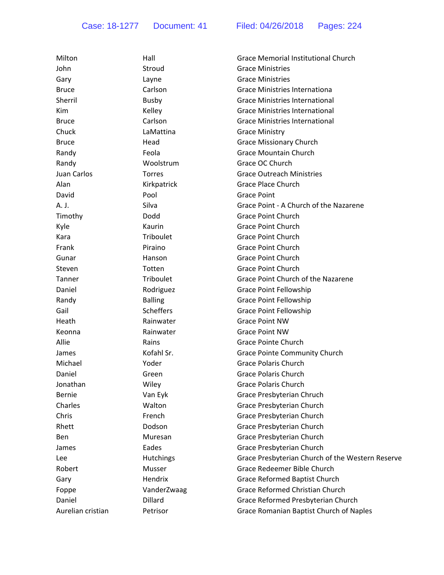| Milton            | Hall           | <b>Grace Memorial Institutional Church</b>       |
|-------------------|----------------|--------------------------------------------------|
| John              | Stroud         | <b>Grace Ministries</b>                          |
| Gary              | Layne          | <b>Grace Ministries</b>                          |
| <b>Bruce</b>      | Carlson        | <b>Grace Ministries Internationa</b>             |
| Sherril           | <b>Busby</b>   | <b>Grace Ministries International</b>            |
| Kim               | Kelley         | <b>Grace Ministries International</b>            |
| <b>Bruce</b>      | Carlson        | <b>Grace Ministries International</b>            |
| Chuck             | LaMattina      | <b>Grace Ministry</b>                            |
| <b>Bruce</b>      | Head           | <b>Grace Missionary Church</b>                   |
| Randy             | Feola          | <b>Grace Mountain Church</b>                     |
| Randy             | Woolstrum      | Grace OC Church                                  |
| Juan Carlos       | <b>Torres</b>  | <b>Grace Outreach Ministries</b>                 |
| Alan              | Kirkpatrick    | <b>Grace Place Church</b>                        |
| David             | Pool           | <b>Grace Point</b>                               |
| A. J.             | Silva          | Grace Point - A Church of the Nazarene           |
| Timothy           | Dodd           | <b>Grace Point Church</b>                        |
| Kyle              | Kaurin         | <b>Grace Point Church</b>                        |
| Kara              | Triboulet      | <b>Grace Point Church</b>                        |
| Frank             | Piraino        | <b>Grace Point Church</b>                        |
| Gunar             | Hanson         | <b>Grace Point Church</b>                        |
| Steven            | Totten         | <b>Grace Point Church</b>                        |
| Tanner            | Triboulet      | Grace Point Church of the Nazarene               |
| Daniel            | Rodriguez      | Grace Point Fellowship                           |
| Randy             | <b>Balling</b> | Grace Point Fellowship                           |
| Gail              | Scheffers      | <b>Grace Point Fellowship</b>                    |
| Heath             | Rainwater      | <b>Grace Point NW</b>                            |
| Keonna            | Rainwater      | <b>Grace Point NW</b>                            |
| Allie             | Rains          | Grace Pointe Church                              |
| James             | Kofahl Sr.     | <b>Grace Pointe Community Church</b>             |
| Michael           | Yoder          | <b>Grace Polaris Church</b>                      |
| Daniel            | Green          | <b>Grace Polaris Church</b>                      |
| Jonathan          | Wiley          | <b>Grace Polaris Church</b>                      |
| Bernie            | Van Eyk        | Grace Presbyterian Chruch                        |
| Charles           | Walton         | Grace Presbyterian Church                        |
| Chris             | French         | Grace Presbyterian Church                        |
| Rhett             | Dodson         | Grace Presbyterian Church                        |
| Ben               | Muresan        | Grace Presbyterian Church                        |
| James             | Eades          | Grace Presbyterian Church                        |
| Lee               | Hutchings      | Grace Presbyterian Church of the Western Reserve |
| Robert            | Musser         | Grace Redeemer Bible Church                      |
| Gary              | Hendrix        | Grace Reformed Baptist Church                    |
| Foppe             | VanderZwaag    | Grace Reformed Christian Church                  |
| Daniel            | Dillard        | Grace Reformed Presbyterian Church               |
| Aurelian cristian | Petrisor       | Grace Romanian Baptist Church of Naples          |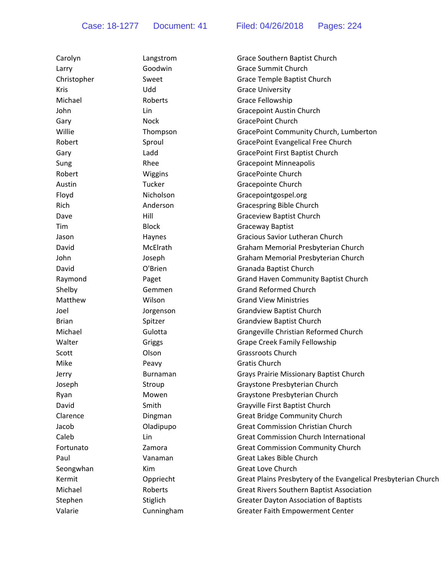| Carolyn      | Langstrom    | Grace Southern Baptist Church                                  |
|--------------|--------------|----------------------------------------------------------------|
| Larry        | Goodwin      | <b>Grace Summit Church</b>                                     |
| Christopher  | Sweet        | Grace Temple Baptist Church                                    |
| <b>Kris</b>  | Udd          | <b>Grace University</b>                                        |
| Michael      | Roberts      | Grace Fellowship                                               |
| John         | Lin          | <b>Gracepoint Austin Church</b>                                |
| Gary         | <b>Nock</b>  | <b>GracePoint Church</b>                                       |
| Willie       | Thompson     | GracePoint Community Church, Lumberton                         |
| Robert       | Sproul       | GracePoint Evangelical Free Church                             |
| Gary         | Ladd         | GracePoint First Baptist Church                                |
| Sung         | Rhee         | <b>Gracepoint Minneapolis</b>                                  |
| Robert       | Wiggins      | <b>GracePointe Church</b>                                      |
| Austin       | Tucker       | Gracepointe Church                                             |
| Floyd        | Nicholson    | Gracepointgospel.org                                           |
| Rich         | Anderson     | Gracespring Bible Church                                       |
| Dave         | Hill         | <b>Graceview Baptist Church</b>                                |
| Tim          | <b>Block</b> | <b>Graceway Baptist</b>                                        |
| Jason        | Haynes       | <b>Gracious Savior Lutheran Church</b>                         |
| David        | McElrath     | Graham Memorial Presbyterian Church                            |
| John         | Joseph       | Graham Memorial Presbyterian Church                            |
| David        | O'Brien      | Granada Baptist Church                                         |
| Raymond      | Paget        | <b>Grand Haven Community Baptist Church</b>                    |
| Shelby       | Gemmen       | <b>Grand Reformed Church</b>                                   |
| Matthew      | Wilson       | <b>Grand View Ministries</b>                                   |
| Joel         | Jorgenson    | <b>Grandview Baptist Church</b>                                |
| <b>Brian</b> | Spitzer      | <b>Grandview Baptist Church</b>                                |
| Michael      | Gulotta      | Grangeville Christian Reformed Church                          |
| Walter       | Griggs       | <b>Grape Creek Family Fellowship</b>                           |
| Scott        | Olson        | <b>Grassroots Church</b>                                       |
| Mike         | Peavy        | <b>Gratis Church</b>                                           |
| Jerry        | Burnaman     | Grays Prairie Missionary Baptist Church                        |
| Joseph       | Stroup       | Graystone Presbyterian Church                                  |
| Ryan         | Mowen        | Graystone Presbyterian Church                                  |
| David        | Smith        | Grayville First Baptist Church                                 |
| Clarence     | Dingman      | <b>Great Bridge Community Church</b>                           |
| Jacob        | Oladipupo    | <b>Great Commission Christian Church</b>                       |
| Caleb        | Lin          | <b>Great Commission Church International</b>                   |
| Fortunato    | Zamora       | <b>Great Commission Community Church</b>                       |
| Paul         | Vanaman      | <b>Great Lakes Bible Church</b>                                |
| Seongwhan    | Kim          | <b>Great Love Church</b>                                       |
| Kermit       | Oppriecht    | Great Plains Presbytery of the Evangelical Presbyterian Church |
| Michael      | Roberts      | <b>Great Rivers Southern Baptist Association</b>               |
| Stephen      | Stiglich     | <b>Greater Dayton Association of Baptists</b>                  |
| Valarie      | Cunningham   | <b>Greater Faith Empowerment Center</b>                        |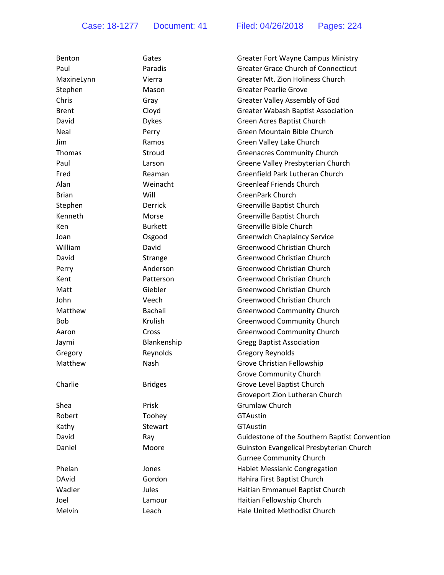| Benton       | Gates          | <b>Greater Fort Wayne Campus Ministry</b>     |
|--------------|----------------|-----------------------------------------------|
| Paul         | Paradis        | <b>Greater Grace Church of Connecticut</b>    |
| MaxineLynn   | Vierra         | Greater Mt. Zion Holiness Church              |
| Stephen      | Mason          | <b>Greater Pearlie Grove</b>                  |
| Chris        | Gray           | Greater Valley Assembly of God                |
| <b>Brent</b> | Cloyd          | <b>Greater Wabash Baptist Association</b>     |
| David        | <b>Dykes</b>   | Green Acres Baptist Church                    |
| Neal         | Perry          | <b>Green Mountain Bible Church</b>            |
| Jim          | Ramos          | Green Valley Lake Church                      |
| Thomas       | Stroud         | <b>Greenacres Community Church</b>            |
| Paul         | Larson         | Greene Valley Presbyterian Church             |
| Fred         | Reaman         | Greenfield Park Lutheran Church               |
| Alan         | Weinacht       | <b>Greenleaf Friends Church</b>               |
| <b>Brian</b> | Will           | <b>GreenPark Church</b>                       |
| Stephen      | Derrick        | Greenville Baptist Church                     |
| Kenneth      | Morse          | Greenville Baptist Church                     |
| Ken          | <b>Burkett</b> | Greenville Bible Church                       |
| Joan         | Osgood         | <b>Greenwich Chaplaincy Service</b>           |
| William      | David          | Greenwood Christian Church                    |
| David        | Strange        | <b>Greenwood Christian Church</b>             |
| Perry        | Anderson       | Greenwood Christian Church                    |
| Kent         | Patterson      | Greenwood Christian Church                    |
| Matt         | Giebler        | Greenwood Christian Church                    |
| John         | Veech          | Greenwood Christian Church                    |
| Matthew      | Bachali        | <b>Greenwood Community Church</b>             |
| <b>Bob</b>   | Krulish        | <b>Greenwood Community Church</b>             |
| Aaron        | Cross          | <b>Greenwood Community Church</b>             |
| Jaymi        | Blankenship    | <b>Gregg Baptist Association</b>              |
| Gregory      | Reynolds       | <b>Gregory Reynolds</b>                       |
| Matthew      | Nash           | Grove Christian Fellowship                    |
|              |                | <b>Grove Community Church</b>                 |
| Charlie      | <b>Bridges</b> | Grove Level Baptist Church                    |
|              |                | Groveport Zion Lutheran Church                |
| Shea         | Prisk          | Grumlaw Church                                |
| Robert       | Toohey         | <b>GTAustin</b>                               |
| Kathy        | Stewart        | <b>GTAustin</b>                               |
| David        | Ray            | Guidestone of the Southern Baptist Convention |
| Daniel       | Moore          | Guinston Evangelical Presbyterian Church      |
|              |                | <b>Gurnee Community Church</b>                |
| Phelan       | Jones          | <b>Habiet Messianic Congregation</b>          |
| <b>DAvid</b> | Gordon         | Hahira First Baptist Church                   |
| Wadler       | Jules          | Haitian Emmanuel Baptist Church               |
| Joel         | Lamour         | Haitian Fellowship Church                     |
| Melvin       | Leach          | Hale United Methodist Church                  |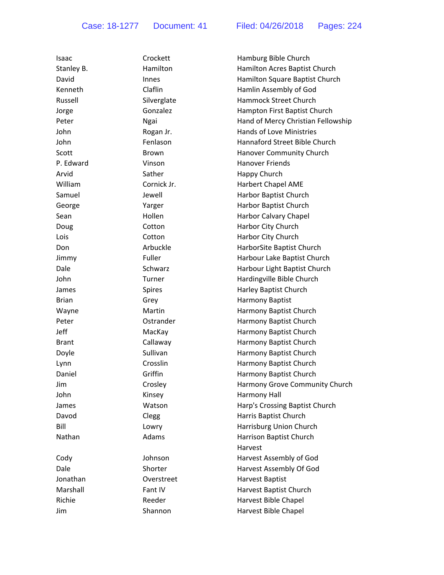| Isaac        | Crockett     | Hamburg Bible Church               |
|--------------|--------------|------------------------------------|
| Stanley B.   | Hamilton     | Hamilton Acres Baptist Church      |
| David        | Innes        | Hamilton Square Baptist Church     |
| Kenneth      | Claflin      | Hamlin Assembly of God             |
| Russell      | Silverglate  | Hammock Street Church              |
| Jorge        | Gonzalez     | Hampton First Baptist Church       |
| Peter        | Ngai         | Hand of Mercy Christian Fellowship |
| John         | Rogan Jr.    | <b>Hands of Love Ministries</b>    |
| John         | Fenlason     | Hannaford Street Bible Church      |
| Scott        | <b>Brown</b> | Hanover Community Church           |
| P. Edward    | Vinson       | <b>Hanover Friends</b>             |
| Arvid        | Sather       | Happy Church                       |
| William      | Cornick Jr.  | <b>Harbert Chapel AME</b>          |
| Samuel       | Jewell       | Harbor Baptist Church              |
| George       | Yarger       | Harbor Baptist Church              |
| Sean         | Hollen       | Harbor Calvary Chapel              |
| Doug         | Cotton       | Harbor City Church                 |
| Lois         | Cotton       | Harbor City Church                 |
| Don          | Arbuckle     | HarborSite Baptist Church          |
| Jimmy        | Fuller       | Harbour Lake Baptist Church        |
| Dale         | Schwarz      | Harbour Light Baptist Church       |
| John         | Turner       | Hardingville Bible Church          |
| James        | Spires       | Harley Baptist Church              |
| Brian        | Grey         | Harmony Baptist                    |
| Wayne        | Martin       | Harmony Baptist Church             |
| Peter        | Ostrander    | Harmony Baptist Church             |
| Jeff         | MacKay       | Harmony Baptist Church             |
| <b>Brant</b> | Callaway     | Harmony Baptist Church             |
| Doyle        | Sullivan     | Harmony Baptist Church             |
| Lynn         | Crosslin     | Harmony Baptist Church             |
| Daniel       | Griffin      | Harmony Baptist Church             |
| Jim          | Crosley      | Harmony Grove Community Church     |
| John         | Kinsey       | Harmony Hall                       |
| James        | Watson       | Harp's Crossing Baptist Church     |
| Davod        | Clegg        | Harris Baptist Church              |
| Bill         | Lowry        | Harrisburg Union Church            |
| Nathan       | Adams        | Harrison Baptist Church            |
|              |              | Harvest                            |
| Cody         | Johnson      | Harvest Assembly of God            |
| Dale         | Shorter      | Harvest Assembly Of God            |
| Jonathan     | Overstreet   | Harvest Baptist                    |
| Marshall     | Fant IV      | Harvest Baptist Church             |
| Richie       | Reeder       | Harvest Bible Chapel               |
| Jim          | Shannon      | Harvest Bible Chapel               |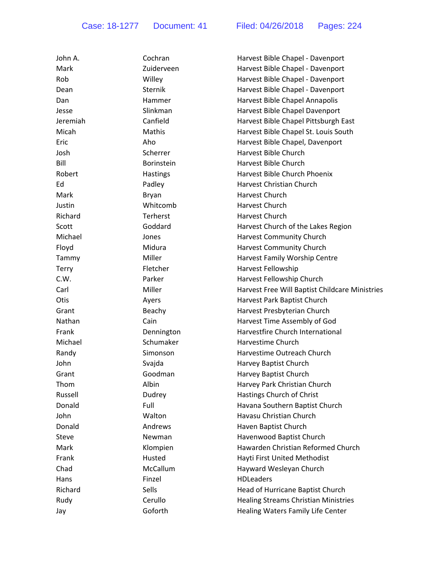| John A.  | Cochran           | Harvest Bible Chapel - Davenport               |
|----------|-------------------|------------------------------------------------|
| Mark     | Zuiderveen        | Harvest Bible Chapel - Davenport               |
| Rob      | Willey            | Harvest Bible Chapel - Davenport               |
| Dean     | Sternik           | Harvest Bible Chapel - Davenport               |
| Dan      | Hammer            | Harvest Bible Chapel Annapolis                 |
| Jesse    | Slinkman          | Harvest Bible Chapel Davenport                 |
| Jeremiah | Canfield          | Harvest Bible Chapel Pittsburgh East           |
| Micah    | Mathis            | Harvest Bible Chapel St. Louis South           |
| Eric     | Aho               | Harvest Bible Chapel, Davenport                |
| Josh     | Scherrer          | Harvest Bible Church                           |
| Bill     | <b>Borinstein</b> | Harvest Bible Church                           |
| Robert   | Hastings          | Harvest Bible Church Phoenix                   |
| Ed       | Padley            | Harvest Christian Church                       |
| Mark     | Bryan             | Harvest Church                                 |
| Justin   | Whitcomb          | Harvest Church                                 |
| Richard  | Terherst          | Harvest Church                                 |
| Scott    | Goddard           | Harvest Church of the Lakes Region             |
| Michael  | Jones             | Harvest Community Church                       |
| Floyd    | Midura            | Harvest Community Church                       |
| Tammy    | Miller            | Harvest Family Worship Centre                  |
| Terry    | Fletcher          | Harvest Fellowship                             |
| C.W.     | Parker            | Harvest Fellowship Church                      |
| Carl     | Miller            | Harvest Free Will Baptist Childcare Ministries |
| Otis     | Ayers             | Harvest Park Baptist Church                    |
| Grant    | Beachy            | Harvest Presbyterian Church                    |
| Nathan   | Cain              | Harvest Time Assembly of God                   |
| Frank    | Dennington        | Harvestfire Church International               |
| Michael  | Schumaker         | Harvestime Church                              |
| Randy    | Simonson          | Harvestime Outreach Church                     |
| John     | Svajda            | Harvey Baptist Church                          |
| Grant    | Goodman           | Harvey Baptist Church                          |
| Thom     | Albin             | Harvey Park Christian Church                   |
| Russell  | Dudrey            | Hastings Church of Christ                      |
| Donald   | Full              | Havana Southern Baptist Church                 |
| John     | Walton            | Havasu Christian Church                        |
| Donald   | Andrews           | Haven Baptist Church                           |
| Steve    | Newman            | Havenwood Baptist Church                       |
| Mark     | Klompien          | Hawarden Christian Reformed Church             |
| Frank    | Husted            | Hayti First United Methodist                   |
| Chad     | McCallum          | Hayward Wesleyan Church                        |
| Hans     | Finzel            | <b>HDLeaders</b>                               |
| Richard  | Sells             | Head of Hurricane Baptist Church               |
| Rudy     | Cerullo           | <b>Healing Streams Christian Ministries</b>    |
| Jay      | Goforth           | Healing Waters Family Life Center              |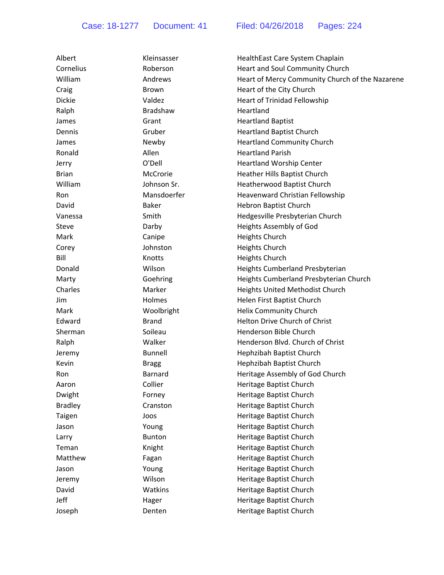| Albert         | Kleinsasser     | HealthEast Care System Chaplain                 |
|----------------|-----------------|-------------------------------------------------|
| Cornelius      | Roberson        | Heart and Soul Community Church                 |
| William        | Andrews         | Heart of Mercy Community Church of the Nazarene |
| Craig          | Brown           | Heart of the City Church                        |
| <b>Dickie</b>  | Valdez          | <b>Heart of Trinidad Fellowship</b>             |
| Ralph          | <b>Bradshaw</b> | Heartland                                       |
| James          | Grant           | <b>Heartland Baptist</b>                        |
| Dennis         | Gruber          | <b>Heartland Baptist Church</b>                 |
| James          | Newby           | <b>Heartland Community Church</b>               |
| Ronald         | Allen           | <b>Heartland Parish</b>                         |
| Jerry          | O'Dell          | <b>Heartland Worship Center</b>                 |
| <b>Brian</b>   | McCrorie        | Heather Hills Baptist Church                    |
| William        | Johnson Sr.     | Heatherwood Baptist Church                      |
| Ron            | Mansdoerfer     | Heavenward Christian Fellowship                 |
| David          | <b>Baker</b>    | Hebron Baptist Church                           |
| Vanessa        | Smith           | Hedgesville Presbyterian Church                 |
| Steve          | Darby           | Heights Assembly of God                         |
| Mark           | Canipe          | Heights Church                                  |
| Corey          | Johnston        | Heights Church                                  |
| Bill           | Knotts          | Heights Church                                  |
| Donald         | Wilson          | Heights Cumberland Presbyterian                 |
| Marty          | Goehring        | Heights Cumberland Presbyterian Church          |
| Charles        | Marker          | Heights United Methodist Church                 |
| Jim            | Holmes          | Helen First Baptist Church                      |
| Mark           | Woolbright      | Helix Community Church                          |
| Edward         | <b>Brand</b>    | Helton Drive Church of Christ                   |
| Sherman        | Soileau         | Henderson Bible Church                          |
| Ralph          | Walker          | Henderson Blvd. Church of Christ                |
| Jeremy         | <b>Bunnell</b>  | Hephzibah Baptist Church                        |
| Kevin          | <b>Bragg</b>    | Hephzibah Baptist Church                        |
| Ron            | Barnard         | Heritage Assembly of God Church                 |
| Aaron          | Collier         | Heritage Baptist Church                         |
| Dwight         | Forney          | Heritage Baptist Church                         |
| <b>Bradley</b> | Cranston        | Heritage Baptist Church                         |
| Taigen         | Joos            | Heritage Baptist Church                         |
| Jason          | Young           | Heritage Baptist Church                         |
| Larry          | <b>Bunton</b>   | Heritage Baptist Church                         |
| Teman          | Knight          | Heritage Baptist Church                         |
| Matthew        | Fagan           | Heritage Baptist Church                         |
| Jason          | Young           | Heritage Baptist Church                         |
| Jeremy         | Wilson          | Heritage Baptist Church                         |
| David          | Watkins         | Heritage Baptist Church                         |
| Jeff           | Hager           | Heritage Baptist Church                         |
| Joseph         | Denten          | Heritage Baptist Church                         |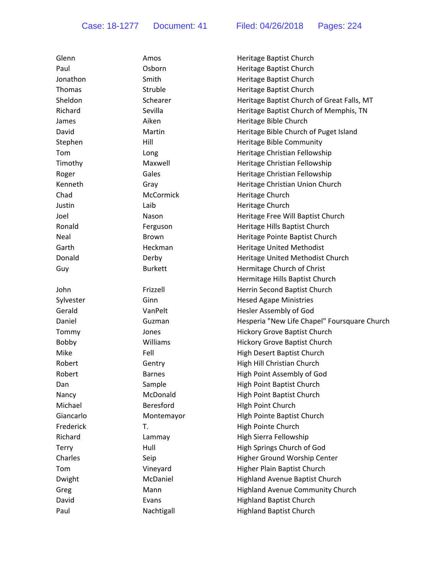| Glenn     | Amos             | Heritage Baptist Church                      |
|-----------|------------------|----------------------------------------------|
| Paul      | Osborn           | Heritage Baptist Church                      |
| Jonathon  | Smith            | Heritage Baptist Church                      |
| Thomas    | Struble          | Heritage Baptist Church                      |
| Sheldon   | Schearer         | Heritage Baptist Church of Great Falls, MT   |
| Richard   | Sevilla          | Heritage Baptist Church of Memphis, TN       |
| James     | Aiken            | Heritage Bible Church                        |
| David     | Martin           | Heritage Bible Church of Puget Island        |
| Stephen   | Hill             | Heritage Bible Community                     |
| Tom       | Long             | Heritage Christian Fellowship                |
| Timothy   | Maxwell          | Heritage Christian Fellowship                |
| Roger     | Gales            | Heritage Christian Fellowship                |
| Kenneth   | Gray             | Heritage Christian Union Church              |
| Chad      | <b>McCormick</b> | Heritage Church                              |
| Justin    | Laib             | Heritage Church                              |
| Joel      | Nason            | Heritage Free Will Baptist Church            |
| Ronald    | Ferguson         | Heritage Hills Baptist Church                |
| Neal      | Brown            | Heritage Pointe Baptist Church               |
| Garth     | Heckman          | <b>Heritage United Methodist</b>             |
| Donald    | Derby            | Heritage United Methodist Church             |
| Guy       | <b>Burkett</b>   | Hermitage Church of Christ                   |
|           |                  | Hermitage Hills Baptist Church               |
| John      | Frizzell         | Herrin Second Baptist Church                 |
|           |                  |                                              |
| Sylvester | Ginn             | <b>Hesed Agape Ministries</b>                |
| Gerald    | VanPelt          | Hesler Assembly of God                       |
| Daniel    | Guzman           | Hesperia "New Life Chapel" Foursquare Church |
| Tommy     | Jones            | <b>Hickory Grove Baptist Church</b>          |
| Bobby     | Williams         | <b>Hickory Grove Baptist Church</b>          |
| Mike      | Fell             | High Desert Baptist Church                   |
| Robert    | Gentry           | High Hill Christian Church                   |
| Robert    | <b>Barnes</b>    | High Point Assembly of God                   |
| Dan       | Sample           | High Point Baptist Church                    |
| Nancy     | McDonald         | High Point Baptist Church                    |
| Michael   | Beresford        | High Point Church                            |
| Giancarlo | Montemayor       | High Pointe Baptist Church                   |
| Frederick | T.               | High Pointe Church                           |
| Richard   | Lammay           | High Sierra Fellowship                       |
| Terry     | Hull             | High Springs Church of God                   |
| Charles   | Seip             | Higher Ground Worship Center                 |
| Tom       | Vineyard         | Higher Plain Baptist Church                  |
| Dwight    | McDaniel         | Highland Avenue Baptist Church               |
| Greg      | Mann             | <b>Highland Avenue Community Church</b>      |
| David     | Evans            | <b>Highland Baptist Church</b>               |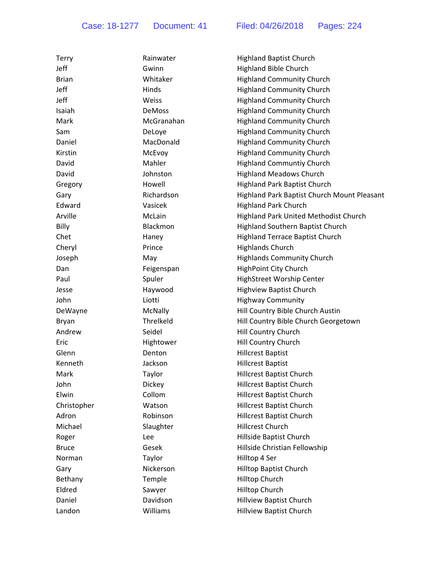| <b>Terry</b> | Rainwater     | <b>Highland Baptist Church</b>              |
|--------------|---------------|---------------------------------------------|
| Jeff         | Gwinn         | <b>Highland Bible Church</b>                |
| <b>Brian</b> | Whitaker      | <b>Highland Community Church</b>            |
| Jeff         | Hinds         | <b>Highland Community Church</b>            |
| Jeff         | Weiss         | <b>Highland Community Church</b>            |
| Isaiah       | <b>DeMoss</b> | <b>Highland Community Church</b>            |
| Mark         | McGranahan    | <b>Highland Community Church</b>            |
| Sam          | DeLoye        | <b>Highland Community Church</b>            |
| Daniel       | MacDonald     | <b>Highland Community Church</b>            |
| Kirstin      | McEvoy        | <b>Highland Community Church</b>            |
| David        | Mahler        | <b>Highland Communtiy Church</b>            |
| David        | Johnston      | <b>Highland Meadows Church</b>              |
| Gregory      | Howell        | Highland Park Baptist Church                |
| Gary         | Richardson    | Highland Park Baptist Church Mount Pleasant |
| Edward       | Vasicek       | <b>Highland Park Church</b>                 |
| Arville      | McLain        | Highland Park United Methodist Church       |
| Billy        | Blackmon      | Highland Southern Baptist Church            |
| Chet         | Haney         | <b>Highland Terrace Baptist Church</b>      |
| Cheryl       | Prince        | <b>Highlands Church</b>                     |
| Joseph       | May           | <b>Highlands Community Church</b>           |
| Dan          | Feigenspan    | HighPoint City Church                       |
| Paul         | Spuler        | HighStreet Worship Center                   |
| Jesse        | Haywood       | <b>Highview Baptist Church</b>              |
| John         | Liotti        | <b>Highway Community</b>                    |
| DeWayne      | McNally       | Hill Country Bible Church Austin            |
| Bryan        | Threlkeld     | Hill Country Bible Church Georgetown        |
| Andrew       | Seidel        | Hill Country Church                         |
| Eric         | Hightower     | Hill Country Church                         |
| Glenn        | Denton        | <b>Hillcrest Baptist</b>                    |
| Kenneth      | Jackson       | <b>Hillcrest Baptist</b>                    |
| Mark         | Taylor        | <b>Hillcrest Baptist Church</b>             |
| John         | Dickey        | <b>Hillcrest Baptist Church</b>             |
| Elwin        | Collom        | <b>Hillcrest Baptist Church</b>             |
| Christopher  | Watson        | <b>Hillcrest Baptist Church</b>             |
| Adron        | Robinson      | <b>Hillcrest Baptist Church</b>             |
| Michael      | Slaughter     | <b>Hillcrest Church</b>                     |
| Roger        | Lee           | Hillside Baptist Church                     |
| <b>Bruce</b> | Gesek         | Hillside Christian Fellowship               |
| Norman       | Taylor        | Hilltop 4 Ser                               |
| Gary         | Nickerson     | Hilltop Baptist Church                      |
| Bethany      | Temple        | Hilltop Church                              |
| Eldred       | Sawyer        | Hilltop Church                              |
| Daniel       | Davidson      | <b>Hillview Baptist Church</b>              |
| Landon       | Williams      | <b>Hillview Baptist Church</b>              |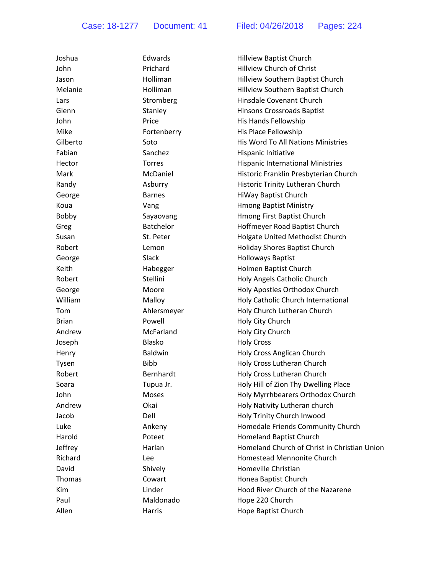| Joshua       | Edwards          | <b>Hillview Baptist Church</b>               |
|--------------|------------------|----------------------------------------------|
| John         | Prichard         | Hillview Church of Christ                    |
| Jason        | Holliman         | Hillview Southern Baptist Church             |
| Melanie      | Holliman         | Hillview Southern Baptist Church             |
| Lars         | Stromberg        | Hinsdale Covenant Church                     |
| Glenn        | Stanley          | <b>Hinsons Crossroads Baptist</b>            |
| John         | Price            | His Hands Fellowship                         |
| Mike         | Fortenberry      | His Place Fellowship                         |
| Gilberto     | Soto             | <b>His Word To All Nations Ministries</b>    |
| Fabian       | Sanchez          | Hispanic Initiative                          |
| Hector       | <b>Torres</b>    | <b>Hispanic International Ministries</b>     |
| Mark         | McDaniel         | Historic Franklin Presbyterian Church        |
| Randy        | Asburry          | Historic Trinity Lutheran Church             |
| George       | <b>Barnes</b>    | HiWay Baptist Church                         |
| Koua         | Vang             | <b>Hmong Baptist Ministry</b>                |
| Bobby        | Sayaovang        | Hmong First Baptist Church                   |
| Greg         | <b>Batchelor</b> | Hoffmeyer Road Baptist Church                |
| Susan        | St. Peter        | Holgate United Methodist Church              |
| Robert       | Lemon            | Holiday Shores Baptist Church                |
| George       | Slack            | Holloways Baptist                            |
| Keith        | Habegger         | Holmen Baptist Church                        |
| Robert       | Stellini         | Holy Angels Catholic Church                  |
| George       | Moore            | Holy Apostles Orthodox Church                |
| William      | Malloy           | Holy Catholic Church International           |
| Tom          | Ahlersmeyer      | Holy Church Lutheran Church                  |
| <b>Brian</b> | Powell           | Holy City Church                             |
| Andrew       | McFarland        | Holy City Church                             |
| Joseph       | Blasko           | <b>Holy Cross</b>                            |
| Henry        | <b>Baldwin</b>   | Holy Cross Anglican Church                   |
| Tysen        | <b>Bibb</b>      | Holy Cross Lutheran Church                   |
| Robert       | Bernhardt        | Holy Cross Lutheran Church                   |
| Soara        | Tupua Jr.        | Holy Hill of Zion Thy Dwelling Place         |
| John         | Moses            | Holy Myrrhbearers Orthodox Church            |
| Andrew       | Okai             | Holy Nativity Lutheran church                |
| Jacob        | Dell             | Holy Trinity Church Inwood                   |
| Luke         | Ankeny           | Homedale Friends Community Church            |
| Harold       | Poteet           | <b>Homeland Baptist Church</b>               |
| Jeffrey      | Harlan           | Homeland Church of Christ in Christian Union |
| Richard      | Lee              | Homestead Mennonite Church                   |
| David        | Shively          | Homeville Christian                          |
| Thomas       | Cowart           | Honea Baptist Church                         |
| Kim          | Linder           | Hood River Church of the Nazarene            |
| Paul         | Maldonado        | Hope 220 Church                              |
| Allen        | Harris           | Hope Baptist Church                          |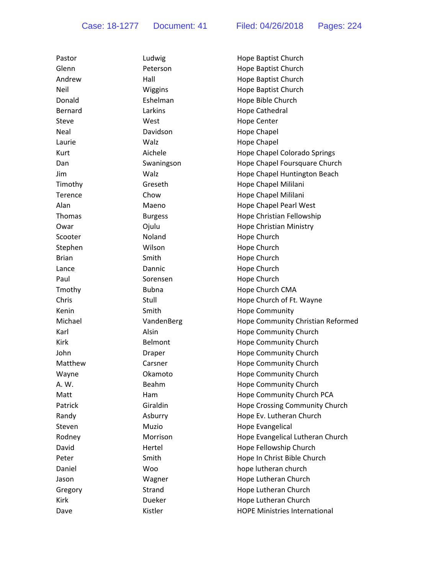| Pastor       | Ludwig         | Hope Baptist Church                  |
|--------------|----------------|--------------------------------------|
| Glenn        | Peterson       | Hope Baptist Church                  |
| Andrew       | Hall           | Hope Baptist Church                  |
| Neil         | Wiggins        | Hope Baptist Church                  |
| Donald       | Eshelman       | Hope Bible Church                    |
| Bernard      | Larkins        | Hope Cathedral                       |
| Steve        | West           | <b>Hope Center</b>                   |
| Neal         | Davidson       | Hope Chapel                          |
| Laurie       | Walz           | Hope Chapel                          |
| Kurt         | Aichele        | Hope Chapel Colorado Springs         |
| Dan          | Swaningson     | Hope Chapel Foursquare Church        |
| Jim          | Walz           | Hope Chapel Huntington Beach         |
| Timothy      | Greseth        | Hope Chapel Mililani                 |
| Terence      | Chow           | Hope Chapel Mililani                 |
| Alan         | Maeno          | Hope Chapel Pearl West               |
| Thomas       | <b>Burgess</b> | Hope Christian Fellowship            |
| Owar         | Ojulu          | Hope Christian Ministry              |
| Scooter      | Noland         | Hope Church                          |
| Stephen      | Wilson         | Hope Church                          |
| <b>Brian</b> | Smith          | Hope Church                          |
| Lance        | Dannic         | Hope Church                          |
| Paul         | Sorensen       | Hope Church                          |
| Tmothy       | <b>Bubna</b>   | Hope Church CMA                      |
| Chris        | Stull          | Hope Church of Ft. Wayne             |
| Kenin        | Smith          | Hope Community                       |
| Michael      | VandenBerg     | Hope Community Christian Reformed    |
| Karl         | Alsin          | Hope Community Church                |
| Kirk         | Belmont        | Hope Community Church                |
| John         | Draper         | Hope Community Church                |
| Matthew      | Carsner        | Hope Community Church                |
| Wayne        | Okamoto        | Hope Community Church                |
| A. W.        | Beahm          | Hope Community Church                |
| Matt         | Ham            | Hope Community Church PCA            |
| Patrick      | Giraldin       | Hope Crossing Community Church       |
| Randy        | Asburry        | Hope Ev. Lutheran Church             |
| Steven       | Muzio          | <b>Hope Evangelical</b>              |
| Rodney       | Morrison       | Hope Evangelical Lutheran Church     |
| David        | Hertel         | Hope Fellowship Church               |
| Peter        | Smith          | Hope In Christ Bible Church          |
| Daniel       | Woo            | hope lutheran church                 |
| Jason        | Wagner         | Hope Lutheran Church                 |
| Gregory      | Strand         | Hope Lutheran Church                 |
| Kirk         | Dueker         | Hope Lutheran Church                 |
| Dave         | Kistler        | <b>HOPE Ministries International</b> |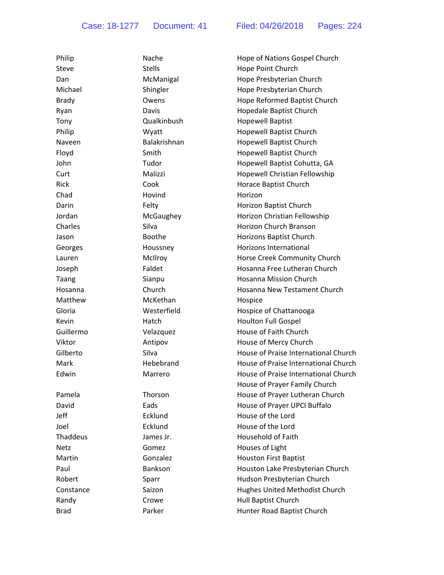| Philip       | Nache         | Hope of Nations Gospel Church        |
|--------------|---------------|--------------------------------------|
| Steve        | <b>Stells</b> | Hope Point Church                    |
| Dan          | McManigal     | Hope Presbyterian Church             |
| Michael      | Shingler      | Hope Presbyterian Church             |
| <b>Brady</b> | Owens         | Hope Reformed Baptist Church         |
| Ryan         | Davis         | Hopedale Baptist Church              |
| Tony         | Qualkinbush   | <b>Hopewell Baptist</b>              |
| Philip       | Wyatt         | Hopewell Baptist Church              |
| Naveen       | Balakrishnan  | Hopewell Baptist Church              |
| Floyd        | Smith         | <b>Hopewell Baptist Church</b>       |
| John         | Tudor         | Hopewell Baptist Cohutta, GA         |
| Curt         | Malizzi       | Hopewell Christian Fellowship        |
| Rick         | Cook          | Horace Baptist Church                |
| Chad         | Hovind        | Horizon                              |
| Darin        | Felty         | Horizon Baptist Church               |
| Jordan       | McGaughey     | Horizon Christian Fellowship         |
| Charles      | Silva         | Horizon Church Branson               |
| Jason        | <b>Boothe</b> | Horizons Baptist Church              |
| Georges      | Houssney      | <b>Horizons International</b>        |
| Lauren       | McIlroy       | Horse Creek Community Church         |
| Joseph       | Faldet        | Hosanna Free Lutheran Church         |
| Taang        | Sianpu        | Hosanna Mission Church               |
| Hosanna      | Church        | Hosanna New Testament Church         |
| Matthew      | McKethan      | Hospice                              |
| Gloria       | Westerfield   | Hospice of Chattanooga               |
| Kevin        | Hatch         | <b>Houlton Full Gospel</b>           |
| Guillermo    | Velazquez     | House of Faith Church                |
| Viktor       | Antipov       | House of Mercy Church                |
| Gilberto     | Silva         | House of Praise International Church |
| Mark         | Hebebrand     | House of Praise International Church |
| Edwin        | Marrero       | House of Praise International Church |
|              |               | House of Prayer Family Church        |
| Pamela       | Thorson       | House of Prayer Lutheran Church      |
| David        | Eads          | House of Prayer UPCI Buffalo         |
| Jeff         | Ecklund       | House of the Lord                    |
| Joel         | Ecklund       | House of the Lord                    |
| Thaddeus     | James Jr.     | Household of Faith                   |
| <b>Netz</b>  | Gomez         | Houses of Light                      |
| Martin       | Gonzalez      | <b>Houston First Baptist</b>         |
| Paul         | Bankson       | Houston Lake Presbyterian Church     |
| Robert       | Sparr         | Hudson Presbyterian Church           |
| Constance    | Saizon        | Hughes United Methodist Church       |
| Randy        | Crowe         | Hull Baptist Church                  |
| <b>Brad</b>  | Parker        | Hunter Road Baptist Church           |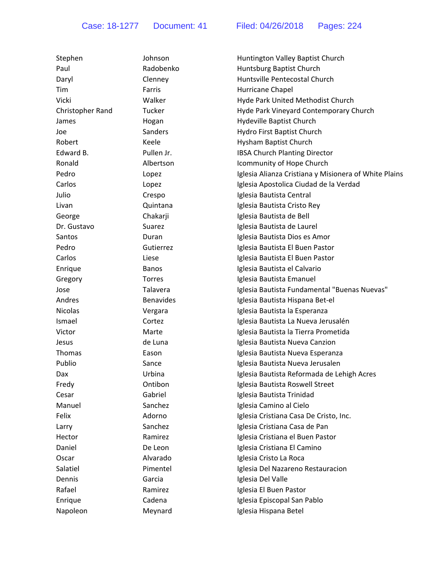| Stephen          | Johnson          | Huntington Valley Baptist Church                      |
|------------------|------------------|-------------------------------------------------------|
| Paul             | Radobenko        | Huntsburg Baptist Church                              |
| Daryl            | Clenney          | Huntsville Pentecostal Church                         |
| Tim              | Farris           | Hurricane Chapel                                      |
| Vicki            | Walker           | Hyde Park United Methodist Church                     |
| Christopher Rand | Tucker           | Hyde Park Vineyard Contemporary Church                |
| James            | Hogan            | Hydeville Baptist Church                              |
| Joe              | Sanders          | Hydro First Baptist Church                            |
| Robert           | Keele            | Hysham Baptist Church                                 |
| Edward B.        | Pullen Jr.       | <b>IBSA Church Planting Director</b>                  |
| Ronald           | Albertson        | Icommunity of Hope Church                             |
| Pedro            | Lopez            | Iglesia Alianza Cristiana y Misionera of White Plains |
| Carlos           | Lopez            | Iglesia Apostolica Ciudad de la Verdad                |
| Julio            | Crespo           | Iglesia Bautista Central                              |
| Livan            | Quintana         | Iglesia Bautista Cristo Rey                           |
| George           | Chakarji         | Iglesia Bautista de Bell                              |
| Dr. Gustavo      | Suarez           | Iglesia Bautista de Laurel                            |
| Santos           | Duran            | Iglesia Bautista Dios es Amor                         |
| Pedro            | Gutierrez        | Iglesia Bautista El Buen Pastor                       |
| Carlos           | Liese            | Iglesia Bautista El Buen Pastor                       |
| Enrique          | <b>Banos</b>     | Iglesia Bautista el Calvario                          |
| Gregory          | <b>Torres</b>    | Iglesia Bautista Emanuel                              |
| Jose             | Talavera         | Iglesia Bautista Fundamental "Buenas Nuevas"          |
| Andres           | <b>Benavides</b> | Iglesia Bautista Hispana Bet-el                       |
| <b>Nicolas</b>   | Vergara          | Iglesia Bautista la Esperanza                         |
| Ismael           | Cortez           | Iglesia Bautista La Nueva Jerusalén                   |
| Victor           | Marte            | Iglesia Bautista la Tierra Prometida                  |
| Jesus            | de Luna          | Iglesia Bautista Nueva Canzion                        |
| <b>Thomas</b>    | Eason            | Iglesia Bautista Nueva Esperanza                      |
| Publio           | Sance            | Iglesia Bautista Nueva Jerusalen                      |
| Dax.             | Urbina           | Iglesia Bautista Reformada de Lehigh Acres            |
| Fredy            | Ontibon          | Iglesia Bautista Roswell Street                       |
| Cesar            | Gabriel          | Iglesia Bautista Trinidad                             |
| Manuel           | Sanchez          | Iglesia Camino al Cielo                               |
| Felix            | Adorno           | Iglesia Cristiana Casa De Cristo, Inc.                |
| Larry            | Sanchez          | Iglesia Cristiana Casa de Pan                         |
| Hector           | Ramirez          | Iglesia Cristiana el Buen Pastor                      |
| Daniel           | De Leon          | Iglesia Cristiana El Camino                           |
| Oscar            | Alvarado         | Iglesia Cristo La Roca                                |
| Salatiel         | Pimentel         | Iglesia Del Nazareno Restauracion                     |
| Dennis           | Garcia           | Iglesia Del Valle                                     |
| Rafael           | Ramirez          | Iglesia El Buen Pastor                                |
| Enrique          | Cadena           | Iglesia Episcopal San Pablo                           |
| Napoleon         | Meynard          | Iglesia Hispana Betel                                 |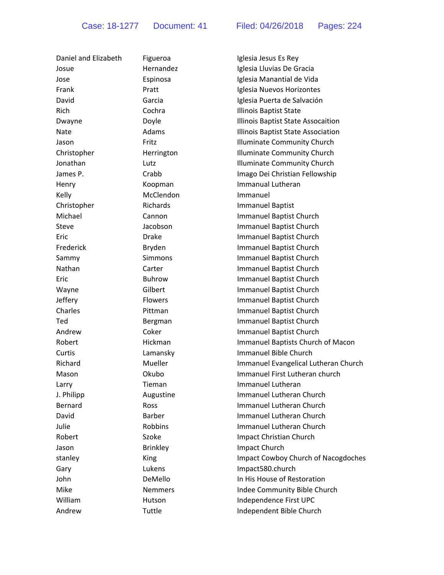| Daniel and Elizabeth | Figueroa        | Iglesia Jesus Es Rey                       |
|----------------------|-----------------|--------------------------------------------|
| Josue                | Hernandez       | Iglesia Lluvias De Gracia                  |
| Jose                 | Espinosa        | Iglesia Manantial de Vida                  |
| Frank                | Pratt           | Iglesia Nuevos Horizontes                  |
| David                | Garcia          | Iglesia Puerta de Salvación                |
| <b>Rich</b>          | Cochra          | <b>Illinois Baptist State</b>              |
| Dwayne               | Doyle           | Illinois Baptist State Assocaition         |
| <b>Nate</b>          | Adams           | Illinois Baptist State Association         |
| Jason                | Fritz           | <b>Illuminate Community Church</b>         |
| Christopher          | Herrington      | <b>Illuminate Community Church</b>         |
| Jonathan             | Lutz            | <b>Illuminate Community Church</b>         |
| James P.             | Crabb           | Imago Dei Christian Fellowship             |
| Henry                | Koopman         | Immanual Lutheran                          |
| Kelly                | McClendon       | Immanuel                                   |
| Christopher          | Richards        | <b>Immanuel Baptist</b>                    |
| Michael              | Cannon          | Immanuel Baptist Church                    |
| <b>Steve</b>         | Jacobson        | Immanuel Baptist Church                    |
| Eric                 | <b>Drake</b>    | Immanuel Baptist Church                    |
| Frederick            | <b>Bryden</b>   | Immanuel Baptist Church                    |
| Sammy                | <b>Simmons</b>  | Immanuel Baptist Church                    |
| Nathan               | Carter          | Immanuel Baptist Church                    |
| Eric                 | Buhrow          | Immanuel Baptist Church                    |
| Wayne                | Gilbert         | Immanuel Baptist Church                    |
| Jeffery              | <b>Flowers</b>  | Immanuel Baptist Church                    |
| Charles              | Pittman         | Immanuel Baptist Church                    |
| Ted                  | Bergman         | Immanuel Baptist Church                    |
| Andrew               | Coker           | Immanuel Baptist Church                    |
| Robert               | Hickman         | Immanuel Baptists Church of Macon          |
| Curtis               | Lamansky        | Immanuel Bible Church                      |
| Richard              | Mueller         | Immanuel Evangelical Lutheran Church       |
| Mason                | Okubo           | Immanuel First Lutheran church             |
| Larry                | Tieman          | Immanuel Lutheran                          |
| J. Philipp           | Augustine       | Immanuel Lutheran Church                   |
| Bernard              | Ross            | <b>Immanuel Lutheran Church</b>            |
| David                | <b>Barber</b>   | Immanuel Lutheran Church                   |
| Julie                | Robbins         | Immanuel Lutheran Church                   |
| Robert               | Szoke           | Impact Christian Church                    |
| Jason                | <b>Brinkley</b> | Impact Church                              |
| stanley              | King            | <b>Impact Cowboy Church of Nacogdoches</b> |
| Gary                 | Lukens          | Impact580.church                           |
| John                 | DeMello         | In His House of Restoration                |
| Mike                 | <b>Nemmers</b>  | Indee Community Bible Church               |
| William              | Hutson          | Independence First UPC                     |
| Andrew               | Tuttle          | Independent Bible Church                   |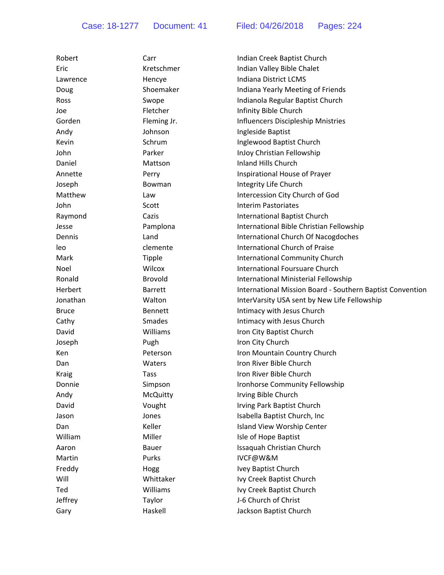| Robert       | Carr            | Indian Creek Baptist Church                               |
|--------------|-----------------|-----------------------------------------------------------|
| Eric         | Kretschmer      | Indian Valley Bible Chalet                                |
| Lawrence     | Hencye          | <b>Indiana District LCMS</b>                              |
| Doug         | Shoemaker       | Indiana Yearly Meeting of Friends                         |
| Ross         | Swope           | Indianola Regular Baptist Church                          |
| Joe          | Fletcher        | Infinity Bible Church                                     |
| Gorden       | Fleming Jr.     | <b>Influencers Discipleship Mnistries</b>                 |
| Andy         | Johnson         | Ingleside Baptist                                         |
| Kevin        | Schrum          | Inglewood Baptist Church                                  |
| John         | Parker          | InJoy Christian Fellowship                                |
| Daniel       | Mattson         | Inland Hills Church                                       |
| Annette      | Perry           | Inspirational House of Prayer                             |
| Joseph       | Bowman          | Integrity Life Church                                     |
| Matthew      | Law             | Intercession City Church of God                           |
| John         | Scott           | <b>Interim Pastoriates</b>                                |
| Raymond      | Cazis           | International Baptist Church                              |
| Jesse        | Pamplona        | International Bible Christian Fellowship                  |
| Dennis       | Land            | International Church Of Nacogdoches                       |
| leo          | clemente        | <b>International Church of Praise</b>                     |
| Mark         | <b>Tipple</b>   | <b>International Community Church</b>                     |
| Noel         | Wilcox          | <b>International Foursuare Church</b>                     |
| Ronald       | <b>Brovold</b>  | International Ministerial Fellowship                      |
| Herbert      | <b>Barrett</b>  | International Mission Board - Southern Baptist Convention |
| Jonathan     | Walton          | InterVarsity USA sent by New Life Fellowship              |
| <b>Bruce</b> | <b>Bennett</b>  | Intimacy with Jesus Church                                |
| Cathy        | Smades          | Intimacy with Jesus Church                                |
| David        | Williams        | Iron City Baptist Church                                  |
| Joseph       | Pugh            | Iron City Church                                          |
| Ken          | Peterson        | Iron Mountain Country Church                              |
| Dan          | Waters          | Iron River Bible Church                                   |
| <b>Kraig</b> | Tass            | Iron River Bible Church                                   |
| Donnie       | Simpson         | Ironhorse Community Fellowship                            |
| Andy         | <b>McQuitty</b> | Irving Bible Church                                       |
| David        | Vought          | Irving Park Baptist Church                                |
| Jason        | Jones           | Isabella Baptist Church, Inc                              |
| Dan          | Keller          | Island View Worship Center                                |
| William      | Miller          | Isle of Hope Baptist                                      |
| Aaron        | Bauer           | Issaquah Christian Church                                 |
| Martin       | Purks           | IVCF@W&M                                                  |
| Freddy       | Hogg            | Ivey Baptist Church                                       |
| Will         | Whittaker       | Ivy Creek Baptist Church                                  |
| Ted          | Williams        | Ivy Creek Baptist Church                                  |
| Jeffrey      | Taylor          | J-6 Church of Christ                                      |
| Gary         | Haskell         | Jackson Baptist Church                                    |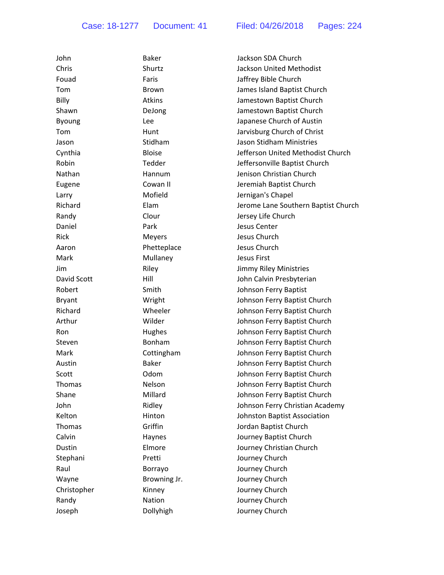| John          | <b>Baker</b>  | Jackson SDA Church                  |
|---------------|---------------|-------------------------------------|
| Chris         | Shurtz        | Jackson United Methodist            |
| Fouad         | Faris         | Jaffrey Bible Church                |
| Tom           | <b>Brown</b>  | James Island Baptist Church         |
| Billy         | Atkins        | Jamestown Baptist Church            |
| Shawn         | DeJong        | Jamestown Baptist Church            |
| <b>Byoung</b> | Lee           | Japanese Church of Austin           |
| Tom           | Hunt          | Jarvisburg Church of Christ         |
| Jason         | Stidham       | <b>Jason Stidham Ministries</b>     |
| Cynthia       | <b>Bloise</b> | Jefferson United Methodist Church   |
| Robin         | Tedder        | Jeffersonville Baptist Church       |
| Nathan        | Hannum        | Jenison Christian Church            |
| Eugene        | Cowan II      | Jeremiah Baptist Church             |
| Larry         | Mofield       | Jernigan's Chapel                   |
| Richard       | Elam          | Jerome Lane Southern Baptist Church |
| Randy         | Clour         | Jersey Life Church                  |
| Daniel        | Park          | Jesus Center                        |
| Rick          | Meyers        | Jesus Church                        |
| Aaron         | Phetteplace   | Jesus Church                        |
| Mark          | Mullaney      | <b>Jesus First</b>                  |
| Jim           | Riley         | Jimmy Riley Ministries              |
| David Scott   | Hill          | John Calvin Presbyterian            |
| Robert        | Smith         | Johnson Ferry Baptist               |
| <b>Bryant</b> | Wright        | Johnson Ferry Baptist Church        |
| Richard       | Wheeler       | Johnson Ferry Baptist Church        |
| Arthur        | Wilder        | Johnson Ferry Baptist Church        |
| Ron           | Hughes        | Johnson Ferry Baptist Church        |
| Steven        | Bonham        | Johnson Ferry Baptist Church        |
| Mark          | Cottingham    | Johnson Ferry Baptist Church        |
| Austin        | <b>Baker</b>  | Johnson Ferry Baptist Church        |
| Scott         | Odom          | Johnson Ferry Baptist Church        |
| Thomas        | Nelson        | Johnson Ferry Baptist Church        |
| Shane         | Millard       | Johnson Ferry Baptist Church        |
| John          | Ridley        | Johnson Ferry Christian Academy     |
| Kelton        | Hinton        | Johnston Baptist Association        |
| Thomas        | Griffin       | Jordan Baptist Church               |
| Calvin        | Haynes        | Journey Baptist Church              |
| Dustin        | Elmore        | Journey Christian Church            |
| Stephani      | Pretti        | Journey Church                      |
| Raul          | Borrayo       | Journey Church                      |
| Wayne         | Browning Jr.  | Journey Church                      |
| Christopher   | Kinney        | Journey Church                      |
| Randy         | Nation        | Journey Church                      |
| Joseph        | Dollyhigh     | Journey Church                      |
|               |               |                                     |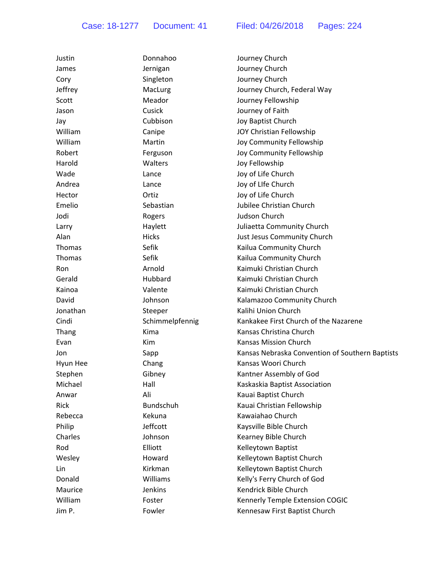| Justin        | Donnahoo        | Journey Church                                  |
|---------------|-----------------|-------------------------------------------------|
| James         | Jernigan        | Journey Church                                  |
| Cory          | Singleton       | Journey Church                                  |
| Jeffrey       | MacLurg         | Journey Church, Federal Way                     |
| Scott         | Meador          | Journey Fellowship                              |
| Jason         | Cusick          | Journey of Faith                                |
| Jay           | Cubbison        | Joy Baptist Church                              |
| William       | Canipe          | JOY Christian Fellowship                        |
| William       | Martin          | Joy Community Fellowship                        |
| Robert        | Ferguson        | Joy Community Fellowship                        |
| Harold        | Walters         | Joy Fellowship                                  |
| Wade          | Lance           | Joy of Life Church                              |
| Andrea        | Lance           | Joy of LIfe Church                              |
| Hector        | Ortiz           | Joy of Life Church                              |
| Emelio        | Sebastian       | Jubilee Christian Church                        |
| Jodi          | Rogers          | <b>Judson Church</b>                            |
| Larry         | Haylett         | Juliaetta Community Church                      |
| Alan          | <b>Hicks</b>    | Just Jesus Community Church                     |
| Thomas        | Sefik           | Kailua Community Church                         |
| <b>Thomas</b> | Sefik           | Kailua Community Church                         |
| Ron           | Arnold          | Kaimuki Christian Church                        |
| Gerald        | Hubbard         | Kaimuki Christian Church                        |
| Kainoa        | Valente         | Kaimuki Christian Church                        |
| David         | Johnson         | Kalamazoo Community Church                      |
| Jonathan      | Steeper         | Kalihi Union Church                             |
| Cindi         | Schimmelpfennig | Kankakee First Church of the Nazarene           |
| Thang         | Kima            | Kansas Christina Church                         |
| Evan          | Kim             | Kansas Mission Church                           |
| Jon           | Sapp            | Kansas Nebraska Convention of Southern Baptists |
| Hyun Hee      | Chang           | Kansas Woori Church                             |
| Stephen       | Gibney          | Kantner Assembly of God                         |
| Michael       | Hall            | Kaskaskia Baptist Association                   |
| Anwar         | Ali             | Kauai Baptist Church                            |
| Rick          | Bundschuh       | Kauai Christian Fellowship                      |
| Rebecca       | Kekuna          | Kawaiahao Church                                |
| Philip        | Jeffcott        | Kaysville Bible Church                          |
| Charles       | Johnson         | Kearney Bible Church                            |
| Rod           | Elliott         | Kelleytown Baptist                              |
| Wesley        | Howard          | Kelleytown Baptist Church                       |
| Lin           | Kirkman         | Kelleytown Baptist Church                       |
| Donald        | Williams        | Kelly's Ferry Church of God                     |
| Maurice       | Jenkins         | Kendrick Bible Church                           |
| William       | Foster          | Kennerly Temple Extension COGIC                 |
| Jim P.        | Fowler          | Kennesaw First Baptist Church                   |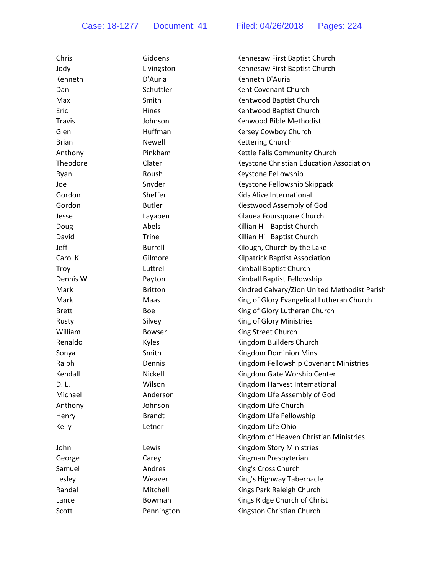| Jody<br>Livingston<br>Kennesaw First Baptist Church<br>D'Auria<br>Kenneth D'Auria<br>Kenneth<br>Schuttler<br>Kent Covenant Church<br>Dan<br>Smith<br>Kentwood Baptist Church<br>Max<br>Eric<br>Hines<br>Kentwood Baptist Church<br>Kenwood Bible Methodist<br>Johnson<br>Travis<br>Huffman<br>Glen<br>Kersey Cowboy Church<br><b>Newell</b><br><b>Brian</b><br>Kettering Church<br>Pinkham<br>Kettle Falls Community Church<br>Anthony<br>Theodore<br>Clater<br>Keystone Christian Education Association<br>Roush<br>Keystone Fellowship<br>Ryan<br>Snyder<br>Keystone Fellowship Skippack<br>Joe<br>Sheffer<br>Kids Alive International<br>Gordon<br><b>Butler</b><br>Gordon<br>Kiestwood Assembly of God<br>Kilauea Foursquare Church<br>Jesse<br>Layaoen<br>Abels<br>Killian Hill Baptist Church<br>Doug<br><b>Trine</b><br>David<br>Killian Hill Baptist Church<br>Jeff<br>Kilough, Church by the Lake<br><b>Burrell</b><br>Carol K<br>Gilmore<br>Kilpatrick Baptist Association<br>Luttrell<br>Kimball Baptist Church<br>Troy<br>Dennis W.<br>Kimball Baptist Fellowship<br>Payton<br>Mark<br><b>Britton</b><br>Kindred Calvary/Zion United Methodist Parish<br>King of Glory Evangelical Lutheran Church<br>Mark<br>Maas<br>King of Glory Lutheran Church<br><b>Brett</b><br><b>Boe</b><br>Silvey<br>King of Glory Ministries<br>Rusty<br>William<br>King Street Church<br><b>Bowser</b><br>Renaldo<br>Kingdom Builders Church<br>Kyles<br>Smith<br><b>Kingdom Dominion Mins</b><br>Sonya<br>Kingdom Fellowship Covenant Ministries<br>Ralph<br>Dennis<br>Nickell<br>Kingdom Gate Worship Center<br>Kendall<br>Wilson<br>D. L.<br>Kingdom Harvest International<br>Michael<br>Anderson<br>Kingdom Life Assembly of God<br>Kingdom Life Church<br>Anthony<br>Johnson | Chris | Giddens       | Kennesaw First Baptist Church |
|---------------------------------------------------------------------------------------------------------------------------------------------------------------------------------------------------------------------------------------------------------------------------------------------------------------------------------------------------------------------------------------------------------------------------------------------------------------------------------------------------------------------------------------------------------------------------------------------------------------------------------------------------------------------------------------------------------------------------------------------------------------------------------------------------------------------------------------------------------------------------------------------------------------------------------------------------------------------------------------------------------------------------------------------------------------------------------------------------------------------------------------------------------------------------------------------------------------------------------------------------------------------------------------------------------------------------------------------------------------------------------------------------------------------------------------------------------------------------------------------------------------------------------------------------------------------------------------------------------------------------------------------------------------------------------------------------------------------------------------------------------------------------|-------|---------------|-------------------------------|
|                                                                                                                                                                                                                                                                                                                                                                                                                                                                                                                                                                                                                                                                                                                                                                                                                                                                                                                                                                                                                                                                                                                                                                                                                                                                                                                                                                                                                                                                                                                                                                                                                                                                                                                                                                           |       |               |                               |
|                                                                                                                                                                                                                                                                                                                                                                                                                                                                                                                                                                                                                                                                                                                                                                                                                                                                                                                                                                                                                                                                                                                                                                                                                                                                                                                                                                                                                                                                                                                                                                                                                                                                                                                                                                           |       |               |                               |
|                                                                                                                                                                                                                                                                                                                                                                                                                                                                                                                                                                                                                                                                                                                                                                                                                                                                                                                                                                                                                                                                                                                                                                                                                                                                                                                                                                                                                                                                                                                                                                                                                                                                                                                                                                           |       |               |                               |
|                                                                                                                                                                                                                                                                                                                                                                                                                                                                                                                                                                                                                                                                                                                                                                                                                                                                                                                                                                                                                                                                                                                                                                                                                                                                                                                                                                                                                                                                                                                                                                                                                                                                                                                                                                           |       |               |                               |
|                                                                                                                                                                                                                                                                                                                                                                                                                                                                                                                                                                                                                                                                                                                                                                                                                                                                                                                                                                                                                                                                                                                                                                                                                                                                                                                                                                                                                                                                                                                                                                                                                                                                                                                                                                           |       |               |                               |
|                                                                                                                                                                                                                                                                                                                                                                                                                                                                                                                                                                                                                                                                                                                                                                                                                                                                                                                                                                                                                                                                                                                                                                                                                                                                                                                                                                                                                                                                                                                                                                                                                                                                                                                                                                           |       |               |                               |
|                                                                                                                                                                                                                                                                                                                                                                                                                                                                                                                                                                                                                                                                                                                                                                                                                                                                                                                                                                                                                                                                                                                                                                                                                                                                                                                                                                                                                                                                                                                                                                                                                                                                                                                                                                           |       |               |                               |
|                                                                                                                                                                                                                                                                                                                                                                                                                                                                                                                                                                                                                                                                                                                                                                                                                                                                                                                                                                                                                                                                                                                                                                                                                                                                                                                                                                                                                                                                                                                                                                                                                                                                                                                                                                           |       |               |                               |
|                                                                                                                                                                                                                                                                                                                                                                                                                                                                                                                                                                                                                                                                                                                                                                                                                                                                                                                                                                                                                                                                                                                                                                                                                                                                                                                                                                                                                                                                                                                                                                                                                                                                                                                                                                           |       |               |                               |
|                                                                                                                                                                                                                                                                                                                                                                                                                                                                                                                                                                                                                                                                                                                                                                                                                                                                                                                                                                                                                                                                                                                                                                                                                                                                                                                                                                                                                                                                                                                                                                                                                                                                                                                                                                           |       |               |                               |
|                                                                                                                                                                                                                                                                                                                                                                                                                                                                                                                                                                                                                                                                                                                                                                                                                                                                                                                                                                                                                                                                                                                                                                                                                                                                                                                                                                                                                                                                                                                                                                                                                                                                                                                                                                           |       |               |                               |
|                                                                                                                                                                                                                                                                                                                                                                                                                                                                                                                                                                                                                                                                                                                                                                                                                                                                                                                                                                                                                                                                                                                                                                                                                                                                                                                                                                                                                                                                                                                                                                                                                                                                                                                                                                           |       |               |                               |
|                                                                                                                                                                                                                                                                                                                                                                                                                                                                                                                                                                                                                                                                                                                                                                                                                                                                                                                                                                                                                                                                                                                                                                                                                                                                                                                                                                                                                                                                                                                                                                                                                                                                                                                                                                           |       |               |                               |
|                                                                                                                                                                                                                                                                                                                                                                                                                                                                                                                                                                                                                                                                                                                                                                                                                                                                                                                                                                                                                                                                                                                                                                                                                                                                                                                                                                                                                                                                                                                                                                                                                                                                                                                                                                           |       |               |                               |
|                                                                                                                                                                                                                                                                                                                                                                                                                                                                                                                                                                                                                                                                                                                                                                                                                                                                                                                                                                                                                                                                                                                                                                                                                                                                                                                                                                                                                                                                                                                                                                                                                                                                                                                                                                           |       |               |                               |
|                                                                                                                                                                                                                                                                                                                                                                                                                                                                                                                                                                                                                                                                                                                                                                                                                                                                                                                                                                                                                                                                                                                                                                                                                                                                                                                                                                                                                                                                                                                                                                                                                                                                                                                                                                           |       |               |                               |
|                                                                                                                                                                                                                                                                                                                                                                                                                                                                                                                                                                                                                                                                                                                                                                                                                                                                                                                                                                                                                                                                                                                                                                                                                                                                                                                                                                                                                                                                                                                                                                                                                                                                                                                                                                           |       |               |                               |
|                                                                                                                                                                                                                                                                                                                                                                                                                                                                                                                                                                                                                                                                                                                                                                                                                                                                                                                                                                                                                                                                                                                                                                                                                                                                                                                                                                                                                                                                                                                                                                                                                                                                                                                                                                           |       |               |                               |
|                                                                                                                                                                                                                                                                                                                                                                                                                                                                                                                                                                                                                                                                                                                                                                                                                                                                                                                                                                                                                                                                                                                                                                                                                                                                                                                                                                                                                                                                                                                                                                                                                                                                                                                                                                           |       |               |                               |
|                                                                                                                                                                                                                                                                                                                                                                                                                                                                                                                                                                                                                                                                                                                                                                                                                                                                                                                                                                                                                                                                                                                                                                                                                                                                                                                                                                                                                                                                                                                                                                                                                                                                                                                                                                           |       |               |                               |
|                                                                                                                                                                                                                                                                                                                                                                                                                                                                                                                                                                                                                                                                                                                                                                                                                                                                                                                                                                                                                                                                                                                                                                                                                                                                                                                                                                                                                                                                                                                                                                                                                                                                                                                                                                           |       |               |                               |
|                                                                                                                                                                                                                                                                                                                                                                                                                                                                                                                                                                                                                                                                                                                                                                                                                                                                                                                                                                                                                                                                                                                                                                                                                                                                                                                                                                                                                                                                                                                                                                                                                                                                                                                                                                           |       |               |                               |
|                                                                                                                                                                                                                                                                                                                                                                                                                                                                                                                                                                                                                                                                                                                                                                                                                                                                                                                                                                                                                                                                                                                                                                                                                                                                                                                                                                                                                                                                                                                                                                                                                                                                                                                                                                           |       |               |                               |
|                                                                                                                                                                                                                                                                                                                                                                                                                                                                                                                                                                                                                                                                                                                                                                                                                                                                                                                                                                                                                                                                                                                                                                                                                                                                                                                                                                                                                                                                                                                                                                                                                                                                                                                                                                           |       |               |                               |
|                                                                                                                                                                                                                                                                                                                                                                                                                                                                                                                                                                                                                                                                                                                                                                                                                                                                                                                                                                                                                                                                                                                                                                                                                                                                                                                                                                                                                                                                                                                                                                                                                                                                                                                                                                           |       |               |                               |
|                                                                                                                                                                                                                                                                                                                                                                                                                                                                                                                                                                                                                                                                                                                                                                                                                                                                                                                                                                                                                                                                                                                                                                                                                                                                                                                                                                                                                                                                                                                                                                                                                                                                                                                                                                           |       |               |                               |
|                                                                                                                                                                                                                                                                                                                                                                                                                                                                                                                                                                                                                                                                                                                                                                                                                                                                                                                                                                                                                                                                                                                                                                                                                                                                                                                                                                                                                                                                                                                                                                                                                                                                                                                                                                           |       |               |                               |
|                                                                                                                                                                                                                                                                                                                                                                                                                                                                                                                                                                                                                                                                                                                                                                                                                                                                                                                                                                                                                                                                                                                                                                                                                                                                                                                                                                                                                                                                                                                                                                                                                                                                                                                                                                           |       |               |                               |
|                                                                                                                                                                                                                                                                                                                                                                                                                                                                                                                                                                                                                                                                                                                                                                                                                                                                                                                                                                                                                                                                                                                                                                                                                                                                                                                                                                                                                                                                                                                                                                                                                                                                                                                                                                           |       |               |                               |
|                                                                                                                                                                                                                                                                                                                                                                                                                                                                                                                                                                                                                                                                                                                                                                                                                                                                                                                                                                                                                                                                                                                                                                                                                                                                                                                                                                                                                                                                                                                                                                                                                                                                                                                                                                           |       |               |                               |
|                                                                                                                                                                                                                                                                                                                                                                                                                                                                                                                                                                                                                                                                                                                                                                                                                                                                                                                                                                                                                                                                                                                                                                                                                                                                                                                                                                                                                                                                                                                                                                                                                                                                                                                                                                           |       |               |                               |
|                                                                                                                                                                                                                                                                                                                                                                                                                                                                                                                                                                                                                                                                                                                                                                                                                                                                                                                                                                                                                                                                                                                                                                                                                                                                                                                                                                                                                                                                                                                                                                                                                                                                                                                                                                           |       |               |                               |
|                                                                                                                                                                                                                                                                                                                                                                                                                                                                                                                                                                                                                                                                                                                                                                                                                                                                                                                                                                                                                                                                                                                                                                                                                                                                                                                                                                                                                                                                                                                                                                                                                                                                                                                                                                           |       |               |                               |
|                                                                                                                                                                                                                                                                                                                                                                                                                                                                                                                                                                                                                                                                                                                                                                                                                                                                                                                                                                                                                                                                                                                                                                                                                                                                                                                                                                                                                                                                                                                                                                                                                                                                                                                                                                           | Henry | <b>Brandt</b> | Kingdom Life Fellowship       |
| Kelly<br>Kingdom Life Ohio<br>Letner                                                                                                                                                                                                                                                                                                                                                                                                                                                                                                                                                                                                                                                                                                                                                                                                                                                                                                                                                                                                                                                                                                                                                                                                                                                                                                                                                                                                                                                                                                                                                                                                                                                                                                                                      |       |               |                               |
| Kingdom of Heaven Christian Ministries                                                                                                                                                                                                                                                                                                                                                                                                                                                                                                                                                                                                                                                                                                                                                                                                                                                                                                                                                                                                                                                                                                                                                                                                                                                                                                                                                                                                                                                                                                                                                                                                                                                                                                                                    |       |               |                               |
| Kingdom Story Ministries<br>John<br>Lewis                                                                                                                                                                                                                                                                                                                                                                                                                                                                                                                                                                                                                                                                                                                                                                                                                                                                                                                                                                                                                                                                                                                                                                                                                                                                                                                                                                                                                                                                                                                                                                                                                                                                                                                                 |       |               |                               |
| Kingman Presbyterian<br>George<br>Carey                                                                                                                                                                                                                                                                                                                                                                                                                                                                                                                                                                                                                                                                                                                                                                                                                                                                                                                                                                                                                                                                                                                                                                                                                                                                                                                                                                                                                                                                                                                                                                                                                                                                                                                                   |       |               |                               |
| Andres<br>King's Cross Church<br>Samuel                                                                                                                                                                                                                                                                                                                                                                                                                                                                                                                                                                                                                                                                                                                                                                                                                                                                                                                                                                                                                                                                                                                                                                                                                                                                                                                                                                                                                                                                                                                                                                                                                                                                                                                                   |       |               |                               |
| King's Highway Tabernacle<br>Lesley<br>Weaver                                                                                                                                                                                                                                                                                                                                                                                                                                                                                                                                                                                                                                                                                                                                                                                                                                                                                                                                                                                                                                                                                                                                                                                                                                                                                                                                                                                                                                                                                                                                                                                                                                                                                                                             |       |               |                               |
| Mitchell<br>Randal<br>Kings Park Raleigh Church                                                                                                                                                                                                                                                                                                                                                                                                                                                                                                                                                                                                                                                                                                                                                                                                                                                                                                                                                                                                                                                                                                                                                                                                                                                                                                                                                                                                                                                                                                                                                                                                                                                                                                                           |       |               |                               |
| Kings Ridge Church of Christ<br>Bowman<br>Lance                                                                                                                                                                                                                                                                                                                                                                                                                                                                                                                                                                                                                                                                                                                                                                                                                                                                                                                                                                                                                                                                                                                                                                                                                                                                                                                                                                                                                                                                                                                                                                                                                                                                                                                           |       |               |                               |
| Kingston Christian Church<br>Scott<br>Pennington                                                                                                                                                                                                                                                                                                                                                                                                                                                                                                                                                                                                                                                                                                                                                                                                                                                                                                                                                                                                                                                                                                                                                                                                                                                                                                                                                                                                                                                                                                                                                                                                                                                                                                                          |       |               |                               |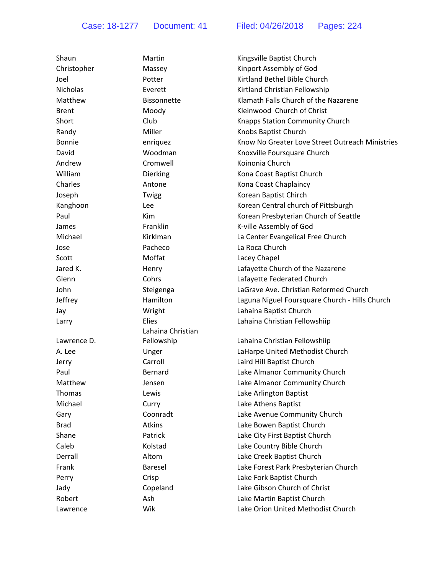| Shaun           | Martin             | Kingsville Baptist Church                       |
|-----------------|--------------------|-------------------------------------------------|
| Christopher     | Massey             | Kinport Assembly of God                         |
| Joel            | Potter             | Kirtland Bethel Bible Church                    |
| <b>Nicholas</b> | Everett            | Kirtland Christian Fellowship                   |
| Matthew         | <b>Bissonnette</b> | Klamath Falls Church of the Nazarene            |
| <b>Brent</b>    | Moody              | Kleinwood Church of Christ                      |
| Short           | Club               | Knapps Station Community Church                 |
| Randy           | Miller             | Knobs Baptist Church                            |
| <b>Bonnie</b>   | enriquez           | Know No Greater Love Street Outreach Ministries |
| David           | Woodman            | Knoxville Foursquare Church                     |
| Andrew          | Cromwell           | Koinonia Church                                 |
| William         | Dierking           | Kona Coast Baptist Church                       |
| Charles         | Antone             | Kona Coast Chaplaincy                           |
| Joseph          | Twigg              | Korean Baptist Chirch                           |
| Kanghoon        | Lee                | Korean Central church of Pittsburgh             |
| Paul            | Kim                | Korean Presbyterian Church of Seattle           |
| James           | Franklin           | K-ville Assembly of God                         |
| Michael         | Kirklman           | La Center Evangelical Free Church               |
| Jose            | Pacheco            | La Roca Church                                  |
| Scott           | Moffat             | Lacey Chapel                                    |
| Jared K.        | Henry              | Lafayette Church of the Nazarene                |
| Glenn           | Cohrs              | Lafayette Federated Church                      |
| John            | Steigenga          | LaGrave Ave. Christian Reformed Church          |
| Jeffrey         | Hamilton           | Laguna Niguel Foursquare Church - Hills Church  |
| Jay             | Wright             | Lahaina Baptist Church                          |
| Larry           | Elies              | Lahaina Christian Fellowshiip                   |
|                 | Lahaina Christian  |                                                 |
| Lawrence D.     | Fellowship         | Lahaina Christian Fellowshiip                   |
| A. Lee          | Unger              | LaHarpe United Methodist Church                 |
| Jerry           | Carroll            | Laird Hill Baptist Church                       |
| Paul            | Bernard            | Lake Almanor Community Church                   |
| Matthew         | Jensen             | Lake Almanor Community Church                   |
| Thomas          | Lewis              | Lake Arlington Baptist                          |
| Michael         | Curry              | Lake Athens Baptist                             |
| Gary            | Coonradt           | Lake Avenue Community Church                    |
| <b>Brad</b>     | <b>Atkins</b>      | Lake Bowen Baptist Church                       |
| Shane           | Patrick            | Lake City First Baptist Church                  |
| Caleb           | Kolstad            | Lake Country Bible Church                       |
| Derrall         | Altom              | Lake Creek Baptist Church                       |
| Frank           | Baresel            | Lake Forest Park Presbyterian Church            |
| Perry           | Crisp              | Lake Fork Baptist Church                        |
| Jady            | Copeland           | Lake Gibson Church of Christ                    |
| Robert          | Ash                | Lake Martin Baptist Church                      |
| Lawrence        | Wik                | Lake Orion United Methodist Church              |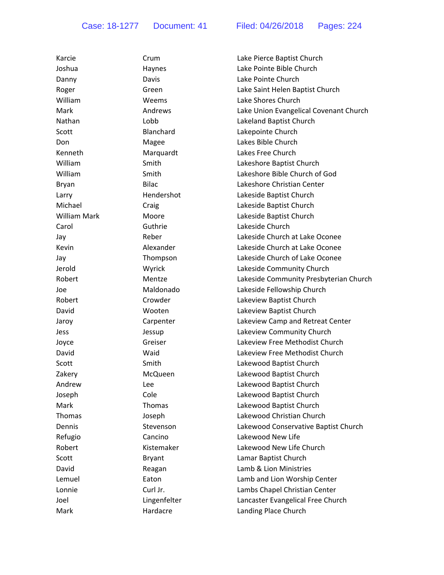| Karcie              | Crum          | Lake Pierce Baptist Church             |
|---------------------|---------------|----------------------------------------|
| Joshua              | Haynes        | Lake Pointe Bible Church               |
| Danny               | Davis         | Lake Pointe Church                     |
| Roger               | Green         | Lake Saint Helen Baptist Church        |
| William             | Weems         | Lake Shores Church                     |
| Mark                | Andrews       | Lake Union Evangelical Covenant Church |
| Nathan              | Lobb          | Lakeland Baptist Church                |
| Scott               | Blanchard     | Lakepointe Church                      |
| Don                 | Magee         | Lakes Bible Church                     |
| Kenneth             | Marquardt     | Lakes Free Church                      |
| William             | Smith         | Lakeshore Baptist Church               |
| William             | Smith         | Lakeshore Bible Church of God          |
| Bryan               | <b>Bilac</b>  | Lakeshore Christian Center             |
| Larry               | Hendershot    | Lakeside Baptist Church                |
| Michael             | Craig         | Lakeside Baptist Church                |
| <b>William Mark</b> | Moore         | Lakeside Baptist Church                |
| Carol               | Guthrie       | Lakeside Church                        |
| Jay                 | Reber         | Lakeside Church at Lake Oconee         |
| Kevin               | Alexander     | Lakeside Church at Lake Oconee         |
| Jay                 | Thompson      | Lakeside Church of Lake Oconee         |
| Jerold              | Wyrick        | Lakeside Community Church              |
| Robert              | Mentze        | Lakeside Community Presbyterian Church |
| Joe                 | Maldonado     | Lakeside Fellowship Church             |
| Robert              | Crowder       | Lakeview Baptist Church                |
| David               | Wooten        | Lakeview Baptist Church                |
| Jaroy               | Carpenter     | Lakeview Camp and Retreat Center       |
| Jess                | Jessup        | Lakeview Community Church              |
| Joyce               | Greiser       | Lakeview Free Methodist Church         |
| David               | Waid          | Lakeview Free Methodist Church         |
| Scott               | Smith         | Lakewood Baptist Church                |
| Zakery              | McQueen       | Lakewood Baptist Church                |
| Andrew              | Lee           | Lakewood Baptist Church                |
| Joseph              | Cole          | Lakewood Baptist Church                |
| Mark                | Thomas        | Lakewood Baptist Church                |
| Thomas              | Joseph        | Lakewood Christian Church              |
| Dennis              | Stevenson     | Lakewood Conservative Baptist Church   |
| Refugio             | Cancino       | Lakewood New Life                      |
| Robert              | Kistemaker    | Lakewood New Life Church               |
| Scott               | <b>Bryant</b> | Lamar Baptist Church                   |
| David               | Reagan        | Lamb & Lion Ministries                 |
| Lemuel              | Eaton         | Lamb and Lion Worship Center           |
| Lonnie              | Curl Jr.      | Lambs Chapel Christian Center          |
| Joel                | Lingenfelter  | Lancaster Evangelical Free Church      |
| Mark                | Hardacre      | Landing Place Church                   |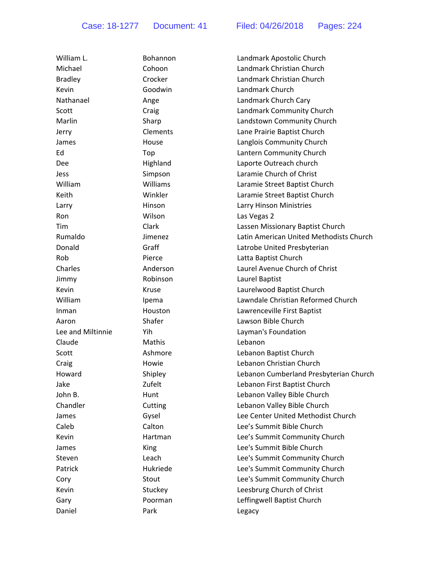| William L.        | Bohannon     | Landmark Apostolic Church               |
|-------------------|--------------|-----------------------------------------|
| Michael           | Cohoon       | Landmark Christian Church               |
| <b>Bradley</b>    | Crocker      | Landmark Christian Church               |
| Kevin             | Goodwin      | Landmark Church                         |
| Nathanael         | Ange         | Landmark Church Cary                    |
| Scott             | Craig        | Landmark Community Church               |
| Marlin            | Sharp        | Landstown Community Church              |
| Jerry             | Clements     | Lane Prairie Baptist Church             |
| James             | House        | Langlois Community Church               |
| Ed                | Top          | Lantern Community Church                |
| Dee               | Highland     | Laporte Outreach church                 |
| Jess              | Simpson      | Laramie Church of Christ                |
| William           | Williams     | Laramie Street Baptist Church           |
| Keith             | Winkler      | Laramie Street Baptist Church           |
| Larry             | Hinson       | Larry Hinson Ministries                 |
| <b>Ron</b>        | Wilson       | Las Vegas 2                             |
| Tim               | Clark        | Lassen Missionary Baptist Church        |
| Rumaldo           | Jimenez      | Latin American United Methodists Church |
| Donald            | Graff        | Latrobe United Presbyterian             |
| Rob               | Pierce       | Latta Baptist Church                    |
| Charles           | Anderson     | Laurel Avenue Church of Christ          |
| Jimmy             | Robinson     | Laurel Baptist                          |
| Kevin             | <b>Kruse</b> | Laurelwood Baptist Church               |
| William           | Ipema        | Lawndale Christian Reformed Church      |
| Inman             | Houston      | Lawrenceville First Baptist             |
| Aaron             | Shafer       | Lawson Bible Church                     |
| Lee and Miltinnie | Yih          | Layman's Foundation                     |
| Claude            | Mathis       | Lebanon                                 |
| Scott             | Ashmore      | Lebanon Baptist Church                  |
| Craig             | Howie        | Lebanon Christian Church                |
| Howard            | Shipley      | Lebanon Cumberland Presbyterian Church  |
| Jake              | Zufelt       | Lebanon First Baptist Church            |
| John B.           | Hunt         | Lebanon Valley Bible Church             |
| Chandler          | Cutting      | Lebanon Valley Bible Church             |
| James             | Gysel        | Lee Center United Methodist Church      |
| Caleb             | Calton       | Lee's Summit Bible Church               |
| Kevin             | Hartman      | Lee's Summit Community Church           |
| James             | <b>King</b>  | Lee's Summit Bible Church               |
| Steven            | Leach        | Lee's Summit Community Church           |
| Patrick           | Hukriede     | Lee's Summit Community Church           |
| Cory              | Stout        | Lee's Summit Community Church           |
| Kevin             | Stuckey      | Leesbrurg Church of Christ              |
| Gary              | Poorman      | Leffingwell Baptist Church              |
| Daniel            | Park         | Legacy                                  |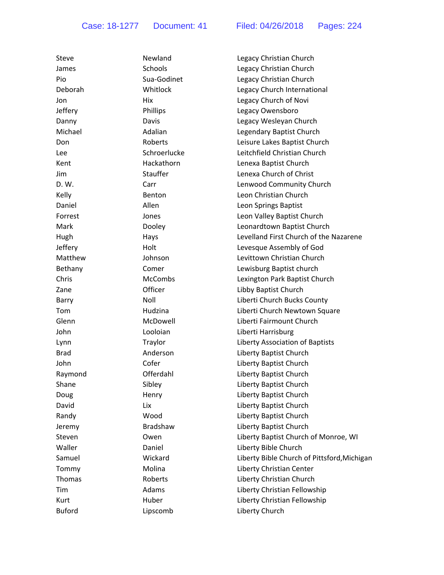| <b>Steve</b>  | Newland        | Legacy Christian Church                     |
|---------------|----------------|---------------------------------------------|
| James         | Schools        | Legacy Christian Church                     |
| Pio           | Sua-Godinet    | Legacy Christian Church                     |
| Deborah       | Whitlock       | Legacy Church International                 |
| Jon           | Hix            | Legacy Church of Novi                       |
| Jeffery       | Phillips       | Legacy Owensboro                            |
| Danny         | Davis          | Legacy Wesleyan Church                      |
| Michael       | Adalian        | Legendary Baptist Church                    |
| Don           | Roberts        | Leisure Lakes Baptist Church                |
| <b>Lee</b>    | Schroerlucke   | Leitchfield Christian Church                |
| Kent          | Hackathorn     | Lenexa Baptist Church                       |
| <b>Jim</b>    | Stauffer       | Lenexa Church of Christ                     |
| D. W.         | Carr           | Lenwood Community Church                    |
| Kelly         | <b>Benton</b>  | Leon Christian Church                       |
| Daniel        | Allen          | Leon Springs Baptist                        |
| Forrest       | Jones          | Leon Valley Baptist Church                  |
| Mark          | Dooley         | Leonardtown Baptist Church                  |
| Hugh          | Hays           | Levelland First Church of the Nazarene      |
| Jeffery       | Holt           | Levesque Assembly of God                    |
| Matthew       | Johnson        | Levittown Christian Church                  |
| Bethany       | Comer          | Lewisburg Baptist church                    |
| Chris         | <b>McCombs</b> | Lexington Park Baptist Church               |
| Zane          | Officer        | Libby Baptist Church                        |
| Barry         | Noll           | Liberti Church Bucks County                 |
| Tom           | Hudzina        | Liberti Church Newtown Square               |
| Glenn         | McDowell       | Liberti Fairmount Church                    |
| John          | Looloian       | Liberti Harrisburg                          |
| Lynn          | Traylor        | Liberty Association of Baptists             |
| <b>Brad</b>   | Anderson       | Liberty Baptist Church                      |
| John          | Cofer          | Liberty Baptist Church                      |
| Raymond       | Offerdahl      | Liberty Baptist Church                      |
| Shane         | Sibley         | Liberty Baptist Church                      |
| Doug          | Henry          | Liberty Baptist Church                      |
| David         | Lix            | Liberty Baptist Church                      |
| Randy         | Wood           | Liberty Baptist Church                      |
| Jeremy        | Bradshaw       | Liberty Baptist Church                      |
| Steven        | Owen           | Liberty Baptist Church of Monroe, WI        |
| Waller        | Daniel         | Liberty Bible Church                        |
| Samuel        | Wickard        | Liberty Bible Church of Pittsford, Michigan |
| Tommy         | Molina         | Liberty Christian Center                    |
| Thomas        | Roberts        | Liberty Christian Church                    |
| Tim           | Adams          | Liberty Christian Fellowship                |
| Kurt          | Huber          | Liberty Christian Fellowship                |
| <b>Buford</b> | Lipscomb       | Liberty Church                              |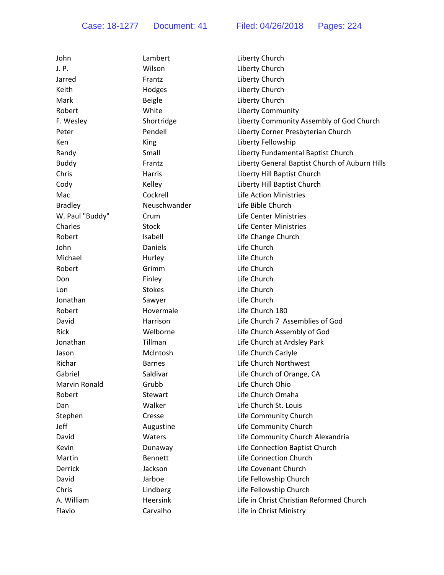| John                 | Lambert        | Liberty Church                                 |
|----------------------|----------------|------------------------------------------------|
| J. P.                | Wilson         | Liberty Church                                 |
| Jarred               | Frantz         | Liberty Church                                 |
| Keith                | Hodges         | Liberty Church                                 |
| Mark                 | <b>Beigle</b>  | Liberty Church                                 |
| Robert               | White          | Liberty Community                              |
| F. Wesley            | Shortridge     | Liberty Community Assembly of God Church       |
| Peter                | Pendell        | Liberty Corner Presbyterian Church             |
| Ken                  | King           | Liberty Fellowship                             |
| Randy                | Small          | Liberty Fundamental Baptist Church             |
| <b>Buddy</b>         | Frantz         | Liberty General Baptist Church of Auburn Hills |
| Chris                | Harris         | Liberty Hill Baptist Church                    |
| Cody                 | Kelley         | Liberty Hill Baptist Church                    |
| Mac                  | Cockrell       | <b>Life Action Ministries</b>                  |
| <b>Bradley</b>       | Neuschwander   | Life Bible Church                              |
| W. Paul "Buddy"      | Crum           | Life Center Ministries                         |
| Charles              | Stock          | Life Center Ministries                         |
| Robert               | Isabell        | Life Change Church                             |
| John                 | Daniels        | Life Church                                    |
| Michael              | Hurley         | Life Church                                    |
| Robert               | Grimm          | Life Church                                    |
| Don                  | Finley         | Life Church                                    |
| Lon                  | <b>Stokes</b>  | Life Church                                    |
| Jonathan             | Sawyer         | Life Church                                    |
| Robert               | Hovermale      | Life Church 180                                |
| David                | Harrison       | Life Church 7 Assemblies of God                |
| Rick                 | Welborne       | Life Church Assembly of God                    |
| Jonathan             | Tillman        | Life Church at Ardsley Park                    |
| Jason                | McIntosh       | Life Church Carlyle                            |
| Richar               | <b>Barnes</b>  | Life Church Northwest                          |
| Gabriel              | Saldivar       | Life Church of Orange, CA                      |
| <b>Marvin Ronald</b> | Grubb          | Life Church Ohio                               |
| Robert               | Stewart        | Life Church Omaha                              |
| Dan                  | Walker         | Life Church St. Louis                          |
| Stephen              | Cresse         | Life Community Church                          |
| Jeff                 | Augustine      | Life Community Church                          |
| David                | Waters         | Life Community Church Alexandria               |
| Kevin                | Dunaway        | Life Connection Baptist Church                 |
| Martin               | <b>Bennett</b> | Life Connection Church                         |
| Derrick              | Jackson        | Life Covenant Church                           |
| David                | Jarboe         | Life Fellowship Church                         |
| Chris                | Lindberg       | Life Fellowship Church                         |
| A. William           | Heersink       | Life in Christ Christian Reformed Church       |
| Flavio               | Carvalho       | Life in Christ Ministry                        |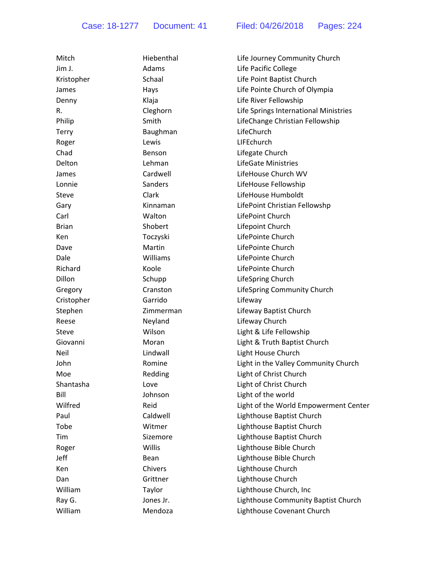| Mitch        | Hiebenthal    | Life Journey Community Church         |
|--------------|---------------|---------------------------------------|
| Jim J.       | Adams         | Life Pacific College                  |
| Kristopher   | Schaal        | Life Point Baptist Church             |
| James        | Hays          | Life Pointe Church of Olympia         |
| Denny        | Klaja         | Life River Fellowship                 |
| R.           | Cleghorn      | Life Springs International Ministries |
| Philip       | Smith         | LifeChange Christian Fellowship       |
| <b>Terry</b> | Baughman      | LifeChurch                            |
| Roger        | Lewis         | LIFEchurch                            |
| Chad         | <b>Benson</b> | Lifegate Church                       |
| Delton       | Lehman        | LifeGate Ministries                   |
| James        | Cardwell      | LifeHouse Church WV                   |
| Lonnie       | Sanders       | LifeHouse Fellowship                  |
| Steve        | Clark         | LifeHouse Humboldt                    |
| Gary         | Kinnaman      | LifePoint Christian Fellowshp         |
| Carl         | Walton        | LifePoint Church                      |
| <b>Brian</b> | Shobert       | Lifepoint Church                      |
| Ken          | Toczyski      | LifePointe Church                     |
| Dave         | Martin        | LifePointe Church                     |
| Dale         | Williams      | LifePointe Church                     |
| Richard      | Koole         | LifePointe Church                     |
| Dillon       | Schupp        | LifeSpring Church                     |
| Gregory      | Cranston      | LifeSpring Community Church           |
| Cristopher   | Garrido       | Lifeway                               |
| Stephen      | Zimmerman     | Lifeway Baptist Church                |
| Reese        | Neyland       | Lifeway Church                        |
| Steve        | Wilson        | Light & Life Fellowship               |
| Giovanni     | Moran         | Light & Truth Baptist Church          |
| Neil         | Lindwall      | Light House Church                    |
| John         | Romine        | Light in the Valley Community Church  |
| Moe          | Redding       | Light of Christ Church                |
| Shantasha    | Love          | Light of Christ Church                |
| Bill         | Johnson       | Light of the world                    |
| Wilfred      | Reid          | Light of the World Empowerment Center |
| Paul         | Caldwell      | Lighthouse Baptist Church             |
| Tobe         | Witmer        | Lighthouse Baptist Church             |
| Tim          | Sizemore      | Lighthouse Baptist Church             |
| Roger        | Willis        | Lighthouse Bible Church               |
| Jeff         | Bean          | Lighthouse Bible Church               |
| Ken          | Chivers       | Lighthouse Church                     |
| Dan          | Grittner      | Lighthouse Church                     |
| William      | Taylor        | Lighthouse Church, Inc                |
| Ray G.       | Jones Jr.     | Lighthouse Community Baptist Church   |
| William      | Mendoza       | Lighthouse Covenant Church            |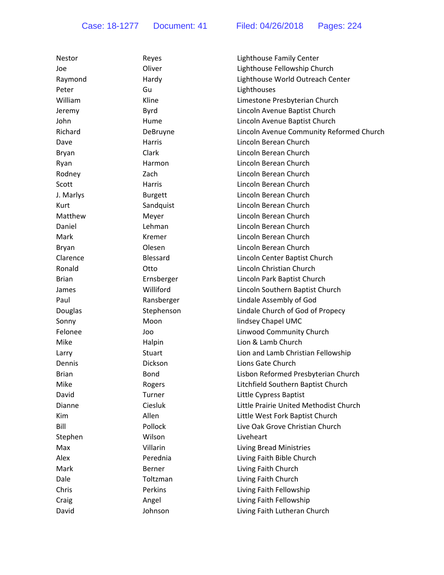| <b>Nestor</b> | Reyes           | Lighthouse Family Center                 |
|---------------|-----------------|------------------------------------------|
| Joe           | Oliver          | Lighthouse Fellowship Church             |
| Raymond       | Hardy           | Lighthouse World Outreach Center         |
| Peter         | Gu              | Lighthouses                              |
| William       | Kline           | Limestone Presbyterian Church            |
| Jeremy        | Byrd            | Lincoln Avenue Baptist Church            |
| John          | Hume            | Lincoln Avenue Baptist Church            |
| Richard       | DeBruyne        | Lincoln Avenue Community Reformed Church |
| Dave          | <b>Harris</b>   | Lincoln Berean Church                    |
| Bryan         | Clark           | Lincoln Berean Church                    |
| Ryan          | Harmon          | Lincoln Berean Church                    |
| Rodney        | Zach            | Lincoln Berean Church                    |
| Scott         | Harris          | Lincoln Berean Church                    |
| J. Marlys     | <b>Burgett</b>  | Lincoln Berean Church                    |
| Kurt          | Sandquist       | Lincoln Berean Church                    |
| Matthew       | Meyer           | Lincoln Berean Church                    |
| Daniel        | Lehman          | Lincoln Berean Church                    |
| Mark          | Kremer          | Lincoln Berean Church                    |
| Bryan         | Olesen          | Lincoln Berean Church                    |
| Clarence      | <b>Blessard</b> | Lincoln Center Baptist Church            |
| Ronald        | Otto            | Lincoln Christian Church                 |
| <b>Brian</b>  | Ernsberger      | Lincoln Park Baptist Church              |
| James         | Williford       | Lincoln Southern Baptist Church          |
| Paul          | Ransberger      | Lindale Assembly of God                  |
| Douglas       | Stephenson      | Lindale Church of God of Propecy         |
| Sonny         | Moon            | lindsey Chapel UMC                       |
| Felonee       | Joo             | Linwood Community Church                 |
| Mike          | Halpin          | Lion & Lamb Church                       |
| Larry         | Stuart          | Lion and Lamb Christian Fellowship       |
| Dennis        | Dickson         | Lions Gate Church                        |
| <b>Brian</b>  | Bond            | Lisbon Reformed Presbyterian Church      |
| Mike          | Rogers          | Litchfield Southern Baptist Church       |
| David         | Turner          | Little Cypress Baptist                   |
| Dianne        | Ciesluk         | Little Prairie United Methodist Church   |
| Kim           | Allen           | Little West Fork Baptist Church          |
| Bill          | Pollock         | Live Oak Grove Christian Church          |
| Stephen       | Wilson          | Liveheart                                |
| Max           | Villarin        | <b>Living Bread Ministries</b>           |
| Alex          | Perednia        | Living Faith Bible Church                |
| Mark          | Berner          | Living Faith Church                      |
| Dale          | Toltzman        | Living Faith Church                      |
| Chris         | Perkins         | Living Faith Fellowship                  |
| Craig         | Angel           | Living Faith Fellowship                  |
| David         | Johnson         | Living Faith Lutheran Church             |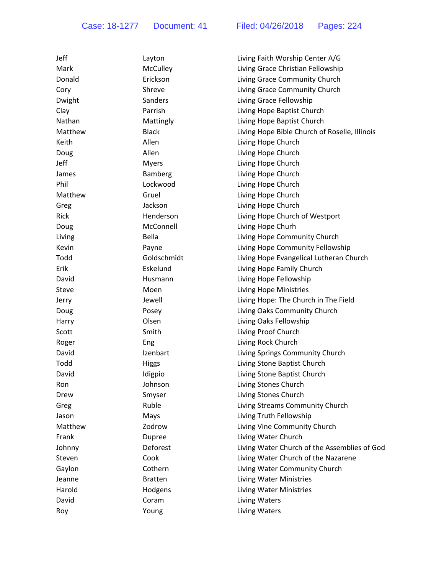| Jeff    | Layton         | Living Faith Worship Center A/G               |
|---------|----------------|-----------------------------------------------|
| Mark    | McCulley       | Living Grace Christian Fellowship             |
| Donald  | Erickson       | Living Grace Community Church                 |
| Cory    | Shreve         | Living Grace Community Church                 |
| Dwight  | Sanders        | Living Grace Fellowship                       |
| Clay    | Parrish        | Living Hope Baptist Church                    |
| Nathan  | Mattingly      | Living Hope Baptist Church                    |
| Matthew | <b>Black</b>   | Living Hope Bible Church of Roselle, Illinois |
| Keith   | Allen          | Living Hope Church                            |
| Doug    | Allen          | Living Hope Church                            |
| Jeff    | <b>Myers</b>   | Living Hope Church                            |
| James   | Bamberg        | Living Hope Church                            |
| Phil    | Lockwood       | Living Hope Church                            |
| Matthew | Gruel          | Living Hope Church                            |
| Greg    | Jackson        | Living Hope Church                            |
| Rick    | Henderson      | Living Hope Church of Westport                |
| Doug    | McConnell      | Living Hope Churh                             |
| Living  | <b>Bella</b>   | Living Hope Community Church                  |
| Kevin   | Payne          | Living Hope Community Fellowship              |
| Todd    | Goldschmidt    | Living Hope Evangelical Lutheran Church       |
| Erik    | Eskelund       | Living Hope Family Church                     |
| David   | Husmann        | Living Hope Fellowship                        |
| Steve   | Moen           | Living Hope Ministries                        |
| Jerry   | Jewell         | Living Hope: The Church in The Field          |
| Doug    | Posey          | Living Oaks Community Church                  |
| Harry   | Olsen          | Living Oaks Fellowship                        |
| Scott   | Smith          | Living Proof Church                           |
| Roger   | Eng            | Living Rock Church                            |
| David   | Izenbart       | Living Springs Community Church               |
| Todd    | <b>Higgs</b>   | Living Stone Baptist Church                   |
| David   | Idigpio        | Living Stone Baptist Church                   |
| Ron     | Johnson        | Living Stones Church                          |
| Drew    | Smyser         | Living Stones Church                          |
| Greg    | Ruble          | Living Streams Community Church               |
| Jason   | Mays           | Living Truth Fellowship                       |
| Matthew | Zodrow         | Living Vine Community Church                  |
| Frank   | Dupree         | Living Water Church                           |
| Johnny  | Deforest       | Living Water Church of the Assemblies of God  |
| Steven  | Cook           | Living Water Church of the Nazarene           |
| Gaylon  | Cothern        | Living Water Community Church                 |
| Jeanne  | <b>Bratten</b> | Living Water Ministries                       |
| Harold  | Hodgens        | Living Water Ministries                       |
| David   | Coram          | Living Waters                                 |
| Roy     | Young          | Living Waters                                 |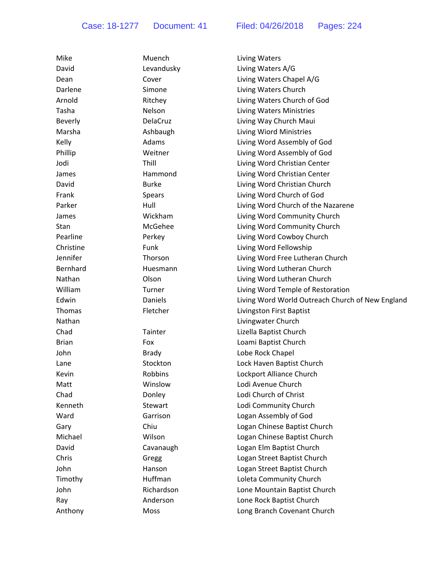| Mike         | Muench        | <b>Living Waters</b>                             |
|--------------|---------------|--------------------------------------------------|
| David        | Levandusky    | Living Waters A/G                                |
| Dean         | Cover         | Living Waters Chapel A/G                         |
| Darlene      | Simone        | Living Waters Church                             |
| Arnold       | Ritchey       | Living Waters Church of God                      |
| Tasha        | Nelson        | <b>Living Waters Ministries</b>                  |
| Beverly      | DelaCruz      | Living Way Church Maui                           |
| Marsha       | Ashbaugh      | Living Wiord Ministries                          |
| Kelly        | Adams         | Living Word Assembly of God                      |
| Phillip      | Weitner       | Living Word Assembly of God                      |
| Jodi         | Thill         | Living Word Christian Center                     |
| James        | Hammond       | Living Word Christian Center                     |
| David        | <b>Burke</b>  | Living Word Christian Church                     |
| Frank        | <b>Spears</b> | Living Word Church of God                        |
| Parker       | Hull          | Living Word Church of the Nazarene               |
| James        | Wickham       | Living Word Community Church                     |
| Stan         | McGehee       | Living Word Community Church                     |
| Pearline     | Perkey        | Living Word Cowboy Church                        |
| Christine    | Funk          | Living Word Fellowship                           |
| Jennifer     | Thorson       | Living Word Free Lutheran Church                 |
| Bernhard     | Huesmann      | Living Word Lutheran Church                      |
| Nathan       | Olson         | Living Word Lutheran Church                      |
| William      | Turner        | Living Word Temple of Restoration                |
| Edwin        | Daniels       | Living Word World Outreach Church of New England |
| Thomas       | Fletcher      | Livingston First Baptist                         |
| Nathan       |               | Livingwater Church                               |
| Chad         | Tainter       | Lizella Baptist Church                           |
| <b>Brian</b> | Fox           | Loami Baptist Church                             |
| John         | <b>Brady</b>  | Lobe Rock Chapel                                 |
| Lane         | Stockton      | Lock Haven Baptist Church                        |
| Kevin        | Robbins       | Lockport Alliance Church                         |
| Matt         | Winslow       | Lodi Avenue Church                               |
| Chad         | Donley        | Lodi Church of Christ                            |
| Kenneth      | Stewart       | Lodi Community Church                            |
| Ward         | Garrison      | Logan Assembly of God                            |
| Gary         | Chiu          | Logan Chinese Baptist Church                     |
| Michael      | Wilson        | Logan Chinese Baptist Church                     |
| David        | Cavanaugh     | Logan Elm Baptist Church                         |
| Chris        | Gregg         | Logan Street Baptist Church                      |
| John         | Hanson        | Logan Street Baptist Church                      |
| Timothy      | Huffman       | Loleta Community Church                          |
| John         | Richardson    | Lone Mountain Baptist Church                     |
| Ray          | Anderson      | Lone Rock Baptist Church                         |
| Anthony      | Moss          | Long Branch Covenant Church                      |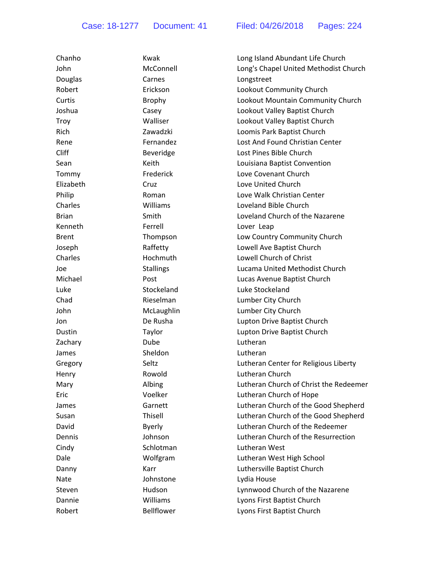| Chanho       | Kwak              | Long Island Abundant Life Church       |
|--------------|-------------------|----------------------------------------|
| John         | McConnell         | Long's Chapel United Methodist Church  |
| Douglas      | Carnes            | Longstreet                             |
| Robert       | Erickson          | Lookout Community Church               |
| Curtis       | <b>Brophy</b>     | Lookout Mountain Community Church      |
| Joshua       | Casey             | Lookout Valley Baptist Church          |
| Troy         | Walliser          | Lookout Valley Baptist Church          |
| Rich         | Zawadzki          | Loomis Park Baptist Church             |
| Rene         | Fernandez         | Lost And Found Christian Center        |
| Cliff        | Beveridge         | Lost Pines Bible Church                |
| Sean         | Keith             | Louisiana Baptist Convention           |
| Tommy        | Frederick         | Love Covenant Church                   |
| Elizabeth    | Cruz              | Love United Church                     |
| Philip       | Roman             | Love Walk Christian Center             |
| Charles      | Williams          | Loveland Bible Church                  |
| <b>Brian</b> | Smith             | Loveland Church of the Nazarene        |
| Kenneth      | Ferrell           | Lover Leap                             |
| <b>Brent</b> | Thompson          | Low Country Community Church           |
| Joseph       | Raffetty          | Lowell Ave Baptist Church              |
| Charles      | Hochmuth          | Lowell Church of Christ                |
| Joe          | <b>Stallings</b>  | Lucama United Methodist Church         |
| Michael      | Post              | Lucas Avenue Baptist Church            |
| Luke         | Stockeland        | Luke Stockeland                        |
| Chad         | Rieselman         | Lumber City Church                     |
| John         | McLaughlin        | Lumber City Church                     |
| Jon          | De Rusha          | Lupton Drive Baptist Church            |
| Dustin       | Taylor            | Lupton Drive Baptist Church            |
| Zachary      | Dube              | Lutheran                               |
| James        | Sheldon           | Lutheran                               |
| Gregory      | Seltz             | Lutheran Center for Religious Liberty  |
| Henry        | Rowold            | Lutheran Church                        |
| Mary         | Albing            | Lutheran Church of Christ the Redeemer |
| Eric         | Voelker           | Lutheran Church of Hope                |
| James        | Garnett           | Lutheran Church of the Good Shepherd   |
| Susan        | Thisell           | Lutheran Church of the Good Shepherd   |
| David        | <b>Byerly</b>     | Lutheran Church of the Redeemer        |
| Dennis       | Johnson           | Lutheran Church of the Resurrection    |
| Cindy        | Schlotman         | Lutheran West                          |
| Dale         | Wolfgram          | Lutheran West High School              |
| Danny        | Karr              | Luthersville Baptist Church            |
| <b>Nate</b>  | Johnstone         | Lydia House                            |
| Steven       | Hudson            | Lynnwood Church of the Nazarene        |
| Dannie       | Williams          | Lyons First Baptist Church             |
| Robert       | <b>Bellflower</b> | Lyons First Baptist Church             |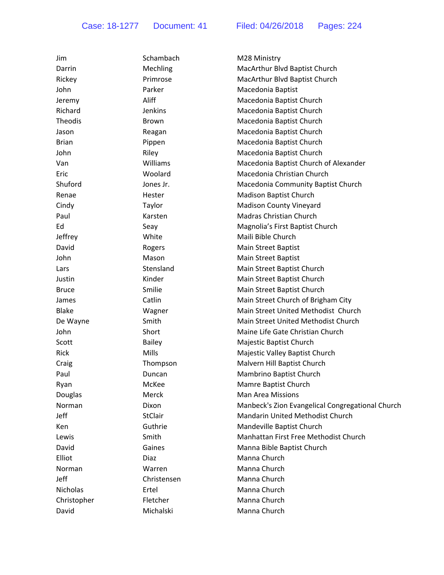| Jim          | Schambach      | M28 Ministry                                     |
|--------------|----------------|--------------------------------------------------|
| Darrin       | Mechling       | MacArthur Blvd Baptist Church                    |
| Rickey       | Primrose       | MacArthur Blvd Baptist Church                    |
| John         | Parker         | Macedonia Baptist                                |
| Jeremy       | Aliff          | Macedonia Baptist Church                         |
| Richard      | Jenkins        | Macedonia Baptist Church                         |
| Theodis      | <b>Brown</b>   | Macedonia Baptist Church                         |
| Jason        | Reagan         | Macedonia Baptist Church                         |
| <b>Brian</b> | Pippen         | Macedonia Baptist Church                         |
| John         | Riley          | Macedonia Baptist Church                         |
| Van          | Williams       | Macedonia Baptist Church of Alexander            |
| Eric         | Woolard        | Macedonia Christian Church                       |
| Shuford      | Jones Jr.      | Macedonia Community Baptist Church               |
| Renae        | Hester         | Madison Baptist Church                           |
| Cindy        | Taylor         | <b>Madison County Vineyard</b>                   |
| Paul         | Karsten        | Madras Christian Church                          |
| Ed           | Seay           | Magnolia's First Baptist Church                  |
| Jeffrey      | White          | Maili Bible Church                               |
| David        | Rogers         | Main Street Baptist                              |
| John         | Mason          | Main Street Baptist                              |
| Lars         | Stensland      | Main Street Baptist Church                       |
| Justin       | Kinder         | Main Street Baptist Church                       |
| <b>Bruce</b> | Smilie         | Main Street Baptist Church                       |
| James        | Catlin         | Main Street Church of Brigham City               |
| <b>Blake</b> | Wagner         | Main Street United Methodist Church              |
| De Wayne     | Smith          | Main Street United Methodist Church              |
| John         | Short          | Maine Life Gate Christian Church                 |
| Scott        | <b>Bailey</b>  | Majestic Baptist Church                          |
| Rick         | Mills          | Majestic Valley Baptist Church                   |
| Craig        | Thompson       | Malvern Hill Baptist Church                      |
| Paul         | Duncan         | Mambrino Baptist Church                          |
| Ryan         | McKee          | Mamre Baptist Church                             |
| Douglas      | Merck          | <b>Man Area Missions</b>                         |
| Norman       | Dixon          | Manbeck's Zion Evangelical Congregational Church |
| Jeff         | <b>StClair</b> | Mandarin United Methodist Church                 |
| Ken          | Guthrie        | Mandeville Baptist Church                        |
| Lewis        | Smith          | Manhattan First Free Methodist Church            |
| David        | Gaines         | Manna Bible Baptist Church                       |
| Elliot       | Diaz           | Manna Church                                     |
| Norman       | Warren         | Manna Church                                     |
| Jeff         | Christensen    | Manna Church                                     |
| Nicholas     | Ertel          | Manna Church                                     |
| Christopher  | Fletcher       | Manna Church                                     |
| David        | Michalski      | Manna Church                                     |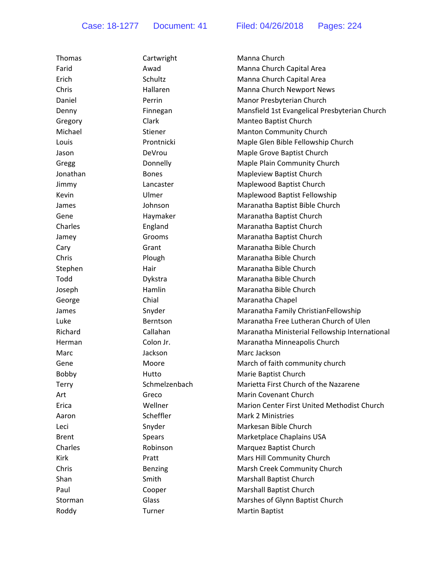| <b>Thomas</b> | Cartwright      | Manna Church                                   |
|---------------|-----------------|------------------------------------------------|
| Farid         | Awad            | Manna Church Capital Area                      |
| Erich         | Schultz         | Manna Church Capital Area                      |
| Chris         | Hallaren        | Manna Church Newport News                      |
| Daniel        | Perrin          | Manor Presbyterian Church                      |
| Denny         | Finnegan        | Mansfield 1st Evangelical Presbyterian Church  |
| Gregory       | Clark           | Manteo Baptist Church                          |
| Michael       | Stiener         | <b>Manton Community Church</b>                 |
| Louis         | Prontnicki      | Maple Glen Bible Fellowship Church             |
| Jason         | DeVrou          | Maple Grove Baptist Church                     |
| Gregg         | Donnelly        | Maple Plain Community Church                   |
| Jonathan      | <b>Bones</b>    | Mapleview Baptist Church                       |
| Jimmy         | Lancaster       | Maplewood Baptist Church                       |
| Kevin         | Ulmer           | Maplewood Baptist Fellowship                   |
| James         | Johnson         | Maranatha Baptist Bible Church                 |
| Gene          | Haymaker        | Maranatha Baptist Church                       |
| Charles       | England         | Maranatha Baptist Church                       |
| Jamey         | Grooms          | Maranatha Baptist Church                       |
| Cary          | Grant           | Maranatha Bible Church                         |
| Chris         | Plough          | Maranatha Bible Church                         |
| Stephen       | Hair            | Maranatha Bible Church                         |
| Todd          | Dykstra         | Maranatha Bible Church                         |
| Joseph        | Hamlin          | Maranatha Bible Church                         |
| George        | Chial           | Maranatha Chapel                               |
| James         | Snyder          | Maranatha Family ChristianFellowship           |
| Luke          | <b>Berntson</b> | Maranatha Free Lutheran Church of Ulen         |
| Richard       | Callahan        | Maranatha Ministerial Fellowship International |
| Herman        | Colon Jr.       | Maranatha Minneapolis Church                   |
| Marc          | Jackson         | Marc Jackson                                   |
| Gene          | Moore           | March of faith community church                |
| Bobby         | Hutto           | Marie Baptist Church                           |
| <b>Terry</b>  | Schmelzenbach   | Marietta First Church of the Nazarene          |
| Art           | Greco           | Marin Covenant Church                          |
| Erica         | Wellner         | Marion Center First United Methodist Church    |
| Aaron         | Scheffler       | Mark 2 Ministries                              |
| Leci          | Snyder          | Markesan Bible Church                          |
| <b>Brent</b>  | Spears          | Marketplace Chaplains USA                      |
| Charles       | Robinson        | Marquez Baptist Church                         |
| Kirk          | Pratt           | Mars Hill Community Church                     |
| Chris         | <b>Benzing</b>  | Marsh Creek Community Church                   |
| Shan          | Smith           | Marshall Baptist Church                        |
| Paul          | Cooper          | Marshall Baptist Church                        |
| Storman       | Glass           | Marshes of Glynn Baptist Church                |
| Roddy         | Turner          | <b>Martin Baptist</b>                          |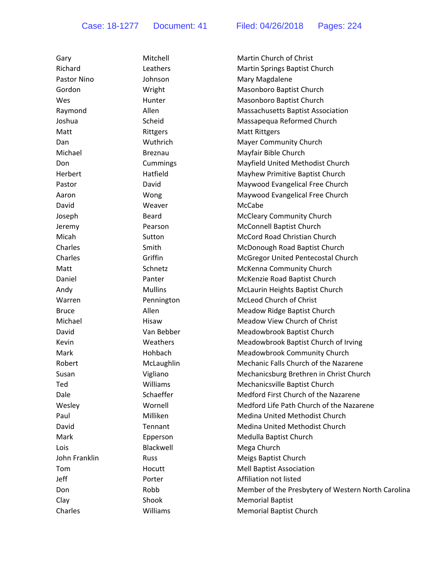| Gary          | Mitchell       | Martin Church of Christ                            |
|---------------|----------------|----------------------------------------------------|
| Richard       | Leathers       | Martin Springs Baptist Church                      |
| Pastor Nino   | Johnson        | Mary Magdalene                                     |
| Gordon        | Wright         | Masonboro Baptist Church                           |
| Wes           | Hunter         | Masonboro Baptist Church                           |
| Raymond       | Allen          | Massachusetts Baptist Association                  |
| Joshua        | Scheid         | Massapequa Reformed Church                         |
| Matt          | Rittgers       | <b>Matt Rittgers</b>                               |
| Dan           | Wuthrich       | <b>Mayer Community Church</b>                      |
| Michael       | <b>Breznau</b> | Mayfair Bible Church                               |
| Don           | Cummings       | Mayfield United Methodist Church                   |
| Herbert       | Hatfield       | Mayhew Primitive Baptist Church                    |
| Pastor        | David          | Maywood Evangelical Free Church                    |
| Aaron         | Wong           | Maywood Evangelical Free Church                    |
| David         | Weaver         | McCabe                                             |
| Joseph        | <b>Beard</b>   | <b>McCleary Community Church</b>                   |
| Jeremy        | Pearson        | McConnell Baptist Church                           |
| Micah         | Sutton         | McCord Road Christian Church                       |
| Charles       | Smith          | McDonough Road Baptist Church                      |
| Charles       | Griffin        | McGregor United Pentecostal Church                 |
| Matt          | Schnetz        | McKenna Community Church                           |
| Daniel        | Panter         | McKenzie Road Baptist Church                       |
| Andy          | <b>Mullins</b> | McLaurin Heights Baptist Church                    |
| Warren        | Pennington     | McLeod Church of Christ                            |
| <b>Bruce</b>  | Allen          | Meadow Ridge Baptist Church                        |
| Michael       | Hisaw          | Meadow View Church of Christ                       |
| David         | Van Bebber     | Meadowbrook Baptist Church                         |
| Kevin         | Weathers       | Meadowbrook Baptist Church of Irving               |
| Mark          | Hohbach        | Meadowbrook Community Church                       |
| Robert        | McLaughlin     | Mechanic Falls Church of the Nazarene              |
| Susan         | Vigliano       | Mechanicsburg Brethren in Christ Church            |
| Ted           | Williams       | Mechanicsville Baptist Church                      |
| Dale          | Schaeffer      | Medford First Church of the Nazarene               |
| Wesley        | Wornell        | Medford Life Path Church of the Nazarene           |
| Paul          | Milliken       | Medina United Methodist Church                     |
| David         | Tennant        | Medina United Methodist Church                     |
| Mark          | Epperson       | Medulla Baptist Church                             |
| Lois          | Blackwell      | Mega Church                                        |
| John Franklin | Russ           | Meigs Baptist Church                               |
| Tom           | Hocutt         | <b>Mell Baptist Association</b>                    |
| Jeff          | Porter         | Affiliation not listed                             |
| Don           | Robb           | Member of the Presbytery of Western North Carolina |
| Clay          | Shook          | <b>Memorial Baptist</b>                            |
| Charles       | Williams       | <b>Memorial Baptist Church</b>                     |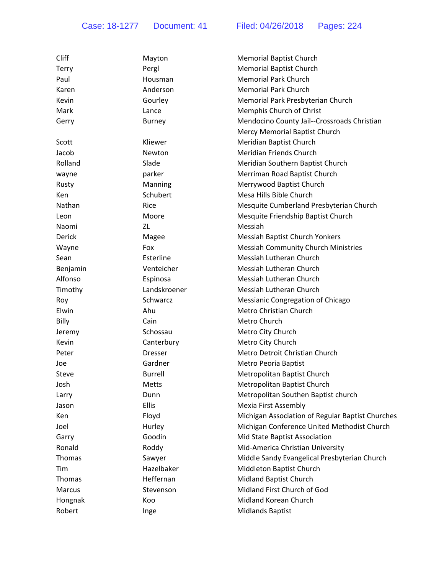Case: 18-1277 Document: 41 Filed: 04/26/2018 Pages: 224

| Cliff    | Mayton         | <b>Memorial Baptist Church</b>                   |
|----------|----------------|--------------------------------------------------|
| Terry    | Pergl          | <b>Memorial Baptist Church</b>                   |
| Paul     | Housman        | <b>Memorial Park Church</b>                      |
| Karen    | Anderson       | <b>Memorial Park Church</b>                      |
| Kevin    | Gourley        | Memorial Park Presbyterian Church                |
| Mark     | Lance          | Memphis Church of Christ                         |
| Gerry    | <b>Burney</b>  | Mendocino County Jail--Crossroads Christian      |
|          |                | Mercy Memorial Baptist Church                    |
| Scott    | Kliewer        | Meridian Baptist Church                          |
| Jacob    | Newton         | Meridian Friends Church                          |
| Rolland  | Slade          | Meridian Southern Baptist Church                 |
| wayne    | parker         | Merriman Road Baptist Church                     |
| Rusty    | Manning        | Merrywood Baptist Church                         |
| Ken      | Schubert       | Mesa Hills Bible Church                          |
| Nathan   | Rice           | Mesquite Cumberland Presbyterian Church          |
| Leon     | Moore          | Mesquite Friendship Baptist Church               |
| Naomi    | ZL             | Messiah                                          |
| Derick   | Magee          | Messiah Baptist Church Yonkers                   |
| Wayne    | Fox            | <b>Messiah Community Church Ministries</b>       |
| Sean     | Esterline      | Messiah Lutheran Church                          |
| Benjamin | Venteicher     | Messiah Lutheran Church                          |
| Alfonso  | Espinosa       | Messiah Lutheran Church                          |
| Timothy  | Landskroener   | Messiah Lutheran Church                          |
| Roy      | Schwarcz       | Messianic Congregation of Chicago                |
| Elwin    | Ahu            | Metro Christian Church                           |
| Billy    | Cain           | Metro Church                                     |
| Jeremy   | Schossau       | Metro City Church                                |
| Kevin    | Canterbury     | Metro City Church                                |
| Peter    | <b>Dresser</b> | Metro Detroit Christian Church                   |
| Joe      | Gardner        | Metro Peoria Baptist                             |
| Steve    | <b>Burrell</b> | Metropolitan Baptist Church                      |
| Josh     | Metts          | Metropolitan Baptist Church                      |
| Larry    | Dunn           | Metropolitan Southen Baptist church              |
| Jason    | Ellis          | <b>Mexia First Assembly</b>                      |
| Ken      | Floyd          | Michigan Association of Regular Baptist Churches |
| Joel     | Hurley         | Michigan Conference United Methodist Church      |
| Garry    | Goodin         | Mid State Baptist Association                    |
| Ronald   | Roddy          | Mid-America Christian University                 |
| Thomas   | Sawyer         | Middle Sandy Evangelical Presbyterian Church     |
| Tim      | Hazelbaker     | Middleton Baptist Church                         |
| Thomas   | Heffernan      | Midland Baptist Church                           |
| Marcus   | Stevenson      | Midland First Church of God                      |
| Hongnak  | Koo            | Midland Korean Church                            |
| Robert   | Inge           | <b>Midlands Baptist</b>                          |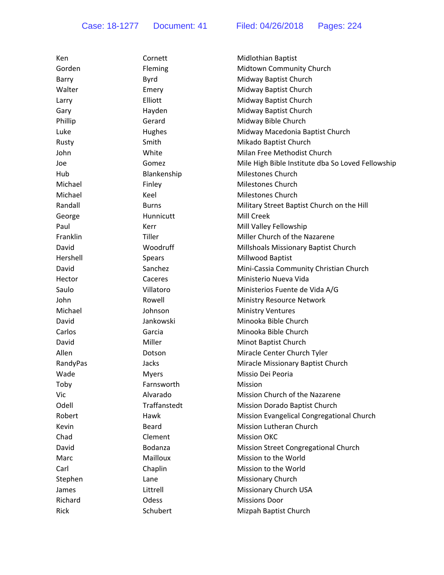| Ken      | Cornett       | <b>Midlothian Baptist</b>                         |
|----------|---------------|---------------------------------------------------|
| Gorden   | Fleming       | Midtown Community Church                          |
| Barry    | Byrd          | Midway Baptist Church                             |
| Walter   | Emery         | Midway Baptist Church                             |
| Larry    | Elliott       | Midway Baptist Church                             |
| Gary     | Hayden        | Midway Baptist Church                             |
| Phillip  | Gerard        | Midway Bible Church                               |
| Luke     | Hughes        | Midway Macedonia Baptist Church                   |
| Rusty    | Smith         | Mikado Baptist Church                             |
| John     | White         | Milan Free Methodist Church                       |
| Joe      | Gomez         | Mile High Bible Institute dba So Loved Fellowship |
| Hub      | Blankenship   | Milestones Church                                 |
| Michael  | Finley        | <b>Milestones Church</b>                          |
| Michael  | Keel          | Milestones Church                                 |
| Randall  | <b>Burns</b>  | Military Street Baptist Church on the Hill        |
| George   | Hunnicutt     | Mill Creek                                        |
| Paul     | Kerr          | Mill Valley Fellowship                            |
| Franklin | <b>Tiller</b> | Miller Church of the Nazarene                     |
| David    | Woodruff      | Millshoals Missionary Baptist Church              |
| Hershell | Spears        | Millwood Baptist                                  |
| David    | Sanchez       | Mini-Cassia Community Christian Church            |
| Hector   | Caceres       | Ministerio Nueva Vida                             |
| Saulo    | Villatoro     | Ministerios Fuente de Vida A/G                    |
| John     | Rowell        | Ministry Resource Network                         |
| Michael  | Johnson       | <b>Ministry Ventures</b>                          |
| David    | Jankowski     | Minooka Bible Church                              |
| Carlos   | Garcia        | Minooka Bible Church                              |
| David    | Miller        | Minot Baptist Church                              |
| Allen    | Dotson        | Miracle Center Church Tyler                       |
| RandyPas | Jacks         | Miracle Missionary Baptist Church                 |
| Wade     | <b>M</b> vers | Missio Dei Peoria                                 |
| Toby     | Farnsworth    | Mission                                           |
| Vic      | Alvarado      | Mission Church of the Nazarene                    |
| Odell    | Traffanstedt  | Mission Dorado Baptist Church                     |
| Robert   | Hawk          | Mission Evangelical Congregational Church         |
| Kevin    | Beard         | Mission Lutheran Church                           |
| Chad     | Clement       | <b>Mission OKC</b>                                |
| David    | Bodanza       | Mission Street Congregational Church              |
| Marc     | Mailloux      | Mission to the World                              |
| Carl     | Chaplin       | Mission to the World                              |
| Stephen  | Lane          | Missionary Church                                 |
| James    | Littrell      | <b>Missionary Church USA</b>                      |
| Richard  | Odess         | <b>Missions Door</b>                              |
| Rick     | Schubert      | Mizpah Baptist Church                             |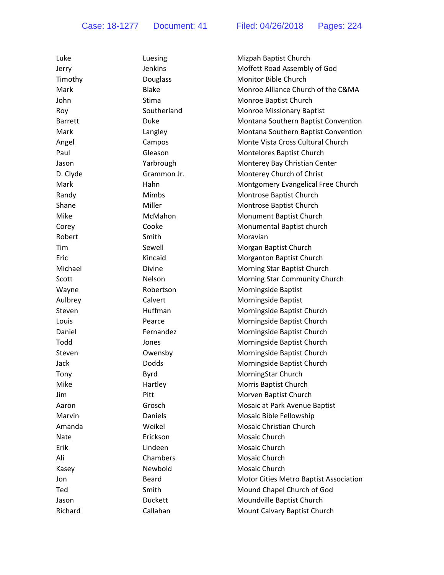| Luke           | Luesing        | Mizpah Baptist Church                  |
|----------------|----------------|----------------------------------------|
| Jerry          | Jenkins        | Moffett Road Assembly of God           |
| Timothy        | Douglass       | Monitor Bible Church                   |
| Mark           | <b>Blake</b>   | Monroe Alliance Church of the C&MA     |
| John           | Stima          | Monroe Baptist Church                  |
| Roy            | Southerland    | <b>Monroe Missionary Baptist</b>       |
| <b>Barrett</b> | Duke           | Montana Southern Baptist Convention    |
| Mark           | Langley        | Montana Southern Baptist Convention    |
| Angel          | Campos         | Monte Vista Cross Cultural Church      |
| Paul           | Gleason        | Montelores Baptist Church              |
| Jason          | Yarbrough      | Monterey Bay Christian Center          |
| D. Clyde       | Grammon Jr.    | Monterey Church of Christ              |
| Mark           | Hahn           | Montgomery Evangelical Free Church     |
| Randy          | Mimbs          | Montrose Baptist Church                |
| Shane          | Miller         | Montrose Baptist Church                |
| Mike           | McMahon        | Monument Baptist Church                |
| Corey          | Cooke          | Monumental Baptist church              |
| Robert         | Smith          | Moravian                               |
| Tim            | Sewell         | Morgan Baptist Church                  |
| Eric           | Kincaid        | Morganton Baptist Church               |
| Michael        | Divine         | Morning Star Baptist Church            |
| Scott          | Nelson         | Morning Star Community Church          |
| Wayne          | Robertson      | Morningside Baptist                    |
| Aulbrey        | Calvert        | Morningside Baptist                    |
| Steven         | Huffman        | Morningside Baptist Church             |
| Louis          | Pearce         | Morningside Baptist Church             |
| Daniel         | Fernandez      | Morningside Baptist Church             |
| Todd           | Jones          | Morningside Baptist Church             |
| Steven         | Owensby        | Morningside Baptist Church             |
| Jack           | <b>Dodds</b>   | Morningside Baptist Church             |
| Tony           | <b>Byrd</b>    | MorningStar Church                     |
| Mike           | Hartley        | Morris Baptist Church                  |
| Jim            | Pitt           | Morven Baptist Church                  |
| Aaron          | Grosch         | Mosaic at Park Avenue Baptist          |
| Marvin         | Daniels        | Mosaic Bible Fellowship                |
| Amanda         | Weikel         | Mosaic Christian Church                |
| Nate           | Erickson       | Mosaic Church                          |
| Erik           | Lindeen        | Mosaic Church                          |
| Ali            | Chambers       | Mosaic Church                          |
| Kasey          | Newbold        | Mosaic Church                          |
| Jon            | Beard          | Motor Cities Metro Baptist Association |
| Ted            | Smith          | Mound Chapel Church of God             |
| Jason          | <b>Duckett</b> | Moundville Baptist Church              |
| Richard        | Callahan       | Mount Calvary Baptist Church           |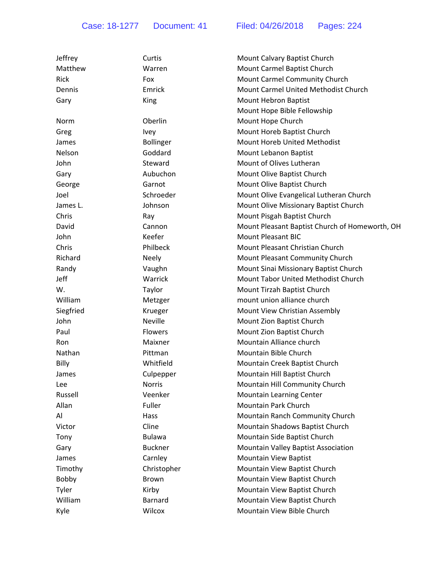| Jeffrey     | Curtis           | Mount Calvary Baptist Church                   |
|-------------|------------------|------------------------------------------------|
| Matthew     | Warren           | Mount Carmel Baptist Church                    |
| <b>Rick</b> | Fox              | Mount Carmel Community Church                  |
| Dennis      | Emrick           | Mount Carmel United Methodist Church           |
| Gary        | King             | Mount Hebron Baptist                           |
|             |                  | Mount Hope Bible Fellowship                    |
| Norm        | Oberlin          | Mount Hope Church                              |
| Greg        | <b>Ivey</b>      | Mount Horeb Baptist Church                     |
| James       | <b>Bollinger</b> | Mount Horeb United Methodist                   |
| Nelson      | Goddard          | Mount Lebanon Baptist                          |
| John        | Steward          | Mount of Olives Lutheran                       |
| Gary        | Aubuchon         | Mount Olive Baptist Church                     |
| George      | Garnot           | Mount Olive Baptist Church                     |
| Joel        | Schroeder        | Mount Olive Evangelical Lutheran Church        |
| James L.    | Johnson          | Mount Olive Missionary Baptist Church          |
| Chris       | Ray              | Mount Pisgah Baptist Church                    |
| David       | Cannon           | Mount Pleasant Baptist Church of Homeworth, OH |
| John        | Keefer           | <b>Mount Pleasant BIC</b>                      |
| Chris       | Philbeck         | Mount Pleasant Christian Church                |
| Richard     | <b>Neely</b>     | Mount Pleasant Community Church                |
| Randy       | Vaughn           | Mount Sinai Missionary Baptist Church          |
| Jeff        | Warrick          | Mount Tabor United Methodist Church            |
| W.          | Taylor           | Mount Tirzah Baptist Church                    |
| William     | Metzger          | mount union alliance church                    |
| Siegfried   | Krueger          | Mount View Christian Assembly                  |
| John        | <b>Neville</b>   | Mount Zion Baptist Church                      |
| Paul        | <b>Flowers</b>   | Mount Zion Baptist Church                      |
| Ron         | Maixner          | Mountain Alliance church                       |
| Nathan      | Pittman          | Mountain Bible Church                          |
| Billy       | Whitfield        | Mountain Creek Baptist Church                  |
| James       | Culpepper        | Mountain Hill Baptist Church                   |
| Lee         | <b>Norris</b>    | Mountain Hill Community Church                 |
| Russell     | Veenker          | <b>Mountain Learning Center</b>                |
| Allan       | Fuller           | Mountain Park Church                           |
| Al          | Hass             | Mountain Ranch Community Church                |
| Victor      | Cline            | Mountain Shadows Baptist Church                |
| Tony        | <b>Bulawa</b>    | Mountain Side Baptist Church                   |
| Gary        | <b>Buckner</b>   | Mountain Valley Baptist Association            |
| James       | Carnley          | <b>Mountain View Baptist</b>                   |
| Timothy     | Christopher      | Mountain View Baptist Church                   |
| Bobby       | <b>Brown</b>     | Mountain View Baptist Church                   |
| Tyler       | Kirby            | Mountain View Baptist Church                   |
| William     | Barnard          | Mountain View Baptist Church                   |
| Kyle        | Wilcox           | Mountain View Bible Church                     |
|             |                  |                                                |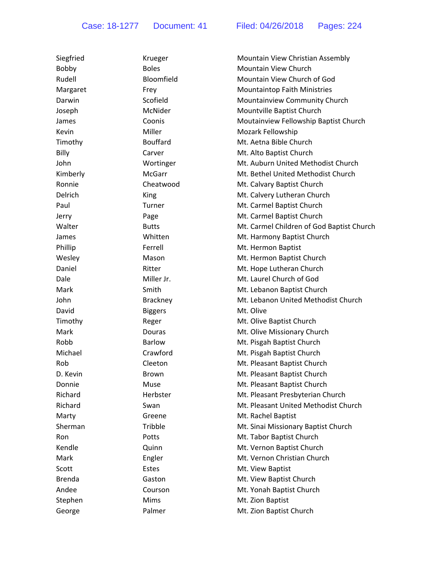| Siegfried     | Krueger         | Mountain View Christian Assembly          |
|---------------|-----------------|-------------------------------------------|
| Bobby         | <b>Boles</b>    | <b>Mountain View Church</b>               |
| Rudell        | Bloomfield      | Mountain View Church of God               |
| Margaret      | Frey            | <b>Mountaintop Faith Ministries</b>       |
| Darwin        | Scofield        | Mountainview Community Church             |
| Joseph        | McNider         | Mountville Baptist Church                 |
| James         | Coonis          | Moutainview Fellowship Baptist Church     |
| Kevin         | Miller          | Mozark Fellowship                         |
| Timothy       | <b>Bouffard</b> | Mt. Aetna Bible Church                    |
| Billy         | Carver          | Mt. Alto Baptist Church                   |
| John          | Wortinger       | Mt. Auburn United Methodist Church        |
| Kimberly      | <b>McGarr</b>   | Mt. Bethel United Methodist Church        |
| Ronnie        | Cheatwood       | Mt. Calvary Baptist Church                |
| Delrich       | King            | Mt. Calvery Lutheran Church               |
| Paul          | Turner          | Mt. Carmel Baptist Church                 |
| Jerry         | Page            | Mt. Carmel Baptist Church                 |
| Walter        | <b>Butts</b>    | Mt. Carmel Children of God Baptist Church |
| James         | Whitten         | Mt. Harmony Baptist Church                |
| Phillip       | Ferrell         | Mt. Hermon Baptist                        |
| Wesley        | Mason           | Mt. Hermon Baptist Church                 |
| Daniel        | Ritter          | Mt. Hope Lutheran Church                  |
| Dale          | Miller Jr.      | Mt. Laurel Church of God                  |
| Mark          | Smith           | Mt. Lebanon Baptist Church                |
| John          | Brackney        | Mt. Lebanon United Methodist Church       |
| David         | <b>Biggers</b>  | Mt. Olive                                 |
| Timothy       | Reger           | Mt. Olive Baptist Church                  |
| Mark          | <b>Douras</b>   | Mt. Olive Missionary Church               |
| Robb          | <b>Barlow</b>   | Mt. Pisgah Baptist Church                 |
| Michael       | Crawford        | Mt. Pisgah Baptist Church                 |
| Rob           | Cleeton         | Mt. Pleasant Baptist Church               |
| D. Kevin      | Brown           | Mt. Pleasant Baptist Church               |
| Donnie        | Muse            | Mt. Pleasant Baptist Church               |
| Richard       | Herbster        | Mt. Pleasant Presbyterian Church          |
| Richard       | Swan            | Mt. Pleasant United Methodist Church      |
| Marty         | Greene          | Mt. Rachel Baptist                        |
| Sherman       | Tribble         | Mt. Sinai Missionary Baptist Church       |
| Ron           | Potts           | Mt. Tabor Baptist Church                  |
| Kendle        | Quinn           | Mt. Vernon Baptist Church                 |
| Mark          | Engler          | Mt. Vernon Christian Church               |
| Scott         | Estes           | Mt. View Baptist                          |
| <b>Brenda</b> | Gaston          | Mt. View Baptist Church                   |
| Andee         | Courson         | Mt. Yonah Baptist Church                  |
| Stephen       | Mims            | Mt. Zion Baptist                          |
| George        | Palmer          | Mt. Zion Baptist Church                   |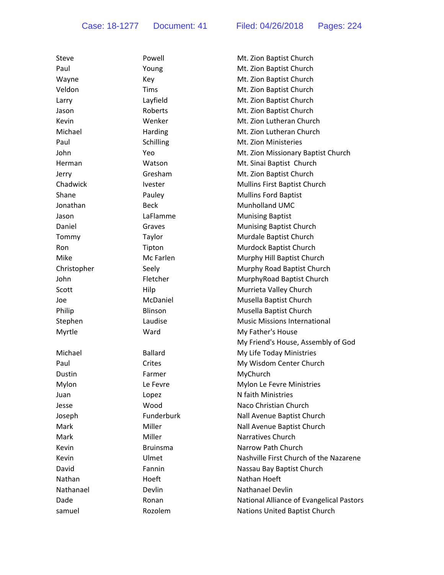| Steve       | Powell          | Mt. Zion Baptist Church                  |
|-------------|-----------------|------------------------------------------|
| Paul        | Young           | Mt. Zion Baptist Church                  |
| Wayne       | Key             | Mt. Zion Baptist Church                  |
| Veldon      | <b>Tims</b>     | Mt. Zion Baptist Church                  |
| Larry       | Layfield        | Mt. Zion Baptist Church                  |
| Jason       | Roberts         | Mt. Zion Baptist Church                  |
| Kevin       | Wenker          | Mt. Zion Lutheran Church                 |
| Michael     | Harding         | Mt. Zion Lutheran Church                 |
| Paul        | Schilling       | Mt. Zion Ministeries                     |
| John        | Yeo             | Mt. Zion Missionary Baptist Church       |
| Herman      | Watson          | Mt. Sinai Baptist Church                 |
| Jerry       | Gresham         | Mt. Zion Baptist Church                  |
| Chadwick    | <b>Ivester</b>  | Mullins First Baptist Church             |
| Shane       | Pauley          | <b>Mullins Ford Baptist</b>              |
| Jonathan    | <b>Beck</b>     | Munholland UMC                           |
| Jason       | LaFlamme        | <b>Munising Baptist</b>                  |
| Daniel      | Graves          | Munising Baptist Church                  |
| Tommy       | Taylor          | Murdale Baptist Church                   |
| Ron.        | Tipton          | Murdock Baptist Church                   |
| Mike        | Mc Farlen       | Murphy Hill Baptist Church               |
| Christopher | Seely           | Murphy Road Baptist Church               |
| John        | Fletcher        | MurphyRoad Baptist Church                |
| Scott       | Hilp            | Murrieta Valley Church                   |
| Joe         | McDaniel        | Musella Baptist Church                   |
| Philip      | Blinson         | Musella Baptist Church                   |
| Stephen     | Laudise         | <b>Music Missions International</b>      |
| Myrtle      | Ward            | My Father's House                        |
|             |                 | My Friend's House, Assembly of God       |
| Michael     | <b>Ballard</b>  | My Life Today Ministries                 |
| Paul        | Crites          | My Wisdom Center Church                  |
| Dustin      | Farmer          | MyChurch                                 |
| Mylon       | Le Fevre        | Mylon Le Fevre Ministries                |
| Juan        | Lopez           | N faith Ministries                       |
| Jesse       | Wood            | Naco Christian Church                    |
| Joseph      | Funderburk      | Nall Avenue Baptist Church               |
| Mark        | Miller          | Nall Avenue Baptist Church               |
| Mark        | Miller          | Narratives Church                        |
| Kevin       | <b>Bruinsma</b> | Narrow Path Church                       |
| Kevin       | Ulmet           | Nashville First Church of the Nazarene   |
| David       | Fannin          | Nassau Bay Baptist Church                |
| Nathan      | Hoeft           | Nathan Hoeft                             |
| Nathanael   | Devlin          | Nathanael Devlin                         |
| Dade        | Ronan           | National Alliance of Evangelical Pastors |
| samuel      | Rozolem         | Nations United Baptist Church            |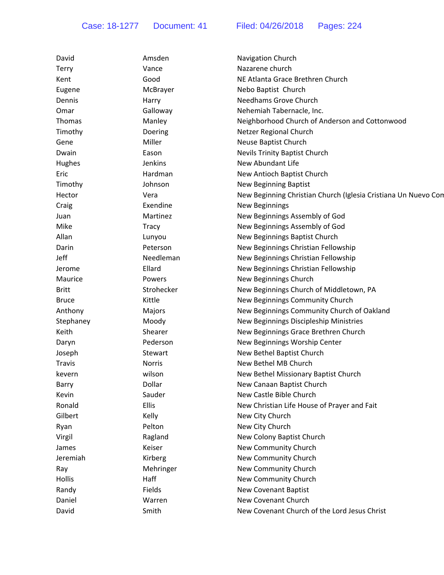| David         | Amsden       | <b>Navigation Church</b>                                       |
|---------------|--------------|----------------------------------------------------------------|
| <b>Terry</b>  | Vance        | Nazarene church                                                |
| Kent          | Good         | NE Atlanta Grace Brethren Church                               |
| Eugene        | McBrayer     | Nebo Baptist Church                                            |
| Dennis        | Harry        | Needhams Grove Church                                          |
| Omar          | Galloway     | Nehemiah Tabernacle, Inc.                                      |
| Thomas        | Manley       | Neighborhood Church of Anderson and Cottonwood                 |
| Timothy       | Doering      | Netzer Regional Church                                         |
| Gene          | Miller       | Neuse Baptist Church                                           |
| Dwain         | Eason        | <b>Nevils Trinity Baptist Church</b>                           |
| Hughes        | Jenkins      | New Abundant Life                                              |
| Eric          | Hardman      | New Antioch Baptist Church                                     |
| Timothy       | Johnson      | <b>New Beginning Baptist</b>                                   |
| Hector        | Vera         | New Beginning Christian Church (Iglesia Cristiana Un Nuevo Con |
| Craig         | Exendine     | <b>New Beginnings</b>                                          |
| Juan          | Martinez     | New Beginnings Assembly of God                                 |
| Mike          | <b>Tracy</b> | New Beginnings Assembly of God                                 |
| Allan         | Lunyou       | New Beginnings Baptist Church                                  |
| Darin         | Peterson     | New Beginnings Christian Fellowship                            |
| Jeff          | Needleman    | New Beginnings Christian Fellowship                            |
| Jerome        | Ellard       | New Beginnings Christian Fellowship                            |
| Maurice       | Powers       | New Beginnings Church                                          |
| <b>Britt</b>  | Strohecker   | New Beginnings Church of Middletown, PA                        |
| <b>Bruce</b>  | Kittle       | New Beginnings Community Church                                |
| Anthony       | Majors       | New Beginnings Community Church of Oakland                     |
| Stephaney     | Moody        | New Beginnings Discipleship Ministries                         |
| Keith         | Shearer      | New Beginnings Grace Brethren Church                           |
| Daryn         | Pederson     | New Beginnings Worship Center                                  |
| Joseph        | Stewart      | New Bethel Baptist Church                                      |
| <b>Travis</b> | Norris       | New Bethel MB Church                                           |
| kevern        | wilson       | New Bethel Missionary Baptist Church                           |
| Barry         | Dollar       | New Canaan Baptist Church                                      |
| Kevin         | Sauder       | New Castle Bible Church                                        |
| Ronald        | Ellis        | New Christian Life House of Prayer and Fait                    |
| Gilbert       | Kelly        | New City Church                                                |
| Ryan          | Pelton       | New City Church                                                |
| Virgil        | Ragland      | New Colony Baptist Church                                      |
| James         | Keiser       | New Community Church                                           |
| Jeremiah      | Kirberg      | New Community Church                                           |
| Ray           | Mehringer    | New Community Church                                           |
| <b>Hollis</b> | Haff         | New Community Church                                           |
| Randy         | Fields       | <b>New Covenant Baptist</b>                                    |
| Daniel        | Warren       | New Covenant Church                                            |
| David         | Smith        | New Covenant Church of the Lord Jesus Christ                   |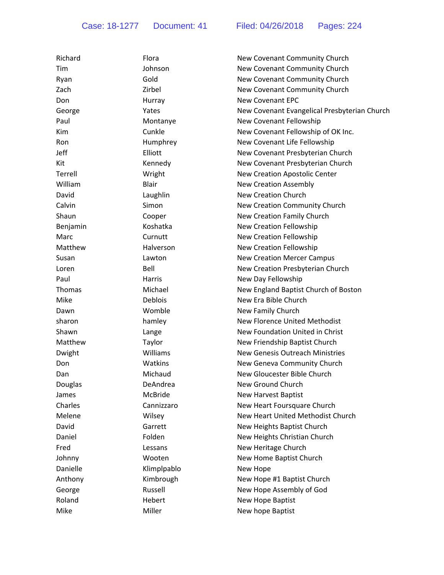| Richard  | Flora          | New Covenant Community Church                |
|----------|----------------|----------------------------------------------|
| Tim      | Johnson        | New Covenant Community Church                |
| Ryan     | Gold           | New Covenant Community Church                |
| Zach     | Zirbel         | New Covenant Community Church                |
| Don      | Hurray         | <b>New Covenant EPC</b>                      |
| George   | Yates          | New Covenant Evangelical Presbyterian Church |
| Paul     | Montanye       | New Covenant Fellowship                      |
| Kim      | Cunkle         | New Covenant Fellowship of OK Inc.           |
| Ron      | Humphrey       | New Covenant Life Fellowship                 |
| Jeff     | Elliott        | New Covenant Presbyterian Church             |
| Kit      | Kennedy        | New Covenant Presbyterian Church             |
| Terrell  | Wright         | New Creation Apostolic Center                |
| William  | <b>Blair</b>   | <b>New Creation Assembly</b>                 |
| David    | Laughlin       | <b>New Creation Church</b>                   |
| Calvin   | Simon          | New Creation Community Church                |
| Shaun    | Cooper         | New Creation Family Church                   |
| Benjamin | Koshatka       | New Creation Fellowship                      |
| Marc     | Curnutt        | New Creation Fellowship                      |
| Matthew  | Halverson      | New Creation Fellowship                      |
| Susan    | Lawton         | <b>New Creation Mercer Campus</b>            |
| Loren    | Bell           | New Creation Presbyterian Church             |
| Paul     | Harris         | New Day Fellowship                           |
| Thomas   | Michael        | New England Baptist Church of Boston         |
| Mike     | <b>Deblois</b> | New Era Bible Church                         |
| Dawn     | Womble         | New Family Church                            |
| sharon   | hamley         | <b>New Florence United Methodist</b>         |
| Shawn    | Lange          | New Foundation United in Christ              |
| Matthew  | Taylor         | New Friendship Baptist Church                |
| Dwight   | Williams       | New Genesis Outreach Ministries              |
| Don      | Watkins        | New Geneva Community Church                  |
| Dan      | Michaud        | New Gloucester Bible Church                  |
| Douglas  | DeAndrea       | New Ground Church                            |
| James    | <b>McBride</b> | <b>New Harvest Baptist</b>                   |
| Charles  | Cannizzaro     | New Heart Foursquare Church                  |
| Melene   | Wilsey         | New Heart United Methodist Church            |
| David    | Garrett        | New Heights Baptist Church                   |
| Daniel   | Folden         | New Heights Christian Church                 |
| Fred     | Lessans        | New Heritage Church                          |
| Johnny   | Wooten         | New Home Baptist Church                      |
| Danielle | Klimplpablo    | New Hope                                     |
| Anthony  | Kimbrough      | New Hope #1 Baptist Church                   |
| George   | Russell        | New Hope Assembly of God                     |
| Roland   | Hebert         | New Hope Baptist                             |
| Mike     | Miller         | New hope Baptist                             |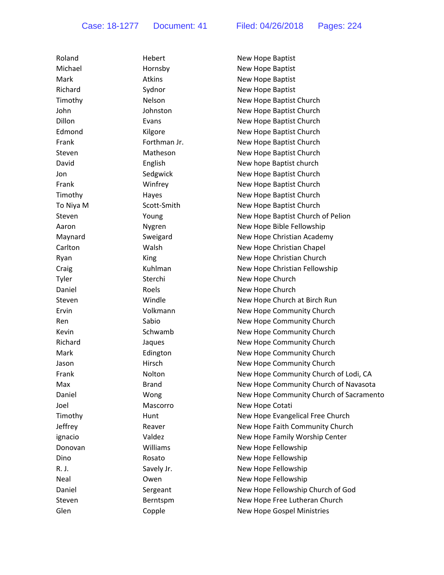| Roland    | Hebert        | New Hope Baptist                        |
|-----------|---------------|-----------------------------------------|
| Michael   | Hornsby       | New Hope Baptist                        |
| Mark      | Atkins        | New Hope Baptist                        |
| Richard   | Sydnor        | New Hope Baptist                        |
| Timothy   | Nelson        | New Hope Baptist Church                 |
| John      | Johnston      | New Hope Baptist Church                 |
| Dillon    | Evans         | New Hope Baptist Church                 |
| Edmond    | Kilgore       | New Hope Baptist Church                 |
| Frank     | Forthman Jr.  | New Hope Baptist Church                 |
| Steven    | Matheson      | New Hope Baptist Church                 |
| David     | English       | New hope Baptist church                 |
| Jon       | Sedgwick      | New Hope Baptist Church                 |
| Frank     | Winfrey       | New Hope Baptist Church                 |
| Timothy   | Hayes         | New Hope Baptist Church                 |
| To Niya M | Scott-Smith   | New Hope Baptist Church                 |
| Steven    | Young         | New Hope Baptist Church of Pelion       |
| Aaron     | Nygren        | New Hope Bible Fellowship               |
| Maynard   | Sweigard      | New Hope Christian Academy              |
| Carlton   | Walsh         | New Hope Christian Chapel               |
| Ryan      | King          | New Hope Christian Church               |
| Craig     | Kuhlman       | New Hope Christian Fellowship           |
| Tyler     | Sterchi       | New Hope Church                         |
| Daniel    | Roels         | New Hope Church                         |
| Steven    | Windle        | New Hope Church at Birch Run            |
| Ervin     | Volkmann      | New Hope Community Church               |
| Ren       | Sabio         | New Hope Community Church               |
| Kevin     | Schwamb       | New Hope Community Church               |
| Richard   | Jaques        | New Hope Community Church               |
| Mark      | Edington      | New Hope Community Church               |
| Jason     | Hirsch        | New Hope Community Church               |
| Frank     | <b>Nolton</b> | New Hope Community Church of Lodi, CA   |
| Max       | <b>Brand</b>  | New Hope Community Church of Navasota   |
| Daniel    | Wong          | New Hope Community Church of Sacramento |
| Joel      | Mascorro      | New Hope Cotati                         |
| Timothy   | Hunt          | New Hope Evangelical Free Church        |
| Jeffrey   | Reaver        | New Hope Faith Community Church         |
| ignacio   | Valdez        | New Hope Family Worship Center          |
| Donovan   | Williams      | New Hope Fellowship                     |
| Dino      | Rosato        | New Hope Fellowship                     |
| R. J.     | Savely Jr.    | New Hope Fellowship                     |
| Neal      | Owen          | New Hope Fellowship                     |
| Daniel    | Sergeant      | New Hope Fellowship Church of God       |
| Steven    | Berntspm      | New Hope Free Lutheran Church           |
| Glen      | Copple        | New Hope Gospel Ministries              |
|           |               |                                         |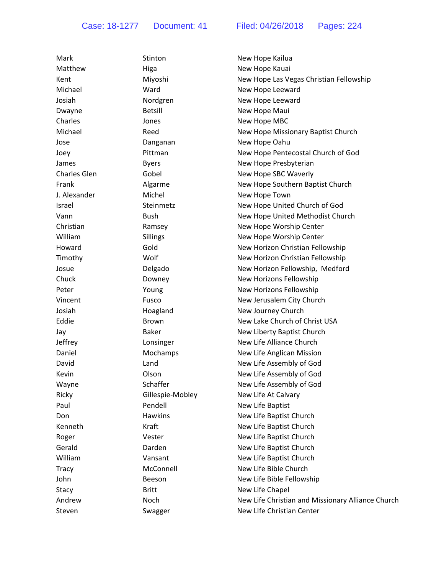| Mark                | Stinton          | New Hope Kailua                                   |
|---------------------|------------------|---------------------------------------------------|
| Matthew             | Higa             | New Hope Kauai                                    |
| Kent                | Miyoshi          | New Hope Las Vegas Christian Fellowship           |
| Michael             | Ward             | New Hope Leeward                                  |
| Josiah              | Nordgren         | New Hope Leeward                                  |
| Dwayne              | <b>Betsill</b>   | New Hope Maui                                     |
| Charles             | Jones            | New Hope MBC                                      |
| Michael             | Reed             | New Hope Missionary Baptist Church                |
| Jose                | Danganan         | New Hope Oahu                                     |
| Joey                | Pittman          | New Hope Pentecostal Church of God                |
| James               | <b>Byers</b>     | New Hope Presbyterian                             |
| <b>Charles Glen</b> | Gobel            | New Hope SBC Waverly                              |
| Frank               | Algarme          | New Hope Southern Baptist Church                  |
| J. Alexander        | Michel           | New Hope Town                                     |
| <b>Israel</b>       | Steinmetz        | New Hope United Church of God                     |
| Vann                | <b>Bush</b>      | New Hope United Methodist Church                  |
| Christian           | Ramsey           | New Hope Worship Center                           |
| William             | Sillings         | New Hope Worship Center                           |
| Howard              | Gold             | New Horizon Christian Fellowship                  |
| Timothy             | Wolf             | New Horizon Christian Fellowship                  |
| Josue               | Delgado          | New Horizon Fellowship, Medford                   |
| Chuck               | Downey           | New Horizons Fellowship                           |
| Peter               | Young            | New Horizons Fellowship                           |
| Vincent             | Fusco            | New Jerusalem City Church                         |
| Josiah              | Hoagland         | New Journey Church                                |
| Eddie               | <b>Brown</b>     | New Lake Church of Christ USA                     |
| Jay                 | <b>Baker</b>     | New Liberty Baptist Church                        |
| Jeffrey             | Lonsinger        | New Life Alliance Church                          |
| Daniel              | Mochamps         | New Life Anglican Mission                         |
| David               | Land             | New Life Assembly of God                          |
| Kevin               | Olson            | New Life Assembly of God                          |
| Wayne               | Schaffer         | New Life Assembly of God                          |
| Ricky               | Gillespie-Mobley | New Life At Calvary                               |
| Paul                | Pendell          | New Life Baptist                                  |
| Don                 | <b>Hawkins</b>   | New Life Baptist Church                           |
| Kenneth             | Kraft            | New Life Baptist Church                           |
| Roger               | Vester           | New Life Baptist Church                           |
| Gerald              | Darden           | New Life Baptist Church                           |
| William             | Vansant          | New Life Baptist Church                           |
| <b>Tracy</b>        | McConnell        | New Life Bible Church                             |
| John                | Beeson           | New Life Bible Fellowship                         |
| Stacy               | <b>Britt</b>     | New Life Chapel                                   |
| Andrew              | Noch             | New Life Christian and Missionary Alliance Church |
| Steven              | Swagger          | New LIfe Christian Center                         |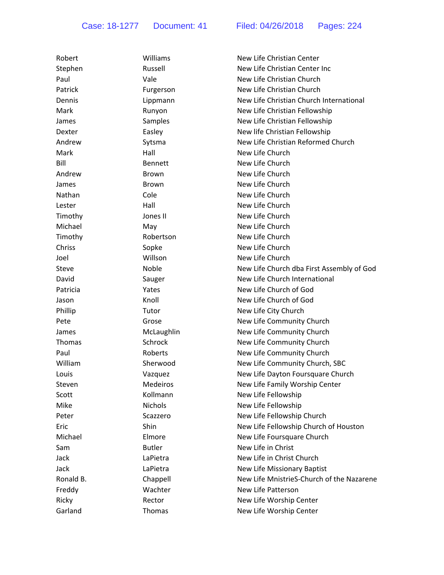| Robert    | Williams       | New Life Christian Center                 |
|-----------|----------------|-------------------------------------------|
| Stephen   | Russell        | New Life Christian Center Inc             |
| Paul      | Vale           | New Life Christian Church                 |
| Patrick   | Furgerson      | New Life Christian Church                 |
| Dennis    | Lippmann       | New Life Christian Church International   |
| Mark      | Runyon         | New Life Christian Fellowship             |
| James     | Samples        | New Life Christian Fellowship             |
| Dexter    | Easley         | New life Christian Fellowship             |
| Andrew    | Sytsma         | New Life Christian Reformed Church        |
| Mark      | Hall           | New Life Church                           |
| Bill      | <b>Bennett</b> | New Life Church                           |
| Andrew    | <b>Brown</b>   | New Life Church                           |
| James     | <b>Brown</b>   | New Life Church                           |
| Nathan    | Cole           | New Life Church                           |
| Lester    | Hall           | New Life Church                           |
| Timothy   | Jones II       | New Life Church                           |
| Michael   | May            | New Life Church                           |
| Timothy   | Robertson      | New Life Church                           |
| Chriss    | Sopke          | New Life Church                           |
| Joel      | Willson        | New Life Church                           |
| Steve     | Noble          | New Life Church dba First Assembly of God |
| David     | Sauger         | New Life Church International             |
| Patricia  | Yates          | New Life Church of God                    |
| Jason     | Knoll          | New Life Church of God                    |
| Phillip   | Tutor          | New Life City Church                      |
| Pete      | Grose          | New Life Community Church                 |
| James     | McLaughlin     | New Life Community Church                 |
| Thomas    | Schrock        | New Life Community Church                 |
| Paul      | Roberts        | New Life Community Church                 |
| William   | Sherwood       | New Life Community Church, SBC            |
| Louis     | Vazquez        | New Life Dayton Foursquare Church         |
| Steven    | Medeiros       | New Life Family Worship Center            |
| Scott     | Kollmann       | New Life Fellowship                       |
| Mike      | Nichols        | New Life Fellowship                       |
| Peter     | Scazzero       | New Life Fellowship Church                |
| Eric      | Shin           | New Life Fellowship Church of Houston     |
| Michael   | Elmore         | New Life Foursquare Church                |
| Sam       | <b>Butler</b>  | New Life in Christ                        |
| Jack      | LaPietra       | New Life in Christ Church                 |
| Jack      | LaPietra       | New Life Missionary Baptist               |
| Ronald B. | Chappell       | New Life MnistrieS-Church of the Nazarene |
| Freddy    | Wachter        | New Life Patterson                        |
| Ricky     | Rector         | New Life Worship Center                   |
| Garland   | Thomas         | New Life Worship Center                   |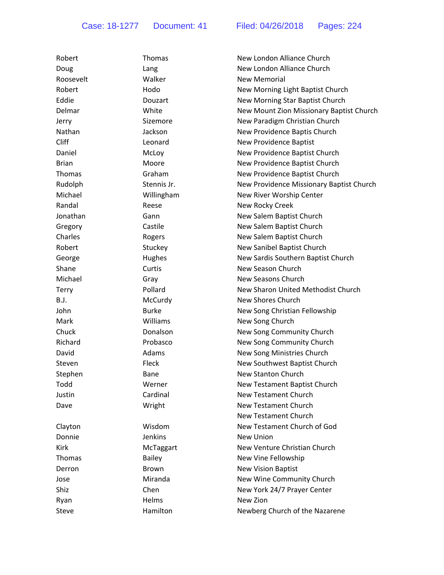| Robert       | Thomas         | New London Alliance Church               |
|--------------|----------------|------------------------------------------|
| Doug         | Lang           | New London Alliance Church               |
| Roosevelt    | Walker         | <b>New Memorial</b>                      |
| Robert       | Hodo           | New Morning Light Baptist Church         |
| Eddie        | <b>Douzart</b> | New Morning Star Baptist Church          |
| Delmar       | White          | New Mount Zion Missionary Baptist Church |
| Jerry        | Sizemore       | New Paradigm Christian Church            |
| Nathan       | Jackson        | New Providence Baptis Church             |
| Cliff        | Leonard        | <b>New Providence Baptist</b>            |
| Daniel       | McLoy          | New Providence Baptist Church            |
| <b>Brian</b> | Moore          | New Providence Baptist Church            |
| Thomas       | Graham         | New Providence Baptist Church            |
| Rudolph      | Stennis Jr.    | New Providence Missionary Baptist Church |
| Michael      | Willingham     | New River Worship Center                 |
| Randal       | Reese          | New Rocky Creek                          |
| Jonathan     | Gann           | New Salem Baptist Church                 |
| Gregory      | Castile        | New Salem Baptist Church                 |
| Charles      | Rogers         | New Salem Baptist Church                 |
| Robert       | Stuckey        | New Sanibel Baptist Church               |
| George       | Hughes         | New Sardis Southern Baptist Church       |
| Shane        | Curtis         | New Season Church                        |
| Michael      | Gray           | <b>New Seasons Church</b>                |
| Terry        | Pollard        | New Sharon United Methodist Church       |
| <b>B.J.</b>  | McCurdy        | <b>New Shores Church</b>                 |
| John         | <b>Burke</b>   | New Song Christian Fellowship            |
| Mark         | Williams       | New Song Church                          |
| Chuck        | Donalson       | New Song Community Church                |
| Richard      | Probasco       | New Song Community Church                |
| David        | Adams          | New Song Ministries Church               |
| Steven       | Fleck          | New Southwest Baptist Church             |
| Stephen      | Bane           | <b>New Stanton Church</b>                |
| Todd         | Werner         | New Testament Baptist Church             |
| Justin       | Cardinal       | <b>New Testament Church</b>              |
| Dave         | Wright         | <b>New Testament Church</b>              |
|              |                | New Testament Church                     |
| Clayton      | Wisdom         | New Testament Church of God              |
| Donnie       | Jenkins        | <b>New Union</b>                         |
| Kirk         | McTaggart      | New Venture Christian Church             |
| Thomas       | <b>Bailey</b>  | New Vine Fellowship                      |
| Derron       | <b>Brown</b>   | <b>New Vision Baptist</b>                |
| Jose         | Miranda        | New Wine Community Church                |
| Shiz         | Chen           | New York 24/7 Prayer Center              |
| Ryan         | Helms          | New Zion                                 |
| Steve        | Hamilton       | Newberg Church of the Nazarene           |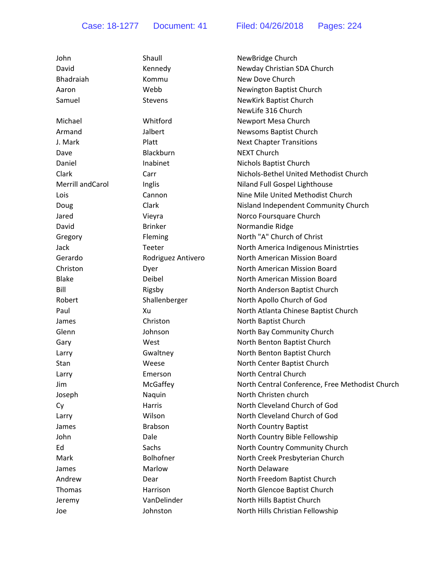| John              | Shaull             | NewBridge Church                                |
|-------------------|--------------------|-------------------------------------------------|
| David             | Kennedy            | Newday Christian SDA Church                     |
| Bhadraiah         | Kommu              | New Dove Church                                 |
| Aaron             | Webb               | Newington Baptist Church                        |
| Samuel            | Stevens            | NewKirk Baptist Church                          |
|                   |                    | NewLife 316 Church                              |
| Michael           | Whitford           | Newport Mesa Church                             |
| Armand            | Jalbert            | Newsoms Baptist Church                          |
| J. Mark           | Platt              | <b>Next Chapter Transitions</b>                 |
| Dave              | Blackburn          | <b>NEXT Church</b>                              |
| Daniel            | Inabinet           | Nichols Baptist Church                          |
| Clark             | Carr               | Nichols-Bethel United Methodist Church          |
| Merrill and Carol | Inglis             | Niland Full Gospel Lighthouse                   |
| Lois              | Cannon             | Nine Mile United Methodist Church               |
| Doug              | Clark              | Nisland Independent Community Church            |
| Jared             | Vieyra             | Norco Foursquare Church                         |
| David             | <b>Brinker</b>     | Normandie Ridge                                 |
| Gregory           | Fleming            | North "A" Church of Christ                      |
| Jack              | Teeter             | North America Indigenous Ministrties            |
| Gerardo           | Rodriguez Antivero | North American Mission Board                    |
| Christon          | Dyer               | North American Mission Board                    |
| <b>Blake</b>      | Deibel             | North American Mission Board                    |
| Bill              | Rigsby             | North Anderson Baptist Church                   |
| Robert            | Shallenberger      | North Apollo Church of God                      |
| Paul              | Xu                 | North Atlanta Chinese Baptist Church            |
| James             | Christon           | North Baptist Church                            |
| Glenn             | Johnson            | North Bay Community Church                      |
| Gary              | West               | North Benton Baptist Church                     |
| Larry             | Gwaltney           | North Benton Baptist Church                     |
| Stan              | Weese              | North Center Baptist Church                     |
| Larry             | Emerson            | North Central Church                            |
| Jim               | McGaffey           | North Central Conference, Free Methodist Church |
| Joseph            | Naquin             | North Christen church                           |
| Cy                | <b>Harris</b>      | North Cleveland Church of God                   |
| Larry             | Wilson             | North Cleveland Church of God                   |
| James             | <b>Brabson</b>     | North Country Baptist                           |
| John              | Dale               | North Country Bible Fellowship                  |
| Ed                | Sachs              | North Country Community Church                  |
| Mark              | Bolhofner          | North Creek Presbyterian Church                 |
| James             | Marlow             | North Delaware                                  |
| Andrew            | Dear               | North Freedom Baptist Church                    |
| Thomas            | Harrison           | North Glencoe Baptist Church                    |
| Jeremy            | VanDelinder        | North Hills Baptist Church                      |
| Joe               | Johnston           | North Hills Christian Fellowship                |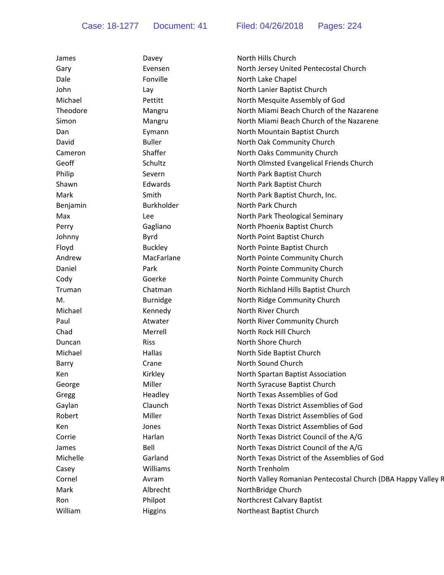| James    | Davey           | North Hills Church                                           |
|----------|-----------------|--------------------------------------------------------------|
| Gary     | Evensen         | North Jersey United Pentecostal Church                       |
| Dale     | Fonville        | North Lake Chapel                                            |
| John     | Lay             | North Lanier Baptist Church                                  |
| Michael  | Pettitt         | North Mesquite Assembly of God                               |
| Theodore | Mangru          | North Miami Beach Church of the Nazarene                     |
| Simon    | Mangru          | North Miami Beach Church of the Nazarene                     |
| Dan      | Eymann          | North Mountain Baptist Church                                |
| David    | <b>Buller</b>   | North Oak Community Church                                   |
| Cameron  | Shaffer         | North Oaks Community Church                                  |
| Geoff    | Schultz         | North Olmsted Evangelical Friends Church                     |
| Philip   | Severn          | North Park Baptist Church                                    |
| Shawn    | Edwards         | North Park Baptist Church                                    |
| Mark     | Smith           | North Park Baptist Church, Inc.                              |
| Benjamin | Burkholder      | North Park Church                                            |
| Max      | Lee             | North Park Theological Seminary                              |
| Perry    | Gagliano        | North Phoenix Baptist Church                                 |
| Johnny   | <b>Byrd</b>     | North Point Baptist Church                                   |
| Floyd    | <b>Buckley</b>  | North Pointe Baptist Church                                  |
| Andrew   | MacFarlane      | North Pointe Community Church                                |
| Daniel   | Park            | North Pointe Community Church                                |
| Cody     | Goerke          | North Pointe Community Church                                |
| Truman   | Chatman         | North Richland Hills Baptist Church                          |
| M.       | <b>Burnidge</b> | North Ridge Community Church                                 |
| Michael  | Kennedy         | North River Church                                           |
| Paul     | Atwater         | North River Community Church                                 |
| Chad     | Merrell         | North Rock Hill Church                                       |
| Duncan   | <b>Riss</b>     | North Shore Church                                           |
| Michael  | Hallas          | North Side Baptist Church                                    |
| Barry    | Crane           | North Sound Church                                           |
| Ken      | Kirkley         | North Spartan Baptist Association                            |
| George   | Miller          | North Syracuse Baptist Church                                |
| Gregg    | Headley         | North Texas Assemblies of God                                |
| Gaylan   | Claunch         | North Texas District Assemblies of God                       |
| Robert   | Miller          | North Texas District Assemblies of God                       |
| Ken      | Jones           | North Texas District Assemblies of God                       |
| Corrie   | Harlan          | North Texas District Council of the A/G                      |
| James    | Bell            | North Texas District Council of the A/G                      |
| Michelle | Garland         | North Texas District of the Assemblies of God                |
| Casey    | Williams        | North Trenholm                                               |
| Cornel   | Avram           | North Valley Romanian Pentecostal Church (DBA Happy Valley R |
| Mark     | Albrecht        | NorthBridge Church                                           |
| Ron      | Philpot         | Northcrest Calvary Baptist                                   |
| William  | Higgins         | Northeast Baptist Church                                     |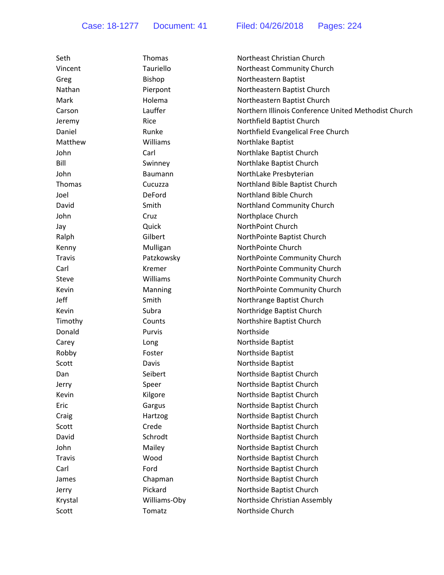| Seth          | <b>Thomas</b> | Northeast Christian Church                           |
|---------------|---------------|------------------------------------------------------|
| Vincent       | Tauriello     | Northeast Community Church                           |
| Greg          | <b>Bishop</b> | Northeastern Baptist                                 |
| Nathan        | Pierpont      | Northeastern Baptist Church                          |
| Mark          | Holema        | Northeastern Baptist Church                          |
| Carson        | Lauffer       | Northern Illinois Conference United Methodist Church |
| Jeremy        | Rice          | Northfield Baptist Church                            |
| Daniel        | Runke         | Northfield Evangelical Free Church                   |
| Matthew       | Williams      | Northlake Baptist                                    |
| John          | Carl          | Northlake Baptist Church                             |
| Bill          | Swinney       | Northlake Baptist Church                             |
| John          | Baumann       | NorthLake Presbyterian                               |
| Thomas        | Cucuzza       | Northland Bible Baptist Church                       |
| Joel          | DeFord        | Northland Bible Church                               |
| David         | Smith         | Northland Community Church                           |
| John          | Cruz          | Northplace Church                                    |
| Jay           | Quick         | NorthPoint Church                                    |
| Ralph         | Gilbert       | NorthPointe Baptist Church                           |
| Kenny         | Mulligan      | NorthPointe Church                                   |
| <b>Travis</b> | Patzkowsky    | NorthPointe Community Church                         |
| Carl          | Kremer        | NorthPointe Community Church                         |
| Steve         | Williams      | NorthPointe Community Church                         |
| Kevin         | Manning       | NorthPointe Community Church                         |
| Jeff          | Smith         | Northrange Baptist Church                            |
| Kevin         | Subra         | Northridge Baptist Church                            |
| Timothy       | Counts        | Northshire Baptist Church                            |
| Donald        | Purvis        | Northside                                            |
| Carey         | Long          | Northside Baptist                                    |
| Robby         | Foster        | Northside Baptist                                    |
| Scott         | Davis         | Northside Baptist                                    |
| Dan           | Seibert       | Northside Baptist Church                             |
| Jerry         | Speer         | Northside Baptist Church                             |
| Kevin         | Kilgore       | Northside Baptist Church                             |
| Eric          | Gargus        | Northside Baptist Church                             |
| Craig         | Hartzog       | Northside Baptist Church                             |
| Scott         | Crede         | Northside Baptist Church                             |
| David         | Schrodt       | Northside Baptist Church                             |
| John          | Mailey        | Northside Baptist Church                             |
| <b>Travis</b> | Wood          | Northside Baptist Church                             |
| Carl          | Ford          | Northside Baptist Church                             |
| James         | Chapman       | Northside Baptist Church                             |
| Jerry         | Pickard       | Northside Baptist Church                             |
| Krystal       | Williams-Oby  | Northside Christian Assembly                         |
| Scott         | Tomatz        | Northside Church                                     |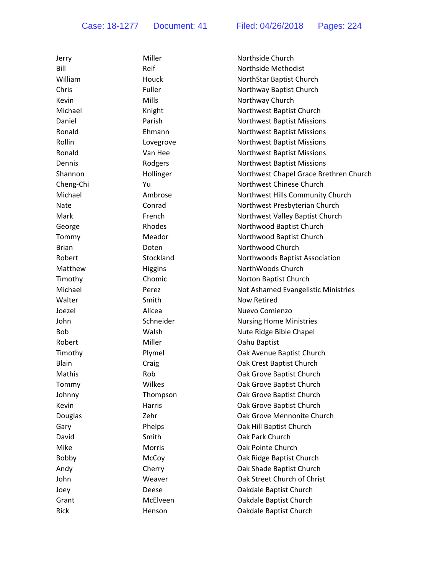| Jerry        | Miller    | Northside Church                       |
|--------------|-----------|----------------------------------------|
| Bill         | Reif      | Northside Methodist                    |
| William      | Houck     | NorthStar Baptist Church               |
| Chris        | Fuller    | Northway Baptist Church                |
| Kevin        | Mills     | Northway Church                        |
| Michael      | Knight    | Northwest Baptist Church               |
| Daniel       | Parish    | <b>Northwest Baptist Missions</b>      |
| Ronald       | Ehmann    | <b>Northwest Baptist Missions</b>      |
| Rollin       | Lovegrove | <b>Northwest Baptist Missions</b>      |
| Ronald       | Van Hee   | <b>Northwest Baptist Missions</b>      |
| Dennis       | Rodgers   | <b>Northwest Baptist Missions</b>      |
| Shannon      | Hollinger | Northwest Chapel Grace Brethren Church |
| Cheng-Chi    | Yu        | Northwest Chinese Church               |
| Michael      | Ambrose   | Northwest Hills Community Church       |
| <b>Nate</b>  | Conrad    | Northwest Presbyterian Church          |
| Mark         | French    | Northwest Valley Baptist Church        |
| George       | Rhodes    | Northwood Baptist Church               |
| Tommy        | Meador    | Northwood Baptist Church               |
| <b>Brian</b> | Doten     | Northwood Church                       |
| Robert       | Stockland | Northwoods Baptist Association         |
| Matthew      | Higgins   | NorthWoods Church                      |
| Timothy      | Chomic    | Norton Baptist Church                  |
| Michael      | Perez     | Not Ashamed Evangelistic Ministries    |
| Walter       | Smith     | <b>Now Retired</b>                     |
| Joezel       | Alicea    | Nuevo Comienzo                         |
| John         | Schneider | <b>Nursing Home Ministries</b>         |
| <b>Bob</b>   | Walsh     | Nute Ridge Bible Chapel                |
| Robert       | Miller    | Oahu Baptist                           |
| Timothy      | Plymel    | Oak Avenue Baptist Church              |
| Blain        | Craig     | Oak Crest Baptist Church               |
| Mathis       | Rob       | Oak Grove Baptist Church               |
| Tommy        | Wilkes    | Oak Grove Baptist Church               |
| Johnny       | Thompson  | Oak Grove Baptist Church               |
| Kevin        | Harris    | Oak Grove Baptist Church               |
| Douglas      | Zehr      | Oak Grove Mennonite Church             |
| Gary         | Phelps    | Oak Hill Baptist Church                |
| David        | Smith     | Oak Park Church                        |
| Mike         | Morris    | Oak Pointe Church                      |
| Bobby        | McCoy     | Oak Ridge Baptist Church               |
| Andy         | Cherry    | Oak Shade Baptist Church               |
| John         | Weaver    | Oak Street Church of Christ            |
| Joey         | Deese     | Oakdale Baptist Church                 |
| Grant        | McElveen  | Oakdale Baptist Church                 |
| Rick         | Henson    | Oakdale Baptist Church                 |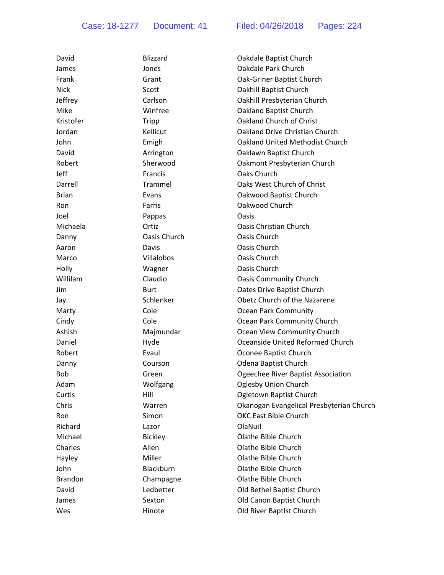| David          | <b>Blizzard</b> | Oakdale Baptist Church                   |
|----------------|-----------------|------------------------------------------|
| James          | Jones           | Oakdale Park Church                      |
| Frank          | Grant           | Oak-Griner Baptist Church                |
| <b>Nick</b>    | Scott           | Oakhill Baptist Church                   |
| Jeffrey        | Carlson         | Oakhill Presbyterian Church              |
| Mike           | Winfree         | Oakland Baptist Church                   |
| Kristofer      | Tripp           | Oakland Church of Christ                 |
| Jordan         | Kellicut        | Oakland Drive Christian Church           |
| John           | Emigh           | Oakland United Methodist Church          |
| David          | Arrington       | Oaklawn Baptist Church                   |
| Robert         | Sherwood        | Oakmont Presbyterian Church              |
| Jeff           | Francis         | Oaks Church                              |
| Darrell        | Trammel         | Oaks West Church of Christ               |
| <b>Brian</b>   | Evans           | Oakwood Baptist Church                   |
| Ron            | Farris          | Oakwood Church                           |
| Joel           | Pappas          | Oasis                                    |
| Michaela       | Ortiz           | <b>Oasis Christian Church</b>            |
| Danny          | Oasis Church    | Oasis Church                             |
| Aaron          | Davis           | Oasis Church                             |
| Marco          | Villalobos      | Oasis Church                             |
| Holly          | Wagner          | Oasis Church                             |
| Willilam       | Claudio         | <b>Oasis Community Church</b>            |
| Jim            | <b>Burt</b>     | Oates Drive Baptist Church               |
| Jay            | Schlenker       | Obetz Church of the Nazarene             |
| Marty          | Cole            | <b>Ocean Park Community</b>              |
| Cindy          | Cole            | Ocean Park Community Church              |
| Ashish         | Majmundar       | Ocean View Community Church              |
| Daniel         | Hyde            | Oceanside United Reformed Church         |
| Robert         | Evaul           | Oconee Baptist Church                    |
| Danny          | Courson         | Odena Baptist Church                     |
| Bob.           | Green           | Ogeechee River Baptist Association       |
| Adam           | Wolfgang        | Oglesby Union Church                     |
| Curtis         | Hill            | Ogletown Baptist Church                  |
| Chris          | Warren          | Okanogan Evangelical Presbyterian Church |
| Ron            | Simon           | OKC East Bible Church                    |
| Richard        | Lazor           | OlaNui!                                  |
| Michael        | <b>Bickley</b>  | <b>Olathe Bible Church</b>               |
| Charles        | Allen           | <b>Olathe Bible Church</b>               |
| Hayley         | Miller          | <b>Olathe Bible Church</b>               |
| John           | Blackburn       | Olathe Bible Church                      |
| <b>Brandon</b> | Champagne       | <b>Olathe Bible Church</b>               |
| David          | Ledbetter       | Old Bethel Baptist Church                |
| James          | Sexton          | Old Canon Baptist Church                 |
| Wes            | Hinote          | Old River BaptIst Church                 |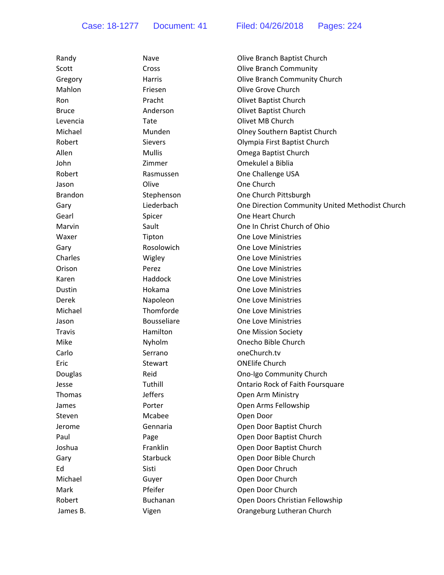| Randy          | Nave           | Olive Branch Baptist Church                     |
|----------------|----------------|-------------------------------------------------|
| Scott          | Cross          | <b>Olive Branch Community</b>                   |
| Gregory        | <b>Harris</b>  | Olive Branch Community Church                   |
| Mahlon         | Friesen        | Olive Grove Church                              |
| Ron            | Pracht         | <b>Olivet Baptist Church</b>                    |
| <b>Bruce</b>   | Anderson       | Olivet Baptist Church                           |
| Levencia       | Tate           | Olivet MB Church                                |
| Michael        | Munden         | Olney Southern Baptist Church                   |
| Robert         | <b>Sievers</b> | Olympia First Baptist Church                    |
| Allen          | <b>Mullis</b>  | Omega Baptist Church                            |
| John           | Zimmer         | Omekulel a Biblia                               |
| Robert         | Rasmussen      | One Challenge USA                               |
| Jason          | Olive          | One Church                                      |
| <b>Brandon</b> | Stephenson     | One Church Pittsburgh                           |
| Gary           | Liederbach     | One Direction Community United Methodist Church |
| Gearl          | Spicer         | One Heart Church                                |
| Marvin         | Sault          | One In Christ Church of Ohio                    |
| Waxer          | Tipton         | <b>One Love Ministries</b>                      |
| Gary           | Rosolowich     | <b>One Love Ministries</b>                      |
| Charles        | Wigley         | One Love Ministries                             |
| Orison         | Perez          | One Love Ministries                             |
| Karen          | Haddock        | <b>One Love Ministries</b>                      |
| Dustin         | Hokama         | <b>One Love Ministries</b>                      |
| Derek          | Napoleon       | <b>One Love Ministries</b>                      |
| Michael        | Thomforde      | <b>One Love Ministries</b>                      |
| Jason          | Bousseliare    | One Love Ministries                             |
| <b>Travis</b>  | Hamilton       | <b>One Mission Society</b>                      |
| Mike           | Nyholm         | Onecho Bible Church                             |
| Carlo          | Serrano        | oneChurch.tv                                    |
| Eric           | Stewart        | <b>ONElife Church</b>                           |
| Douglas        | Reid           | Ono-Igo Community Church                        |
| Jesse          | Tuthill        | Ontario Rock of Faith Foursquare                |
| Thomas         | <b>Jeffers</b> | Open Arm Ministry                               |
| James          | Porter         | Open Arms Fellowship                            |
| Steven         | Mcabee         | Open Door                                       |
| Jerome         | Gennaria       | Open Door Baptist Church                        |
| Paul           | Page           | Open Door Baptist Church                        |
| Joshua         | Franklin       | Open Door Baptist Church                        |
| Gary           | Starbuck       | Open Door Bible Church                          |
| Ed             | Sisti          | Open Door Chruch                                |
| Michael        | Guyer          | Open Door Church                                |
| Mark           | Pfeifer        | Open Door Church                                |
| Robert         | Buchanan       | Open Doors Christian Fellowship                 |
| James B.       | Vigen          | Orangeburg Lutheran Church                      |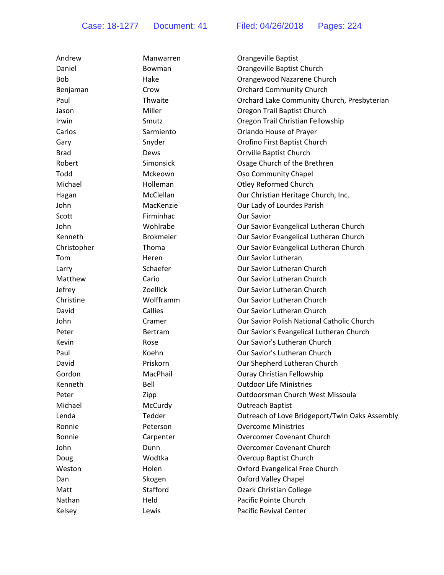| Andrew        | Manwarren        | Orangeville Baptist                            |
|---------------|------------------|------------------------------------------------|
| Daniel        | Bowman           | Orangeville Baptist Church                     |
| <b>Bob</b>    | Hake             | Orangewood Nazarene Church                     |
| Benjaman      | Crow             | <b>Orchard Community Church</b>                |
| Paul          | Thwaite          | Orchard Lake Community Church, Presbyterian    |
| Jason         | Miller           | Oregon Trail Baptist Church                    |
| Irwin         | Smutz            | Oregon Trail Christian Fellowship              |
| Carlos        | Sarmiento        | Orlando House of Prayer                        |
| Gary          | Snyder           | Orofino First Baptist Church                   |
| <b>Brad</b>   | Dews             | Orrville Baptist Church                        |
| Robert        | Simonsick        | Osage Church of the Brethren                   |
| Todd          | Mckeown          | Oso Community Chapel                           |
| Michael       | Holleman         | <b>Otley Reformed Church</b>                   |
| Hagan         | McClellan        | Our Christian Heritage Church, Inc.            |
| John          | MacKenzie        | Our Lady of Lourdes Parish                     |
| Scott         | Firminhac        | <b>Our Savior</b>                              |
| John          | Wohlrabe         | Our Savior Evangelical Lutheran Church         |
| Kenneth       | <b>Brokmeier</b> | Our Savior Evangelical Lutheran Church         |
| Christopher   | Thoma            | Our Savior Evangelical Lutheran Church         |
| Tom           | Heren            | <b>Our Savior Lutheran</b>                     |
| Larry         | Schaefer         | Our Savior Lutheran Church                     |
| Matthew       | Cario            | Our Savior Lutheran Church                     |
| Jefrey        | Zoellick         | Our Savior Lutheran Church                     |
| Christine     | Wolfframm        | Our Savior Lutheran Church                     |
| David         | Callies          | Our Savior Lutheran Church                     |
| John          | Cramer           | Our Savior Polish National Catholic Church     |
| Peter         | Bertram          | Our Savior's Evangelical Lutheran Church       |
| Kevin         | Rose             | Our Savior's Lutheran Church                   |
| Paul          | Koehn            | Our Savior's Lutheran Church                   |
| David         | Priskorn         | Our Shepherd Lutheran Church                   |
| Gordon        | MacPhail         | <b>Ouray Christian Fellowship</b>              |
| Kenneth       | Bell             | <b>Outdoor Life Ministries</b>                 |
| Peter         | Zipp             | Outdoorsman Church West Missoula               |
| Michael       | McCurdy          | <b>Outreach Baptist</b>                        |
| Lenda         | Tedder           | Outreach of Love Bridgeport/Twin Oaks Assembly |
| Ronnie        | Peterson         | <b>Overcome Ministries</b>                     |
| <b>Bonnie</b> | Carpenter        | <b>Overcomer Covenant Church</b>               |
| John          | Dunn             | <b>Overcomer Covenant Church</b>               |
| Doug          | Wodtka           | <b>Overcup Baptist Church</b>                  |
| Weston        | Holen            | Oxford Evangelical Free Church                 |
| Dan           | Skogen           | <b>Oxford Valley Chapel</b>                    |
| Matt          | Stafford         | <b>Ozark Christian College</b>                 |
| Nathan        | Held             | Pacific Pointe Church                          |
| Kelsey        | Lewis            | Pacific Revival Center                         |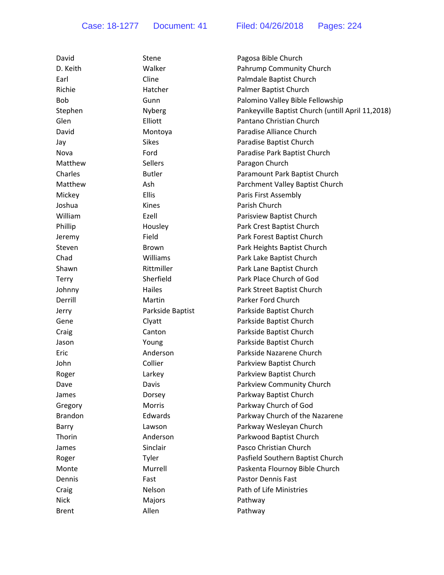| David          | Stene            | Pagosa Bible Church                               |
|----------------|------------------|---------------------------------------------------|
| D. Keith       | Walker           | Pahrump Community Church                          |
| Earl           | Cline            | Palmdale Baptist Church                           |
| Richie         | Hatcher          | Palmer Baptist Church                             |
| <b>Bob</b>     | Gunn             | Palomino Valley Bible Fellowship                  |
| Stephen        | Nyberg           | Pankeyville Baptist Church (untill April 11,2018) |
| Glen           | Elliott          | Pantano Christian Church                          |
| David          | Montoya          | Paradise Alliance Church                          |
| Jay            | <b>Sikes</b>     | Paradise Baptist Church                           |
| Nova           | Ford             | Paradise Park Baptist Church                      |
| Matthew        | <b>Sellers</b>   | Paragon Church                                    |
| Charles        | <b>Butler</b>    | Paramount Park Baptist Church                     |
| Matthew        | Ash              | Parchment Valley Baptist Church                   |
| Mickey         | <b>Ellis</b>     | Paris First Assembly                              |
| Joshua         | Kines            | Parish Church                                     |
| William        | Ezell            | Parisview Baptist Church                          |
| Phillip        | Housley          | Park Crest Baptist Church                         |
| Jeremy         | Field            | Park Forest Baptist Church                        |
| Steven         | <b>Brown</b>     | Park Heights Baptist Church                       |
| Chad           | Williams         | Park Lake Baptist Church                          |
| Shawn          | Rittmiller       | Park Lane Baptist Church                          |
| Terry          | Sherfield        | Park Place Church of God                          |
| Johnny         | Hailes           | Park Street Baptist Church                        |
| Derrill        | Martin           | Parker Ford Church                                |
| Jerry          | Parkside Baptist | Parkside Baptist Church                           |
| Gene           | Clyatt           | Parkside Baptist Church                           |
| Craig          | Canton           | Parkside Baptist Church                           |
| Jason          | Young            | Parkside Baptist Church                           |
| Eric           | Anderson         | Parkside Nazarene Church                          |
| John           | Collier          | Parkview Baptist Church                           |
| Roger          | Larkey           | Parkview Baptist Church                           |
| Dave           | Davis            | Parkview Community Church                         |
| James          | Dorsey           | Parkway Baptist Church                            |
| Gregory        | Morris           | Parkway Church of God                             |
| <b>Brandon</b> | Edwards          | Parkway Church of the Nazarene                    |
| Barry          | Lawson           | Parkway Wesleyan Church                           |
| Thorin         | Anderson         | Parkwood Baptist Church                           |
| James          | Sinclair         | Pasco Christian Church                            |
| Roger          | Tyler            | Pasfield Southern Baptist Church                  |
| Monte          | Murrell          | Paskenta Flournoy Bible Church                    |
| Dennis         | Fast             | Pastor Dennis Fast                                |
| Craig          | Nelson           | Path of Life Ministries                           |
| <b>Nick</b>    | Majors           | Pathway                                           |
| <b>Brent</b>   | Allen            | Pathway                                           |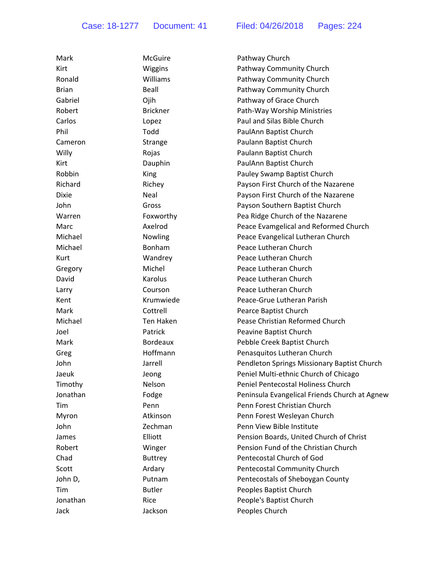| Mark         | McGuire         | Pathway Church                                |
|--------------|-----------------|-----------------------------------------------|
| Kirt         | Wiggins         | Pathway Community Church                      |
| Ronald       | Williams        | Pathway Community Church                      |
| <b>Brian</b> | Beall           | Pathway Community Church                      |
| Gabriel      | Ojih            | Pathway of Grace Church                       |
| Robert       | <b>Brickner</b> | Path-Way Worship Ministries                   |
| Carlos       | Lopez           | Paul and Silas Bible Church                   |
| Phil         | Todd            | PaulAnn Baptist Church                        |
| Cameron      | Strange         | Paulann Baptist Church                        |
| Willy        | Rojas           | Paulann Baptist Church                        |
| Kirt         | Dauphin         | PaulAnn Baptist Church                        |
| Robbin       | King            | Pauley Swamp Baptist Church                   |
| Richard      | Richey          | Payson First Church of the Nazarene           |
| <b>Dixie</b> | Neal            | Payson First Church of the Nazarene           |
| John         | Gross           | Payson Southern Baptist Church                |
| Warren       | Foxworthy       | Pea Ridge Church of the Nazarene              |
| Marc         | Axelrod         | Peace Evamgelical and Reformed Church         |
| Michael      | Nowling         | Peace Evangelical Lutheran Church             |
| Michael      | Bonham          | Peace Lutheran Church                         |
| Kurt         | Wandrey         | Peace Lutheran Church                         |
| Gregory      | Michel          | Peace Lutheran Church                         |
| David        | Karolus         | Peace Lutheran Church                         |
| Larry        | Courson         | Peace Lutheran Church                         |
| Kent         | Krumwiede       | Peace-Grue Lutheran Parish                    |
| Mark         | Cottrell        | Pearce Baptist Church                         |
| Michael      | Ten Haken       | Pease Christian Reformed Church               |
| Joel         | Patrick         | Peavine Baptist Church                        |
| Mark         | <b>Bordeaux</b> | Pebble Creek Baptist Church                   |
| Greg         | Hoffmann        | Penasquitos Lutheran Church                   |
| John         | Jarrell         | Pendleton Springs Missionary Baptist Church   |
| Jaeuk        | Jeong           | Peniel Multi-ethnic Church of Chicago         |
| Timothy      | Nelson          | Peniel Pentecostal Holiness Church            |
| Jonathan     | Fodge           | Peninsula Evangelical Friends Church at Agnew |
| Tim          | Penn            | Penn Forest Christian Church                  |
| Myron        | Atkinson        | Penn Forest Wesleyan Church                   |
| John         | Zechman         | Penn View Bible Institute                     |
| James        | Elliott         | Pension Boards, United Church of Christ       |
| Robert       | Winger          | Pension Fund of the Christian Church          |
| Chad         | <b>Buttrey</b>  | Pentecostal Church of God                     |
| Scott        | Ardary          | Pentecostal Community Church                  |
| John D,      | Putnam          | Pentecostals of Sheboygan County              |
| Tim          | <b>Butler</b>   | Peoples Baptist Church                        |
| Jonathan     | Rice            | People's Baptist Church                       |
| Jack         | Jackson         | Peoples Church                                |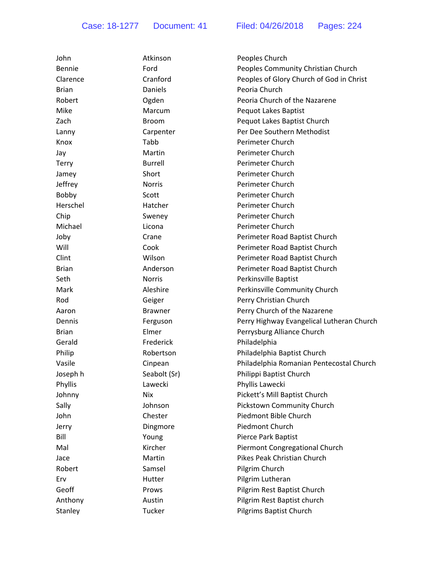| John         | Atkinson       | Peoples Church                            |
|--------------|----------------|-------------------------------------------|
| Bennie       | Ford           | Peoples Community Christian Church        |
| Clarence     | Cranford       | Peoples of Glory Church of God in Christ  |
| <b>Brian</b> | Daniels        | Peoria Church                             |
| Robert       | Ogden          | Peoria Church of the Nazarene             |
| Mike         | Marcum         | Pequot Lakes Baptist                      |
| Zach         | <b>Broom</b>   | Pequot Lakes Baptist Church               |
| Lanny        | Carpenter      | Per Dee Southern Methodist                |
| Knox         | Tabb           | <b>Perimeter Church</b>                   |
| Jay          | Martin         | <b>Perimeter Church</b>                   |
| <b>Terry</b> | <b>Burrell</b> | Perimeter Church                          |
| Jamey        | Short          | Perimeter Church                          |
| Jeffrey      | <b>Norris</b>  | Perimeter Church                          |
| Bobby        | Scott          | Perimeter Church                          |
| Herschel     | Hatcher        | Perimeter Church                          |
| Chip         | Sweney         | Perimeter Church                          |
| Michael      | Licona         | Perimeter Church                          |
| Joby         | Crane          | Perimeter Road Baptist Church             |
| Will         | Cook           | Perimeter Road Baptist Church             |
| Clint        | Wilson         | Perimeter Road Baptist Church             |
| <b>Brian</b> | Anderson       | Perimeter Road Baptist Church             |
| Seth         | <b>Norris</b>  | Perkinsville Baptist                      |
| Mark         | Aleshire       | Perkinsville Community Church             |
| Rod          | Geiger         | Perry Christian Church                    |
| Aaron        | <b>Brawner</b> | Perry Church of the Nazarene              |
| Dennis       | Ferguson       | Perry Highway Evangelical Lutheran Church |
| <b>Brian</b> | Elmer          | Perrysburg Alliance Church                |
| Gerald       | Frederick      | Philadelphia                              |
| Philip       | Robertson      | Philadelphia Baptist Church               |
| Vasile       | Cinpean        | Philadelphia Romanian Pentecostal Church  |
| Joseph h     | Seabolt (Sr)   | Philippi Baptist Church                   |
| Phyllis      | Lawecki        | Phyllis Lawecki                           |
| Johnny       | <b>Nix</b>     | Pickett's Mill Baptist Church             |
| Sally        | Johnson        | <b>Pickstown Community Church</b>         |
| John         | Chester        | Piedmont Bible Church                     |
| Jerry        | Dingmore       | Piedmont Church                           |
| Bill         | Young          | Pierce Park Baptist                       |
| Mal          | Kircher        | Piermont Congregational Church            |
| Jace         | Martin         | Pikes Peak Christian Church               |
| Robert       | Samsel         | Pilgrim Church                            |
| Erv          | Hutter         | Pilgrim Lutheran                          |
| Geoff        | Prows          | Pilgrim Rest Baptist Church               |
| Anthony      | Austin         | Pilgrim Rest Baptist church               |
| Stanley      | Tucker         | Pilgrims Baptist Church                   |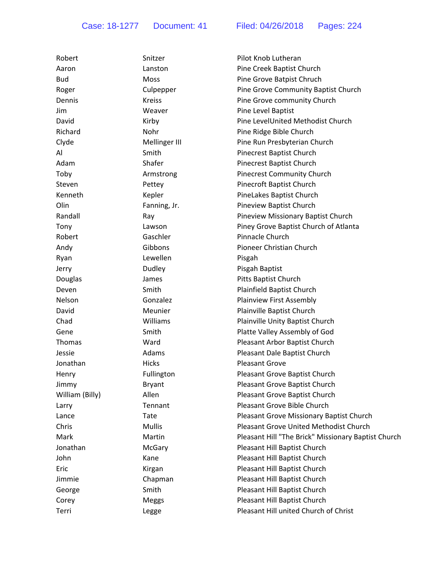| Robert          | Snitzer       | Pilot Knob Lutheran                                 |
|-----------------|---------------|-----------------------------------------------------|
| Aaron           | Lanston       | Pine Creek Baptist Church                           |
| <b>Bud</b>      | Moss          | Pine Grove Batpist Chruch                           |
| Roger           | Culpepper     | Pine Grove Community Baptist Church                 |
| Dennis          | <b>Kreiss</b> | Pine Grove community Church                         |
| Jim             | Weaver        | Pine Level Baptist                                  |
| David           | Kirby         | Pine LevelUnited Methodist Church                   |
| Richard         | Nohr          | Pine Ridge Bible Church                             |
| Clyde           | Mellinger III | Pine Run Presbyterian Church                        |
| Al              | Smith         | <b>Pinecrest Baptist Church</b>                     |
| Adam            | Shafer        | Pinecrest Baptist Church                            |
| Toby            | Armstrong     | <b>Pinecrest Community Church</b>                   |
| Steven          | Pettey        | Pinecroft Baptist Church                            |
| Kenneth         | Kepler        | PineLakes Baptist Church                            |
| Olin            | Fanning, Jr.  | Pineview Baptist Church                             |
| Randall         | Ray           | Pineview Missionary Baptist Church                  |
| Tony            | Lawson        | Piney Grove Baptist Church of Atlanta               |
| Robert          | Gaschler      | Pinnacle Church                                     |
| Andy            | Gibbons       | Pioneer Christian Church                            |
| Ryan            | Lewellen      | Pisgah                                              |
| Jerry           | Dudley        | Pisgah Baptist                                      |
| Douglas         | James         | Pitts Baptist Church                                |
| Deven           | Smith         | Plainfield Baptist Church                           |
| Nelson          | Gonzalez      | <b>Plainview First Assembly</b>                     |
| David           | Meunier       | Plainville Baptist Church                           |
| Chad            | Williams      | Plainville Unity Baptist Church                     |
| Gene            | Smith         | Platte Valley Assembly of God                       |
| Thomas          | Ward          | Pleasant Arbor Baptist Church                       |
| Jessie          | Adams         | Pleasant Dale Baptist Church                        |
| Jonathan        | <b>Hicks</b>  | <b>Pleasant Grove</b>                               |
| Henry           | Fullington    | Pleasant Grove Baptist Church                       |
| Jimmy           | <b>Bryant</b> | Pleasant Grove Baptist Church                       |
| William (Billy) | Allen         | Pleasant Grove Baptist Church                       |
| Larry           | Tennant       | Pleasant Grove Bible Church                         |
| Lance           | Tate          | Pleasant Grove Missionary Baptist Church            |
| Chris           | <b>Mullis</b> | Pleasant Grove United Methodist Church              |
| Mark            | Martin        | Pleasant Hill "The Brick" Missionary Baptist Church |
| Jonathan        | McGary        | Pleasant Hill Baptist Church                        |
| John            | Kane          | Pleasant Hill Baptist Church                        |
| Eric            | Kirgan        | Pleasant Hill Baptist Church                        |
| Jimmie          | Chapman       | Pleasant Hill Baptist Church                        |
| George          | Smith         | Pleasant Hill Baptist Church                        |
| Corey           | Meggs         | Pleasant Hill Baptist Church                        |
| Terri           | Legge         | Pleasant Hill united Church of Christ               |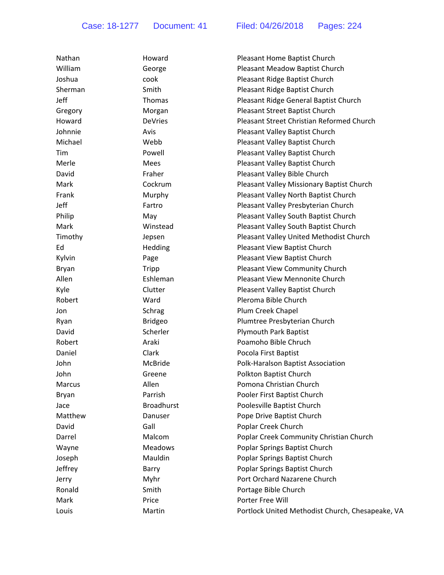| Nathan       | Howard            | Pleasant Home Baptist Church                     |
|--------------|-------------------|--------------------------------------------------|
| William      | George            | Pleasant Meadow Baptist Church                   |
| Joshua       | cook              | Pleasant Ridge Baptist Church                    |
| Sherman      | Smith             | Pleasant Ridge Baptist Church                    |
| Jeff         | <b>Thomas</b>     | Pleasant Ridge General Baptist Church            |
| Gregory      | Morgan            | Pleasant Street Baptist Church                   |
| Howard       | <b>DeVries</b>    | Pleasant Street Christian Reformed Church        |
| Johnnie      | Avis              | Pleasant Valley Baptist Church                   |
| Michael      | Webb              | Pleasant Valley Baptist Church                   |
| Tim          | Powell            | Pleasant Valley Baptist Church                   |
| Merle        | Mees              | Pleasant Valley Baptist Church                   |
| David        | Fraher            | Pleasant Valley Bible Church                     |
| Mark         | Cockrum           | Pleasant Valley Missionary Baptist Church        |
| Frank        | Murphy            | Pleasant Valley North Baptist Church             |
| Jeff         | Fartro            | Pleasant Valley Presbyterian Church              |
| Philip       | May               | Pleasant Valley South Baptist Church             |
| Mark         | Winstead          | Pleasant Valley South Baptist Church             |
| Timothy      | Jepsen            | Pleasant Valley United Methodist Church          |
| Ed           | Hedding           | Pleasant View Baptist Church                     |
| Kylvin       | Page              | Pleasant View Baptist Church                     |
| <b>Bryan</b> | Tripp             | <b>Pleasant View Community Church</b>            |
| Allen        | Eshleman          | Pleasant View Mennonite Church                   |
| Kyle         | Clutter           | Pleasent Valley Baptist Church                   |
| Robert       | Ward              | Pleroma Bible Church                             |
| Jon          | Schrag            | Plum Creek Chapel                                |
| Ryan         | <b>Bridgeo</b>    | Plumtree Presbyterian Church                     |
| David        | Scherler          | <b>Plymouth Park Baptist</b>                     |
| Robert       | Araki             | Poamoho Bible Chruch                             |
| Daniel       | Clark             | Pocola First Baptist                             |
| John         | McBride           | Polk-Haralson Baptist Association                |
| John         | Greene            | Polkton Baptist Church                           |
| Marcus       | Allen             | Pomona Christian Church                          |
| <b>Bryan</b> | Parrish           | Pooler First Baptist Church                      |
| Jace         | <b>Broadhurst</b> | Poolesville Baptist Church                       |
| Matthew      | Danuser           | Pope Drive Baptist Church                        |
| David        | Gall              | Poplar Creek Church                              |
| Darrel       | Malcom            | Poplar Creek Community Christian Church          |
| Wayne        | Meadows           | Poplar Springs Baptist Church                    |
| Joseph       | Mauldin           | Poplar Springs Baptist Church                    |
| Jeffrey      | Barry             | Poplar Springs Baptist Church                    |
| Jerry        | Myhr              | Port Orchard Nazarene Church                     |
| Ronald       | Smith             | Portage Bible Church                             |
| Mark         | Price             | Porter Free Will                                 |
| Louis        | Martin            | Portlock United Methodist Church, Chesapeake, VA |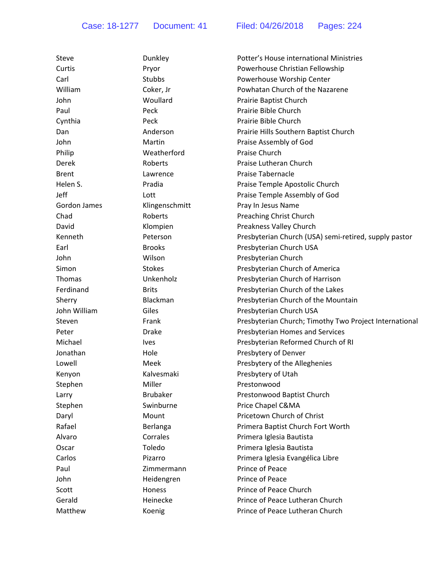| Steve         | Dunkley         | Potter's House international Ministries                |
|---------------|-----------------|--------------------------------------------------------|
| Curtis        | Pryor           | Powerhouse Christian Fellowship                        |
| Carl          | Stubbs          | Powerhouse Worship Center                              |
| William       | Coker, Jr       | Powhatan Church of the Nazarene                        |
|               |                 |                                                        |
| John          | Woullard        | Prairie Baptist Church                                 |
| Paul          | Peck            | Prairie Bible Church                                   |
| Cynthia       | Peck            | Prairie Bible Church                                   |
| Dan           | Anderson        | Prairie Hills Southern Baptist Church                  |
| John          | Martin          | Praise Assembly of God                                 |
| Philip        | Weatherford     | Praise Church                                          |
| Derek         | Roberts         | Praise Lutheran Church                                 |
| <b>Brent</b>  | Lawrence        | <b>Praise Tabernacle</b>                               |
| Helen S.      | Pradia          | Praise Temple Apostolic Church                         |
| Jeff          | Lott            | Praise Temple Assembly of God                          |
| Gordon James  | Klingenschmitt  | Pray In Jesus Name                                     |
| Chad          | Roberts         | Preaching Christ Church                                |
| David         | Klompien        | Preakness Valley Church                                |
| Kenneth       | Peterson        | Presbyterian Church (USA) semi-retired, supply pastor  |
| Earl          | <b>Brooks</b>   | Presbyterian Church USA                                |
| John          | Wilson          | Presbyterian Church                                    |
| Simon         | <b>Stokes</b>   | Presbyterian Church of America                         |
| <b>Thomas</b> | Unkenholz       | Presbyterian Church of Harrison                        |
| Ferdinand     | <b>Brits</b>    | Presbyterian Church of the Lakes                       |
| Sherry        | Blackman        | Presbyterian Church of the Mountain                    |
| John William  | Giles           | Presbyterian Church USA                                |
| Steven        | Frank           | Presbyterian Church; Timothy Two Project International |
| Peter         | <b>Drake</b>    | Presbyterian Homes and Services                        |
| Michael       | <b>Ives</b>     | Presbyterian Reformed Church of RI                     |
| Jonathan      | Hole            | Presbytery of Denver                                   |
| Lowell        | Meek            | Presbytery of the Alleghenies                          |
| Kenyon        | Kalvesmaki      | Presbytery of Utah                                     |
| Stephen       | Miller          | Prestonwood                                            |
| Larry         | <b>Brubaker</b> | Prestonwood Baptist Church                             |
| Stephen       | Swinburne       | Price Chapel C&MA                                      |
| Daryl         | Mount           | Pricetown Church of Christ                             |
| Rafael        | Berlanga        | Primera Baptist Church Fort Worth                      |
| Alvaro        | Corrales        | Primera Iglesia Bautista                               |
| Oscar         | Toledo          | Primera Iglesia Bautista                               |
| Carlos        | Pizarro         | Primera Iglesia Evangélica Libre                       |
|               |                 | Prince of Peace                                        |
| Paul          | Zimmermann      | Prince of Peace                                        |
| John          | Heidengren      |                                                        |
| Scott         | Honess          | Prince of Peace Church                                 |
| Gerald        | Heinecke        | Prince of Peace Lutheran Church                        |
| Matthew       | Koenig          | Prince of Peace Lutheran Church                        |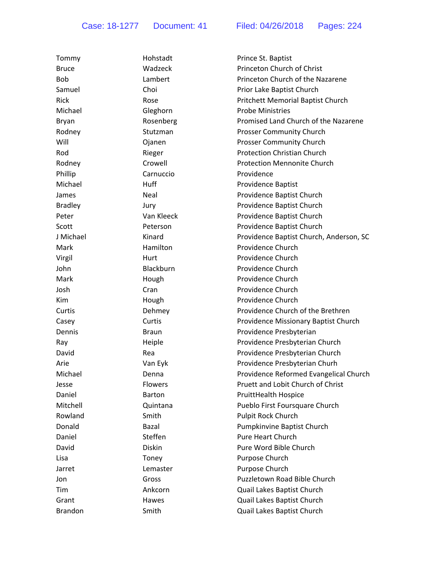| Tommy          | Hohstadt      | Prince St. Baptist                      |
|----------------|---------------|-----------------------------------------|
| <b>Bruce</b>   | Wadzeck       | Princeton Church of Christ              |
| <b>Bob</b>     | Lambert       | Princeton Church of the Nazarene        |
| Samuel         | Choi          | Prior Lake Baptist Church               |
| <b>Rick</b>    | Rose          | Pritchett Memorial Baptist Church       |
| Michael        | Gleghorn      | <b>Probe Ministries</b>                 |
| Bryan          | Rosenberg     | Promised Land Church of the Nazarene    |
| Rodney         | Stutzman      | Prosser Community Church                |
| Will           | Ojanen        | Prosser Community Church                |
| Rod            | Rieger        | <b>Protection Christian Church</b>      |
| Rodney         | Crowell       | <b>Protection Mennonite Church</b>      |
| Phillip        | Carnuccio     | Providence                              |
| Michael        | Huff          | Providence Baptist                      |
| James          | Neal          | Providence Baptist Church               |
| <b>Bradley</b> | Jury          | Providence Baptist Church               |
| Peter          | Van Kleeck    | Providence Baptist Church               |
| Scott          | Peterson      | Providence Baptist Church               |
| J Michael      | Kinard        | Providence Baptist Church, Anderson, SC |
| Mark           | Hamilton      | Providence Church                       |
| Virgil         | Hurt          | Providence Church                       |
| John           | Blackburn     | Providence Church                       |
| Mark           | Hough         | Providence Church                       |
| Josh           | Cran          | Providence Church                       |
| Kim            | Hough         | Providence Church                       |
| Curtis         | Dehmey        | Providence Church of the Brethren       |
| Casey          | Curtis        | Providence Missionary Baptist Church    |
| Dennis         | <b>Braun</b>  | Providence Presbyterian                 |
| Ray            | Heiple        | Providence Presbyterian Church          |
| David          | Rea           | Providence Presbyterian Church          |
| Arie           | Van Eyk       | Providence Presbyterian Churh           |
| Michael        | Denna         | Providence Reformed Evangelical Church  |
| Jesse          | Flowers       | Pruett and Lobit Church of Christ       |
| Daniel         | <b>Barton</b> | <b>PruittHealth Hospice</b>             |
| Mitchell       | Quintana      | Pueblo First Foursquare Church          |
| Rowland        | Smith         | Pulpit Rock Church                      |
| Donald         | <b>Bazal</b>  | Pumpkinvine Baptist Church              |
| Daniel         | Steffen       | Pure Heart Church                       |
| David          | Diskin        | Pure Word Bible Church                  |
| Lisa           | Toney         | Purpose Church                          |
| Jarret         | Lemaster      | Purpose Church                          |
| Jon            | Gross         | Puzzletown Road Bible Church            |
| Tim            | Ankcorn       | Quail Lakes Baptist Church              |
| Grant          | Hawes         | Quail Lakes Baptist Church              |
| <b>Brandon</b> | Smith         | Quail Lakes Baptist Church              |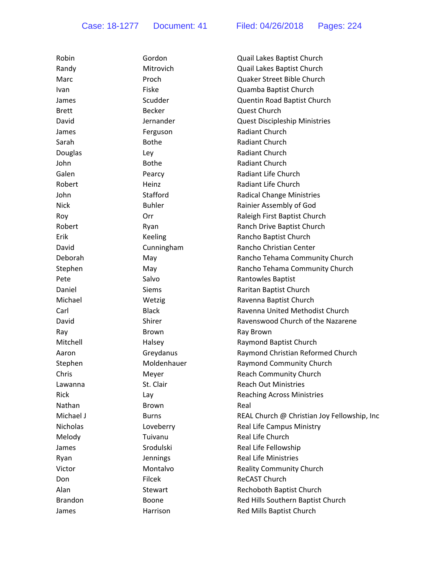| Robin          | Gordon        | Quail Lakes Baptist Church                  |
|----------------|---------------|---------------------------------------------|
| Randy          | Mitrovich     | Quail Lakes Baptist Church                  |
| Marc           | Proch         | Quaker Street Bible Church                  |
| Ivan           | Fiske         | Quamba Baptist Church                       |
| James          | Scudder       | Quentin Road Baptist Church                 |
| <b>Brett</b>   | Becker        | <b>Quest Church</b>                         |
| David          | Jernander     | <b>Quest Discipleship Ministries</b>        |
| James          | Ferguson      | Radiant Church                              |
| Sarah          | <b>Bothe</b>  | Radiant Church                              |
| Douglas        | Ley           | Radiant Church                              |
| John           | <b>Bothe</b>  | Radiant Church                              |
| Galen          | Pearcy        | Radiant Life Church                         |
| Robert         | Heinz         | Radiant Life Church                         |
| John           | Stafford      | <b>Radical Change Ministries</b>            |
| <b>Nick</b>    | <b>Buhler</b> | Rainier Assembly of God                     |
| Roy            | Orr           | Raleigh First Baptist Church                |
| Robert         | Ryan          | Ranch Drive Baptist Church                  |
| Erik           | Keeling       | Rancho Baptist Church                       |
| David          | Cunningham    | Rancho Christian Center                     |
| Deborah        | May           | Rancho Tehama Community Church              |
| Stephen        | May           | Rancho Tehama Community Church              |
| Pete           | Salvo         | Rantowles Baptist                           |
| Daniel         | <b>Siems</b>  | Raritan Baptist Church                      |
| Michael        | Wetzig        | Ravenna Baptist Church                      |
| Carl           | <b>Black</b>  | Ravenna United Methodist Church             |
| David          | Shirer        | Ravenswood Church of the Nazarene           |
| Ray            | <b>Brown</b>  | Ray Brown                                   |
| Mitchell       | Halsey        | Raymond Baptist Church                      |
| Aaron          | Greydanus     | Raymond Christian Reformed Church           |
| Stephen        | Moldenhauer   | Raymond Community Church                    |
| Chris          | Meyer         | <b>Reach Community Church</b>               |
| Lawanna        | St. Clair     | <b>Reach Out Ministries</b>                 |
| Rick           | Lay           | <b>Reaching Across Ministries</b>           |
| Nathan         | <b>Brown</b>  | Real                                        |
| Michael J      | <b>Burns</b>  | REAL Church @ Christian Joy Fellowship, Inc |
| Nicholas       | Loveberry     | Real Life Campus Ministry                   |
| Melody         | Tuivanu       | Real Life Church                            |
| James          | Srodulski     | Real Life Fellowship                        |
| Ryan           | Jennings      | <b>Real Life Ministries</b>                 |
| Victor         | Montalvo      | <b>Reality Community Church</b>             |
| Don            | Filcek        | ReCAST Church                               |
| Alan           | Stewart       | Rechoboth Baptist Church                    |
| <b>Brandon</b> | Boone         | Red Hills Southern Baptist Church           |
| James          | Harrison      | Red Mills Baptist Church                    |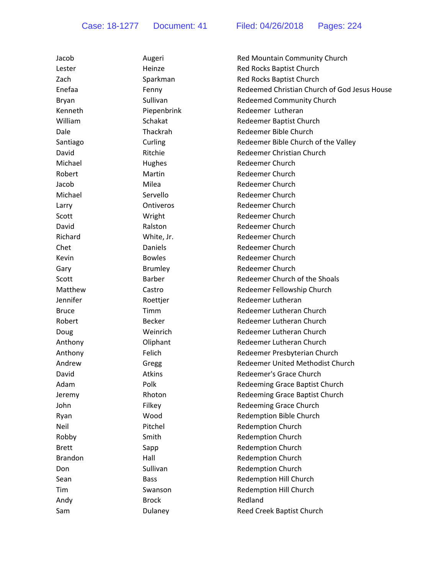| Jacob          | Augeri         | Red Mountain Community Church                |
|----------------|----------------|----------------------------------------------|
| Lester         | Heinze         | Red Rocks Baptist Church                     |
| Zach           | Sparkman       | Red Rocks Baptist Church                     |
| Enefaa         | Fenny          | Redeemed Christian Church of God Jesus House |
| <b>Bryan</b>   | Sullivan       | <b>Redeemed Community Church</b>             |
| Kenneth        | Piepenbrink    | Redeemer Lutheran                            |
| William        | Schakat        | Redeemer Baptist Church                      |
| Dale           | Thackrah       | Redeemer Bible Church                        |
| Santiago       | Curling        | Redeemer Bible Church of the Valley          |
| David          | Ritchie        | <b>Redeemer Christian Church</b>             |
| Michael        | Hughes         | Redeemer Church                              |
| Robert         | Martin         | <b>Redeemer Church</b>                       |
| Jacob          | Milea          | <b>Redeemer Church</b>                       |
| Michael        | Servello       | <b>Redeemer Church</b>                       |
| Larry          | Ontiveros      | <b>Redeemer Church</b>                       |
| Scott          | Wright         | <b>Redeemer Church</b>                       |
| David          | Ralston        | <b>Redeemer Church</b>                       |
| Richard        | White, Jr.     | <b>Redeemer Church</b>                       |
| Chet           | <b>Daniels</b> | Redeemer Church                              |
| Kevin          | <b>Bowles</b>  | <b>Redeemer Church</b>                       |
| Gary           | <b>Brumley</b> | <b>Redeemer Church</b>                       |
| Scott          | <b>Barber</b>  | Redeemer Church of the Shoals                |
| Matthew        | Castro         | Redeemer Fellowship Church                   |
| Jennifer       | Roettjer       | Redeemer Lutheran                            |
| <b>Bruce</b>   | Timm           | Redeemer Lutheran Church                     |
| Robert         | <b>Becker</b>  | Redeemer Lutheran Church                     |
| Doug           | Weinrich       | Redeemer Lutheran Church                     |
| Anthony        | Oliphant       | Redeemer Lutheran Church                     |
| Anthony        | Felich         | Redeemer Presbyterian Church                 |
| Andrew         | Gregg          | <b>Redeemer United Methodist Church</b>      |
| David          | <b>Atkins</b>  | Redeemer's Grace Church                      |
| Adam           | Polk           | Redeeming Grace Baptist Church               |
| Jeremy         | Rhoton         | Redeeming Grace Baptist Church               |
| John           | Filkey         | Redeeming Grace Church                       |
| Ryan           | Wood           | <b>Redemption Bible Church</b>               |
| Neil           | Pitchel        | <b>Redemption Church</b>                     |
| Robby          | Smith          | <b>Redemption Church</b>                     |
| <b>Brett</b>   | Sapp           | <b>Redemption Church</b>                     |
| <b>Brandon</b> | Hall           | <b>Redemption Church</b>                     |
| Don            | Sullivan       | Redemption Church                            |
| Sean           | <b>Bass</b>    | <b>Redemption Hill Church</b>                |
| Tim            | Swanson        | <b>Redemption Hill Church</b>                |
| Andy           | <b>Brock</b>   | Redland                                      |
| Sam            | Dulaney        | Reed Creek Baptist Church                    |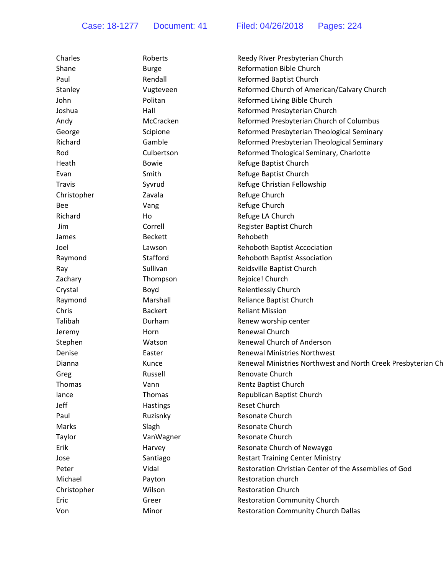| Charles       | Roberts        | Reedy River Presbyterian Church                              |
|---------------|----------------|--------------------------------------------------------------|
| Shane         | <b>Burge</b>   | <b>Reformation Bible Church</b>                              |
| Paul          | Rendall        | Reformed Baptist Church                                      |
| Stanley       | Vugteveen      | Reformed Church of American/Calvary Church                   |
| John          | Politan        | Reformed Living Bible Church                                 |
| Joshua        | Hall           | Reformed Presbyterian Church                                 |
| Andy          | McCracken      | Reformed Presbyterian Church of Columbus                     |
| George        | Scipione       | Reformed Presbyterian Theological Seminary                   |
| Richard       | Gamble         | Reformed Presbyterian Theological Seminary                   |
| Rod           | Culbertson     | Reformed Thological Seminary, Charlotte                      |
| Heath         | <b>Bowie</b>   | Refuge Baptist Church                                        |
| Evan          | Smith          | Refuge Baptist Church                                        |
| Travis        | Syvrud         | Refuge Christian Fellowship                                  |
| Christopher   | Zavala         | Refuge Church                                                |
| Bee           | Vang           | Refuge Church                                                |
| Richard       | Ho             | Refuge LA Church                                             |
| <b>Jim</b>    | Correll        | Register Baptist Church                                      |
| James         | <b>Beckett</b> | Rehobeth                                                     |
| Joel          | Lawson         | Rehoboth Baptist Accociation                                 |
| Raymond       | Stafford       | Rehoboth Baptist Association                                 |
| Ray           | Sullivan       | Reidsville Baptist Church                                    |
| Zachary       | Thompson       | Rejoice! Church                                              |
| Crystal       | Boyd           | Relentlessly Church                                          |
| Raymond       | Marshall       | Reliance Baptist Church                                      |
| Chris         | <b>Backert</b> | <b>Reliant Mission</b>                                       |
| Talibah       | Durham         | Renew worship center                                         |
| Jeremy        | Horn           | Renewal Church                                               |
| Stephen       | Watson         | Renewal Church of Anderson                                   |
| Denise        | Easter         | <b>Renewal Ministries Northwest</b>                          |
| Dianna        | Kunce          | Renewal Ministries Northwest and North Creek Presbyterian Ch |
| Greg          | Russell        | Renovate Church                                              |
| <b>Thomas</b> | Vann           | Rentz Baptist Church                                         |
| lance         | Thomas         | Republican Baptist Church                                    |
| Jeff          | Hastings       | <b>Reset Church</b>                                          |
| Paul          | Ruzisnky       | Resonate Church                                              |
| Marks         | Slagh          | Resonate Church                                              |
| Taylor        | VanWagner      | Resonate Church                                              |
| Erik          | Harvey         | Resonate Church of Newaygo                                   |
| Jose          | Santiago       | <b>Restart Training Center Ministry</b>                      |
| Peter         | Vidal          | Restoration Christian Center of the Assemblies of God        |
| Michael       | Payton         | <b>Restoration church</b>                                    |
| Christopher   | Wilson         | <b>Restoration Church</b>                                    |
| Eric          | Greer          | <b>Restoration Community Church</b>                          |
| Von           | Minor          | <b>Restoration Community Church Dallas</b>                   |
|               |                |                                                              |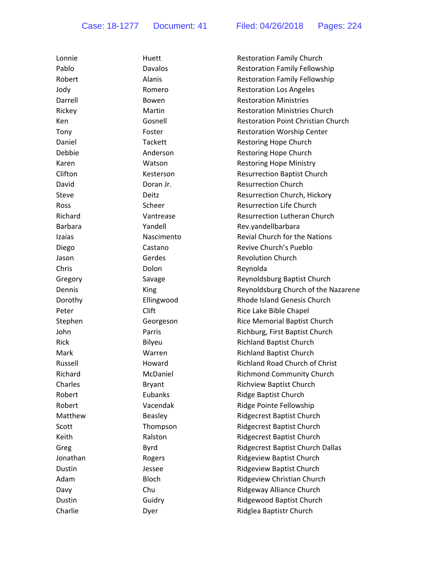| Lonnie         | Huett          | <b>Restoration Family Church</b>        |
|----------------|----------------|-----------------------------------------|
| Pablo          | Davalos        | <b>Restoration Family Fellowship</b>    |
| Robert         | Alanis         | <b>Restoration Family Fellowship</b>    |
| Jody           | Romero         | <b>Restoration Los Angeles</b>          |
| Darrell        | Bowen          | <b>Restoration Ministries</b>           |
| Rickey         | Martin         | <b>Restoration Ministries Church</b>    |
| Ken            | Gosnell        | Restoration Point Christian Chure       |
| Tony           | Foster         | <b>Restoration Worship Center</b>       |
| Daniel         | Tackett        | Restoring Hope Church                   |
| Debbie         | Anderson       | Restoring Hope Church                   |
| Karen          | Watson         | <b>Restoring Hope Ministry</b>          |
| Clifton        | Kesterson      | <b>Resurrection Baptist Church</b>      |
| David          | Doran Jr.      | <b>Resurrection Church</b>              |
| Steve          | Deitz          | Resurrection Church, Hickory            |
| Ross           | Scheer         | <b>Resurrection Life Church</b>         |
| Richard        | Vantrease      | <b>Resurrection Lutheran Church</b>     |
| <b>Barbara</b> | Yandell        | Rev.yandellbarbara                      |
| Izaias         | Nascimento     | <b>Revial Church for the Nations</b>    |
| Diego          | Castano        | Revive Church's Pueblo                  |
| Jason          | Gerdes         | <b>Revolution Church</b>                |
| Chris          | Dolon          | Reynolda                                |
| Gregory        | Savage         | Reynoldsburg Baptist Church             |
| Dennis         | King           | Reynoldsburg Church of the Naza         |
| Dorothy        | Ellingwood     | Rhode Island Genesis Church             |
| Peter          | Clift          | Rice Lake Bible Chapel                  |
| Stephen        | Georgeson      | Rice Memorial Baptist Church            |
| John           | Parris         | Richburg, First Baptist Church          |
| Rick           | Bilyeu         | <b>Richland Baptist Church</b>          |
| Mark           | Warren         | <b>Richland Baptist Church</b>          |
| Russell        | Howard         | <b>Richland Road Church of Christ</b>   |
| Richard        | McDaniel       | <b>Richmond Community Church</b>        |
| Charles        | <b>Bryant</b>  | <b>Richview Baptist Church</b>          |
| Robert         | Eubanks        | Ridge Baptist Church                    |
| Robert         | Vacendak       | Ridge Pointe Fellowship                 |
| Matthew        | <b>Beasley</b> | Ridgecrest Baptist Church               |
| Scott          | Thompson       | Ridgecrest Baptist Church               |
| Keith          | Ralston        | <b>Ridgecrest Baptist Church</b>        |
| Greg           | Byrd           | <b>Ridgecrest Baptist Church Dallas</b> |
| Jonathan       | Rogers         | <b>Ridgeview Baptist Church</b>         |
| Dustin         | Jessee         | <b>Ridgeview Baptist Church</b>         |
| Adam           | <b>Bloch</b>   | Ridgeview Christian Church              |
| Davy           | Chu            | Ridgeway Alliance Church                |
| Dustin         | Guidry         | Ridgewood Baptist Church                |
| Charlie        | Dyer           | Ridglea Baptistr Church                 |

Restoration Los Angeles **Restoration Ministries Church** Ken Gosnell Restoration Point Christian Church Restoration Worship Center Resurrection Church, Hickory Revolution Church Reynoldsburg Baptist Church Reynoldsburg Church of the Nazarene ood **Ellingwood** Rhode Island Genesis Church Rice Lake Bible Chapel son **Rice Memorial Baptist Church** Richburg, First Baptist Church Richland Baptist Church Richland Road Church of Christ iel **Manuel Community Church** Richmond Community Church Richview Baptist Church s **Ridge Baptist Church** Ridgecrest Baptist Church Son Ridgecrest Baptist Church Ridgeview Baptist Church Ridgeview Christian Church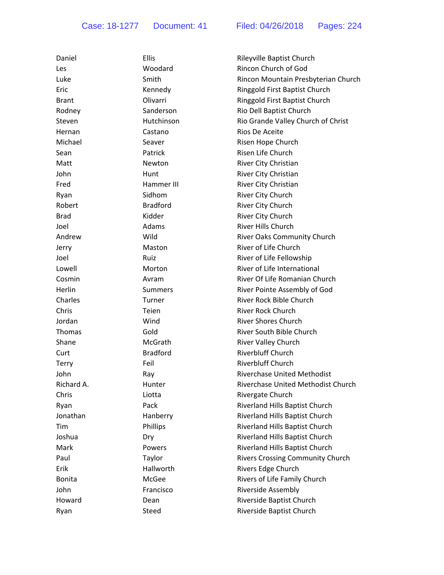| Daniel        | Ellis           | Rileyville Baptist Church               |
|---------------|-----------------|-----------------------------------------|
| Les           | Woodard         | Rincon Church of God                    |
| Luke          | Smith           | Rincon Mountain Presbyterian Church     |
| Eric          | Kennedy         | Ringgold First Baptist Church           |
| <b>Brant</b>  | Olivarri        | Ringgold First Baptist Church           |
| Rodney        | Sanderson       | Rio Dell Baptist Church                 |
| Steven        | Hutchinson      | Rio Grande Valley Church of Christ      |
| Hernan        | Castano         | Rios De Aceite                          |
| Michael       | Seaver          | Risen Hope Church                       |
| Sean          | Patrick         | Risen Life Church                       |
| Matt          | Newton          | River City Christian                    |
| John          | Hunt            | River City Christian                    |
| Fred          | Hammer III      | River City Christian                    |
| Ryan          | Sidhom          | River City Church                       |
| Robert        | <b>Bradford</b> | River City Church                       |
| <b>Brad</b>   | Kidder          | River City Church                       |
| Joel          | Adams           | <b>River Hills Church</b>               |
| Andrew        | Wild            | River Oaks Community Church             |
| Jerry         | Maston          | River of Life Church                    |
| Joel          | Ruiz            | River of Life Fellowship                |
| Lowell        | Morton          | River of Life International             |
| Cosmin        | Avram           | River Of Life Romanian Church           |
| Herlin        | Summers         | River Pointe Assembly of God            |
| Charles       | Turner          | River Rock Bible Church                 |
| Chris         | Teien           | <b>River Rock Church</b>                |
| Jordan        | Wind            | <b>River Shores Church</b>              |
| <b>Thomas</b> | Gold            | River South Bible Church                |
| Shane         | McGrath         | River Valley Church                     |
| Curt          | <b>Bradford</b> | <b>Riverbluff Church</b>                |
| <b>Terry</b>  | Feil            | <b>Riverbluff Church</b>                |
| John          | Ray             | <b>Riverchase United Methodist</b>      |
| Richard A.    | Hunter          | Riverchase United Methodist Church      |
| Chris         | Liotta          | Rivergate Church                        |
| Ryan          | Pack            | Riverland Hills Baptist Church          |
| Jonathan      | Hanberry        | Riverland Hills Baptist Church          |
| <b>Tim</b>    | Phillips        | Riverland Hills Baptist Church          |
| Joshua        | Dry             | Riverland Hills Baptist Church          |
| Mark          | Powers          | Riverland Hills Baptist Church          |
| Paul          | Taylor          | <b>Rivers Crossing Community Church</b> |
| Erik          | Hallworth       | Rivers Edge Church                      |
| <b>Bonita</b> | McGee           | Rivers of Life Family Church            |
| John          | Francisco       | Riverside Assembly                      |
| Howard        | Dean            | Riverside Baptist Church                |
| Ryan          | Steed           | Riverside Baptist Church                |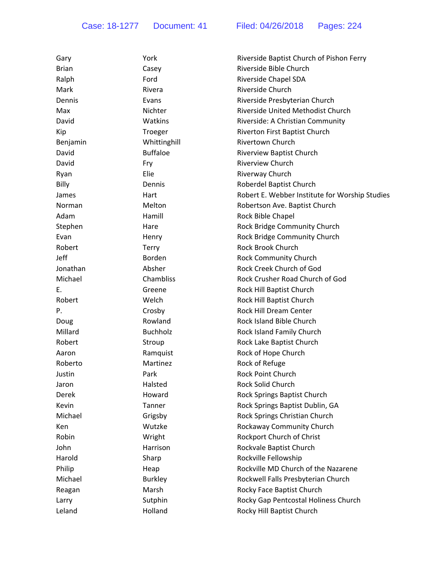| Gary         | York            | Riverside Baptist Church of Pishon Ferry       |
|--------------|-----------------|------------------------------------------------|
| <b>Brian</b> | Casey           | Riverside Bible Church                         |
| Ralph        | Ford            | Riverside Chapel SDA                           |
| Mark         | Rivera          | Riverside Church                               |
| Dennis       | Evans           | Riverside Presbyterian Church                  |
| Max          | Nichter         | Riverside United Methodist Church              |
| David        | Watkins         | Riverside: A Christian Community               |
| Kip          | Troeger         | Riverton First Baptist Church                  |
| Benjamin     | Whittinghill    | <b>Rivertown Church</b>                        |
| David        | <b>Buffaloe</b> | Riverview Baptist Church                       |
| David        | Fry             | <b>Riverview Church</b>                        |
| Ryan         | Elie            | Riverway Church                                |
| Billy        | Dennis          | Roberdel Baptist Church                        |
| James        | Hart            | Robert E. Webber Institute for Worship Studies |
| Norman       | Melton          | Robertson Ave. Baptist Church                  |
| Adam         | Hamill          | Rock Bible Chapel                              |
| Stephen      | Hare            | Rock Bridge Community Church                   |
| Evan         | Henry           | Rock Bridge Community Church                   |
| Robert       | <b>Terry</b>    | <b>Rock Brook Church</b>                       |
| Jeff         | Borden          | Rock Community Church                          |
| Jonathan     | Absher          | Rock Creek Church of God                       |
| Michael      | Chambliss       | Rock Crusher Road Church of God                |
| Е.           | Greene          | Rock Hill Baptist Church                       |
| Robert       | Welch           | Rock Hill Baptist Church                       |
| Р.           | Crosby          | <b>Rock Hill Dream Center</b>                  |
| Doug         | Rowland         | Rock Island Bible Church                       |
| Millard      | <b>Buchholz</b> | Rock Island Family Church                      |
| Robert       | Stroup          | Rock Lake Baptist Church                       |
| Aaron        | Ramquist        | Rock of Hope Church                            |
| Roberto      | Martinez        | Rock of Refuge                                 |
| Justin       | Park            | Rock Point Church                              |
| Jaron        | Halsted         | Rock Solid Church                              |
| Derek        | Howard          | Rock Springs Baptist Church                    |
| Kevin        | Tanner          | Rock Springs Baptist Dublin, GA                |
| Michael      | Grigsby         | Rock Springs Christian Church                  |
| Ken          | Wutzke          | Rockaway Community Church                      |
| Robin        | Wright          | Rockport Church of Christ                      |
| John         | Harrison        | Rockvale Baptist Church                        |
| Harold       | Sharp           | Rockville Fellowship                           |
| Philip       | Heap            | Rockville MD Church of the Nazarene            |
| Michael      | <b>Burkley</b>  | Rockwell Falls Presbyterian Church             |
| Reagan       | Marsh           | Rocky Face Baptist Church                      |
| Larry        | Sutphin         | Rocky Gap Pentcostal Holiness Church           |
| Leland       | Holland         | Rocky Hill Baptist Church                      |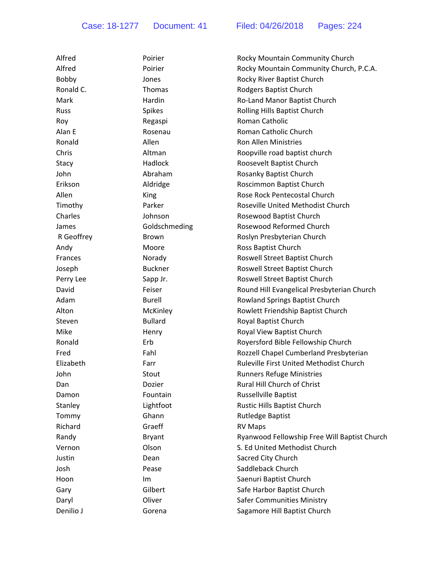| Alfred      | Poirier        | Rocky Mountain Community Church                |
|-------------|----------------|------------------------------------------------|
| Alfred      | Poirier        | Rocky Mountain Community Church, P.C.A.        |
| Bobby       | Jones          | Rocky River Baptist Church                     |
| Ronald C.   | Thomas         | Rodgers Baptist Church                         |
| Mark        | Hardin         | Ro-Land Manor Baptist Church                   |
| <b>Russ</b> | Spikes         | Rolling Hills Baptist Church                   |
| Roy         | Regaspi        | Roman Catholic                                 |
| Alan E      | Rosenau        | Roman Catholic Church                          |
| Ronald      | Allen          | <b>Ron Allen Ministries</b>                    |
| Chris       | Altman         | Roopville road baptist church                  |
| Stacy       | Hadlock        | Roosevelt Baptist Church                       |
| John        | Abraham        | Rosanky Baptist Church                         |
| Erikson     | Aldridge       | Roscimmon Baptist Church                       |
| Allen       | King           | Rose Rock Pentecostal Church                   |
| Timothy     | Parker         | Roseville United Methodist Church              |
| Charles     | Johnson        | Rosewood Baptist Church                        |
| James       | Goldschmeding  | Rosewood Reformed Church                       |
| R Geoffrey  | <b>Brown</b>   | Roslyn Presbyterian Church                     |
| Andy        | Moore          | Ross Baptist Church                            |
| Frances     | Norady         | Roswell Street Baptist Church                  |
| Joseph      | <b>Buckner</b> | Roswell Street Baptist Church                  |
| Perry Lee   | Sapp Jr.       | Roswell Street Baptist Church                  |
| David       | Feiser         | Round Hill Evangelical Presbyterian Church     |
| Adam        | <b>Burell</b>  | Rowland Springs Baptist Church                 |
| Alton       | McKinley       | Rowlett Friendship Baptist Church              |
| Steven      | <b>Bullard</b> | Royal Baptist Church                           |
| Mike        | Henry          | Royal View Baptist Church                      |
| Ronald      | Erb            | Royersford Bible Fellowship Church             |
| Fred        | Fahl           | Rozzell Chapel Cumberland Presbyterian         |
| Elizabeth   | Farr           | <b>Ruleville First United Methodist Church</b> |
| John        | Stout          | <b>Runners Refuge Ministries</b>               |
| Dan         | Dozier         | Rural Hill Church of Christ                    |
| Damon       | Fountain       | <b>Russellville Baptist</b>                    |
| Stanley     | Lightfoot      | Rustic Hills Baptist Church                    |
| Tommy       | Ghann          | <b>Rutledge Baptist</b>                        |
| Richard     | Graeff         | <b>RV Maps</b>                                 |
| Randy       | <b>Bryant</b>  | Ryanwood Fellowship Free Will Baptist Church   |
| Vernon      | Olson          | S. Ed United Methodist Church                  |
| Justin      | Dean           | Sacred City Church                             |
| Josh        | Pease          | Saddleback Church                              |
| Hoon        | Im             | Saenuri Baptist Church                         |
| Gary        | Gilbert        | Safe Harbor Baptist Church                     |
| Daryl       | Oliver         | <b>Safer Communities Ministry</b>              |
| Denilio J   | Gorena         | Sagamore Hill Baptist Church                   |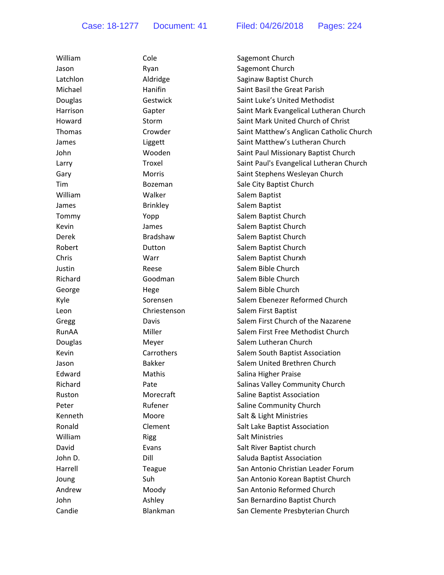| William    | Cole            | Sagemont Church                          |
|------------|-----------------|------------------------------------------|
| Jason      | Ryan            | Sagemont Church                          |
| Latchlon   | Aldridge        | Saginaw Baptist Church                   |
| Michael    | Hanifin         | Saint Basil the Great Parish             |
| Douglas    | Gestwick        | Saint Luke's United Methodist            |
| Harrison   | Gapter          | Saint Mark Evangelical Lutheran Church   |
| Howard     | Storm           | Saint Mark United Church of Christ       |
| Thomas     | Crowder         | Saint Matthew's Anglican Catholic Church |
| James      | Liggett         | Saint Matthew's Lutheran Church          |
| John       | Wooden          | Saint Paul Missionary Baptist Church     |
| Larry      | Troxel          | Saint Paul's Evangelical Lutheran Church |
| Gary       | Morris          | Saint Stephens Wesleyan Church           |
| <b>Tim</b> | <b>Bozeman</b>  | Sale City Baptist Church                 |
| William    | Walker          | Salem Baptist                            |
| James      | <b>Brinkley</b> | Salem Baptist                            |
| Tommy      | Yopp            | Salem Baptist Church                     |
| Kevin      | James           | Salem Baptist Church                     |
| Derek      | <b>Bradshaw</b> | Salem Baptist Church                     |
| Robert     | Dutton          | Salem Baptist Church                     |
| Chris      | Warr            | Salem Baptist Churxh                     |
| Justin     | Reese           | Salem Bible Church                       |
| Richard    | Goodman         | Salem Bible Church                       |
| George     | Hege            | Salem Bible Church                       |
| Kyle       | Sorensen        | Salem Ebenezer Reformed Church           |
| Leon       | Chriestenson    | Salem First Baptist                      |
| Gregg      | Davis           | Salem First Church of the Nazarene       |
| RunAA      | Miller          | Salem First Free Methodist Church        |
| Douglas    | Meyer           | Salem Lutheran Church                    |
| Kevin      | Carrothers      | Salem South Baptist Association          |
| Jason      | <b>Bakker</b>   | Salem United Brethren Church             |
| Edward     | Mathis          | Salina Higher Praise                     |
| Richard    | Pate            | Salinas Valley Community Church          |
| Ruston     | Morecraft       | Saline Baptist Association               |
| Peter      | Rufener         | Saline Community Church                  |
| Kenneth    | Moore           | Salt & Light Ministries                  |
| Ronald     | Clement         | Salt Lake Baptist Association            |
| William    | <b>Rigg</b>     | <b>Salt Ministries</b>                   |
| David      | Evans           | Salt River Baptist church                |
| John D.    | Dill            | Saluda Baptist Association               |
| Harrell    | Teague          | San Antonio Christian Leader Forum       |
| Joung      | Suh             | San Antonio Korean Baptist Church        |
| Andrew     | Moody           | San Antonio Reformed Church              |
| John       | Ashley          | San Bernardino Baptist Church            |
| Candie     | Blankman        | San Clemente Presbyterian Church         |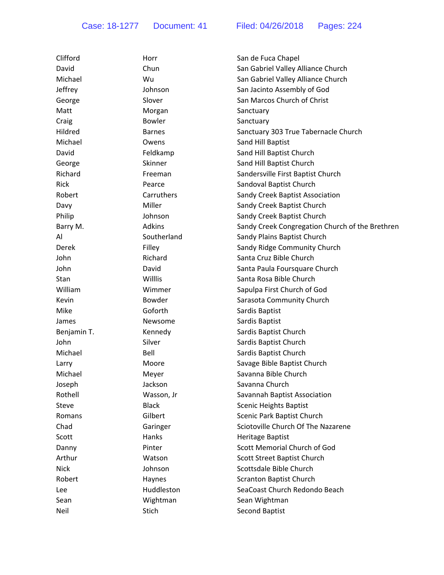Case: 18-1277 Document: 41 Filed: 04/26/2018 Pages: 224

| Clifford    | Horr          | San de Fuca Chapel                              |
|-------------|---------------|-------------------------------------------------|
| David       | Chun          | San Gabriel Valley Alliance Church              |
| Michael     | Wu            | San Gabriel Valley Alliance Church              |
| Jeffrey     | Johnson       | San Jacinto Assembly of God                     |
| George      | Slover        | San Marcos Church of Christ                     |
| Matt        | Morgan        | Sanctuary                                       |
| Craig       | <b>Bowler</b> | Sanctuary                                       |
| Hildred     | <b>Barnes</b> | Sanctuary 303 True Tabernacle Church            |
| Michael     | Owens         | Sand Hill Baptist                               |
| David       | Feldkamp      | Sand Hill Baptist Church                        |
| George      | Skinner       | Sand Hill Baptist Church                        |
| Richard     | Freeman       | Sandersville First Baptist Church               |
| Rick        | Pearce        | Sandoval Baptist Church                         |
| Robert      | Carruthers    | Sandy Creek Baptist Association                 |
| Davy        | Miller        | Sandy Creek Baptist Church                      |
| Philip      | Johnson       | Sandy Creek Baptist Church                      |
| Barry M.    | <b>Adkins</b> | Sandy Creek Congregation Church of the Brethren |
| Al          | Southerland   | Sandy Plains Baptist Church                     |
| Derek       | Filley        | Sandy Ridge Community Church                    |
| John        | Richard       | Santa Cruz Bible Church                         |
| John        | David         | Santa Paula Foursquare Church                   |
| Stan        | Willlis       | Santa Rosa Bible Church                         |
| William     | Wimmer        | Sapulpa First Church of God                     |
| Kevin       | Bowder        | Sarasota Community Church                       |
| Mike        | Goforth       | Sardis Baptist                                  |
| James       | Newsome       | Sardis Baptist                                  |
| Benjamin T. | Kennedy       | Sardis Baptist Church                           |
| John        | Silver        | Sardis Baptist Church                           |
| Michael     | Bell          | Sardis Baptist Church                           |
| Larry       | Moore         | Savage Bible Baptist Church                     |
| Michael     | Meyer         | Savanna Bible Church                            |
| Joseph      | Jackson       | Savanna Church                                  |
| Rothell     | Wasson, Jr    | Savannah Baptist Association                    |
| Steve       | <b>Black</b>  | <b>Scenic Heights Baptist</b>                   |
| Romans      | Gilbert       | Scenic Park Baptist Church                      |
| Chad        | Garinger      | Sciotoville Church Of The Nazarene              |
| Scott       | Hanks         | <b>Heritage Baptist</b>                         |
| Danny       | Pinter        | Scott Memorial Church of God                    |
| Arthur      | Watson        | Scott Street Baptist Church                     |
| <b>Nick</b> | Johnson       | Scottsdale Bible Church                         |
| Robert      | Haynes        | <b>Scranton Baptist Church</b>                  |
| Lee         | Huddleston    | SeaCoast Church Redondo Beach                   |
| Sean        | Wightman      | Sean Wightman                                   |
| Neil        | Stich         | <b>Second Baptist</b>                           |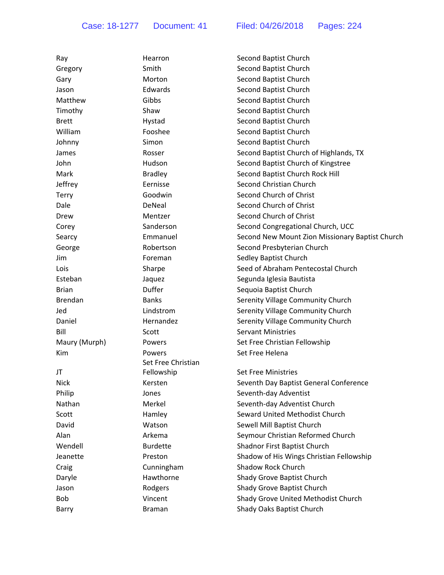| Ray            | Hearron            | Second Baptist Church                           |
|----------------|--------------------|-------------------------------------------------|
| Gregory        | Smith              | Second Baptist Church                           |
| Gary           | Morton             | Second Baptist Church                           |
| Jason          | Edwards            | Second Baptist Church                           |
| Matthew        | Gibbs              | Second Baptist Church                           |
| Timothy        | Shaw               | Second Baptist Church                           |
| <b>Brett</b>   | Hystad             | Second Baptist Church                           |
| William        | Fooshee            | Second Baptist Church                           |
| Johnny         | Simon              | Second Baptist Church                           |
| James          | Rosser             | Second Baptist Church of Highlands, TX          |
| John           | Hudson             | Second Baptist Church of Kingstree              |
| Mark           | <b>Bradley</b>     | Second Baptist Church Rock Hill                 |
| Jeffrey        | Eernisse           | Second Christian Church                         |
| <b>Terry</b>   | Goodwin            | Second Church of Christ                         |
| Dale           | DeNeal             | Second Church of Christ                         |
| Drew           | Mentzer            | Second Church of Christ                         |
| Corey          | Sanderson          | Second Congregational Church, UCC               |
| Searcy         | Emmanuel           | Second New Mount Zion Missionary Baptist Church |
| George         | Robertson          | Second Presbyterian Church                      |
| Jim            | Foreman            | Sedley Baptist Church                           |
| Lois           | Sharpe             | Seed of Abraham Pentecostal Church              |
| Esteban        | Jaquez             | Segunda Iglesia Bautista                        |
| <b>Brian</b>   | Duffer             | Sequoia Baptist Church                          |
| <b>Brendan</b> | <b>Banks</b>       | Serenity Village Community Church               |
| Jed            | Lindstrom          | Serenity Village Community Church               |
| Daniel         | Hernandez          | Serenity Village Community Church               |
| Bill           | Scott              | <b>Servant Ministries</b>                       |
| Maury (Murph)  | Powers             | Set Free Christian Fellowship                   |
| Kim            | Powers             | Set Free Helena                                 |
|                | Set Free Christian |                                                 |
| JT             | Fellowship         | <b>Set Free Ministries</b>                      |
| <b>Nick</b>    | Kersten            | Seventh Day Baptist General Conference          |
| Philip         | Jones              | Seventh-day Adventist                           |
| Nathan         | Merkel             | Seventh-day Adventist Church                    |
| Scott          | Hamley             | Seward United Methodist Church                  |
| David          | Watson             | Sewell Mill Baptist Church                      |
| Alan           | Arkema             | Seymour Christian Reformed Church               |
| Wendell        | <b>Burdette</b>    | Shadnor First Baptist Church                    |
| Jeanette       | Preston            | Shadow of His Wings Christian Fellowship        |
| Craig          | Cunningham         | <b>Shadow Rock Church</b>                       |
| Daryle         | Hawthorne          | Shady Grove Baptist Church                      |
| Jason          | Rodgers            | Shady Grove Baptist Church                      |
| Bob            | Vincent            | Shady Grove United Methodist Church             |
| Barry          | <b>Braman</b>      | Shady Oaks Baptist Church                       |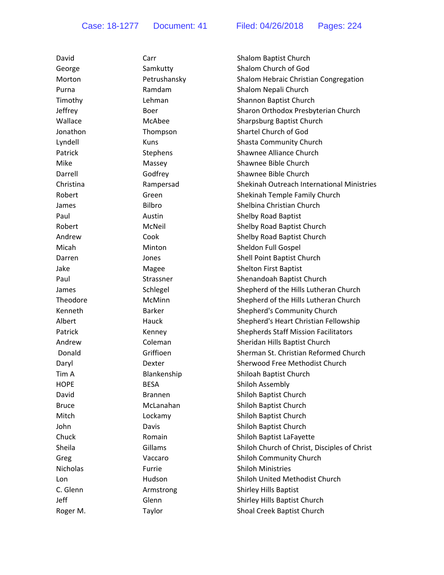| David           | Carr           | Shalom Baptist Church                        |
|-----------------|----------------|----------------------------------------------|
| George          | Samkutty       | Shalom Church of God                         |
| Morton          | Petrushansky   | Shalom Hebraic Christian Congregation        |
| Purna           | Ramdam         | Shalom Nepali Church                         |
| Timothy         | Lehman         | Shannon Baptist Church                       |
| Jeffrey         | Boer           | Sharon Orthodox Presbyterian Church          |
| Wallace         | McAbee         | Sharpsburg Baptist Church                    |
| Jonathon        | Thompson       | Shartel Church of God                        |
| Lyndell         | Kuns           | <b>Shasta Community Church</b>               |
| Patrick         | Stephens       | Shawnee Alliance Church                      |
| Mike            | Massey         | Shawnee Bible Church                         |
| Darrell         | Godfrey        | Shawnee Bible Church                         |
| Christina       | Rampersad      | Shekinah Outreach International Ministries   |
| Robert          | Green          | Shekinah Temple Family Church                |
| James           | <b>Bilbro</b>  | Shelbina Christian Church                    |
| Paul            | Austin         | <b>Shelby Road Baptist</b>                   |
| Robert          | McNeil         | Shelby Road Baptist Church                   |
| Andrew          | Cook           | Shelby Road Baptist Church                   |
| Micah           | Minton         | Sheldon Full Gospel                          |
| Darren          | Jones          | Shell Point Baptist Church                   |
| Jake            | Magee          | <b>Shelton First Baptist</b>                 |
| Paul            | Strassner      | Shenandoah Baptist Church                    |
| James           | Schlegel       | Shepherd of the Hills Lutheran Church        |
| Theodore        | McMinn         | Shepherd of the Hills Lutheran Church        |
| Kenneth         | <b>Barker</b>  | Shepherd's Community Church                  |
| Albert          | Hauck          | Shepherd's Heart Christian Fellowship        |
| Patrick         | Kenney         | <b>Shepherds Staff Mission Facilitators</b>  |
| Andrew          | Coleman        | Sheridan Hills Baptist Church                |
| Donald          | Griffioen      | Sherman St. Christian Reformed Church        |
| Daryl           | Dexter         | Sherwood Free Methodist Church               |
| Tim A           | Blankenship    | Shiloah Baptist Church                       |
| <b>HOPE</b>     | <b>BESA</b>    | Shiloh Assembly                              |
| David           | <b>Brannen</b> | Shiloh Baptist Church                        |
| <b>Bruce</b>    | McLanahan      | Shiloh Baptist Church                        |
| Mitch           | Lockamy        | Shiloh Baptist Church                        |
| John            | Davis          | Shiloh Baptist Church                        |
| Chuck           | Romain         | Shiloh Baptist LaFayette                     |
| Sheila          | Gillams        | Shiloh Church of Christ, Disciples of Christ |
| Greg            | Vaccaro        | <b>Shiloh Community Church</b>               |
| <b>Nicholas</b> | Furrie         | <b>Shiloh Ministries</b>                     |
| Lon             | Hudson         | Shiloh United Methodist Church               |
| C. Glenn        | Armstrong      | <b>Shirley Hills Baptist</b>                 |
| Jeff            | Glenn          | Shirley Hills Baptist Church                 |
| Roger M.        | Taylor         | Shoal Creek Baptist Church                   |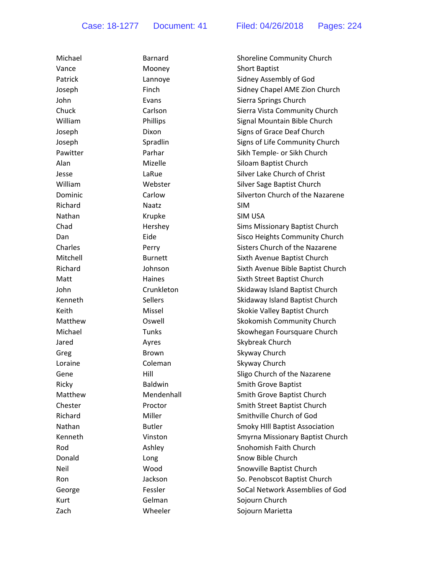| Barnard        | Shoreline Community Church            |
|----------------|---------------------------------------|
| Mooney         | <b>Short Baptist</b>                  |
| Lannoye        | Sidney Assembly of God                |
| Finch          | Sidney Chapel AME Zion Church         |
| Evans          | Sierra Springs Church                 |
| Carlson        | Sierra Vista Community Church         |
| Phillips       | Signal Mountain Bible Church          |
| Dixon          | Signs of Grace Deaf Church            |
| Spradlin       | Signs of Life Community Church        |
| Parhar         | Sikh Temple- or Sikh Church           |
| Mizelle        | Siloam Baptist Church                 |
| LaRue          | Silver Lake Church of Christ          |
| Webster        | Silver Sage Baptist Church            |
| Carlow         | Silverton Church of the Nazarene      |
| Naatz          | <b>SIM</b>                            |
| Krupke         | SIM USA                               |
| Hershey        | Sims Missionary Baptist Church        |
| Eide           | Sisco Heights Community Church        |
| Perry          | Sisters Church of the Nazarene        |
| <b>Burnett</b> | Sixth Avenue Baptist Church           |
| Johnson        | Sixth Avenue Bible Baptist Church     |
| Haines         | Sixth Street Baptist Church           |
| Crunkleton     | Skidaway Island Baptist Church        |
| Sellers        | Skidaway Island Baptist Church        |
| Missel         | Skokie Valley Baptist Church          |
| Oswell         | Skokomish Community Church            |
| Tunks          | Skowhegan Foursquare Church           |
| Ayres          | Skybreak Church                       |
| <b>Brown</b>   | Skyway Church                         |
| Coleman        | Skyway Church                         |
| Hill           | Sligo Church of the Nazarene          |
| <b>Baldwin</b> | <b>Smith Grove Baptist</b>            |
| Mendenhall     | Smith Grove Baptist Church            |
| Proctor        | Smith Street Baptist Church           |
| Miller         | Smithville Church of God              |
| <b>Butler</b>  | <b>Smoky HIII Baptist Association</b> |
| Vinston        | Smyrna Missionary Baptist Church      |
| Ashley         | Snohomish Faith Church                |
| Long           | Snow Bible Church                     |
| Wood           | Snowville Baptist Church              |
| Jackson        | So. Penobscot Baptist Church          |
| Fessler        | SoCal Network Assemblies of God       |
| Gelman         | Sojourn Church                        |
| Wheeler        | Sojourn Marietta                      |
|                |                                       |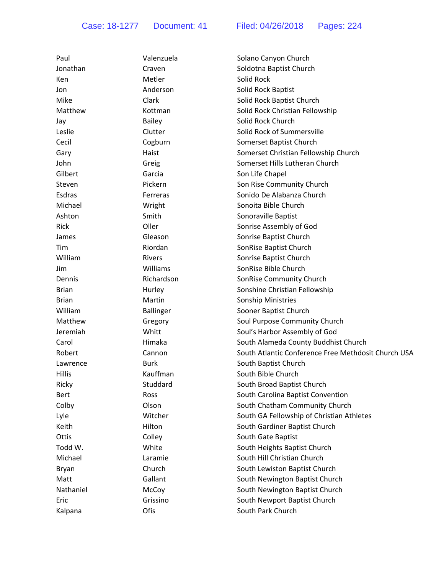| Paul          | Valenzuela       | Solano Canyon Church                                |
|---------------|------------------|-----------------------------------------------------|
| Jonathan      | Craven           | Soldotna Baptist Church                             |
| Ken           | Metler           | Solid Rock                                          |
| Jon           | Anderson         | Solid Rock Baptist                                  |
| Mike          | Clark            | Solid Rock Baptist Church                           |
| Matthew       | Kottman          | Solid Rock Christian Fellowship                     |
| Jay           | <b>Bailey</b>    | Solid Rock Church                                   |
| Leslie        | Clutter          | Solid Rock of Summersville                          |
| Cecil         | Cogburn          | Somerset Baptist Church                             |
| Gary          | Haist            | Somerset Christian Fellowship Church                |
| John          | Greig            | Somerset Hills Lutheran Church                      |
| Gilbert       | Garcia           | Son Life Chapel                                     |
| Steven        | Pickern          | Son Rise Community Church                           |
| Esdras        | Ferreras         | Sonido De Alabanza Church                           |
| Michael       | Wright           | Sonoita Bible Church                                |
| Ashton        | Smith            | Sonoraville Baptist                                 |
| Rick          | Oller            | Sonrise Assembly of God                             |
| James         | Gleason          | Sonrise Baptist Church                              |
| Tim           | Riordan          | SonRise Baptist Church                              |
| William       | <b>Rivers</b>    | Sonrise Baptist Church                              |
| Jim           | Williams         | SonRise Bible Church                                |
| Dennis        | Richardson       | SonRise Community Church                            |
| <b>Brian</b>  | Hurley           | Sonshine Christian Fellowship                       |
| <b>Brian</b>  | Martin           | <b>Sonship Ministries</b>                           |
| William       | <b>Ballinger</b> | Sooner Baptist Church                               |
| Matthew       | Gregory          | Soul Purpose Community Church                       |
| Jeremiah      | Whitt            | Soul's Harbor Assembly of God                       |
| Carol         | Himaka           | South Alameda County Buddhist Church                |
| Robert        | Cannon           | South Atlantic Conference Free Methdosit Church USA |
| Lawrence      | <b>Burk</b>      | South Baptist Church                                |
| <b>Hillis</b> | Kauffman         | South Bible Church                                  |
| Ricky         | Studdard         | South Broad Baptist Church                          |
| <b>Bert</b>   | Ross             | South Carolina Baptist Convention                   |
| Colby         | Olson            | South Chatham Community Church                      |
| Lyle          | Witcher          | South GA Fellowship of Christian Athletes           |
| Keith         | Hilton           | South Gardiner Baptist Church                       |
| Ottis         | Colley           | South Gate Baptist                                  |
| Todd W.       | White            | South Heights Baptist Church                        |
| Michael       | Laramie          | South Hill Christian Church                         |
| Bryan         | Church           | South Lewiston Baptist Church                       |
| Matt          | Gallant          | South Newington Baptist Church                      |
| Nathaniel     | McCoy            | South Newington Baptist Church                      |
| Eric          | Grissino         | South Newport Baptist Church                        |
| Kalpana       | Ofis             | South Park Church                                   |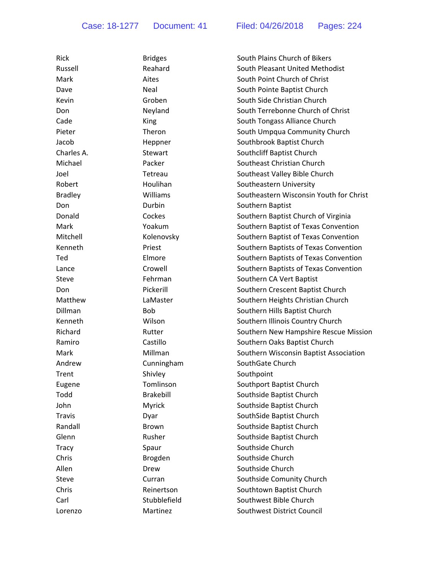| Rick           | <b>Bridges</b>   | South Plains Church of Bikers           |
|----------------|------------------|-----------------------------------------|
| Russell        | Reahard          | South Pleasant United Methodist         |
| Mark           | Aites            | South Point Church of Christ            |
| Dave           | Neal             | South Pointe Baptist Church             |
| Kevin          | Groben           | South Side Christian Church             |
| Don            | Neyland          | South Terrebonne Church of Christ       |
| Cade           | King             | South Tongass Alliance Church           |
| Pieter         | Theron           | South Umpqua Community Church           |
| Jacob          | Heppner          | Southbrook Baptist Church               |
| Charles A.     | Stewart          | Southcliff Baptist Church               |
| Michael        | Packer           | Southeast Christian Church              |
| Joel           | Tetreau          | Southeast Valley Bible Church           |
| Robert         | Houlihan         | Southeastern University                 |
| <b>Bradley</b> | Williams         | Southeastern Wisconsin Youth for Christ |
| Don            | Durbin           | Southern Baptist                        |
| Donald         | Cockes           | Southern Baptist Church of Virginia     |
| Mark           | Yoakum           | Southern Baptist of Texas Convention    |
| Mitchell       | Kolenovsky       | Southern Baptist of Texas Convention    |
| Kenneth        | Priest           | Southern Baptists of Texas Convention   |
| Ted            | Elmore           | Southern Baptists of Texas Convention   |
| Lance          | Crowell          | Southern Baptists of Texas Convention   |
| Steve          | Fehrman          | Southern CA Vert Baptist                |
| Don            | Pickerill        | Southern Crescent Baptist Church        |
| Matthew        | LaMaster         | Southern Heights Christian Church       |
| <b>Dillman</b> | Bob.             | Southern Hills Baptist Church           |
| Kenneth        | Wilson           | Southern Illinois Country Church        |
| Richard        | Rutter           | Southern New Hampshire Rescue Mission   |
| Ramiro         | Castillo         | Southern Oaks Baptist Church            |
| Mark           | Millman          | Southern Wisconsin Baptist Association  |
| Andrew         | Cunningham       | SouthGate Church                        |
| Trent          | Shivley          | Southpoint                              |
| Eugene         | Tomlinson        | Southport Baptist Church                |
| Todd           | <b>Brakebill</b> | Southside Baptist Church                |
| John           | Myrick           | Southside Baptist Church                |
| Travis         | Dyar             | SouthSide Baptist Church                |
| Randall        | Brown            | Southside Baptist Church                |
| Glenn          | Rusher           | Southside Baptist Church                |
| <b>Tracy</b>   | Spaur            | Southside Church                        |
| Chris          | Brogden          | Southside Church                        |
| Allen          | Drew             | Southside Church                        |
| Steve          | Curran           | Southside Comunity Church               |
| Chris          | Reinertson       | Southtown Baptist Church                |
| Carl           | Stubblefield     | Southwest Bible Church                  |
| Lorenzo        | Martinez         | Southwest District Council              |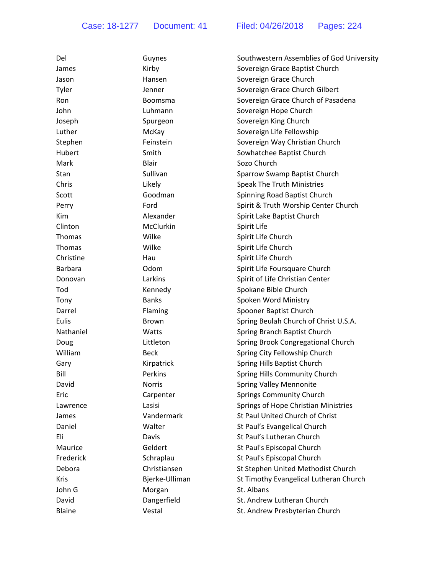| Del            | Guynes         | Southwestern Assemblies of God University |
|----------------|----------------|-------------------------------------------|
| James          | Kirby          | Sovereign Grace Baptist Church            |
| Jason          | Hansen         | Sovereign Grace Church                    |
| Tyler          | Jenner         | Sovereign Grace Church Gilbert            |
| Ron            | <b>Boomsma</b> | Sovereign Grace Church of Pasadena        |
| John           | Luhmann        | Sovereign Hope Church                     |
| Joseph         | Spurgeon       | Sovereign King Church                     |
| Luther         | McKay          | Sovereign Life Fellowship                 |
| Stephen        | Feinstein      | Sovereign Way Christian Church            |
| Hubert         | Smith          | Sowhatchee Baptist Church                 |
| Mark           | <b>Blair</b>   | Sozo Church                               |
| Stan           | Sullivan       | Sparrow Swamp Baptist Church              |
| Chris          | Likely         | Speak The Truth Ministries                |
| Scott          | Goodman        | Spinning Road Baptist Church              |
| Perry          | Ford           | Spirit & Truth Worship Center Church      |
| Kim            | Alexander      | Spirit Lake Baptist Church                |
| Clinton        | McClurkin      | Spirit Life                               |
| Thomas         | Wilke          | Spirit Life Church                        |
| Thomas         | Wilke          | Spirit Life Church                        |
| Christine      | Hau            | Spirit Life Church                        |
| <b>Barbara</b> | Odom           | Spirit Life Foursquare Church             |
| Donovan        | Larkins        | Spirit of Life Christian Center           |
| Tod            | Kennedy        | Spokane Bible Church                      |
| Tony           | <b>Banks</b>   | Spoken Word Ministry                      |
| Darrel         | Flaming        | Spooner Baptist Church                    |
| Eulis          | Brown          | Spring Beulah Church of Christ U.S.A.     |
| Nathaniel      | Watts          | Spring Branch Baptist Church              |
| Doug           | Littleton      | Spring Brook Congregational Church        |
| William        | <b>Beck</b>    | Spring City Fellowship Church             |
| Gary           | Kirpatrick     | Spring Hills Baptist Church               |
| Bill           | Perkins        | Spring Hills Community Church             |
| David          | <b>Norris</b>  | <b>Spring Valley Mennonite</b>            |
| Eric           | Carpenter      | <b>Springs Community Church</b>           |
| Lawrence       | Lasisi         | Springs of Hope Christian Ministries      |
| James          | Vandermark     | St Paul United Church of Christ           |
| Daniel         | Walter         | St Paul's Evangelical Church              |
| Eli            | Davis          | St Paul's Lutheran Church                 |
| Maurice        | Geldert        | St Paul's Episcopal Church                |
| Frederick      | Schraplau      | St Paul's Episcopal Church                |
| Debora         | Christiansen   | St Stephen United Methodist Church        |
| <b>Kris</b>    | Bjerke-Ulliman | St Timothy Evangelical Lutheran Church    |
| John G         | Morgan         | St. Albans                                |
| David          | Dangerfield    | St. Andrew Lutheran Church                |
| <b>Blaine</b>  | Vestal         | St. Andrew Presbyterian Church            |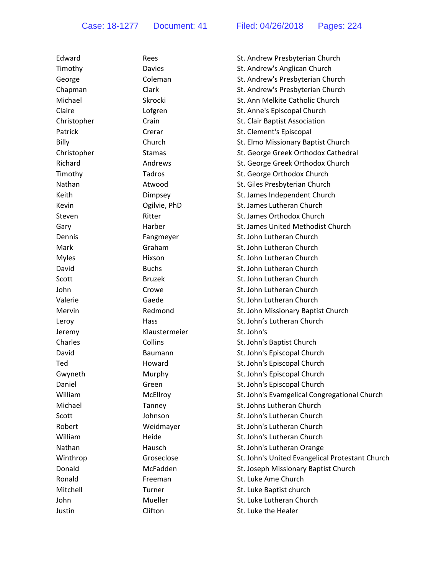| Edward       | Rees          | St. Andrew Presbyterian Church                  |
|--------------|---------------|-------------------------------------------------|
| Timothy      | <b>Davies</b> | St. Andrew's Anglican Church                    |
| George       | Coleman       | St. Andrew's Presbyterian Church                |
| Chapman      | Clark         | St. Andrew's Presbyterian Church                |
| Michael      | Skrocki       | St. Ann Melkite Catholic Church                 |
| Claire       | Lofgren       | St. Anne's Episcopal Church                     |
| Christopher  | Crain         | St. Clair Baptist Association                   |
| Patrick      | Crerar        | St. Clement's Episcopal                         |
| Billy        | Church        | St. Elmo Missionary Baptist Church              |
| Christopher  | <b>Stamas</b> | St. George Greek Orthodox Cathedral             |
| Richard      | Andrews       | St. George Greek Orthodox Church                |
| Timothy      | Tadros        | St. George Orthodox Church                      |
| Nathan       | Atwood        | St. Giles Presbyterian Church                   |
| Keith        | Dimpsey       | St. James Independent Church                    |
| Kevin        | Ogilvie, PhD  | St. James Lutheran Church                       |
| Steven       | Ritter        | St. James Orthodox Church                       |
| Gary         | Harber        | St. James United Methodist Church               |
| Dennis       | Fangmeyer     | St. John Lutheran Church                        |
| Mark         | Graham        | St. John Lutheran Church                        |
| <b>Myles</b> | Hixson        | St. John Lutheran Church                        |
| David        | <b>Buchs</b>  | St. John Lutheran Church                        |
| Scott        | <b>Bruzek</b> | St. John Lutheran Church                        |
| John         | Crowe         | St. John Lutheran Church                        |
| Valerie      | Gaede         | St. John Lutheran Church                        |
| Mervin       | Redmond       | St. John Missionary Baptist Church              |
| Leroy        | Hass          | St. John's Lutheran Church                      |
| Jeremy       | Klaustermeier | St. John's                                      |
| Charles      | Collins       | St. John's Baptist Church                       |
| David        | Baumann       | St. John's Episcopal Church                     |
| Ted          | Howard        | St. John's Episcopal Church                     |
| Gwyneth      | Murphy        | St. John's Episcopal Church                     |
| Daniel       | Green         | St. John's Episcopal Church                     |
| William      | McEllroy      | St. John's Evamgelical Congregational Church    |
| Michael      | Tanney        | St. Johns Lutheran Church                       |
| Scott        | Johnson       | St. John's Lutheran Church                      |
| Robert       | Weidmayer     | St. John's Lutheran Church                      |
| William      | Heide         | St. John's Lutheran Church                      |
| Nathan       | Hausch        | St. John's Lutheran Orange                      |
| Winthrop     | Groseclose    | St. John's United Evangelical Protestant Church |
| Donald       | McFadden      | St. Joseph Missionary Baptist Church            |
| Ronald       | Freeman       | St. Luke Ame Church                             |
| Mitchell     | Turner        | St. Luke Baptist church                         |
| John         | Mueller       | St. Luke Lutheran Church                        |
| Justin       | Clifton       | St. Luke the Healer                             |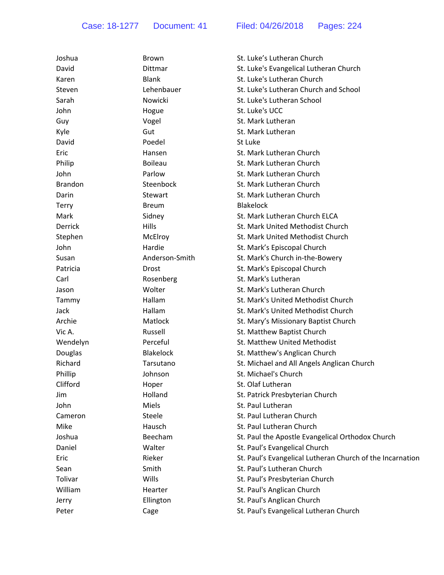| Joshua         | <b>Brown</b>     | St. Luke's Lutheran Church                                |
|----------------|------------------|-----------------------------------------------------------|
| David          | <b>Dittmar</b>   | St. Luke's Evangelical Lutheran Church                    |
| Karen          | <b>Blank</b>     | St. Luke's Lutheran Church                                |
| Steven         | Lehenbauer       | St. Luke's Lutheran Church and School                     |
| Sarah          | Nowicki          | St. Luke's Lutheran School                                |
| John           | Hogue            | St. Luke's UCC                                            |
| Guy            | Vogel            | St. Mark Lutheran                                         |
| Kyle           | Gut              | St. Mark Lutheran                                         |
| David          | Poedel           | St Luke                                                   |
| Eric           | Hansen           | St. Mark Lutheran Church                                  |
| Philip         | <b>Boileau</b>   | St. Mark Lutheran Church                                  |
| John           | Parlow           | St. Mark Lutheran Church                                  |
| <b>Brandon</b> | Steenbock        | St. Mark Lutheran Church                                  |
| Darin          | Stewart          | St. Mark Lutheran Church                                  |
| Terry          | <b>Breum</b>     | <b>Blakelock</b>                                          |
| Mark           | Sidney           | St. Mark Lutheran Church ELCA                             |
| Derrick        | Hills            | St. Mark United Methodist Church                          |
| Stephen        | McElroy          | St. Mark United Methodist Church                          |
| John           | Hardie           | St. Mark's Episcopal Church                               |
| Susan          | Anderson-Smith   | St. Mark's Church in-the-Bowery                           |
| Patricia       | <b>Drost</b>     | St. Mark's Episcopal Church                               |
| Carl           | Rosenberg        | St. Mark's Lutheran                                       |
| Jason          | Wolter           | St. Mark's Lutheran Church                                |
| Tammy          | Hallam           | St. Mark's United Methodist Church                        |
| Jack           | Hallam           | St. Mark's United Methodist Church                        |
| Archie         | Matlock          | St. Mary's Missionary Baptist Church                      |
| Vic A.         | Russell          | St. Matthew Baptist Church                                |
| Wendelyn       | Perceful         | St. Matthew United Methodist                              |
| Douglas        | <b>Blakelock</b> | St. Matthew's Anglican Church                             |
| Richard        | Tarsutano        | St. Michael and All Angels Anglican Church                |
| Phillip        | Johnson          | St. Michael's Church                                      |
| Clifford       | Hoper            | St. Olaf Lutheran                                         |
| Jim            | Holland          | St. Patrick Presbyterian Church                           |
| John           | Miels            | St. Paul Lutheran                                         |
| Cameron        | Steele           | St. Paul Lutheran Church                                  |
| Mike           | Hausch           | St. Paul Lutheran Church                                  |
| Joshua         | Beecham          | St. Paul the Apostle Evangelical Orthodox Church          |
| Daniel         | Walter           | St. Paul's Evangelical Church                             |
| Eric           | Rieker           | St. Paul's Evangelical Lutheran Church of the Incarnation |
| Sean           | Smith            | St. Paul's Lutheran Church                                |
| Tolivar        | Wills            | St. Paul's Presbyterian Church                            |
| William        | Hearter          | St. Paul's Anglican Church                                |
| Jerry          | Ellington        | St. Paul's Anglican Church                                |
| Peter          | Cage             | St. Paul's Evangelical Lutheran Church                    |
|                |                  |                                                           |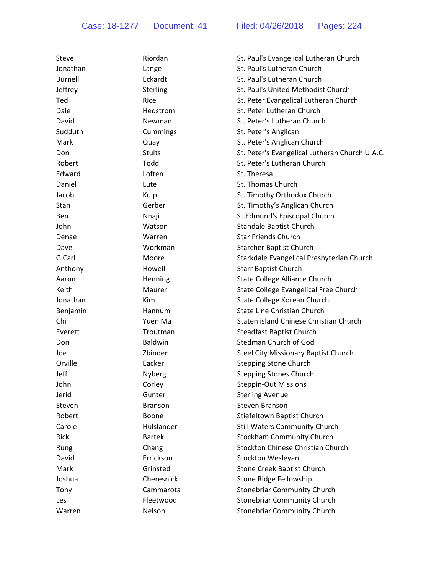| Steve          | Riordan        | St. Paul's Evangelical Lutheran Church         |
|----------------|----------------|------------------------------------------------|
| Jonathan       | Lange          | St. Paul's Lutheran Church                     |
| <b>Burnell</b> | Eckardt        | St. Paul's Lutheran Church                     |
| Jeffrey        | Sterling       | St. Paul's United Methodist Church             |
| Ted            | Rice           | St. Peter Evangelical Lutheran Church          |
| Dale           | Hedstrom       | St. Peter Lutheran Church                      |
| David          | Newman         | St. Peter's Lutheran Church                    |
| Sudduth        | Cummings       | St. Peter's Anglican                           |
| Mark           | Quay           | St. Peter's Anglican Church                    |
| Don            | <b>Stults</b>  | St. Peter's Evangelical Lutheran Church U.A.C. |
| Robert         | Todd           | St. Peter's Lutheran Church                    |
| Edward         | Loften         | St. Theresa                                    |
| Daniel         | Lute           | St. Thomas Church                              |
| Jacob          | Kulp           | St. Timothy Orthodox Church                    |
| Stan           | Gerber         | St. Timothy's Anglican Church                  |
| <b>Ben</b>     | Nnaji          | St.Edmund's Episcopal Church                   |
| John           | Watson         | Standale Baptist Church                        |
| Denae          | Warren         | <b>Star Friends Church</b>                     |
| Dave           | Workman        | <b>Starcher Baptist Church</b>                 |
| G Carl         | Moore          | Starkdale Evangelical Presbyterian Church      |
| Anthony        | Howell         | <b>Starr Baptist Church</b>                    |
| Aaron          | Henning        | State College Alliance Church                  |
| Keith          | Maurer         | State College Evangelical Free Church          |
| Jonathan       | Kim            | State College Korean Church                    |
| Benjamin       | Hannum         | State Line Christian Church                    |
| Chi            | Yuen Ma        | Staten island Chinese Christian Church         |
| Everett        | Troutman       | <b>Steadfast Baptist Church</b>                |
| Don            | <b>Baldwin</b> | Stedman Church of God                          |
| Joe            | Zbinden        | Steel City Missionary Baptist Church           |
| Orville        | Eacker         | <b>Stepping Stone Church</b>                   |
| Jeff           | Nyberg         | <b>Stepping Stones Church</b>                  |
| John           | Corley         | <b>Steppin-Out Missions</b>                    |
| Jerid          | Gunter         | <b>Sterling Avenue</b>                         |
| Steven         | <b>Branson</b> | <b>Steven Branson</b>                          |
| Robert         | Boone          | Stiefeltown Baptist Church                     |
| Carole         | Hulslander     | <b>Still Waters Community Church</b>           |
| <b>Rick</b>    | <b>Bartek</b>  | <b>Stockham Community Church</b>               |
| Rung           | Chang          | Stockton Chinese Christian Church              |
| David          | Errickson      | Stockton Wesleyan                              |
| Mark           | Grinsted       | <b>Stone Creek Baptist Church</b>              |
| Joshua         | Cheresnick     | Stone Ridge Fellowship                         |
| Tony           | Cammarota      | <b>Stonebriar Community Church</b>             |
| Les            | Fleetwood      | <b>Stonebriar Community Church</b>             |
| Warren         | Nelson         | <b>Stonebriar Community Church</b>             |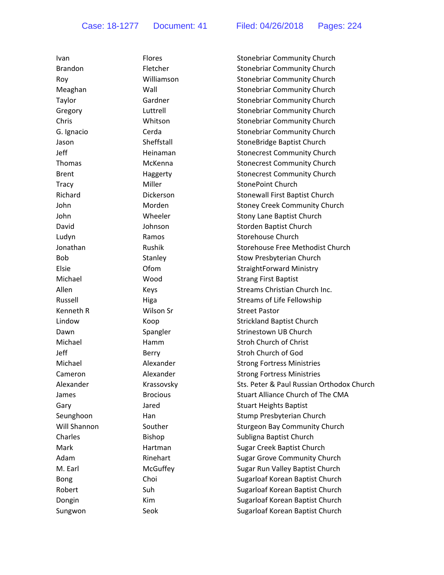| Ivan           | Flores          | <b>Stonebriar Community Church</b>        |
|----------------|-----------------|-------------------------------------------|
| <b>Brandon</b> | Fletcher        | <b>Stonebriar Community Church</b>        |
| Roy            | Williamson      | <b>Stonebriar Community Church</b>        |
| Meaghan        | Wall            | <b>Stonebriar Community Church</b>        |
| Taylor         | Gardner         | <b>Stonebriar Community Church</b>        |
| Gregory        | Luttrell        | <b>Stonebriar Community Church</b>        |
| Chris          | Whitson         | <b>Stonebriar Community Church</b>        |
| G. Ignacio     | Cerda           | <b>Stonebriar Community Church</b>        |
| Jason          | Sheffstall      | StoneBridge Baptist Church                |
| Jeff           | Heinaman        | <b>Stonecrest Community Church</b>        |
| <b>Thomas</b>  | McKenna         | <b>Stonecrest Community Church</b>        |
| <b>Brent</b>   | Haggerty        | <b>Stonecrest Community Church</b>        |
| Tracy          | Miller          | <b>StonePoint Church</b>                  |
| Richard        | Dickerson       | Stonewall First Baptist Church            |
| John           | Morden          | <b>Stoney Creek Community Church</b>      |
| John           | Wheeler         | Stony Lane Baptist Church                 |
| David          | Johnson         | Storden Baptist Church                    |
| Ludyn          | Ramos           | <b>Storehouse Church</b>                  |
| Jonathan       | Rushik          | Storehouse Free Methodist Church          |
| <b>Bob</b>     | Stanley         | Stow Presbyterian Church                  |
| Elsie          | Ofom            | <b>StraightForward Ministry</b>           |
| Michael        | Wood            | <b>Strang First Baptist</b>               |
| Allen          | Keys            | Streams Christian Church Inc.             |
| Russell        | Higa            | Streams of Life Fellowship                |
| Kenneth R      | Wilson Sr       | <b>Street Pastor</b>                      |
| Lindow         | Koop            | <b>Strickland Baptist Church</b>          |
| Dawn           | Spangler        | Strinestown UB Church                     |
| Michael        | Hamm            | <b>Stroh Church of Christ</b>             |
| Jeff           | Berry           | Stroh Church of God                       |
| Michael        | Alexander       | <b>Strong Fortress Ministries</b>         |
| Cameron        | Alexander       | <b>Strong Fortress Ministries</b>         |
| Alexander      | Krassovsky      | Sts. Peter & Paul Russian Orthodox Church |
| James          | <b>Brocious</b> | <b>Stuart Alliance Church of The CMA</b>  |
| Gary           | Jared           | <b>Stuart Heights Baptist</b>             |
| Seunghoon      | Han             | Stump Presbyterian Church                 |
| Will Shannon   | Souther         | <b>Sturgeon Bay Community Church</b>      |
| Charles        | Bishop          | Subligna Baptist Church                   |
| Mark           | Hartman         | Sugar Creek Baptist Church                |
| Adam           | Rinehart        | <b>Sugar Grove Community Church</b>       |
| M. Earl        | McGuffey        | Sugar Run Valley Baptist Church           |
| <b>Bong</b>    | Choi            | Sugarloaf Korean Baptist Church           |
| Robert         | Suh             | Sugarloaf Korean Baptist Church           |
| Dongin         | Kim             | Sugarloaf Korean Baptist Church           |
| Sungwon        | Seok            | Sugarloaf Korean Baptist Church           |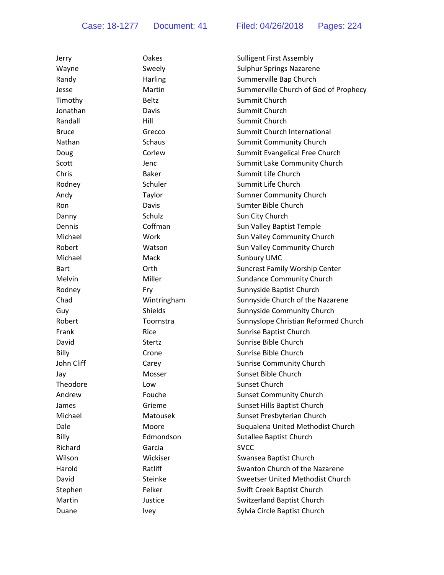| Jerry         | Oakes          | <b>Sulligent First Assembly</b>       |
|---------------|----------------|---------------------------------------|
| Wayne         | Sweely         | <b>Sulphur Springs Nazarene</b>       |
| Randy         | Harling        | Summerville Bap Church                |
| Jesse         | Martin         | Summerville Church of God of Prophecy |
| Timothy       | <b>Beltz</b>   | Summit Church                         |
| Jonathan      | Davis          | Summit Church                         |
| Randall       | Hill           | Summit Church                         |
| <b>Bruce</b>  | Grecco         | Summit Church International           |
| <b>Nathan</b> | <b>Schaus</b>  | Summit Community Church               |
| Doug          | Corlew         | Summit Evangelical Free Church        |
| Scott         | Jenc           | Summit Lake Community Church          |
| Chris         | <b>Baker</b>   | Summit Life Church                    |
| Rodney        | Schuler        | Summit Life Church                    |
| Andy          | Taylor         | <b>Sumner Community Church</b>        |
| Ron           | Davis          | Sumter Bible Church                   |
| Danny         | Schulz         | Sun City Church                       |
| Dennis        | Coffman        | Sun Valley Baptist Temple             |
| Michael       | Work           | Sun Valley Community Church           |
| Robert        | Watson         | Sun Valley Community Church           |
| Michael       | Mack           | <b>Sunbury UMC</b>                    |
| <b>Bart</b>   | Orth           | <b>Suncrest Family Worship Center</b> |
| Melvin        | Miller         | <b>Sundance Community Church</b>      |
| Rodney        | Fry            | Sunnyside Baptist Church              |
| Chad          | Wintringham    | Sunnyside Church of the Nazarene      |
| Guy           | <b>Shields</b> | Sunnyside Community Church            |
| Robert        | Toornstra      | Sunnyslope Christian Reformed Church  |
| Frank         | Rice           | Sunrise Baptist Church                |
| David         | Stertz         | Sunrise Bible Church                  |
| Billy         | Crone          | Sunrise Bible Church                  |
| John Cliff    | Carey          | <b>Sunrise Community Church</b>       |
| Jay           | Mosser         | Sunset Bible Church                   |
| Theodore      | Low            | Sunset Church                         |
| Andrew        | Fouche         | <b>Sunset Community Church</b>        |
| James         | Grieme         | Sunset Hills Baptist Church           |
| Michael       | Matousek       | Sunset Presbyterian Church            |
| Dale          | Moore          | Suqualena United Methodist Church     |
| Billy         | Edmondson      | <b>Sutallee Baptist Church</b>        |
| Richard       | Garcia         | <b>SVCC</b>                           |
| Wilson        | Wickiser       | Swansea Baptist Church                |
| Harold        | Ratliff        | Swanton Church of the Nazarene        |
| David         | Steinke        | Sweetser United Methodist Church      |
| Stephen       | Felker         | Swift Creek Baptist Church            |
| Martin        | Justice        | Switzerland Baptist Church            |
| Duane         | <b>Ivey</b>    | Sylvia Circle Baptist Church          |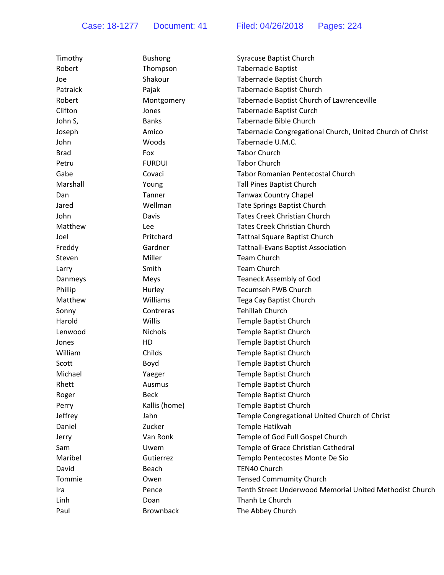| Timothy     | <b>Bushong</b> | Syracuse Baptist Church                                   |
|-------------|----------------|-----------------------------------------------------------|
| Robert      | Thompson       | <b>Tabernacle Baptist</b>                                 |
| Joe         | Shakour        | Tabernacle Baptist Church                                 |
| Patraick    | Pajak          | <b>Tabernacle Baptist Church</b>                          |
| Robert      | Montgomery     | Tabernacle Baptist Church of Lawrenceville                |
| Clifton     | Jones          | <b>Tabernacle Baptist Curch</b>                           |
| John S,     | <b>Banks</b>   | Tabernacle Bible Church                                   |
| Joseph      | Amico          | Tabernacle Congregational Church, United Church of Christ |
| John        | Woods          | Tabernacle U.M.C.                                         |
| <b>Brad</b> | Fox            | <b>Tabor Church</b>                                       |
| Petru       | <b>FURDUI</b>  | <b>Tabor Church</b>                                       |
| Gabe        | Covaci         | <b>Tabor Romanian Pentecostal Church</b>                  |
| Marshall    | Young          | Tall Pines Baptist Church                                 |
| Dan         | Tanner         | <b>Tanwax Country Chapel</b>                              |
| Jared       | Wellman        | <b>Tate Springs Baptist Church</b>                        |
| John        | Davis          | <b>Tates Creek Christian Church</b>                       |
| Matthew     | Lee            | <b>Tates Creek Christian Church</b>                       |
| Joel        | Pritchard      | <b>Tattnal Square Baptist Church</b>                      |
| Freddy      | Gardner        | <b>Tattnall-Evans Baptist Association</b>                 |
| Steven      | Miller         | <b>Team Church</b>                                        |
| Larry       | Smith          | <b>Team Church</b>                                        |
| Danmeys     | Meys           | <b>Teaneck Assembly of God</b>                            |
| Phillip     | Hurley         | Tecumseh FWB Church                                       |
| Matthew     | Williams       | Tega Cay Baptist Church                                   |
| Sonny       | Contreras      | <b>Tehillah Church</b>                                    |
| Harold      | Willis         | Temple Baptist Church                                     |
| Lenwood     | Nichols        | Temple Baptist Church                                     |
| Jones       | HD             | Temple Baptist Church                                     |
| William     | Childs         | Temple Baptist Church                                     |
| Scott       | Boyd           | Temple Baptist Church                                     |
| Michael     | Yaeger         | <b>Temple Baptist Church</b>                              |
| Rhett       | Ausmus         | <b>Temple Baptist Church</b>                              |
| Roger       | <b>Beck</b>    | Temple Baptist Church                                     |
| Perry       | Kallis (home)  | Temple Baptist Church                                     |
| Jeffrey     | Jahn           | Temple Congregational United Church of Christ             |
| Daniel      | Zucker         | Temple Hatikvah                                           |
| Jerry       | Van Ronk       | Temple of God Full Gospel Church                          |
| Sam         | Uwem           | Temple of Grace Christian Cathedral                       |
| Maribel     | Gutierrez      | Templo Pentecostes Monte De Sio                           |
| David       | Beach          | TEN40 Church                                              |
| Tommie      | Owen           | <b>Tensed Commumity Church</b>                            |
| Ira         | Pence          | Tenth Street Underwood Memorial United Methodist Church   |
| Linh        | Doan           | Thanh Le Church                                           |
| Paul        | Brownback      | The Abbey Church                                          |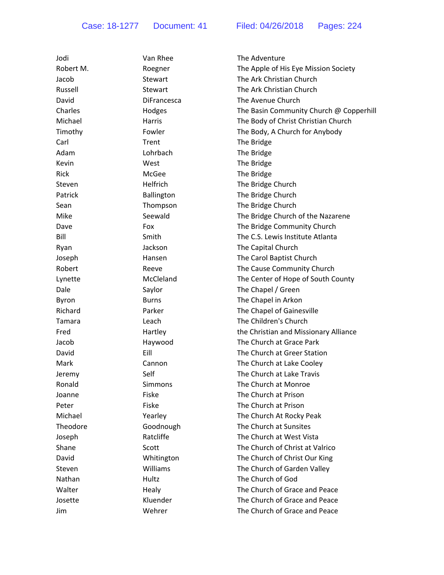| Jodi      | Van Rhee           | The Adventure                           |
|-----------|--------------------|-----------------------------------------|
| Robert M. | Roegner            | The Apple of His Eye Mission Society    |
| Jacob     | <b>Stewart</b>     | The Ark Christian Church                |
| Russell   | Stewart            | The Ark Christian Church                |
| David     | <b>DiFrancesca</b> | The Avenue Church                       |
| Charles   | Hodges             | The Basin Community Church @ Copperhill |
| Michael   | Harris             | The Body of Christ Christian Church     |
| Timothy   | Fowler             | The Body, A Church for Anybody          |
| Carl      | Trent              | The Bridge                              |
| Adam      | Lohrbach           | The Bridge                              |
| Kevin     | West               | The Bridge                              |
| Rick      | McGee              | The Bridge                              |
| Steven    | Helfrich           | The Bridge Church                       |
| Patrick   | <b>Ballington</b>  | The Bridge Church                       |
| Sean      | Thompson           | The Bridge Church                       |
| Mike      | Seewald            | The Bridge Church of the Nazarene       |
| Dave      | Fox                | The Bridge Community Church             |
| Bill      | Smith              | The C.S. Lewis Institute Atlanta        |
| Ryan      | Jackson            | The Capital Church                      |
| Joseph    | Hansen             | The Carol Baptist Church                |
| Robert    | Reeve              | The Cause Community Church              |
| Lynette   | McCleland          | The Center of Hope of South County      |
| Dale      | Saylor             | The Chapel / Green                      |
| Byron     | <b>Burns</b>       | The Chapel in Arkon                     |
| Richard   | Parker             | The Chapel of Gainesville               |
| Tamara    | Leach              | The Children's Church                   |
| Fred      | Hartley            | the Christian and Missionary Alliance   |
| Jacob     | Haywood            | The Church at Grace Park                |
| David     | Eill               | The Church at Greer Station             |
| Mark      | Cannon             | The Church at Lake Cooley               |
| Jeremy    | Self               | The Church at Lake Travis               |
| Ronald    | Simmons            | The Church at Monroe                    |
| Joanne    | Fiske              | The Church at Prison                    |
| Peter     | Fiske              | The Church at Prison                    |
| Michael   | Yearley            | The Church At Rocky Peak                |
| Theodore  | Goodnough          | The Church at Sunsites                  |
| Joseph    | Ratcliffe          | The Church at West Vista                |
| Shane     | Scott              | The Church of Christ at Valrico         |
| David     | Whitington         | The Church of Christ Our King           |
| Steven    | Williams           | The Church of Garden Valley             |
| Nathan    | Hultz              | The Church of God                       |
| Walter    | Healy              | The Church of Grace and Peace           |
| Josette   | Kluender           | The Church of Grace and Peace           |
| Jim       | Wehrer             | The Church of Grace and Peace           |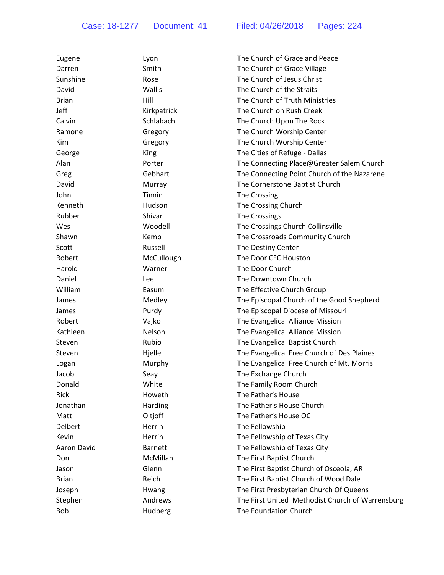| Eugene       | Lyon           | The Church of Grace and Peace                    |
|--------------|----------------|--------------------------------------------------|
| Darren       | Smith          | The Church of Grace Village                      |
| Sunshine     | Rose           | The Church of Jesus Christ                       |
| David        | Wallis         | The Church of the Straits                        |
| <b>Brian</b> | Hill           | The Church of Truth Ministries                   |
| Jeff         | Kirkpatrick    | The Church on Rush Creek                         |
| Calvin       | Schlabach      | The Church Upon The Rock                         |
| Ramone       | Gregory        | The Church Worship Center                        |
| Kim          | Gregory        | The Church Worship Center                        |
| George       | King           | The Cities of Refuge - Dallas                    |
| Alan         | Porter         | The Connecting Place@Greater Salem Church        |
| Greg         | Gebhart        | The Connecting Point Church of the Nazarene      |
| David        | Murray         | The Cornerstone Baptist Church                   |
| John         | Tinnin         | The Crossing                                     |
| Kenneth      | Hudson         | The Crossing Church                              |
| Rubber       | Shivar         | The Crossings                                    |
| Wes          | Woodell        | The Crossings Church Collinsville                |
| Shawn        | Kemp           | The Crossroads Community Church                  |
| Scott        | Russell        | The Destiny Center                               |
| Robert       | McCullough     | The Door CFC Houston                             |
| Harold       | Warner         | The Door Church                                  |
| Daniel       | Lee            | The Downtown Church                              |
| William      | Easum          | The Effective Church Group                       |
| James        | Medley         | The Episcopal Church of the Good Shepherd        |
| James        | Purdy          | The Episcopal Diocese of Missouri                |
| Robert       | Vajko          | The Evangelical Alliance Mission                 |
| Kathleen     | Nelson         | The Evangelical Alliance Mission                 |
| Steven       | Rubio          | The Evangelical Baptist Church                   |
| Steven       | Hjelle         | The Evangelical Free Church of Des Plaines       |
| Logan        | Murphy         | The Evangelical Free Church of Mt. Morris        |
| Jacob        | Seay           | The Exchange Church                              |
| Donald       | White          | The Family Room Church                           |
| Rick         | Howeth         | The Father's House                               |
| Jonathan     | Harding        | The Father's House Church                        |
| Matt         | Oltjoff        | The Father's House OC                            |
| Delbert      | Herrin         | The Fellowship                                   |
| Kevin        | Herrin         | The Fellowship of Texas City                     |
| Aaron David  | <b>Barnett</b> | The Fellowship of Texas City                     |
| Don          | McMillan       | The First Baptist Church                         |
| Jason        | Glenn          | The First Baptist Church of Osceola, AR          |
| <b>Brian</b> | Reich          | The First Baptist Church of Wood Dale            |
| Joseph       | Hwang          | The First Presbyterian Church Of Queens          |
| Stephen      | Andrews        | The First United Methodist Church of Warrensburg |
| Bob          | Hudberg        | The Foundation Church                            |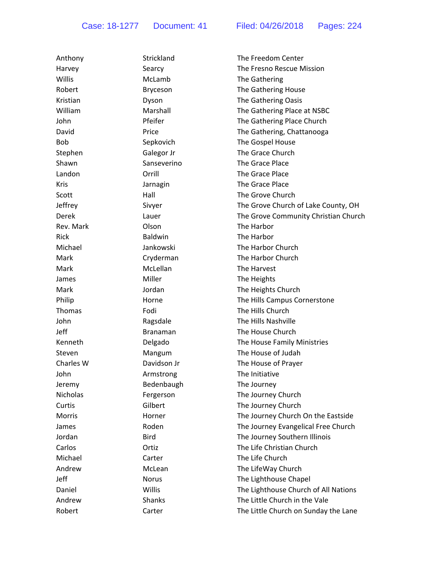| Anthony       | Strickland      | The Freedom Center                   |
|---------------|-----------------|--------------------------------------|
| Harvey        | Searcy          | The Fresno Rescue Mission            |
| Willis        | McLamb          | The Gathering                        |
| Robert        | Bryceson        | The Gathering House                  |
| Kristian      | Dyson           | The Gathering Oasis                  |
| William       | Marshall        | The Gathering Place at NSBC          |
| John          | Pfeifer         | The Gathering Place Church           |
| David         | Price           | The Gathering, Chattanooga           |
| <b>Bob</b>    | Sepkovich       | The Gospel House                     |
| Stephen       | Galegor Jr      | The Grace Church                     |
| Shawn         | Sanseverino     | The Grace Place                      |
| Landon        | Orrill          | The Grace Place                      |
| Kris          | Jarnagin        | The Grace Place                      |
| Scott         | Hall            | The Grove Church                     |
| Jeffrey       | Sivyer          | The Grove Church of Lake County, OH  |
| Derek         | Lauer           | The Grove Community Christian Church |
| Rev. Mark     | Olson           | The Harbor                           |
| Rick          | <b>Baldwin</b>  | The Harbor                           |
| Michael       | Jankowski       | The Harbor Church                    |
| Mark          | Cryderman       | The Harbor Church                    |
| Mark          | McLellan        | The Harvest                          |
| James         | Miller          | The Heights                          |
| Mark          | Jordan          | The Heights Church                   |
| Philip        | Horne           | The Hills Campus Cornerstone         |
| <b>Thomas</b> | Fodi            | The Hills Church                     |
| John          | Ragsdale        | The Hills Nashville                  |
| Jeff          | <b>Branaman</b> | The House Church                     |
| Kenneth       | Delgado         | The House Family Ministries          |
| Steven        | Mangum          | The House of Judah                   |
| Charles W     | Davidson Jr     | The House of Prayer                  |
| John          | Armstrong       | The Initiative                       |
| Jeremy        | Bedenbaugh      | The Journey                          |
| Nicholas      | Fergerson       | The Journey Church                   |
| Curtis        | Gilbert         | The Journey Church                   |
| Morris        | Horner          | The Journey Church On the Eastside   |
| James         | Roden           | The Journey Evangelical Free Church  |
| Jordan        | <b>Bird</b>     | The Journey Southern Illinois        |
| Carlos        | Ortiz           | The Life Christian Church            |
| Michael       | Carter          | The Life Church                      |
| Andrew        | McLean          | The LifeWay Church                   |
| Jeff          | <b>Norus</b>    | The Lighthouse Chapel                |
| Daniel        | Willis          | The Lighthouse Church of All Nations |
| Andrew        | Shanks          | The Little Church in the Vale        |
| Robert        | Carter          | The Little Church on Sunday the Lane |
|               |                 |                                      |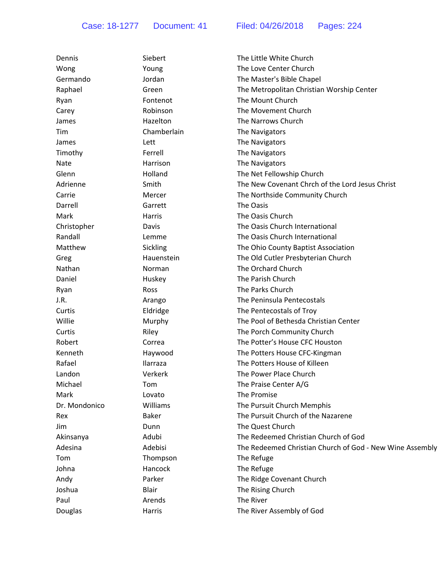| Dennis        | Siebert      | The Little White Church                                  |
|---------------|--------------|----------------------------------------------------------|
| Wong          | Young        | The Love Center Church                                   |
| Germando      | Jordan       | The Master's Bible Chapel                                |
| Raphael       | Green        | The Metropolitan Christian Worship Center                |
| Ryan          | Fontenot     | The Mount Church                                         |
| Carey         | Robinson     | The Movement Church                                      |
| James         | Hazelton     | The Narrows Church                                       |
| Tim           | Chamberlain  | The Navigators                                           |
| James         | Lett         | The Navigators                                           |
| Timothy       | Ferrell      | The Navigators                                           |
| <b>Nate</b>   | Harrison     | The Navigators                                           |
| Glenn         | Holland      | The Net Fellowship Church                                |
| Adrienne      | Smith        | The New Covenant Chrch of the Lord Jesus Christ          |
| Carrie        | Mercer       | The Northside Community Church                           |
| Darrell       | Garrett      | The Oasis                                                |
| Mark          | Harris       | The Oasis Church                                         |
| Christopher   | Davis        | The Oasis Church International                           |
| Randall       | Lemme        | The Oasis Church International                           |
| Matthew       | Sickling     | The Ohio County Baptist Association                      |
| Greg          | Hauenstein   | The Old Cutler Presbyterian Church                       |
| Nathan        | Norman       | The Orchard Church                                       |
| Daniel        | Huskey       | The Parish Church                                        |
| Ryan          | Ross         | The Parks Church                                         |
| J.R.          | Arango       | The Peninsula Pentecostals                               |
| Curtis        | Eldridge     | The Pentecostals of Troy                                 |
| Willie        | Murphy       | The Pool of Bethesda Christian Center                    |
| Curtis        | Riley        | The Porch Community Church                               |
| Robert        | Correa       | The Potter's House CFC Houston                           |
| Kenneth       | Haywood      | The Potters House CFC-Kingman                            |
| Rafael        | Ilarraza     | The Potters House of Killeen                             |
| Landon        | Verkerk      | The Power Place Church                                   |
| Michael       | Tom          | The Praise Center A/G                                    |
| Mark          | Lovato       | The Promise                                              |
| Dr. Mondonico | Williams     | The Pursuit Church Memphis                               |
| Rex           | <b>Baker</b> | The Pursuit Church of the Nazarene                       |
| <b>Jim</b>    | Dunn         | The Quest Church                                         |
| Akinsanya     | Adubi        | The Redeemed Christian Church of God                     |
| Adesina       | Adebisi      | The Redeemed Christian Church of God - New Wine Assembly |
| Tom           | Thompson     | The Refuge                                               |
| Johna         | Hancock      | The Refuge                                               |
| Andy          | Parker       | The Ridge Covenant Church                                |
| Joshua        | <b>Blair</b> | The Rising Church                                        |
| Paul          | Arends       | The River                                                |
| Douglas       | Harris       | The River Assembly of God                                |
|               |              |                                                          |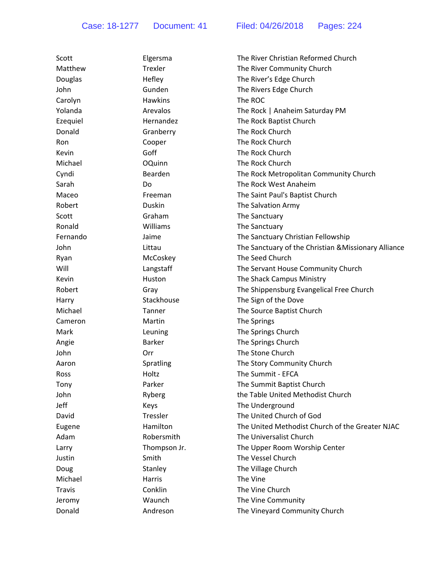| Scott         | Elgersma       | The River Christian Reformed Church                  |
|---------------|----------------|------------------------------------------------------|
| Matthew       | Trexler        | The River Community Church                           |
| Douglas       | Hefley         | The River's Edge Church                              |
| John          | Gunden         | The Rivers Edge Church                               |
| Carolyn       | <b>Hawkins</b> | The ROC                                              |
| Yolanda       | Arevalos       | The Rock   Anaheim Saturday PM                       |
| Ezequiel      | Hernandez      | The Rock Baptist Church                              |
| Donald        | Granberry      | The Rock Church                                      |
| Ron           | Cooper         | The Rock Church                                      |
| Kevin         | Goff           | The Rock Church                                      |
| Michael       | <b>OQuinn</b>  | The Rock Church                                      |
| Cyndi         | Bearden        | The Rock Metropolitan Community Church               |
| Sarah         | Do             | The Rock West Anaheim                                |
| Maceo         | Freeman        | The Saint Paul's Baptist Church                      |
| Robert        | Duskin         | The Salvation Army                                   |
| Scott         | Graham         | The Sanctuary                                        |
| Ronald        | Williams       | The Sanctuary                                        |
| Fernando      | Jaime          | The Sanctuary Christian Fellowship                   |
| John          | Littau         | The Sanctuary of the Christian & Missionary Alliance |
| Ryan          | McCoskey       | The Seed Church                                      |
| Will          | Langstaff      | The Servant House Community Church                   |
| Kevin         | Huston         | The Shack Campus Ministry                            |
| Robert        | Gray           | The Shippensburg Evangelical Free Church             |
| Harry         | Stackhouse     | The Sign of the Dove                                 |
| Michael       | Tanner         | The Source Baptist Church                            |
| Cameron       | Martin         | The Springs                                          |
| Mark          | Leuning        | The Springs Church                                   |
| Angie         | <b>Barker</b>  | The Springs Church                                   |
| John          | Orr            | The Stone Church                                     |
| Aaron         | Spratling      | The Story Community Church                           |
| Ross          | Holtz          | The Summit - EFCA                                    |
| Tony          | Parker         | The Summit Baptist Church                            |
| John          | Ryberg         | the Table United Methodist Church                    |
| Jeff          | Keys           | The Underground                                      |
| David         | Tressler       | The United Church of God                             |
| Eugene        | Hamilton       | The United Methodist Church of the Greater NJAC      |
| Adam          | Robersmith     | The Universalist Church                              |
| Larry         | Thompson Jr.   | The Upper Room Worship Center                        |
| Justin        | Smith          | The Vessel Church                                    |
| Doug          | Stanley        | The Village Church                                   |
| Michael       | Harris         | The Vine                                             |
| <b>Travis</b> | Conklin        | The Vine Church                                      |
| Jeromy        | Waunch         | The Vine Community                                   |
| Donald        | Andreson       | The Vineyard Community Church                        |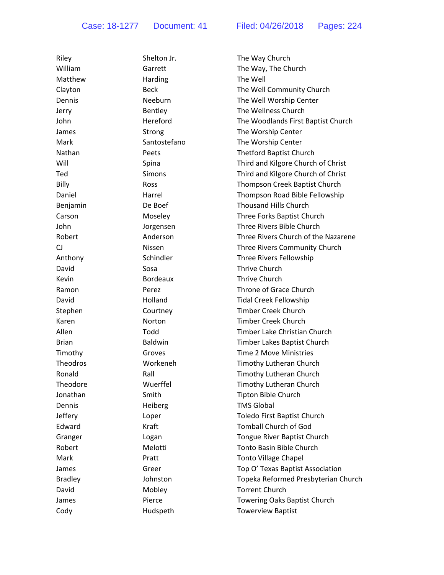| Riley          | Shelton Jr.     | The Way Church                      |
|----------------|-----------------|-------------------------------------|
| William        | Garrett         | The Way, The Church                 |
| Matthew        | Harding         | The Well                            |
| Clayton        | <b>Beck</b>     | The Well Community Church           |
| Dennis         | Neeburn         | The Well Worship Center             |
| Jerry          | Bentley         | The Wellness Church                 |
| John           | Hereford        | The Woodlands First Baptist Church  |
| James          | Strong          | The Worship Center                  |
| Mark           | Santostefano    | The Worship Center                  |
| Nathan         | Peets           | Thetford Baptist Church             |
| Will           | Spina           | Third and Kilgore Church of Christ  |
| Ted            | <b>Simons</b>   | Third and Kilgore Church of Christ  |
| Billy          | Ross            | Thompson Creek Baptist Church       |
| Daniel         | Harrel          | Thompson Road Bible Fellowship      |
| Benjamin       | De Boef         | <b>Thousand Hills Church</b>        |
| Carson         | Moseley         | Three Forks Baptist Church          |
| John           | Jorgensen       | Three Rivers Bible Church           |
| Robert         | Anderson        | Three Rivers Church of the Nazarene |
| CJ             | Nissen          | Three Rivers Community Church       |
| Anthony        | Schindler       | Three Rivers Fellowship             |
| David          | Sosa            | Thrive Church                       |
| Kevin          | <b>Bordeaux</b> | Thrive Church                       |
| Ramon          | Perez           | Throne of Grace Church              |
| David          | Holland         | <b>Tidal Creek Fellowship</b>       |
| Stephen        | Courtney        | <b>Timber Creek Church</b>          |
| Karen          | Norton          | <b>Timber Creek Church</b>          |
| Allen          | Todd            | Timber Lake Christian Church        |
| <b>Brian</b>   | <b>Baldwin</b>  | Timber Lakes Baptist Church         |
| Timothy        | Groves          | <b>Time 2 Move Ministries</b>       |
| Theodros       | Workeneh        | Timothy Lutheran Church             |
| Ronald         | Rall            | Timothy Lutheran Church             |
| Theodore       | Wuerffel        | Timothy Lutheran Church             |
| Jonathan       | Smith           | Tipton Bible Church                 |
| Dennis         | Heiberg         | <b>TMS Global</b>                   |
| Jeffery        | Loper           | Toledo First Baptist Church         |
| Edward         | Kraft           | <b>Tomball Church of God</b>        |
| Granger        | Logan           | Tongue River Baptist Church         |
| Robert         | Melotti         | Tonto Basin Bible Church            |
| Mark           | Pratt           | <b>Tonto Village Chapel</b>         |
| James          | Greer           | Top O' Texas Baptist Association    |
| <b>Bradley</b> | Johnston        | Topeka Reformed Presbyterian Church |
| David          | Mobley          | <b>Torrent Church</b>               |
| James          | Pierce          | Towering Oaks Baptist Church        |
| Cody           | Hudspeth        | <b>Towerview Baptist</b>            |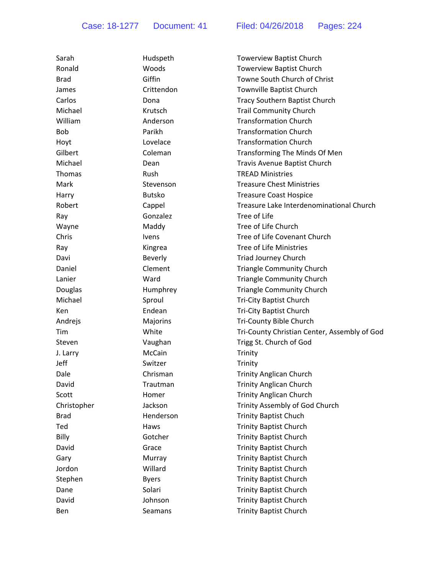| Sarah       | Hudspeth       | <b>Towerview Baptist Church</b>              |
|-------------|----------------|----------------------------------------------|
| Ronald      | Woods          | <b>Towerview Baptist Church</b>              |
| <b>Brad</b> | Giffin         | Towne South Church of Christ                 |
| James       | Crittendon     | Townville Baptist Church                     |
| Carlos      | Dona           | Tracy Southern Baptist Church                |
| Michael     | Krutsch        | <b>Trail Community Church</b>                |
| William     | Anderson       | <b>Transformation Church</b>                 |
| <b>Bob</b>  | Parikh         | <b>Transformation Church</b>                 |
| Hoyt        | Lovelace       | <b>Transformation Church</b>                 |
| Gilbert     | Coleman        | Transforming The Minds Of Men                |
| Michael     | Dean           | Travis Avenue Baptist Church                 |
| Thomas      | Rush           | <b>TREAD Ministries</b>                      |
| Mark        | Stevenson      | <b>Treasure Chest Ministries</b>             |
| Harry       | <b>Butsko</b>  | <b>Treasure Coast Hospice</b>                |
| Robert      | Cappel         | Treasure Lake Interdenominational Church     |
| Ray         | Gonzalez       | Tree of Life                                 |
| Wayne       | Maddy          | Tree of Life Church                          |
| Chris       | Ivens          | Tree of Life Covenant Church                 |
| Ray         | Kingrea        | Tree of Life Ministries                      |
| Davi        | <b>Beverly</b> | <b>Triad Journey Church</b>                  |
| Daniel      | Clement        | <b>Triangle Community Church</b>             |
| Lanier      | Ward           | <b>Triangle Community Church</b>             |
| Douglas     | Humphrey       | <b>Triangle Community Church</b>             |
| Michael     | Sproul         | Tri-City Baptist Church                      |
| Ken         | Endean         | Tri-City Baptist Church                      |
| Andrejs     | Majorins       | Tri-County Bible Church                      |
| Tim         | White          | Tri-County Christian Center, Assembly of God |
| Steven      | Vaughan        | Trigg St. Church of God                      |
| J. Larry    | McCain         | Trinity                                      |
| Jeff        | Switzer        | Trinity                                      |
| Dale        | Chrisman       | <b>Trinity Anglican Church</b>               |
| David       | Trautman       | <b>Trinity Anglican Church</b>               |
| Scott       | Homer          | <b>Trinity Anglican Church</b>               |
| Christopher | Jackson        | Trinity Assembly of God Church               |
| <b>Brad</b> | Henderson      | <b>Trinity Baptist Chuch</b>                 |
| Ted         | Haws           | <b>Trinity Baptist Church</b>                |
| Billy       | Gotcher        | <b>Trinity Baptist Church</b>                |
| David       | Grace          | <b>Trinity Baptist Church</b>                |
| Gary        | Murray         | <b>Trinity Baptist Church</b>                |
| Jordon      | Willard        | <b>Trinity Baptist Church</b>                |
| Stephen     | <b>Byers</b>   | <b>Trinity Baptist Church</b>                |
| Dane        | Solari         | <b>Trinity Baptist Church</b>                |
| David       | Johnson        | <b>Trinity Baptist Church</b>                |
| Ben         | Seamans        | <b>Trinity Baptist Church</b>                |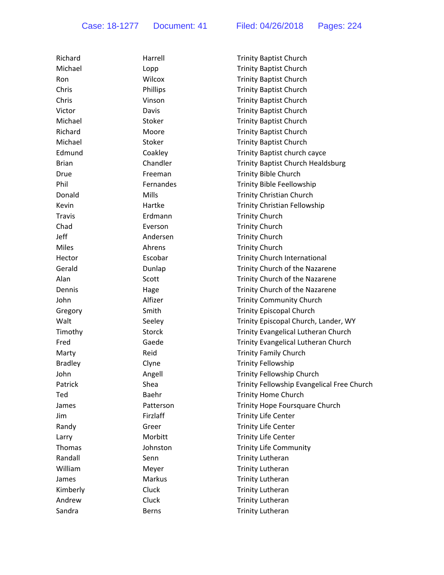| Richard        | Harrell       | <b>Trinity Baptist Church</b>              |
|----------------|---------------|--------------------------------------------|
| Michael        | Lopp          | <b>Trinity Baptist Church</b>              |
| Ron            | Wilcox        | <b>Trinity Baptist Church</b>              |
| Chris          | Phillips      | <b>Trinity Baptist Church</b>              |
| Chris          | Vinson        | <b>Trinity Baptist Church</b>              |
| Victor         | Davis         | <b>Trinity Baptist Church</b>              |
| Michael        | Stoker        | <b>Trinity Baptist Church</b>              |
| Richard        | Moore         | <b>Trinity Baptist Church</b>              |
| Michael        | Stoker        | <b>Trinity Baptist Church</b>              |
| Edmund         | Coakley       | Trinity Baptist church cayce               |
| <b>Brian</b>   | Chandler      | <b>Trinity Baptist Church Healdsburg</b>   |
| Drue           | Freeman       | Trinity Bible Church                       |
| Phil           | Fernandes     | <b>Trinity Bible Feellowship</b>           |
| Donald         | <b>Mills</b>  | <b>Trinity Christian Church</b>            |
| Kevin          | Hartke        | Trinity Christian Fellowship               |
| Travis         | Erdmann       | <b>Trinity Church</b>                      |
| Chad           | Everson       | <b>Trinity Church</b>                      |
| Jeff           | Andersen      | <b>Trinity Church</b>                      |
| <b>Miles</b>   | Ahrens        | <b>Trinity Church</b>                      |
| Hector         | Escobar       | Trinity Church International               |
| Gerald         | Dunlap        | Trinity Church of the Nazarene             |
| Alan           | Scott         | Trinity Church of the Nazarene             |
| Dennis         | Hage          | Trinity Church of the Nazarene             |
| John           | Alfizer       | <b>Trinity Community Church</b>            |
| Gregory        | Smith         | <b>Trinity Episcopal Church</b>            |
| Walt           | Seeley        | Trinity Episcopal Church, Lander, WY       |
| Timothy        | <b>Storck</b> | Trinity Evangelical Lutheran Church        |
| Fred           | Gaede         | Trinity Evangelical Lutheran Church        |
| Marty          | Reid          | <b>Trinity Family Church</b>               |
| <b>Bradley</b> | Clyne         | <b>Trinity Fellowship</b>                  |
| John           | Angell        | Trinity Fellowship Church                  |
| Patrick        | Shea          | Trinity Fellowship Evangelical Free Church |
| Ted            | Baehr         | <b>Trinity Home Church</b>                 |
| James          | Patterson     | Trinity Hope Foursquare Church             |
| Jim            | Firzlaff      | <b>Trinity Life Center</b>                 |
| Randy          | Greer         | <b>Trinity Life Center</b>                 |
| Larry          | Morbitt       | <b>Trinity Life Center</b>                 |
| Thomas         | Johnston      | <b>Trinity Life Community</b>              |
| Randall        | Senn          | <b>Trinity Lutheran</b>                    |
| William        | Meyer         | <b>Trinity Lutheran</b>                    |
| James          | Markus        | <b>Trinity Lutheran</b>                    |
| Kimberly       | Cluck         | <b>Trinity Lutheran</b>                    |
| Andrew         | Cluck         | <b>Trinity Lutheran</b>                    |
| Sandra         | <b>Berns</b>  | <b>Trinity Lutheran</b>                    |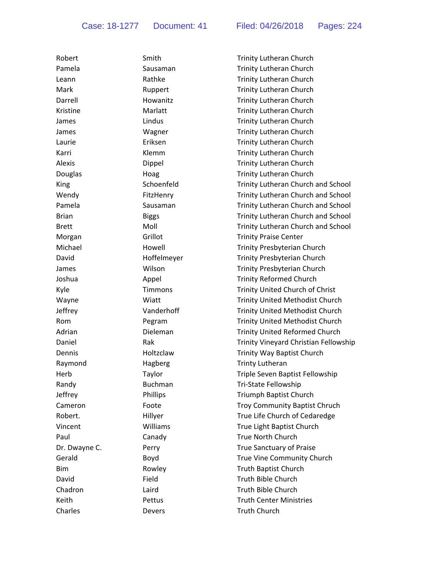| Robert        | Smith          | <b>Trinity Lutheran Church</b>        |
|---------------|----------------|---------------------------------------|
| Pamela        | Sausaman       | <b>Trinity Lutheran Church</b>        |
| Leann         | Rathke         | <b>Trinity Lutheran Church</b>        |
| Mark          | Ruppert        | <b>Trinity Lutheran Church</b>        |
| Darrell       | Howanitz       | <b>Trinity Lutheran Church</b>        |
| Kristine      | Marlatt        | <b>Trinity Lutheran Church</b>        |
| James         | Lindus         | <b>Trinity Lutheran Church</b>        |
| James         | Wagner         | <b>Trinity Lutheran Church</b>        |
| Laurie        | Eriksen        | Trinity Lutheran Church               |
| Karri         | Klemm          | <b>Trinity Lutheran Church</b>        |
| Alexis        | Dippel         | <b>Trinity Lutheran Church</b>        |
| Douglas       | Hoag           | <b>Trinity Lutheran Church</b>        |
| King          | Schoenfeld     | Trinity Lutheran Church and School    |
| Wendy         | FitzHenry      | Trinity Lutheran Church and School    |
| Pamela        | Sausaman       | Trinity Lutheran Church and School    |
| <b>Brian</b>  | <b>Biggs</b>   | Trinity Lutheran Church and School    |
| <b>Brett</b>  | Moll           | Trinity Lutheran Church and School    |
| Morgan        | Grillot        | <b>Trinity Praise Center</b>          |
| Michael       | Howell         | Trinity Presbyterian Church           |
| David         | Hoffelmeyer    | <b>Trinity Presbyterian Church</b>    |
| James         | Wilson         | Trinity Presbyterian Church           |
| Joshua        | Appel          | <b>Trinity Reformed Church</b>        |
| Kyle          | <b>Timmons</b> | Trinity United Church of Christ       |
| Wayne         | Wiatt          | Trinity United Methodist Church       |
| Jeffrey       | Vanderhoff     | Trinity United Methodist Church       |
| Rom           | Pegram         | Trinity United Methodist Church       |
| Adrian        | Dieleman       | <b>Trinity United Reformed Church</b> |
| Daniel        | Rak            | Trinity Vineyard Christian Fellowship |
| Dennis        | Holtzclaw      | Trinity Way Baptist Church            |
| Raymond       | Hagberg        | <b>Trinty Lutheran</b>                |
| Herb          | Taylor         | Triple Seven Baptist Fellowship       |
| Randy         | <b>Buchman</b> | Tri-State Fellowship                  |
| Jeffrey       | Phillips       | Triumph Baptist Church                |
| Cameron       | Foote          | Troy Community Baptist Chruch         |
| Robert.       | Hillyer        | True Life Church of Cedaredge         |
| Vincent       | Williams       | True Light Baptist Church             |
| Paul          | Canady         | <b>True North Church</b>              |
| Dr. Dwayne C. | Perry          | <b>True Sanctuary of Praise</b>       |
| Gerald        | Boyd           | True Vine Community Church            |
| <b>Bim</b>    | Rowley         | <b>Truth Baptist Church</b>           |
| David         | Field          | <b>Truth Bible Church</b>             |
| Chadron       | Laird          | <b>Truth Bible Church</b>             |
| Keith         | Pettus         | <b>Truth Center Ministries</b>        |
| Charles       | Devers         | <b>Truth Church</b>                   |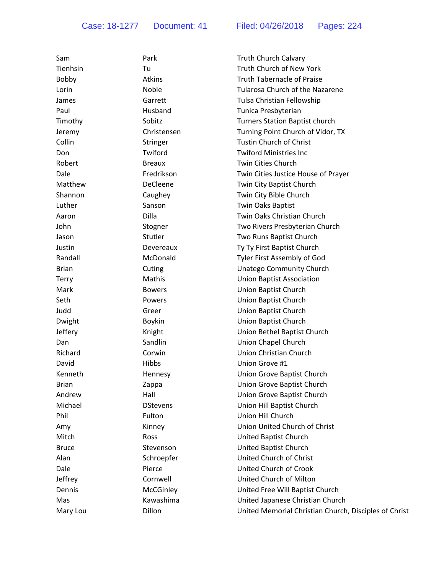| Sam          | Park            | Truth Church Calvary                                  |
|--------------|-----------------|-------------------------------------------------------|
| Tienhsin     | Tu              | Truth Church of New York                              |
| Bobby        | Atkins          | <b>Truth Tabernacle of Praise</b>                     |
| Lorin        | Noble           | Tularosa Church of the Nazarene                       |
| James        | Garrett         | Tulsa Christian Fellowship                            |
| Paul         | Husband         | Tunica Presbyterian                                   |
| Timothy      | Sobitz          | <b>Turners Station Baptist church</b>                 |
| Jeremy       | Christensen     | Turning Point Church of Vidor, TX                     |
| Collin       | Stringer        | Tustin Church of Christ                               |
| Don          | Twiford         | <b>Twiford Ministries Inc</b>                         |
| Robert       | <b>Breaux</b>   | <b>Twin Cities Church</b>                             |
| Dale         | Fredrikson      | Twin Cities Justice House of Prayer                   |
| Matthew      | DeCleene        | Twin City Baptist Church                              |
| Shannon      | Caughey         | Twin City Bible Church                                |
| Luther       | Sanson          | Twin Oaks Baptist                                     |
| Aaron        | Dilla           | Twin Oaks Christian Church                            |
| John         | Stogner         | Two Rivers Presbyterian Church                        |
| Jason        | Stutler         | Two Runs Baptist Church                               |
| Justin       | Devereaux       | Ty Ty First Baptist Church                            |
| Randall      | McDonald        | Tyler First Assembly of God                           |
| <b>Brian</b> | Cuting          | <b>Unatego Community Church</b>                       |
| Terry        | Mathis          | <b>Union Baptist Association</b>                      |
| Mark         | <b>Bowers</b>   | Union Baptist Church                                  |
| Seth         | Powers          | Union Baptist Church                                  |
| Judd         | Greer           | Union Baptist Church                                  |
| Dwight       | Boykin          | Union Baptist Church                                  |
| Jeffery      | Knight          | Union Bethel Baptist Church                           |
| Dan          | Sandlin         | Union Chapel Church                                   |
| Richard      | Corwin          | Union Christian Church                                |
| David        | Hibbs           | Union Grove #1                                        |
| Kenneth      | Hennesy         | Union Grove Baptist Church                            |
| <b>Brian</b> | Zappa           | Union Grove Baptist Church                            |
| Andrew       | Hall            | Union Grove Baptist Church                            |
| Michael      | <b>DStevens</b> | Union Hill Baptist Church                             |
| Phil         | Fulton          | Union Hill Church                                     |
| Amy          | Kinney          | Union United Church of Christ                         |
| Mitch        | Ross            | United Baptist Church                                 |
| <b>Bruce</b> | Stevenson       | United Baptist Church                                 |
| Alan         | Schroepfer      | United Church of Christ                               |
| Dale         | Pierce          | United Church of Crook                                |
| Jeffrey      | Cornwell        | United Church of Milton                               |
| Dennis       | McCGinley       | United Free Will Baptist Church                       |
| Mas          | Kawashima       | United Japanese Christian Church                      |
| Mary Lou     | Dillon          | United Memorial Christian Church, Disciples of Christ |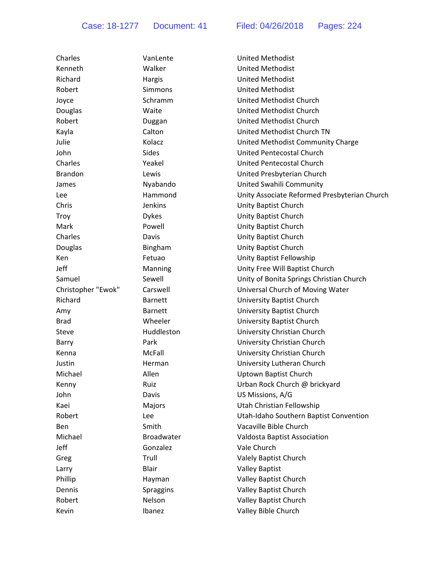| Charles            | VanLente          | <b>United Methodist</b>                      |
|--------------------|-------------------|----------------------------------------------|
| Kenneth            | Walker            | <b>United Methodist</b>                      |
| Richard            | Hargis            | <b>United Methodist</b>                      |
| Robert             | <b>Simmons</b>    | <b>United Methodist</b>                      |
| Joyce              | Schramm           | United Methodist Church                      |
| Douglas            | Waite             | United Methodist Church                      |
| Robert             | Duggan            | United Methodist Church                      |
| Kayla              | Calton            | United Methodist Church TN                   |
| Julie              | Kolacz            | United Methodist Community Charge            |
| John               | Sides             | United Pentecostal Church                    |
| Charles            | Yeakel            | United Pentecostal Church                    |
| <b>Brandon</b>     | Lewis             | United Presbyterian Church                   |
| James              | Nyabando          | United Swahili Community                     |
| Lee                | Hammond           | Unity Associate Reformed Presbyterian Church |
| Chris              | <b>Jenkins</b>    | Unity Baptist Church                         |
| Troy               | <b>Dykes</b>      | Unity Baptist Church                         |
| Mark               | Powell            | Unity Baptist Church                         |
| Charles            | Davis             | Unity Baptist Church                         |
| Douglas            | Bingham           | Unity Baptist Church                         |
| Ken                | Fetuao            | Unity Baptist Fellowship                     |
| Jeff               | Manning           | Unity Free Will Baptist Church               |
| Samuel             | Sewell            | Unity of Bonita Springs Christian Church     |
| Christopher "Ewok" | Carswell          | Universal Church of Moving Water             |
| Richard            | <b>Barnett</b>    | University Baptist Church                    |
| Amy                | <b>Barnett</b>    | University Baptist Church                    |
| <b>Brad</b>        | Wheeler           | University Baptist Church                    |
| Steve              | Huddleston        | University Christian Church                  |
| Barry              | Park              | University Christian Church                  |
| Kenna              | McFall            | University Christian Church                  |
| Justin             | Herman            | University Lutheran Church                   |
| Michael            | Allen             | Uptown Baptist Church                        |
| Kenny              | Ruiz              | Urban Rock Church @ brickyard                |
| John               | Davis             | US Missions, A/G                             |
| Kaei               | Majors            | Utah Christian Fellowship                    |
| Robert             | Lee               | Utah-Idaho Southern Baptist Convention       |
| Ben                | Smith             | Vacaville Bible Church                       |
| Michael            | <b>Broadwater</b> | Valdosta Baptist Association                 |
| Jeff               | Gonzalez          | Vale Church                                  |
| Greg               | Trull             | Valely Baptist Church                        |
| Larry              | <b>Blair</b>      | <b>Valley Baptist</b>                        |
| Phillip            | Hayman            | Valley Baptist Church                        |
| Dennis             | Spraggins         | Valley Baptist Church                        |
| Robert             | Nelson            | Valley Baptist Church                        |
| Kevin              | Ibanez            | Valley Bible Church                          |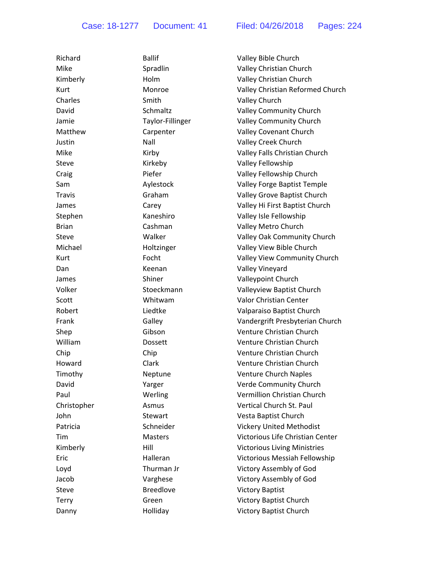| Richard       | <b>Ballif</b>    | Valley Bible Church                 |
|---------------|------------------|-------------------------------------|
| Mike          | Spradlin         | Valley Christian Church             |
| Kimberly      | Holm             | Valley Christian Church             |
| Kurt          | Monroe           | Valley Christian Reformed Church    |
| Charles       | Smith            | Valley Church                       |
| David         | Schmaltz         | Valley Community Church             |
| Jamie         | Taylor-Fillinger | Valley Community Church             |
| Matthew       | Carpenter        | Valley Covenant Church              |
| Justin        | Nall             | Valley Creek Church                 |
| Mike          | Kirby            | Valley Falls Christian Church       |
| Steve         | Kirkeby          | Valley Fellowship                   |
| Craig         | Piefer           | Valley Fellowship Church            |
| Sam           | Aylestock        | Valley Forge Baptist Temple         |
| <b>Travis</b> | Graham           | Valley Grove Baptist Church         |
| James         | Carey            | Valley Hi First Baptist Church      |
| Stephen       | Kaneshiro        | Valley Isle Fellowship              |
| <b>Brian</b>  | Cashman          | Valley Metro Church                 |
| Steve         | Walker           | Valley Oak Community Church         |
| Michael       | Holtzinger       | Valley View Bible Church            |
| Kurt          | Focht            | Valley View Community Church        |
| Dan           | Keenan           | Valley Vineyard                     |
| James         | Shiner           | Valleypoint Church                  |
| Volker        | Stoeckmann       | Valleyview Baptist Church           |
| Scott         | Whitwam          | Valor Christian Center              |
| Robert        | Liedtke          | Valparaiso Baptist Church           |
| Frank         | Galley           | Vandergrift Presbyterian Church     |
| Shep          | Gibson           | Venture Christian Church            |
| William       | Dossett          | Venture Christian Church            |
| Chip          | Chip             | Venture Christian Church            |
| Howard        | Clark            | Venture Christian Church            |
| Timothy       | Neptune          | Venture Church Naples               |
| David         | Yarger           | Verde Community Church              |
| Paul          | Werling          | Vermillion Christian Church         |
| Christopher   | Asmus            | Vertical Church St. Paul            |
| John          | Stewart          | Vesta Baptist Church                |
| Patricia      | Schneider        | <b>Vickery United Methodist</b>     |
| <b>Tim</b>    | <b>Masters</b>   | Victorious Life Christian Center    |
| Kimberly      | Hill             | <b>Victorious Living Ministries</b> |
| Eric          | Halleran         | Victorious Messiah Fellowship       |
| Loyd          | Thurman Jr       | Victory Assembly of God             |
| Jacob         | Varghese         | Victory Assembly of God             |
| Steve         | <b>Breedlove</b> | <b>Victory Baptist</b>              |
| <b>Terry</b>  | Green            | <b>Victory Baptist Church</b>       |
| Danny         | Holliday         | Victory Baptist Church              |
|               |                  |                                     |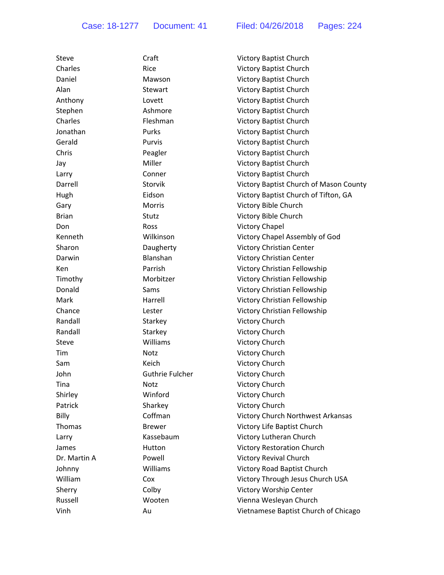| Steve        | Craft           | Victory Baptist Church                 |
|--------------|-----------------|----------------------------------------|
| Charles      | Rice            | Victory Baptist Church                 |
| Daniel       | Mawson          | Victory Baptist Church                 |
| Alan         | <b>Stewart</b>  | <b>Victory Baptist Church</b>          |
| Anthony      | Lovett          | Victory Baptist Church                 |
| Stephen      | Ashmore         | Victory Baptist Church                 |
| Charles      | Fleshman        | Victory Baptist Church                 |
| Jonathan     | Purks           | Victory Baptist Church                 |
| Gerald       | Purvis          | <b>Victory Baptist Church</b>          |
| Chris        | Peagler         | <b>Victory Baptist Church</b>          |
| Jay          | Miller          | Victory Baptist Church                 |
| Larry        | Conner          | Victory Baptist Church                 |
| Darrell      | Storvik         | Victory Baptist Church of Mason County |
| Hugh         | Eidson          | Victory Baptist Church of Tifton, GA   |
| Gary         | <b>Morris</b>   | Victory Bible Church                   |
| <b>Brian</b> | Stutz           | Victory Bible Church                   |
| Don          | Ross            | <b>Victory Chapel</b>                  |
| Kenneth      | Wilkinson       | Victory Chapel Assembly of God         |
| Sharon       | Daugherty       | Victory Christian Center               |
| Darwin       | Blanshan        | Victory Christian Center               |
| Ken          | Parrish         | Victory Christian Fellowship           |
| Timothy      | Morbitzer       | Victory Christian Fellowship           |
| Donald       | Sams            | Victory Christian Fellowship           |
| Mark         | Harrell         | Victory Christian Fellowship           |
| Chance       | Lester          | Victory Christian Fellowship           |
| Randall      | Starkey         | Victory Church                         |
| Randall      | Starkey         | Victory Church                         |
| Steve        | Williams        | Victory Church                         |
| Tim          | <b>Notz</b>     | Victory Church                         |
| Sam          | Keich           | Victory Church                         |
| John         | Guthrie Fulcher | Victory Church                         |
| Tina         | <b>Notz</b>     | <b>Victory Church</b>                  |
| Shirley      | Winford         | Victory Church                         |
| Patrick      | Sharkey         | Victory Church                         |
| Billy        | Coffman         | Victory Church Northwest Arkansas      |
| Thomas       | <b>Brewer</b>   | Victory Life Baptist Church            |
| Larry        | Kassebaum       | Victory Lutheran Church                |
| James        | Hutton          | <b>Victory Restoration Church</b>      |
| Dr. Martin A | Powell          | Victory Revival Church                 |
| Johnny       | Williams        | Victory Road Baptist Church            |
| William      | Cox             | Victory Through Jesus Church USA       |
| Sherry       | Colby           | Victory Worship Center                 |
| Russell      | Wooten          | Vienna Wesleyan Church                 |
| Vinh         | Au              | Vietnamese Baptist Church of Chicago   |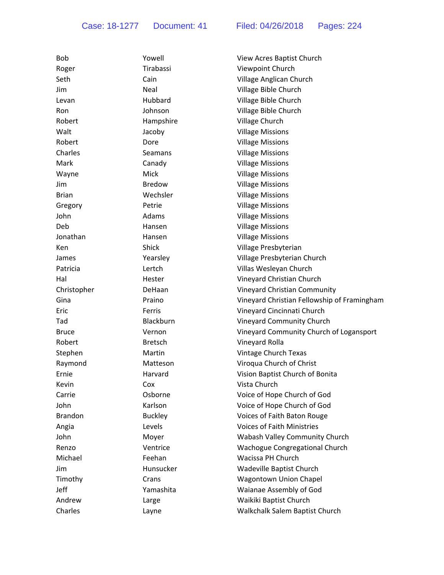| Bob            | Yowell         | View Acres Baptist Church                   |
|----------------|----------------|---------------------------------------------|
| Roger          | Tirabassi      | Viewpoint Church                            |
| Seth           | Cain           | Village Anglican Church                     |
| Jim            | Neal           | Village Bible Church                        |
| Levan          | Hubbard        | Village Bible Church                        |
| Ron            | Johnson        | Village Bible Church                        |
| Robert         | Hampshire      | Village Church                              |
| Walt           | Jacoby         | <b>Village Missions</b>                     |
| Robert         | Dore           | <b>Village Missions</b>                     |
| Charles        | Seamans        | <b>Village Missions</b>                     |
| Mark           | Canady         | <b>Village Missions</b>                     |
| Wayne          | Mick           | <b>Village Missions</b>                     |
| Jim            | <b>Bredow</b>  | <b>Village Missions</b>                     |
| <b>Brian</b>   | Wechsler       | <b>Village Missions</b>                     |
| Gregory        | Petrie         | <b>Village Missions</b>                     |
| John           | Adams          | <b>Village Missions</b>                     |
| Deb            | Hansen         | <b>Village Missions</b>                     |
| Jonathan       | Hansen         | <b>Village Missions</b>                     |
| Ken            | Shick          | Village Presbyterian                        |
| James          | Yearsley       | Village Presbyterian Church                 |
| Patricia       | Lertch         | Villas Wesleyan Church                      |
| Hal            | Hester         | Vineyard Christian Church                   |
| Christopher    | DeHaan         | Vineyard Christian Community                |
| Gina           | Praino         | Vineyard Christian Fellowship of Framingham |
| Eric           | Ferris         | Vineyard Cincinnati Church                  |
| Tad            | Blackburn      | Vineyard Community Church                   |
| <b>Bruce</b>   | Vernon         | Vineyard Community Church of Logansport     |
| Robert         | <b>Bretsch</b> | Vineyard Rolla                              |
| Stephen        | Martin         | Vintage Church Texas                        |
| Raymond        | Matteson       | Viroqua Church of Christ                    |
| Ernie          | Harvard        | Vision Baptist Church of Bonita             |
| Kevin          | Cox            | Vista Church                                |
| Carrie         | Osborne        | Voice of Hope Church of God                 |
| John           | Karlson        | Voice of Hope Church of God                 |
| <b>Brandon</b> | <b>Buckley</b> | Voices of Faith Baton Rouge                 |
| Angia          | Levels         | <b>Voices of Faith Ministries</b>           |
| John           | Moyer          | <b>Wabash Valley Community Church</b>       |
| Renzo          | Ventrice       | Wachogue Congregational Church              |
| Michael        | Feehan         | Wacissa PH Church                           |
| Jim            | Hunsucker      | Wadeville Baptist Church                    |
| Timothy        | Crans          | Wagontown Union Chapel                      |
| Jeff           | Yamashita      | Waianae Assembly of God                     |
| Andrew         | Large          | Waikiki Baptist Church                      |
| Charles        | Layne          | Walkchalk Salem Baptist Church              |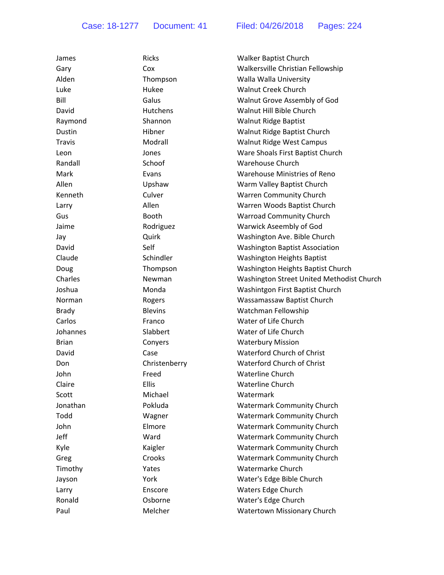| James         | <b>Ricks</b>   | Walker Baptist Church                     |
|---------------|----------------|-------------------------------------------|
| Gary          | Cox            | Walkersville Christian Fellowship         |
| Alden         | Thompson       | Walla Walla University                    |
| Luke          | Hukee          | <b>Walnut Creek Church</b>                |
| Bill          | Galus          | Walnut Grove Assembly of God              |
| David         | Hutchens       | Walnut Hill Bible Church                  |
| Raymond       | Shannon        | Walnut Ridge Baptist                      |
| Dustin        | Hibner         | Walnut Ridge Baptist Church               |
| <b>Travis</b> | Modrall        | <b>Walnut Ridge West Campus</b>           |
| Leon          | Jones          | Ware Shoals First Baptist Church          |
| Randall       | Schoof         | <b>Warehouse Church</b>                   |
| Mark          | Evans          | Warehouse Ministries of Reno              |
| Allen         | Upshaw         | Warm Valley Baptist Church                |
| Kenneth       | Culver         | <b>Warren Community Church</b>            |
| Larry         | Allen          | Warren Woods Baptist Church               |
| Gus           | <b>Booth</b>   | <b>Warroad Community Church</b>           |
| Jaime         | Rodriguez      | Warwick Aseembly of God                   |
| Jay           | Quirk          | Washington Ave. Bible Church              |
| David         | Self           | <b>Washington Baptist Association</b>     |
| Claude        | Schindler      | <b>Washington Heights Baptist</b>         |
| Doug          | Thompson       | Washington Heights Baptist Church         |
| Charles       | Newman         | Washington Street United Methodist Church |
| Joshua        | Monda          | Washintgon First Baptist Church           |
| Norman        | Rogers         | Wassamassaw Baptist Church                |
| <b>Brady</b>  | <b>Blevins</b> | Watchman Fellowship                       |
| Carlos        | Franco         | Water of Life Church                      |
| Johannes      | Slabbert       | Water of Life Church                      |
| <b>Brian</b>  | Conyers        | <b>Waterbury Mission</b>                  |
| David         | Case           | Waterford Church of Christ                |
| Don           | Christenberry  | Waterford Church of Christ                |
| John          | Freed          | <b>Waterline Church</b>                   |
| Claire        | <b>Ellis</b>   | Waterline Church                          |
| Scott         | Michael        | Watermark                                 |
| Jonathan      | Pokluda        | <b>Watermark Community Church</b>         |
| Todd          | Wagner         | <b>Watermark Community Church</b>         |
| John          | Elmore         | <b>Watermark Community Church</b>         |
| Jeff          | Ward           | <b>Watermark Community Church</b>         |
| Kyle          | Kaigler        | <b>Watermark Community Church</b>         |
| Greg          | Crooks         | <b>Watermark Community Church</b>         |
| Timothy       | Yates          | <b>Watermarke Church</b>                  |
| Jayson        | York           | Water's Edge Bible Church                 |
| Larry         | Enscore        | Waters Edge Church                        |
| Ronald        | Osborne        | Water's Edge Church                       |
| Paul          | Melcher        | Watertown Missionary Church               |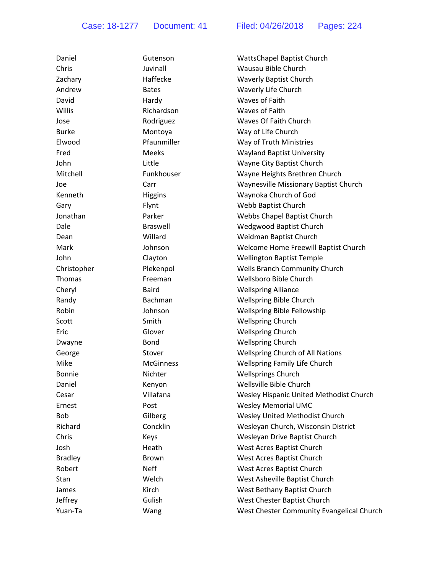| Daniel         | Gutenson         | WattsChapel Baptist Church                |
|----------------|------------------|-------------------------------------------|
| Chris          | Juvinall         | Wausau Bible Church                       |
| Zachary        | Haffecke         | <b>Waverly Baptist Church</b>             |
| Andrew         | <b>Bates</b>     | Waverly Life Church                       |
| David          | Hardy            | Waves of Faith                            |
| Willis         | Richardson       | Waves of Faith                            |
| Jose           | Rodriguez        | Waves Of Faith Church                     |
| <b>Burke</b>   | Montoya          | Way of Life Church                        |
| Elwood         | Pfaunmiller      | Way of Truth Ministries                   |
| Fred           | Meeks            | <b>Wayland Baptist University</b>         |
| John           | Little           | Wayne City Baptist Church                 |
| Mitchell       | Funkhouser       | Wayne Heights Brethren Church             |
| Joe            | Carr             | Waynesville Missionary Baptist Church     |
| Kenneth        | <b>Higgins</b>   | Waynoka Church of God                     |
| Gary           | Flynt            | Webb Baptist Church                       |
| Jonathan       | Parker           | Webbs Chapel Baptist Church               |
| Dale           | <b>Braswell</b>  | Wedgwood Baptist Church                   |
| Dean           | Willard          | Weidman Baptist Church                    |
| Mark           | Johnson          | Welcome Home Freewill Baptist Church      |
| John           | Clayton          | <b>Wellington Baptist Temple</b>          |
| Christopher    | Plekenpol        | Wells Branch Community Church             |
| Thomas         | Freeman          | Wellsboro Bible Church                    |
| Cheryl         | <b>Baird</b>     | <b>Wellspring Alliance</b>                |
| Randy          | Bachman          | Wellspring Bible Church                   |
| Robin          | Johnson          | Wellspring Bible Fellowship               |
| Scott          | Smith            | Wellspring Church                         |
| Eric           | Glover           | <b>Wellspring Church</b>                  |
| Dwayne         | <b>Bond</b>      | <b>Wellspring Church</b>                  |
| George         | Stover           | Wellspring Church of All Nations          |
| Mike           | <b>McGinness</b> | <b>Wellspring Family Life Church</b>      |
| <b>Bonnie</b>  | Nichter          | <b>Wellsprings Church</b>                 |
| Daniel         | Kenyon           | Wellsville Bible Church                   |
| Cesar          | Villafana        | Wesley Hispanic United Methodist Church   |
| Ernest         | Post             | <b>Wesley Memorial UMC</b>                |
| Bob            | Gilberg          | Wesley United Methodist Church            |
| Richard        | Concklin         | Wesleyan Church, Wisconsin District       |
| Chris          | Keys             | Wesleyan Drive Baptist Church             |
| Josh           | Heath            | West Acres Baptist Church                 |
| <b>Bradley</b> | Brown            | West Acres Baptist Church                 |
| Robert         | <b>Neff</b>      | West Acres Baptist Church                 |
| Stan           | Welch            | West Asheville Baptist Church             |
| James          | Kirch            | West Bethany Baptist Church               |
| Jeffrey        | Gulish           | West Chester Baptist Church               |
| Yuan-Ta        | Wang             | West Chester Community Evangelical Church |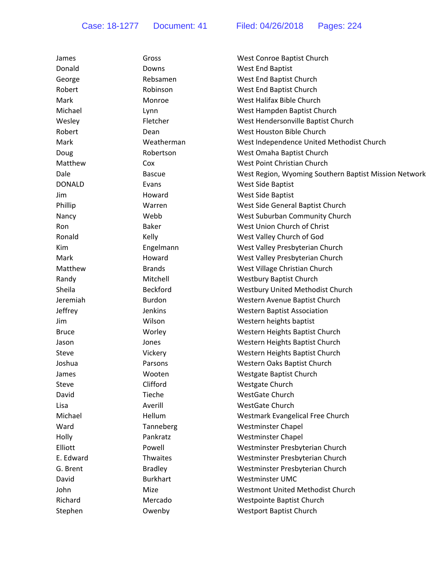| James         | Gross           | West Conroe Baptist Church                            |
|---------------|-----------------|-------------------------------------------------------|
| Donald        | Downs           | West End Baptist                                      |
| George        | Rebsamen        | West End Baptist Church                               |
| Robert        | Robinson        | West End Baptist Church                               |
| Mark          | Monroe          | West Halifax Bible Church                             |
| Michael       | Lynn            | West Hampden Baptist Church                           |
| Wesley        | Fletcher        | West Hendersonville Baptist Church                    |
| Robert        | Dean            | West Houston Bible Church                             |
| Mark          | Weatherman      | West Independence United Methodist Church             |
| Doug          | Robertson       | West Omaha Baptist Church                             |
| Matthew       | Cox             | West Point Christian Church                           |
| Dale          | <b>Bascue</b>   | West Region, Wyoming Southern Baptist Mission Network |
| <b>DONALD</b> | Evans           | West Side Baptist                                     |
| Jim           | Howard          | West Side Baptist                                     |
| Phillip       | Warren          | West Side General Baptist Church                      |
| Nancy         | Webb            | West Suburban Community Church                        |
| Ron           | <b>Baker</b>    | West Union Church of Christ                           |
| Ronald        | Kelly           | West Valley Church of God                             |
| Kim           | Engelmann       | West Valley Presbyterian Church                       |
| Mark          | Howard          | West Valley Presbyterian Church                       |
| Matthew       | <b>Brands</b>   | West Village Christian Church                         |
| Randy         | Mitchell        | <b>Westbury Baptist Church</b>                        |
| Sheila        | <b>Beckford</b> | Westbury United Methodist Church                      |
| Jeremiah      | <b>Burdon</b>   | Western Avenue Baptist Church                         |
| Jeffrey       | Jenkins         | <b>Western Baptist Association</b>                    |
| Jim           | Wilson          | Western heights baptist                               |
| <b>Bruce</b>  | Worley          | Western Heights Baptist Church                        |
| Jason         | Jones           | Western Heights Baptist Church                        |
| Steve         | Vickery         | Western Heights Baptist Church                        |
| Joshua        | Parsons         | Western Oaks Baptist Church                           |
| James         | Wooten          | Westgate Baptist Church                               |
| Steve         | Clifford        | Westgate Church                                       |
| David         | Tieche          | <b>WestGate Church</b>                                |
| Lisa          | Averill         | <b>WestGate Church</b>                                |
| Michael       | Hellum          | Westmark Evangelical Free Church                      |
| Ward          | Tanneberg       | <b>Westminster Chapel</b>                             |
| Holly         | Pankratz        | <b>Westminster Chapel</b>                             |
| Elliott       | Powell          | Westminster Presbyterian Church                       |
| E. Edward     | Thwaites        | Westminster Presbyterian Church                       |
| G. Brent      | <b>Bradley</b>  | Westminster Presbyterian Church                       |
| David         | <b>Burkhart</b> | <b>Westminster UMC</b>                                |
| John          | Mize            | Westmont United Methodist Church                      |
| Richard       | Mercado         | Westpointe Baptist Church                             |
| Stephen       | Owenby          | <b>Westport Baptist Church</b>                        |
|               |                 |                                                       |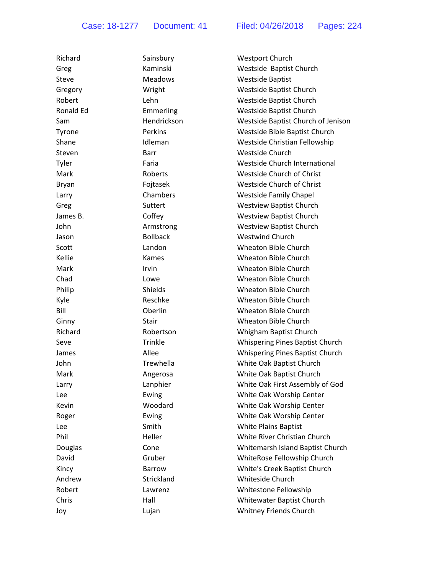| Richard   | Sainsbury       | Westport Church                    |
|-----------|-----------------|------------------------------------|
| Greg      | Kaminski        | Westside Baptist Church            |
| Steve     | <b>Meadows</b>  | <b>Westside Baptist</b>            |
| Gregory   | Wright          | Westside Baptist Church            |
| Robert    | Lehn            | Westside Baptist Church            |
| Ronald Ed | Emmerling       | Westside Baptist Church            |
| Sam       | Hendrickson     | Westside Baptist Church of Jenison |
| Tyrone    | Perkins         | Westside Bible Baptist Church      |
| Shane     | Idleman         | Westside Christian Fellowship      |
| Steven    | Barr            | Westside Church                    |
| Tyler     | Faria           | Westside Church International      |
| Mark      | Roberts         | Westside Church of Christ          |
| Bryan     | Fojtasek        | Westside Church of Christ          |
| Larry     | Chambers        | <b>Westside Family Chapel</b>      |
| Greg      | Suttert         | <b>Westview Baptist Church</b>     |
| James B.  | Coffey          | <b>Westview Baptist Church</b>     |
| John      | Armstrong       | <b>Westview Baptist Church</b>     |
| Jason     | <b>Bollback</b> | <b>Westwind Church</b>             |
| Scott     | Landon          | <b>Wheaton Bible Church</b>        |
| Kellie    | Kames           | <b>Wheaton Bible Church</b>        |
| Mark      | Irvin           | Wheaton Bible Church               |
| Chad      | Lowe            | Wheaton Bible Church               |
| Philip    | Shields         | Wheaton Bible Church               |
| Kyle      | Reschke         | Wheaton Bible Church               |
| Bill      | Oberlin         | Wheaton Bible Church               |
| Ginny     | Stair           | Wheaton Bible Church               |
| Richard   | Robertson       | Whigham Baptist Church             |
| Seve      | Trinkle         | Whispering Pines Baptist Church    |
| James     | Allee           | Whispering Pines Baptist Church    |
| John      | Trewhella       | White Oak Baptist Church           |
| Mark      | Angerosa        | White Oak Baptist Church           |
| Larry     | Lanphier        | White Oak First Assembly of God    |
| Lee       | Ewing           | White Oak Worship Center           |
| Kevin     | Woodard         | White Oak Worship Center           |
| Roger     | Ewing           | White Oak Worship Center           |
| Lee       | Smith           | White Plains Baptist               |
| Phil      | Heller          | White River Christian Church       |
| Douglas   | Cone            | Whitemarsh Island Baptist Church   |
| David     | Gruber          | WhiteRose Fellowship Church        |
| Kincy     | <b>Barrow</b>   | White's Creek Baptist Church       |
| Andrew    | Strickland      | Whiteside Church                   |
| Robert    | Lawrenz         | Whitestone Fellowship              |
| Chris     | Hall            | Whitewater Baptist Church          |
| Joy       | Lujan           | Whitney Friends Church             |
|           |                 |                                    |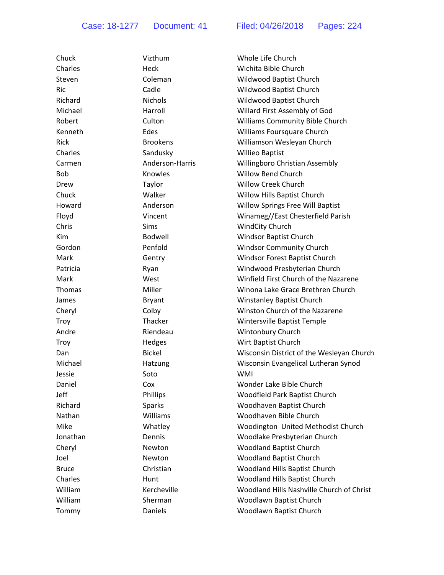| Chuck        | Vizthum         | Whole Life Church                         |
|--------------|-----------------|-------------------------------------------|
| Charles      | <b>Heck</b>     | Wichita Bible Church                      |
| Steven       | Coleman         | Wildwood Baptist Church                   |
| <b>Ric</b>   | Cadle           | Wildwood Baptist Church                   |
| Richard      | <b>Nichols</b>  | Wildwood Baptist Church                   |
| Michael      | Harroll         | Willard First Assembly of God             |
| Robert       | Culton          | Williams Community Bible Church           |
| Kenneth      | Edes            | Williams Foursquare Church                |
| Rick         | <b>Brookens</b> | Williamson Wesleyan Church                |
| Charles      | Sandusky        | <b>Willieo Baptist</b>                    |
| Carmen       | Anderson-Harris | Willingboro Christian Assembly            |
| <b>Bob</b>   | Knowles         | <b>Willow Bend Church</b>                 |
| Drew         | Taylor          | <b>Willow Creek Church</b>                |
| Chuck        | Walker          | Willow Hills Baptist Church               |
| Howard       | Anderson        | <b>Willow Springs Free Will Baptist</b>   |
| Floyd        | Vincent         | Winameg//East Chesterfield Parish         |
| Chris        | <b>Sims</b>     | <b>WindCity Church</b>                    |
| Kim          | <b>Bodwell</b>  | Windsor Baptist Church                    |
| Gordon       | Penfold         | <b>Windsor Community Church</b>           |
| Mark         | Gentry          | Windsor Forest Baptist Church             |
| Patricia     | Ryan            | Windwood Presbyterian Church              |
| Mark         | West            | Winfield First Church of the Nazarene     |
| Thomas       | Miller          | Winona Lake Grace Brethren Church         |
| James        | <b>Bryant</b>   | Winstanley Baptist Church                 |
| Cheryl       | Colby           | Winston Church of the Nazarene            |
| Troy         | Thacker         | Wintersville Baptist Temple               |
| Andre        | Riendeau        | Wintonbury Church                         |
| Troy         | Hedges          | Wirt Baptist Church                       |
| Dan          | <b>Bickel</b>   | Wisconsin District of the Wesleyan Church |
| Michael      | Hatzung         | Wisconsin Evangelical Lutheran Synod      |
| Jessie       | Soto            | <b>WMI</b>                                |
| Daniel       | Cox             | Wonder Lake Bible Church                  |
| Jeff         | Phillips        | Woodfield Park Baptist Church             |
| Richard      | <b>Sparks</b>   | Woodhaven Baptist Church                  |
| Nathan       | Williams        | Woodhaven Bible Church                    |
| Mike         | Whatley         | Woodington United Methodist Church        |
| Jonathan     | Dennis          | Woodlake Presbyterian Church              |
| Cheryl       | Newton          | <b>Woodland Baptist Church</b>            |
| Joel         | Newton          | <b>Woodland Baptist Church</b>            |
| <b>Bruce</b> | Christian       | Woodland Hills Baptist Church             |
| Charles      | Hunt            | Woodland Hills Baptist Church             |
| William      | Kercheville     | Woodland Hills Nashville Church of Christ |
| William      | Sherman         | Woodlawn Baptist Church                   |
| Tommy        | Daniels         | Woodlawn Baptist Church                   |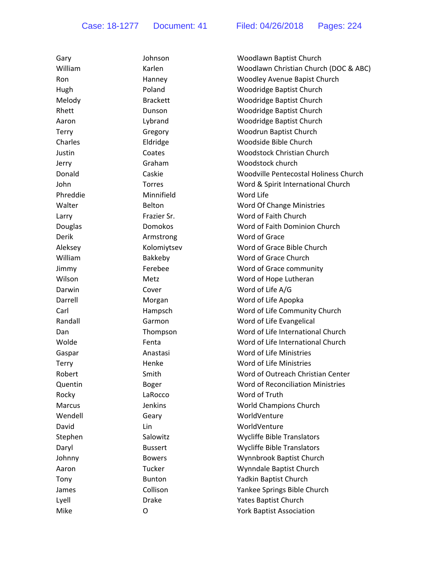| Gary         | Johnson         | Woodlawn Baptist Church               |
|--------------|-----------------|---------------------------------------|
| William      | Karlen          | Woodlawn Christian Church (DOC & ABC) |
| Ron          | Hanney          | Woodley Avenue Bapist Church          |
| Hugh         | Poland          | Woodridge Baptist Church              |
| Melody       | <b>Brackett</b> | Woodridge Baptist Church              |
| Rhett        | Dunson          | Woodridge Baptist Church              |
| Aaron        | Lybrand         | Woodridge Baptist Church              |
| Terry        | Gregory         | Woodrun Baptist Church                |
| Charles      | Eldridge        | Woodside Bible Church                 |
| Justin       | Coates          | Woodstock Christian Church            |
| Jerry        | Graham          | Woodstock church                      |
| Donald       | Caskie          | Woodville Pentecostal Holiness Church |
| John         | <b>Torres</b>   | Word & Spirit International Church    |
| Phreddie     | Minnifield      | Word Life                             |
| Walter       | Belton          | Word Of Change Ministries             |
| Larry        | Frazier Sr.     | Word of Faith Church                  |
| Douglas      | Domokos         | Word of Faith Dominion Church         |
| Derik        | Armstrong       | Word of Grace                         |
| Aleksey      | Kolomiytsev     | Word of Grace Bible Church            |
| William      | Bakkeby         | Word of Grace Church                  |
| Jimmy        | Ferebee         | Word of Grace community               |
| Wilson       | Metz            | Word of Hope Lutheran                 |
| Darwin       | Cover           | Word of Life A/G                      |
| Darrell      | Morgan          | Word of Life Apopka                   |
| Carl         | Hampsch         | Word of Life Community Church         |
| Randall      | Garmon          | Word of Life Evangelical              |
| Dan          | Thompson        | Word of Life International Church     |
| Wolde        | Fenta           | Word of Life International Church     |
| Gaspar       | Anastasi        | Word of Life Ministries               |
| <b>Terry</b> | Henke           | Word of Life Ministries               |
| Robert       | Smith           | Word of Outreach Christian Center     |
| Quentin      | <b>Boger</b>    | Word of Reconciliation Ministries     |
| Rocky        | LaRocco         | Word of Truth                         |
| Marcus       | Jenkins         | World Champions Church                |
| Wendell      | Geary           | WorldVenture                          |
| David        | Lin             | WorldVenture                          |
| Stephen      | Salowitz        | Wycliffe Bible Translators            |
| Daryl        | <b>Bussert</b>  | <b>Wycliffe Bible Translators</b>     |
| Johnny       | <b>Bowers</b>   | Wynnbrook Baptist Church              |
| Aaron        | Tucker          | Wynndale Baptist Church               |
| Tony         | <b>Bunton</b>   | Yadkin Baptist Church                 |
| James        | Collison        | Yankee Springs Bible Church           |
| Lyell        | <b>Drake</b>    | <b>Yates Baptist Church</b>           |
| Mike         | O               | <b>York Baptist Association</b>       |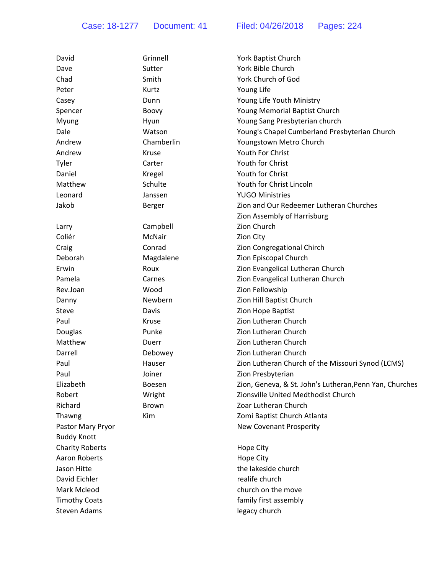| David                  | Grinnell     | York Baptist Church                                     |
|------------------------|--------------|---------------------------------------------------------|
| Dave                   | Sutter       | York Bible Church                                       |
| Chad                   | Smith        | York Church of God                                      |
| Peter                  | Kurtz        | Young Life                                              |
| Casey                  | Dunn         | Young Life Youth Ministry                               |
| Spencer                | Boovy        | Young Memorial Baptist Church                           |
| Myung                  | Hyun         | Young Sang Presbyterian church                          |
| Dale                   | Watson       | Young's Chapel Cumberland Presbyterian Church           |
| Andrew                 | Chamberlin   | Youngstown Metro Church                                 |
| Andrew                 | Kruse        | Youth For Christ                                        |
| Tyler                  | Carter       | Youth for Christ                                        |
| Daniel                 | Kregel       | Youth for Christ                                        |
| Matthew                | Schulte      | Youth for Christ Lincoln                                |
| Leonard                | Janssen      | <b>YUGO Ministries</b>                                  |
| Jakob                  | Berger       | Zion and Our Redeemer Lutheran Churches                 |
|                        |              | Zion Assembly of Harrisburg                             |
| Larry                  | Campbell     | Zion Church                                             |
| Coliér                 | McNair       | Zion City                                               |
| Craig                  | Conrad       | Zion Congregational Chirch                              |
| Deborah                | Magdalene    | Zion Episcopal Church                                   |
| Erwin                  | Roux         | Zion Evangelical Lutheran Church                        |
| Pamela                 | Carnes       | Zion Evangelical Lutheran Church                        |
| Rev.Joan               | Wood         | Zion Fellowship                                         |
| Danny                  | Newbern      | Zion Hill Baptist Church                                |
| Steve                  | Davis        | Zion Hope Baptist                                       |
| Paul                   | Kruse        | Zion Lutheran Church                                    |
| Douglas                | Punke        | Zion Lutheran Church                                    |
| Matthew                | Duerr        | Zion Lutheran Church                                    |
| Darrell                | Debowey      | Zion Lutheran Church                                    |
| Paul                   | Hauser       | Zion Lutheran Church of the Missouri Synod (LCMS)       |
| Paul                   | Joiner       | Zion Presbyterian                                       |
| Elizabeth              | Boesen       | Zion, Geneva, & St. John's Lutheran, Penn Yan, Churches |
| Robert                 | Wright       | Zionsville United Medthodist Church                     |
| Richard                | <b>Brown</b> | Zoar Lutheran Church                                    |
| Thawng                 | Kim          | Zomi Baptist Church Atlanta                             |
| Pastor Mary Pryor      |              | <b>New Covenant Prosperity</b>                          |
| <b>Buddy Knott</b>     |              |                                                         |
| <b>Charity Roberts</b> |              | Hope City                                               |
| <b>Aaron Roberts</b>   |              | Hope City                                               |
| Jason Hitte            |              | the lakeside church                                     |
| David Eichler          |              | realife church                                          |
| Mark Mcleod            |              | church on the move                                      |
| <b>Timothy Coats</b>   |              | family first assembly                                   |
| <b>Steven Adams</b>    |              | legacy church                                           |
|                        |              |                                                         |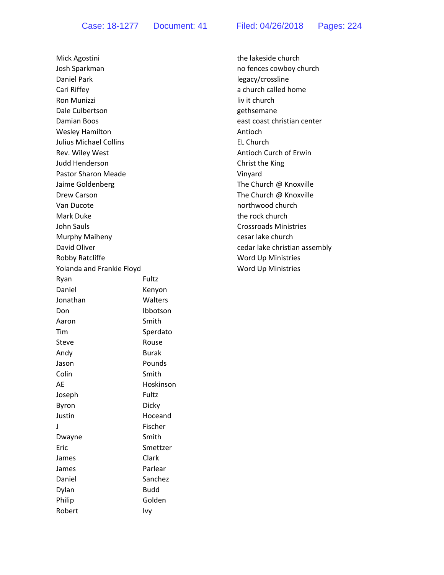Mick Agostini **the lakeside church the lakeside church** Josh Sparkman no fences cowboy church Daniel Park **Daniel Park legacy/crossline** Cari Riffey **a church called home** a church called home Ron Munizzi **and State and State and State and State and State and State and State and State and State and State and State and State and State and State and State and State and State and State and State and State and State** Dale Culbertson **gethsemane** Damian Boos east coast christian center Wesley Hamilton **Antioch Antioch** Julius Michael Collins EL Church Rev. Wiley West **Antioch Curch of Erwin** Judd Henderson Christ the King Pastor Sharon Meade **Vinyard** Vinyard Jaime Goldenberg **The Church @ Knoxville** Drew Carson **The Church @ Knoxville Drew Carson The Church @ Knoxville** Van Ducote northwood church Mark Duke **the rock** church **the rock** church John Sauls Crossroads Ministries Murphy Maiheny **CESA** established a material control of the control of the church David Oliver **Contract Contract Contract Contract Contract Contract Contract Contract Contract Contract Contract Contract Contract Contract Contract Contract Contract Contract Contract Contract Contract Contract Contract C** Robby Ratcliffe **No. 2018** Word Up Ministries Yolanda and Frankie Floyd **Word Up Ministries** Ryan Fultz Daniel **Kenyon** Jonathan Walters Don Ibbotson Aaron Smith Tim Sperdato Steve Rouse Andy **Burak** Jason **Pounds** Colin Smith AE Hoskinson Joseph Fultz Byron Dicky Justin Hoceand J Fischer Dwayne Smith Eric Smettzer James Clark James **Parlear** Daniel Sanchez Dylan Budd Philip Golden Robert Ivy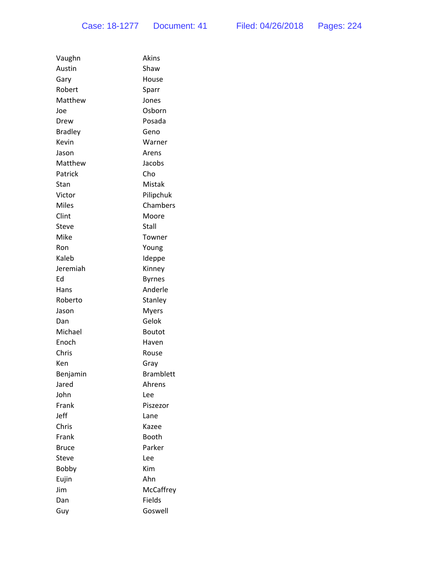| Vaughn         | Akins            |
|----------------|------------------|
| Austin         | Shaw             |
| Gary           | House            |
| Robert         | Sparr            |
| Matthew        | Jones            |
| Joe            | Osborn           |
| Drew           | Posada           |
| <b>Bradley</b> | Geno             |
| Kevin          | Warner           |
| Jason          | Arens            |
| Matthew        | Jacobs           |
| Patrick        | Cho              |
| Stan           | Mistak           |
| Victor         | Pilipchuk        |
| Miles          | Chambers         |
| Clint          | Moore            |
| Steve          | Stall            |
| Mike           | Towner           |
| Ron            | Young            |
| Kaleb          | Ideppe           |
| Jeremiah       | Kinney           |
| Ed             | <b>Byrnes</b>    |
| Hans           | Anderle          |
| Roberto        | Stanley          |
| Jason          | <b>Myers</b>     |
| Dan            | Gelok            |
| Michael        | <b>Boutot</b>    |
| Enoch          | Haven            |
| Chris          | Rouse            |
| Ken            | Gray             |
| Benjamin       | <b>Bramblett</b> |
| Jared          | Ahrens           |
| John           | Lee              |
| Frank          | Piszezor         |
| Jeff           | Lane             |
| Chris          | Kazee            |
| Frank          | Booth            |
| <b>Bruce</b>   | Parker           |
| Steve          | Lee              |
| Bobby          | Kim              |
| Eujin          | Ahn              |
| Jim            | McCaffrey        |
| Dan            | Fields           |
| Guy            | Goswell          |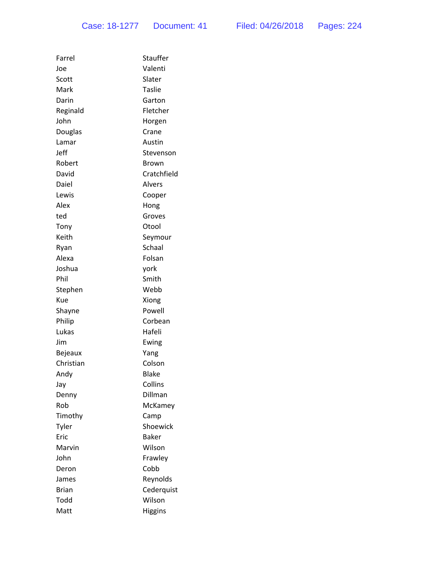| Farrel       | Stauffer       |
|--------------|----------------|
| Joe          | Valenti        |
| Scott        | Slater         |
| Mark         | <b>Taslie</b>  |
| Darin        | Garton         |
| Reginald     | Fletcher       |
| John         | Horgen         |
| Douglas      | Crane          |
| Lamar        | Austin         |
| Jeff         | Stevenson      |
| Robert       | Brown          |
| David        | Cratchfield    |
| Daiel        | Alvers         |
| Lewis        | Cooper         |
| Alex         | Hong           |
| ted          | Groves         |
| Tony         | Otool          |
| Keith        | Seymour        |
| Ryan         | Schaal         |
| Alexa        | Folsan         |
| Joshua       | york           |
| Phil         | Smith          |
| Stephen      | Webb           |
| Kue          | Xiong          |
| Shayne       | Powell         |
| Philip       | Corbean        |
| Lukas        | Hafeli         |
| Jim          | Ewing          |
| Bejeaux      | Yang           |
| Christian    | Colson         |
| Andy         | <b>Blake</b>   |
| Jay          | Collins        |
| Denny        | Dillman        |
| Rob          | McKamey        |
| Timothy      | Camp           |
| Tyler        | Shoewick       |
| Eric         | <b>Baker</b>   |
| Marvin       | Wilson         |
| John         | Frawley        |
| Deron        | Cobb           |
| James        | Reynolds       |
| <b>Brian</b> | Cederquist     |
| Todd         | Wilson         |
| Matt         | <b>Higgins</b> |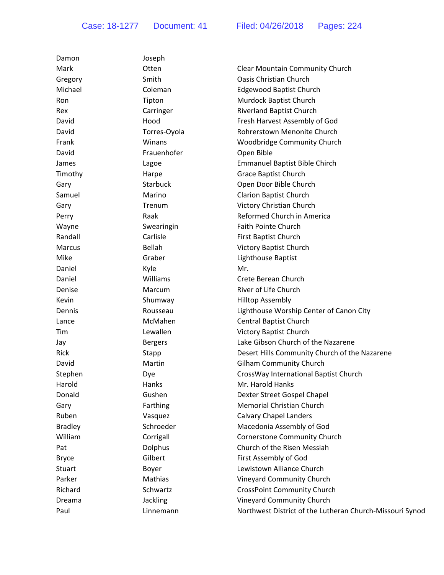| Damon          | Joseph          |                                                          |
|----------------|-----------------|----------------------------------------------------------|
| Mark           | Otten           | <b>Clear Mountain Community Church</b>                   |
| Gregory        | Smith           | <b>Oasis Christian Church</b>                            |
| Michael        | Coleman         | <b>Edgewood Baptist Church</b>                           |
| Ron            | Tipton          | Murdock Baptist Church                                   |
| Rex            | Carringer       | <b>Riverland Baptist Church</b>                          |
| David          | Hood            | Fresh Harvest Assembly of God                            |
| David          | Torres-Oyola    | Rohrerstown Menonite Church                              |
| Frank          | Winans          | Woodbridge Community Church                              |
| David          | Frauenhofer     | Open Bible                                               |
| James          | Lagoe           | <b>Emmanuel Baptist Bible Chirch</b>                     |
| Timothy        | Harpe           | Grace Baptist Church                                     |
| Gary           | <b>Starbuck</b> | Open Door Bible Church                                   |
| Samuel         | Marino          | <b>Clarion Baptist Church</b>                            |
| Gary           | Trenum          | <b>Victory Christian Church</b>                          |
| Perry          | Raak            | Reformed Church in America                               |
| Wayne          | Swearingin      | <b>Faith Pointe Church</b>                               |
| Randall        | Carlisle        | First Baptist Church                                     |
| Marcus         | Bellah          | <b>Victory Baptist Church</b>                            |
| Mike           | Graber          | Lighthouse Baptist                                       |
| Daniel         | Kyle            | Mr.                                                      |
| Daniel         | Williams        | Crete Berean Church                                      |
| Denise         | Marcum          | River of Life Church                                     |
| Kevin          | Shumway         | <b>Hilltop Assembly</b>                                  |
| Dennis         | Rousseau        | Lighthouse Worship Center of Canon City                  |
| Lance          | McMahen         | Central Baptist Church                                   |
| Tim            | Lewallen        | Victory Baptist Church                                   |
| Jay            | <b>Bergers</b>  | Lake Gibson Church of the Nazarene                       |
| Rick           | Stapp           | Desert Hills Community Church of the Nazarene            |
| David          | Martin          | <b>Gilham Community Church</b>                           |
| Stephen        | Dye             | CrossWay International Baptist Church                    |
| Harold         | Hanks           | Mr. Harold Hanks                                         |
| Donald         | Gushen          | Dexter Street Gospel Chapel                              |
| Gary           | Farthing        | Memorial Christian Church                                |
| Ruben          | Vasquez         | <b>Calvary Chapel Landers</b>                            |
| <b>Bradley</b> | Schroeder       | Macedonia Assembly of God                                |
| William        | Corrigall       | <b>Cornerstone Community Church</b>                      |
| Pat            | Dolphus         | Church of the Risen Messiah                              |
| <b>Bryce</b>   | Gilbert         | First Assembly of God                                    |
| Stuart         | Boyer           | Lewistown Alliance Church                                |
| Parker         | Mathias         | Vineyard Community Church                                |
| Richard        | Schwartz        | <b>CrossPoint Community Church</b>                       |
| Dreama         | Jackling        | <b>Vineyard Community Church</b>                         |
| Paul           | Linnemann       | Northwest District of the Lutheran Church-Missouri Synod |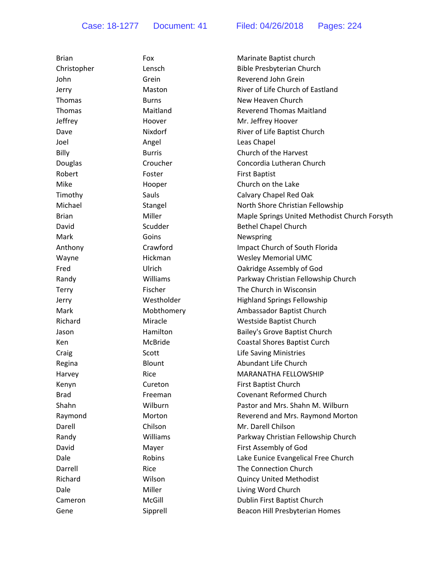| <b>Brian</b>  | Fox           | Marinate Baptist church                       |
|---------------|---------------|-----------------------------------------------|
| Christopher   | Lensch        | Bible Presbyterian Church                     |
| John          | Grein         | Reverend John Grein                           |
| Jerry         | Maston        | River of Life Church of Eastland              |
| Thomas        | <b>Burns</b>  | New Heaven Church                             |
| <b>Thomas</b> | Maitland      | <b>Reverend Thomas Maitland</b>               |
| Jeffrey       | Hoover        | Mr. Jeffrey Hoover                            |
| Dave          | Nixdorf       | River of Life Baptist Church                  |
| Joel          | Angel         | Leas Chapel                                   |
| Billy         | <b>Burris</b> | Church of the Harvest                         |
| Douglas       | Croucher      | Concordia Lutheran Church                     |
| Robert        | Foster        | <b>First Baptist</b>                          |
| Mike          | Hooper        | Church on the Lake                            |
| Timothy       | Sauls         | Calvary Chapel Red Oak                        |
| Michael       | Stangel       | North Shore Christian Fellowship              |
| <b>Brian</b>  | Miller        | Maple Springs United Methodist Church Forsyth |
| David         | Scudder       | <b>Bethel Chapel Church</b>                   |
| Mark          | Goins         | Newspring                                     |
| Anthony       | Crawford      | Impact Church of South Florida                |
| Wayne         | Hickman       | <b>Wesley Memorial UMC</b>                    |
| Fred          | Ulrich        | Oakridge Assembly of God                      |
| Randy         | Williams      | Parkway Christian Fellowship Church           |
| Terry         | Fischer       | The Church in Wisconsin                       |
| Jerry         | Westholder    | <b>Highland Springs Fellowship</b>            |
| Mark          | Mobthomery    | Ambassador Baptist Church                     |
| Richard       | Miracle       | Westside Baptist Church                       |
| Jason         | Hamilton      | Bailey's Grove Baptist Church                 |
| Ken           | McBride       | <b>Coastal Shores Baptist Curch</b>           |
| Craig         | Scott         | <b>Life Saving Ministries</b>                 |
| Regina        | Blount        | Abundant Life Church                          |
| Harvey        | Rice          | MARANATHA FELLOWSHIP                          |
| Kenyn         | Cureton       | First Baptist Church                          |
| <b>Brad</b>   | Freeman       | <b>Covenant Reformed Church</b>               |
| Shahn         | Wilburn       | Pastor and Mrs. Shahn M. Wilburn              |
| Raymond       | Morton        | Reverend and Mrs. Raymond Morton              |
| Darell        | Chilson       | Mr. Darell Chilson                            |
| Randy         | Williams      | Parkway Christian Fellowship Church           |
| David         | Mayer         | First Assembly of God                         |
| Dale          | Robins        | Lake Eunice Evangelical Free Church           |
| Darrell       | Rice          | The Connection Church                         |
| Richard       | Wilson        | <b>Quincy United Methodist</b>                |
| Dale          | Miller        | Living Word Church                            |
| Cameron       | McGill        | Dublin First Baptist Church                   |
| Gene          | Sipprell      | Beacon Hill Presbyterian Homes                |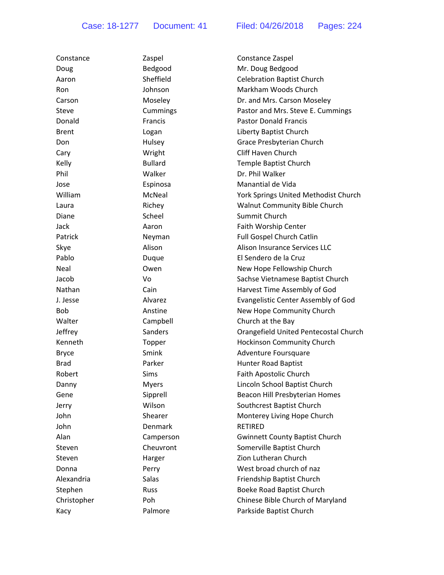| Constance    | Zaspel         | Constance Zaspel                           |
|--------------|----------------|--------------------------------------------|
| Doug         | Bedgood        | Mr. Doug Bedgood                           |
| Aaron        | Sheffield      | <b>Celebration Baptist Church</b>          |
| Ron          | Johnson        | Markham Woods Church                       |
| Carson       | Moseley        | Dr. and Mrs. Carson Moseley                |
| Steve        | Cummings       | Pastor and Mrs. Steve E. Cummings          |
| Donald       | Francis        | <b>Pastor Donald Francis</b>               |
| <b>Brent</b> | Logan          | Liberty Baptist Church                     |
| Don          | Hulsey         | Grace Presbyterian Church                  |
| Cary         | Wright         | Cliff Haven Church                         |
| Kelly        | <b>Bullard</b> | Temple Baptist Church                      |
| Phil         | Walker         | Dr. Phil Walker                            |
| Jose         | Espinosa       | Manantial de Vida                          |
| William      | McNeal         | York Springs United Methodist Church       |
| Laura        | Richey         | <b>Walnut Community Bible Church</b>       |
| Diane        | Scheel         | Summit Church                              |
| Jack         | Aaron          | Faith Worship Center                       |
| Patrick      | Neyman         | Full Gospel Church Catlin                  |
| Skye         | Alison         | Alison Insurance Services LLC              |
| Pablo        | Duque          | El Sendero de la Cruz                      |
| Neal         | Owen           | New Hope Fellowship Church                 |
| Jacob        | Vo             | Sachse Vietnamese Baptist Church           |
| Nathan       | Cain           | Harvest Time Assembly of God               |
| J. Jesse     | Alvarez        | <b>Evangelistic Center Assembly of God</b> |
| <b>Bob</b>   | Anstine        | New Hope Community Church                  |
| Walter       | Campbell       | Church at the Bay                          |
| Jeffrey      | Sanders        | Orangefield United Pentecostal Church      |
| Kenneth      | Topper         | Hockinson Community Church                 |
| <b>Bryce</b> | Smink          | Adventure Foursquare                       |
| <b>Brad</b>  | Parker         | Hunter Road Baptist                        |
| Robert       | Sims           | Faith Apostolic Church                     |
| Danny        | <b>Myers</b>   | Lincoln School Baptist Church              |
| Gene         | Sipprell       | Beacon Hill Presbyterian Homes             |
| Jerry        | Wilson         | Southcrest Baptist Church                  |
| John         | Shearer        | Monterey Living Hope Church                |
| John         | Denmark        | <b>RETIRED</b>                             |
| Alan         | Camperson      | <b>Gwinnett County Baptist Church</b>      |
| Steven       | Cheuvront      | Somerville Baptist Church                  |
| Steven       | Harger         | Zion Lutheran Church                       |
| Donna        | Perry          | West broad church of naz                   |
| Alexandria   | Salas          | Friendship Baptist Church                  |
| Stephen      | <b>Russ</b>    | Boeke Road Baptist Church                  |
| Christopher  | Poh            | Chinese Bible Church of Maryland           |
| Kacy         | Palmore        | Parkside Baptist Church                    |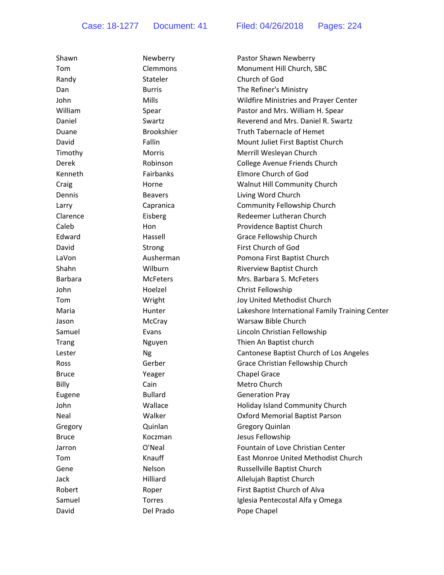| Shawn          | Newberry        | Pastor Shawn Newberry                          |
|----------------|-----------------|------------------------------------------------|
| Tom            | Clemmons        | Monument Hill Church, SBC                      |
| Randy          | Stateler        | Church of God                                  |
| Dan            | <b>Burris</b>   | The Refiner's Ministry                         |
| John           | Mills           | Wildfire Ministries and Prayer Center          |
| William        | Spear           | Pastor and Mrs. William H. Spear               |
| Daniel         | Swartz          | Reverend and Mrs. Daniel R. Swartz             |
| Duane          | Brookshier      | <b>Truth Tabernacle of Hemet</b>               |
| David          | Fallin          | Mount Juliet First Baptist Church              |
| Timothy        | <b>Morris</b>   | Merrill Wesleyan Church                        |
| Derek          | Robinson        | College Avenue Friends Church                  |
| Kenneth        | Fairbanks       | Elmore Church of God                           |
| Craig          | Horne           | Walnut Hill Community Church                   |
| Dennis         | <b>Beavers</b>  | Living Word Church                             |
| Larry          | Capranica       | Community Fellowship Church                    |
| Clarence       | Eisberg         | Redeemer Lutheran Church                       |
| Caleb          | Hon             | Providence Baptist Church                      |
| Edward         | Hassell         | Grace Fellowship Church                        |
| David          | Strong          | First Church of God                            |
| LaVon          | Ausherman       | Pomona First Baptist Church                    |
| Shahn          | Wilburn         | <b>Riverview Baptist Church</b>                |
| <b>Barbara</b> | <b>McFeters</b> | Mrs. Barbara S. McFeters                       |
| John           | Hoelzel         | Christ Fellowship                              |
| Tom            | Wright          | Joy United Methodist Church                    |
| Maria          | Hunter          | Lakeshore International Family Training Center |
| Jason          | McCray          | Warsaw Bible Church                            |
| Samuel         | Evans           | Lincoln Christian Fellowship                   |
| Trang          | Nguyen          | Thien An Baptist church                        |
| Lester         | Ng              | Cantonese Baptist Church of Los Angeles        |
| Ross           | Gerber          | Grace Christian Fellowship Church              |
| Bruce          | Yeager          | <b>Chapel Grace</b>                            |
| Billy          | Cain            | Metro Church                                   |
| Eugene         | <b>Bullard</b>  | <b>Generation Pray</b>                         |
| John           | Wallace         | Holiday Island Community Church                |
| Neal           | Walker          | <b>Oxford Memorial Baptist Parson</b>          |
| Gregory        | Quinlan         | <b>Gregory Quinlan</b>                         |
| <b>Bruce</b>   | Koczman         | Jesus Fellowship                               |
| Jarron         | O'Neal          | Fountain of Love Christian Center              |
| Tom            | Knauff          | East Monroe United Methodist Church            |
| Gene           | Nelson          | Russellville Baptist Church                    |
| Jack           | Hilliard        | Allelujah Baptist Church                       |
| Robert         | Roper           | First Baptist Church of Alva                   |
| Samuel         | <b>Torres</b>   | Iglesia Pentecostal Alfa y Omega               |
| David          | Del Prado       | Pope Chapel                                    |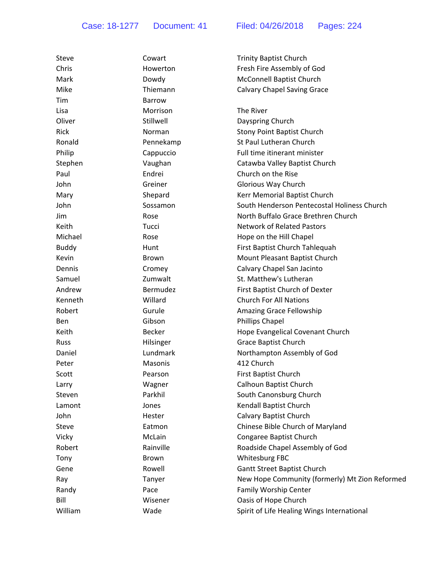Case: 18-1277 Document: 41 Filed: 04/26/2018 Pages: 224

| Cowart<br><b>Trinity Baptist Church</b><br>Steve                |  |
|-----------------------------------------------------------------|--|
| Chris<br>Howerton<br>Fresh Fire Assembly of God                 |  |
| McConnell Baptist Church<br>Mark<br>Dowdy                       |  |
| Mike<br>Thiemann<br>Calvary Chapel Saving Grace                 |  |
| Tim<br><b>Barrow</b>                                            |  |
| The River<br>Morrison<br>Lisa                                   |  |
| Oliver<br>Stillwell<br>Dayspring Church                         |  |
| Rick<br>Norman<br><b>Stony Point Baptist Church</b>             |  |
| St Paul Lutheran Church<br>Ronald<br>Pennekamp                  |  |
| Philip<br>Full time itinerant minister<br>Cappuccio             |  |
| Stephen<br>Vaughan<br>Catawba Valley Baptist Church             |  |
| Endrei<br>Church on the Rise<br>Paul                            |  |
| Greiner<br>Glorious Way Church<br>John                          |  |
| Shepard<br>Kerr Memorial Baptist Church<br>Mary                 |  |
| South Henderson Pentecostal Holiness Church<br>John<br>Sossamon |  |
| North Buffalo Grace Brethren Church<br><b>Jim</b><br>Rose       |  |
| <b>Network of Related Pastors</b><br>Keith<br>Tucci             |  |
| Michael<br>Rose<br>Hope on the Hill Chapel                      |  |
| First Baptist Church Tahlequah<br><b>Buddy</b><br>Hunt          |  |
| Kevin<br>Brown<br>Mount Pleasant Baptist Church                 |  |
| Dennis<br>Calvary Chapel San Jacinto<br>Cromey                  |  |
| Samuel<br>Zumwalt<br>St. Matthew's Lutheran                     |  |
| Andrew<br>Bermudez<br>First Baptist Church of Dexter            |  |
| Willard<br><b>Church For All Nations</b><br>Kenneth             |  |
| Robert<br>Gurule<br>Amazing Grace Fellowship                    |  |
| Gibson<br>Phillips Chapel<br>Ben                                |  |
| <b>Becker</b><br>Keith<br>Hope Evangelical Covenant Church      |  |
| <b>Grace Baptist Church</b><br>Hilsinger<br><b>Russ</b>         |  |
| Lundmark<br>Daniel<br>Northampton Assembly of God               |  |
| 412 Church<br>Masonis<br>Peter                                  |  |
| Scott<br><b>First Baptist Church</b><br>Pearson                 |  |
| Calhoun Baptist Church<br>Wagner<br>Larry                       |  |
| Parkhil<br>South Canonsburg Church<br>Steven                    |  |
| Kendall Baptist Church<br>Jones<br>Lamont                       |  |
| Calvary Baptist Church<br>John<br>Hester                        |  |
| Chinese Bible Church of Maryland<br>Eatmon<br>Steve             |  |
| Congaree Baptist Church<br>Vicky<br>McLain                      |  |
| Rainville<br>Robert<br>Roadside Chapel Assembly of God          |  |
| Whitesburg FBC<br>Brown<br>Tony                                 |  |
| Rowell<br><b>Gantt Street Baptist Church</b><br>Gene            |  |
| New Hope Community (formerly) Mt Zion Reformed<br>Tanyer<br>Ray |  |
| Family Worship Center<br>Randy<br>Pace                          |  |
| Bill<br>Oasis of Hope Church<br>Wisener                         |  |
| William<br>Spirit of Life Healing Wings International<br>Wade   |  |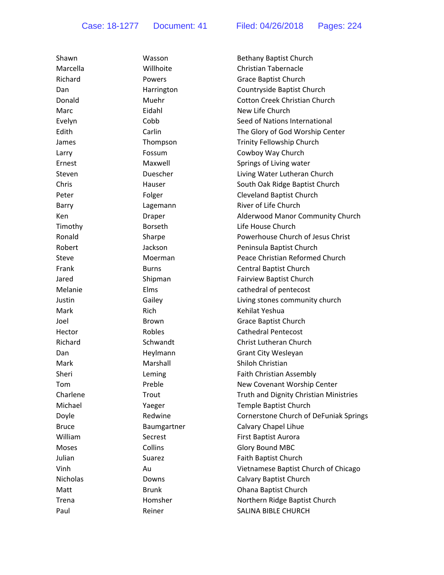| Shawn        | Wasson         | <b>Bethany Baptist Church</b>          |
|--------------|----------------|----------------------------------------|
| Marcella     | Willhoite      | <b>Christian Tabernacle</b>            |
| Richard      | Powers         | Grace Baptist Church                   |
| Dan          | Harrington     | Countryside Baptist Church             |
| Donald       | Muehr          | <b>Cotton Creek Christian Church</b>   |
| Marc         | Eidahl         | New Life Church                        |
| Evelyn       | Cobb           | Seed of Nations International          |
| Edith        | Carlin         | The Glory of God Worship Center        |
| James        | Thompson       | Trinity Fellowship Church              |
| Larry        | Fossum         | Cowboy Way Church                      |
| Ernest       | Maxwell        | Springs of Living water                |
| Steven       | Duescher       | Living Water Lutheran Church           |
| Chris        | Hauser         | South Oak Ridge Baptist Church         |
| Peter        | Folger         | <b>Cleveland Baptist Church</b>        |
| Barry        | Lagemann       | River of Life Church                   |
| <b>Ken</b>   | Draper         | Alderwood Manor Community Church       |
| Timothy      | <b>Borseth</b> | Life House Church                      |
| Ronald       | Sharpe         | Powerhouse Church of Jesus Christ      |
| Robert       | Jackson        | Peninsula Baptist Church               |
| <b>Steve</b> | Moerman        | Peace Christian Reformed Church        |
| Frank        | <b>Burns</b>   | Central Baptist Church                 |
| Jared        | Shipman        | <b>Fairview Baptist Church</b>         |
| Melanie      | Elms           | cathedral of pentecost                 |
| Justin       | Gailey         | Living stones community church         |
| Mark         | <b>Rich</b>    | Kehilat Yeshua                         |
| Joel         | <b>Brown</b>   | Grace Baptist Church                   |
| Hector       | Robles         | <b>Cathedral Pentecost</b>             |
| Richard      | Schwandt       | Christ Lutheran Church                 |
| Dan          | Heylmann       | Grant City Wesleyan                    |
| Mark         | Marshall       | Shiloh Christian                       |
| Sheri        | Leming         | Faith Christian Assembly               |
| Tom          | Preble         | New Covenant Worship Center            |
| Charlene     | Trout          | Truth and Dignity Christian Ministries |
| Michael      | Yaeger         | <b>Temple Baptist Church</b>           |
| Doyle        | Redwine        | Cornerstone Church of DeFuniak Springs |
| <b>Bruce</b> | Baumgartner    | Calvary Chapel Lihue                   |
| William      | Secrest        | First Baptist Aurora                   |
| <b>Moses</b> | Collins        | <b>Glory Bound MBC</b>                 |
| Julian       | Suarez         | Faith Baptist Church                   |
| Vinh         | Au             | Vietnamese Baptist Church of Chicago   |
| Nicholas     | Downs          | Calvary Baptist Church                 |
| Matt         | <b>Brunk</b>   | Ohana Baptist Church                   |
| Trena        | Homsher        | Northern Ridge Baptist Church          |
| Paul         | Reiner         | SALINA BIBLE CHURCH                    |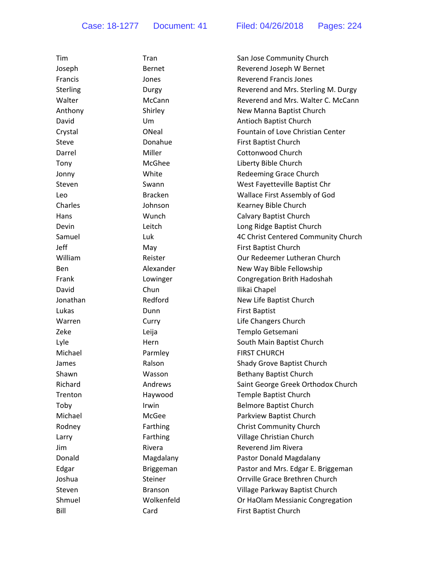| Tim        | Tran             | San Jose Community Church           |
|------------|------------------|-------------------------------------|
| Joseph     | <b>Bernet</b>    | Reverend Joseph W Bernet            |
| Francis    | Jones            | <b>Reverend Francis Jones</b>       |
| Sterling   | Durgy            | Reverend and Mrs. Sterling M. Durgy |
| Walter     | McCann           | Reverend and Mrs. Walter C. McCann  |
| Anthony    | Shirley          | New Manna Baptist Church            |
| David      | Um               | Antioch Baptist Church              |
| Crystal    | ONeal            | Fountain of Love Christian Center   |
| Steve      | Donahue          | First Baptist Church                |
| Darrel     | Miller           | Cottonwood Church                   |
| Tony       | McGhee           | Liberty Bible Church                |
| Jonny      | White            | Redeeming Grace Church              |
| Steven     | Swann            | West Fayetteville Baptist Chr       |
| Leo        | <b>Bracken</b>   | Wallace First Assembly of God       |
| Charles    | Johnson          | Kearney Bible Church                |
| Hans       | Wunch            | Calvary Baptist Church              |
| Devin      | Leitch           | Long Ridge Baptist Church           |
| Samuel     | Luk              | 4C Christ Centered Community Church |
| Jeff       | May              | <b>First Baptist Church</b>         |
| William    | Reister          | Our Redeemer Lutheran Church        |
| <b>Ben</b> | Alexander        | New Way Bible Fellowship            |
| Frank      | Lowinger         | Congregation Brith Hadoshah         |
| David      | Chun             | Ilikai Chapel                       |
| Jonathan   | Redford          | New Life Baptist Church             |
| Lukas      | Dunn             | <b>First Baptist</b>                |
| Warren     | Curry            | Life Changers Church                |
| Zeke       | Leija            | Templo Getsemani                    |
| Lyle       | Hern             | South Main Baptist Church           |
| Michael    | Parmley          | <b>FIRST CHURCH</b>                 |
| James      | Ralson           | Shady Grove Baptist Church          |
| Shawn      | Wasson           | <b>Bethany Baptist Church</b>       |
| Richard    | Andrews          | Saint George Greek Orthodox Church  |
| Trenton    | Haywood          | Temple Baptist Church               |
| Toby       | Irwin            | <b>Belmore Baptist Church</b>       |
| Michael    | McGee            | Parkview Baptist Church             |
| Rodney     | Farthing         | <b>Christ Community Church</b>      |
| Larry      | Farthing         | Village Christian Church            |
| Jim        | Rivera           | Reverend Jim Rivera                 |
| Donald     | Magdalany        | Pastor Donald Magdalany             |
| Edgar      | <b>Briggeman</b> | Pastor and Mrs. Edgar E. Briggeman  |
| Joshua     | Steiner          | Orrville Grace Brethren Church      |
| Steven     | <b>Branson</b>   | Village Parkway Baptist Church      |
| Shmuel     | Wolkenfeld       | Or HaOlam Messianic Congregation    |
| Bill       | Card             | First Baptist Church                |
|            |                  |                                     |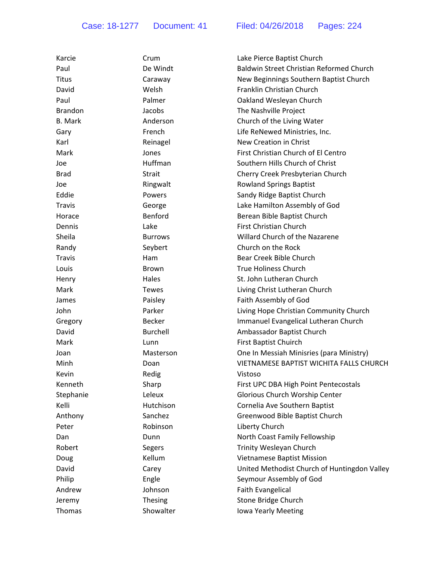| Karcie         | Crum           | Lake Pierce Baptist Church                   |
|----------------|----------------|----------------------------------------------|
| Paul           | De Windt       | Baldwin Street Christian Reformed Church     |
| Titus          | Caraway        | New Beginnings Southern Baptist Church       |
| David          | Welsh          | Franklin Christian Church                    |
| Paul           | Palmer         | Oakland Wesleyan Church                      |
| <b>Brandon</b> | Jacobs         | The Nashville Project                        |
| <b>B.</b> Mark | Anderson       | Church of the Living Water                   |
| Gary           | French         | Life ReNewed Ministries, Inc.                |
| Karl           | Reinagel       | New Creation in Christ                       |
| Mark           | Jones          | First Christian Church of El Centro          |
| Joe            | Huffman        | Southern Hills Church of Christ              |
| <b>Brad</b>    | <b>Strait</b>  | Cherry Creek Presbyterian Church             |
| Joe            | Ringwalt       | <b>Rowland Springs Baptist</b>               |
| Eddie          | Powers         | Sandy Ridge Baptist Church                   |
| <b>Travis</b>  | George         | Lake Hamilton Assembly of God                |
| Horace         | Benford        | Berean Bible Baptist Church                  |
| Dennis         | Lake           | <b>First Christian Church</b>                |
| Sheila         | <b>Burrows</b> | Willard Church of the Nazarene               |
| Randy          | Seybert        | Church on the Rock                           |
| <b>Travis</b>  | Ham            | Bear Creek Bible Church                      |
| Louis          | <b>Brown</b>   | <b>True Holiness Church</b>                  |
| Henry          | Hales          | St. John Lutheran Church                     |
| Mark           | <b>Tewes</b>   | Living Christ Lutheran Church                |
| James          | Paisley        | Faith Assembly of God                        |
| John           | Parker         | Living Hope Christian Community Church       |
| Gregory        | <b>Becker</b>  | Immanuel Evangelical Lutheran Church         |
| David          | Burchell       | Ambassador Baptist Church                    |
| Mark           | Lunn           | First Baptist Chuirch                        |
| Joan           | Masterson      | One In Messiah Minisries (para Ministry)     |
| Minh           | Doan           | VIETNAMESE BAPTIST WICHITA FALLS CHURCH      |
| Kevin          | Redig          | Vistoso                                      |
| Kenneth        | Sharp          | First UPC DBA High Point Pentecostals        |
| Stephanie      | Leleux         | Glorious Church Worship Center               |
| Kelli          | Hutchison      | Cornelia Ave Southern Baptist                |
| Anthony        | Sanchez        | Greenwood Bible Baptist Church               |
| Peter          | Robinson       | Liberty Church                               |
| Dan            | Dunn           | North Coast Family Fellowship                |
| Robert         | Segers         | Trinity Wesleyan Church                      |
| Doug           | Kellum         | Vietnamese Baptist Mission                   |
| David          | Carey          | United Methodist Church of Huntingdon Valley |
| Philip         | Engle          | Seymour Assembly of God                      |
| Andrew         | Johnson        | Faith Evangelical                            |
| Jeremy         | Thesing        | Stone Bridge Church                          |
| Thomas         | Showalter      | Iowa Yearly Meeting                          |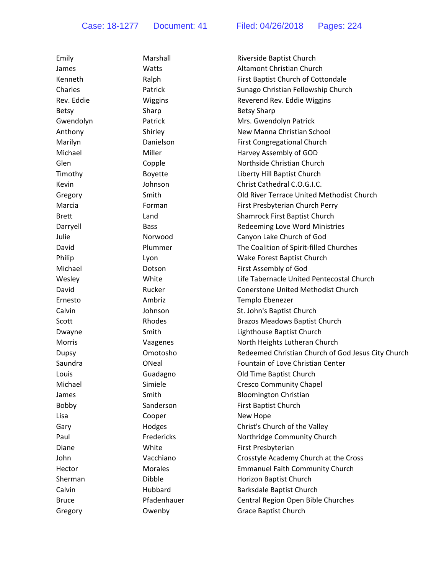| Emily        | Marshall       | Riverside Baptist Church                           |
|--------------|----------------|----------------------------------------------------|
| James        | Watts          | Altamont Christian Church                          |
| Kenneth      | Ralph          | First Baptist Church of Cottondale                 |
| Charles      | Patrick        | Sunago Christian Fellowship Church                 |
| Rev. Eddie   | Wiggins        | Reverend Rev. Eddie Wiggins                        |
| <b>Betsy</b> | Sharp          | <b>Betsy Sharp</b>                                 |
| Gwendolyn    | Patrick        | Mrs. Gwendolyn Patrick                             |
| Anthony      | Shirley        | New Manna Christian School                         |
| Marilyn      | Danielson      | First Congregational Church                        |
| Michael      | Miller         | Harvey Assembly of GOD                             |
| Glen         | Copple         | Northside Christian Church                         |
| Timothy      | <b>Boyette</b> | Liberty Hill Baptist Church                        |
| Kevin        | Johnson        | Christ Cathedral C.O.G.I.C.                        |
| Gregory      | Smith          | Old River Terrace United Methodist Church          |
| Marcia       | Forman         | First Presbyterian Church Perry                    |
| <b>Brett</b> | Land           | Shamrock First Baptist Church                      |
| Darryell     | <b>Bass</b>    | Redeeming Love Word Ministries                     |
| Julie        | Norwood        | Canyon Lake Church of God                          |
| David        | Plummer        | The Coalition of Spirit-filled Churches            |
| Philip       | Lyon           | Wake Forest Baptist Church                         |
| Michael      | Dotson         | First Assembly of God                              |
| Wesley       | White          | Life Tabernacle United Pentecostal Church          |
| David        | Rucker         | <b>Conerstone United Methodist Church</b>          |
| Ernesto      | Ambriz         | Templo Ebenezer                                    |
| Calvin       | Johnson        | St. John's Baptist Church                          |
| Scott        | Rhodes         | <b>Brazos Meadows Baptist Church</b>               |
| Dwayne       | Smith          | Lighthouse Baptist Church                          |
| Morris       | Vaagenes       | North Heights Lutheran Church                      |
| Dupsy        | Omotosho       | Redeemed Christian Church of God Jesus City Church |
| Saundra      | ONeal          | Fountain of Love Christian Center                  |
| Louis        | Guadagno       | Old Time Baptist Church                            |
| Michael      | Simiele        | <b>Cresco Community Chapel</b>                     |
| James        | Smith          | <b>Bloomington Christian</b>                       |
| Bobby        | Sanderson      | First Baptist Church                               |
| Lisa         | Cooper         | New Hope                                           |
| Gary         | Hodges         | Christ's Church of the Valley                      |
| Paul         | Fredericks     | Northridge Community Church                        |
| Diane        | White          | First Presbyterian                                 |
| John         | Vacchiano      | Crosstyle Academy Church at the Cross              |
| Hector       | Morales        | <b>Emmanuel Faith Community Church</b>             |
| Sherman      | Dibble         | Horizon Baptist Church                             |
| Calvin       | Hubbard        | Barksdale Baptist Church                           |
| <b>Bruce</b> | Pfadenhauer    | Central Region Open Bible Churches                 |
| Gregory      | Owenby         | <b>Grace Baptist Church</b>                        |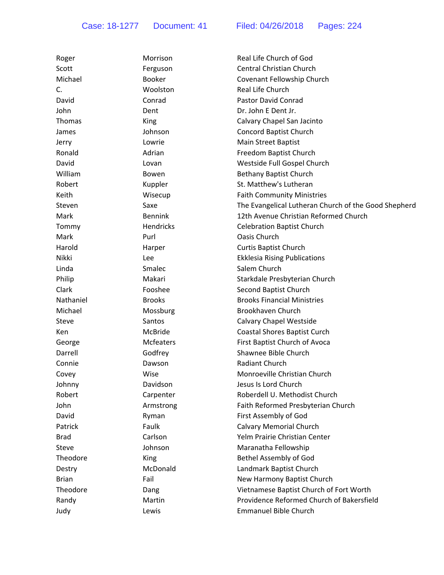| Roger        | Morrison         | Real Life Church of God                              |
|--------------|------------------|------------------------------------------------------|
| Scott        | Ferguson         | Central Christian Church                             |
| Michael      | <b>Booker</b>    | Covenant Fellowship Church                           |
| C.           | Woolston         | Real Life Church                                     |
| David        | Conrad           | <b>Pastor David Conrad</b>                           |
| John         | Dent             | Dr. John E Dent Jr.                                  |
| Thomas       | King             | Calvary Chapel San Jacinto                           |
| James        | Johnson          | <b>Concord Baptist Church</b>                        |
| Jerry        | Lowrie           | <b>Main Street Baptist</b>                           |
| Ronald       | Adrian           | Freedom Baptist Church                               |
| David        | Lovan            | Westside Full Gospel Church                          |
| William      | Bowen            | <b>Bethany Baptist Church</b>                        |
| Robert       | Kuppler          | St. Matthew's Lutheran                               |
| Keith        | Wisecup          | <b>Faith Community Ministries</b>                    |
| Steven       | Saxe             | The Evangelical Lutheran Church of the Good Shepherd |
| Mark         | <b>Bennink</b>   | 12th Avenue Christian Reformed Church                |
| Tommy        | <b>Hendricks</b> | <b>Celebration Baptist Church</b>                    |
| Mark         | Purl             | Oasis Church                                         |
| Harold       | Harper           | <b>Curtis Baptist Church</b>                         |
| Nikki        | Lee              | <b>Ekklesia Rising Publications</b>                  |
| Linda        | Smalec           | Salem Church                                         |
| Philip       | Makari           | Starkdale Presbyterian Church                        |
| Clark        | Fooshee          | Second Baptist Church                                |
| Nathaniel    | <b>Brooks</b>    | <b>Brooks Financial Ministries</b>                   |
| Michael      | Mossburg         | Brookhaven Church                                    |
| Steve        | Santos           | Calvary Chapel Westside                              |
| Ken          | <b>McBride</b>   | Coastal Shores Baptist Curch                         |
| George       | <b>Mcfeaters</b> | First Baptist Church of Avoca                        |
| Darrell      | Godfrey          | Shawnee Bible Church                                 |
| Connie       | Dawson           | <b>Radiant Church</b>                                |
| Covey        | Wise             | Monroeville Christian Church                         |
| Johnny       | Davidson         | Jesus Is Lord Church                                 |
| Robert       | Carpenter        | Roberdell U. Methodist Church                        |
| John         | Armstrong        | Faith Reformed Presbyterian Church                   |
| David        | Ryman            | First Assembly of God                                |
| Patrick      | Faulk            | <b>Calvary Memorial Church</b>                       |
| <b>Brad</b>  | Carlson          | Yelm Prairie Christian Center                        |
| Steve        | Johnson          | Maranatha Fellowship                                 |
| Theodore     | King             | <b>Bethel Assembly of God</b>                        |
| Destry       | McDonald         | Landmark Baptist Church                              |
| <b>Brian</b> | Fail             | New Harmony Baptist Church                           |
| Theodore     | Dang             | Vietnamese Baptist Church of Fort Worth              |
| Randy        | Martin           | Providence Reformed Church of Bakersfield            |
| Judy         | Lewis            | <b>Emmanuel Bible Church</b>                         |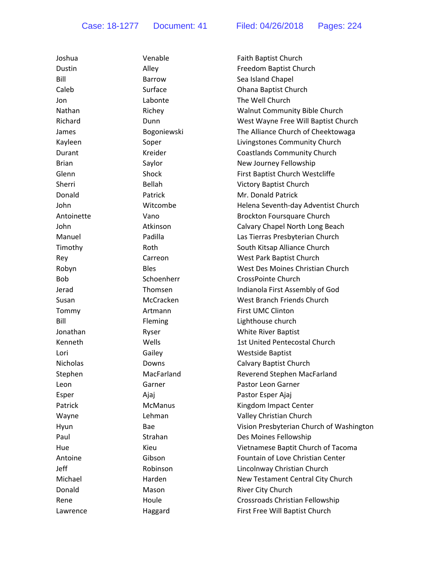| Joshua          | Venable        | Faith Baptist Church                     |
|-----------------|----------------|------------------------------------------|
| <b>Dustin</b>   | Alley          | Freedom Baptist Church                   |
| Bill            | <b>Barrow</b>  | Sea Island Chapel                        |
| Caleb           | Surface        | Ohana Baptist Church                     |
| Jon             | Labonte        | The Well Church                          |
| Nathan          | Richey         | <b>Walnut Community Bible Church</b>     |
| Richard         | Dunn           | West Wayne Free Will Baptist Church      |
| James           | Bogoniewski    | The Alliance Church of Cheektowaga       |
| Kayleen         | Soper          | Livingstones Community Church            |
| Durant          | Kreider        | <b>Coastlands Community Church</b>       |
| <b>Brian</b>    | Saylor         | New Journey Fellowship                   |
| Glenn           | Shock          | First Baptist Church Westcliffe          |
| Sherri          | Bellah         | <b>Victory Baptist Church</b>            |
| Donald          | Patrick        | Mr. Donald Patrick                       |
| John            | Witcombe       | Helena Seventh-day Adventist Church      |
| Antoinette      | Vano           | Brockton Foursquare Church               |
| John            | Atkinson       | Calvary Chapel North Long Beach          |
| Manuel          | Padilla        | Las Tierras Presbyterian Church          |
| Timothy         | Roth           | South Kitsap Alliance Church             |
| Rey             | Carreon        | West Park Baptist Church                 |
| Robyn           | <b>Bles</b>    | West Des Moines Christian Church         |
| <b>Bob</b>      | Schoenherr     | CrossPointe Church                       |
| Jerad           | Thomsen        | Indianola First Assembly of God          |
| Susan           | McCracken      | West Branch Friends Church               |
| Tommy           | Artmann        | First UMC Clinton                        |
| Bill            | Fleming        | Lighthouse church                        |
| Jonathan        | Ryser          | White River Baptist                      |
| Kenneth         | Wells          | 1st United Pentecostal Church            |
| Lori            | Gailey         | <b>Westside Baptist</b>                  |
| <b>Nicholas</b> | Downs          | <b>Calvary Baptist Church</b>            |
| Stephen         | MacFarland     | Reverend Stephen MacFarland              |
| Leon            | Garner         | Pastor Leon Garner                       |
| Esper           | Ajaj           | Pastor Esper Ajaj                        |
| Patrick         | <b>McManus</b> | Kingdom Impact Center                    |
| Wayne           | Lehman         | Valley Christian Church                  |
| Hyun            | Bae            | Vision Presbyterian Church of Washington |
| Paul            | Strahan        | Des Moines Fellowship                    |
| Hue             | Kieu           | Vietnamese Baptit Church of Tacoma       |
| Antoine         | Gibson         | Fountain of Love Christian Center        |
| Jeff            | Robinson       | Lincolnway Christian Church              |
| Michael         | Harden         | New Testament Central City Church        |
| Donald          | Mason          | River City Church                        |
| Rene            | Houle          | Crossroads Christian Fellowship          |
| Lawrence        | Haggard        | First Free Will Baptist Church           |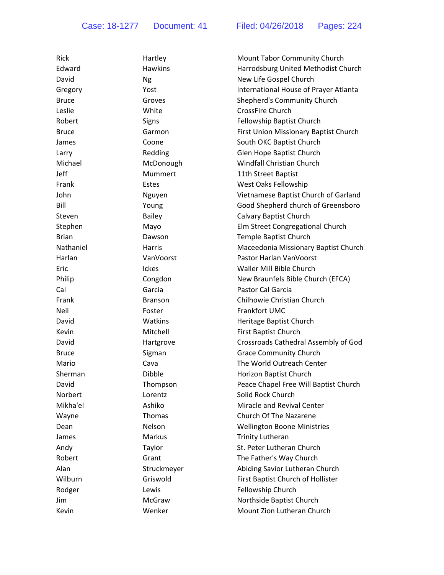| Rick         | Hartley        | Mount Tabor Community Church          |
|--------------|----------------|---------------------------------------|
| Edward       | <b>Hawkins</b> | Harrodsburg United Methodist Church   |
| David        | <b>Ng</b>      | New Life Gospel Church                |
| Gregory      | Yost           | International House of Prayer Atlanta |
| <b>Bruce</b> | Groves         | Shepherd's Community Church           |
| Leslie       | White          | CrossFire Church                      |
| Robert       | Signs          | Fellowship Baptist Church             |
| <b>Bruce</b> | Garmon         | First Union Missionary Baptist Church |
| James        | Coone          | South OKC Baptist Church              |
| Larry        | Redding        | Glen Hope Baptist Church              |
| Michael      | McDonough      | Windfall Christian Church             |
| Jeff         | Mummert        | 11th Street Baptist                   |
| Frank        | Estes          | West Oaks Fellowship                  |
| John         | Nguyen         | Vietnamese Baptist Church of Garland  |
| Bill         | Young          | Good Shepherd church of Greensboro    |
| Steven       | Bailey         | <b>Calvary Baptist Church</b>         |
| Stephen      | Mayo           | Elm Street Congregational Church      |
| <b>Brian</b> | Dawson         | Temple Baptist Church                 |
| Nathaniel    | <b>Harris</b>  | Maceedonia Missionary Baptist Church  |
| Harlan       | VanVoorst      | Pastor Harlan VanVoorst               |
| Eric         | <b>Ickes</b>   | Waller Mill Bible Church              |
| Philip       | Congdon        | New Braunfels Bible Church (EFCA)     |
| Cal          | Garcia         | <b>Pastor Cal Garcia</b>              |
| Frank        | <b>Branson</b> | Chilhowie Christian Church            |
| Neil         | Foster         | Frankfort UMC                         |
| David        | Watkins        | Heritage Baptist Church               |
| Kevin        | Mitchell       | First Baptist Church                  |
| David        | Hartgrove      | Crossroads Cathedral Assembly of God  |
| <b>Bruce</b> | Sigman         | <b>Grace Community Church</b>         |
| Mario        | Cava           | The World Outreach Center             |
| Sherman      | Dibble         | Horizon Baptist Church                |
| David        | Thompson       | Peace Chapel Free Will Baptist Church |
| Norbert      | Lorentz        | Solid Rock Church                     |
| Mikha'el     | Ashiko         | Miracle and Revival Center            |
| Wayne        | <b>Thomas</b>  | Church Of The Nazarene                |
| Dean         | Nelson         | <b>Wellington Boone Ministries</b>    |
| James        | Markus         | <b>Trinity Lutheran</b>               |
| Andy         | Taylor         | St. Peter Lutheran Church             |
| Robert       | Grant          | The Father's Way Church               |
| Alan         | Struckmeyer    | Abiding Savior Lutheran Church        |
| Wilburn      | Griswold       | First Baptist Church of Hollister     |
| Rodger       | Lewis          | Fellowship Church                     |
| Jim          | McGraw         | Northside Baptist Church              |
| Kevin        | Wenker         | Mount Zion Lutheran Church            |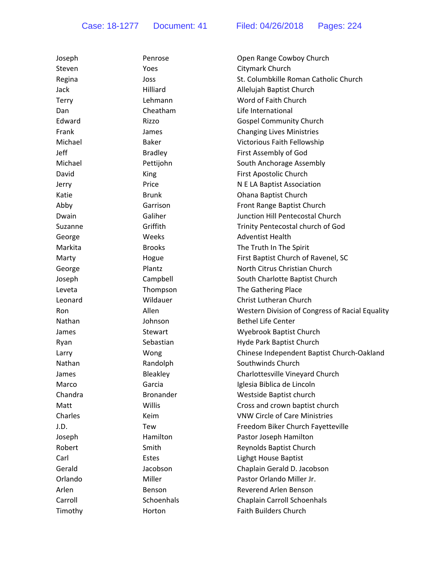| Joseph  | Penrose        | Open Range Cowboy Church                        |
|---------|----------------|-------------------------------------------------|
| Steven  | Yoes           | Citymark Church                                 |
| Regina  | Joss           | St. Columbkille Roman Catholic Church           |
| Jack    | Hilliard       | Allelujah Baptist Church                        |
| Terry   | Lehmann        | Word of Faith Church                            |
| Dan     | Cheatham       | Life International                              |
| Edward  | Rizzo          | <b>Gospel Community Church</b>                  |
| Frank   | James          | <b>Changing Lives Ministries</b>                |
| Michael | <b>Baker</b>   | Victorious Faith Fellowship                     |
| Jeff    | <b>Bradley</b> | First Assembly of God                           |
| Michael | Pettijohn      | South Anchorage Assembly                        |
| David   | King           | First Apostolic Church                          |
| Jerry   | Price          | N E LA Baptist Association                      |
| Katie   | <b>Brunk</b>   | Ohana Baptist Church                            |
| Abby    | Garrison       | Front Range Baptist Church                      |
| Dwain   | Galiher        | Junction Hill Pentecostal Church                |
| Suzanne | Griffith       | Trinity Pentecostal church of God               |
| George  | Weeks          | <b>Adventist Health</b>                         |
| Markita | <b>Brooks</b>  | The Truth In The Spirit                         |
| Marty   | Hogue          | First Baptist Church of Ravenel, SC             |
| George  | Plantz         | North Citrus Christian Church                   |
| Joseph  | Campbell       | South Charlotte Baptist Church                  |
| Leveta  | Thompson       | The Gathering Place                             |
| Leonard | Wildauer       | Christ Lutheran Church                          |
| Ron     | Allen          | Western Division of Congress of Racial Equality |
| Nathan  | Johnson        | <b>Bethel Life Center</b>                       |
| James   | Stewart        | Wyebrook Baptist Church                         |
| Ryan    | Sebastian      | Hyde Park Baptist Church                        |
| Larry   | Wong           | Chinese Independent Baptist Church-Oakland      |
| Nathan  | Randolph       | Southwinds Church                               |
| James   | Bleakley       | Charlottesville Vineyard Church                 |
| Marco   | Garcia         | Iglesia Biblica de Lincoln                      |
| Chandra | Bronander      | Westside Baptist church                         |
| Matt    | Willis         | Cross and crown baptist church                  |
| Charles | Keim           | <b>VNW Circle of Care Ministries</b>            |
| J.D.    | Tew            | Freedom Biker Church Fayetteville               |
| Joseph  | Hamilton       | Pastor Joseph Hamilton                          |
| Robert  | Smith          | Reynolds Baptist Church                         |
| Carl    | Estes          | Lighgt House Baptist                            |
| Gerald  | Jacobson       | Chaplain Gerald D. Jacobson                     |
| Orlando | Miller         | Pastor Orlando Miller Jr.                       |
| Arlen   | Benson         | Reverend Arlen Benson                           |
| Carroll | Schoenhals     | Chaplain Carroll Schoenhals                     |
| Timothy | Horton         | <b>Faith Builders Church</b>                    |
|         |                |                                                 |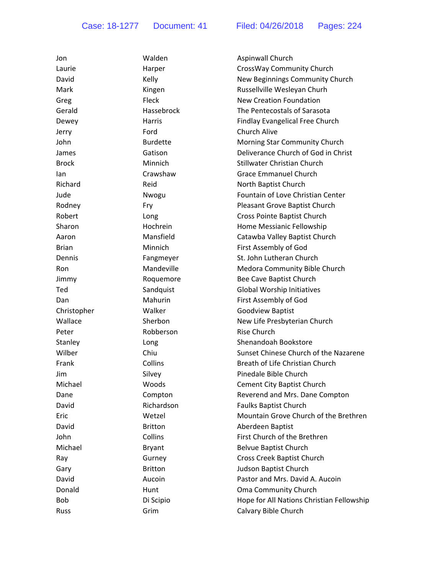| Jon          | Walden          | Aspinwall Church                          |
|--------------|-----------------|-------------------------------------------|
| Laurie       | Harper          | CrossWay Community Church                 |
| David        | Kelly           | New Beginnings Community Church           |
| Mark         | Kingen          | Russellville Wesleyan Churh               |
| Greg         | Fleck           | <b>New Creation Foundation</b>            |
| Gerald       | Hassebrock      | The Pentecostals of Sarasota              |
| Dewey        | Harris          | <b>Findlay Evangelical Free Church</b>    |
| Jerry        | Ford            | <b>Church Alive</b>                       |
| John         | <b>Burdette</b> | Morning Star Community Church             |
| James        | Gatison         | Deliverance Church of God in Christ       |
| <b>Brock</b> | Minnich         | Stillwater Christian Church               |
| lan          | Crawshaw        | Grace Emmanuel Church                     |
| Richard      | Reid            | North Baptist Church                      |
| Jude         | Nwogu           | Fountain of Love Christian Center         |
| Rodney       | Fry             | Pleasant Grove Baptist Church             |
| Robert       | Long            | Cross Pointe Baptist Church               |
| Sharon       | Hochrein        | Home Messianic Fellowship                 |
| Aaron        | Mansfield       | Catawba Valley Baptist Church             |
| <b>Brian</b> | Minnich         | First Assembly of God                     |
| Dennis       | Fangmeyer       | St. John Lutheran Church                  |
| Ron          | Mandeville      | Medora Community Bible Church             |
| Jimmy        | Roquemore       | Bee Cave Baptist Church                   |
| Ted          | Sandquist       | Global Worship Initiatives                |
| Dan          | Mahurin         | First Assembly of God                     |
| Christopher  | Walker          | Goodview Baptist                          |
| Wallace      | Sherbon         | New Life Presbyterian Church              |
| Peter        | Robberson       | Rise Church                               |
| Stanley      | Long            | Shenandoah Bookstore                      |
| Wilber       | Chiu            | Sunset Chinese Church of the Nazarene     |
| Frank        | Collins         | Breath of Life Christian Church           |
| Jim          | Silvey          | Pinedale Bible Church                     |
| Michael      | Woods           | <b>Cement City Baptist Church</b>         |
| Dane         | Compton         | Reverend and Mrs. Dane Compton            |
| David        | Richardson      | <b>Faulks Baptist Church</b>              |
| Eric         | Wetzel          | Mountain Grove Church of the Brethren     |
| David        | <b>Britton</b>  | Aberdeen Baptist                          |
| John         | Collins         | First Church of the Brethren              |
| Michael      | <b>Bryant</b>   | <b>Belvue Baptist Church</b>              |
| Ray          | Gurney          | Cross Creek Baptist Church                |
| Gary         | <b>Britton</b>  | Judson Baptist Church                     |
| David        | Aucoin          | Pastor and Mrs. David A. Aucoin           |
| Donald       | Hunt            | Oma Community Church                      |
| Bob          | Di Scipio       | Hope for All Nations Christian Fellowship |
| Russ         | Grim            | Calvary Bible Church                      |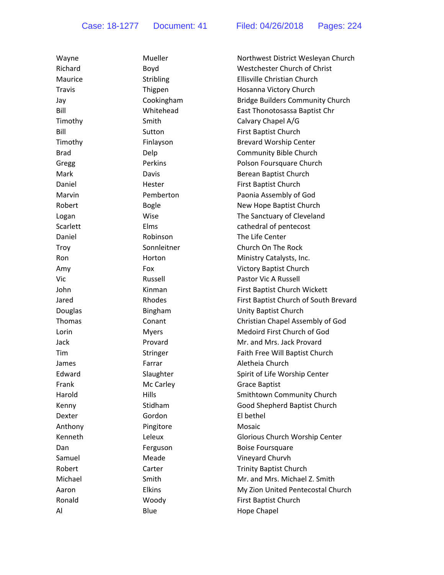| Wayne         | Mueller       | Northwest District Wesleyan Church      |
|---------------|---------------|-----------------------------------------|
| Richard       | Boyd          | Westchester Church of Christ            |
| Maurice       | Stribling     | Ellisville Christian Church             |
| <b>Travis</b> | Thigpen       | Hosanna Victory Church                  |
| Jay           | Cookingham    | <b>Bridge Builders Community Church</b> |
| Bill          | Whitehead     | East Thonotosassa Baptist Chr           |
| Timothy       | Smith         | Calvary Chapel A/G                      |
| Bill          | Sutton        | First Baptist Church                    |
| Timothy       | Finlayson     | <b>Brevard Worship Center</b>           |
| <b>Brad</b>   | Delp          | <b>Community Bible Church</b>           |
| Gregg         | Perkins       | Polson Foursquare Church                |
| Mark          | Davis         | Berean Baptist Church                   |
| Daniel        | Hester        | First Baptist Church                    |
| Marvin        | Pemberton     | Paonia Assembly of God                  |
| Robert        | <b>Bogle</b>  | New Hope Baptist Church                 |
| Logan         | Wise          | The Sanctuary of Cleveland              |
| Scarlett      | Elms          | cathedral of pentecost                  |
| Daniel        | Robinson      | The Life Center                         |
| Troy          | Sonnleitner   | Church On The Rock                      |
| Ron           | Horton        | Ministry Catalysts, Inc.                |
| Amy           | Fox           | <b>Victory Baptist Church</b>           |
| Vic           | Russell       | <b>Pastor Vic A Russell</b>             |
| John          | Kinman        | First Baptist Church Wickett            |
| Jared         | Rhodes        | First Baptist Church of South Brevard   |
| Douglas       | Bingham       | Unity Baptist Church                    |
| Thomas        | Conant        | Christian Chapel Assembly of God        |
| Lorin         | <b>Myers</b>  | Medoird First Church of God             |
| Jack          | Provard       | Mr. and Mrs. Jack Provard               |
| <b>Tim</b>    | Stringer      | Faith Free Will Baptist Church          |
| James         | Farrar        | Aletheia Church                         |
| Edward        | Slaughter     | Spirit of Life Worship Center           |
| Frank         | Mc Carley     | <b>Grace Baptist</b>                    |
| Harold        | Hills         | Smithtown Community Church              |
| Kenny         | Stidham       | Good Shepherd Baptist Church            |
| Dexter        | Gordon        | El bethel                               |
| Anthony       | Pingitore     | Mosaic                                  |
| Kenneth       | Leleux        | Glorious Church Worship Center          |
| Dan           | Ferguson      | <b>Boise Foursquare</b>                 |
| Samuel        | Meade         | Vineyard Churvh                         |
| Robert        | Carter        | <b>Trinity Baptist Church</b>           |
| Michael       | Smith         | Mr. and Mrs. Michael Z. Smith           |
| Aaron         | <b>Elkins</b> | My Zion United Pentecostal Church       |
| Ronald        | Woody         | First Baptist Church                    |
| Al            | Blue          | Hope Chapel                             |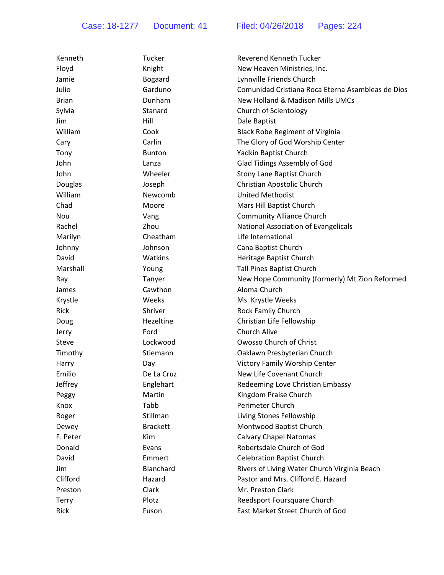| Kenneth      | Tucker          | Reverend Kenneth Tucker                           |
|--------------|-----------------|---------------------------------------------------|
| Floyd        | Knight          | New Heaven Ministries, Inc.                       |
| Jamie        | <b>Bogaard</b>  | Lynnville Friends Church                          |
| Julio        | Garduno         | Comunidad Cristiana Roca Eterna Asambleas de Dios |
| <b>Brian</b> | Dunham          | New Holland & Madison Mills UMCs                  |
| Sylvia       | Stanard         | Church of Scientology                             |
| Jim          | Hill            | Dale Baptist                                      |
| William      | Cook            | <b>Black Robe Regiment of Virginia</b>            |
| Cary         | Carlin          | The Glory of God Worship Center                   |
| Tony         | Bunton          | Yadkin Baptist Church                             |
| John         | Lanza           | Glad Tidings Assembly of God                      |
| John         | Wheeler         | Stony Lane Baptist Church                         |
| Douglas      | Joseph          | Christian Apostolic Church                        |
| William      | Newcomb         | <b>United Methodist</b>                           |
| Chad         | Moore           | Mars Hill Baptist Church                          |
| Nou          | Vang            | <b>Community Alliance Church</b>                  |
| Rachel       | Zhou            | National Association of Evangelicals              |
| Marilyn      | Cheatham        | Life International                                |
| Johnny       | Johnson         | Cana Baptist Church                               |
| David        | Watkins         | Heritage Baptist Church                           |
| Marshall     | Young           | <b>Tall Pines Baptist Church</b>                  |
| Ray          | Tanyer          | New Hope Community (formerly) Mt Zion Reformed    |
| James        | Cawthon         | Aloma Church                                      |
| Krystle      | Weeks           | Ms. Krystle Weeks                                 |
| Rick         | Shriver         | Rock Family Church                                |
| Doug         | Hezeltine       | Christian Life Fellowship                         |
| Jerry        | Ford            | Church Alive                                      |
| Steve        | Lockwood        | Owosso Church of Christ                           |
| Timothy      | Stiemann        | Oaklawn Presbyterian Church                       |
| Harry        | Day             | <b>Victory Family Worship Center</b>              |
| Emilio       | De La Cruz      | New Life Covenant Church                          |
| Jeffrey      | Englehart       | Redeeming Love Christian Embassy                  |
| Peggy        | Martin          | Kingdom Praise Church                             |
| Knox         | Tabb            | Perimeter Church                                  |
| Roger        | Stillman        | Living Stones Fellowship                          |
| Dewey        | <b>Brackett</b> | Montwood Baptist Church                           |
| F. Peter     | Kim             | <b>Calvary Chapel Natomas</b>                     |
| Donald       | Evans           | Robertsdale Church of God                         |
| David        | Emmert          | <b>Celebration Baptist Church</b>                 |
| Jim          | Blanchard       | Rivers of Living Water Church Virginia Beach      |
| Clifford     | Hazard          | Pastor and Mrs. Clifford E. Hazard                |
| Preston      | Clark           | Mr. Preston Clark                                 |
| <b>Terry</b> | Plotz           | Reedsport Foursquare Church                       |
| <b>Rick</b>  | Fuson           | East Market Street Church of God                  |
|              |                 |                                                   |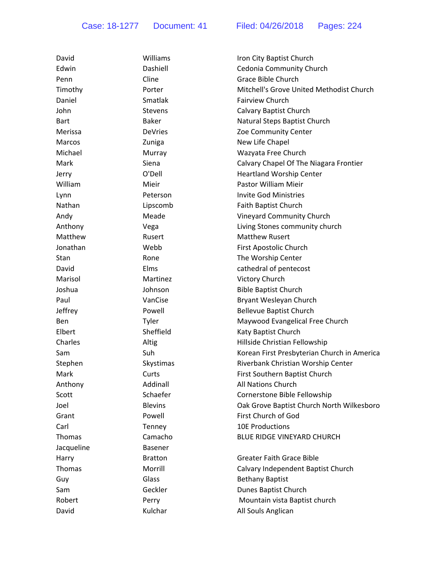| David         | Williams       | Iron City Baptist Church                    |
|---------------|----------------|---------------------------------------------|
| Edwin         | Dashiell       | Cedonia Community Church                    |
| Penn          | Cline          | <b>Grace Bible Church</b>                   |
| Timothy       | Porter         | Mitchell's Grove United Methodist Church    |
| Daniel        | Smatlak        | <b>Fairview Church</b>                      |
| John          | <b>Stevens</b> | Calvary Baptist Church                      |
| <b>Bart</b>   | <b>Baker</b>   | Natural Steps Baptist Church                |
| Merissa       | <b>DeVries</b> | Zoe Community Center                        |
| <b>Marcos</b> | Zuniga         | New Life Chapel                             |
| Michael       | Murray         | Wazyata Free Church                         |
| Mark          | Siena          | Calvary Chapel Of The Niagara Frontier      |
| Jerry         | O'Dell         | <b>Heartland Worship Center</b>             |
| William       | Mieir          | Pastor William Mieir                        |
| Lynn          | Peterson       | <b>Invite God Ministries</b>                |
| Nathan        | Lipscomb       | Faith Baptist Church                        |
| Andy          | Meade          | Vineyard Community Church                   |
| Anthony       | Vega           | Living Stones community church              |
| Matthew       | Rusert         | <b>Matthew Rusert</b>                       |
| Jonathan      | Webb           | First Apostolic Church                      |
| Stan          | Rone           | The Worship Center                          |
| David         | Elms           | cathedral of pentecost                      |
| Marisol       | Martinez       | Victory Church                              |
| Joshua        | Johnson        | <b>Bible Baptist Church</b>                 |
| Paul          | VanCise        | Bryant Wesleyan Church                      |
| Jeffrey       | Powell         | <b>Bellevue Baptist Church</b>              |
| Ben           | Tyler          | Maywood Evangelical Free Church             |
| Elbert        | Sheffield      | Katy Baptist Church                         |
| Charles       | Altig          | Hillside Christian Fellowship               |
| Sam           | Suh            | Korean First Presbyterian Church in America |
| Stephen       | Skystimas      | Riverbank Christian Worship Center          |
| Mark          | Curts          | First Southern Baptist Church               |
| Anthony       | Addinall       | All Nations Church                          |
| Scott         | Schaefer       | Cornerstone Bible Fellowship                |
| Joel          | <b>Blevins</b> | Oak Grove Baptist Church North Wilkesboro   |
| Grant         | Powell         | First Church of God                         |
| Carl          | Tenney         | <b>10E Productions</b>                      |
| Thomas        | Camacho        | BLUE RIDGE VINEYARD CHURCH                  |
| Jacqueline    | <b>Basener</b> |                                             |
| Harry         | <b>Bratton</b> | <b>Greater Faith Grace Bible</b>            |
| Thomas        | Morrill        | Calvary Independent Baptist Church          |
| Guy           | Glass          | <b>Bethany Baptist</b>                      |
| Sam           | Geckler        | Dunes Baptist Church                        |
| Robert        | Perry          | Mountain vista Baptist church               |
| David         | Kulchar        | All Souls Anglican                          |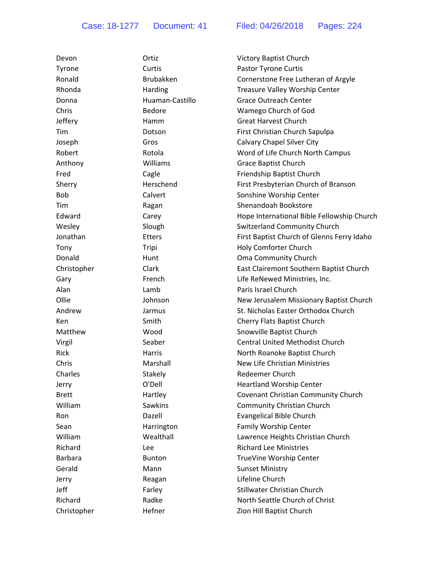| Devon          | Ortiz            | <b>Victory Baptist Church</b>              |
|----------------|------------------|--------------------------------------------|
| Tyrone         | Curtis           | <b>Pastor Tyrone Curtis</b>                |
| Ronald         | <b>Brubakken</b> | Cornerstone Free Lutheran of Argyle        |
| Rhonda         | Harding          | Treasure Valley Worship Center             |
| Donna          | Huaman-Castillo  | <b>Grace Outreach Center</b>               |
| Chris          | <b>Bedore</b>    | Wamego Church of God                       |
| Jeffery        | Hamm             | <b>Great Harvest Church</b>                |
| Tim            | Dotson           | First Christian Church Sapulpa             |
| Joseph         | Gros             | Calvary Chapel Silver City                 |
| Robert         | Rotola           | Word of Life Church North Campus           |
| Anthony        | Williams         | Grace Baptist Church                       |
| Fred           | Cagle            | Friendship Baptist Church                  |
| Sherry         | Herschend        | First Presbyterian Church of Branson       |
| <b>Bob</b>     | Calvert          | Sonshine Worship Center                    |
| Tim            | Ragan            | Shenandoah Bookstore                       |
| Edward         | Carey            | Hope International Bible Fellowship Church |
| Wesley         | Slough           | <b>Switzerland Community Church</b>        |
| Jonathan       | <b>Etters</b>    | First Baptist Church of Glenns Ferry Idaho |
| Tony           | Tripi            | <b>Holy Comforter Church</b>               |
| Donald         | Hunt             | Oma Community Church                       |
| Christopher    | Clark            | East Clairemont Southern Baptist Church    |
| Gary           | French           | Life ReNewed Ministries, Inc.              |
| Alan           | Lamb             | Paris Israel Church                        |
| Ollie          | Johnson          | New Jerusalem Missionary Baptist Church    |
| Andrew         | Jarmus           | St. Nicholas Easter Orthodox Church        |
| Ken            | Smith            | Cherry Flats Baptist Church                |
| Matthew        | Wood             | Snowville Baptist Church                   |
| Virgil         | Seaber           | <b>Central United Methodist Church</b>     |
| Rick           | Harris           | North Roanoke Baptist Church               |
| Chris          | Marshall         | <b>New Life Christian Ministries</b>       |
| Charles        | Stakely          | <b>Redeemer Church</b>                     |
| Jerry          | O'Dell           | <b>Heartland Worship Center</b>            |
| <b>Brett</b>   | Hartley          | Covenant Christian Community Church        |
| William        | Sawkins          | Community Christian Church                 |
| Ron            | Dazell           | Evangelical Bible Church                   |
| Sean           | Harrington       | <b>Family Worship Center</b>               |
| William        | Wealthall        | Lawrence Heights Christian Church          |
| Richard        | Lee              | <b>Richard Lee Ministries</b>              |
| <b>Barbara</b> | <b>Bunton</b>    | TrueVine Worship Center                    |
| Gerald         | Mann             | <b>Sunset Ministry</b>                     |
| Jerry          | Reagan           | Lifeline Church                            |
| Jeff           | Farley           | Stillwater Christian Church                |
| Richard        | Radke            | North Seattle Church of Christ             |
| Christopher    | Hefner           | Zion Hill Baptist Church                   |